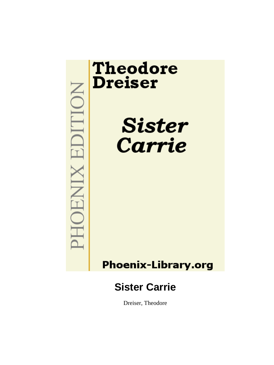

Dreiser, Theodore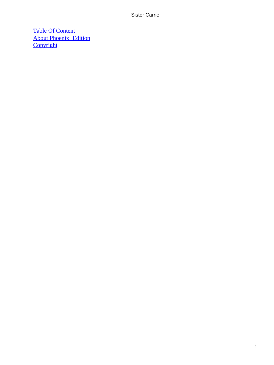[Table Of Content](#page-428-0) [About Phoenix−Edition](#page-431-0) **[Copyright](#page-432-0)**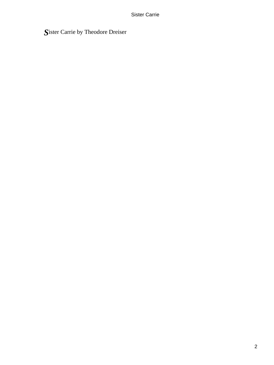# *S*ister Carrie by Theodore Dreiser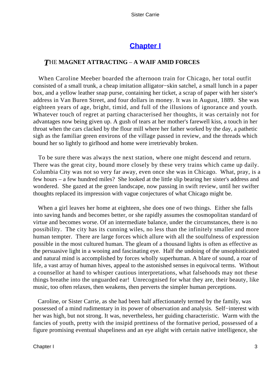# **[Chapter I](#page-428-0)**

### *T*HE **MAGNET ATTRACTING** – **A WAIF AMID FORCES**

 When Caroline Meeber boarded the afternoon train for Chicago, her total outfit consisted of a small trunk, a cheap imitation alligator−skin satchel, a small lunch in a paper box, and a yellow leather snap purse, containing her ticket, a scrap of paper with her sister's address in Van Buren Street, and four dollars in money. It was in August, 1889. She was eighteen years of age, bright, timid, and full of the illusions of ignorance and youth. Whatever touch of regret at parting characterised her thoughts, it was certainly not for advantages now being given up. A gush of tears at her mother's farewell kiss, a touch in her throat when the cars clacked by the flour mill where her father worked by the day, a pathetic sigh as the familiar green environs of the village passed in review, and the threads which bound her so lightly to girlhood and home were irretrievably broken.

 To be sure there was always the next station, where one might descend and return. There was the great city, bound more closely by these very trains which came up daily. Columbia City was not so very far away, even once she was in Chicago. What, pray, is a few hours – a few hundred miles? She looked at the little slip bearing her sister's address and wondered. She gazed at the green landscape, now passing in swift review, until her swifter thoughts replaced its impression with vague conjectures of what Chicago might be.

 When a girl leaves her home at eighteen, she does one of two things. Either she falls into saving hands and becomes better, or she rapidly assumes the cosmopolitan standard of virtue and becomes worse. Of an intermediate balance, under the circumstances, there is no possibility. The city has its cunning wiles, no less than the infinitely smaller and more human tempter. There are large forces which allure with all the soulfulness of expression possible in the most cultured human. The gleam of a thousand lights is often as effective as the persuasive light in a wooing and fascinating eye. Half the undoing of the unsophisticated and natural mind is accomplished by forces wholly superhuman. A blare of sound, a roar of life, a vast array of human hives, appeal to the astonished senses in equivocal terms. Without a counsellor at hand to whisper cautious interpretations, what falsehoods may not these things breathe into the unguarded ear! Unrecognised for what they are, their beauty, like music, too often relaxes, then weakens, then perverts the simpler human perceptions.

 Caroline, or Sister Carrie, as she had been half affectionately termed by the family, was possessed of a mind rudimentary in its power of observation and analysis. Self−interest with her was high, but not strong. It was, nevertheless, her guiding characteristic. Warm with the fancies of youth, pretty with the insipid prettiness of the formative period, possessed of a figure promising eventual shapeliness and an eye alight with certain native intelligence, she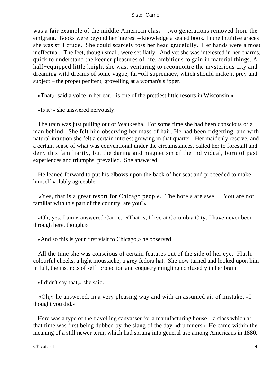was a fair example of the middle American class – two generations removed from the emigrant. Books were beyond her interest – knowledge a sealed book. In the intuitive graces she was still crude. She could scarcely toss her head gracefully. Her hands were almost ineffectual. The feet, though small, were set flatly. And yet she was interested in her charms, quick to understand the keener pleasures of life, ambitious to gain in material things. A half−equipped little knight she was, venturing to reconnoitre the mysterious city and dreaming wild dreams of some vague, far−off supremacy, which should make it prey and subject – the proper penitent, grovelling at a woman's slipper.

«That,» said a voice in her ear, «is one of the prettiest little resorts in Wisconsin.»

«Is it?» she answered nervously.

 The train was just pulling out of Waukesha. For some time she had been conscious of a man behind. She felt him observing her mass of hair. He had been fidgetting, and with natural intuition she felt a certain interest growing in that quarter. Her maidenly reserve, and a certain sense of what was conventional under the circumstances, called her to forestall and deny this familiarity, but the daring and magnetism of the individual, born of past experiences and triumphs, prevailed. She answered.

 He leaned forward to put his elbows upon the back of her seat and proceeded to make himself volubly agreeable.

 «Yes, that is a great resort for Chicago people. The hotels are swell. You are not familiar with this part of the country, are you?»

 «Oh, yes, I am,» answered Carrie. «That is, I live at Columbia City. I have never been through here, though.»

«And so this is your first visit to Chicago,» he observed.

 All the time she was conscious of certain features out of the side of her eye. Flush, colourful cheeks, a light moustache, a grey fedora hat. She now turned and looked upon him in full, the instincts of self−protection and coquetry mingling confusedly in her brain.

«I didn't say that,» she said.

 «Oh,» he answered, in a very pleasing way and with an assumed air of mistake, «I thought you did.»

 Here was a type of the travelling canvasser for a manufacturing house – a class which at that time was first being dubbed by the slang of the day «drummers.» He came within the meaning of a still newer term, which had sprung into general use among Americans in 1880,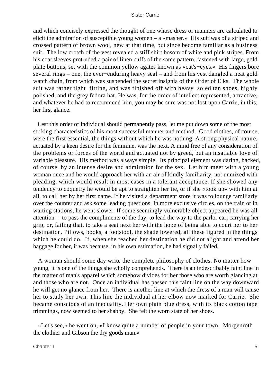and which concisely expressed the thought of one whose dress or manners are calculated to elicit the admiration of susceptible young women – a «masher.» His suit was of a striped and crossed pattern of brown wool, new at that time, but since become familiar as a business suit. The low crotch of the vest revealed a stiff shirt bosom of white and pink stripes. From his coat sleeves protruded a pair of linen cuffs of the same pattern, fastened with large, gold plate buttons, set with the common yellow agates known as «cat's−eyes.» His fingers bore several rings – one, the ever−enduring heavy seal – and from his vest dangled a neat gold watch chain, from which was suspended the secret insignia of the Order of Elks. The whole suit was rather tight−fitting, and was finished off with heavy−soled tan shoes, highly polished, and the grey fedora hat. He was, for the order of intellect represented, attractive, and whatever he had to recommend him, you may be sure was not lost upon Carrie, in this, her first glance.

 Lest this order of individual should permanently pass, let me put down some of the most striking characteristics of his most successful manner and method. Good clothes, of course, were the first essential, the things without which he was nothing. A strong physical nature, actuated by a keen desire for the feminine, was the next. A mind free of any consideration of the problems or forces of the world and actuated not by greed, but an insatiable love of variable pleasure. His method was always simple. Its principal element was daring, backed, of course, by an intense desire and admiration for the sex. Let him meet with a young woman once and he would approach her with an air of kindly familiarity, not unmixed with pleading, which would result in most cases in a tolerant acceptance. If she showed any tendency to coquetry he would be apt to straighten her tie, or if she «took up» with him at all, to call her by her first name. If he visited a department store it was to lounge familiarly over the counter and ask some leading questions. In more exclusive circles, on the train or in waiting stations, he went slower. If some seemingly vulnerable object appeared he was all attention – to pass the compliments of the day, to lead the way to the parlor car, carrying her grip, or, failing that, to take a seat next her with the hope of being able to court her to her destination. Pillows, books, a footstool, the shade lowered; all these figured in the things which he could do. If, when she reached her destination he did not alight and attend her baggage for her, it was because, in his own estimation, he had signally failed.

 A woman should some day write the complete philosophy of clothes. No matter how young, it is one of the things she wholly comprehends. There is an indescribably faint line in the matter of man's apparel which somehow divides for her those who are worth glancing at and those who are not. Once an individual has passed this faint line on the way downward he will get no glance from her. There is another line at which the dress of a man will cause her to study her own. This line the individual at her elbow now marked for Carrie. She became conscious of an inequality. Her own plain blue dress, with its black cotton tape trimmings, now seemed to her shabby. She felt the worn state of her shoes.

 «Let's see,» he went on, «I know quite a number of people in your town. Morgenroth the clothier and Gibson the dry goods man.»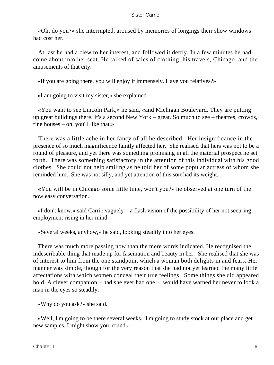«Oh, do you?» she interrupted, aroused by memories of longings their show windows had cost her.

 At last he had a clew to her interest, and followed it deftly. In a few minutes he had come about into her seat. He talked of sales of clothing, his travels, Chicago, and the amusements of that city.

«If you are going there, you will enjoy it immensely. Have you relatives?»

«I am going to visit my sister,» she explained.

 «You want to see Lincoln Park,» he said, «and Michigan Boulevard. They are putting up great buildings there. It's a second New York – great. So much to see – theatres, crowds, fine houses – oh, you'll like that.»

 There was a little ache in her fancy of all he described. Her insignificance in the presence of so much magnificence faintly affected her. She realised that hers was not to be a round of pleasure, and yet there was something promising in all the material prospect he set forth. There was something satisfactory in the attention of this individual with his good clothes. She could not help smiling as he told her of some popular actress of whom she reminded him. She was not silly, and yet attention of this sort had its weight.

 «You will be in Chicago some little time, won't you?» he observed at one turn of the now easy conversation.

 «I don't know,» said Carrie vaguely – a flash vision of the possibility of her not securing employment rising in her mind.

«Several weeks, anyhow,» he said, looking steadily into her eyes.

 There was much more passing now than the mere words indicated. He recognised the indescribable thing that made up for fascination and beauty in her. She realised that she was of interest to him from the one standpoint which a woman both delights in and fears. Her manner was simple, though for the very reason that she had not yet learned the many little affectations with which women conceal their true feelings. Some things she did appeared bold. A clever companion – had she ever had one – would have warned her never to look a man in the eyes so steadily.

«Why do you ask?» she said.

 «Well, I'm going to be there several weeks. I'm going to study stock at our place and get new samples. I might show you 'round.»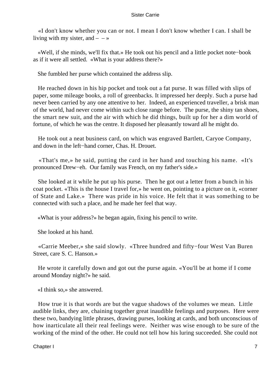«I don't know whether you can or not. I mean I don't know whether I can. I shall be living with my sister, and  $- - \infty$ 

 «Well, if she minds, we'll fix that.» He took out his pencil and a little pocket note−book as if it were all settled. «What is your address there?»

She fumbled her purse which contained the address slip.

 He reached down in his hip pocket and took out a fat purse. It was filled with slips of paper, some mileage books, a roll of greenbacks. It impressed her deeply. Such a purse had never been carried by any one attentive to her. Indeed, an experienced traveller, a brisk man of the world, had never come within such close range before. The purse, the shiny tan shoes, the smart new suit, and the air with which he did things, built up for her a dim world of fortune, of which he was the centre. It disposed her pleasantly toward all he might do.

 He took out a neat business card, on which was engraved Bartlett, Caryoe Company, and down in the left−hand corner, Chas. H. Drouet.

 «That's me,» he said, putting the card in her hand and touching his name. «It's pronounced Drew−eh. Our family was French, on my father's side.»

 She looked at it while he put up his purse. Then he got out a letter from a bunch in his coat pocket. «This is the house I travel for,» he went on, pointing to a picture on it, «corner of State and Lake.» There was pride in his voice. He felt that it was something to be connected with such a place, and he made her feel that way.

«What is your address?» he began again, fixing his pencil to write.

She looked at his hand.

 «Carrie Meeber,» she said slowly. «Three hundred and fifty−four West Van Buren Street, care S. C. Hanson.»

 He wrote it carefully down and got out the purse again. «You'll be at home if I come around Monday night?» he said.

«I think so,» she answered.

 How true it is that words are but the vague shadows of the volumes we mean. Little audible links, they are, chaining together great inaudible feelings and purposes. Here were these two, bandying little phrases, drawing purses, looking at cards, and both unconscious of how inarticulate all their real feelings were. Neither was wise enough to be sure of the working of the mind of the other. He could not tell how his luring succeeded. She could not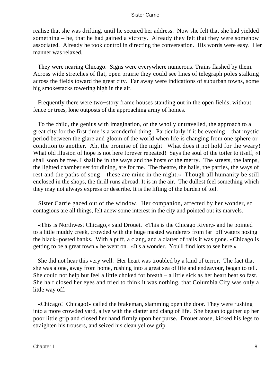realise that she was drifting, until he secured her address. Now she felt that she had yielded something – he, that he had gained a victory. Already they felt that they were somehow associated. Already he took control in directing the conversation. His words were easy. Her manner was relaxed.

 They were nearing Chicago. Signs were everywhere numerous. Trains flashed by them. Across wide stretches of flat, open prairie they could see lines of telegraph poles stalking across the fields toward the great city. Far away were indications of suburban towns, some big smokestacks towering high in the air.

 Frequently there were two−story frame houses standing out in the open fields, without fence or trees, lone outposts of the approaching army of homes.

 To the child, the genius with imagination, or the wholly untravelled, the approach to a great city for the first time is a wonderful thing. Particularly if it be evening – that mystic period between the glare and gloom of the world when life is changing from one sphere or condition to another. Ah, the promise of the night. What does it not hold for the weary! What old illusion of hope is not here forever repeated! Says the soul of the toiler to itself, «I shall soon be free. I shall be in the ways and the hosts of the merry. The streets, the lamps, the lighted chamber set for dining, are for me. The theatre, the halls, the parties, the ways of rest and the paths of song – these are mine in the night.» Though all humanity be still enclosed in the shops, the thrill runs abroad. It is in the air. The dullest feel something which they may not always express or describe. It is the lifting of the burden of toil.

 Sister Carrie gazed out of the window. Her companion, affected by her wonder, so contagious are all things, felt anew some interest in the city and pointed out its marvels.

 «This is Northwest Chicago,» said Drouet. «This is the Chicago River,» and he pointed to a little muddy creek, crowded with the huge masted wanderers from far−off waters nosing the black−posted banks. With a puff, a clang, and a clatter of rails it was gone. «Chicago is getting to be a great town,» he went on. «It's a wonder. You'll find lots to see here.»

 She did not hear this very well. Her heart was troubled by a kind of terror. The fact that she was alone, away from home, rushing into a great sea of life and endeavour, began to tell. She could not help but feel a little choked for breath – a little sick as her heart beat so fast. She half closed her eyes and tried to think it was nothing, that Columbia City was only a little way off.

 «Chicago! Chicago!» called the brakeman, slamming open the door. They were rushing into a more crowded yard, alive with the clatter and clang of life. She began to gather up her poor little grip and closed her hand firmly upon her purse. Drouet arose, kicked his legs to straighten his trousers, and seized his clean yellow grip.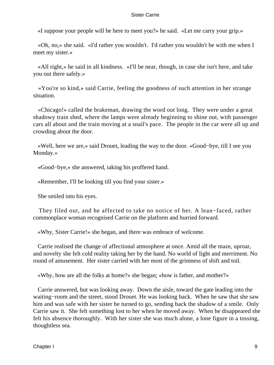«I suppose your people will be here to meet you?» he said. «Let me carry your grip.»

 «Oh, no,» she said. «I'd rather you wouldn't. I'd rather you wouldn't be with me when I meet my sister.»

 «All right,» he said in all kindness. «I'll be near, though, in case she isn't here, and take you out there safely.»

 «You're so kind,» said Carrie, feeling the goodness of such attention in her strange situation.

 «Chicago!» called the brakeman, drawing the word out long. They were under a great shadowy train shed, where the lamps were already beginning to shine out, with passenger cars all about and the train moving at a snail's pace. The people in the car were all up and crowding about the door.

 «Well, here we are,» said Drouet, leading the way to the door. «Good−bye, till I see you Monday.»

«Good−bye,» she answered, taking his proffered hand.

«Remember, I'll be looking till you find your sister.»

She smiled into his eyes.

 They filed out, and he affected to take no notice of her. A lean−faced, rather commonplace woman recognised Carrie on the platform and hurried forward.

«Why, Sister Carrie!» she began, and there was embrace of welcome.

 Carrie realised the change of affectional atmosphere at once. Amid all the maze, uproar, and novelty she felt cold reality taking her by the hand. No world of light and merriment. No round of amusement. Her sister carried with her most of the grimness of shift and toil.

«Why, how are all the folks at home?» she began; «how is father, and mother?»

 Carrie answered, but was looking away. Down the aisle, toward the gate leading into the waiting−room and the street, stood Drouet. He was looking back. When he saw that she saw him and was safe with her sister he turned to go, sending back the shadow of a smile. Only Carrie saw it. She felt something lost to her when he moved away. When he disappeared she felt his absence thoroughly. With her sister she was much alone, a lone figure in a tossing, thoughtless sea.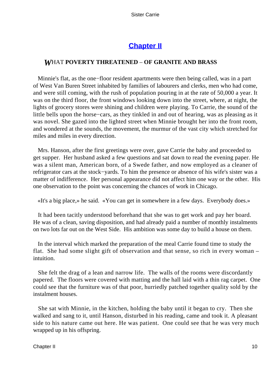# **[Chapter II](#page-428-0)**

### *W*HAT **POVERTY THREATENED** – **OF GRANITE AND BRASS**

 Minnie's flat, as the one−floor resident apartments were then being called, was in a part of West Van Buren Street inhabited by families of labourers and clerks, men who had come, and were still coming, with the rush of population pouring in at the rate of 50,000 a year. It was on the third floor, the front windows looking down into the street, where, at night, the lights of grocery stores were shining and children were playing. To Carrie, the sound of the little bells upon the horse−cars, as they tinkled in and out of hearing, was as pleasing as it was novel. She gazed into the lighted street when Minnie brought her into the front room, and wondered at the sounds, the movement, the murmur of the vast city which stretched for miles and miles in every direction.

 Mrs. Hanson, after the first greetings were over, gave Carrie the baby and proceeded to get supper. Her husband asked a few questions and sat down to read the evening paper. He was a silent man, American born, of a Swede father, and now employed as a cleaner of refrigerator cars at the stock−yards. To him the presence or absence of his wife's sister was a matter of indifference. Her personal appearance did not affect him one way or the other. His one observation to the point was concerning the chances of work in Chicago.

«It's a big place,» he said. «You can get in somewhere in a few days. Everybody does.»

 It had been tacitly understood beforehand that she was to get work and pay her board. He was of a clean, saving disposition, and had already paid a number of monthly instalments on two lots far out on the West Side. His ambition was some day to build a house on them.

 In the interval which marked the preparation of the meal Carrie found time to study the flat. She had some slight gift of observation and that sense, so rich in every woman – intuition.

 She felt the drag of a lean and narrow life. The walls of the rooms were discordantly papered. The floors were covered with matting and the hall laid with a thin rag carpet. One could see that the furniture was of that poor, hurriedly patched together quality sold by the instalment houses.

 She sat with Minnie, in the kitchen, holding the baby until it began to cry. Then she walked and sang to it, until Hanson, disturbed in his reading, came and took it. A pleasant side to his nature came out here. He was patient. One could see that he was very much wrapped up in his offspring.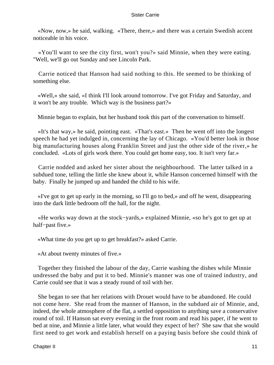«Now, now,» he said, walking. «There, there,» and there was a certain Swedish accent noticeable in his voice.

 «You'll want to see the city first, won't you?» said Minnie, when they were eating. "Well, we'll go out Sunday and see Lincoln Park.

 Carrie noticed that Hanson had said nothing to this. He seemed to be thinking of something else.

 «Well,» she said, «I think I'll look around tomorrow. I've got Friday and Saturday, and it won't be any trouble. Which way is the business part?»

Minnie began to explain, but her husband took this part of the conversation to himself.

 «It's that way,» he said, pointing east. «That's east.» Then he went off into the longest speech he had yet indulged in, concerning the lay of Chicago. «You'd better look in those big manufacturing houses along Franklin Street and just the other side of the river,» he concluded. «Lots of girls work there. You could get home easy, too. It isn't very far.»

 Carrie nodded and asked her sister about the neighbourhood. The latter talked in a subdued tone, telling the little she knew about it, while Hanson concerned himself with the baby. Finally he jumped up and handed the child to his wife.

 «I've got to get up early in the morning, so I'll go to bed,» and off he went, disappearing into the dark little bedroom off the hall, for the night.

 «He works way down at the stock−yards,» explained Minnie, «so he's got to get up at half−past five.»

«What time do you get up to get breakfast?» asked Carrie.

«At about twenty minutes of five.»

 Together they finished the labour of the day, Carrie washing the dishes while Minnie undressed the baby and put it to bed. Minnie's manner was one of trained industry, and Carrie could see that it was a steady round of toil with her.

 She began to see that her relations with Drouet would have to be abandoned. He could not come here. She read from the manner of Hanson, in the subdued air of Minnie, and, indeed, the whole atmosphere of the flat, a settled opposition to anything save a conservative round of toil. If Hanson sat every evening in the front room and read his paper, if he went to bed at nine, and Minnie a little later, what would they expect of her? She saw that she would first need to get work and establish herself on a paying basis before she could think of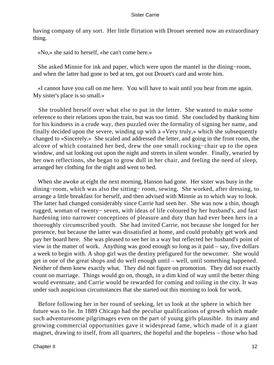having company of any sort. Her little flirtation with Drouet seemed now an extraordinary thing.

«No,» she said to herself, «he can't come here.»

 She asked Minnie for ink and paper, which were upon the mantel in the dining−room, and when the latter had gone to bed at ten, got out Drouet's card and wrote him.

 «I cannot have you call on me here. You will have to wait until you hear from me again. My sister's place is so small.»

 She troubled herself over what else to put in the letter. She wanted to make some reference to their relations upon the train, but was too timid. She concluded by thanking him for his kindness in a crude way, then puzzled over the formality of signing her name, and finally decided upon the severe, winding up with a «Very truly,» which she subsequently changed to «Sincerely.» She scaled and addressed the letter, and going in the front room, the alcove of which contained her bed, drew the one small rocking−chair up to the open window, and sat looking out upon the night and streets in silent wonder. Finally, wearied by her own reflections, she began to grow dull in her chair, and feeling the need of sleep, arranged her clothing for the night and went to bed.

 When she awoke at eight the next morning, Hanson had gone. Her sister was busy in the dining−room, which was also the sitting− room, sewing. She worked, after dressing, to arrange a little breakfast for herself, and then advised with Minnie as to which way to look. The latter had changed considerably since Carrie had seen her. She was now a thin, though rugged, woman of twenty− seven, with ideas of life coloured by her husband's, and fast hardening into narrower conceptions of pleasure and duty than had ever been hers in a thoroughly circumscribed youth. She had invited Carrie, not because she longed for her presence, but because the latter was dissatisfied at home, and could probably get work and pay her board here. She was pleased to see her in a way but reflected her husband's point of view in the matter of work. Anything was good enough so long as it paid – say, five dollars a week to begin with. A shop girl was the destiny prefigured for the newcomer. She would get in one of the great shops and do well enough until – well, until something happened. Neither of them knew exactly what. They did not figure on promotion. They did not exactly count on marriage. Things would go on, though, in a dim kind of way until the better thing would eventuate, and Carrie would be rewarded for coming and toiling in the city. It was under such auspicious circumstances that she started out this morning to look for work.

 Before following her in her round of seeking, let us look at the sphere in which her future was to lie. In 1889 Chicago had the peculiar qualifications of growth which made such adventuresome pilgrimages even on the part of young girls plausible. Its many and growing commercial opportunities gave it widespread fame, which made of it a giant magnet, drawing to itself, from all quarters, the hopeful and the hopeless – those who had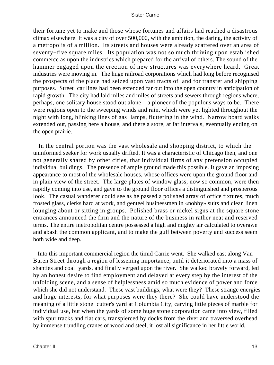their fortune yet to make and those whose fortunes and affairs had reached a disastrous climax elsewhere. It was a city of over 500,000, with the ambition, the daring, the activity of a metropolis of a million. Its streets and houses were already scattered over an area of seventy−five square miles. Its population was not so much thriving upon established commerce as upon the industries which prepared for the arrival of others. The sound of the hammer engaged upon the erection of new structures was everywhere heard. Great industries were moving in. The huge railroad corporations which had long before recognised the prospects of the place had seized upon vast tracts of land for transfer and shipping purposes. Street−car lines had been extended far out into the open country in anticipation of rapid growth. The city had laid miles and miles of streets and sewers through regions where, perhaps, one solitary house stood out alone – a pioneer of the populous ways to be. There were regions open to the sweeping winds and rain, which were yet lighted throughout the night with long, blinking lines of gas−lamps, fluttering in the wind. Narrow board walks extended out, passing here a house, and there a store, at far intervals, eventually ending on the open prairie.

 In the central portion was the vast wholesale and shopping district, to which the uninformed seeker for work usually drifted. It was a characteristic of Chicago then, and one not generally shared by other cities, that individual firms of any pretension occupied individual buildings. The presence of ample ground made this possible. It gave an imposing appearance to most of the wholesale houses, whose offices were upon the ground floor and in plain view of the street. The large plates of window glass, now so common, were then rapidly coming into use, and gave to the ground floor offices a distinguished and prosperous look. The casual wanderer could see as he passed a polished array of office fixtures, much frosted glass, clerks hard at work, and genteel businessmen in «nobby» suits and clean linen lounging about or sitting in groups. Polished brass or nickel signs at the square stone entrances announced the firm and the nature of the business in rather neat and reserved terms. The entire metropolitan centre possessed a high and mighty air calculated to overawe and abash the common applicant, and to make the gulf between poverty and success seem both wide and deep.

 Into this important commercial region the timid Carrie went. She walked east along Van Buren Street through a region of lessening importance, until it deteriorated into a mass of shanties and coal−yards, and finally verged upon the river. She walked bravely forward, led by an honest desire to find employment and delayed at every step by the interest of the unfolding scene, and a sense of helplessness amid so much evidence of power and force which she did not understand. These vast buildings, what were they? These strange energies and huge interests, for what purposes were they there? She could have understood the meaning of a little stone−cutter's yard at Columbia City, carving little pieces of marble for individual use, but when the yards of some huge stone corporation came into view, filled with spur tracks and flat cars, transpierced by docks from the river and traversed overhead by immense trundling cranes of wood and steel, it lost all significance in her little world.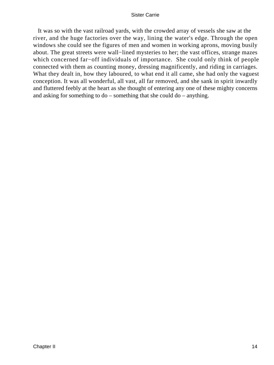It was so with the vast railroad yards, with the crowded array of vessels she saw at the river, and the huge factories over the way, lining the water's edge. Through the open windows she could see the figures of men and women in working aprons, moving busily about. The great streets were wall−lined mysteries to her; the vast offices, strange mazes which concerned far−off individuals of importance. She could only think of people connected with them as counting money, dressing magnificently, and riding in carriages. What they dealt in, how they laboured, to what end it all came, she had only the vaguest conception. It was all wonderful, all vast, all far removed, and she sank in spirit inwardly and fluttered feebly at the heart as she thought of entering any one of these mighty concerns and asking for something to do – something that she could do – anything.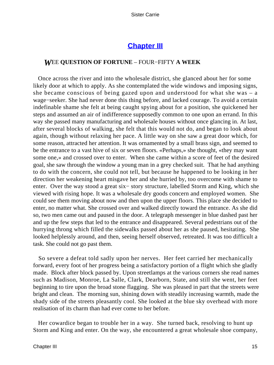### **[Chapter III](#page-428-0)**

#### *W*EE **QUESTION OF FORTUNE** – FOUR−FIFTY **A WEEK**

 Once across the river and into the wholesale district, she glanced about her for some likely door at which to apply. As she contemplated the wide windows and imposing signs, she became conscious of being gazed upon and understood for what she was  $-$  a wage−seeker. She had never done this thing before, and lacked courage. To avoid a certain indefinable shame she felt at being caught spying about for a position, she quickened her steps and assumed an air of indifference supposedly common to one upon an errand. In this way she passed many manufacturing and wholesale houses without once glancing in. At last, after several blocks of walking, she felt that this would not do, and began to look about again, though without relaxing her pace. A little way on she saw a great door which, for some reason, attracted her attention. It was ornamented by a small brass sign, and seemed to be the entrance to a vast hive of six or seven floors. «Perhaps,» she thought, «they may want some one,» and crossed over to enter. When she came within a score of feet of the desired goal, she saw through the window a young man in a grey checked suit. That he had anything to do with the concern, she could not tell, but because he happened to be looking in her direction her weakening heart misgave her and she hurried by, too overcome with shame to enter. Over the way stood a great six− story structure, labelled Storm and King, which she viewed with rising hope. It was a wholesale dry goods concern and employed women. She could see them moving about now and then upon the upper floors. This place she decided to enter, no matter what. She crossed over and walked directly toward the entrance. As she did so, two men came out and paused in the door. A telegraph messenger in blue dashed past her and up the few steps that led to the entrance and disappeared. Several pedestrians out of the hurrying throng which filled the sidewalks passed about her as she paused, hesitating. She looked helplessly around, and then, seeing herself observed, retreated. It was too difficult a task. She could not go past them.

 So severe a defeat told sadly upon her nerves. Her feet carried her mechanically forward, every foot of her progress being a satisfactory portion of a flight which she gladly made. Block after block passed by. Upon streetlamps at the various corners she read names such as Madison, Monroe, La Salle, Clark, Dearborn, State, and still she went, her feet beginning to tire upon the broad stone flagging. She was pleased in part that the streets were bright and clean. The morning sun, shining down with steadily increasing warmth, made the shady side of the streets pleasantly cool. She looked at the blue sky overhead with more realisation of its charm than had ever come to her before.

 Her cowardice began to trouble her in a way. She turned back, resolving to hunt up Storm and King and enter. On the way, she encountered a great wholesale shoe company,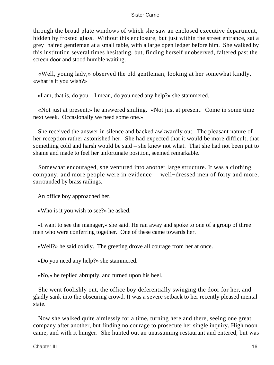through the broad plate windows of which she saw an enclosed executive department, hidden by frosted glass. Without this enclosure, but just within the street entrance, sat a grey−haired gentleman at a small table, with a large open ledger before him. She walked by this institution several times hesitating, but, finding herself unobserved, faltered past the screen door and stood humble waiting.

 «Well, young lady,» observed the old gentleman, looking at her somewhat kindly, «what is it you wish?»

«I am, that is, do you – I mean, do you need any help?» she stammered.

 «Not just at present,» he answered smiling. «Not just at present. Come in some time next week. Occasionally we need some one.»

 She received the answer in silence and backed awkwardly out. The pleasant nature of her reception rather astonished her. She had expected that it would be more difficult, that something cold and harsh would be said – she knew not what. That she had not been put to shame and made to feel her unfortunate position, seemed remarkable.

 Somewhat encouraged, she ventured into another large structure. It was a clothing company, and more people were in evidence – well−dressed men of forty and more, surrounded by brass railings.

An office boy approached her.

«Who is it you wish to see?» he asked.

 «I want to see the manager,» she said. He ran away and spoke to one of a group of three men who were conferring together. One of these came towards her.

«Well?» he said coldly. The greeting drove all courage from her at once.

«Do you need any help?» she stammered.

«No,» he replied abruptly, and turned upon his heel.

 She went foolishly out, the office boy deferentially swinging the door for her, and gladly sank into the obscuring crowd. It was a severe setback to her recently pleased mental state.

 Now she walked quite aimlessly for a time, turning here and there, seeing one great company after another, but finding no courage to prosecute her single inquiry. High noon came, and with it hunger. She hunted out an unassuming restaurant and entered, but was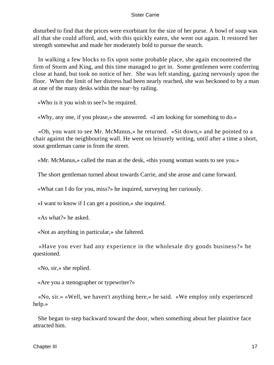disturbed to find that the prices were exorbitant for the size of her purse. A bowl of soup was all that she could afford, and, with this quickly eaten, she went out again. It restored her strength somewhat and made her moderately bold to pursue the search.

 In walking a few blocks to fix upon some probable place, she again encountered the firm of Storm and King, and this time managed to get in. Some gentlemen were conferring close at hand, but took no notice of her. She was left standing, gazing nervously upon the floor. When the limit of her distress had been nearly reached, she was beckoned to by a man at one of the many desks within the near−by railing.

«Who is it you wish to see?» he required.

«Why, any one, if you please,» she answered. «I am looking for something to do.»

 «Oh, you want to see Mr. McManus,» he returned. «Sit down,» and he pointed to a chair against the neighbouring wall. He went on leisurely writing, until after a time a short, stout gentleman came in from the street.

«Mr. McManus,» called the man at the desk, «this young woman wants to see you.»

The short gentleman turned about towards Carrie, and she arose and came forward.

«What can I do for you, miss?» he inquired, surveying her curiously.

«I want to know if I can get a position,» she inquired.

«As what?» he asked.

«Not as anything in particular,» she faltered.

 «Have you ever had any experience in the wholesale dry goods business?» he questioned.

«No, sir,» she replied.

«Are you a stenographer or typewriter?»

 «No, sir.» «Well, we haven't anything here,» he said. «We employ only experienced help.»

 She began to step backward toward the door, when something about her plaintive face attracted him.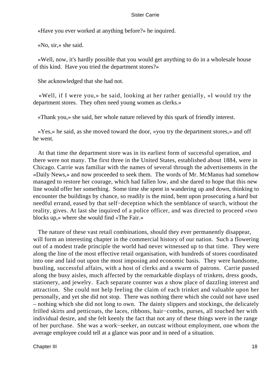«Have you ever worked at anything before?» he inquired.

«No, sir,» she said.

 «Well, now, it's hardly possible that you would get anything to do in a wholesale house of this kind. Have you tried the department stores?»

She acknowledged that she had not.

 «Well, if I were you,» he said, looking at her rather genially, «I would try the department stores. They often need young women as clerks.»

«Thank you,» she said, her whole nature relieved by this spark of friendly interest.

 «Yes,» he said, as she moved toward the door, «you try the department stores,» and off he went.

 At that time the department store was in its earliest form of successful operation, and there were not many. The first three in the United States, established about 1884, were in Chicago. Carrie was familiar with the names of several through the advertisements in the «Daily News,» and now proceeded to seek them. The words of Mr. McManus had somehow managed to restore her courage, which had fallen low, and she dared to hope that this new line would offer her something. Some time she spent in wandering up and down, thinking to encounter the buildings by chance, so readily is the mind, bent upon prosecuting a hard but needful errand, eased by that self−deception which the semblance of search, without the reality, gives. At last she inquired of a police officer, and was directed to proceed «two blocks up,» where she would find «The Fair.»

 The nature of these vast retail combinations, should they ever permanently disappear, will form an interesting chapter in the commercial history of our nation. Such a flowering out of a modest trade principle the world had never witnessed up to that time. They were along the line of the most effective retail organisation, with hundreds of stores coordinated into one and laid out upon the most imposing and economic basis. They were handsome, bustling, successful affairs, with a host of clerks and a swarm of patrons. Carrie passed along the busy aisles, much affected by the remarkable displays of trinkets, dress goods, stationery, and jewelry. Each separate counter was a show place of dazzling interest and attraction. She could not help feeling the claim of each trinket and valuable upon her personally, and yet she did not stop. There was nothing there which she could not have used – nothing which she did not long to own. The dainty slippers and stockings, the delicately frilled skirts and petticoats, the laces, ribbons, hair−combs, purses, all touched her with individual desire, and she felt keenly the fact that not any of these things were in the range of her purchase. She was a work−seeker, an outcast without employment, one whom the average employee could tell at a glance was poor and in need of a situation.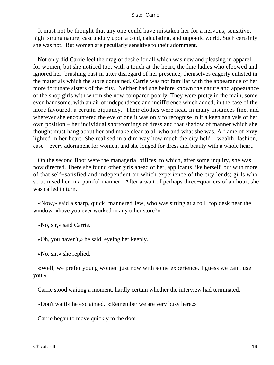It must not be thought that any one could have mistaken her for a nervous, sensitive, high−strung nature, cast unduly upon a cold, calculating, and unpoetic world. Such certainly she was not. But women are peculiarly sensitive to their adornment.

 Not only did Carrie feel the drag of desire for all which was new and pleasing in apparel for women, but she noticed too, with a touch at the heart, the fine ladies who elbowed and ignored her, brushing past in utter disregard of her presence, themselves eagerly enlisted in the materials which the store contained. Carrie was not familiar with the appearance of her more fortunate sisters of the city. Neither had she before known the nature and appearance of the shop girls with whom she now compared poorly. They were pretty in the main, some even handsome, with an air of independence and indifference which added, in the case of the more favoured, a certain piquancy. Their clothes were neat, in many instances fine, and wherever she encountered the eye of one it was only to recognise in it a keen analysis of her own position – her individual shortcomings of dress and that shadow of manner which she thought must hang about her and make clear to all who and what she was. A flame of envy lighted in her heart. She realised in a dim way how much the city held – wealth, fashion, ease – every adornment for women, and she longed for dress and beauty with a whole heart.

 On the second floor were the managerial offices, to which, after some inquiry, she was now directed. There she found other girls ahead of her, applicants like herself, but with more of that self−satisfied and independent air which experience of the city lends; girls who scrutinised her in a painful manner. After a wait of perhaps three−quarters of an hour, she was called in turn.

 «Now,» said a sharp, quick−mannered Jew, who was sitting at a roll−top desk near the window, «have you ever worked in any other store?»

«No, sir,» said Carrie.

«Oh, you haven't,» he said, eyeing her keenly.

«No, sir,» she replied.

 «Well, we prefer young women just now with some experience. I guess we can't use you.»

Carrie stood waiting a moment, hardly certain whether the interview had terminated.

«Don't wait!» he exclaimed. «Remember we are very busy here.»

Carrie began to move quickly to the door.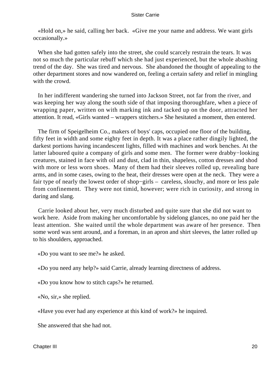«Hold on,» he said, calling her back. «Give me your name and address. We want girls occasionally.»

 When she had gotten safely into the street, she could scarcely restrain the tears. It was not so much the particular rebuff which she had just experienced, but the whole abashing trend of the day. She was tired and nervous. She abandoned the thought of appealing to the other department stores and now wandered on, feeling a certain safety and relief in mingling with the crowd.

 In her indifferent wandering she turned into Jackson Street, not far from the river, and was keeping her way along the south side of that imposing thoroughfare, when a piece of wrapping paper, written on with marking ink and tacked up on the door, attracted her attention. It read, «Girls wanted – wrappers stitchers.» She hesitated a moment, then entered.

 The firm of Speigelheim Co., makers of boys' caps, occupied one floor of the building, fifty feet in width and some eighty feet in depth. It was a place rather dingily lighted, the darkest portions having incandescent lights, filled with machines and work benches. At the latter laboured quite a company of girls and some men. The former were drabby−looking creatures, stained in face with oil and dust, clad in thin, shapeless, cotton dresses and shod with more or less worn shoes. Many of them had their sleeves rolled up, revealing bare arms, and in some cases, owing to the heat, their dresses were open at the neck. They were a fair type of nearly the lowest order of shop−girls – careless, slouchy, and more or less pale from confinement. They were not timid, however; were rich in curiosity, and strong in daring and slang.

 Carrie looked about her, very much disturbed and quite sure that she did not want to work here. Aside from making her uncomfortable by sidelong glances, no one paid her the least attention. She waited until the whole department was aware of her presence. Then some word was sent around, and a foreman, in an apron and shirt sleeves, the latter rolled up to his shoulders, approached.

«Do you want to see me?» he asked.

«Do you need any help?» said Carrie, already learning directness of address.

«Do you know how to stitch caps?» he returned.

«No, sir,» she replied.

«Have you ever had any experience at this kind of work?» he inquired.

She answered that she had not.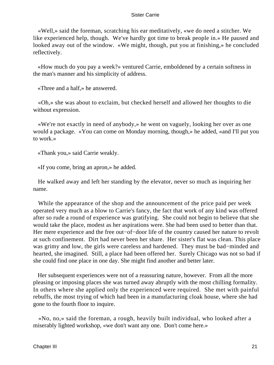«Well,» said the foreman, scratching his ear meditatively, «we do need a stitcher. We like experienced help, though. We've hardly got time to break people in.» He paused and looked away out of the window. «We might, though, put you at finishing,» he concluded reflectively.

 «How much do you pay a week?» ventured Carrie, emboldened by a certain softness in the man's manner and his simplicity of address.

«Three and a half,» he answered.

 «Oh,» she was about to exclaim, but checked herself and allowed her thoughts to die without expression.

 «We're not exactly in need of anybody,» he went on vaguely, looking her over as one would a package. «You can come on Monday morning, though,» he added, «and I'll put you to work.»

«Thank you,» said Carrie weakly.

«If you come, bring an apron,» he added.

 He walked away and left her standing by the elevator, never so much as inquiring her name.

 While the appearance of the shop and the announcement of the price paid per week operated very much as a blow to Carrie's fancy, the fact that work of any kind was offered after so rude a round of experience was gratifying. She could not begin to believe that she would take the place, modest as her aspirations were. She had been used to better than that. Her mere experience and the free out–of–door life of the country caused her nature to revolt at such confinement. Dirt had never been her share. Her sister's flat was clean. This place was grimy and low, the girls were careless and hardened. They must be bad−minded and hearted, she imagined. Still, a place had been offered her. Surely Chicago was not so bad if she could find one place in one day. She might find another and better later.

 Her subsequent experiences were not of a reassuring nature, however. From all the more pleasing or imposing places she was turned away abruptly with the most chilling formality. In others where she applied only the experienced were required. She met with painful rebuffs, the most trying of which had been in a manufacturing cloak house, where she had gone to the fourth floor to inquire.

 «No, no,» said the foreman, a rough, heavily built individual, who looked after a miserably lighted workshop, «we don't want any one. Don't come here.»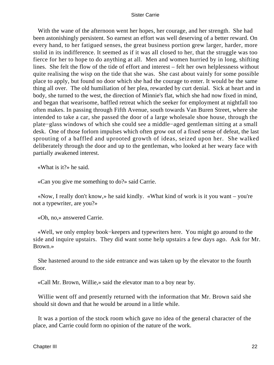With the wane of the afternoon went her hopes, her courage, and her strength. She had been astonishingly persistent. So earnest an effort was well deserving of a better reward. On every hand, to her fatigued senses, the great business portion grew larger, harder, more stolid in its indifference. It seemed as if it was all closed to her, that the struggle was too fierce for her to hope to do anything at all. Men and women hurried by in long, shifting lines. She felt the flow of the tide of effort and interest – felt her own helplessness without quite realising the wisp on the tide that she was. She cast about vainly for some possible place to apply, but found no door which she had the courage to enter. It would be the same thing all over. The old humiliation of her plea, rewarded by curt denial. Sick at heart and in body, she turned to the west, the direction of Minnie's flat, which she had now fixed in mind, and began that wearisome, baffled retreat which the seeker for employment at nightfall too often makes. In passing through Fifth Avenue, south towards Van Buren Street, where she intended to take a car, she passed the door of a large wholesale shoe house, through the plate−glass windows of which she could see a middle−aged gentleman sitting at a small desk. One of those forlorn impulses which often grow out of a fixed sense of defeat, the last sprouting of a baffled and uprooted growth of ideas, seized upon her. She walked deliberately through the door and up to the gentleman, who looked at her weary face with partially awakened interest.

«What is it?» he said.

«Can you give me something to do?» said Carrie.

 «Now, I really don't know,» he said kindly. «What kind of work is it you want – you're not a typewriter, are you?»

«Oh, no,» answered Carrie.

 «Well, we only employ book−keepers and typewriters here. You might go around to the side and inquire upstairs. They did want some help upstairs a few days ago. Ask for Mr. Brown.»

 She hastened around to the side entrance and was taken up by the elevator to the fourth floor.

«Call Mr. Brown, Willie,» said the elevator man to a boy near by.

 Willie went off and presently returned with the information that Mr. Brown said she should sit down and that he would be around in a little while.

 It was a portion of the stock room which gave no idea of the general character of the place, and Carrie could form no opinion of the nature of the work.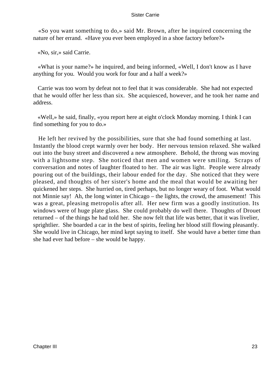«So you want something to do,» said Mr. Brown, after he inquired concerning the nature of her errand. «Have you ever been employed in a shoe factory before?»

«No, sir,» said Carrie.

 «What is your name?» he inquired, and being informed, «Well, I don't know as I have anything for you. Would you work for four and a half a week?»

 Carrie was too worn by defeat not to feel that it was considerable. She had not expected that he would offer her less than six. She acquiesced, however, and he took her name and address.

 «Well,» he said, finally, «you report here at eight o'clock Monday morning. I think I can find something for you to do.»

 He left her revived by the possibilities, sure that she had found something at last. Instantly the blood crept warmly over her body. Her nervous tension relaxed. She walked out into the busy street and discovered a new atmosphere. Behold, the throng was moving with a lightsome step. She noticed that men and women were smiling. Scraps of conversation and notes of laughter floated to her. The air was light. People were already pouring out of the buildings, their labour ended for the day. She noticed that they were pleased, and thoughts of her sister's home and the meal that would be awaiting her quickened her steps. She hurried on, tired perhaps, but no longer weary of foot. What would not Minnie say! Ah, the long winter in Chicago – the lights, the crowd, the amusement! This was a great, pleasing metropolis after all. Her new firm was a goodly institution. Its windows were of huge plate glass. She could probably do well there. Thoughts of Drouet returned – of the things he had told her. She now felt that life was better, that it was livelier, sprightlier. She boarded a car in the best of spirits, feeling her blood still flowing pleasantly. She would live in Chicago, her mind kept saying to itself. She would have a better time than she had ever had before – she would be happy.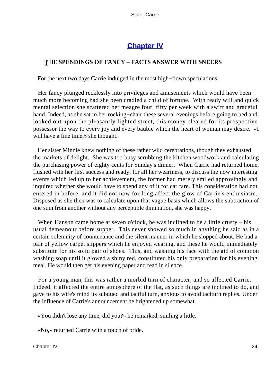# **[Chapter IV](#page-428-0)**

### *T*HE **SPENDINGS OF FANCY** – **FACTS ANSWER WITH SNEERS**

For the next two days Carrie indulged in the most high−flown speculations.

 Her fancy plunged recklessly into privileges and amusements which would have been much more becoming had she been cradled a child of fortune. With ready will and quick mental selection she scattered her meagre four−fifty per week with a swift and graceful hand. Indeed, as she sat in her rocking−chair these several evenings before going to bed and looked out upon the pleasantly lighted street, this money cleared for its prospective possessor the way to every joy and every bauble which the heart of woman may desire. «I will have a fine time,» she thought.

 Her sister Minnie knew nothing of these rather wild cerebrations, though they exhausted the markets of delight. She was too busy scrubbing the kitchen woodwork and calculating the purchasing power of eighty cents for Sunday's dinner. When Carrie had returned home, flushed with her first success and ready, for all her weariness, to discuss the now interesting events which led up to her achievement, the former had merely smiled approvingly and inquired whether she would have to spend any of it for car fare. This consideration had not entered in before, and it did not now for long affect the glow of Carrie's enthusiasm. Disposed as she then was to calculate upon that vague basis which allows the subtraction of one sum from another without any perceptible diminution, she was happy.

When Hanson came home at seven o'clock, he was inclined to be a little crusty – his usual demeanour before supper. This never showed so much in anything he said as in a certain solemnity of countenance and the silent manner in which he slopped about. He had a pair of yellow carpet slippers which he enjoyed wearing, and these he would immediately substitute for his solid pair of shoes. This, and washing his face with the aid of common washing soap until it glowed a shiny red, constituted his only preparation for his evening meal. He would then get his evening paper and read in silence.

 For a young man, this was rather a morbid turn of character, and so affected Carrie. Indeed, it affected the entire atmosphere of the flat, as such things are inclined to do, and gave to his wife's mind its subdued and tactful turn, anxious to avoid taciturn replies. Under the influence of Carrie's announcement he brightened up somewhat.

«You didn't lose any time, did you?» he remarked, smiling a little.

«No,» returned Carrie with a touch of pride.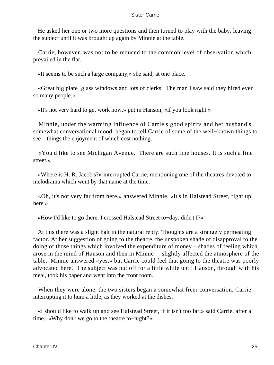He asked her one or two more questions and then turned to play with the baby, leaving the subject until it was brought up again by Minnie at the table.

 Carrie, however, was not to be reduced to the common level of observation which prevailed in the flat.

«It seems to be such a large company,» she said, at one place.

 «Great big plate−glass windows and lots of clerks. The man I saw said they hired ever so many people.»

«It's not very hard to get work now,» put in Hanson, «if you look right.»

 Minnie, under the warming influence of Carrie's good spirits and her husband's somewhat conversational mood, began to tell Carrie of some of the well−known things to see – things the enjoyment of which cost nothing.

 «You'd like to see Michigan Avenue. There are such fine houses. It is such a fine street.»

 «Where is H. R. Jacob's?» interrupted Carrie, mentioning one of the theatres devoted to melodrama which went by that name at the time.

 «Oh, it's not very far from here,» answered Minnie. «It's in Halstead Street, right up here.»

«How I'd like to go there. I crossed Halstead Street to−day, didn't I?»

 At this there was a slight halt in the natural reply. Thoughts are a strangely permeating factor. At her suggestion of going to the theatre, the unspoken shade of disapproval to the doing of those things which involved the expenditure of money – shades of feeling which arose in the mind of Hanson and then in Minnie – slightly affected the atmosphere of the table. Minnie answered «yes,» but Carrie could feel that going to the theatre was poorly advocated here. The subject was put off for a little while until Hanson, through with his meal, took his paper and went into the front room.

 When they were alone, the two sisters began a somewhat freer conversation, Carrie interrupting it to hum a little, as they worked at the dishes.

 «I should like to walk up and see Halstead Street, if it isn't too far,» said Carrie, after a time. «Why don't we go to the theatre to−night?»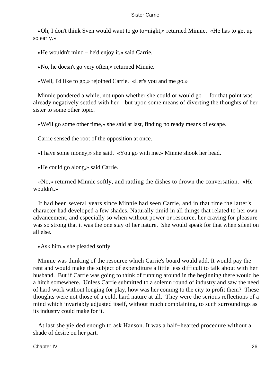«Oh, I don't think Sven would want to go to−night,» returned Minnie. «He has to get up so early.»

«He wouldn't mind – he'd enjoy it,» said Carrie.

«No, he doesn't go very often,» returned Minnie.

«Well, I'd like to go,» rejoined Carrie. «Let's you and me go.»

 Minnie pondered a while, not upon whether she could or would go – for that point was already negatively settled with her – but upon some means of diverting the thoughts of her sister to some other topic.

«We'll go some other time,» she said at last, finding no ready means of escape.

Carrie sensed the root of the opposition at once.

«I have some money,» she said. «You go with me.» Minnie shook her head.

«He could go along,» said Carrie.

 «No,» returned Minnie softly, and rattling the dishes to drown the conversation. «He wouldn't »

 It had been several years since Minnie had seen Carrie, and in that time the latter's character had developed a few shades. Naturally timid in all things that related to her own advancement, and especially so when without power or resource, her craving for pleasure was so strong that it was the one stay of her nature. She would speak for that when silent on all else.

«Ask him,» she pleaded softly.

 Minnie was thinking of the resource which Carrie's board would add. It would pay the rent and would make the subject of expenditure a little less difficult to talk about with her husband. But if Carrie was going to think of running around in the beginning there would be a hitch somewhere. Unless Carrie submitted to a solemn round of industry and saw the need of hard work without longing for play, how was her coming to the city to profit them? These thoughts were not those of a cold, hard nature at all. They were the serious reflections of a mind which invariably adjusted itself, without much complaining, to such surroundings as its industry could make for it.

 At last she yielded enough to ask Hanson. It was a half−hearted procedure without a shade of desire on her part.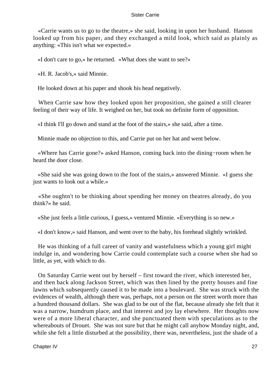«Carrie wants us to go to the theatre,» she said, looking in upon her husband. Hanson looked up from his paper, and they exchanged a mild look, which said as plainly as anything: «This isn't what we expected.»

«I don't care to go,» he returned. «What does she want to see?»

«H. R. Jacob's,» said Minnie.

He looked down at his paper and shook his head negatively.

 When Carrie saw how they looked upon her proposition, she gained a still clearer feeling of their way of life. It weighed on her, but took no definite form of opposition.

«I think I'll go down and stand at the foot of the stairs,» she said, after a time.

Minnie made no objection to this, and Carrie put on her hat and went below.

 «Where has Carrie gone?» asked Hanson, coming back into the dining−room when he heard the door close.

 «She said she was going down to the foot of the stairs,» answered Minnie. «I guess she just wants to look out a while.»

 «She oughtn't to be thinking about spending her money on theatres already, do you think?» he said.

«She just feels a little curious, I guess,» ventured Minnie. «Everything is so new.»

«I don't know,» said Hanson, and went over to the baby, his forehead slightly wrinkled.

 He was thinking of a full career of vanity and wastefulness which a young girl might indulge in, and wondering how Carrie could contemplate such a course when she had so little, as yet, with which to do.

 On Saturday Carrie went out by herself – first toward the river, which interested her, and then back along Jackson Street, which was then lined by the pretty houses and fine lawns which subsequently caused it to be made into a boulevard. She was struck with the evidences of wealth, although there was, perhaps, not a person on the street worth more than a hundred thousand dollars. She was glad to be out of the flat, because already she felt that it was a narrow, humdrum place, and that interest and joy lay elsewhere. Her thoughts now were of a more liberal character, and she punctuated them with speculations as to the whereabouts of Drouet. She was not sure but that he might call anyhow Monday night, and, while she felt a little disturbed at the possibility, there was, nevertheless, just the shade of a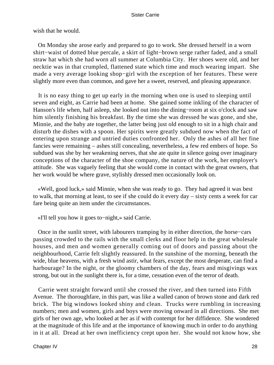wish that he would.

 On Monday she arose early and prepared to go to work. She dressed herself in a worn shirt−waist of dotted blue percale, a skirt of light−brown serge rather faded, and a small straw hat which she had worn all summer at Columbia City. Her shoes were old, and her necktie was in that crumpled, flattened state which time and much wearing impart. She made a very average looking shop−girl with the exception of her features. These were slightly more even than common, and gave her a sweet, reserved, and pleasing appearance.

 It is no easy thing to get up early in the morning when one is used to sleeping until seven and eight, as Carrie had been at home. She gained some inkling of the character of Hanson's life when, half asleep, she looked out into the dining−room at six o'clock and saw him silently finishing his breakfast. By the time she was dressed he was gone, and she, Minnie, and the baby ate together, the latter being just old enough to sit in a high chair and disturb the dishes with a spoon. Her spirits were greatly subdued now when the fact of entering upon strange and untried duties confronted her. Only the ashes of all her fine fancies were remaining – ashes still concealing, nevertheless, a few red embers of hope. So subdued was she by her weakening nerves, that she ate quite in silence going over imaginary conceptions of the character of the shoe company, the nature of the work, her employer's attitude. She was vaguely feeling that she would come in contact with the great owners, that her work would be where grave, stylishly dressed men occasionally look on.

 «Well, good luck,» said Minnie, when she was ready to go. They had agreed it was best to walk, that morning at least, to see if she could do it every day – sixty cents a week for car fare being quite an item under the circumstances.

«I'll tell you how it goes to−night,» said Carrie.

 Once in the sunlit street, with labourers tramping by in either direction, the horse−cars passing crowded to the rails with the small clerks and floor help in the great wholesale houses, and men and women generally coming out of doors and passing about the neighbourhood, Carrie felt slightly reassured. In the sunshine of the morning, beneath the wide, blue heavens, with a fresh wind astir, what fears, except the most desperate, can find a harbourage? In the night, or the gloomy chambers of the day, fears and misgivings wax strong, but out in the sunlight there is, for a time, cessation even of the terror of death.

 Carrie went straight forward until she crossed the river, and then turned into Fifth Avenue. The thoroughfare, in this part, was like a walled canon of brown stone and dark red brick. The big windows looked shiny and clean. Trucks were rumbling in increasing numbers; men and women, girls and boys were moving onward in all directions. She met girls of her own age, who looked at her as if with contempt for her diffidence. She wondered at the magnitude of this life and at the importance of knowing much in order to do anything in it at all. Dread at her own inefficiency crept upon her. She would not know how, she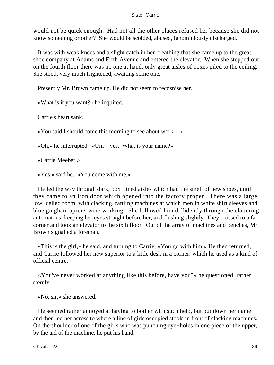would not be quick enough. Had not all the other places refused her because she did not know something or other? She would be scolded, abused, ignominiously discharged.

 It was with weak knees and a slight catch in her breathing that she came up to the great shoe company at Adams and Fifth Avenue and entered the elevator. When she stepped out on the fourth floor there was no one at hand, only great aisles of boxes piled to the ceiling. She stood, very much frightened, awaiting some one.

Presently Mr. Brown came up. He did not seem to recosnise her.

«What is it you want?» he inquired.

Carrie's heart sank.

«You said I should come this morning to see about work  $-\infty$ 

«Oh,» he interrupted. «Um – yes. What is your name?»

«Carrie Meeber.»

«Yes,» said he. «You come with me.»

He led the way through dark, box–lined aisles which had the smell of new shoes, until they came to an iron door which opened into the factory proper. There was a large, low−ceiled room, with clacking, rattling machines at which men in white shirt sleeves and blue gingham aprons were working. She followed him diffidently through the clattering automatons, keeping her eyes straight before her, and flushing slightly. They crossed to a far corner and took an elevator to the sixth floor. Out of the array of machines and benches, Mr. Brown signalled a foreman.

 «This is the girl,» he said, and turning to Carrie, «You go with him.» He then returned, and Carrie followed her new superior to a little desk in a corner, which he used as a kind of official centre.

 «You've never worked at anything like this before, have you?» he questioned, rather sternly.

«No, sir,» she answered.

 He seemed rather annoyed at having to bother with such help, but put down her name and then led her across to where a line of girls occupied stools in front of clacking machines. On the shoulder of one of the girls who was punching eye−holes in one piece of the upper, by the aid of the machine, he put his hand.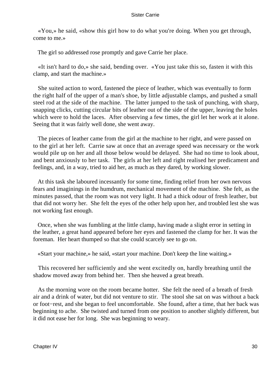«You,» he said, «show this girl how to do what you're doing. When you get through, come to me.»

The girl so addressed rose promptly and gave Carrie her place.

 «It isn't hard to do,» she said, bending over. «You just take this so, fasten it with this clamp, and start the machine.»

 She suited action to word, fastened the piece of leather, which was eventually to form the right half of the upper of a man's shoe, by little adjustable clamps, and pushed a small steel rod at the side of the machine. The latter jumped to the task of punching, with sharp, snapping clicks, cutting circular bits of leather out of the side of the upper, leaving the holes which were to hold the laces. After observing a few times, the girl let her work at it alone. Seeing that it was fairly well done, she went away.

 The pieces of leather came from the girl at the machine to her right, and were passed on to the girl at her left. Carrie saw at once that an average speed was necessary or the work would pile up on her and all those below would be delayed. She had no time to look about, and bent anxiously to her task. The girls at her left and right realised her predicament and feelings, and, in a way, tried to aid her, as much as they dared, by working slower.

 At this task she laboured incessantly for some time, finding relief from her own nervous fears and imaginings in the humdrum, mechanical movement of the machine. She felt, as the minutes passed, that the room was not very light. It had a thick odour of fresh leather, but that did not worry her. She felt the eyes of the other help upon her, and troubled lest she was not working fast enough.

 Once, when she was fumbling at the little clamp, having made a slight error in setting in the leather, a great hand appeared before her eyes and fastened the clamp for her. It was the foreman. Her heart thumped so that she could scarcely see to go on.

«Start your machine,» he said, «start your machine. Don't keep the line waiting.»

 This recovered her sufficiently and she went excitedly on, hardly breathing until the shadow moved away from behind her. Then she heaved a great breath.

 As the morning wore on the room became hotter. She felt the need of a breath of fresh air and a drink of water, but did not venture to stir. The stool she sat on was without a back or foot−rest, and she began to feel uncomfortable. She found, after a time, that her back was beginning to ache. She twisted and turned from one position to another slightly different, but it did not ease her for long. She was beginning to weary.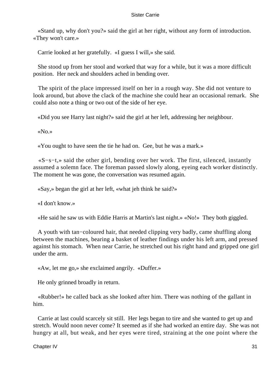«Stand up, why don't you?» said the girl at her right, without any form of introduction. «They won't care.»

Carrie looked at her gratefully. «I guess I will,» she said.

 She stood up from her stool and worked that way for a while, but it was a more difficult position. Her neck and shoulders ached in bending over.

 The spirit of the place impressed itself on her in a rough way. She did not venture to look around, but above the clack of the machine she could hear an occasional remark. She could also note a thing or two out of the side of her eye.

«Did you see Harry last night?» said the girl at her left, addressing her neighbour.

«No.»

«You ought to have seen the tie he had on. Gee, but he was a mark.»

 «S−s−t,» said the other girl, bending over her work. The first, silenced, instantly assumed a solemn face. The foreman passed slowly along, eyeing each worker distinctly. The moment he was gone, the conversation was resumed again.

«Say,» began the girl at her left, «what jeh think he said?»

«I don't know.»

«He said he saw us with Eddie Harris at Martin's last night.» «No!» They both giggled.

 A youth with tan−coloured hair, that needed clipping very badly, came shuffling along between the machines, bearing a basket of leather findings under his left arm, and pressed against his stomach. When near Carrie, he stretched out his right hand and gripped one girl under the arm.

«Aw, let me go,» she exclaimed angrily. «Duffer.»

He only grinned broadly in return.

 «Rubber!» he called back as she looked after him. There was nothing of the gallant in him.

 Carrie at last could scarcely sit still. Her legs began to tire and she wanted to get up and stretch. Would noon never come? It seemed as if she had worked an entire day. She was not hungry at all, but weak, and her eyes were tired, straining at the one point where the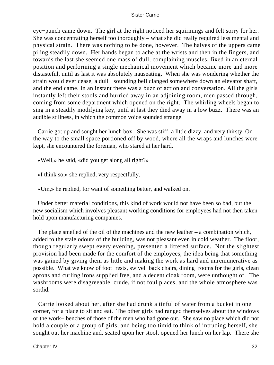eye−punch came down. The girl at the right noticed her squirmings and felt sorry for her. She was concentrating herself too thoroughly – what she did really required less mental and physical strain. There was nothing to be done, however. The halves of the uppers came piling steadily down. Her hands began to ache at the wrists and then in the fingers, and towards the last she seemed one mass of dull, complaining muscles, fixed in an eternal position and performing a single mechanical movement which became more and more distasteful, until as last it was absolutely nauseating. When she was wondering whether the strain would ever cease, a dull− sounding bell clanged somewhere down an elevator shaft, and the end came. In an instant there was a buzz of action and conversation. All the girls instantly left their stools and hurried away in an adjoining room, men passed through, coming from some department which opened on the right. The whirling wheels began to sing in a steadily modifying key, until at last they died away in a low buzz. There was an audible stillness, in which the common voice sounded strange.

 Carrie got up and sought her lunch box. She was stiff, a little dizzy, and very thirsty. On the way to the small space portioned off by wood, where all the wraps and lunches were kept, she encountered the foreman, who stared at her hard.

«Well,» he said, «did you get along all right?»

«I think so,» she replied, very respectfully.

«Um,» he replied, for want of something better, and walked on.

 Under better material conditions, this kind of work would not have been so bad, but the new socialism which involves pleasant working conditions for employees had not then taken hold upon manufacturing companies.

The place smelled of the oil of the machines and the new leather  $-$  a combination which, added to the stale odours of the building, was not pleasant even in cold weather. The floor, though regularly swept every evening, presented a littered surface. Not the slightest provision had been made for the comfort of the employees, the idea being that something was gained by giving them as little and making the work as hard and unremunerative as possible. What we know of foot−rests, swivel−back chairs, dining−rooms for the girls, clean aprons and curling irons supplied free, and a decent cloak room, were unthought of. The washrooms were disagreeable, crude, if not foul places, and the whole atmosphere was sordid.

 Carrie looked about her, after she had drunk a tinful of water from a bucket in one corner, for a place to sit and eat. The other girls had ranged themselves about the windows or the work− benches of those of the men who had gone out. She saw no place which did not hold a couple or a group of girls, and being too timid to think of intruding herself, she sought out her machine and, seated upon her stool, opened her lunch on her lap. There she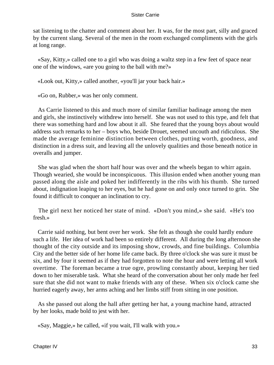sat listening to the chatter and comment about her. It was, for the most part, silly and graced by the current slang. Several of the men in the room exchanged compliments with the girls at long range.

 «Say, Kitty,» called one to a girl who was doing a waltz step in a few feet of space near one of the windows, «are you going to the ball with me?»

«Look out, Kitty,» called another, «you'll jar your back hair.»

«Go on, Rubber,» was her only comment.

 As Carrie listened to this and much more of similar familiar badinage among the men and girls, she instinctively withdrew into herself. She was not used to this type, and felt that there was something hard and low about it all. She feared that the young boys about would address such remarks to her – boys who, beside Drouet, seemed uncouth and ridiculous. She made the average feminine distinction between clothes, putting worth, goodness, and distinction in a dress suit, and leaving all the unlovely qualities and those beneath notice in overalls and jumper.

 She was glad when the short half hour was over and the wheels began to whirr again. Though wearied, she would be inconspicuous. This illusion ended when another young man passed along the aisle and poked her indifferently in the ribs with his thumb. She turned about, indignation leaping to her eyes, but he had gone on and only once turned to grin. She found it difficult to conquer an inclination to cry.

 The girl next her noticed her state of mind. «Don't you mind,» she said. «He's too fresh.»

 Carrie said nothing, but bent over her work. She felt as though she could hardly endure such a life. Her idea of work had been so entirely different. All during the long afternoon she thought of the city outside and its imposing show, crowds, and fine buildings. Columbia City and the better side of her home life came back. By three o'clock she was sure it must be six, and by four it seemed as if they had forgotten to note the hour and were letting all work overtime. The foreman became a true ogre, prowling constantly about, keeping her tied down to her miserable task. What she heard of the conversation about her only made her feel sure that she did not want to make friends with any of these. When six o'clock came she hurried eagerly away, her arms aching and her limbs stiff from sitting in one position.

 As she passed out along the hall after getting her hat, a young machine hand, attracted by her looks, made bold to jest with her.

«Say, Maggie,» he called, «if you wait, I'll walk with you.»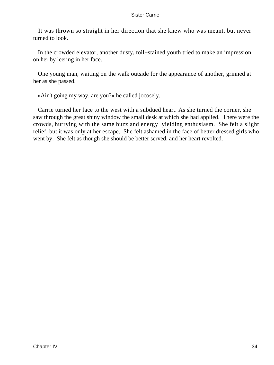It was thrown so straight in her direction that she knew who was meant, but never turned to look.

 In the crowded elevator, another dusty, toil−stained youth tried to make an impression on her by leering in her face.

 One young man, waiting on the walk outside for the appearance of another, grinned at her as she passed.

«Ain't going my way, are you?» he called jocosely.

 Carrie turned her face to the west with a subdued heart. As she turned the corner, she saw through the great shiny window the small desk at which she had applied. There were the crowds, hurrying with the same buzz and energy−yielding enthusiasm. She felt a slight relief, but it was only at her escape. She felt ashamed in the face of better dressed girls who went by. She felt as though she should be better served, and her heart revolted.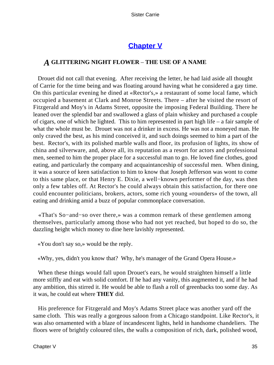## **[Chapter V](#page-428-0)**

### *A* **GLITTERING NIGHT FLOWER** – **THE USE OF A NAME**

 Drouet did not call that evening. After receiving the letter, he had laid aside all thought of Carrie for the time being and was floating around having what he considered a gay time. On this particular evening he dined at «Rector's,» a restaurant of some local fame, which occupied a basement at Clark and Monroe Streets. There – after he visited the resort of Fitzgerald and Moy's in Adams Street, opposite the imposing Federal Building. There he leaned over the splendid bar and swallowed a glass of plain whiskey and purchased a couple of cigars, one of which he lighted. This to him represented in part high life – a fair sample of what the whole must be. Drouet was not a drinker in excess. He was not a moneyed man. He only craved the best, as his mind conceived it, and such doings seemed to him a part of the best. Rector's, with its polished marble walls and floor, its profusion of lights, its show of china and silverware, and, above all, its reputation as a resort for actors and professional men, seemed to him the proper place for a successful man to go. He loved fine clothes, good eating, and particularly the company and acquaintanceship of successful men. When dining, it was a source of keen satisfaction to him to know that Joseph Jefferson was wont to come to this same place, or that Henry E. Dixie, a well−known performer of the day, was then only a few tables off. At Rector's he could always obtain this satisfaction, for there one could encounter politicians, brokers, actors, some rich young «rounders» of the town, all eating and drinking amid a buzz of popular commonplace conversation.

 «That's So−and−so over there,» was a common remark of these gentlemen among themselves, particularly among those who had not yet reached, but hoped to do so, the dazzling height which money to dine here lavishly represented.

«You don't say so,» would be the reply.

«Why, yes, didn't you know that? Why, he's manager of the Grand Opera House.»

 When these things would fall upon Drouet's ears, he would straighten himself a little more stiffly and eat with solid comfort. If he had any vanity, this augmented it, and if he had any ambition, this stirred it. He would be able to flash a roll of greenbacks too some day. As it was, he could eat where **THEY** did.

 His preference for Fitzgerald and Moy's Adams Street place was another yard off the same cloth. This was really a gorgeous saloon from a Chicago standpoint. Like Rector's, it was also ornamented with a blaze of incandescent lights, held in handsome chandeliers. The floors were of brightly coloured tiles, the walls a composition of rich, dark, polished wood,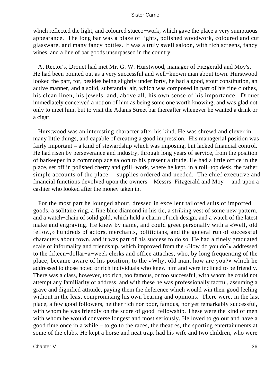which reflected the light, and coloured stucco−work, which gave the place a very sumptuous appearance. The long bar was a blaze of lights, polished woodwork, coloured and cut glassware, and many fancy bottles. It was a truly swell saloon, with rich screens, fancy wines, and a line of bar goods unsurpassed in the country.

 At Rector's, Drouet had met Mr. G. W. Hurstwood, manager of Fitzgerald and Moy's. He had been pointed out as a very successful and well−known man about town. Hurstwood looked the part, for, besides being slightly under forty, he had a good, stout constitution, an active manner, and a solid, substantial air, which was composed in part of his fine clothes, his clean linen, his jewels, and, above all, his own sense of his importance. Drouet immediately conceived a notion of him as being some one worth knowing, and was glad not only to meet him, but to visit the Adams Street bar thereafter whenever he wanted a drink or a cigar.

 Hurstwood was an interesting character after his kind. He was shrewd and clever in many little things, and capable of creating a good impression. His managerial position was fairly important – a kind of stewardship which was imposing, but lacked financial control. He had risen by perseverance and industry, through long years of service, from the position of barkeeper in a commonplace saloon to his present altitude. He had a little office in the place, set off in polished cherry and grill−work, where he kept, in a roll−top desk, the rather simple accounts of the place – supplies ordered and needed. The chief executive and financial functions devolved upon the owners – Messrs. Fitzgerald and Moy – and upon a cashier who looked after the money taken in.

 For the most part he lounged about, dressed in excellent tailored suits of imported goods, a solitaire ring, a fine blue diamond in his tie, a striking vest of some new pattern, and a watch−chain of solid gold, which held a charm of rich design, and a watch of the latest make and engraving. He knew by name, and could greet personally with a «Well, old fellow,» hundreds of actors, merchants, politicians, and the general run of successful characters about town, and it was part of his success to do so. He had a finely graduated scale of informality and friendship, which improved from the «How do you do?» addressed to the fifteen−dollar−a−week clerks and office attaches, who, by long frequenting of the place, became aware of his position, to the «Why, old man, how are you?» which he addressed to those noted or rich individuals who knew him and were inclined to be friendly. There was a class, however, too rich, too famous, or too successful, with whom he could not attempt any familiarity of address, and with these he was professionally tactful, assuming a grave and dignified attitude, paying them the deference which would win their good feeling without in the least compromising his own bearing and opinions. There were, in the last place, a few good followers, neither rich nor poor, famous, nor yet remarkably successful, with whom he was friendly on the score of good−fellowship. These were the kind of men with whom he would converse longest and most seriously. He loved to go out and have a good time once in a while – to go to the races, the theatres, the sporting entertainments at some of the clubs. He kept a horse and neat trap, had his wife and two children, who were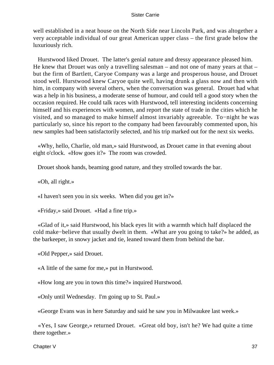well established in a neat house on the North Side near Lincoln Park, and was altogether a very acceptable individual of our great American upper class – the first grade below the luxuriously rich.

 Hurstwood liked Drouet. The latter's genial nature and dressy appearance pleased him. He knew that Drouet was only a travelling salesman – and not one of many years at that – but the firm of Bartlett, Caryoe Company was a large and prosperous house, and Drouet stood well. Hurstwood knew Caryoe quite well, having drunk a glass now and then with him, in company with several others, when the conversation was general. Drouet had what was a help in his business, a moderate sense of humour, and could tell a good story when the occasion required. He could talk races with Hurstwood, tell interesting incidents concerning himself and his experiences with women, and report the state of trade in the cities which he visited, and so managed to make himself almost invariably agreeable. To−night he was particularly so, since his report to the company had been favourably commented upon, his new samples had been satisfactorily selected, and his trip marked out for the next six weeks.

 «Why, hello, Charlie, old man,» said Hurstwood, as Drouet came in that evening about eight o'clock. «How goes it?» The room was crowded.

Drouet shook hands, beaming good nature, and they strolled towards the bar.

«Oh, all right.»

«I haven't seen you in six weeks. When did you get in?»

«Friday,» said Drouet. «Had a fine trip.»

 «Glad of it,» said Hurstwood, his black eyes lit with a warmth which half displaced the cold make−believe that usually dwelt in them. «What are you going to take?» he added, as the barkeeper, in snowy jacket and tie, leaned toward them from behind the bar.

«Old Pepper,» said Drouet.

«A little of the same for me,» put in Hurstwood.

«How long are you in town this time?» inquired Hurstwood.

«Only until Wednesday. I'm going up to St. Paul.»

«George Evans was in here Saturday and said he saw you in Milwaukee last week.»

 «Yes, I saw George,» returned Drouet. «Great old boy, isn't he? We had quite a time there together.»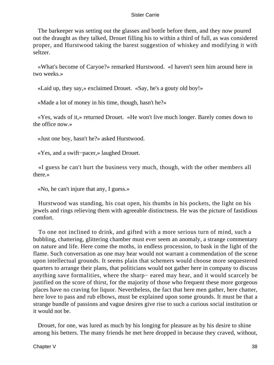The barkeeper was setting out the glasses and bottle before them, and they now poured out the draught as they talked, Drouet filling his to within a third of full, as was considered proper, and Hurstwood taking the barest suggestion of whiskey and modifying it with seltzer.

 «What's become of Caryoe?» remarked Hurstwood. «I haven't seen him around here in two weeks.»

«Laid up, they say,» exclaimed Drouet. «Say, he's a gouty old boy!»

«Made a lot of money in his time, though, hasn't he?»

 «Yes, wads of it,» returned Drouet. «He won't live much longer. Barely comes down to the office now.»

«Just one boy, hasn't he?» asked Hurstwood.

«Yes, and a swift−pacer,» laughed Drouet.

 «I guess he can't hurt the business very much, though, with the other members all there.»

«No, he can't injure that any, I guess.»

 Hurstwood was standing, his coat open, his thumbs in his pockets, the light on his jewels and rings relieving them with agreeable distinctness. He was the picture of fastidious comfort.

 To one not inclined to drink, and gifted with a more serious turn of mind, such a bubbling, chattering, glittering chamber must ever seem an anomaly, a strange commentary on nature and life. Here come the moths, in endless procession, to bask in the light of the flame. Such conversation as one may hear would not warrant a commendation of the scene upon intellectual grounds. It seems plain that schemers would choose more sequestered quarters to arrange their plans, that politicians would not gather here in company to discuss anything save formalities, where the sharp− eared may hear, and it would scarcely be justified on the score of thirst, for the majority of those who frequent these more gorgeous places have no craving for liquor. Nevertheless, the fact that here men gather, here chatter, here love to pass and rub elbows, must be explained upon some grounds. It must be that a strange bundle of passions and vague desires give rise to such a curious social institution or it would not be.

 Drouet, for one, was lured as much by his longing for pleasure as by his desire to shine among his betters. The many friends he met here dropped in because they craved, without,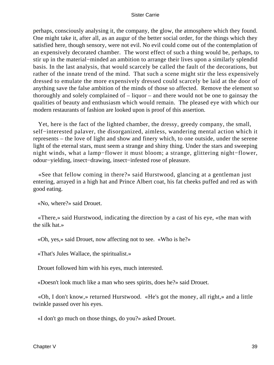perhaps, consciously analysing it, the company, the glow, the atmosphere which they found. One might take it, after all, as an augur of the better social order, for the things which they satisfied here, though sensory, were not evil. No evil could come out of the contemplation of an expensively decorated chamber. The worst effect of such a thing would be, perhaps, to stir up in the material−minded an ambition to arrange their lives upon a similarly splendid basis. In the last analysis, that would scarcely be called the fault of the decorations, but rather of the innate trend of the mind. That such a scene might stir the less expensively dressed to emulate the more expensively dressed could scarcely be laid at the door of anything save the false ambition of the minds of those so affected. Remove the element so thoroughly and solely complained of – liquor – and there would not be one to gainsay the qualities of beauty and enthusiasm which would remain. The pleased eye with which our modern restaurants of fashion are looked upon is proof of this assertion.

 Yet, here is the fact of the lighted chamber, the dressy, greedy company, the small, self−interested palaver, the disorganized, aimless, wandering mental action which it represents – the love of light and show and finery which, to one outside, under the serene light of the eternal stars, must seem a strange and shiny thing. Under the stars and sweeping night winds, what a lamp−flower it must bloom; a strange, glittering night−flower, odour−yielding, insect−drawing, insect−infested rose of pleasure.

 «See that fellow coming in there?» said Hurstwood, glancing at a gentleman just entering, arrayed in a high hat and Prince Albert coat, his fat cheeks puffed and red as with good eating.

«No, where?» said Drouet.

 «There,» said Hurstwood, indicating the direction by a cast of his eye, «the man with the silk hat.»

«Oh, yes,» said Drouet, now affecting not to see. «Who is he?»

«That's Jules Wallace, the spiritualist.»

Drouet followed him with his eyes, much interested.

«Doesn't look much like a man who sees spirits, does he?» said Drouet.

 «Oh, I don't know,» returned Hurstwood. «He's got the money, all right,» and a little twinkle passed over his eyes.

«I don't go much on those things, do you?» asked Drouet.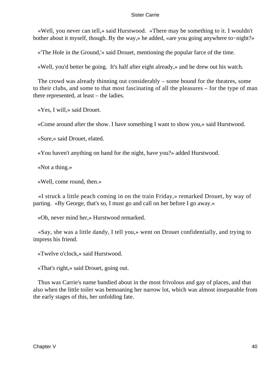«Well, you never can tell,» said Hurstwood. «There may be something to it. I wouldn't bother about it myself, though. By the way,» he added, «are you going anywhere to−night?»

«'The Hole in the Ground,'» said Drouet, mentioning the popular farce of the time.

«Well, you'd better be going. It's half after eight already,» and he drew out his watch.

 The crowd was already thinning out considerably – some bound for the theatres, some to their clubs, and some to that most fascinating of all the pleasures – for the type of man there represented, at least – the ladies.

«Yes, I will,» said Drouet.

«Come around after the show. I have something I want to show you,» said Hurstwood.

«Sure,» said Drouet, elated.

«You haven't anything on hand for the night, have you?» added Hurstwood.

«Not a thing.»

«Well, come round, then.»

 «I struck a little peach coming in on the train Friday,» remarked Drouet, by way of parting. «By George, that's so, I must go and call on her before I go away.»

«Oh, never mind her,» Hurstwood remarked.

 «Say, she was a little dandy, I tell you,» went on Drouet confidentially, and trying to impress his friend.

«Twelve o'clock,» said Hurstwood.

«That's right,» said Drouet, going out.

 Thus was Carrie's name bandied about in the most frivolous and gay of places, and that also when the little toiler was bemoaning her narrow lot, which was almost inseparable from the early stages of this, her unfolding fate.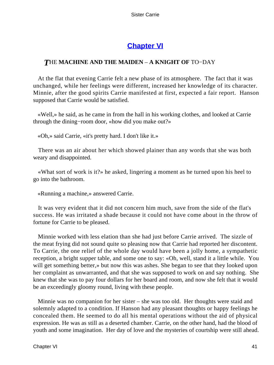# **[Chapter VI](#page-428-0)**

### *T*HE **MACHINE AND THE MAIDEN** – **A KNIGHT OF** TO−DAY

 At the flat that evening Carrie felt a new phase of its atmosphere. The fact that it was unchanged, while her feelings were different, increased her knowledge of its character. Minnie, after the good spirits Carrie manifested at first, expected a fair report. Hanson supposed that Carrie would be satisfied.

 «Well,» he said, as he came in from the hall in his working clothes, and looked at Carrie through the dining−room door, «how did you make out?»

«Oh,» said Carrie, «it's pretty hard. I don't like it.»

 There was an air about her which showed plainer than any words that she was both weary and disappointed.

 «What sort of work is it?» he asked, lingering a moment as he turned upon his heel to go into the bathroom.

«Running a machine,» answered Carrie.

 It was very evident that it did not concern him much, save from the side of the flat's success. He was irritated a shade because it could not have come about in the throw of fortune for Carrie to be pleased.

 Minnie worked with less elation than she had just before Carrie arrived. The sizzle of the meat frying did not sound quite so pleasing now that Carrie had reported her discontent. To Carrie, the one relief of the whole day would have been a jolly home, a sympathetic reception, a bright supper table, and some one to say: «Oh, well, stand it a little while. You will get something better,» but now this was ashes. She began to see that they looked upon her complaint as unwarranted, and that she was supposed to work on and say nothing. She knew that she was to pay four dollars for her board and room, and now she felt that it would be an exceedingly gloomy round, living with these people.

 Minnie was no companion for her sister – she was too old. Her thoughts were staid and solemnly adapted to a condition. If Hanson had any pleasant thoughts or happy feelings he concealed them. He seemed to do all his mental operations without the aid of physical expression. He was as still as a deserted chamber. Carrie, on the other hand, had the blood of youth and some imagination. Her day of love and the mysteries of courtship were still ahead.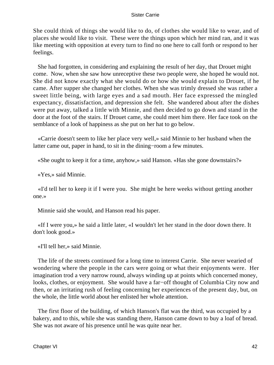She could think of things she would like to do, of clothes she would like to wear, and of places she would like to visit. These were the things upon which her mind ran, and it was like meeting with opposition at every turn to find no one here to call forth or respond to her feelings.

 She had forgotten, in considering and explaining the result of her day, that Drouet might come. Now, when she saw how unreceptive these two people were, she hoped he would not. She did not know exactly what she would do or how she would explain to Drouet, if he came. After supper she changed her clothes. When she was trimly dressed she was rather a sweet little being, with large eyes and a sad mouth. Her face expressed the mingled expectancy, dissatisfaction, and depression she felt. She wandered about after the dishes were put away, talked a little with Minnie, and then decided to go down and stand in the door at the foot of the stairs. If Drouet came, she could meet him there. Her face took on the semblance of a look of happiness as she put on her hat to go below.

 «Carrie doesn't seem to like her place very well,» said Minnie to her husband when the latter came out, paper in hand, to sit in the dining−room a few minutes.

«She ought to keep it for a time, anyhow,» said Hanson. «Has she gone downstairs?»

«Yes,» said Minnie.

 «I'd tell her to keep it if I were you. She might be here weeks without getting another one.»

Minnie said she would, and Hanson read his paper.

 «If I were you,» he said a little later, «I wouldn't let her stand in the door down there. It don't look good.»

«I'll tell her,» said Minnie.

 The life of the streets continued for a long time to interest Carrie. She never wearied of wondering where the people in the cars were going or what their enjoyments were. Her imagination trod a very narrow round, always winding up at points which concerned money, looks, clothes, or enjoyment. She would have a far−off thought of Columbia City now and then, or an irritating rush of feeling concerning her experiences of the present day, but, on the whole, the little world about her enlisted her whole attention.

 The first floor of the building, of which Hanson's flat was the third, was occupied by a bakery, and to this, while she was standing there, Hanson came down to buy a loaf of bread. She was not aware of his presence until he was quite near her.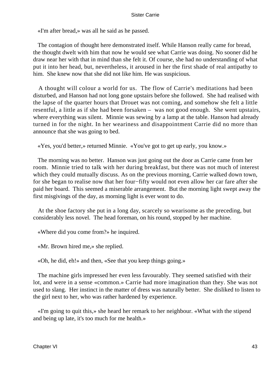«I'm after bread,» was all he said as he passed.

 The contagion of thought here demonstrated itself. While Hanson really came for bread, the thought dwelt with him that now he would see what Carrie was doing. No sooner did he draw near her with that in mind than she felt it. Of course, she had no understanding of what put it into her head, but, nevertheless, it aroused in her the first shade of real antipathy to him. She knew now that she did not like him. He was suspicious.

 A thought will colour a world for us. The flow of Carrie's meditations had been disturbed, and Hanson had not long gone upstairs before she followed. She had realised with the lapse of the quarter hours that Drouet was not coming, and somehow she felt a little resentful, a little as if she had been forsaken – was not good enough. She went upstairs, where everything was silent. Minnie was sewing by a lamp at the table. Hanson had already turned in for the night. In her weariness and disappointment Carrie did no more than announce that she was going to bed.

«Yes, you'd better,» returned Minnie. «You've got to get up early, you know.»

 The morning was no better. Hanson was just going out the door as Carrie came from her room. Minnie tried to talk with her during breakfast, but there was not much of interest which they could mutually discuss. As on the previous morning, Carrie walked down town, for she began to realise now that her four−fifty would not even allow her car fare after she paid her board. This seemed a miserable arrangement. But the morning light swept away the first misgivings of the day, as morning light is ever wont to do.

 At the shoe factory she put in a long day, scarcely so wearisome as the preceding, but considerably less novel. The head foreman, on his round, stopped by her machine.

«Where did you come from?» he inquired.

«Mr. Brown hired me,» she replied.

«Oh, he did, eh!» and then, «See that you keep things going.»

 The machine girls impressed her even less favourably. They seemed satisfied with their lot, and were in a sense «common.» Carrie had more imagination than they. She was not used to slang. Her instinct in the matter of dress was naturally better. She disliked to listen to the girl next to her, who was rather hardened by experience.

 «I'm going to quit this,» she heard her remark to her neighbour. «What with the stipend and being up late, it's too much for me health.»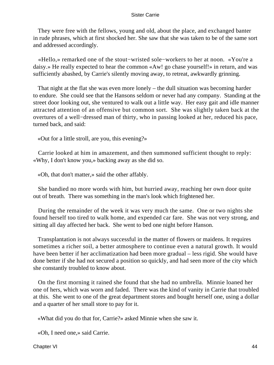They were free with the fellows, young and old, about the place, and exchanged banter in rude phrases, which at first shocked her. She saw that she was taken to be of the same sort and addressed accordingly.

 «Hello,» remarked one of the stout−wristed sole−workers to her at noon. «You're a daisy.» He really expected to hear the common «Aw! go chase yourself!» in return, and was sufficiently abashed, by Carrie's silently moving away, to retreat, awkwardly grinning.

 That night at the flat she was even more lonely – the dull situation was becoming harder to endure. She could see that the Hansons seldom or never had any company. Standing at the street door looking out, she ventured to walk out a little way. Her easy gait and idle manner attracted attention of an offensive but common sort. She was slightly taken back at the overtures of a well−dressed man of thirty, who in passing looked at her, reduced his pace, turned back, and said:

«Out for a little stroll, are you, this evening?»

 Carrie looked at him in amazement, and then summoned sufficient thought to reply: «Why, I don't know you,» backing away as she did so.

«Oh, that don't matter,» said the other affably.

 She bandied no more words with him, but hurried away, reaching her own door quite out of breath. There was something in the man's look which frightened her.

 During the remainder of the week it was very much the same. One or two nights she found herself too tired to walk home, and expended car fare. She was not very strong, and sitting all day affected her back. She went to bed one night before Hanson.

 Transplantation is not always successful in the matter of flowers or maidens. It requires sometimes a richer soil, a better atmosphere to continue even a natural growth. It would have been better if her acclimatization had been more gradual – less rigid. She would have done better if she had not secured a position so quickly, and had seen more of the city which she constantly troubled to know about.

 On the first morning it rained she found that she had no umbrella. Minnie loaned her one of hers, which was worn and faded. There was the kind of vanity in Carrie that troubled at this. She went to one of the great department stores and bought herself one, using a dollar and a quarter of her small store to pay for it.

«What did you do that for, Carrie?» asked Minnie when she saw it.

«Oh, I need one,» said Carrie.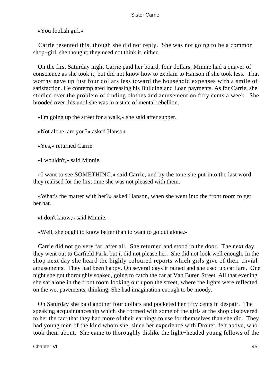«You foolish girl.»

 Carrie resented this, though she did not reply. She was not going to be a common shop−girl, she thought; they need not think it, either.

 On the first Saturday night Carrie paid her board, four dollars. Minnie had a quaver of conscience as she took it, but did not know how to explain to Hanson if she took less. That worthy gave up just four dollars less toward the household expenses with a smile of satisfaction. He contemplated increasing his Building and Loan payments. As for Carrie, she studied over the problem of finding clothes and amusement on fifty cents a week. She brooded over this until she was in a state of mental rebellion.

«I'm going up the street for a walk,» she said after supper.

«Not alone, are you?» asked Hanson.

«Yes,» returned Carrie.

«I wouldn't,» said Minnie.

 «I want to see SOMETHING,» said Carrie, and by the tone she put into the last word they realised for the first time she was not pleased with them.

 «What's the matter with her?» asked Hanson, when she went into the front room to get her hat.

«I don't know,» said Minnie.

«Well, she ought to know better than to want to go out alone.»

 Carrie did not go very far, after all. She returned and stood in the door. The next day they went out to Garfield Park, but it did not please her. She did not look well enough. In the shop next day she heard the highly coloured reports which girls give of their trivial amusements. They had been happy. On several days it rained and she used up car fare. One night she got thoroughly soaked, going to catch the car at Van Buren Street. All that evening she sat alone in the front room looking out upon the street, where the lights were reflected on the wet pavements, thinking. She had imagination enough to be moody.

 On Saturday she paid another four dollars and pocketed her fifty cents in despair. The speaking acquaintanceship which she formed with some of the girls at the shop discovered to her the fact that they had more of their earnings to use for themselves than she did. They had young men of the kind whom she, since her experience with Drouet, felt above, who took them about. She came to thoroughly dislike the light−headed young fellows of the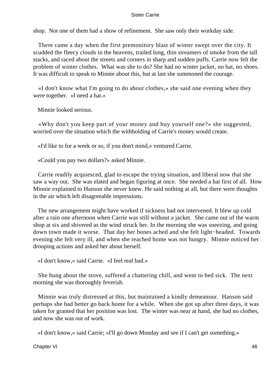shop. Not one of them had a show of refinement. She saw only their workday side.

 There came a day when the first premonitory blast of winter swept over the city. It scudded the fleecy clouds in the heavens, trailed long, thin streamers of smoke from the tall stacks, and raced about the streets and corners in sharp and sudden puffs. Carrie now felt the problem of winter clothes. What was she to do? She had no winter jacket, no hat, no shoes. It was difficult to speak to Minnie about this, but at last she summoned the courage.

 «I don't know what I'm going to do about clothes,» she said one evening when they were together. «I need a hat.»

Minnie looked serious.

 «Why don't you keep part of your money and buy yourself one?» she suggested, worried over the situation which the withholding of Carrie's money would create.

«I'd like to for a week or so, if you don't mind,» ventured Carrie.

«Could you pay two dollars?» asked Minnie.

 Carrie readily acquiesced, glad to escape the trying situation, and liberal now that she saw a way out. She was elated and began figuring at once. She needed a hat first of all. How Minnie explained to Hanson she never knew. He said nothing at all, but there were thoughts in the air which left disagreeable impressions.

 The new arrangement might have worked if sickness had not intervened. It blew up cold after a rain one afternoon when Carrie was still without a jacket. She came out of the warm shop at six and shivered as the wind struck her. In the morning she was sneezing, and going down town made it worse. That day her bones ached and she felt light−headed. Towards evening she felt very ill, and when she reached home was not hungry. Minnie noticed her drooping actions and asked her about herself.

«I don't know,» said Carrie. «I feel real bad.»

 She hung about the stove, suffered a chattering chill, and went to bed sick. The next morning she was thoroughly feverish.

 Minnie was truly distressed at this, but maintained a kindly demeanour. Hanson said perhaps she had better go back home for a while. When she got up after three days, it was taken for granted that her position was lost. The winter was near at hand, she had no clothes, and now she was out of work.

«I don't know,» said Carrie; «I'll go down Monday and see if I can't get something.»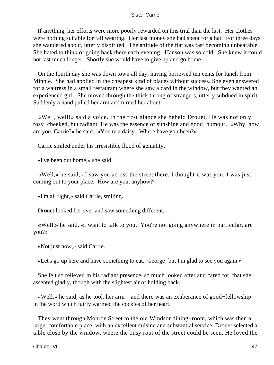If anything, her efforts were more poorly rewarded on this trial than the last. Her clothes were nothing suitable for fall wearing. Her last money she had spent for a hat. For three days she wandered about, utterly dispirited. The attitude of the flat was fast becoming unbearable. She hated to think of going back there each evening. Hanson was so cold. She knew it could not last much longer. Shortly she would have to give up and go home.

 On the fourth day she was down town all day, having borrowed ten cents for lunch from Minnie. She had applied in the cheapest kind of places without success. She even answered for a waitress in a small restaurant where she saw a card in the window, but they wanted an experienced girl. She moved through the thick throng of strangers, utterly subdued in spirit. Suddenly a hand pulled her arm and turned her about.

 «Well, well!» said a voice. In the first glance she beheld Drouet. He was not only rosy−cheeked, but radiant. He was the essence of sunshine and good−humour. «Why, how are you, Carrie?» he said. «You're a daisy. Where have you been?»

Carrie smiled under his irresistible flood of geniality.

«I've been out home,» she said.

 «Well,» he said, «I saw you across the street there. I thought it was you. I was just coming out to your place. How are you, anyhow?»

«I'm all right,» said Carrie, smiling.

Drouet looked her over and saw something different.

 «Well,» he said, «I want to talk to you. You're not going anywhere in particular, are you?»

«Not just now,» said Carrie.

«Let's go up here and have something to eat. George! but I'm glad to see you again.»

 She felt so relieved in his radiant presence, so much looked after and cared for, that she assented gladly, though with the slightest air of holding back.

 «Well,» he said, as he took her arm – and there was an exuberance of good−fellowship in the word which fairly warmed the cockles of her heart.

 They went through Monroe Street to the old Windsor dining−room, which was then a large, comfortable place, with an excellent cuisine and substantial service. Drouet selected a table close by the window, where the busy rout of the street could be seen. He loved the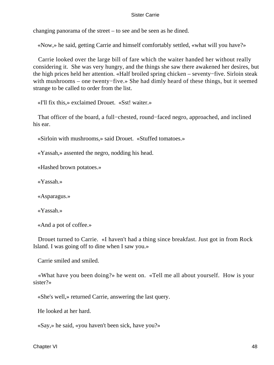changing panorama of the street – to see and be seen as he dined.

«Now,» he said, getting Carrie and himself comfortably settled, «what will you have?»

 Carrie looked over the large bill of fare which the waiter handed her without really considering it. She was very hungry, and the things she saw there awakened her desires, but the high prices held her attention. «Half broiled spring chicken – seventy−five. Sirloin steak with mushrooms – one twenty−five.» She had dimly heard of these things, but it seemed strange to be called to order from the list.

«I'll fix this,» exclaimed Drouet. «Sst! waiter.»

 That officer of the board, a full−chested, round−faced negro, approached, and inclined his ear.

«Sirloin with mushrooms,» said Drouet. «Stuffed tomatoes.»

«Yassah,» assented the negro, nodding his head.

«Hashed brown potatoes.»

«Yassah.»

«Asparagus.»

«Yassah.»

«And a pot of coffee.»

 Drouet turned to Carrie. «I haven't had a thing since breakfast. Just got in from Rock Island. I was going off to dine when I saw you.»

Carrie smiled and smiled.

 «What have you been doing?» he went on. «Tell me all about yourself. How is your sister?»

«She's well,» returned Carrie, answering the last query.

He looked at her hard.

«Say,» he said, «you haven't been sick, have you?»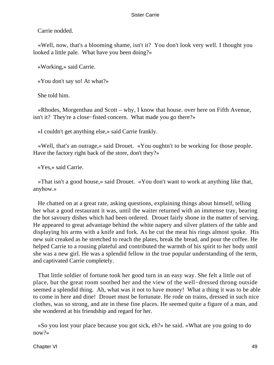Carrie nodded.

 «Well, now, that's a blooming shame, isn't it? You don't look very well. I thought you looked a little pale. What have you been doing?»

«Working,» said Carrie.

«You don't say so! At what?»

She told him.

 «Rhodes, Morgenthau and Scott – why, I know that house. over here on Fifth Avenue, isn't it? They're a close−fisted concern. What made you go there?»

«I couldn't get anything else,» said Carrie frankly.

 «Well, that's an outrage,» said Drouet. «You oughtn't to be working for those people. Have the factory right back of the store, don't they?»

«Yes,» said Carrie.

 «That isn't a good house,» said Drouet. «You don't want to work at anything like that, anyhow.»

 He chatted on at a great rate, asking questions, explaining things about himself, telling her what a good restaurant it was, until the waiter returned with an immense tray, bearing the hot savoury dishes which had been ordered. Drouet fairly shone in the matter of serving. He appeared to great advantage behind the white napery and silver platters of the table and displaying his arms with a knife and fork. As he cut the meat his rings almost spoke. His new suit creaked as he stretched to reach the plates, break the bread, and pour the coffee. He helped Carrie to a rousing plateful and contributed the warmth of his spirit to her body until she was a new girl. He was a splendid fellow in the true popular understanding of the term, and captivated Carrie completely.

 That little soldier of fortune took her good turn in an easy way. She felt a little out of place, but the great room soothed her and the view of the well−dressed throng outside seemed a splendid thing. Ah, what was it not to have money! What a thing it was to be able to come in here and dine! Drouet must be fortunate. He rode on trains, dressed in such nice clothes, was so strong, and ate in these fine places. He seemed quite a figure of a man, and she wondered at his friendship and regard for her.

 «So you lost your place because you got sick, eh?» he said. «What are you going to do now?»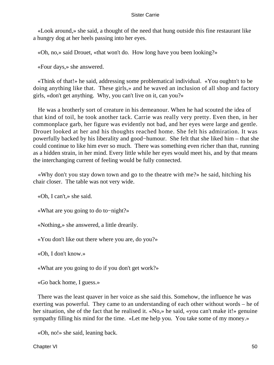«Look around,» she said, a thought of the need that hung outside this fine restaurant like a hungry dog at her heels passing into her eyes.

«Oh, no,» said Drouet, «that won't do. How long have you been looking?»

«Four days,» she answered.

 «Think of that!» he said, addressing some problematical individual. «You oughtn't to be doing anything like that. These girls,» and he waved an inclusion of all shop and factory girls, «don't get anything. Why, you can't live on it, can you?»

 He was a brotherly sort of creature in his demeanour. When he had scouted the idea of that kind of toil, he took another tack. Carrie was really very pretty. Even then, in her commonplace garb, her figure was evidently not bad, and her eyes were large and gentle. Drouet looked at her and his thoughts reached home. She felt his admiration. It was powerfully backed by his liberality and good−humour. She felt that she liked him – that she could continue to like him ever so much. There was something even richer than that, running as a hidden strain, in her mind. Every little while her eyes would meet his, and by that means the interchanging current of feeling would be fully connected.

 «Why don't you stay down town and go to the theatre with me?» he said, hitching his chair closer. The table was not very wide.

«Oh, I can't,» she said.

«What are you going to do to−night?»

«Nothing,» she answered, a little drearily.

«You don't like out there where you are, do you?»

«Oh, I don't know.»

«What are you going to do if you don't get work?»

«Go back home, I guess.»

 There was the least quaver in her voice as she said this. Somehow, the influence he was exerting was powerful. They came to an understanding of each other without words – he of her situation, she of the fact that he realised it. «No,» he said, «you can't make it!» genuine sympathy filling his mind for the time. «Let me help you. You take some of my money.»

«Oh, no!» she said, leaning back.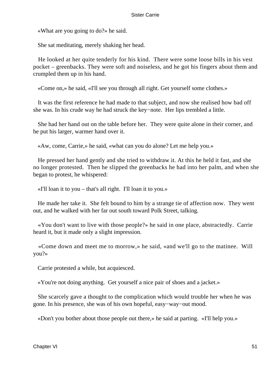«What are you going to do?» he said.

She sat meditating, merely shaking her head.

 He looked at her quite tenderly for his kind. There were some loose bills in his vest pocket – greenbacks. They were soft and noiseless, and he got his fingers about them and crumpled them up in his hand.

«Come on,» he said, «I'll see you through all right. Get yourself some clothes.»

 It was the first reference he had made to that subject, and now she realised how bad off she was. In his crude way he had struck the key−note. Her lips trembled a little.

 She had her hand out on the table before her. They were quite alone in their corner, and he put his larger, warmer hand over it.

«Aw, come, Carrie,» he said, «what can you do alone? Let me help you.»

 He pressed her hand gently and she tried to withdraw it. At this he held it fast, and she no longer protested. Then he slipped the greenbacks he had into her palm, and when she began to protest, he whispered:

«I'll loan it to you – that's all right. I'll loan it to you.»

 He made her take it. She felt bound to him by a strange tie of affection now. They went out, and he walked with her far out south toward Polk Street, talking.

 «You don't want to live with those people?» he said in one place, abstractedly. Carrie heard it, but it made only a slight impression.

 «Come down and meet me to morrow,» he said, «and we'll go to the matinee. Will you?»

Carrie protested a while, but acquiesced.

«You're not doing anything. Get yourself a nice pair of shoes and a jacket.»

 She scarcely gave a thought to the complication which would trouble her when he was gone. In his presence, she was of his own hopeful, easy−way−out mood.

«Don't you bother about those people out there,» he said at parting. «I'll help you.»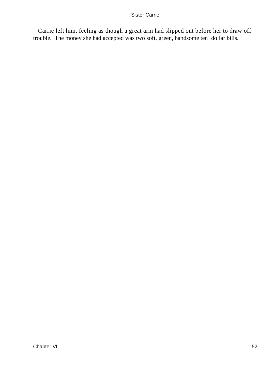Carrie left him, feeling as though a great arm had slipped out before her to draw off trouble. The money she had accepted was two soft, green, handsome ten−dollar bills.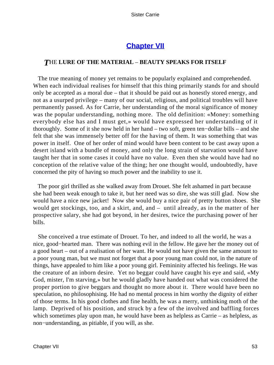## **[Chapter VII](#page-428-0)**

### *T*HE **LURE OF THE MATERIAL** – **BEAUTY SPEAKS FOR ITSELF**

 The true meaning of money yet remains to be popularly explained and comprehended. When each individual realises for himself that this thing primarily stands for and should only be accepted as a moral due – that it should be paid out as honestly stored energy, and not as a usurped privilege – many of our social, religious, and political troubles will have permanently passed. As for Carrie, her understanding of the moral significance of money was the popular understanding, nothing more. The old definition: «Money: something everybody else has and I must get,» would have expressed her understanding of it thoroughly. Some of it she now held in her hand – two soft, green ten−dollar bills – and she felt that she was immensely better off for the having of them. It was something that was power in itself. One of her order of mind would have been content to be cast away upon a desert island with a bundle of money, and only the long strain of starvation would have taught her that in some cases it could have no value. Even then she would have had no conception of the relative value of the thing; her one thought would, undoubtedly, have concerned the pity of having so much power and the inability to use it.

 The poor girl thrilled as she walked away from Drouet. She felt ashamed in part because she had been weak enough to take it, but her need was so dire, she was still glad. Now she would have a nice new jacket! Now she would buy a nice pair of pretty button shoes. She would get stockings, too, and a skirt, and, and – until already, as in the matter of her prospective salary, she had got beyond, in her desires, twice the purchasing power of her bills.

 She conceived a true estimate of Drouet. To her, and indeed to all the world, he was a nice, good−hearted man. There was nothing evil in the fellow. He gave her the money out of a good heart – out of a realisation of her want. He would not have given the same amount to a poor young man, but we must not forget that a poor young man could not, in the nature of things, have appealed to him like a poor young girl. Femininity affected his feelings. He was the creature of an inborn desire. Yet no beggar could have caught his eye and said, «My God, mister, I'm starving,» but he would gladly have handed out what was considered the proper portion to give beggars and thought no more about it. There would have been no speculation, no philosophising. He had no mental process in him worthy the dignity of either of those terms. In his good clothes and fine health, he was a merry, unthinking moth of the lamp. Deprived of his position, and struck by a few of the involved and baffling forces which sometimes play upon man, he would have been as helpless as Carrie – as helpless, as non−understanding, as pitiable, if you will, as she.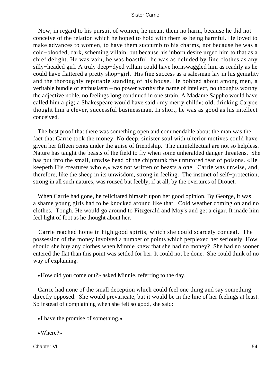Now, in regard to his pursuit of women, he meant them no harm, because he did not conceive of the relation which he hoped to hold with them as being harmful. He loved to make advances to women, to have them succumb to his charms, not because he was a cold−blooded, dark, scheming villain, but because his inborn desire urged him to that as a chief delight. He was vain, he was boastful, he was as deluded by fine clothes as any silly−headed girl. A truly deep−dyed villain could have hornswaggled him as readily as he could have flattered a pretty shop−girl. His fine success as a salesman lay in his geniality and the thoroughly reputable standing of his house. He bobbed about among men, a veritable bundle of enthusiasm – no power worthy the name of intellect, no thoughts worthy the adjective noble, no feelings long continued in one strain. A Madame Sappho would have called him a pig; a Shakespeare would have said «my merry child»; old, drinking Caryoe thought him a clever, successful businessman. In short, he was as good as his intellect conceived.

 The best proof that there was something open and commendable about the man was the fact that Carrie took the money. No deep, sinister soul with ulterior motives could have given her fifteen cents under the guise of friendship. The unintellectual are not so helpless. Nature has taught the beasts of the field to fly when some unheralded danger threatens. She has put into the small, unwise head of the chipmunk the untutored fear of poisons. «He keepeth His creatures whole,» was not written of beasts alone. Carrie was unwise, and, therefore, like the sheep in its unwisdom, strong in feeling. The instinct of self−protection, strong in all such natures, was roused but feebly, if at all, by the overtures of Drouet.

 When Carrie had gone, he felicitated himself upon her good opinion. By George, it was a shame young girls had to be knocked around like that. Cold weather coming on and no clothes. Tough. He would go around to Fitzgerald and Moy's and get a cigar. It made him feel light of foot as he thought about her.

 Carrie reached home in high good spirits, which she could scarcely conceal. The possession of the money involved a number of points which perplexed her seriously. How should she buy any clothes when Minnie knew that she had no money? She had no sooner entered the flat than this point was settled for her. It could not be done. She could think of no way of explaining.

«How did you come out?» asked Minnie, referring to the day.

 Carrie had none of the small deception which could feel one thing and say something directly opposed. She would prevaricate, but it would be in the line of her feelings at least. So instead of complaining when she felt so good, she said:

«I have the promise of something.»

«Where?»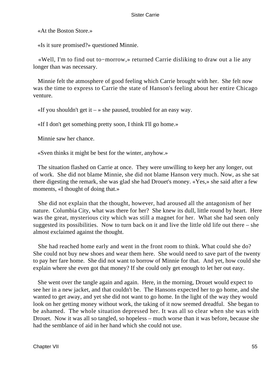«At the Boston Store.»

«Is it sure promised?» questioned Minnie.

 «Well, I'm to find out to−morrow,» returned Carrie disliking to draw out a lie any longer than was necessary.

 Minnie felt the atmosphere of good feeling which Carrie brought with her. She felt now was the time to express to Carrie the state of Hanson's feeling about her entire Chicago venture.

 $\ll$ If you shouldn't get it – » she paused, troubled for an easy way.

«If I don't get something pretty soon, I think I'll go home.»

Minnie saw her chance.

«Sven thinks it might be best for the winter, anyhow.»

 The situation flashed on Carrie at once. They were unwilling to keep her any longer, out of work. She did not blame Minnie, she did not blame Hanson very much. Now, as she sat there digesting the remark, she was glad she had Drouet's money. «Yes,» she said after a few moments, «I thought of doing that.»

 She did not explain that the thought, however, had aroused all the antagonism of her nature. Columbia City, what was there for her? She knew its dull, little round by heart. Here was the great, mysterious city which was still a magnet for her. What she had seen only suggested its possibilities. Now to turn back on it and live the little old life out there – she almost exclaimed against the thought.

 She had reached home early and went in the front room to think. What could she do? She could not buy new shoes and wear them here. She would need to save part of the twenty to pay her fare home. She did not want to borrow of Minnie for that. And yet, how could she explain where she even got that money? If she could only get enough to let her out easy.

 She went over the tangle again and again. Here, in the morning, Drouet would expect to see her in a new jacket, and that couldn't be. The Hansons expected her to go home, and she wanted to get away, and yet she did not want to go home. In the light of the way they would look on her getting money without work, the taking of it now seemed dreadful. She began to be ashamed. The whole situation depressed her. It was all so clear when she was with Drouet. Now it was all so tangled, so hopeless – much worse than it was before, because she had the semblance of aid in her hand which she could not use.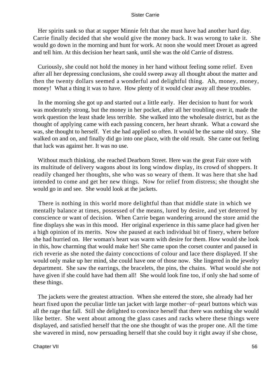Her spirits sank so that at supper Minnie felt that she must have had another hard day. Carrie finally decided that she would give the money back. It was wrong to take it. She would go down in the morning and hunt for work. At noon she would meet Drouet as agreed and tell him. At this decision her heart sank, until she was the old Carrie of distress.

 Curiously, she could not hold the money in her hand without feeling some relief. Even after all her depressing conclusions, she could sweep away all thought about the matter and then the twenty dollars seemed a wonderful and delightful thing. Ah, money, money, money! What a thing it was to have. How plenty of it would clear away all these troubles.

 In the morning she got up and started out a little early. Her decision to hunt for work was moderately strong, but the money in her pocket, after all her troubling over it, made the work question the least shade less terrible. She walked into the wholesale district, but as the thought of applying came with each passing concern, her heart shrank. What a coward she was, she thought to herself. Yet she had applied so often. It would be the same old story. She walked on and on, and finally did go into one place, with the old result. She came out feeling that luck was against her. It was no use.

 Without much thinking, she reached Dearborn Street. Here was the great Fair store with its multitude of delivery wagons about its long window display, its crowd of shoppers. It readily changed her thoughts, she who was so weary of them. It was here that she had intended to come and get her new things. Now for relief from distress; she thought she would go in and see. She would look at the jackets.

 There is nothing in this world more delightful than that middle state in which we mentally balance at times, possessed of the means, lured by desire, and yet deterred by conscience or want of decision. When Carrie began wandering around the store amid the fine displays she was in this mood. Her original experience in this same place had given her a high opinion of its merits. Now she paused at each individual bit of finery, where before she had hurried on. Her woman's heart was warm with desire for them. How would she look in this, how charming that would make her! She came upon the corset counter and paused in rich reverie as she noted the dainty concoctions of colour and lace there displayed. If she would only make up her mind, she could have one of those now. She lingered in the jewelry department. She saw the earrings, the bracelets, the pins, the chains. What would she not have given if she could have had them all! She would look fine too, if only she had some of these things.

 The jackets were the greatest attraction. When she entered the store, she already had her heart fixed upon the peculiar little tan jacket with large mother−of−pearl buttons which was all the rage that fall. Still she delighted to convince herself that there was nothing she would like better. She went about among the glass cases and racks where these things were displayed, and satisfied herself that the one she thought of was the proper one. All the time she wavered in mind, now persuading herself that she could buy it right away if she chose,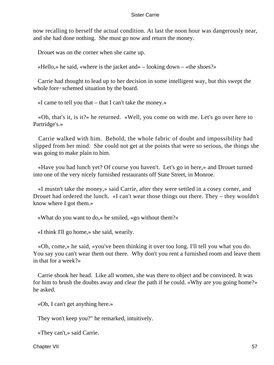now recalling to herself the actual condition. At last the noon hour was dangerously near, and she had done nothing. She must go now and return the money.

Drouet was on the corner when she came up.

«Hello,» he said, «where is the jacket and» – looking down – «the shoes?»

 Carrie had thought to lead up to her decision in some intelligent way, but this swept the whole fore−schemed situation by the board.

«I came to tell you that – that I can't take the money.»

 «Oh, that's it, is it?» he returned. «Well, you come on with me. Let's go over here to Partridge's.»

 Carrie walked with him. Behold, the whole fabric of doubt and impossibility had slipped from her mind. She could not get at the points that were so serious, the things she was going to make plain to him.

 «Have you had lunch yet? Of course you haven't. Let's go in here,» and Drouet turned into one of the very nicely furnished restaurants off State Street, in Monroe.

 «I mustn't take the money,» said Carrie, after they were settled in a cosey corner, and Drouet had ordered the lunch. «I can't wear those things out there. They – they wouldn't know where I got them.»

«What do you want to do,» he smiled, «go without them?»

«I think I'll go home,» she said, wearily.

 «Oh, come,» he said, «you've been thinking it over too long. I'll tell you what you do. You say you can't wear them out there. Why don't you rent a furnished room and leave them in that for a week?»

 Carrie shook her head. Like all women, she was there to object and be convinced. It was for him to brush the doubts away and clear the path if he could. «Why are you going home?» he asked.

«Oh, I can't get anything here.»

They won't keep you?" he remarked, intuitively.

«They can't,» said Carrie.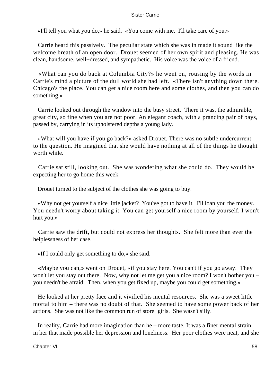«I'll tell you what you do,» he said. «You come with me. I'll take care of you.»

 Carrie heard this passively. The peculiar state which she was in made it sound like the welcome breath of an open door. Drouet seemed of her own spirit and pleasing. He was clean, handsome, well−dressed, and sympathetic. His voice was the voice of a friend.

 «What can you do back at Columbia City?» he went on, rousing by the words in Carrie's mind a picture of the dull world she had left. «There isn't anything down there. Chicago's the place. You can get a nice room here and some clothes, and then you can do something.»

 Carrie looked out through the window into the busy street. There it was, the admirable, great city, so fine when you are not poor. An elegant coach, with a prancing pair of bays, passed by, carrying in its upholstered depths a young lady.

 «What will you have if you go back?» asked Drouet. There was no subtle undercurrent to the question. He imagined that she would have nothing at all of the things he thought worth while.

 Carrie sat still, looking out. She was wondering what she could do. They would be expecting her to go home this week.

Drouet turned to the subject of the clothes she was going to buy.

 «Why not get yourself a nice little jacket? You've got to have it. I'll loan you the money. You needn't worry about taking it. You can get yourself a nice room by yourself. I won't hurt you.»

 Carrie saw the drift, but could not express her thoughts. She felt more than ever the helplessness of her case.

«If I could only get something to do,» she said.

 «Maybe you can,» went on Drouet, «if you stay here. You can't if you go away. They won't let you stay out there. Now, why not let me get you a nice room? I won't bother you – you needn't be afraid. Then, when you get fixed up, maybe you could get something.»

 He looked at her pretty face and it vivified his mental resources. She was a sweet little mortal to him – there was no doubt of that. She seemed to have some power back of her actions. She was not like the common run of store−girls. She wasn't silly.

 In reality, Carrie had more imagination than he – more taste. It was a finer mental strain in her that made possible her depression and loneliness. Her poor clothes were neat, and she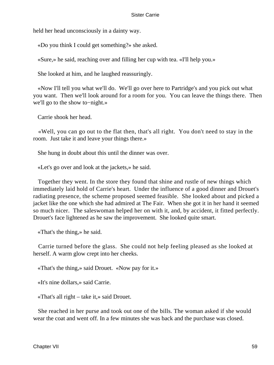held her head unconsciously in a dainty way.

«Do you think I could get something?» she asked.

«Sure,» he said, reaching over and filling her cup with tea. «I'll help you.»

She looked at him, and he laughed reassuringly.

 «Now I'll tell you what we'll do. We'll go over here to Partridge's and you pick out what you want. Then we'll look around for a room for you. You can leave the things there. Then we'll go to the show to−night.»

Carrie shook her head.

 «Well, you can go out to the flat then, that's all right. You don't need to stay in the room. Just take it and leave your things there.»

She hung in doubt about this until the dinner was over.

«Let's go over and look at the jackets,» he said.

 Together they went. In the store they found that shine and rustle of new things which immediately laid hold of Carrie's heart. Under the influence of a good dinner and Drouet's radiating presence, the scheme proposed seemed feasible. She looked about and picked a jacket like the one which she had admired at The Fair. When she got it in her hand it seemed so much nicer. The saleswoman helped her on with it, and, by accident, it fitted perfectly. Drouet's face lightened as he saw the improvement. She looked quite smart.

«That's the thing,» he said.

 Carrie turned before the glass. She could not help feeling pleased as she looked at herself. A warm glow crept into her cheeks.

«That's the thing,» said Drouet. «Now pay for it.»

«It's nine dollars,» said Carrie.

«That's all right – take it,» said Drouet.

 She reached in her purse and took out one of the bills. The woman asked if she would wear the coat and went off. In a few minutes she was back and the purchase was closed.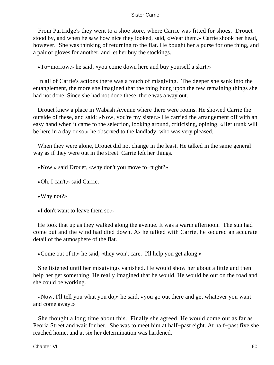From Partridge's they went to a shoe store, where Carrie was fitted for shoes. Drouet stood by, and when he saw how nice they looked, said, «Wear them.» Carrie shook her head, however. She was thinking of returning to the flat. He bought her a purse for one thing, and a pair of gloves for another, and let her buy the stockings.

«To−morrow,» he said, «you come down here and buy yourself a skirt.»

 In all of Carrie's actions there was a touch of misgiving. The deeper she sank into the entanglement, the more she imagined that the thing hung upon the few remaining things she had not done. Since she had not done these, there was a way out.

 Drouet knew a place in Wabash Avenue where there were rooms. He showed Carrie the outside of these, and said: «Now, you're my sister.» He carried the arrangement off with an easy hand when it came to the selection, looking around, criticising, opining. «Her trunk will be here in a day or so,» he observed to the landlady, who was very pleased.

 When they were alone, Drouet did not change in the least. He talked in the same general way as if they were out in the street. Carrie left her things.

«Now,» said Drouet, «why don't you move to−night?»

«Oh, I can't,» said Carrie.

«Why not?»

«I don't want to leave them so.»

 He took that up as they walked along the avenue. It was a warm afternoon. The sun had come out and the wind had died down. As he talked with Carrie, he secured an accurate detail of the atmosphere of the flat.

«Come out of it,» he said, «they won't care. I'll help you get along.»

 She listened until her misgivings vanished. He would show her about a little and then help her get something. He really imagined that he would. He would be out on the road and she could be working.

 «Now, I'll tell you what you do,» he said, «you go out there and get whatever you want and come away.»

 She thought a long time about this. Finally she agreed. He would come out as far as Peoria Street and wait for her. She was to meet him at half−past eight. At half−past five she reached home, and at six her determination was hardened.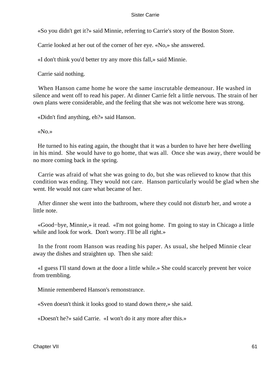«So you didn't get it?» said Minnie, referring to Carrie's story of the Boston Store.

Carrie looked at her out of the corner of her eye. «No,» she answered.

«I don't think you'd better try any more this fall,» said Minnie.

Carrie said nothing.

 When Hanson came home he wore the same inscrutable demeanour. He washed in silence and went off to read his paper. At dinner Carrie felt a little nervous. The strain of her own plans were considerable, and the feeling that she was not welcome here was strong.

«Didn't find anything, eh?» said Hanson.

«No.»

 He turned to his eating again, the thought that it was a burden to have her here dwelling in his mind. She would have to go home, that was all. Once she was away, there would be no more coming back in the spring.

 Carrie was afraid of what she was going to do, but she was relieved to know that this condition was ending. They would not care. Hanson particularly would be glad when she went. He would not care what became of her.

 After dinner she went into the bathroom, where they could not disturb her, and wrote a little note.

 «Good−bye, Minnie,» it read. «I'm not going home. I'm going to stay in Chicago a little while and look for work. Don't worry. I'll be all right.»

 In the front room Hanson was reading his paper. As usual, she helped Minnie clear away the dishes and straighten up. Then she said:

 «I guess I'll stand down at the door a little while.» She could scarcely prevent her voice from trembling.

Minnie remembered Hanson's remonstrance.

«Sven doesn't think it looks good to stand down there,» she said.

«Doesn't he?» said Carrie. «I won't do it any more after this.»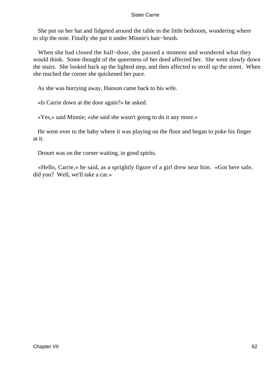She put on her hat and fidgeted around the table in the little bedroom, wondering where to slip the note. Finally she put it under Minnie's hair−brush.

 When she had closed the hall−door, she paused a moment and wondered what they would think. Some thought of the queerness of her deed affected her. She went slowly down the stairs. She looked back up the lighted step, and then affected to stroll up the street. When she reached the corner she quickened her pace.

As she was hurrying away, Hanson came back to his wife.

«Is Carrie down at the door again?» he asked.

«Yes,» said Minnie; «she said she wasn't going to do it any more.»

 He went over to the baby where it was playing on the floor and began to poke his finger at it.

Drouet was on the corner waiting, in good spirits.

 «Hello, Carrie,» he said, as a sprightly figure of a girl drew near him. «Got here safe, did you? Well, we'll take a car.»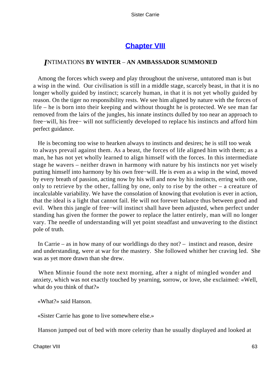## **[Chapter VIII](#page-428-0)**

### *I*NTIMATIONS **BY WINTER** – **AN AMBASSADOR SUMMONED**

 Among the forces which sweep and play throughout the universe, untutored man is but a wisp in the wind. Our civilisation is still in a middle stage, scarcely beast, in that it is no longer wholly guided by instinct; scarcely human, in that it is not yet wholly guided by reason. On the tiger no responsibility rests. We see him aligned by nature with the forces of life – he is born into their keeping and without thought he is protected. We see man far removed from the lairs of the jungles, his innate instincts dulled by too near an approach to free−will, his free− will not sufficiently developed to replace his instincts and afford him perfect guidance.

 He is becoming too wise to hearken always to instincts and desires; he is still too weak to always prevail against them. As a beast, the forces of life aligned him with them; as a man, he has not yet wholly learned to align himself with the forces. In this intermediate stage he wavers – neither drawn in harmony with nature by his instincts nor yet wisely putting himself into harmony by his own free−will. He is even as a wisp in the wind, moved by every breath of passion, acting now by his will and now by his instincts, erring with one, only to retrieve by the other, falling by one, only to rise by the other – a creature of incalculable variability. We have the consolation of knowing that evolution is ever in action, that the ideal is a light that cannot fail. He will not forever balance thus between good and evil. When this jangle of free−will instinct shall have been adjusted, when perfect under standing has given the former the power to replace the latter entirely, man will no longer vary. The needle of understanding will yet point steadfast and unwavering to the distinct pole of truth.

 In Carrie – as in how many of our worldlings do they not? – instinct and reason, desire and understanding, were at war for the mastery. She followed whither her craving led. She was as yet more drawn than she drew.

 When Minnie found the note next morning, after a night of mingled wonder and anxiety, which was not exactly touched by yearning, sorrow, or love, she exclaimed: «Well, what do you think of that?»

«What?» said Hanson.

«Sister Carrie has gone to live somewhere else.»

Hanson jumped out of bed with more celerity than he usually displayed and looked at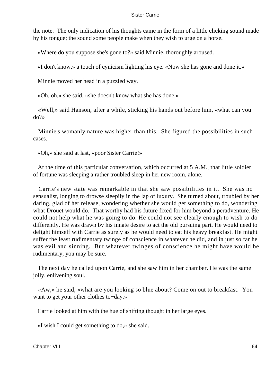the note. The only indication of his thoughts came in the form of a little clicking sound made by his tongue; the sound some people make when they wish to urge on a horse.

«Where do you suppose she's gone to?» said Minnie, thoroughly aroused.

«I don't know,» a touch of cynicism lighting his eye. «Now she has gone and done it.»

Minnie moved her head in a puzzled way.

«Oh, oh,» she said, «she doesn't know what she has done.»

 «Well,» said Hanson, after a while, sticking his hands out before him, «what can you do?»

 Minnie's womanly nature was higher than this. She figured the possibilities in such cases.

«Oh,» she said at last, «poor Sister Carrie!»

 At the time of this particular conversation, which occurred at 5 A.M., that little soldier of fortune was sleeping a rather troubled sleep in her new room, alone.

 Carrie's new state was remarkable in that she saw possibilities in it. She was no sensualist, longing to drowse sleepily in the lap of luxury. She turned about, troubled by her daring, glad of her release, wondering whether she would get something to do, wondering what Drouet would do. That worthy had his future fixed for him beyond a peradventure. He could not help what he was going to do. He could not see clearly enough to wish to do differently. He was drawn by his innate desire to act the old pursuing part. He would need to delight himself with Carrie as surely as he would need to eat his heavy breakfast. He might suffer the least rudimentary twinge of conscience in whatever he did, and in just so far he was evil and sinning. But whatever twinges of conscience he might have would be rudimentary, you may be sure.

 The next day he called upon Carrie, and she saw him in her chamber. He was the same jolly, enlivening soul.

 «Aw,» he said, «what are you looking so blue about? Come on out to breakfast. You want to get your other clothes to−day.»

Carrie looked at him with the hue of shifting thought in her large eyes.

«I wish I could get something to do,» she said.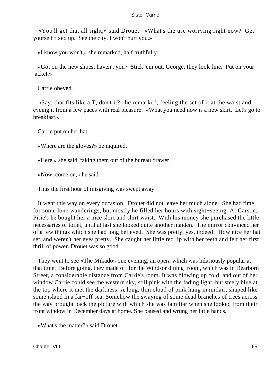«You'll get that all right,» said Drouet. «What's the use worrying right now? Get yourself fixed up. See the city. I won't hurt you.»

«I know you won't,» she remarked, half truthfully.

 «Got on the new shoes, haven't you? Stick 'em out. George, they look fine. Put on your jacket.»

Carrie obeyed.

 «Say, that fits like a T, don't it?» he remarked, feeling the set of it at the waist and eyeing it from a few paces with real pleasure. «What you need now is a new skirt. Let's go to breakfast.»

Carrie put on her hat.

«Where are the gloves?» he inquired.

«Here,» she said, taking them out of the bureau drawer.

«Now, come on,» he said.

Thus the first hour of misgiving was swept away.

 It went this way on every occasion. Drouet did not leave her much alone. She had time for some lone wanderings, but mostly he filled her hours with sight−seeing. At Carson, Pirie's he bought her a nice skirt and shirt waist. With his money she purchased the little necessaries of toilet, until at last she looked quite another maiden. The mirror convinced her of a few things which she had long believed. She was pretty, yes, indeed! How nice her hat set, and weren't her eyes pretty. She caught her little red lip with her teeth and felt her first thrill of power. Drouet was so good.

 They went to see «The Mikado» one evening, an opera which was hilariously popular at that time. Before going, they made off for the Windsor dining−room, which was in Dearborn Street, a considerable distance from Carrie's room. It was blowing up cold, and out of her window Carrie could see the western sky, still pink with the fading light, but steely blue at the top where it met the darkness. A long, thin cloud of pink hung in midair, shaped like some island in a far−off sea. Somehow the swaying of some dead branches of trees across the way brought back the picture with which she was familiar when she looked from their front window in December days at home. She paused and wrung her little hands.

«What's the matter?» said Drouet.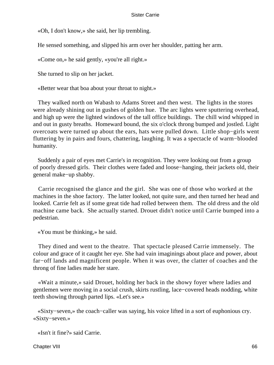«Oh, I don't know,» she said, her lip trembling.

He sensed something, and slipped his arm over her shoulder, patting her arm.

«Come on,» he said gently, «you're all right.»

She turned to slip on her jacket.

«Better wear that boa about your throat to night.»

 They walked north on Wabash to Adams Street and then west. The lights in the stores were already shining out in gushes of golden hue. The arc lights were sputtering overhead, and high up were the lighted windows of the tall office buildings. The chill wind whipped in and out in gusty breaths. Homeward bound, the six o'clock throng bumped and jostled. Light overcoats were turned up about the ears, hats were pulled down. Little shop−girls went fluttering by in pairs and fours, chattering, laughing. It was a spectacle of warm−blooded humanity.

 Suddenly a pair of eyes met Carrie's in recognition. They were looking out from a group of poorly dressed girls. Their clothes were faded and loose−hanging, their jackets old, their general make−up shabby.

 Carrie recognised the glance and the girl. She was one of those who worked at the machines in the shoe factory. The latter looked, not quite sure, and then turned her head and looked. Carrie felt as if some great tide had rolled between them. The old dress and the old machine came back. She actually started. Drouet didn't notice until Carrie bumped into a pedestrian.

«You must be thinking,» he said.

 They dined and went to the theatre. That spectacle pleased Carrie immensely. The colour and grace of it caught her eye. She had vain imaginings about place and power, about far−off lands and magnificent people. When it was over, the clatter of coaches and the throng of fine ladies made her stare.

 «Wait a minute,» said Drouet, holding her back in the showy foyer where ladies and gentlemen were moving in a social crush, skirts rustling, lace−covered heads nodding, white teeth showing through parted lips. «Let's see.»

 «Sixty−seven,» the coach−caller was saying, his voice lifted in a sort of euphonious cry. «Sixty−seven.»

«Isn't it fine?» said Carrie.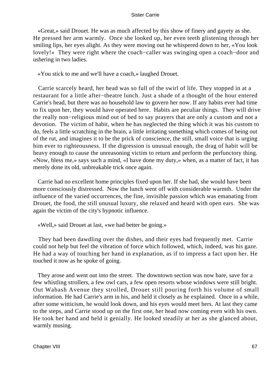«Great,» said Drouet. He was as much affected by this show of finery and gayety as she. He pressed her arm warmly. Once she looked up, her even teeth glistening through her smiling lips, her eyes alight. As they were moving out he whispered down to her, «You look lovely!» They were right where the coach−caller was swinging open a coach−door and ushering in two ladies.

«You stick to me and we'll have a coach,» laughed Drouet.

 Carrie scarcely heard, her head was so full of the swirl of life. They stopped in at a restaurant for a little after−theatre lunch. Just a shade of a thought of the hour entered Carrie's head, but there was no household law to govern her now. If any habits ever had time to fix upon her, they would have operated here. Habits are peculiar things. They will drive the really non−religious mind out of bed to say prayers that are only a custom and not a devotion. The victim of habit, when he has neglected the thing which it was his custom to do, feels a little scratching in the brain, a little irritating something which comes of being out of the rut, and imagines it to be the prick of conscience, the still, small voice that is urging him ever to righteousness. If the digression is unusual enough, the drag of habit will be heavy enough to cause the unreasoning victim to return and perform the perfunctory thing. «Now, bless me,» says such a mind, «I have done my duty,» when, as a matter of fact, it has merely done its old, unbreakable trick once again.

 Carrie had no excellent home principles fixed upon her. If she had, she would have been more consciously distressed. Now the lunch went off with considerable warmth. Under the influence of the varied occurrences, the fine, invisible passion which was emanating from Drouet, the food, the still unusual luxury, she relaxed and heard with open ears. She was again the victim of the city's hypnotic influence.

«Well,» said Drouet at last, «we had better be going.»

 They had been dawdling over the dishes, and their eyes had frequently met. Carrie could not help but feel the vibration of force which followed, which, indeed, was his gaze. He had a way of touching her hand in explanation, as if to impress a fact upon her. He touched it now as he spoke of going.

 They arose and went out into the street. The downtown section was now bare, save for a few whistling strollers, a few owl cars, a few open resorts whose windows were still bright. Out Wabash Avenue they strolled, Drouet still pouring forth his volume of small information. He had Carrie's arm in his, and held it closely as he explained. Once in a while, after some witticism, he would look down, and his eyes would meet hers. At last they came to the steps, and Carrie stood up on the first one, her head now coming even with his own. He took her hand and held it genially. He looked steadily at her as she glanced about, warmly musing.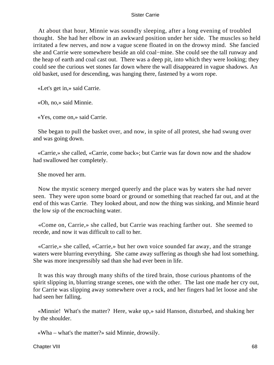At about that hour, Minnie was soundly sleeping, after a long evening of troubled thought. She had her elbow in an awkward position under her side. The muscles so held irritated a few nerves, and now a vague scene floated in on the drowsy mind. She fancied she and Carrie were somewhere beside an old coal−mine. She could see the tall runway and the heap of earth and coal cast out. There was a deep pit, into which they were looking; they could see the curious wet stones far down where the wall disappeared in vague shadows. An old basket, used for descending, was hanging there, fastened by a worn rope.

«Let's get in,» said Carrie.

«Oh, no,» said Minnie.

«Yes, come on,» said Carrie.

 She began to pull the basket over, and now, in spite of all protest, she had swung over and was going down.

 «Carrie,» she called, «Carrie, come back»; but Carrie was far down now and the shadow had swallowed her completely.

She moved her arm.

 Now the mystic scenery merged queerly and the place was by waters she had never seen. They were upon some board or ground or something that reached far out, and at the end of this was Carrie. They looked about, and now the thing was sinking, and Minnie heard the low sip of the encroaching water.

 «Come on, Carrie,» she called, but Carrie was reaching farther out. She seemed to recede, and now it was difficult to call to her.

 «Carrie,» she called, «Carrie,» but her own voice sounded far away, and the strange waters were blurring everything. She came away suffering as though she had lost something. She was more inexpressibly sad than she had ever been in life.

 It was this way through many shifts of the tired brain, those curious phantoms of the spirit slipping in, blurring strange scenes, one with the other. The last one made her cry out, for Carrie was slipping away somewhere over a rock, and her fingers had let loose and she had seen her falling.

 «Minnie! What's the matter? Here, wake up,» said Hanson, disturbed, and shaking her by the shoulder.

«Wha – what's the matter?» said Minnie, drowsily.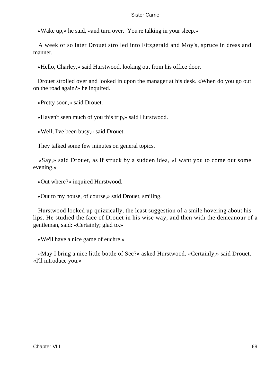«Wake up,» he said, «and turn over. You're talking in your sleep.»

 A week or so later Drouet strolled into Fitzgerald and Moy's, spruce in dress and manner.

«Hello, Charley,» said Hurstwood, looking out from his office door.

 Drouet strolled over and looked in upon the manager at his desk. «When do you go out on the road again?» he inquired.

«Pretty soon,» said Drouet.

«Haven't seen much of you this trip,» said Hurstwood.

«Well, I've been busy,» said Drouet.

They talked some few minutes on general topics.

 «Say,» said Drouet, as if struck by a sudden idea, «I want you to come out some evening.»

«Out where?» inquired Hurstwood.

«Out to my house, of course,» said Drouet, smiling.

 Hurstwood looked up quizzically, the least suggestion of a smile hovering about his lips. He studied the face of Drouet in his wise way, and then with the demeanour of a gentleman, said: «Certainly; glad to.»

«We'll have a nice game of euchre.»

 «May I bring a nice little bottle of Sec?» asked Hurstwood. «Certainly,» said Drouet. «I'll introduce you.»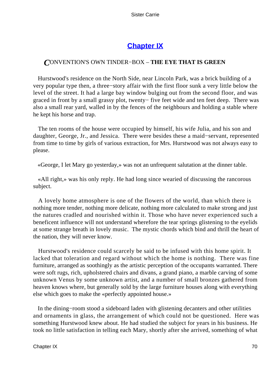# **[Chapter IX](#page-428-0)**

### *C*ONVENTION'S OWN TINDER−BOX – **THE EYE THAT IS GREEN**

 Hurstwood's residence on the North Side, near Lincoln Park, was a brick building of a very popular type then, a three−story affair with the first floor sunk a very little below the level of the street. It had a large bay window bulging out from the second floor, and was graced in front by a small grassy plot, twenty− five feet wide and ten feet deep. There was also a small rear yard, walled in by the fences of the neighbours and holding a stable where he kept his horse and trap.

 The ten rooms of the house were occupied by himself, his wife Julia, and his son and daughter, George, Jr., and Jessica. There were besides these a maid−servant, represented from time to time by girls of various extraction, for Mrs. Hurstwood was not always easy to please.

«George, I let Mary go yesterday,» was not an unfrequent salutation at the dinner table.

 «All right,» was his only reply. He had long since wearied of discussing the rancorous subject.

 A lovely home atmosphere is one of the flowers of the world, than which there is nothing more tender, nothing more delicate, nothing more calculated to make strong and just the natures cradled and nourished within it. Those who have never experienced such a beneficent influence will not understand wherefore the tear springs glistening to the eyelids at some strange breath in lovely music. The mystic chords which bind and thrill the heart of the nation, they will never know.

 Hurstwood's residence could scarcely be said to be infused with this home spirit. It lacked that toleration and regard without which the home is nothing. There was fine furniture, arranged as soothingly as the artistic perception of the occupants warranted. There were soft rugs, rich, upholstered chairs and divans, a grand piano, a marble carving of some unknown Venus by some unknown artist, and a number of small bronzes gathered from heaven knows where, but generally sold by the large furniture houses along with everything else which goes to make the «perfectly appointed house.»

 In the dining−room stood a sideboard laden with glistening decanters and other utilities and ornaments in glass, the arrangement of which could not be questioned. Here was something Hurstwood knew about. He had studied the subject for years in his business. He took no little satisfaction in telling each Mary, shortly after she arrived, something of what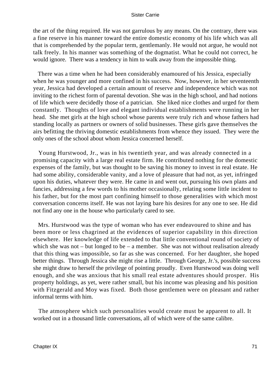the art of the thing required. He was not garrulous by any means. On the contrary, there was a fine reserve in his manner toward the entire domestic economy of his life which was all that is comprehended by the popular term, gentlemanly. He would not argue, he would not talk freely. In his manner was something of the dogmatist. What he could not correct, he would ignore. There was a tendency in him to walk away from the impossible thing.

 There was a time when he had been considerably enamoured of his Jessica, especially when he was younger and more confined in his success. Now, however, in her seventeenth year, Jessica had developed a certain amount of reserve and independence which was not inviting to the richest form of parental devotion. She was in the high school, and had notions of life which were decidedly those of a patrician. She liked nice clothes and urged for them constantly. Thoughts of love and elegant individual establishments were running in her head. She met girls at the high school whose parents were truly rich and whose fathers had standing locally as partners or owners of solid businesses. These girls gave themselves the airs befitting the thriving domestic establishments from whence they issued. They were the only ones of the school about whom Jessica concerned herself.

 Young Hurstwood, Jr., was in his twentieth year, and was already connected in a promising capacity with a large real estate firm. He contributed nothing for the domestic expenses of the family, but was thought to be saving his money to invest in real estate. He had some ability, considerable vanity, and a love of pleasure that had not, as yet, infringed upon his duties, whatever they were. He came in and went out, pursuing his own plans and fancies, addressing a few words to his mother occasionally, relating some little incident to his father, but for the most part confining himself to those generalities with which most conversation concerns itself. He was not laying bare his desires for any one to see. He did not find any one in the house who particularly cared to see.

 Mrs. Hurstwood was the type of woman who has ever endeavoured to shine and has been more or less chagrined at the evidences of superior capability in this direction elsewhere. Her knowledge of life extended to that little conventional round of society of which she was not – but longed to be – a member. She was not without realisation already that this thing was impossible, so far as she was concerned. For her daughter, she hoped better things. Through Jessica she might rise a little. Through George, Jr.'s, possible success she might draw to herself the privilege of pointing proudly. Even Hurstwood was doing well enough, and she was anxious that his small real estate adventures should prosper. His property holdings, as yet, were rather small, but his income was pleasing and his position with Fitzgerald and Moy was fixed. Both those gentlemen were on pleasant and rather informal terms with him.

 The atmosphere which such personalities would create must be apparent to all. It worked out in a thousand little conversations, all of which were of the same calibre.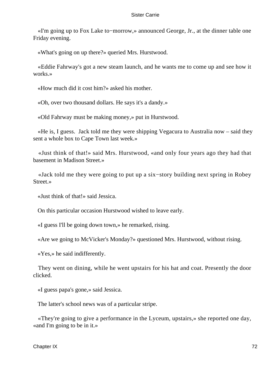«I'm going up to Fox Lake to−morrow,» announced George, Jr., at the dinner table one Friday evening.

«What's going on up there?» queried Mrs. Hurstwood.

 «Eddie Fahrway's got a new steam launch, and he wants me to come up and see how it works.»

«How much did it cost him?» asked his mother.

«Oh, over two thousand dollars. He says it's a dandy.»

«Old Fahrway must be making money,» put in Hurstwood.

 «He is, I guess. Jack told me they were shipping Vegacura to Australia now – said they sent a whole box to Cape Town last week.»

 «Just think of that!» said Mrs. Hurstwood, «and only four years ago they had that basement in Madison Street.»

 «Jack told me they were going to put up a six−story building next spring in Robey Street.»

«Just think of that!» said Jessica.

On this particular occasion Hurstwood wished to leave early.

«I guess I'll be going down town,» he remarked, rising.

«Are we going to McVicker's Monday?» questioned Mrs. Hurstwood, without rising.

«Yes,» he said indifferently.

 They went on dining, while he went upstairs for his hat and coat. Presently the door clicked.

«I guess papa's gone,» said Jessica.

The latter's school news was of a particular stripe.

 «They're going to give a performance in the Lyceum, upstairs,» she reported one day, «and I'm going to be in it.»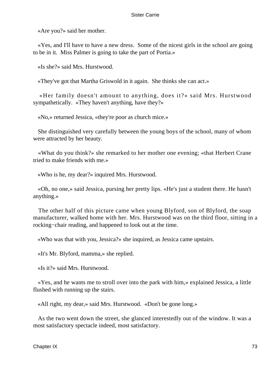«Are you?» said her mother.

 «Yes, and I'll have to have a new dress. Some of the nicest girls in the school are going to be in it. Miss Palmer is going to take the part of Portia.»

«Is she?» said Mrs. Hurstwood.

«They've got that Martha Griswold in it again. She thinks she can act.»

 «Her family doesn't amount to anything, does it?» said Mrs. Hurstwood sympathetically. «They haven't anything, have they?»

«No,» returned Jessica, «they're poor as church mice.»

 She distinguished very carefully between the young boys of the school, many of whom were attracted by her beauty.

 «What do you think?» she remarked to her mother one evening; «that Herbert Crane tried to make friends with me.»

«Who is he, my dear?» inquired Mrs. Hurstwood.

 «Oh, no one,» said Jessica, pursing her pretty lips. «He's just a student there. He hasn't anything.»

 The other half of this picture came when young Blyford, son of Blyford, the soap manufacturer, walked home with her. Mrs. Hurstwood was on the third floor, sitting in a rocking−chair reading, and happened to look out at the time.

«Who was that with you, Jessica?» she inquired, as Jessica came upstairs.

«It's Mr. Blyford, mamma,» she replied.

«Is it?» said Mrs. Hurstwood.

 «Yes, and he wants me to stroll over into the park with him,» explained Jessica, a little flushed with running up the stairs.

«All right, my dear,» said Mrs. Hurstwood. «Don't be gone long.»

 As the two went down the street, she glanced interestedly out of the window. It was a most satisfactory spectacle indeed, most satisfactory.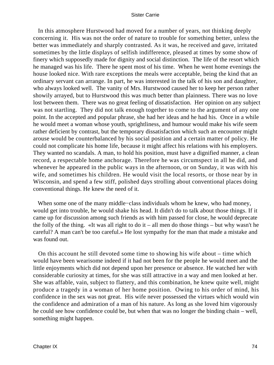In this atmosphere Hurstwood had moved for a number of years, not thinking deeply concerning it. His was not the order of nature to trouble for something better, unless the better was immediately and sharply contrasted. As it was, he received and gave, irritated sometimes by the little displays of selfish indifference, pleased at times by some show of finery which supposedly made for dignity and social distinction. The life of the resort which he managed was his life. There he spent most of his time. When he went home evenings the house looked nice. With rare exceptions the meals were acceptable, being the kind that an ordinary servant can arrange. In part, he was interested in the talk of his son and daughter, who always looked well. The vanity of Mrs. Hurstwood caused her to keep her person rather showily arrayed, but to Hurstwood this was much better than plainness. There was no love lost between them. There was no great feeling of dissatisfaction. Her opinion on any subject was not startling. They did not talk enough together to come to the argument of any one point. In the accepted and popular phrase, she had her ideas and he had his. Once in a while he would meet a woman whose youth, sprightliness, and humour would make his wife seem rather deficient by contrast, but the temporary dissatisfaction which such an encounter might arouse would be counterbalanced by his social position and a certain matter of policy. He could not complicate his home life, because it might affect his relations with his employers. They wanted no scandals. A man, to hold his position, must have a dignified manner, a clean record, a respectable home anchorage. Therefore he was circumspect in all he did, and whenever he appeared in the public ways in the afternoon, or on Sunday, it was with his wife, and sometimes his children. He would visit the local resorts, or those near by in Wisconsin, and spend a few stiff, polished days strolling about conventional places doing conventional things. He knew the need of it.

 When some one of the many middle−class individuals whom he knew, who had money, would get into trouble, he would shake his head. It didn't do to talk about those things. If it came up for discussion among such friends as with him passed for close, he would deprecate the folly of the thing. «It was all right to do it – all men do those things – but why wasn't he careful? A man can't be too careful.» He lost sympathy for the man that made a mistake and was found out.

 On this account he still devoted some time to showing his wife about – time which would have been wearisome indeed if it had not been for the people he would meet and the little enjoyments which did not depend upon her presence or absence. He watched her with considerable curiosity at times, for she was still attractive in a way and men looked at her. She was affable, vain, subject to flattery, and this combination, he knew quite well, might produce a tragedy in a woman of her home position. Owing to his order of mind, his confidence in the sex was not great. His wife never possessed the virtues which would win the confidence and admiration of a man of his nature. As long as she loved him vigorously he could see how confidence could be, but when that was no longer the binding chain – well, something might happen.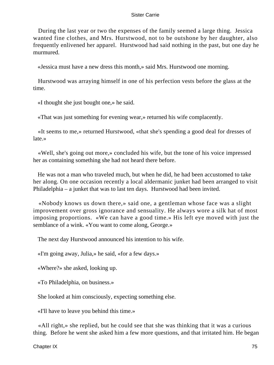During the last year or two the expenses of the family seemed a large thing. Jessica wanted fine clothes, and Mrs. Hurstwood, not to be outshone by her daughter, also frequently enlivened her apparel. Hurstwood had said nothing in the past, but one day he murmured.

«Jessica must have a new dress this month,» said Mrs. Hurstwood one morning.

 Hurstwood was arraying himself in one of his perfection vests before the glass at the time.

«I thought she just bought one,» he said.

«That was just something for evening wear,» returned his wife complacently.

 «It seems to me,» returned Hurstwood, «that she's spending a good deal for dresses of late.»

 «Well, she's going out more,» concluded his wife, but the tone of his voice impressed her as containing something she had not heard there before.

 He was not a man who traveled much, but when he did, he had been accustomed to take her along. On one occasion recently a local aldermanic junket had been arranged to visit Philadelphia – a junket that was to last ten days. Hurstwood had been invited.

 «Nobody knows us down there,» said one, a gentleman whose face was a slight improvement over gross ignorance and sensuality. He always wore a silk hat of most imposing proportions. «We can have a good time.» His left eye moved with just the semblance of a wink. «You want to come along, George.»

The next day Hurstwood announced his intention to his wife.

«I'm going away, Julia,» he said, «for a few days.»

«Where?» she asked, looking up.

«To Philadelphia, on business.»

She looked at him consciously, expecting something else.

«I'll have to leave you behind this time.»

 «All right,» she replied, but he could see that she was thinking that it was a curious thing. Before he went she asked him a few more questions, and that irritated him. He began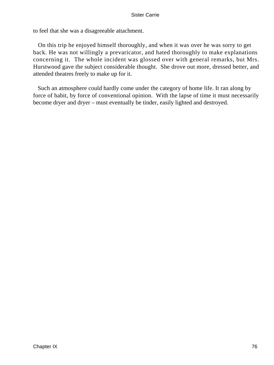to feel that she was a disagreeable attachment.

 On this trip he enjoyed himself thoroughly, and when it was over he was sorry to get back. He was not willingly a prevaricator, and hated thoroughly to make explanations concerning it. The whole incident was glossed over with general remarks, but Mrs. Hurstwood gave the subject considerable thought. She drove out more, dressed better, and attended theatres freely to make up for it.

 Such an atmosphere could hardly come under the category of home life. It ran along by force of habit, by force of conventional opinion. With the lapse of time it must necessarily become dryer and dryer – must eventually be tinder, easily lighted and destroyed.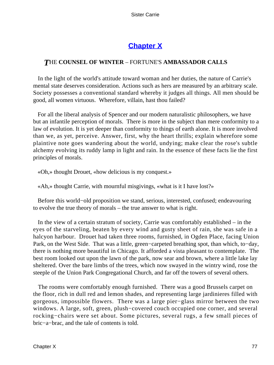# **[Chapter X](#page-428-0)**

## *T*HE **COUNSEL OF WINTER** – FORTUNE'S **AMBASSADOR CALLS**

 In the light of the world's attitude toward woman and her duties, the nature of Carrie's mental state deserves consideration. Actions such as hers are measured by an arbitrary scale. Society possesses a conventional standard whereby it judges all things. All men should be good, all women virtuous. Wherefore, villain, hast thou failed?

 For all the liberal analysis of Spencer and our modern naturalistic philosophers, we have but an infantile perception of morals. There is more in the subject than mere conformity to a law of evolution. It is yet deeper than conformity to things of earth alone. It is more involved than we, as yet, perceive. Answer, first, why the heart thrills; explain wherefore some plaintive note goes wandering about the world, undying; make clear the rose's subtle alchemy evolving its ruddy lamp in light and rain. In the essence of these facts lie the first principles of morals.

«Oh,» thought Drouet, «how delicious is my conquest.»

«Ah,» thought Carrie, with mournful misgivings, «what is it I have lost?»

 Before this world−old proposition we stand, serious, interested, confused; endeavouring to evolve the true theory of morals – the true answer to what is right.

 In the view of a certain stratum of society, Carrie was comfortably established – in the eyes of the starveling, beaten by every wind and gusty sheet of rain, she was safe in a halcyon harbour. Drouet had taken three rooms, furnished, in Ogden Place, facing Union Park, on the West Side. That was a little, green−carpeted breathing spot, than which, to−day, there is nothing more beautiful in Chicago. It afforded a vista pleasant to contemplate. The best room looked out upon the lawn of the park, now sear and brown, where a little lake lay sheltered. Over the bare limbs of the trees, which now swayed in the wintry wind, rose the steeple of the Union Park Congregational Church, and far off the towers of several others.

 The rooms were comfortably enough furnished. There was a good Brussels carpet on the floor, rich in dull red and lemon shades, and representing large jardinieres filled with gorgeous, impossible flowers. There was a large pier−glass mirror between the two windows. A large, soft, green, plush−covered couch occupied one corner, and several rocking−chairs were set about. Some pictures, several rugs, a few small pieces of bric−a−brac, and the tale of contents is told.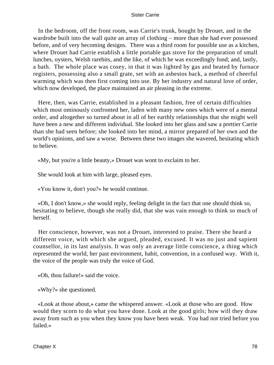In the bedroom, off the front room, was Carrie's trunk, bought by Drouet, and in the wardrobe built into the wall quite an array of clothing – more than she had ever possessed before, and of very becoming designs. There was a third room for possible use as a kitchen, where Drouet had Carrie establish a little portable gas stove for the preparation of small lunches, oysters, Welsh rarebits, and the like, of which he was exceedingly fond; and, lastly, a bath. The whole place was cosey, in that it was lighted by gas and heated by furnace registers, possessing also a small grate, set with an asbestos back, a method of cheerful warming which was then first coming into use. By her industry and natural love of order, which now developed, the place maintained an air pleasing in the extreme.

 Here, then, was Carrie, established in a pleasant fashion, free of certain difficulties which most ominously confronted her, laden with many new ones which were of a mental order, and altogether so turned about in all of her earthly relationships that she might well have been a new and different individual. She looked into her glass and saw a prettier Carrie than she had seen before; she looked into her mind, a mirror prepared of her own and the world's opinions, and saw a worse. Between these two images she wavered, hesitating which to believe.

«My, but you're a little beauty,» Drouet was wont to exclaim to her.

She would look at him with large, pleased eyes.

«You know it, don't you?» he would continue.

 «Oh, I don't know,» she would reply, feeling delight in the fact that one should think so, hesitating to believe, though she really did, that she was vain enough to think so much of herself.

 Her conscience, however, was not a Drouet, interested to praise. There she heard a different voice, with which she argued, pleaded, excused. It was no just and sapient counsellor, in its last analysis. It was only an average little conscience, a thing which represented the world, her past environment, habit, convention, in a confused way. With it, the voice of the people was truly the voice of God.

«Oh, thou failure!» said the voice.

«Why?» she questioned.

 «Look at those about,» came the whispered answer. «Look at those who are good. How would they scorn to do what you have done. Look at the good girls; how will they draw away from such as you when they know you have been weak. You had not tried before you failed.»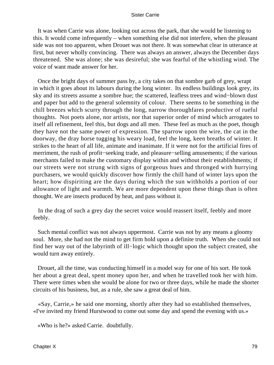It was when Carrie was alone, looking out across the park, that she would be listening to this. It would come infrequently – when something else did not interfere, when the pleasant side was not too apparent, when Drouet was not there. It was somewhat clear in utterance at first, but never wholly convincing. There was always an answer, always the December days threatened. She was alone; she was desireful; she was fearful of the whistling wind. The voice of want made answer for her.

 Once the bright days of summer pass by, a city takes on that sombre garb of grey, wrapt in which it goes about its labours during the long winter. Its endless buildings look grey, its sky and its streets assume a sombre hue; the scattered, leafless trees and wind−blown dust and paper but add to the general solemnity of colour. There seems to be something in the chill breezes which scurry through the long, narrow thoroughfares productive of rueful thoughts. Not poets alone, nor artists, nor that superior order of mind which arrogates to itself all refinement, feel this, but dogs and all men. These feel as much as the poet, though they have not the same power of expression. The sparrow upon the wire, the cat in the doorway, the dray horse tugging his weary load, feel the long, keen breaths of winter. It strikes to the heart of all life, animate and inanimate. If it were not for the artificial fires of merriment, the rush of profit−seeking trade, and pleasure−selling amusements; if the various merchants failed to make the customary display within and without their establishments; if our streets were not strung with signs of gorgeous hues and thronged with hurrying purchasers, we would quickly discover how firmly the chill hand of winter lays upon the heart; how dispiriting are the days during which the sun withholds a portion of our allowance of light and warmth. We are more dependent upon these things than is often thought. We are insects produced by heat, and pass without it.

 In the drag of such a grey day the secret voice would reassert itself, feebly and more feebly.

 Such mental conflict was not always uppermost. Carrie was not by any means a gloomy soul. More, she had not the mind to get firm hold upon a definite truth. When she could not find her way out of the labyrinth of ill−logic which thought upon the subject created, she would turn away entirely.

 Drouet, all the time, was conducting himself in a model way for one of his sort. He took her about a great deal, spent money upon her, and when he travelled took her with him. There were times when she would be alone for two or three days, while he made the shorter circuits of his business, but, as a rule, she saw a great deal of him.

 «Say, Carrie,» he said one morning, shortly after they had so established themselves, «I've invited my friend Hurstwood to come out some day and spend the evening with us.»

«Who is he?» asked Carrie. doubtfully.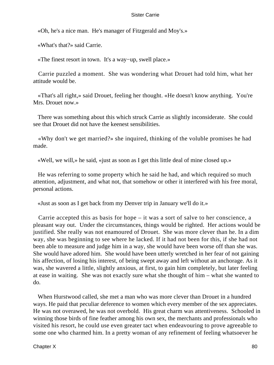«Oh, he's a nice man. He's manager of Fitzgerald and Moy's.»

«What's that?» said Carrie.

«The finest resort in town. It's a way−up, swell place.»

 Carrie puzzled a moment. She was wondering what Drouet had told him, what her attitude would be.

 «That's all right,» said Drouet, feeling her thought. «He doesn't know anything. You're Mrs. Drouet now.»

 There was something about this which struck Carrie as slightly inconsiderate. She could see that Drouet did not have the keenest sensibilities.

 «Why don't we get married?» she inquired, thinking of the voluble promises he had made.

«Well, we will,» he said, «just as soon as I get this little deal of mine closed up.»

 He was referring to some property which he said he had, and which required so much attention, adjustment, and what not, that somehow or other it interfered with his free moral, personal actions.

«Just as soon as I get back from my Denver trip in January we'll do it.»

 Carrie accepted this as basis for hope – it was a sort of salve to her conscience, a pleasant way out. Under the circumstances, things would be righted. Her actions would be justified. She really was not enamoured of Drouet. She was more clever than he. In a dim way, she was beginning to see where he lacked. If it had not been for this, if she had not been able to measure and judge him in a way, she would have been worse off than she was. She would have adored him. She would have been utterly wretched in her fear of not gaining his affection, of losing his interest, of being swept away and left without an anchorage. As it was, she wavered a little, slightly anxious, at first, to gain him completely, but later feeling at ease in waiting. She was not exactly sure what she thought of him – what she wanted to do.

 When Hurstwood called, she met a man who was more clever than Drouet in a hundred ways. He paid that peculiar deference to women which every member of the sex appreciates. He was not overawed, he was not overbold. His great charm was attentiveness. Schooled in winning those birds of fine feather among his own sex, the merchants and professionals who visited his resort, he could use even greater tact when endeavouring to prove agreeable to some one who charmed him. In a pretty woman of any refinement of feeling whatsoever he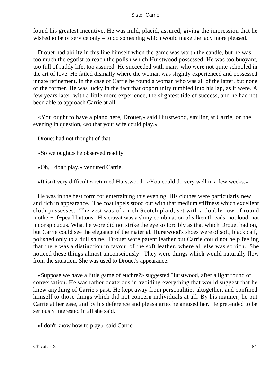found his greatest incentive. He was mild, placid, assured, giving the impression that he wished to be of service only – to do something which would make the lady more pleased.

 Drouet had ability in this line himself when the game was worth the candle, but he was too much the egotist to reach the polish which Hurstwood possessed. He was too buoyant, too full of ruddy life, too assured. He succeeded with many who were not quite schooled in the art of love. He failed dismally where the woman was slightly experienced and possessed innate refinement. In the case of Carrie he found a woman who was all of the latter, but none of the former. He was lucky in the fact that opportunity tumbled into his lap, as it were. A few years later, with a little more experience, the slightest tide of success, and he had not been able to approach Carrie at all.

 «You ought to have a piano here, Drouet,» said Hurstwood, smiling at Carrie, on the evening in question, «so that your wife could play.»

Drouet had not thought of that.

«So we ought,» he observed readily.

«Oh, I don't play,» ventured Carrie.

«It isn't very difficult,» returned Hurstwood. «You could do very well in a few weeks.»

 He was in the best form for entertaining this evening. His clothes were particularly new and rich in appearance. The coat lapels stood out with that medium stiffness which excellent cloth possesses. The vest was of a rich Scotch plaid, set with a double row of round mother−of−pearl buttons. His cravat was a shiny combination of silken threads, not loud, not inconspicuous. What he wore did not strike the eye so forcibly as that which Drouet had on, but Carrie could see the elegance of the material. Hurstwood's shoes were of soft, black calf, polished only to a dull shine. Drouet wore patent leather but Carrie could not help feeling that there was a distinction in favour of the soft leather, where all else was so rich. She noticed these things almost unconsciously. They were things which would naturally flow from the situation. She was used to Drouet's appearance.

 «Suppose we have a little game of euchre?» suggested Hurstwood, after a light round of conversation. He was rather dexterous in avoiding everything that would suggest that he knew anything of Carrie's past. He kept away from personalities altogether, and confined himself to those things which did not concern individuals at all. By his manner, he put Carrie at her ease, and by his deference and pleasantries he amused her. He pretended to be seriously interested in all she said.

«I don't know how to play,» said Carrie.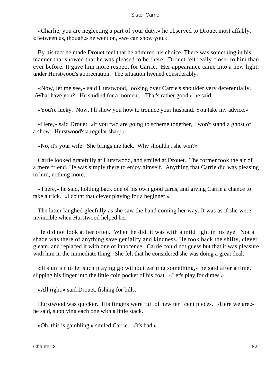«Charlie, you are neglecting a part of your duty,» he observed to Drouet most affably. «Between us, though,» he went on, «we can show you.»

 By his tact he made Drouet feel that he admired his choice. There was something in his manner that showed that he was pleased to be there. Drouet felt really closer to him than ever before. It gave him more respect for Carrie. Her appearance came into a new light, under Hurstwood's appreciation. The situation livened considerably.

 «Now, let me see,» said Hurstwood, looking over Carrie's shoulder very deferentially. «What have you?» He studied for a moment. «That's rather good,» he said.

«You're lucky. Now, I'll show you how to trounce your husband. You take my advice.»

 «Here,» said Drouet, «if you two are going to scheme together, I won't stand a ghost of a show. Hurstwood's a regular sharp.»

«No, it's your wife. She brings me luck. Why shouldn't she win?»

 Carrie looked gratefully at Hurstwood, and smiled at Drouet. The former took the air of a mere friend. He was simply there to enjoy himself. Anything that Carrie did was pleasing to him, nothing more.

 «There,» he said, holding back one of his own good cards, and giving Carrie a chance to take a trick. «I count that clever playing for a beginner.»

 The latter laughed gleefully as she saw the hand coming her way. It was as if she were invincible when Hurstwood helped her.

 He did not look at her often. When he did, it was with a mild light in his eye. Not a shade was there of anything save geniality and kindness. He took back the shifty, clever gleam, and replaced it with one of innocence. Carrie could not guess but that it was pleasure with him in the immediate thing. She felt that he considered she was doing a great deal.

 «It's unfair to let such playing go without earning something,» he said after a time, slipping his finger into the little coin pocket of his coat. «Let's play for dimes.»

«All right,» said Drouet, fishing for bills.

 Hurstwood was quicker. His fingers were full of new ten−cent pieces. «Here we are,» he said, supplying each one with a little stack.

«Oh, this is gambling,» smiled Carrie. «It's bad.»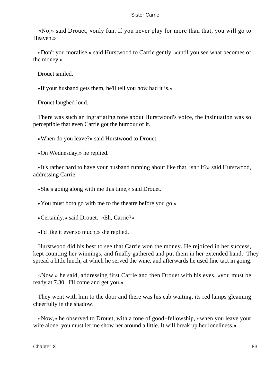«No,» said Drouet, «only fun. If you never play for more than that, you will go to Heaven.»

 «Don't you moralise,» said Hurstwood to Carrie gently, «until you see what becomes of the money.»

Drouet smiled.

«If your husband gets them, he'll tell you how bad it is.»

Drouet laughed loud.

 There was such an ingratiating tone about Hurstwood's voice, the insinuation was so perceptible that even Carrie got the humour of it.

«When do you leave?» said Hurstwood to Drouet.

«On Wednesday,» he replied.

 «It's rather hard to have your husband running about like that, isn't it?» said Hurstwood, addressing Carrie.

«She's going along with me this time,» said Drouet.

«You must both go with me to the theatre before you go.»

«Certainly,» said Drouet. «Eh, Carrie?»

«I'd like it ever so much,» she replied.

 Hurstwood did his best to see that Carrie won the money. He rejoiced in her success, kept counting her winnings, and finally gathered and put them in her extended hand. They spread a little lunch, at which he served the wine, and afterwards he used fine tact in going.

 «Now,» he said, addressing first Carrie and then Drouet with his eyes, «you must be ready at 7.30. I'll come and get you.»

 They went with him to the door and there was his cab waiting, its red lamps gleaming cheerfully in the shadow.

 «Now,» he observed to Drouet, with a tone of good−fellowship, «when you leave your wife alone, you must let me show her around a little. It will break up her loneliness.»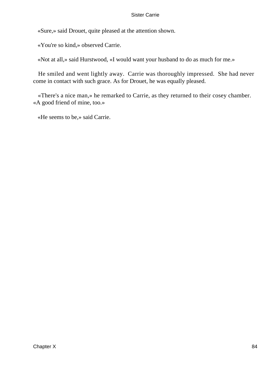«Sure,» said Drouet, quite pleased at the attention shown.

«You're so kind,» observed Carrie.

«Not at all,» said Hurstwood, «I would want your husband to do as much for me.»

 He smiled and went lightly away. Carrie was thoroughly impressed. She had never come in contact with such grace. As for Drouet, he was equally pleased.

 «There's a nice man,» he remarked to Carrie, as they returned to their cosey chamber. «A good friend of mine, too.»

«He seems to be,» said Carrie.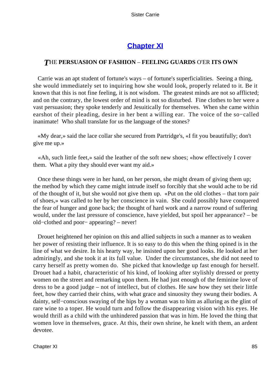# **[Chapter XI](#page-428-0)**

## *T*HE **PERSUASION OF FASHION** – **FEELING GUARDS** O'ER **ITS OWN**

 Carrie was an apt student of fortune's ways – of fortune's superficialities. Seeing a thing, she would immediately set to inquiring how she would look, properly related to it. Be it known that this is not fine feeling, it is not wisdom. The greatest minds are not so afflicted; and on the contrary, the lowest order of mind is not so disturbed. Fine clothes to her were a vast persuasion; they spoke tenderly and Jesuitically for themselves. When she came within earshot of their pleading, desire in her bent a willing ear. The voice of the so−called inanimate! Who shall translate for us the language of the stones?

 «My dear,» said the lace collar she secured from Partridge's, «I fit you beautifully; don't give me up.»

 «Ah, such little feet,» said the leather of the soft new shoes; «how effectively I cover them. What a pity they should ever want my aid.»

 Once these things were in her hand, on her person, she might dream of giving them up; the method by which they came might intrude itself so forcibly that she would ache to be rid of the thought of it, but she would not give them up. «Put on the old clothes – that torn pair of shoes,» was called to her by her conscience in vain. She could possibly have conquered the fear of hunger and gone back; the thought of hard work and a narrow round of suffering would, under the last pressure of conscience, have yielded, but spoil her appearance? – be old−clothed and poor− appearing? – never!

 Drouet heightened her opinion on this and allied subjects in such a manner as to weaken her power of resisting their influence. It is so easy to do this when the thing opined is in the line of what we desire. In his hearty way, he insisted upon her good looks. He looked at her admiringly, and she took it at its full value. Under the circumstances, she did not need to carry herself as pretty women do. She picked that knowledge up fast enough for herself. Drouet had a habit, characteristic of his kind, of looking after stylishly dressed or pretty women on the street and remarking upon them. He had just enough of the feminine love of dress to be a good judge – not of intellect, but of clothes. He saw how they set their little feet, how they carried their chins, with what grace and sinuosity they swung their bodies. A dainty, self−conscious swaying of the hips by a woman was to him as alluring as the glint of rare wine to a toper. He would turn and follow the disappearing vision with his eyes. He would thrill as a child with the unhindered passion that was in him. He loved the thing that women love in themselves, grace. At this, their own shrine, he knelt with them, an ardent devotee.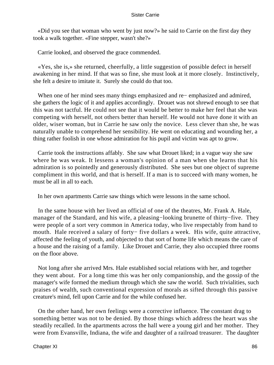«Did you see that woman who went by just now?» he said to Carrie on the first day they took a walk together. «Fine stepper, wasn't she?»

Carrie looked, and observed the grace commended.

 «Yes, she is,» she returned, cheerfully, a little suggestion of possible defect in herself awakening in her mind. If that was so fine, she must look at it more closely. Instinctively, she felt a desire to imitate it. Surely she could do that too.

 When one of her mind sees many things emphasized and re− emphasized and admired, she gathers the logic of it and applies accordingly. Drouet was not shrewd enough to see that this was not tactful. He could not see that it would be better to make her feel that she was competing with herself, not others better than herself. He would not have done it with an older, wiser woman, but in Carrie he saw only the novice. Less clever than she, he was naturally unable to comprehend her sensibility. He went on educating and wounding her, a thing rather foolish in one whose admiration for his pupil and victim was apt to grow.

 Carrie took the instructions affably. She saw what Drouet liked; in a vague way she saw where he was weak. It lessens a woman's opinion of a man when she learns that his admiration is so pointedly and generously distributed. She sees but one object of supreme compliment in this world, and that is herself. If a man is to succeed with many women, he must be all in all to each.

In her own apartments Carrie saw things which were lessons in the same school.

 In the same house with her lived an official of one of the theatres, Mr. Frank A. Hale, manager of the Standard, and his wife, a pleasing−looking brunette of thirty−five. They were people of a sort very common in America today, who live respectably from hand to mouth. Hale received a salary of forty− five dollars a week. His wife, quite attractive, affected the feeling of youth, and objected to that sort of home life which means the care of a house and the raising of a family. Like Drouet and Carrie, they also occupied three rooms on the floor above.

 Not long after she arrived Mrs. Hale established social relations with her, and together they went about. For a long time this was her only companionship, and the gossip of the manager's wife formed the medium through which she saw the world. Such trivialities, such praises of wealth, such conventional expression of morals as sifted through this passive creature's mind, fell upon Carrie and for the while confused her.

 On the other hand, her own feelings were a corrective influence. The constant drag to something better was not to be denied. By those things which address the heart was she steadily recalled. In the apartments across the hall were a young girl and her mother. They were from Evansville, Indiana, the wife and daughter of a railroad treasurer. The daughter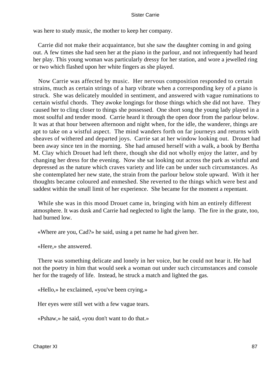was here to study music, the mother to keep her company.

 Carrie did not make their acquaintance, but she saw the daughter coming in and going out. A few times she had seen her at the piano in the parlour, and not infrequently had heard her play. This young woman was particularly dressy for her station, and wore a jewelled ring or two which flashed upon her white fingers as she played.

 Now Carrie was affected by music. Her nervous composition responded to certain strains, much as certain strings of a harp vibrate when a corresponding key of a piano is struck. She was delicately moulded in sentiment, and answered with vague ruminations to certain wistful chords. They awoke longings for those things which she did not have. They caused her to cling closer to things she possessed. One short song the young lady played in a most soulful and tender mood. Carrie heard it through the open door from the parlour below. It was at that hour between afternoon and night when, for the idle, the wanderer, things are apt to take on a wistful aspect. The mind wanders forth on far journeys and returns with sheaves of withered and departed joys. Carrie sat at her window looking out. Drouet had been away since ten in the morning. She had amused herself with a walk, a book by Bertha M. Clay which Drouet had left there, though she did not wholly enjoy the latter, and by changing her dress for the evening. Now she sat looking out across the park as wistful and depressed as the nature which craves variety and life can be under such circumstances. As she contemplated her new state, the strain from the parlour below stole upward. With it her thoughts became coloured and enmeshed. She reverted to the things which were best and saddest within the small limit of her experience. She became for the moment a repentant.

 While she was in this mood Drouet came in, bringing with him an entirely different atmosphere. It was dusk and Carrie had neglected to light the lamp. The fire in the grate, too, had burned low.

«Where are you, Cad?» he said, using a pet name he had given her.

«Here,» she answered.

 There was something delicate and lonely in her voice, but he could not hear it. He had not the poetry in him that would seek a woman out under such circumstances and console her for the tragedy of life. Instead, he struck a match and lighted the gas.

«Hello,» he exclaimed, «you've been crying.»

Her eyes were still wet with a few vague tears.

«Pshaw,» he said, «you don't want to do that.»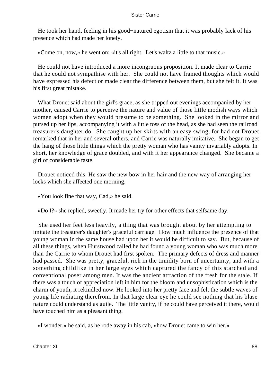He took her hand, feeling in his good−natured egotism that it was probably lack of his presence which had made her lonely.

«Come on, now,» he went on; «it's all right. Let's waltz a little to that music.»

 He could not have introduced a more incongruous proposition. It made clear to Carrie that he could not sympathise with her. She could not have framed thoughts which would have expressed his defect or made clear the difference between them, but she felt it. It was his first great mistake.

 What Drouet said about the girl's grace, as she tripped out evenings accompanied by her mother, caused Carrie to perceive the nature and value of those little modish ways which women adopt when they would presume to be something. She looked in the mirror and pursed up her lips, accompanying it with a little toss of the head, as she had seen the railroad treasurer's daughter do. She caught up her skirts with an easy swing, for had not Drouet remarked that in her and several others, and Carrie was naturally imitative. She began to get the hang of those little things which the pretty woman who has vanity invariably adopts. In short, her knowledge of grace doubled, and with it her appearance changed. She became a girl of considerable taste.

 Drouet noticed this. He saw the new bow in her hair and the new way of arranging her locks which she affected one morning.

«You look fine that way, Cad,» he said.

«Do I?» she replied, sweetly. It made her try for other effects that selfsame day.

 She used her feet less heavily, a thing that was brought about by her attempting to imitate the treasurer's daughter's graceful carriage. How much influence the presence of that young woman in the same house had upon her it would be difficult to say. But, because of all these things, when Hurstwood called he had found a young woman who was much more than the Carrie to whom Drouet had first spoken. The primary defects of dress and manner had passed. She was pretty, graceful, rich in the timidity born of uncertainty, and with a something childlike in her large eyes which captured the fancy of this starched and conventional poser among men. It was the ancient attraction of the fresh for the stale. If there was a touch of appreciation left in him for the bloom and unsophistication which is the charm of youth, it rekindled now. He looked into her pretty face and felt the subtle waves of young life radiating therefrom. In that large clear eye he could see nothing that his blase nature could understand as guile. The little vanity, if he could have perceived it there, would have touched him as a pleasant thing.

«I wonder,» he said, as he rode away in his cab, «how Drouet came to win her.»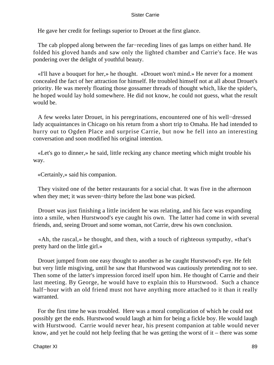He gave her credit for feelings superior to Drouet at the first glance.

 The cab plopped along between the far−receding lines of gas lamps on either hand. He folded his gloved hands and saw only the lighted chamber and Carrie's face. He was pondering over the delight of youthful beauty.

 «I'll have a bouquet for her,» he thought. «Drouet won't mind.» He never for a moment concealed the fact of her attraction for himself. He troubled himself not at all about Drouet's priority. He was merely floating those gossamer threads of thought which, like the spider's, he hoped would lay hold somewhere. He did not know, he could not guess, what the result would be.

 A few weeks later Drouet, in his peregrinations, encountered one of his well−dressed lady acquaintances in Chicago on his return from a short trip to Omaha. He had intended to hurry out to Ogden Place and surprise Carrie, but now he fell into an interesting conversation and soon modified his original intention.

 «Let's go to dinner,» he said, little recking any chance meeting which might trouble his way.

«Certainly,» said his companion.

 They visited one of the better restaurants for a social chat. It was five in the afternoon when they met; it was seven−thirty before the last bone was picked.

 Drouet was just finishing a little incident he was relating, and his face was expanding into a smile, when Hurstwood's eye caught his own. The latter had come in with several friends, and, seeing Drouet and some woman, not Carrie, drew his own conclusion.

 «Ah, the rascal,» he thought, and then, with a touch of righteous sympathy, «that's pretty hard on the little girl.»

 Drouet jumped from one easy thought to another as he caught Hurstwood's eye. He felt but very little misgiving, until he saw that Hurstwood was cautiously pretending not to see. Then some of the latter's impression forced itself upon him. He thought of Carrie and their last meeting. By George, he would have to explain this to Hurstwood. Such a chance half−hour with an old friend must not have anything more attached to it than it really warranted.

 For the first time he was troubled. Here was a moral complication of which he could not possibly get the ends. Hurstwood would laugh at him for being a fickle boy. He would laugh with Hurstwood. Carrie would never hear, his present companion at table would never know, and yet he could not help feeling that he was getting the worst of it – there was some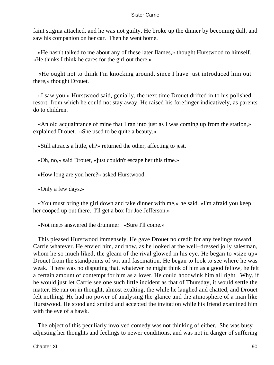faint stigma attached, and he was not guilty. He broke up the dinner by becoming dull, and saw his companion on her car. Then he went home.

 «He hasn't talked to me about any of these later flames,» thought Hurstwood to himself. «He thinks I think he cares for the girl out there.»

 «He ought not to think I'm knocking around, since I have just introduced him out there,» thought Drouet.

 «I saw you,» Hurstwood said, genially, the next time Drouet drifted in to his polished resort, from which he could not stay away. He raised his forefinger indicatively, as parents do to children.

 «An old acquaintance of mine that I ran into just as I was coming up from the station,» explained Drouet. «She used to be quite a beauty.»

«Still attracts a little, eh?» returned the other, affecting to jest.

«Oh, no,» said Drouet, «just couldn't escape her this time.»

«How long are you here?» asked Hurstwood.

«Only a few days.»

 «You must bring the girl down and take dinner with me,» he said. «I'm afraid you keep her cooped up out there. I'll get a box for Joe Jefferson.»

«Not me,» answered the drummer. «Sure I'll come.»

 This pleased Hurstwood immensely. He gave Drouet no credit for any feelings toward Carrie whatever. He envied him, and now, as he looked at the well−dressed jolly salesman, whom he so much liked, the gleam of the rival glowed in his eye. He began to «size up» Drouet from the standpoints of wit and fascination. He began to look to see where he was weak. There was no disputing that, whatever he might think of him as a good fellow, he felt a certain amount of contempt for him as a lover. He could hoodwink him all right. Why, if he would just let Carrie see one such little incident as that of Thursday, it would settle the matter. He ran on in thought, almost exulting, the while he laughed and chatted, and Drouet felt nothing. He had no power of analysing the glance and the atmosphere of a man like Hurstwood. He stood and smiled and accepted the invitation while his friend examined him with the eye of a hawk.

 The object of this peculiarly involved comedy was not thinking of either. She was busy adjusting her thoughts and feelings to newer conditions, and was not in danger of suffering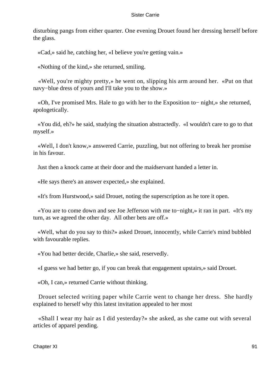disturbing pangs from either quarter. One evening Drouet found her dressing herself before the glass.

«Cad,» said he, catching her, «I believe you're getting vain.»

«Nothing of the kind,» she returned, smiling.

 «Well, you're mighty pretty,» he went on, slipping his arm around her. «Put on that navy−blue dress of yours and I'll take you to the show.»

 «Oh, I've promised Mrs. Hale to go with her to the Exposition to− night,» she returned, apologetically.

 «You did, eh?» he said, studying the situation abstractedly. «I wouldn't care to go to that myself.»

 «Well, I don't know,» answered Carrie, puzzling, but not offering to break her promise in his favour.

Just then a knock came at their door and the maidservant handed a letter in.

«He says there's an answer expected,» she explained.

«It's from Hurstwood,» said Drouet, noting the superscription as he tore it open.

 «You are to come down and see Joe Jefferson with me to−night,» it ran in part. «It's my turn, as we agreed the other day. All other bets are off.»

 «Well, what do you say to this?» asked Drouet, innocently, while Carrie's mind bubbled with favourable replies.

«You had better decide, Charlie,» she said, reservedly.

«I guess we had better go, if you can break that engagement upstairs,» said Drouet.

«Oh, I can,» returned Carrie without thinking.

 Drouet selected writing paper while Carrie went to change her dress. She hardly explained to herself why this latest invitation appealed to her most

 «Shall I wear my hair as I did yesterday?» she asked, as she came out with several articles of apparel pending.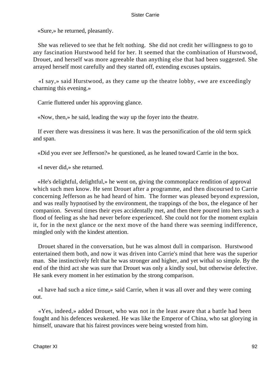«Sure,» he returned, pleasantly.

 She was relieved to see that he felt nothing. She did not credit her willingness to go to any fascination Hurstwood held for her. It seemed that the combination of Hurstwood, Drouet, and herself was more agreeable than anything else that had been suggested. She arrayed herself most carefully and they started off, extending excuses upstairs.

 «I say,» said Hurstwood, as they came up the theatre lobby, «we are exceedingly charming this evening.»

Carrie fluttered under his approving glance.

«Now, then,» he said, leading the way up the foyer into the theatre.

 If ever there was dressiness it was here. It was the personification of the old term spick and span.

«Did you ever see Jefferson?» he questioned, as he leaned toward Carrie in the box.

«I never did,» she returned.

 «He's delightful, delightful,» he went on, giving the commonplace rendition of approval which such men know. He sent Drouet after a programme, and then discoursed to Carrie concerning Jefferson as he had heard of him. The former was pleased beyond expression, and was really hypnotised by the environment, the trappings of the box, the elegance of her companion. Several times their eyes accidentally met, and then there poured into hers such a flood of feeling as she had never before experienced. She could not for the moment explain it, for in the next glance or the next move of the hand there was seeming indifference, mingled only with the kindest attention.

 Drouet shared in the conversation, but he was almost dull in comparison. Hurstwood entertained them both, and now it was driven into Carrie's mind that here was the superior man. She instinctively felt that he was stronger and higher, and yet withal so simple. By the end of the third act she was sure that Drouet was only a kindly soul, but otherwise defective. He sank every moment in her estimation by the strong comparison.

 «I have had such a nice time,» said Carrie, when it was all over and they were coming out.

 «Yes, indeed,» added Drouet, who was not in the least aware that a battle had been fought and his defences weakened. He was like the Emperor of China, who sat glorying in himself, unaware that his fairest provinces were being wrested from him.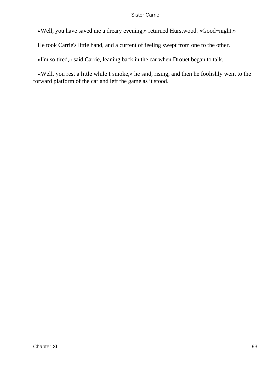«Well, you have saved me a dreary evening,» returned Hurstwood. «Good−night.»

He took Carrie's little hand, and a current of feeling swept from one to the other.

«I'm so tired,» said Carrie, leaning back in the car when Drouet began to talk.

 «Well, you rest a little while I smoke,» he said, rising, and then he foolishly went to the forward platform of the car and left the game as it stood.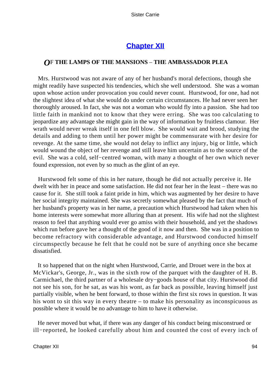## **[Chapter XII](#page-428-0)**

### *O*F **THE LAMPS OF THE MANSIONS** – **THE AMBASSADOR PLEA**

 Mrs. Hurstwood was not aware of any of her husband's moral defections, though she might readily have suspected his tendencies, which she well understood. She was a woman upon whose action under provocation you could never count. Hurstwood, for one, had not the slightest idea of what she would do under certain circumstances. He had never seen her thoroughly aroused. In fact, she was not a woman who would fly into a passion. She had too little faith in mankind not to know that they were erring. She was too calculating to jeopardize any advantage she might gain in the way of information by fruitless clamour. Her wrath would never wreak itself in one fell blow. She would wait and brood, studying the details and adding to them until her power might be commensurate with her desire for revenge. At the same time, she would not delay to inflict any injury, big or little, which would wound the object of her revenge and still leave him uncertain as to the source of the evil. She was a cold, self−centred woman, with many a thought of her own which never found expression, not even by so much as the glint of an eye.

 Hurstwood felt some of this in her nature, though he did not actually perceive it. He dwelt with her in peace and some satisfaction. He did not fear her in the least – there was no cause for it. She still took a faint pride in him, which was augmented by her desire to have her social integrity maintained. She was secretly somewhat pleased by the fact that much of her husband's property was in her name, a precaution which Hurstwood had taken when his home interests were somewhat more alluring than at present. His wife had not the slightest reason to feel that anything would ever go amiss with their household, and yet the shadows which run before gave her a thought of the good of it now and then. She was in a position to become refractory with considerable advantage, and Hurstwood conducted himself circumspectly because he felt that he could not be sure of anything once she became dissatisfied.

 It so happened that on the night when Hurstwood, Carrie, and Drouet were in the box at McVickar's, George, Jr., was in the sixth row of the parquet with the daughter of H. B. Carmichael, the third partner of a wholesale dry−goods house of that city. Hurstwood did not see his son, for he sat, as was his wont, as far back as possible, leaving himself just partially visible, when he bent forward, to those within the first six rows in question. It was his wont to sit this way in every theatre – to make his personality as inconspicuous as possible where it would be no advantage to him to have it otherwise.

 He never moved but what, if there was any danger of his conduct being misconstrued or ill−reported, he looked carefully about him and counted the cost of every inch of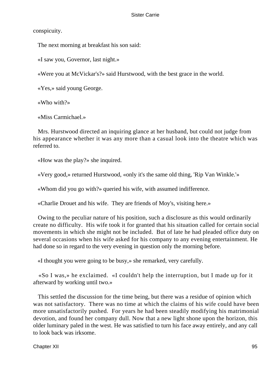conspicuity.

The next morning at breakfast his son said:

«I saw you, Governor, last night.»

«Were you at McVickar's?» said Hurstwood, with the best grace in the world.

«Yes,» said young George.

«Who with?»

«Miss Carmichael.»

 Mrs. Hurstwood directed an inquiring glance at her husband, but could not judge from his appearance whether it was any more than a casual look into the theatre which was referred to.

«How was the play?» she inquired.

«Very good,» returned Hurstwood, «only it's the same old thing, 'Rip Van Winkle.'»

«Whom did you go with?» queried his wife, with assumed indifference.

«Charlie Drouet and his wife. They are friends of Moy's, visiting here.»

 Owing to the peculiar nature of his position, such a disclosure as this would ordinarily create no difficulty. His wife took it for granted that his situation called for certain social movements in which she might not be included. But of late he had pleaded office duty on several occasions when his wife asked for his company to any evening entertainment. He had done so in regard to the very evening in question only the morning before.

«I thought you were going to be busy,» she remarked, very carefully.

 «So I was,» he exclaimed. «I couldn't help the interruption, but I made up for it afterward by working until two.»

 This settled the discussion for the time being, but there was a residue of opinion which was not satisfactory. There was no time at which the claims of his wife could have been more unsatisfactorily pushed. For years he had been steadily modifying his matrimonial devotion, and found her company dull. Now that a new light shone upon the horizon, this older luminary paled in the west. He was satisfied to turn his face away entirely, and any call to look back was irksome.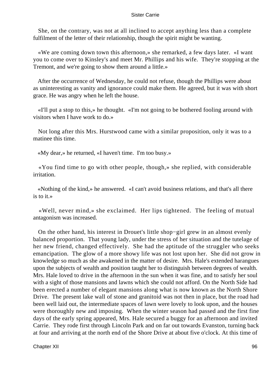She, on the contrary, was not at all inclined to accept anything less than a complete fulfilment of the letter of their relationship, though the spirit might be wanting.

 «We are coming down town this afternoon,» she remarked, a few days later. «I want you to come over to Kinsley's and meet Mr. Phillips and his wife. They're stopping at the Tremont, and we're going to show them around a little.»

 After the occurrence of Wednesday, he could not refuse, though the Phillips were about as uninteresting as vanity and ignorance could make them. He agreed, but it was with short grace. He was angry when he left the house.

 «I'll put a stop to this,» he thought. «I'm not going to be bothered fooling around with visitors when I have work to do.»

 Not long after this Mrs. Hurstwood came with a similar proposition, only it was to a matinee this time.

«My dear,» he returned, «I haven't time. I'm too busy.»

 «You find time to go with other people, though,» she replied, with considerable irritation.

 «Nothing of the kind,» he answered. «I can't avoid business relations, and that's all there is to it.»

 «Well, never mind,» she exclaimed. Her lips tightened. The feeling of mutual antagonism was increased.

 On the other hand, his interest in Drouet's little shop−girl grew in an almost evenly balanced proportion. That young lady, under the stress of her situation and the tutelage of her new friend, changed effectively. She had the aptitude of the struggler who seeks emancipation. The glow of a more showy life was not lost upon her. She did not grow in knowledge so much as she awakened in the matter of desire. Mrs. Hale's extended harangues upon the subjects of wealth and position taught her to distinguish between degrees of wealth. Mrs. Hale loved to drive in the afternoon in the sun when it was fine, and to satisfy her soul with a sight of those mansions and lawns which she could not afford. On the North Side had been erected a number of elegant mansions along what is now known as the North Shore Drive. The present lake wall of stone and granitoid was not then in place, but the road had been well laid out, the intermediate spaces of lawn were lovely to look upon, and the houses were thoroughly new and imposing. When the winter season had passed and the first fine days of the early spring appeared, Mrs. Hale secured a buggy for an afternoon and invited Carrie. They rode first through Lincoln Park and on far out towards Evanston, turning back at four and arriving at the north end of the Shore Drive at about five o'clock. At this time of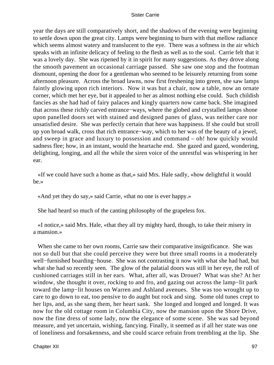year the days are still comparatively short, and the shadows of the evening were beginning to settle down upon the great city. Lamps were beginning to burn with that mellow radiance which seems almost watery and translucent to the eye. There was a softness in the air which speaks with an infinite delicacy of feeling to the flesh as well as to the soul. Carrie felt that it was a lovely day. She was ripened by it in spirit for many suggestions. As they drove along the smooth pavement an occasional carriage passed. She saw one stop and the footman dismount, opening the door for a gentleman who seemed to be leisurely returning from some afternoon pleasure. Across the broad lawns, now first freshening into green, she saw lamps faintly glowing upon rich interiors. Now it was but a chair, now a table, now an ornate corner, which met her eye, but it appealed to her as almost nothing else could. Such childish fancies as she had had of fairy palaces and kingly quarters now came back. She imagined that across these richly carved entrance−ways, where the globed and crystalled lamps shone upon panelled doors set with stained and designed panes of glass, was neither care nor unsatisfied desire. She was perfectly certain that here was happiness. If she could but stroll up yon broad walk, cross that rich entrance−way, which to her was of the beauty of a jewel, and sweep in grace and luxury to possession and command – oh! how quickly would sadness flee; how, in an instant, would the heartache end. She gazed and gazed, wondering, delighting, longing, and all the while the siren voice of the unrestful was whispering in her ear.

 «If we could have such a home as that,» said Mrs. Hale sadly, «how delightful it would be.»

«And yet they do say,» said Carrie, «that no one is ever happy.»

She had heard so much of the canting philosophy of the grapeless fox.

 «I notice,» said Mrs. Hale, «that they all try mighty hard, though, to take their misery in a mansion.»

 When she came to her own rooms, Carrie saw their comparative insignificance. She was not so dull but that she could perceive they were but three small rooms in a moderately well−furnished boarding−house. She was not contrasting it now with what she had had, but what she had so recently seen. The glow of the palatial doors was still in her eye, the roll of cushioned carriages still in her ears. What, after all, was Drouet? What was she? At her window, she thought it over, rocking to and fro, and gazing out across the lamp−lit park toward the lamp−lit houses on Warren and Ashland avenues. She was too wrought up to care to go down to eat, too pensive to do aught but rock and sing. Some old tunes crept to her lips, and, as she sang them, her heart sank. She longed and longed and longed. It was now for the old cottage room in Columbia City, now the mansion upon the Shore Drive, now the fine dress of some lady, now the elegance of some scene. She was sad beyond measure, and yet uncertain, wishing, fancying. Finally, it seemed as if all her state was one of loneliness and forsakenness, and she could scarce refrain from trembling at the lip. She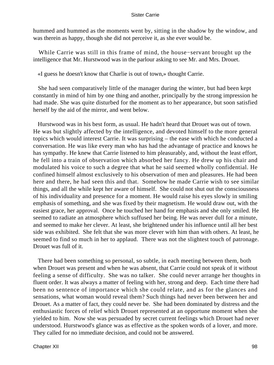hummed and hummed as the moments went by, sitting in the shadow by the window, and was therein as happy, though she did not perceive it, as she ever would be.

 While Carrie was still in this frame of mind, the house−servant brought up the intelligence that Mr. Hurstwood was in the parlour asking to see Mr. and Mrs. Drouet.

«I guess he doesn't know that Charlie is out of town,» thought Carrie.

 She had seen comparatively little of the manager during the winter, but had been kept constantly in mind of him by one thing and another, principally by the strong impression he had made. She was quite disturbed for the moment as to her appearance, but soon satisfied herself by the aid of the mirror, and went below.

 Hurstwood was in his best form, as usual. He hadn't heard that Drouet was out of town. He was but slightly affected by the intelligence, and devoted himself to the more general topics which would interest Carrie. It was surprising – the ease with which he conducted a conversation. He was like every man who has had the advantage of practice and knows he has sympathy. He knew that Carrie listened to him pleasurably, and, without the least effort, he fell into a train of observation which absorbed her fancy. He drew up his chair and modulated his voice to such a degree that what he said seemed wholly confidential. He confined himself almost exclusively to his observation of men and pleasures. He had been here and there, he had seen this and that. Somehow he made Carrie wish to see similar things, and all the while kept her aware of himself. She could not shut out the consciousness of his individuality and presence for a moment. He would raise his eyes slowly in smiling emphasis of something, and she was fixed by their magnetism. He would draw out, with the easiest grace, her approval. Once he touched her hand for emphasis and she only smiled. He seemed to radiate an atmosphere which suffused her being. He was never dull for a minute, and seemed to make her clever. At least, she brightened under his influence until all her best side was exhibited. She felt that she was more clever with him than with others. At least, he seemed to find so much in her to applaud. There was not the slightest touch of patronage. Drouet was full of it.

 There had been something so personal, so subtle, in each meeting between them, both when Drouet was present and when he was absent, that Carrie could not speak of it without feeling a sense of difficulty. She was no talker. She could never arrange her thoughts in fluent order. It was always a matter of feeling with her, strong and deep. Each time there had been no sentence of importance which she could relate, and as for the glances and sensations, what woman would reveal them? Such things had never been between her and Drouet. As a matter of fact, they could never be. She had been dominated by distress and the enthusiastic forces of relief which Drouet represented at an opportune moment when she yielded to him. Now she was persuaded by secret current feelings which Drouet had never understood. Hurstwood's glance was as effective as the spoken words of a lover, and more. They called for no immediate decision, and could not be answered.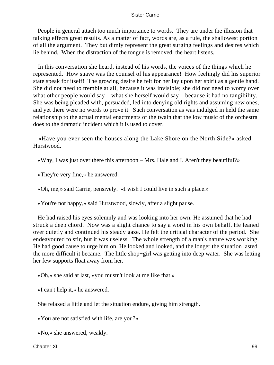People in general attach too much importance to words. They are under the illusion that talking effects great results. As a matter of fact, words are, as a rule, the shallowest portion of all the argument. They but dimly represent the great surging feelings and desires which lie behind. When the distraction of the tongue is removed, the heart listens.

 In this conversation she heard, instead of his words, the voices of the things which he represented. How suave was the counsel of his appearance! How feelingly did his superior state speak for itself! The growing desire he felt for her lay upon her spirit as a gentle hand. She did not need to tremble at all, because it was invisible; she did not need to worry over what other people would say – what she herself would say – because it had no tangibility. She was being pleaded with, persuaded, led into denying old rights and assuming new ones, and yet there were no words to prove it. Such conversation as was indulged in held the same relationship to the actual mental enactments of the twain that the low music of the orchestra does to the dramatic incident which it is used to cover.

 «Have you ever seen the houses along the Lake Shore on the North Side?» asked Hurstwood.

«Why, I was just over there this afternoon – Mrs. Hale and I. Aren't they beautiful?»

«They're very fine,» he answered.

«Oh, me,» said Carrie, pensively. «I wish I could live in such a place.»

«You're not happy,» said Hurstwood, slowly, after a slight pause.

 He had raised his eyes solemnly and was looking into her own. He assumed that he had struck a deep chord. Now was a slight chance to say a word in his own behalf. He leaned over quietly and continued his steady gaze. He felt the critical character of the period. She endeavoured to stir, but it was useless. The whole strength of a man's nature was working. He had good cause to urge him on. He looked and looked, and the longer the situation lasted the more difficult it became. The little shop−girl was getting into deep water. She was letting her few supports float away from her.

«Oh,» she said at last, «you mustn't look at me like that.»

«I can't help it,» he answered.

She relaxed a little and let the situation endure, giving him strength.

«You are not satisfied with life, are you?»

«No,» she answered, weakly.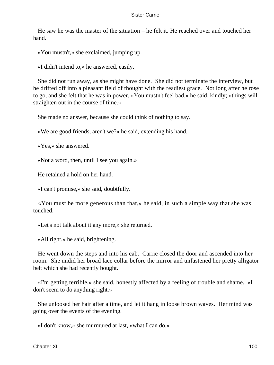He saw he was the master of the situation – he felt it. He reached over and touched her hand.

«You mustn't,» she exclaimed, jumping up.

«I didn't intend to,» he answered, easily.

 She did not run away, as she might have done. She did not terminate the interview, but he drifted off into a pleasant field of thought with the readiest grace. Not long after he rose to go, and she felt that he was in power. «You mustn't feel bad,» he said, kindly; «things will straighten out in the course of time.»

She made no answer, because she could think of nothing to say.

«We are good friends, aren't we?» he said, extending his hand.

«Yes,» she answered.

«Not a word, then, until I see you again.»

He retained a hold on her hand.

«I can't promise,» she said, doubtfully.

 «You must be more generous than that,» he said, in such a simple way that she was touched.

«Let's not talk about it any more,» she returned.

«All right,» he said, brightening.

 He went down the steps and into his cab. Carrie closed the door and ascended into her room. She undid her broad lace collar before the mirror and unfastened her pretty alligator belt which she had recently bought.

 «I'm getting terrible,» she said, honestly affected by a feeling of trouble and shame. «I don't seem to do anything right.»

 She unloosed her hair after a time, and let it hang in loose brown waves. Her mind was going over the events of the evening.

«I don't know,» she murmured at last, «what I can do.»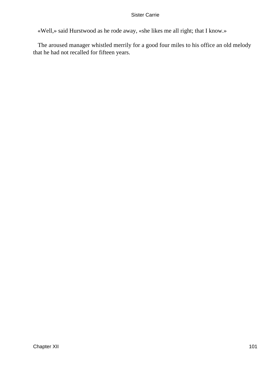«Well,» said Hurstwood as he rode away, «she likes me all right; that I know.»

 The aroused manager whistled merrily for a good four miles to his office an old melody that he had not recalled for fifteen years.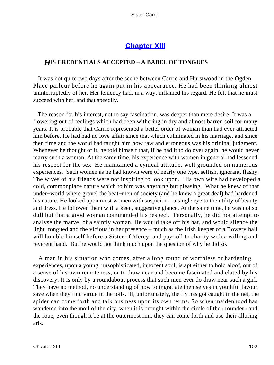## **[Chapter XIII](#page-428-0)**

### *H*IS **CREDENTIALS ACCEPTED** – **A BABEL OF TONGUES**

 It was not quite two days after the scene between Carrie and Hurstwood in the Ogden Place parlour before he again put in his appearance. He had been thinking almost uninterruptedly of her. Her leniency had, in a way, inflamed his regard. He felt that he must succeed with her, and that speedily.

 The reason for his interest, not to say fascination, was deeper than mere desire. It was a flowering out of feelings which had been withering in dry and almost barren soil for many years. It is probable that Carrie represented a better order of woman than had ever attracted him before. He had had no love affair since that which culminated in his marriage, and since then time and the world had taught him how raw and erroneous was his original judgment. Whenever he thought of it, he told himself that, if he had it to do over again, he would never marry such a woman. At the same time, his experience with women in general had lessened his respect for the sex. He maintained a cynical attitude, well grounded on numerous experiences. Such women as he had known were of nearly one type, selfish, ignorant, flashy. The wives of his friends were not inspiring to look upon. His own wife had developed a cold, commonplace nature which to him was anything but pleasing. What he knew of that under−world where grovel the beat−men of society (and he knew a great deal) had hardened his nature. He looked upon most women with suspicion – a single eye to the utility of beauty and dress. He followed them with a keen, suggestive glance. At the same time, he was not so dull but that a good woman commanded his respect. Personally, he did not attempt to analyse the marvel of a saintly woman. He would take off his hat, and would silence the light−tongued and the vicious in her presence – much as the Irish keeper of a Bowery hall will humble himself before a Sister of Mercy, and pay toll to charity with a willing and reverent hand. But he would not think much upon the question of why he did so.

 A man in his situation who comes, after a long round of worthless or hardening experiences, upon a young, unsophisticated, innocent soul, is apt either to hold aloof, out of a sense of his own remoteness, or to draw near and become fascinated and elated by his discovery. It is only by a roundabout process that such men ever do draw near such a girl. They have no method, no understanding of how to ingratiate themselves in youthful favour, save when they find virtue in the toils. If, unfortunately, the fly has got caught in the net, the spider can come forth and talk business upon its own terms. So when maidenhood has wandered into the moil of the city, when it is brought within the circle of the «rounder» and the roue, even though it be at the outermost rim, they can come forth and use their alluring arts.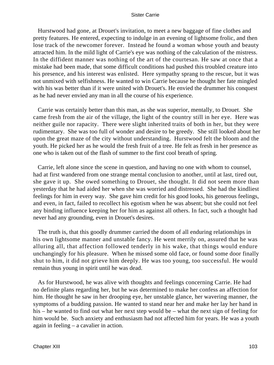Hurstwood had gone, at Drouet's invitation, to meet a new baggage of fine clothes and pretty features. He entered, expecting to indulge in an evening of lightsome frolic, and then lose track of the newcomer forever. Instead he found a woman whose youth and beauty attracted him. In the mild light of Carrie's eye was nothing of the calculation of the mistress. In the diffident manner was nothing of the art of the courtesan. He saw at once that a mistake had been made, that some difficult conditions had pushed this troubled creature into his presence, and his interest was enlisted. Here sympathy sprang to the rescue, but it was not unmixed with selfishness. He wanted to win Carrie because he thought her fate mingled with his was better than if it were united with Drouet's. He envied the drummer his conquest as he had never envied any man in all the course of his experience.

 Carrie was certainly better than this man, as she was superior, mentally, to Drouet. She came fresh from the air of the village, the light of the country still in her eye. Here was neither guile nor rapacity. There were slight inherited traits of both in her, but they were rudimentary. She was too full of wonder and desire to be greedy. She still looked about her upon the great maze of the city without understanding. Hurstwood felt the bloom and the youth. He picked her as he would the fresh fruit of a tree. He felt as fresh in her presence as one who is taken out of the flash of summer to the first cool breath of spring.

 Carrie, left alone since the scene in question, and having no one with whom to counsel, had at first wandered from one strange mental conclusion to another, until at last, tired out, she gave it up. She owed something to Drouet, she thought. It did not seem more than yesterday that he had aided her when she was worried and distressed. She had the kindliest feelings for him in every way. She gave him credit for his good looks, his generous feelings, and even, in fact, failed to recollect his egotism when he was absent; but she could not feel any binding influence keeping her for him as against all others. In fact, such a thought had never had any grounding, even in Drouet's desires.

 The truth is, that this goodly drummer carried the doom of all enduring relationships in his own lightsome manner and unstable fancy. He went merrily on, assured that he was alluring all, that affection followed tenderly in his wake, that things would endure unchangingly for his pleasure. When he missed some old face, or found some door finally shut to him, it did not grieve him deeply. He was too young, too successful. He would remain thus young in spirit until he was dead.

 As for Hurstwood, he was alive with thoughts and feelings concerning Carrie. He had no definite plans regarding her, but he was determined to make her confess an affection for him. He thought he saw in her drooping eye, her unstable glance, her wavering manner, the symptoms of a budding passion. He wanted to stand near her and make her lay her hand in his – he wanted to find out what her next step would be – what the next sign of feeling for him would be. Such anxiety and enthusiasm had not affected him for years. He was a youth again in feeling – a cavalier in action.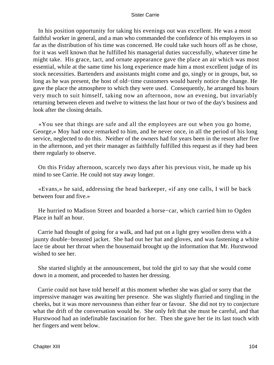In his position opportunity for taking his evenings out was excellent. He was a most faithful worker in general, and a man who commanded the confidence of his employers in so far as the distribution of his time was concerned. He could take such hours off as he chose, for it was well known that he fulfilled his managerial duties successfully, whatever time he might take. His grace, tact, and ornate appearance gave the place an air which was most essential, while at the same time his long experience made him a most excellent judge of its stock necessities. Bartenders and assistants might come and go, singly or in groups, but, so long as he was present, the host of old−time customers would barely notice the change. He gave the place the atmosphere to which they were used. Consequently, he arranged his hours very much to suit himself, taking now an afternoon, now an evening, but invariably returning between eleven and twelve to witness the last hour or two of the day's business and look after the closing details.

 «You see that things are safe and all the employees are out when you go home, George,» Moy had once remarked to him, and he never once, in all the period of his long service, neglected to do this. Neither of the owners had for years been in the resort after five in the afternoon, and yet their manager as faithfully fulfilled this request as if they had been there regularly to observe.

 On this Friday afternoon, scarcely two days after his previous visit, he made up his mind to see Carrie. He could not stay away longer.

 «Evans,» he said, addressing the head barkeeper, «if any one calls, I will be back between four and five.»

 He hurried to Madison Street and boarded a horse−car, which carried him to Ogden Place in half an hour.

 Carrie had thought of going for a walk, and had put on a light grey woollen dress with a jaunty double−breasted jacket. She had out her hat and gloves, and was fastening a white lace tie about her throat when the housemaid brought up the information that Mr. Hurstwood wished to see her.

 She started slightly at the announcement, but told the girl to say that she would come down in a moment, and proceeded to hasten her dressing.

 Carrie could not have told herself at this moment whether she was glad or sorry that the impressive manager was awaiting her presence. She was slightly flurried and tingling in the cheeks, but it was more nervousness than either fear or favour. She did not try to conjecture what the drift of the conversation would be. She only felt that she must be careful, and that Hurstwood had an indefinable fascination for her. Then she gave her tie its last touch with her fingers and went below.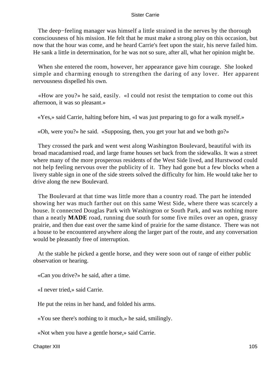The deep–feeling manager was himself a little strained in the nerves by the thorough consciousness of his mission. He felt that he must make a strong play on this occasion, but now that the hour was come, and he heard Carrie's feet upon the stair, his nerve failed him. He sank a little in determination, for he was not so sure, after all, what her opinion might be.

 When she entered the room, however, her appearance gave him courage. She looked simple and charming enough to strengthen the daring of any lover. Her apparent nervousness dispelled his own.

 «How are you?» he said, easily. «I could not resist the temptation to come out this afternoon, it was so pleasant.»

«Yes,» said Carrie, halting before him, «I was just preparing to go for a walk myself.»

«Oh, were you?» he said. «Supposing, then, you get your hat and we both go?»

 They crossed the park and went west along Washington Boulevard, beautiful with its broad macadamised road, and large frame houses set back from the sidewalks. It was a street where many of the more prosperous residents of the West Side lived, and Hurstwood could not help feeling nervous over the publicity of it. They had gone but a few blocks when a livery stable sign in one of the side streets solved the difficulty for him. He would take her to drive along the new Boulevard.

 The Boulevard at that time was little more than a country road. The part he intended showing her was much farther out on this same West Side, where there was scarcely a house. It connected Douglas Park with Washington or South Park, and was nothing more than a neatly **MADE** road, running due south for some five miles over an open, grassy prairie, and then due east over the same kind of prairie for the same distance. There was not a house to be encountered anywhere along the larger part of the route, and any conversation would be pleasantly free of interruption.

 At the stable he picked a gentle horse, and they were soon out of range of either public observation or hearing.

«Can you drive?» he said, after a time.

«I never tried,» said Carrie.

He put the reins in her hand, and folded his arms.

«You see there's nothing to it much,» he said, smilingly.

«Not when you have a gentle horse,» said Carrie.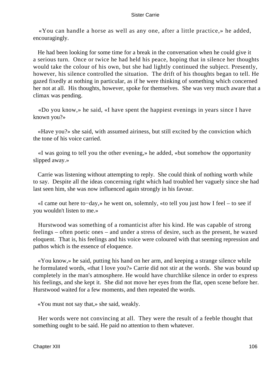«You can handle a horse as well as any one, after a little practice,» he added, encouragingly.

 He had been looking for some time for a break in the conversation when he could give it a serious turn. Once or twice he had held his peace, hoping that in silence her thoughts would take the colour of his own, but she had lightly continued the subject. Presently, however, his silence controlled the situation. The drift of his thoughts began to tell. He gazed fixedly at nothing in particular, as if he were thinking of something which concerned her not at all. His thoughts, however, spoke for themselves. She was very much aware that a climax was pending.

 «Do you know,» he said, «I have spent the happiest evenings in years since I have known you?»

 «Have you?» she said, with assumed airiness, but still excited by the conviction which the tone of his voice carried.

 «I was going to tell you the other evening,» he added, «but somehow the opportunity slipped away.»

 Carrie was listening without attempting to reply. She could think of nothing worth while to say. Despite all the ideas concerning right which had troubled her vaguely since she had last seen him, she was now influenced again strongly in his favour.

 «I came out here to−day,» he went on, solemnly, «to tell you just how I feel – to see if you wouldn't listen to me.»

 Hurstwood was something of a romanticist after his kind. He was capable of strong feelings – often poetic ones – and under a stress of desire, such as the present, he waxed eloquent. That is, his feelings and his voice were coloured with that seeming repression and pathos which is the essence of eloquence.

 «You know,» he said, putting his hand on her arm, and keeping a strange silence while he formulated words, «that I love you?» Carrie did not stir at the words. She was bound up completely in the man's atmosphere. He would have churchlike silence in order to express his feelings, and she kept it. She did not move her eyes from the flat, open scene before her. Hurstwood waited for a few moments, and then repeated the words.

«You must not say that,» she said, weakly.

 Her words were not convincing at all. They were the result of a feeble thought that something ought to be said. He paid no attention to them whatever.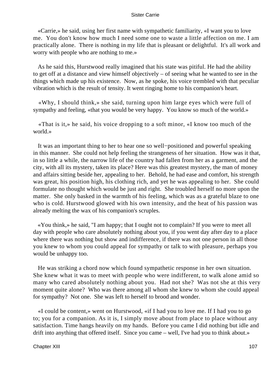«Carrie,» he said, using her first name with sympathetic familiarity, «I want you to love me. You don't know how much I need some one to waste a little affection on me. I am practically alone. There is nothing in my life that is pleasant or delightful. It's all work and worry with people who are nothing to me.»

 As he said this, Hurstwood really imagined that his state was pitiful. He had the ability to get off at a distance and view himself objectively – of seeing what he wanted to see in the things which made up his existence. Now, as he spoke, his voice trembled with that peculiar vibration which is the result of tensity. It went ringing home to his companion's heart.

 «Why, I should think,» she said, turning upon him large eyes which were full of sympathy and feeling, «that you would be very happy. You know so much of the world.»

 «That is it,» he said, his voice dropping to a soft minor, «I know too much of the world.»

 It was an important thing to her to hear one so well−positioned and powerful speaking in this manner. She could not help feeling the strangeness of her situation. How was it that, in so little a while, the narrow life of the country had fallen from her as a garment, and the city, with all its mystery, taken its place? Here was this greatest mystery, the man of money and affairs sitting beside her, appealing to her. Behold, he had ease and comfort, his strength was great, his position high, his clothing rich, and yet he was appealing to her. She could formulate no thought which would be just and right. She troubled herself no more upon the matter. She only basked in the warmth of his feeling, which was as a grateful blaze to one who is cold. Hurstwood glowed with his own intensity, and the heat of his passion was already melting the wax of his companion's scruples.

 «You think,» he said, "I am happy; that I ought not to complain? If you were to meet all day with people who care absolutely nothing about you, if you went day after day to a place where there was nothing but show and indifference, if there was not one person in all those you knew to whom you could appeal for sympathy or talk to with pleasure, perhaps you would be unhappy too.

 He was striking a chord now which found sympathetic response in her own situation. She knew what it was to meet with people who were indifferent, to walk alone amid so many who cared absolutely nothing about you. Had not she? Was not she at this very moment quite alone? Who was there among all whom she knew to whom she could appeal for sympathy? Not one. She was left to herself to brood and wonder.

 «I could be content,» went on Hurstwood, «if I had you to love me. If I had you to go to; you for a companion. As it is, I simply move about from place to place without any satisfaction. Time hangs heavily on my hands. Before you came I did nothing but idle and drift into anything that offered itself. Since you came – well, I've had you to think about.»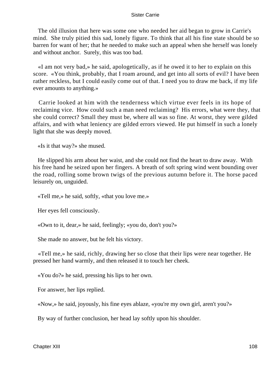The old illusion that here was some one who needed her aid began to grow in Carrie's mind. She truly pitied this sad, lonely figure. To think that all his fine state should be so barren for want of her; that he needed to make such an appeal when she herself was lonely and without anchor. Surely, this was too bad.

 «I am not very bad,» he said, apologetically, as if he owed it to her to explain on this score. «You think, probably, that I roam around, and get into all sorts of evil? I have been rather reckless, but I could easily come out of that. I need you to draw me back, if my life ever amounts to anything.»

 Carrie looked at him with the tenderness which virtue ever feels in its hope of reclaiming vice. How could such a man need reclaiming? His errors, what were they, that she could correct? Small they must be, where all was so fine. At worst, they were gilded affairs, and with what leniency are gilded errors viewed. He put himself in such a lonely light that she was deeply moved.

«Is it that way?» she mused.

 He slipped his arm about her waist, and she could not find the heart to draw away. With his free hand he seized upon her fingers. A breath of soft spring wind went bounding over the road, rolling some brown twigs of the previous autumn before it. The horse paced leisurely on, unguided.

«Tell me,» he said, softly, «that you love me.»

Her eyes fell consciously.

«Own to it, dear,» he said, feelingly; «you do, don't you?»

She made no answer, but he felt his victory.

 «Tell me,» he said, richly, drawing her so close that their lips were near together. He pressed her hand warmly, and then released it to touch her cheek.

«You do?» he said, pressing his lips to her own.

For answer, her lips replied.

«Now,» he said, joyously, his fine eyes ablaze, «you're my own girl, aren't you?»

By way of further conclusion, her head lay softly upon his shoulder.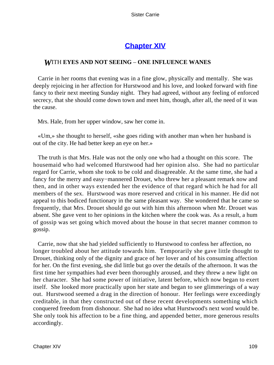## **[Chapter XIV](#page-428-0)**

### *W*ITH **EYES AND NOT SEEING** – **ONE INFLUENCE WANES**

 Carrie in her rooms that evening was in a fine glow, physically and mentally. She was deeply rejoicing in her affection for Hurstwood and his love, and looked forward with fine fancy to their next meeting Sunday night. They had agreed, without any feeling of enforced secrecy, that she should come down town and meet him, though, after all, the need of it was the cause.

Mrs. Hale, from her upper window, saw her come in.

 «Um,» she thought to herself, «she goes riding with another man when her husband is out of the city. He had better keep an eye on her.»

 The truth is that Mrs. Hale was not the only one who had a thought on this score. The housemaid who had welcomed Hurstwood had her opinion also. She had no particular regard for Carrie, whom she took to be cold and disagreeable. At the same time, she had a fancy for the merry and easy−mannered Drouet, who threw her a pleasant remark now and then, and in other ways extended her the evidence of that regard which he had for all members of the sex. Hurstwood was more reserved and critical in his manner. He did not appeal to this bodiced functionary in the same pleasant way. She wondered that he came so frequently, that Mrs. Drouet should go out with him this afternoon when Mr. Drouet was absent. She gave vent to her opinions in the kitchen where the cook was. As a result, a hum of gossip was set going which moved about the house in that secret manner common to gossip.

 Carrie, now that she had yielded sufficiently to Hurstwood to confess her affection, no longer troubled about her attitude towards him. Temporarily she gave little thought to Drouet, thinking only of the dignity and grace of her lover and of his consuming affection for her. On the first evening, she did little but go over the details of the afternoon. It was the first time her sympathies had ever been thoroughly aroused, and they threw a new light on her character. She had some power of initiative, latent before, which now began to exert itself. She looked more practically upon her state and began to see glimmerings of a way out. Hurstwood seemed a drag in the direction of honour. Her feelings were exceedingly creditable, in that they constructed out of these recent developments something which conquered freedom from dishonour. She had no idea what Hurstwood's next word would be. She only took his affection to be a fine thing, and appended better, more generous results accordingly.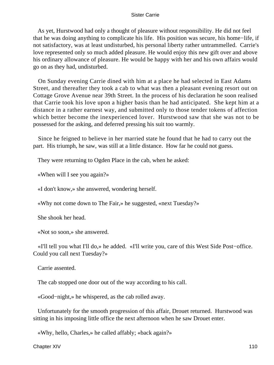As yet, Hurstwood had only a thought of pleasure without responsibility. He did not feel that he was doing anything to complicate his life. His position was secure, his home−life, if not satisfactory, was at least undisturbed, his personal liberty rather untrammelled. Carrie's love represented only so much added pleasure. He would enjoy this new gift over and above his ordinary allowance of pleasure. He would be happy with her and his own affairs would go on as they had, undisturbed.

 On Sunday evening Carrie dined with him at a place he had selected in East Adams Street, and thereafter they took a cab to what was then a pleasant evening resort out on Cottage Grove Avenue near 39th Street. In the process of his declaration he soon realised that Carrie took his love upon a higher basis than he had anticipated. She kept him at a distance in a rather earnest way, and submitted only to those tender tokens of affection which better become the inexperienced lover. Hurstwood saw that she was not to be possessed for the asking, and deferred pressing his suit too warmly.

 Since he feigned to believe in her married state he found that he had to carry out the part. His triumph, he saw, was still at a little distance. How far he could not guess.

They were returning to Ogden Place in the cab, when he asked:

«When will I see you again?»

«I don't know,» she answered, wondering herself.

«Why not come down to The Fair,» he suggested, «next Tuesday?»

She shook her head.

«Not so soon,» she answered.

 «I'll tell you what I'll do,» he added. «I'll write you, care of this West Side Post−office. Could you call next Tuesday?»

Carrie assented.

The cab stopped one door out of the way according to his call.

«Good−night,» he whispered, as the cab rolled away.

 Unfortunately for the smooth progression of this affair, Drouet returned. Hurstwood was sitting in his imposing little office the next afternoon when he saw Drouet enter.

«Why, hello, Charles,» he called affably; «back again?»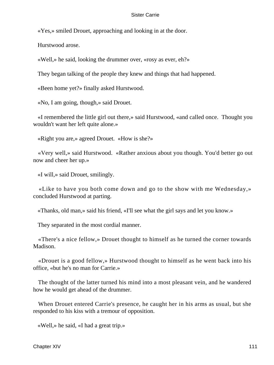«Yes,» smiled Drouet, approaching and looking in at the door.

Hurstwood arose.

«Well,» he said, looking the drummer over, «rosy as ever, eh?»

They began talking of the people they knew and things that had happened.

«Been home yet?» finally asked Hurstwood.

«No, I am going, though,» said Drouet.

 «I remembered the little girl out there,» said Hurstwood, «and called once. Thought you wouldn't want her left quite alone.»

«Right you are,» agreed Drouet. «How is she?»

 «Very well,» said Hurstwood. «Rather anxious about you though. You'd better go out now and cheer her up.»

«I will,» said Drouet, smilingly.

 «Like to have you both come down and go to the show with me Wednesday,» concluded Hurstwood at parting.

«Thanks, old man,» said his friend, «I'll see what the girl says and let you know.»

They separated in the most cordial manner.

 «There's a nice fellow,» Drouet thought to himself as he turned the corner towards Madison.

 «Drouet is a good fellow,» Hurstwood thought to himself as he went back into his office, «but he's no man for Carrie.»

 The thought of the latter turned his mind into a most pleasant vein, and he wandered how he would get ahead of the drummer.

 When Drouet entered Carrie's presence, he caught her in his arms as usual, but she responded to his kiss with a tremour of opposition.

«Well,» he said, «I had a great trip.»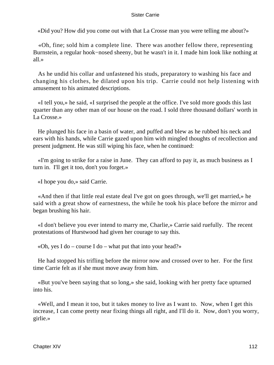«Did you? How did you come out with that La Crosse man you were telling me about?»

 «Oh, fine; sold him a complete line. There was another fellow there, representing Burnstein, a regular hook−nosed sheeny, but he wasn't in it. I made him look like nothing at all.»

 As he undid his collar and unfastened his studs, preparatory to washing his face and changing his clothes, he dilated upon his trip. Carrie could not help listening with amusement to his animated descriptions.

 «I tell you,» he said, «I surprised the people at the office. I've sold more goods this last quarter than any other man of our house on the road. I sold three thousand dollars' worth in La Crosse.»

 He plunged his face in a basin of water, and puffed and blew as he rubbed his neck and ears with his hands, while Carrie gazed upon him with mingled thoughts of recollection and present judgment. He was still wiping his face, when he continued:

 «I'm going to strike for a raise in June. They can afford to pay it, as much business as I turn in. I'll get it too, don't you forget.»

«I hope you do,» said Carrie.

 «And then if that little real estate deal I've got on goes through, we'll get married,» he said with a great show of earnestness, the while he took his place before the mirror and began brushing his hair.

 «I don't believe you ever intend to marry me, Charlie,» Carrie said ruefully. The recent protestations of Hurstwood had given her courage to say this.

«Oh, yes I do – course I do – what put that into your head?»

 He had stopped his trifling before the mirror now and crossed over to her. For the first time Carrie felt as if she must move away from him.

 «But you've been saying that so long,» she said, looking with her pretty face upturned into his.

 «Well, and I mean it too, but it takes money to live as I want to. Now, when I get this increase, I can come pretty near fixing things all right, and I'll do it. Now, don't you worry, girlie.»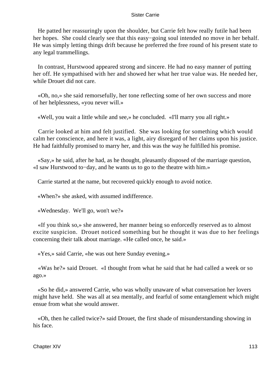He patted her reassuringly upon the shoulder, but Carrie felt how really futile had been her hopes. She could clearly see that this easy−going soul intended no move in her behalf. He was simply letting things drift because he preferred the free round of his present state to any legal trammellings.

 In contrast, Hurstwood appeared strong and sincere. He had no easy manner of putting her off. He sympathised with her and showed her what her true value was. He needed her, while Drouet did not care.

 «Oh, no,» she said remorsefully, her tone reflecting some of her own success and more of her helplessness, «you never will.»

«Well, you wait a little while and see,» he concluded. «I'll marry you all right.»

 Carrie looked at him and felt justified. She was looking for something which would calm her conscience, and here it was, a light, airy disregard of her claims upon his justice. He had faithfully promised to marry her, and this was the way he fulfilled his promise.

 «Say,» he said, after he had, as he thought, pleasantly disposed of the marriage question, «I saw Hurstwood to−day, and he wants us to go to the theatre with him.»

Carrie started at the name, but recovered quickly enough to avoid notice.

«When?» she asked, with assumed indifference.

«Wednesday. We'll go, won't we?»

 «If you think so,» she answered, her manner being so enforcedly reserved as to almost excite suspicion. Drouet noticed something but he thought it was due to her feelings concerning their talk about marriage. «He called once, he said.»

«Yes,» said Carrie, «he was out here Sunday evening.»

 «Was he?» said Drouet. «I thought from what he said that he had called a week or so ago.»

 «So he did,» answered Carrie, who was wholly unaware of what conversation her lovers might have held. She was all at sea mentally, and fearful of some entanglement which might ensue from what she would answer.

 «Oh, then he called twice?» said Drouet, the first shade of misunderstanding showing in his face.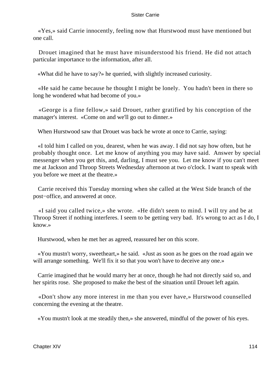«Yes,» said Carrie innocently, feeling now that Hurstwood must have mentioned but one call.

 Drouet imagined that he must have misunderstood his friend. He did not attach particular importance to the information, after all.

«What did he have to say?» he queried, with slightly increased curiosity.

 «He said he came because he thought I might be lonely. You hadn't been in there so long he wondered what had become of you.»

 «George is a fine fellow,» said Drouet, rather gratified by his conception of the manager's interest. «Come on and we'll go out to dinner.»

When Hurstwood saw that Drouet was back he wrote at once to Carrie, saying:

 «I told him I called on you, dearest, when he was away. I did not say how often, but he probably thought once. Let me know of anything you may have said. Answer by special messenger when you get this, and, darling, I must see you. Let me know if you can't meet me at Jackson and Throop Streets Wednesday afternoon at two o'clock. I want to speak with you before we meet at the theatre.»

 Carrie received this Tuesday morning when she called at the West Side branch of the post−office, and answered at once.

 «I said you called twice,» she wrote. «He didn't seem to mind. I will try and be at Throop Street if nothing interferes. I seem to be getting very bad. It's wrong to act as I do, I know.»

Hurstwood, when he met her as agreed, reassured her on this score.

 «You mustn't worry, sweetheart,» he said. «Just as soon as he goes on the road again we will arrange something. We'll fix it so that you won't have to deceive any one.»

 Carrie imagined that he would marry her at once, though he had not directly said so, and her spirits rose. She proposed to make the best of the situation until Drouet left again.

 «Don't show any more interest in me than you ever have,» Hurstwood counselled concerning the evening at the theatre.

«You mustn't look at me steadily then,» she answered, mindful of the power of his eyes.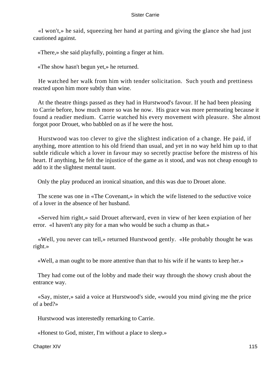«I won't,» he said, squeezing her hand at parting and giving the glance she had just cautioned against.

«There,» she said playfully, pointing a finger at him.

«The show hasn't begun yet,» he returned.

 He watched her walk from him with tender solicitation. Such youth and prettiness reacted upon him more subtly than wine.

 At the theatre things passed as they had in Hurstwood's favour. If he had been pleasing to Carrie before, how much more so was he now. His grace was more permeating because it found a readier medium. Carrie watched his every movement with pleasure. She almost forgot poor Drouet, who babbled on as if he were the host.

 Hurstwood was too clever to give the slightest indication of a change. He paid, if anything, more attention to his old friend than usual, and yet in no way held him up to that subtle ridicule which a lover in favour may so secretly practise before the mistress of his heart. If anything, he felt the injustice of the game as it stood, and was not cheap enough to add to it the slightest mental taunt.

Only the play produced an ironical situation, and this was due to Drouet alone.

 The scene was one in «The Covenant,» in which the wife listened to the seductive voice of a lover in the absence of her husband.

 «Served him right,» said Drouet afterward, even in view of her keen expiation of her error. «I haven't any pity for a man who would be such a chump as that.»

 «Well, you never can tell,» returned Hurstwood gently. «He probably thought he was right.»

«Well, a man ought to be more attentive than that to his wife if he wants to keep her.»

 They had come out of the lobby and made their way through the showy crush about the entrance way.

 «Say, mister,» said a voice at Hurstwood's side, «would you mind giving me the price of a bed?»

Hurstwood was interestedly remarking to Carrie.

«Honest to God, mister, I'm without a place to sleep.»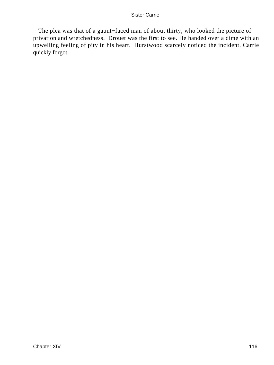The plea was that of a gaunt−faced man of about thirty, who looked the picture of privation and wretchedness. Drouet was the first to see. He handed over a dime with an upwelling feeling of pity in his heart. Hurstwood scarcely noticed the incident. Carrie quickly forgot.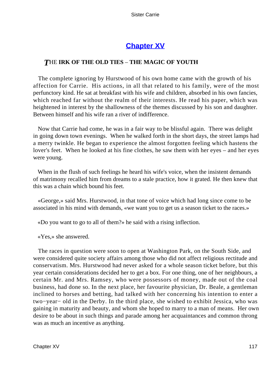# **[Chapter XV](#page-428-0)**

## *T*HE **IRK OF THE OLD TIES** – **THE MAGIC OF YOUTH**

 The complete ignoring by Hurstwood of his own home came with the growth of his affection for Carrie. His actions, in all that related to his family, were of the most perfunctory kind. He sat at breakfast with his wife and children, absorbed in his own fancies, which reached far without the realm of their interests. He read his paper, which was heightened in interest by the shallowness of the themes discussed by his son and daughter. Between himself and his wife ran a river of indifference.

 Now that Carrie had come, he was in a fair way to be blissful again. There was delight in going down town evenings. When he walked forth in the short days, the street lamps had a merry twinkle. He began to experience the almost forgotten feeling which hastens the lover's feet. When he looked at his fine clothes, he saw them with her eyes – and her eyes were young.

 When in the flush of such feelings he heard his wife's voice, when the insistent demands of matrimony recalled him from dreams to a stale practice, how it grated. He then knew that this was a chain which bound his feet.

 «George,» said Mrs. Hurstwood, in that tone of voice which had long since come to be associated in his mind with demands, «we want you to get us a season ticket to the races.»

«Do you want to go to all of them?» he said with a rising inflection.

«Yes,» she answered.

 The races in question were soon to open at Washington Park, on the South Side, and were considered quite society affairs among those who did not affect religious rectitude and conservatism. Mrs. Hurstwood had never asked for a whole season ticket before, but this year certain considerations decided her to get a box. For one thing, one of her neighbours, a certain Mr. and Mrs. Ramsey, who were possessors of money, made out of the coal business, had done so. In the next place, her favourite physician, Dr. Beale, a gentleman inclined to horses and betting, had talked with her concerning his intention to enter a two−year− old in the Derby. In the third place, she wished to exhibit Jessica, who was gaining in maturity and beauty, and whom she hoped to marry to a man of means. Her own desire to be about in such things and parade among her acquaintances and common throng was as much an incentive as anything.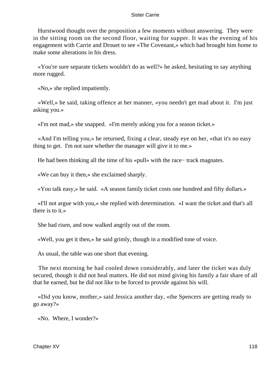Hurstwood thought over the proposition a few moments without answering. They were in the sitting room on the second floor, waiting for supper. It was the evening of his engagement with Carrie and Drouet to see «The Covenant,» which had brought him home to make some alterations in his dress.

 «You're sure separate tickets wouldn't do as well?» he asked, hesitating to say anything more rugged.

«No,» she replied impatiently.

 «Well,» he said, taking offence at her manner, «you needn't get mad about it. I'm just asking you.»

«I'm not mad,» she snapped. «I'm merely asking you for a season ticket.»

 «And I'm telling you,» he returned, fixing a clear, steady eye on her, «that it's no easy thing to get. I'm not sure whether the manager will give it to me.»

He had been thinking all the time of his «pull» with the race– track magnates.

«We can buy it then,» she exclaimed sharply.

«You talk easy,» he said. «A season family ticket costs one hundred and fifty dollars.»

 «I'll not argue with you,» she replied with determination. «I want the ticket and that's all there is to it.»

She had risen, and now walked angrily out of the room.

«Well, you get it then,» he said grimly, though in a modified tone of voice.

As usual, the table was one short that evening.

 The next morning he had cooled down considerably, and later the ticket was duly secured, though it did not heal matters. He did not mind giving his family a fair share of all that he earned, but he did not like to be forced to provide against his will.

 «Did you know, mother,» said Jessica another day, «the Spencers are getting ready to go away?»

«No. Where, I wonder?»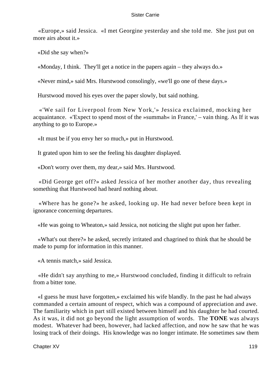«Europe,» said Jessica. «I met Georgine yesterday and she told me. She just put on more airs about it.»

«Did she say when?»

«Monday, I think. They'll get a notice in the papers again – they always do.»

«Never mind,» said Mrs. Hurstwood consolingly, «we'll go one of these days.»

Hurstwood moved his eyes over the paper slowly, but said nothing.

 «'We sail for Liverpool from New York,'» Jessica exclaimed, mocking her acquaintance. «'Expect to spend most of the »summah« in France,' – vain thing. As If it was anything to go to Europe.»

«It must be if you envy her so much,» put in Hurstwood.

It grated upon him to see the feeling his daughter displayed.

«Don't worry over them, my dear,» said Mrs. Hurstwood.

 «Did George get off?» asked Jessica of her mother another day, thus revealing something that Hurstwood had heard nothing about.

 «Where has he gone?» he asked, looking up. He had never before been kept in ignorance concerning departures.

«He was going to Wheaton,» said Jessica, not noticing the slight put upon her father.

 «What's out there?» he asked, secretly irritated and chagrined to think that he should be made to pump for information in this manner.

«A tennis match,» said Jessica.

 «He didn't say anything to me,» Hurstwood concluded, finding it difficult to refrain from a bitter tone.

 «I guess he must have forgotten,» exclaimed his wife blandly. In the past he had always commanded a certain amount of respect, which was a compound of appreciation and awe. The familiarity which in part still existed between himself and his daughter he had courted. As it was, it did not go beyond the light assumption of words. The **TONE** was always modest. Whatever had been, however, had lacked affection, and now he saw that he was losing track of their doings. His knowledge was no longer intimate. He sometimes saw them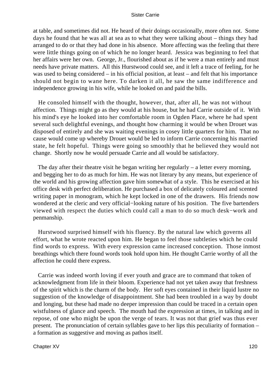at table, and sometimes did not. He heard of their doings occasionally, more often not. Some days he found that he was all at sea as to what they were talking about – things they had arranged to do or that they had done in his absence. More affecting was the feeling that there were little things going on of which he no longer heard. Jessica was beginning to feel that her affairs were her own. George, Jr., flourished about as if he were a man entirely and must needs have private matters. All this Hurstwood could see, and it left a trace of feeling, for he was used to being considered – in his official position, at least – and felt that his importance should not begin to wane here. To darken it all, he saw the same indifference and independence growing in his wife, while he looked on and paid the bills.

 He consoled himself with the thought, however, that, after all, he was not without affection. Things might go as they would at his house, but he had Carrie outside of it. With his mind's eye he looked into her comfortable room in Ogden Place, where he had spent several such delightful evenings, and thought how charming it would be when Drouet was disposed of entirely and she was waiting evenings in cosey little quarters for him. That no cause would come up whereby Drouet would be led to inform Carrie concerning his married state, he felt hopeful. Things were going so smoothly that he believed they would not change. Shortly now he would persuade Carrie and all would be satisfactory.

 The day after their theatre visit he began writing her regularly – a letter every morning, and begging her to do as much for him. He was not literary by any means, but experience of the world and his growing affection gave him somewhat of a style. This he exercised at his office desk with perfect deliberation. He purchased a box of delicately coloured and scented writing paper in monogram, which he kept locked in one of the drawers. His friends now wondered at the cleric and very official−looking nature of his position. The five bartenders viewed with respect the duties which could call a man to do so much desk−work and penmanship.

 Hurstwood surprised himself with his fluency. By the natural law which governs all effort, what he wrote reacted upon him. He began to feel those subtleties which he could find words to express. With every expression came increased conception. Those inmost breathings which there found words took hold upon him. He thought Carrie worthy of all the affection he could there express.

 Carrie was indeed worth loving if ever youth and grace are to command that token of acknowledgment from life in their bloom. Experience had not yet taken away that freshness of the spirit which is the charm of the body. Her soft eyes contained in their liquid lustre no suggestion of the knowledge of disappointment. She had been troubled in a way by doubt and longing, but these had made no deeper impression than could be traced in a certain open wistfulness of glance and speech. The mouth had the expression at times, in talking and in repose, of one who might be upon the verge of tears. It was not that grief was thus ever present. The pronunciation of certain syllables gave to her lips this peculiarity of formation – a formation as suggestive and moving as pathos itself.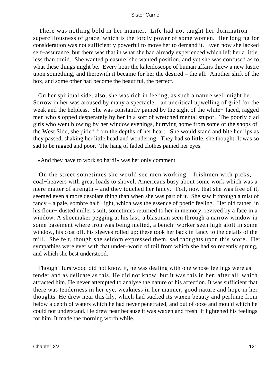There was nothing bold in her manner. Life had not taught her domination – superciliousness of grace, which is the lordly power of some women. Her longing for consideration was not sufficiently powerful to move her to demand it. Even now she lacked self−assurance, but there was that in what she had already experienced which left her a little less than timid. She wanted pleasure, she wanted position, and yet she was confused as to what these things might be. Every hour the kaleidoscope of human affairs threw a new lustre upon something, and therewith it became for her the desired – the all. Another shift of the box, and some other had become the beautiful, the perfect.

 On her spiritual side, also, she was rich in feeling, as such a nature well might be. Sorrow in her was aroused by many a spectacle – an uncritical upwelling of grief for the weak and the helpless. She was constantly pained by the sight of the white− faced, ragged men who slopped desperately by her in a sort of wretched mental stupor. The poorly clad girls who went blowing by her window evenings, hurrying home from some of the shops of the West Side, she pitied from the depths of her heart. She would stand and bite her lips as they passed, shaking her little head and wondering. They had so little, she thought. It was so sad to be ragged and poor. The hang of faded clothes pained her eyes.

«And they have to work so hard!» was her only comment.

 On the street sometimes she would see men working – Irishmen with picks, coal−heavers with great loads to shovel, Americans busy about some work which was a mere matter of strength – and they touched her fancy. Toil, now that she was free of it, seemed even a more desolate thing than when she was part of it. She saw it through a mist of fancy – a pale, sombre half−light, which was the essence of poetic feeling. Her old father, in his flour− dusted miller's suit, sometimes returned to her in memory, revived by a face in a window. A shoemaker pegging at his last, a blastman seen through a narrow window in some basement where iron was being melted, a bench−worker seen high aloft in some window, his coat off, his sleeves rolled up; these took her back in fancy to the details of the mill. She felt, though she seldom expressed them, sad thoughts upon this score. Her sympathies were ever with that under−world of toil from which she had so recently sprung, and which she best understood.

 Though Hurstwood did not know it, he was dealing with one whose feelings were as tender and as delicate as this. He did not know, but it was this in her, after all, which attracted him. He never attempted to analyse the nature of his affection. It was sufficient that there was tenderness in her eye, weakness in her manner, good nature and hope in her thoughts. He drew near this lily, which had sucked its waxen beauty and perfume from below a depth of waters which he had never penetrated, and out of ooze and mould which he could not understand. He drew near because it was waxen and fresh. It lightened his feelings for him. It made the morning worth while.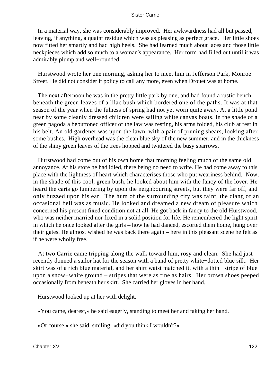In a material way, she was considerably improved. Her awkwardness had all but passed, leaving, if anything, a quaint residue which was as pleasing as perfect grace. Her little shoes now fitted her smartly and had high heels. She had learned much about laces and those little neckpieces which add so much to a woman's appearance. Her form had filled out until it was admirably plump and well−rounded.

 Hurstwood wrote her one morning, asking her to meet him in Jefferson Park, Monroe Street. He did not consider it policy to call any more, even when Drouet was at home.

 The next afternoon he was in the pretty little park by one, and had found a rustic bench beneath the green leaves of a lilac bush which bordered one of the paths. It was at that season of the year when the fulness of spring had not yet worn quite away. At a little pond near by some cleanly dressed children were sailing white canvas boats. In the shade of a green pagoda a bebuttoned officer of the law was resting, his arms folded, his club at rest in his belt. An old gardener was upon the lawn, with a pair of pruning shears, looking after some bushes. High overhead was the clean blue sky of the new summer, and in the thickness of the shiny green leaves of the trees hopped and twittered the busy sparrows.

 Hurstwood had come out of his own home that morning feeling much of the same old annoyance. At his store he had idled, there being no need to write. He had come away to this place with the lightness of heart which characterises those who put weariness behind. Now, in the shade of this cool, green bush, he looked about him with the fancy of the lover. He heard the carts go lumbering by upon the neighbouring streets, but they were far off, and only buzzed upon his ear. The hum of the surrounding city was faint, the clang of an occasional bell was as music. He looked and dreamed a new dream of pleasure which concerned his present fixed condition not at all. He got back in fancy to the old Hurstwood, who was neither married nor fixed in a solid position for life. He remembered the light spirit in which he once looked after the girls – how he had danced, escorted them home, hung over their gates. He almost wished he was back there again – here in this pleasant scene he felt as if he were wholly free.

 At two Carrie came tripping along the walk toward him, rosy and clean. She had just recently donned a sailor hat for the season with a band of pretty white−dotted blue silk. Her skirt was of a rich blue material, and her shirt waist matched it, with a thin− stripe of blue upon a snow−white ground – stripes that were as fine as hairs. Her brown shoes peeped occasionally from beneath her skirt. She carried her gloves in her hand.

Hurstwood looked up at her with delight.

«You came, dearest,» he said eagerly, standing to meet her and taking her hand.

«Of course,» she said, smiling; «did you think I wouldn't?»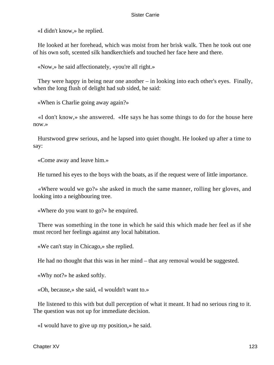«I didn't know,» he replied.

 He looked at her forehead, which was moist from her brisk walk. Then he took out one of his own soft, scented silk handkerchiefs and touched her face here and there.

«Now,» he said affectionately, «you're all right.»

 They were happy in being near one another – in looking into each other's eyes. Finally, when the long flush of delight had sub sided, he said:

«When is Charlie going away again?»

 «I don't know,» she answered. «He says he has some things to do for the house here now.»

 Hurstwood grew serious, and he lapsed into quiet thought. He looked up after a time to say:

«Come away and leave him.»

He turned his eyes to the boys with the boats, as if the request were of little importance.

 «Where would we go?» she asked in much the same manner, rolling her gloves, and looking into a neighbouring tree.

«Where do you want to go?» he enquired.

 There was something in the tone in which he said this which made her feel as if she must record her feelings against any local habitation.

«We can't stay in Chicago,» she replied.

He had no thought that this was in her mind – that any removal would be suggested.

«Why not?» he asked softly.

«Oh, because,» she said, «I wouldn't want to.»

 He listened to this with but dull perception of what it meant. It had no serious ring to it. The question was not up for immediate decision.

«I would have to give up my position,» he said.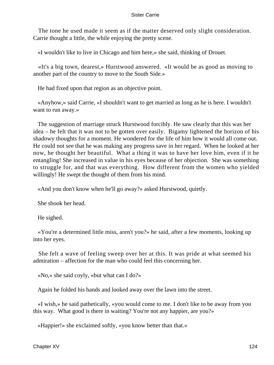The tone he used made it seem as if the matter deserved only slight consideration. Carrie thought a little, the while enjoying the pretty scene.

«I wouldn't like to live in Chicago and him here,» she said, thinking of Drouet.

 «It's a big town, dearest,» Hurstwood answered. «It would be as good as moving to another part of the country to move to the South Side.»

He had fixed upon that region as an objective point.

 «Anyhow,» said Carrie, «I shouldn't want to get married as long as he is here. I wouldn't want to run away.»

 The suggestion of marriage struck Hurstwood forcibly. He saw clearly that this was her idea – he felt that it was not to be gotten over easily. Bigamy lightened the horizon of his shadowy thoughts for a moment. He wondered for the life of him how it would all come out. He could not see that he was making any progress save in her regard. When he looked at her now, he thought her beautiful. What a thing it was to have her love him, even if it be entangling! She increased in value in his eyes because of her objection. She was something to struggle for, and that was everything. How different from the women who yielded willingly! He swept the thought of them from his mind.

«And you don't know when he'll go away?» asked Hurstwood, quietly.

She shook her head.

He sighed.

 «You're a determined little miss, aren't you?» he said, after a few moments, looking up into her eyes.

 She felt a wave of feeling sweep over her at this. It was pride at what seemed his admiration – affection for the man who could feel this concerning her.

«No,» she said coyly, «but what can I do?»

Again he folded his hands and looked away over the lawn into the street.

 «I wish,» he said pathetically, «you would come to me. I don't like to be away from you this way. What good is there in waiting? You're not any happier, are you?»

«Happier!» she exclaimed softly, «you know better than that.»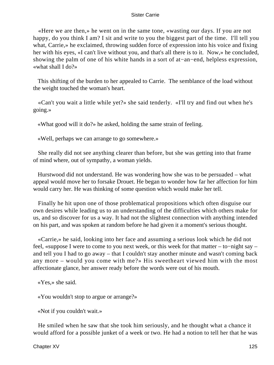«Here we are then,» he went on in the same tone, «wasting our days. If you are not happy, do you think I am? I sit and write to you the biggest part of the time. I'll tell you what, Carrie,» he exclaimed, throwing sudden force of expression into his voice and fixing her with his eyes, «I can't live without you, and that's all there is to it. Now,» he concluded, showing the palm of one of his white hands in a sort of at−an−end, helpless expression, «what shall I do?»

 This shifting of the burden to her appealed to Carrie. The semblance of the load without the weight touched the woman's heart.

 «Can't you wait a little while yet?» she said tenderly. «I'll try and find out when he's going.»

«What good will it do?» he asked, holding the same strain of feeling.

«Well, perhaps we can arrange to go somewhere.»

 She really did not see anything clearer than before, but she was getting into that frame of mind where, out of sympathy, a woman yields.

 Hurstwood did not understand. He was wondering how she was to be persuaded – what appeal would move her to forsake Drouet. He began to wonder how far her affection for him would carry her. He was thinking of some question which would make her tell.

 Finally he hit upon one of those problematical propositions which often disguise our own desires while leading us to an understanding of the difficulties which others make for us, and so discover for us a way. It had not the slightest connection with anything intended on his part, and was spoken at random before he had given it a moment's serious thought.

 «Carrie,» he said, looking into her face and assuming a serious look which he did not feel, «suppose I were to come to you next week, or this week for that matter – to−night say – and tell you I had to go away – that I couldn't stay another minute and wasn't coming back any more – would you come with me?» His sweetheart viewed him with the most affectionate glance, her answer ready before the words were out of his mouth.

«Yes,» she said.

«You wouldn't stop to argue or arrange?»

«Not if you couldn't wait.»

 He smiled when he saw that she took him seriously, and he thought what a chance it would afford for a possible junket of a week or two. He had a notion to tell her that he was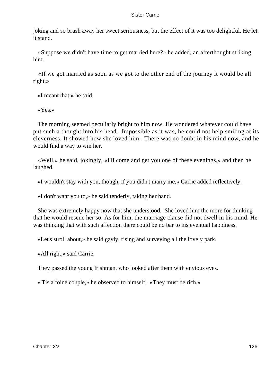joking and so brush away her sweet seriousness, but the effect of it was too delightful. He let it stand.

 «Suppose we didn't have time to get married here?» he added, an afterthought striking him.

 «If we got married as soon as we got to the other end of the journey it would be all right.»

«I meant that,» he said.

«Yes.»

 The morning seemed peculiarly bright to him now. He wondered whatever could have put such a thought into his head. Impossible as it was, he could not help smiling at its cleverness. It showed how she loved him. There was no doubt in his mind now, and he would find a way to win her.

 «Well,» he said, jokingly, «I'll come and get you one of these evenings,» and then he laughed.

«I wouldn't stay with you, though, if you didn't marry me,» Carrie added reflectively.

«I don't want you to,» he said tenderly, taking her hand.

 She was extremely happy now that she understood. She loved him the more for thinking that he would rescue her so. As for him, the marriage clause did not dwell in his mind. He was thinking that with such affection there could be no bar to his eventual happiness.

«Let's stroll about,» he said gayly, rising and surveying all the lovely park.

«All right,» said Carrie.

They passed the young Irishman, who looked after them with envious eyes.

«'Tis a foine couple,» he observed to himself. «They must be rich.»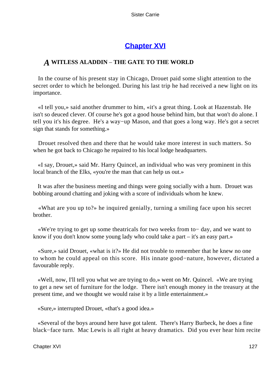## **[Chapter XVI](#page-428-0)**

## *A* **WITLESS ALADDIN** – **THE GATE TO THE WORLD**

 In the course of his present stay in Chicago, Drouet paid some slight attention to the secret order to which he belonged. During his last trip he had received a new light on its importance.

 «I tell you,» said another drummer to him, «it's a great thing. Look at Hazenstab. He isn't so deuced clever. Of course he's got a good house behind him, but that won't do alone. I tell you it's his degree. He's a way−up Mason, and that goes a long way. He's got a secret sign that stands for something.»

 Drouet resolved then and there that he would take more interest in such matters. So when he got back to Chicago he repaired to his local lodge headquarters.

 «I say, Drouet,» said Mr. Harry Quincel, an individual who was very prominent in this local branch of the Elks, «you're the man that can help us out.»

 It was after the business meeting and things were going socially with a hum. Drouet was bobbing around chatting and joking with a score of individuals whom he knew.

 «What are you up to?» he inquired genially, turning a smiling face upon his secret brother.

 «We're trying to get up some theatricals for two weeks from to− day, and we want to know if you don't know some young lady who could take a part – it's an easy part.»

 «Sure,» said Drouet, «what is it?» He did not trouble to remember that he knew no one to whom he could appeal on this score. His innate good−nature, however, dictated a favourable reply.

 «Well, now, I'll tell you what we are trying to do,» went on Mr. Quincel. «We are trying to get a new set of furniture for the lodge. There isn't enough money in the treasury at the present time, and we thought we would raise it by a little entertainment.»

«Sure,» interrupted Drouet, «that's a good idea.»

 «Several of the boys around here have got talent. There's Harry Burbeck, he does a fine black−face turn. Mac Lewis is all right at heavy dramatics. Did you ever hear him recite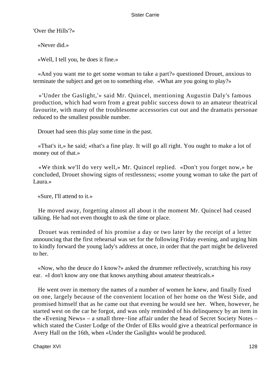'Over the Hills'?»

«Never did.»

«Well, I tell you, he does it fine.»

 «And you want me to get some woman to take a part?» questioned Drouet, anxious to terminate the subject and get on to something else. «What are you going to play?»

 «'Under the Gaslight,'» said Mr. Quincel, mentioning Augustin Daly's famous production, which had worn from a great public success down to an amateur theatrical favourite, with many of the troublesome accessories cut out and the dramatis personae reduced to the smallest possible number.

Drouet had seen this play some time in the past.

 «That's it,» he said; «that's a fine play. It will go all right. You ought to make a lot of money out of that.»

 «We think we'll do very well,» Mr. Quincel replied. «Don't you forget now,» he concluded, Drouet showing signs of restlessness; «some young woman to take the part of Laura.»

«Sure, I'll attend to it.»

 He moved away, forgetting almost all about it the moment Mr. Quincel had ceased talking. He had not even thought to ask the time or place.

 Drouet was reminded of his promise a day or two later by the receipt of a letter announcing that the first rehearsal was set for the following Friday evening, and urging him to kindly forward the young lady's address at once, in order that the part might be delivered to her.

 «Now, who the deuce do I know?» asked the drummer reflectively, scratching his rosy ear. «I don't know any one that knows anything about amateur theatricals.»

 He went over in memory the names of a number of women he knew, and finally fixed on one, largely because of the convenient location of her home on the West Side, and promised himself that as he came out that evening he would see her. When, however, he started west on the car he forgot, and was only reminded of his delinquency by an item in the «Evening News» – a small three−line affair under the head of Secret Society Notes – which stated the Custer Lodge of the Order of Elks would give a theatrical performance in Avery Hall on the 16th, when «Under the Gaslight» would be produced.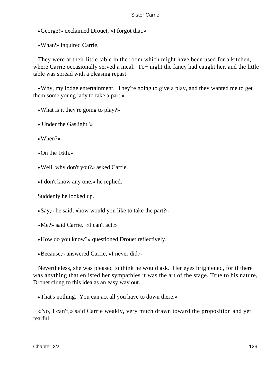«George!» exclaimed Drouet, «I forgot that.»

«What?» inquired Carrie.

 They were at their little table in the room which might have been used for a kitchen, where Carrie occasionally served a meal. To− night the fancy had caught her, and the little table was spread with a pleasing repast.

 «Why, my lodge entertainment. They're going to give a play, and they wanted me to get them some young lady to take a part.»

«What is it they're going to play?»

«'Under the Gaslight.'»

«When?»

«On the 16th.»

«Well, why don't you?» asked Carrie.

«I don't know any one,» he replied.

Suddenly he looked up.

«Say,» he said, «how would you like to take the part?»

«Me?» said Carrie. «I can't act.»

«How do you know?» questioned Drouet reflectively.

«Because,» answered Carrie, «I never did.»

 Nevertheless, she was pleased to think he would ask. Her eyes brightened, for if there was anything that enlisted her sympathies it was the art of the stage. True to his nature, Drouet clung to this idea as an easy way out.

«That's nothing. You can act all you have to down there.»

 «No, I can't,» said Carrie weakly, very much drawn toward the proposition and yet fearful.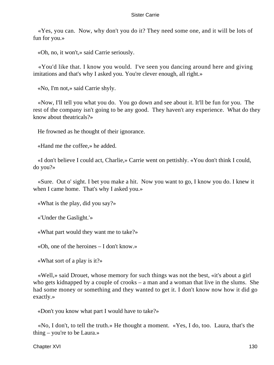«Yes, you can. Now, why don't you do it? They need some one, and it will be lots of fun for you.»

«Oh, no, it won't,» said Carrie seriously.

 «You'd like that. I know you would. I've seen you dancing around here and giving imitations and that's why I asked you. You're clever enough, all right.»

«No, I'm not,» said Carrie shyly.

 «Now, I'll tell you what you do. You go down and see about it. It'll be fun for you. The rest of the company isn't going to be any good. They haven't any experience. What do they know about theatricals?»

He frowned as he thought of their ignorance.

«Hand me the coffee,» he added.

 «I don't believe I could act, Charlie,» Carrie went on pettishly. «You don't think I could, do you?»

 «Sure. Out o' sight. I bet you make a hit. Now you want to go, I know you do. I knew it when I came home. That's why I asked you.»

«What is the play, did you say?»

«'Under the Gaslight.'»

«What part would they want me to take?»

«Oh, one of the heroines – I don't know.»

«What sort of a play is it?»

 «Well,» said Drouet, whose memory for such things was not the best, «it's about a girl who gets kidnapped by a couple of crooks – a man and a woman that live in the slums. She had some money or something and they wanted to get it. I don't know now how it did go exactly.»

«Don't you know what part I would have to take?»

 «No, I don't, to tell the truth.» He thought a moment. «Yes, I do, too. Laura, that's the thing – you're to be Laura.»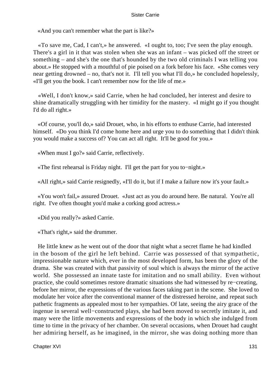«And you can't remember what the part is like?»

 «To save me, Cad, I can't,» he answered. «I ought to, too; I've seen the play enough. There's a girl in it that was stolen when she was an infant – was picked off the street or something – and she's the one that's hounded by the two old criminals I was telling you about.» He stopped with a mouthful of pie poised on a fork before his face. «She comes very near getting drowned – no, that's not it. I'll tell you what I'll do,» he concluded hopelessly, «I'll get you the book. I can't remember now for the life of me.»

 «Well, I don't know,» said Carrie, when he had concluded, her interest and desire to shine dramatically struggling with her timidity for the mastery. «I might go if you thought I'd do all right.»

 «Of course, you'll do,» said Drouet, who, in his efforts to enthuse Carrie, had interested himself. «Do you think I'd come home here and urge you to do something that I didn't think you would make a success of? You can act all right. It'll be good for you.»

«When must I go?» said Carrie, reflectively.

«The first rehearsal is Friday night. I'll get the part for you to−night.»

«All right,» said Carrie resignedly, «I'll do it, but if I make a failure now it's your fault.»

 «You won't fail,» assured Drouet. «Just act as you do around here. Be natural. You're all right. I've often thought you'd make a corking good actress.»

«Did you really?» asked Carrie.

«That's right,» said the drummer.

 He little knew as he went out of the door that night what a secret flame he had kindled in the bosom of the girl he left behind. Carrie was possessed of that sympathetic, impressionable nature which, ever in the most developed form, has been the glory of the drama. She was created with that passivity of soul which is always the mirror of the active world. She possessed an innate taste for imitation and no small ability. Even without practice, she could sometimes restore dramatic situations she had witnessed by re−creating, before her mirror, the expressions of the various faces taking part in the scene. She loved to modulate her voice after the conventional manner of the distressed heroine, and repeat such pathetic fragments as appealed most to her sympathies. Of late, seeing the airy grace of the ingenue in several well−constructed plays, she had been moved to secretly imitate it, and many were the little movements and expressions of the body in which she indulged from time to time in the privacy of her chamber. On several occasions, when Drouet had caught her admiring herself, as he imagined, in the mirror, she was doing nothing more than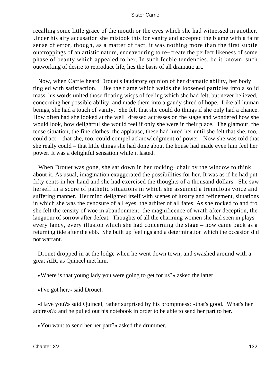recalling some little grace of the mouth or the eyes which she had witnessed in another. Under his airy accusation she mistook this for vanity and accepted the blame with a faint sense of error, though, as a matter of fact, it was nothing more than the first subtle outcroppings of an artistic nature, endeavouring to re−create the perfect likeness of some phase of beauty which appealed to her. In such feeble tendencies, be it known, such outworking of desire to reproduce life, lies the basis of all dramatic art.

 Now, when Carrie heard Drouet's laudatory opinion of her dramatic ability, her body tingled with satisfaction. Like the flame which welds the loosened particles into a solid mass, his words united those floating wisps of feeling which she had felt, but never believed, concerning her possible ability, and made them into a gaudy shred of hope. Like all human beings, she had a touch of vanity. She felt that she could do things if she only had a chance. How often had she looked at the well−dressed actresses on the stage and wondered how she would look, how delightful she would feel if only she were in their place. The glamour, the tense situation, the fine clothes, the applause, these had lured her until she felt that she, too, could act – that she, too, could compel acknowledgment of power. Now she was told that she really could – that little things she had done about the house had made even him feel her power. It was a delightful sensation while it lasted.

 When Drouet was gone, she sat down in her rocking−chair by the window to think about it. As usual, imagination exaggerated the possibilities for her. It was as if he had put fifty cents in her hand and she had exercised the thoughts of a thousand dollars. She saw herself in a score of pathetic situations in which she assumed a tremulous voice and suffering manner. Her mind delighted itself with scenes of luxury and refinement, situations in which she was the cynosure of all eyes, the arbiter of all fates. As she rocked to and fro she felt the tensity of woe in abandonment, the magnificence of wrath after deception, the languour of sorrow after defeat. Thoughts of all the charming women she had seen in plays – every fancy, every illusion which she had concerning the stage – now came back as a returning tide after the ebb. She built up feelings and a determination which the occasion did not warrant.

 Drouet dropped in at the lodge when he went down town, and swashed around with a great AIR, as Quincel met him.

«Where is that young lady you were going to get for us?» asked the latter.

«I've got her,» said Drouet.

 «Have you?» said Quincel, rather surprised by his promptness; «that's good. What's her address?» and he pulled out his notebook in order to be able to send her part to her.

«You want to send her her part?» asked the drummer.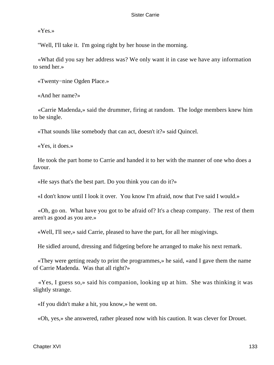«Yes.»

"Well, I'll take it. I'm going right by her house in the morning.

 «What did you say her address was? We only want it in case we have any information to send her.»

«Twenty−nine Ogden Place.»

«And her name?»

 «Carrie Madenda,» said the drummer, firing at random. The lodge members knew him to be single.

«That sounds like somebody that can act, doesn't it?» said Quincel.

«Yes, it does.»

 He took the part home to Carrie and handed it to her with the manner of one who does a favour.

«He says that's the best part. Do you think you can do it?»

«I don't know until I look it over. You know I'm afraid, now that I've said I would.»

 «Oh, go on. What have you got to be afraid of? It's a cheap company. The rest of them aren't as good as you are.»

«Well, I'll see,» said Carrie, pleased to have the part, for all her misgivings.

He sidled around, dressing and fidgeting before he arranged to make his next remark.

 «They were getting ready to print the programmes,» he said, «and I gave them the name of Carrie Madenda. Was that all right?»

 «Yes, I guess so,» said his companion, looking up at him. She was thinking it was slightly strange.

«If you didn't make a hit, you know,» he went on.

«Oh, yes,» she answered, rather pleased now with his caution. It was clever for Drouet.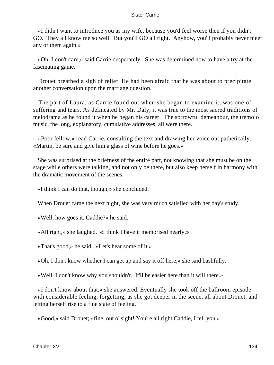«I didn't want to introduce you as my wife, because you'd feel worse then if you didn't GO. They all know me so well. But you'll GO all right. Anyhow, you'll probably never meet any of them again.»

 «Oh, I don't care,» said Carrie desperately. She was determined now to have a try at the fascinating game.

 Drouet breathed a sigh of relief. He had been afraid that he was about to precipitate another conversation upon the marriage question.

 The part of Laura, as Carrie found out when she began to examine it, was one of suffering and tears. As delineated by Mr. Daly, it was true to the most sacred traditions of melodrama as he found it when he began his career. The sorrowful demeanour, the tremolo music, the long, explanatory, cumulative addresses, all were there.

 «Poor fellow,» read Carrie, consulting the text and drawing her voice out pathetically. «Martin, be sure and give him a glass of wine before he goes.»

 She was surprised at the briefness of the entire part, not knowing that she must be on the stage while others were talking, and not only be there, but also keep herself in harmony with the dramatic movement of the scenes.

«I think I can do that, though,» she concluded.

When Drouet came the next night, she was very much satisfied with her day's study.

«Well, how goes it, Caddie?» he said.

«All right,» she laughed. «I think I have it memorised nearly.»

«That's good,» he said. «Let's hear some of it.»

«Oh, I don't know whether I can get up and say it off here,» she said bashfully.

«Well, I don't know why you shouldn't. It'll be easier here than it will there.»

 «I don't know about that,» she answered. Eventually she took off the ballroom episode with considerable feeling, forgetting, as she got deeper in the scene, all about Drouet, and letting herself rise to a fine state of feeling.

«Good,» said Drouet; «fine, out o' sight! You're all right Caddie, I tell you.»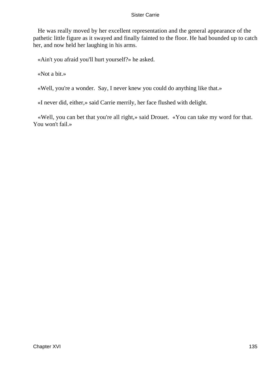He was really moved by her excellent representation and the general appearance of the pathetic little figure as it swayed and finally fainted to the floor. He had bounded up to catch her, and now held her laughing in his arms.

«Ain't you afraid you'll hurt yourself?» he asked.

«Not a bit.»

«Well, you're a wonder. Say, I never knew you could do anything like that.»

«I never did, either,» said Carrie merrily, her face flushed with delight.

 «Well, you can bet that you're all right,» said Drouet. «You can take my word for that. You won't fail.»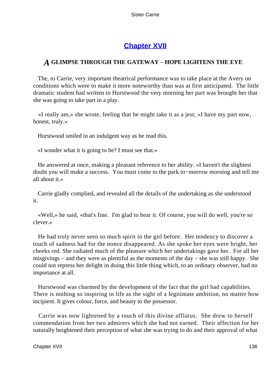# **[Chapter XVII](#page-428-0)**

## *A* **GLIMPSE THROUGH THE GATEWAY** – **HOPE LIGHTENS THE EYE**

 The, to Carrie, very important theatrical performance was to take place at the Avery on conditions which were to make it more noteworthy than was at first anticipated. The little dramatic student had written to Hurstwood the very morning her part was brought her that she was going to take part in a play.

 «I really am,» she wrote, feeling that he might take it as a jest; «I have my part now, honest, truly.»

Hurstwood smiled in an indulgent way as he read this.

«I wonder what it is going to be? I must see that.»

 He answered at once, making a pleasant reference to her ability. «I haven't the slightest doubt you will make a success. You must come to the park to−morrow morning and tell me all about it.»

 Carrie gladly complied, and revealed all the details of the undertaking as she understood it.

 «Well,» he said, «that's fine. I'm glad to hear it. Of course, you will do well, you're so clever.»

 He had truly never seen so much spirit in the girl before. Her tendency to discover a touch of sadness had for the nonce disappeared. As she spoke her eyes were bright, her cheeks red. She radiated much of the pleasure which her undertakings gave her. For all her misgivings – and they were as plentiful as the moments of the day – she was still happy. She could not repress her delight in doing this little thing which, to an ordinary observer, had no importance at all.

 Hurstwood was charmed by the development of the fact that the girl had capabilities. There is nothing so inspiring in life as the sight of a legitimate ambition, no matter how incipient. It gives colour, force, and beauty to the possessor.

 Carrie was now lightened by a touch of this divine afflatus. She drew to herself commendation from her two admirers which she had not earned. Their affection for her naturally heightened their perception of what she was trying to do and their approval of what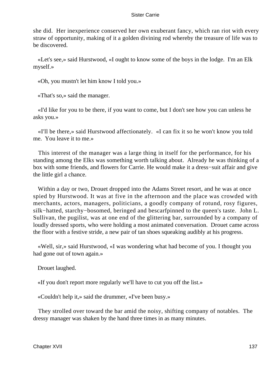she did. Her inexperience conserved her own exuberant fancy, which ran riot with every straw of opportunity, making of it a golden divining rod whereby the treasure of life was to be discovered.

 «Let's see,» said Hurstwood, «I ought to know some of the boys in the lodge. I'm an Elk myself.»

«Oh, you mustn't let him know I told you.»

«That's so,» said the manager.

 «I'd like for you to be there, if you want to come, but I don't see how you can unless he asks you.»

 «I'll be there,» said Hurstwood affectionately. «I can fix it so he won't know you told me. You leave it to me.»

 This interest of the manager was a large thing in itself for the performance, for his standing among the Elks was something worth talking about. Already he was thinking of a box with some friends, and flowers for Carrie. He would make it a dress−suit affair and give the little girl a chance.

 Within a day or two, Drouet dropped into the Adams Street resort, and he was at once spied by Hurstwood. It was at five in the afternoon and the place was crowded with merchants, actors, managers, politicians, a goodly company of rotund, rosy figures, silk−hatted, starchy−bosomed, beringed and bescarfpinned to the queen's taste. John L. Sullivan, the pugilist, was at one end of the glittering bar, surrounded by a company of loudly dressed sports, who were holding a most animated conversation. Drouet came across the floor with a festive stride, a new pair of tan shoes squeaking audibly at his progress.

 «Well, sir,» said Hurstwood, «I was wondering what had become of you. I thought you had gone out of town again.»

Drouet laughed.

«If you don't report more regularly we'll have to cut you off the list.»

«Couldn't help it,» said the drummer, «I've been busy.»

 They strolled over toward the bar amid the noisy, shifting company of notables. The dressy manager was shaken by the hand three times in as many minutes.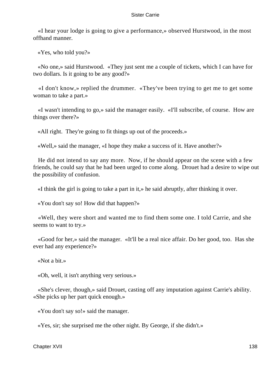«I hear your lodge is going to give a performance,» observed Hurstwood, in the most offhand manner.

«Yes, who told you?»

 «No one,» said Hurstwood. «They just sent me a couple of tickets, which I can have for two dollars. Is it going to be any good?»

 «I don't know,» replied the drummer. «They've been trying to get me to get some woman to take a part.»

 «I wasn't intending to go,» said the manager easily. «I'll subscribe, of course. How are things over there?»

«All right. They're going to fit things up out of the proceeds.»

«Well,» said the manager, «I hope they make a success of it. Have another?»

 He did not intend to say any more. Now, if he should appear on the scene with a few friends, he could say that he had been urged to come along. Drouet had a desire to wipe out the possibility of confusion.

«I think the girl is going to take a part in it,» he said abruptly, after thinking it over.

«You don't say so! How did that happen?»

 «Well, they were short and wanted me to find them some one. I told Carrie, and she seems to want to try.»

 «Good for her,» said the manager. «It'll be a real nice affair. Do her good, too. Has she ever had any experience?»

«Not a bit.»

«Oh, well, it isn't anything very serious.»

 «She's clever, though,» said Drouet, casting off any imputation against Carrie's ability. «She picks up her part quick enough.»

«You don't say so!» said the manager.

«Yes, sir; she surprised me the other night. By George, if she didn't.»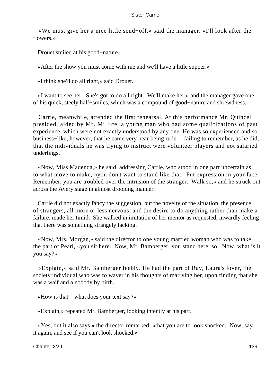«We must give her a nice little send−off,» said the manager. «I'll look after the flowers.»

Drouet smiled at his good−nature.

«After the show you must come with me and we'll have a little supper.»

«I think she'll do all right,» said Drouet.

 «I want to see her. She's got to do all right. We'll make her,» and the manager gave one of his quick, steely half−smiles, which was a compound of good−nature and shrewdness.

 Carrie, meanwhile, attended the first rehearsal. At this performance Mr. Quincel presided, aided by Mr. Millice, a young man who had some qualifications of past experience, which were not exactly understood by any one. He was so experienced and so business−like, however, that he came very near being rude – failing to remember, as he did, that the individuals he was trying to instruct were volunteer players and not salaried underlings.

 «Now, Miss Madenda,» he said, addressing Carrie, who stood in one part uncertain as to what move to make, «you don't want to stand like that. Put expression in your face. Remember, you are troubled over the intrusion of the stranger. Walk so,» and he struck out across the Avery stage in almost drooping manner.

 Carrie did not exactly fancy the suggestion, but the novelty of the situation, the presence of strangers, all more or less nervous, and the desire to do anything rather than make a failure, made her timid. She walked in imitation of her mentor as requested, inwardly feeling that there was something strangely lacking.

 «Now, Mrs. Morgan,» said the director to one young married woman who was to take the part of Pearl, «you sit here. Now, Mr. Bamberger, you stand here, so. Now, what is it you say?»

 «Explain,» said Mr. Bamberger feebly. He had the part of Ray, Laura's lover, the society individual who was to waver in his thoughts of marrying her, upon finding that she was a waif and a nobody by birth.

«How is that – what does your text say?»

«Explain,» repeated Mr. Bamberger, looking intently at his part.

 «Yes, but it also says,» the director remarked, «that you are to look shocked. Now, say it again, and see if you can't look shocked.»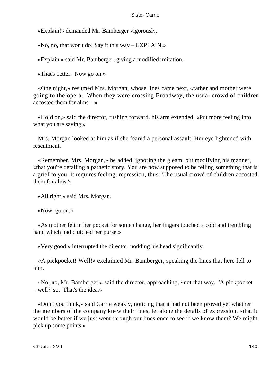«Explain!» demanded Mr. Bamberger vigorously.

«No, no, that won't do! Say it this way – EXPLAIN.»

«Explain,» said Mr. Bamberger, giving a modified imitation.

«That's better. Now go on.»

 «One night,» resumed Mrs. Morgan, whose lines came next, «father and mother were going to the opera. When they were crossing Broadway, the usual crowd of children accosted them for alms  $-$  »

 «Hold on,» said the director, rushing forward, his arm extended. «Put more feeling into what you are saying.»

 Mrs. Morgan looked at him as if she feared a personal assault. Her eye lightened with resentment.

 «Remember, Mrs. Morgan,» he added, ignoring the gleam, but modifying his manner, «that you're detailing a pathetic story. You are now supposed to be telling something that is a grief to you. It requires feeling, repression, thus: 'The usual crowd of children accosted them for alms.'»

«All right,» said Mrs. Morgan.

«Now, go on.»

 «As mother felt in her pocket for some change, her fingers touched a cold and trembling hand which had clutched her purse.»

«Very good,» interrupted the director, nodding his head significantly.

 «A pickpocket! Well!» exclaimed Mr. Bamberger, speaking the lines that here fell to him.

 «No, no, Mr. Bamberger,» said the director, approaching, «not that way. 'A pickpocket – well?' so. That's the idea.»

 «Don't you think,» said Carrie weakly, noticing that it had not been proved yet whether the members of the company knew their lines, let alone the details of expression, «that it would be better if we just went through our lines once to see if we know them? We might pick up some points.»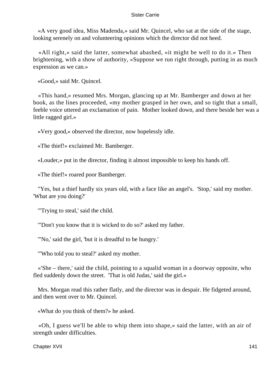«A very good idea, Miss Madenda,» said Mr. Quincel, who sat at the side of the stage, looking serenely on and volunteering opinions which the director did not heed.

 «All right,» said the latter, somewhat abashed, «it might be well to do it.» Then brightening, with a show of authority, «Suppose we run right through, putting in as much expression as we can.»

«Good,» said Mr. Quincel.

 «This hand,» resumed Mrs. Morgan, glancing up at Mr. Bamberger and down at her book, as the lines proceeded, «my mother grasped in her own, and so tight that a small, feeble voice uttered an exclamation of pain. Mother looked down, and there beside her was a little ragged girl.»

«Very good,» observed the director, now hopelessly idle.

«The thief!» exclaimed Mr. Bamberger.

«Louder,» put in the director, finding it almost impossible to keep his hands off.

«The thief!» roared poor Bamberger.

 "Yes, but a thief hardly six years old, with a face like an angel's. 'Stop,' said my mother. 'What are you doing?'

"'Trying to steal,' said the child.

"'Don't you know that it is wicked to do so?' asked my father.

"'No,' said the girl, 'but it is dreadful to be hungry.'

"'Who told you to steal?' asked my mother.

 «'She – there,' said the child, pointing to a squalid woman in a doorway opposite, who fled suddenly down the street. 'That is old Judas,' said the girl.»

 Mrs. Morgan read this rather flatly, and the director was in despair. He fidgeted around, and then went over to Mr. Quincel.

«What do you think of them?» he asked.

 «Oh, I guess we'll be able to whip them into shape,» said the latter, with an air of strength under difficulties.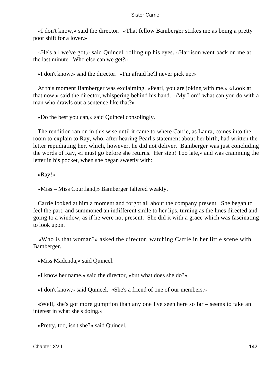«I don't know,» said the director. «That fellow Bamberger strikes me as being a pretty poor shift for a lover.»

 «He's all we've got,» said Quincel, rolling up his eyes. «Harrison went back on me at the last minute. Who else can we get?»

«I don't know,» said the director. «I'm afraid he'll never pick up.»

 At this moment Bamberger was exclaiming, «Pearl, you are joking with me.» «Look at that now,» said the director, whispering behind his hand. «My Lord! what can you do with a man who drawls out a sentence like that?»

«Do the best you can,» said Quincel consolingly.

 The rendition ran on in this wise until it came to where Carrie, as Laura, comes into the room to explain to Ray, who, after hearing Pearl's statement about her birth, had written the letter repudiating her, which, however, he did not deliver. Bamberger was just concluding the words of Ray, «I must go before she returns. Her step! Too late,» and was cramming the letter in his pocket, when she began sweetly with:

«Ray!»

«Miss – Miss Courtland,» Bamberger faltered weakly.

 Carrie looked at him a moment and forgot all about the company present. She began to feel the part, and summoned an indifferent smile to her lips, turning as the lines directed and going to a window, as if he were not present. She did it with a grace which was fascinating to look upon.

 «Who is that woman?» asked the director, watching Carrie in her little scene with Bamberger.

«Miss Madenda,» said Quincel.

«I know her name,» said the director, «but what does she do?»

«I don't know,» said Quincel. «She's a friend of one of our members.»

 «Well, she's got more gumption than any one I've seen here so far – seems to take an interest in what she's doing.»

«Pretty, too, isn't she?» said Quincel.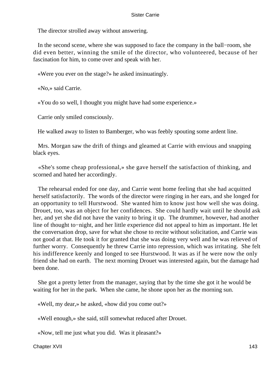The director strolled away without answering.

 In the second scene, where she was supposed to face the company in the ball−room, she did even better, winning the smile of the director, who volunteered, because of her fascination for him, to come over and speak with her.

«Were you ever on the stage?» he asked insinuatingly.

«No,» said Carrie.

«You do so well, I thought you might have had some experience.»

Carrie only smiled consciously.

He walked away to listen to Bamberger, who was feebly spouting some ardent line.

 Mrs. Morgan saw the drift of things and gleamed at Carrie with envious and snapping black eyes.

 «She's some cheap professional,» she gave herself the satisfaction of thinking, and scorned and hated her accordingly.

 The rehearsal ended for one day, and Carrie went home feeling that she had acquitted herself satisfactorily. The words of the director were ringing in her ears, and she longed for an opportunity to tell Hurstwood. She wanted him to know just how well she was doing. Drouet, too, was an object for her confidences. She could hardly wait until he should ask her, and yet she did not have the vanity to bring it up. The drummer, however, had another line of thought to−night, and her little experience did not appeal to him as important. He let the conversation drop, save for what she chose to recite without solicitation, and Carrie was not good at that. He took it for granted that she was doing very well and he was relieved of further worry. Consequently he threw Carrie into repression, which was irritating. She felt his indifference keenly and longed to see Hurstwood. It was as if he were now the only friend she had on earth. The next morning Drouet was interested again, but the damage had been done.

 She got a pretty letter from the manager, saying that by the time she got it he would be waiting for her in the park. When she came, he shone upon her as the morning sun.

«Well, my dear,» he asked, «how did you come out?»

«Well enough,» she said, still somewhat reduced after Drouet.

«Now, tell me just what you did. Was it pleasant?»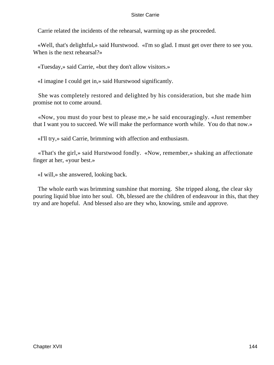Carrie related the incidents of the rehearsal, warming up as she proceeded.

 «Well, that's delightful,» said Hurstwood. «I'm so glad. I must get over there to see you. When is the next rehearsal?»

«Tuesday,» said Carrie, «but they don't allow visitors.»

«I imagine I could get in,» said Hurstwood significantly.

 She was completely restored and delighted by his consideration, but she made him promise not to come around.

 «Now, you must do your best to please me,» he said encouragingly. «Just remember that I want you to succeed. We will make the performance worth while. You do that now.»

«I'll try,» said Carrie, brimming with affection and enthusiasm.

 «That's the girl,» said Hurstwood fondly. «Now, remember,» shaking an affectionate finger at her, «your best.»

«I will,» she answered, looking back.

 The whole earth was brimming sunshine that morning. She tripped along, the clear sky pouring liquid blue into her soul. Oh, blessed are the children of endeavour in this, that they try and are hopeful. And blessed also are they who, knowing, smile and approve.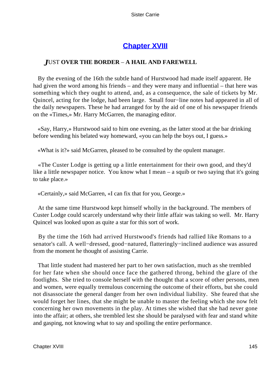# **[Chapter XVIII](#page-428-0)**

# *J*UST **OVER THE BORDER** – **A HAIL AND FAREWELL**

 By the evening of the 16th the subtle hand of Hurstwood had made itself apparent. He had given the word among his friends – and they were many and influential – that here was something which they ought to attend, and, as a consequence, the sale of tickets by Mr. Quincel, acting for the lodge, had been large. Small four−line notes had appeared in all of the daily newspapers. These he had arranged for by the aid of one of his newspaper friends on the «Times,» Mr. Harry McGarren, the managing editor.

 «Say, Harry,» Hurstwood said to him one evening, as the latter stood at the bar drinking before wending his belated way homeward, «you can help the boys out, I guess.»

«What is it?» said McGarren, pleased to be consulted by the opulent manager.

 «The Custer Lodge is getting up a little entertainment for their own good, and they'd like a little newspaper notice. You know what I mean – a squib or two saying that it's going to take place.»

«Certainly,» said McGarren, «I can fix that for you, George.»

 At the same time Hurstwood kept himself wholly in the background. The members of Custer Lodge could scarcely understand why their little affair was taking so well. Mr. Harry Quincel was looked upon as quite a star for this sort of work.

 By the time the 16th had arrived Hurstwood's friends had rallied like Romans to a senator's call. A well−dressed, good−natured, flatteringly−inclined audience was assured from the moment he thought of assisting Carrie.

 That little student had mastered her part to her own satisfaction, much as she trembled for her fate when she should once face the gathered throng, behind the glare of the footlights. She tried to console herself with the thought that a score of other persons, men and women, were equally tremulous concerning the outcome of their efforts, but she could not disassociate the general danger from her own individual liability. She feared that she would forget her lines, that she might be unable to master the feeling which she now felt concerning her own movements in the play. At times she wished that she had never gone into the affair; at others, she trembled lest she should be paralysed with fear and stand white and gasping, not knowing what to say and spoiling the entire performance.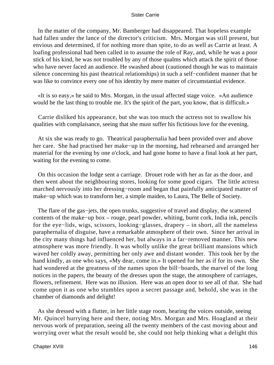In the matter of the company, Mr. Bamberger had disappeared. That hopeless example had fallen under the lance of the director's criticism. Mrs. Morgan was still present, but envious and determined, if for nothing more than spite, to do as well as Carrie at least. A loafing professional had been called in to assume the role of Ray, and, while he was a poor stick of his kind, he was not troubled by any of those qualms which attack the spirit of those who have never faced an audience. He swashed about (cautioned though he was to maintain silence concerning his past theatrical relationships) in such a self−confident manner that he was like to convince every one of his identity by mere matter of circumstantial evidence.

 «It is so easy,» he said to Mrs. Morgan, in the usual affected stage voice. «An audience would be the last thing to trouble me. It's the spirit of the part, you know, that is difficult.»

 Carrie disliked his appearance, but she was too much the actress not to swallow his qualities with complaisance, seeing that she must suffer his fictitious love for the evening.

 At six she was ready to go. Theatrical paraphernalia had been provided over and above her care. She had practised her make−up in the morning, had rehearsed and arranged her material for the evening by one o'clock, and had gone home to have a final look at her part, waiting for the evening to come.

 On this occasion the lodge sent a carriage. Drouet rode with her as far as the door, and then went about the neighbouring stores, looking for some good cigars. The little actress marched nervously into her dressing−room and began that painfully anticipated matter of make−up which was to transform her, a simple maiden, to Laura, The Belle of Society.

The flare of the gas–jets, the open trunks, suggestive of travel and display, the scattered contents of the make−up box – rouge, pearl powder, whiting, burnt cork, India ink, pencils for the eye−lids, wigs, scissors, looking−glasses, drapery – in short, all the nameless paraphernalia of disguise, have a remarkable atmosphere of their own. Since her arrival in the city many things had influenced her, but always in a far−removed manner. This new atmosphere was more friendly. It was wholly unlike the great brilliant mansions which waved her coldly away, permitting her only awe and distant wonder. This took her by the hand kindly, as one who says, «My dear, come in.» It opened for her as if for its own. She had wondered at the greatness of the names upon the bill−boards, the marvel of the long notices in the papers, the beauty of the dresses upon the stage, the atmosphere of carriages, flowers, refinement. Here was no illusion. Here was an open door to see all of that. She had come upon it as one who stumbles upon a secret passage and, behold, she was in the chamber of diamonds and delight!

 As she dressed with a flutter, in her little stage room, hearing the voices outside, seeing Mr. Quincel hurrying here and there, noting Mrs. Morgan and Mrs. Hoagland at their nervous work of preparation, seeing all the twenty members of the cast moving about and worrying over what the result would be, she could not help thinking what a delight this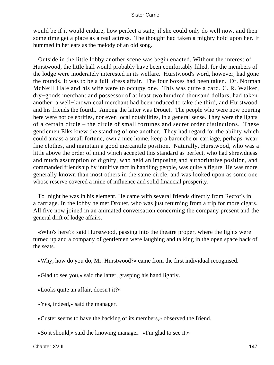would be if it would endure; how perfect a state, if she could only do well now, and then some time get a place as a real actress. The thought had taken a mighty hold upon her. It hummed in her ears as the melody of an old song.

 Outside in the little lobby another scene was begin enacted. Without the interest of Hurstwood, the little hall would probably have been comfortably filled, for the members of the lodge were moderately interested in its welfare. Hurstwood's word, however, had gone the rounds. It was to be a full−dress affair. The four boxes had been taken. Dr. Norman McNeill Hale and his wife were to occupy one. This was quite a card. C. R. Walker, dry−goods merchant and possessor of at least two hundred thousand dollars, had taken another; a well−known coal merchant had been induced to take the third, and Hurstwood and his friends the fourth. Among the latter was Drouet. The people who were now pouring here were not celebrities, nor even local notabilities, in a general sense. They were the lights of a certain circle – the circle of small fortunes and secret order distinctions. These gentlemen Elks knew the standing of one another. They had regard for the ability which could amass a small fortune, own a nice home, keep a barouche or carriage, perhaps, wear fine clothes, and maintain a good mercantile position. Naturally, Hurstwood, who was a little above the order of mind which accepted this standard as perfect, who had shrewdness and much assumption of dignity, who held an imposing and authoritative position, and commanded friendship by intuitive tact in handling people, was quite a figure. He was more generally known than most others in the same circle, and was looked upon as some one whose reserve covered a mine of influence and solid financial prosperity.

 To−night he was in his element. He came with several friends directly from Rector's in a carriage. In the lobby he met Drouet, who was just returning from a trip for more cigars. All five now joined in an animated conversation concerning the company present and the general drift of lodge affairs.

 «Who's here?» said Hurstwood, passing into the theatre proper, where the lights were turned up and a company of gentlemen were laughing and talking in the open space back of the seats.

«Why, how do you do, Mr. Hurstwood?» came from the first individual recognised.

«Glad to see you,» said the latter, grasping his hand lightly.

«Looks quite an affair, doesn't it?»

«Yes, indeed,» said the manager.

«Custer seems to have the backing of its members,» observed the friend.

«So it should,» said the knowing manager. «I'm glad to see it.»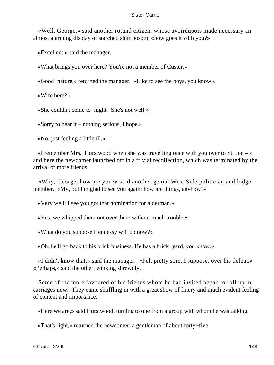«Well, George,» said another rotund citizen, whose avoirdupois made necessary an almost alarming display of starched shirt bosom, «how goes it with you?»

«Excellent,» said the manager.

«What brings you over here? You're not a member of Custer.»

«Good−nature,» returned the manager. «Like to see the boys, you know.»

«Wife here?»

«She couldn't come to−night. She's not well.»

«Sorry to hear it – nothing serious, I hope.»

«No, just feeling a little ill.»

«I remember Mrs. Hurstwood when she was travelling once with you over to St. Joe  $-\infty$ and here the newcomer launched off in a trivial recollection, which was terminated by the arrival of more friends.

 «Why, George, how are you?» said another genial West Side politician and lodge member. «My, but I'm glad to see you again; how are things, anyhow?»

«Very well; I see you got that nomination for alderman.»

«Yes, we whipped them out over there without much trouble.»

«What do you suppose Hennessy will do now?»

«Oh, he'll go back to his brick business. He has a brick−yard, you know.»

 «I didn't know that,» said the manager. «Felt pretty sore, I suppose, over his defeat.» «Perhaps,» said the other, winking shrewdly.

 Some of the more favoured of his friends whom he had invited began to roll up in carriages now. They came shuffling in with a great show of finery and much evident feeling of content and importance.

«Here we are,» said Hurstwood, turning to one from a group with whom he was talking.

«That's right,» returned the newcomer, a gentleman of about forty−five.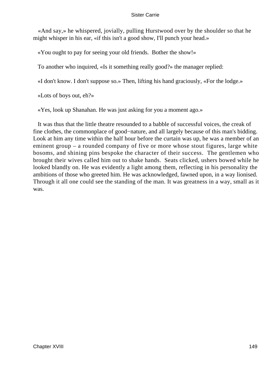«And say,» he whispered, jovially, pulling Hurstwood over by the shoulder so that he might whisper in his ear, «if this isn't a good show, I'll punch your head.»

«You ought to pay for seeing your old friends. Bother the show!»

To another who inquired, «Is it something really good?» the manager replied:

«I don't know. I don't suppose so.» Then, lifting his hand graciously, «For the lodge.»

«Lots of boys out, eh?»

«Yes, look up Shanahan. He was just asking for you a moment ago.»

 It was thus that the little theatre resounded to a babble of successful voices, the creak of fine clothes, the commonplace of good−nature, and all largely because of this man's bidding. Look at him any time within the half hour before the curtain was up, he was a member of an eminent group – a rounded company of five or more whose stout figures, large white bosoms, and shining pins bespoke the character of their success. The gentlemen who brought their wives called him out to shake hands. Seats clicked, ushers bowed while he looked blandly on. He was evidently a light among them, reflecting in his personality the ambitions of those who greeted him. He was acknowledged, fawned upon, in a way lionised. Through it all one could see the standing of the man. It was greatness in a way, small as it was.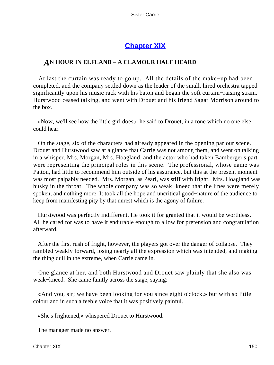# **[Chapter XIX](#page-428-0)**

## *A*N **HOUR IN ELFLAND** – **A CLAMOUR HALF HEARD**

 At last the curtain was ready to go up. All the details of the make−up had been completed, and the company settled down as the leader of the small, hired orchestra tapped significantly upon his music rack with his baton and began the soft curtain−raising strain. Hurstwood ceased talking, and went with Drouet and his friend Sagar Morrison around to the box.

 «Now, we'll see how the little girl does,» he said to Drouet, in a tone which no one else could hear.

 On the stage, six of the characters had already appeared in the opening parlour scene. Drouet and Hurstwood saw at a glance that Carrie was not among them, and went on talking in a whisper. Mrs. Morgan, Mrs. Hoagland, and the actor who had taken Bamberger's part were representing the principal roles in this scene. The professional, whose name was Patton, had little to recommend him outside of his assurance, but this at the present moment was most palpably needed. Mrs. Morgan, as Pearl, was stiff with fright. Mrs. Hoagland was husky in the throat. The whole company was so weak−kneed that the lines were merely spoken, and nothing more. It took all the hope and uncritical good−nature of the audience to keep from manifesting pity by that unrest which is the agony of failure.

 Hurstwood was perfectly indifferent. He took it for granted that it would be worthless. All he cared for was to have it endurable enough to allow for pretension and congratulation afterward.

 After the first rush of fright, however, the players got over the danger of collapse. They rambled weakly forward, losing nearly all the expression which was intended, and making the thing dull in the extreme, when Carrie came in.

 One glance at her, and both Hurstwood and Drouet saw plainly that she also was weak−kneed. She came faintly across the stage, saying:

 «And you, sir; we have been looking for you since eight o'clock,» but with so little colour and in such a feeble voice that it was positively painful.

«She's frightened,» whispered Drouet to Hurstwood.

The manager made no answer.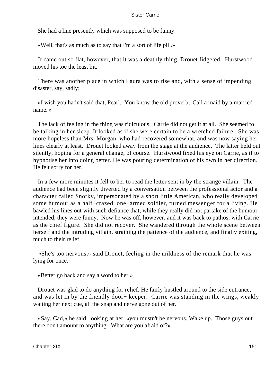She had a line presently which was supposed to be funny.

«Well, that's as much as to say that I'm a sort of life pill.»

 It came out so flat, however, that it was a deathly thing. Drouet fidgeted. Hurstwood moved his toe the least bit.

 There was another place in which Laura was to rise and, with a sense of impending disaster, say, sadly:

 «I wish you hadn't said that, Pearl. You know the old proverb, 'Call a maid by a married name.'»

 The lack of feeling in the thing was ridiculous. Carrie did not get it at all. She seemed to be talking in her sleep. It looked as if she were certain to be a wretched failure. She was more hopeless than Mrs. Morgan, who had recovered somewhat, and was now saying her lines clearly at least. Drouet looked away from the stage at the audience. The latter held out silently, hoping for a general change, of course. Hurstwood fixed his eye on Carrie, as if to hypnotise her into doing better. He was pouring determination of his own in her direction. He felt sorry for her.

 In a few more minutes it fell to her to read the letter sent in by the strange villain. The audience had been slightly diverted by a conversation between the professional actor and a character called Snorky, impersonated by a short little American, who really developed some humour as a half−crazed, one−armed soldier, turned messenger for a living. He bawled his lines out with such defiance that, while they really did not partake of the humour intended, they were funny. Now he was off, however, and it was back to pathos, with Carrie as the chief figure. She did not recover. She wandered through the whole scene between herself and the intruding villain, straining the patience of the audience, and finally exiting, much to their relief.

 «She's too nervous,» said Drouet, feeling in the mildness of the remark that he was lying for once.

«Better go back and say a word to her.»

 Drouet was glad to do anything for relief. He fairly hustled around to the side entrance, and was let in by the friendly door− keeper. Carrie was standing in the wings, weakly waiting her next cue, all the snap and nerve gone out of her.

 «Say, Cad,» he said, looking at her, «you mustn't be nervous. Wake up. Those guys out there don't amount to anything. What are you afraid of?»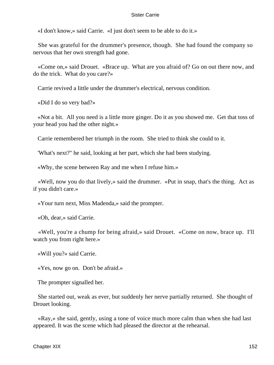«I don't know,» said Carrie. «I just don't seem to be able to do it.»

 She was grateful for the drummer's presence, though. She had found the company so nervous that her own strength had gone.

 «Come on,» said Drouet. «Brace up. What are you afraid of? Go on out there now, and do the trick. What do you care?»

Carrie revived a little under the drummer's electrical, nervous condition.

«Did I do so very bad?»

 «Not a bit. All you need is a little more ginger. Do it as you showed me. Get that toss of your head you had the other night.»

Carrie remembered her triumph in the room. She tried to think she could to it.

'What's next?" he said, looking at her part, which she had been studying.

«Why, the scene between Ray and me when I refuse him.»

 «Well, now you do that lively,» said the drummer. «Put in snap, that's the thing. Act as if you didn't care.»

«Your turn next, Miss Madenda,» said the prompter.

«Oh, dear,» said Carrie.

 «Well, you're a chump for being afraid,» said Drouet. «Come on now, brace up. I'll watch you from right here.»

«Will you?» said Carrie.

«Yes, now go on. Don't be afraid.»

The prompter signalled her.

 She started out, weak as ever, but suddenly her nerve partially returned. She thought of Drouet looking.

 «Ray,» she said, gently, using a tone of voice much more calm than when she had last appeared. It was the scene which had pleased the director at the rehearsal.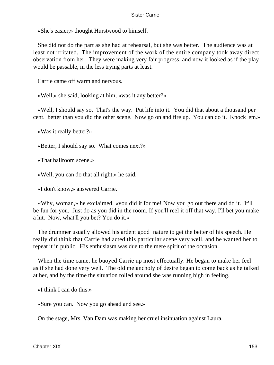«She's easier,» thought Hurstwood to himself.

 She did not do the part as she had at rehearsal, but she was better. The audience was at least not irritated. The improvement of the work of the entire company took away direct observation from her. They were making very fair progress, and now it looked as if the play would be passable, in the less trying parts at least.

Carrie came off warm and nervous.

«Well,» she said, looking at him, «was it any better?»

 «Well, I should say so. That's the way. Put life into it. You did that about a thousand per cent. better than you did the other scene. Now go on and fire up. You can do it. Knock 'em.»

«Was it really better?»

«Better, I should say so. What comes next?»

«That ballroom scene.»

«Well, you can do that all right,» he said.

«I don't know,» answered Carrie.

 «Why, woman,» he exclaimed, «you did it for me! Now you go out there and do it. It'll be fun for you. Just do as you did in the room. If you'll reel it off that way, I'll bet you make a hit. Now, what'll you bet? You do it.»

 The drummer usually allowed his ardent good−nature to get the better of his speech. He really did think that Carrie had acted this particular scene very well, and he wanted her to repeat it in public. His enthusiasm was due to the mere spirit of the occasion.

 When the time came, he buoyed Carrie up most effectually. He began to make her feel as if she had done very well. The old melancholy of desire began to come back as he talked at her, and by the time the situation rolled around she was running high in feeling.

«I think I can do this.»

«Sure you can. Now you go ahead and see.»

On the stage, Mrs. Van Dam was making her cruel insinuation against Laura.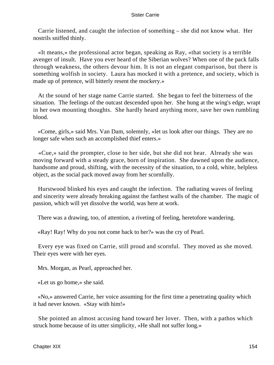Carrie listened, and caught the infection of something – she did not know what. Her nostrils sniffed thinly.

 «It means,» the professional actor began, speaking as Ray, «that society is a terrible avenger of insult. Have you ever heard of the Siberian wolves? When one of the pack falls through weakness, the others devour him. It is not an elegant comparison, but there is something wolfish in society. Laura has mocked it with a pretence, and society, which is made up of pretence, will bitterly resent the mockery.»

 At the sound of her stage name Carrie started. She began to feel the bitterness of the situation. The feelings of the outcast descended upon her. She hung at the wing's edge, wrapt in her own mounting thoughts. She hardly heard anything more, save her own rumbling blood.

 «Come, girls,» said Mrs. Van Dam, solemnly, «let us look after our things. They are no longer safe when such an accomplished thief enters.»

 «Cue,» said the prompter, close to her side, but she did not hear. Already she was moving forward with a steady grace, born of inspiration. She dawned upon the audience, handsome and proud, shifting, with the necessity of the situation, to a cold, white, helpless object, as the social pack moved away from her scornfully.

 Hurstwood blinked his eyes and caught the infection. The radiating waves of feeling and sincerity were already breaking against the farthest walls of the chamber. The magic of passion, which will yet dissolve the world, was here at work.

There was a drawing, too, of attention, a riveting of feeling, heretofore wandering.

«Ray! Ray! Why do you not come back to her?» was the cry of Pearl.

 Every eye was fixed on Carrie, still proud and scornful. They moved as she moved. Their eyes were with her eyes.

Mrs. Morgan, as Pearl, approached her.

«Let us go home,» she said.

 «No,» answered Carrie, her voice assuming for the first time a penetrating quality which it had never known. «Stay with him!»

 She pointed an almost accusing hand toward her lover. Then, with a pathos which struck home because of its utter simplicity, «He shall not suffer long.»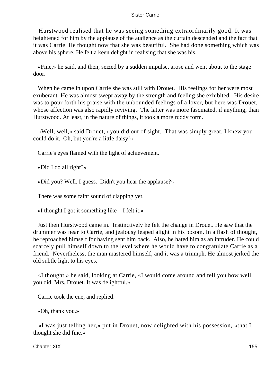Hurstwood realised that he was seeing something extraordinarily good. It was heightened for him by the applause of the audience as the curtain descended and the fact that it was Carrie. He thought now that she was beautiful. She had done something which was above his sphere. He felt a keen delight in realising that she was his.

 «Fine,» he said, and then, seized by a sudden impulse, arose and went about to the stage door.

 When he came in upon Carrie she was still with Drouet. His feelings for her were most exuberant. He was almost swept away by the strength and feeling she exhibited. His desire was to pour forth his praise with the unbounded feelings of a lover, but here was Drouet, whose affection was also rapidly reviving. The latter was more fascinated, if anything, than Hurstwood. At least, in the nature of things, it took a more ruddy form.

 «Well, well,» said Drouet, «you did out of sight. That was simply great. I knew you could do it. Oh, but you're a little daisy!»

Carrie's eyes flamed with the light of achievement.

«Did I do all right?»

«Did you? Well, I guess. Didn't you hear the applause?»

There was some faint sound of clapping yet.

«I thought I got it something like  $-$  I felt it.»

 Just then Hurstwood came in. Instinctively he felt the change in Drouet. He saw that the drummer was near to Carrie, and jealousy leaped alight in his bosom. In a flash of thought, he reproached himself for having sent him back. Also, he hated him as an intruder. He could scarcely pull himself down to the level where he would have to congratulate Carrie as a friend. Nevertheless, the man mastered himself, and it was a triumph. He almost jerked the old subtle light to his eyes.

 «I thought,» he said, looking at Carrie, «I would come around and tell you how well you did, Mrs. Drouet. It was delightful.»

Carrie took the cue, and replied:

«Oh, thank you.»

 «I was just telling her,» put in Drouet, now delighted with his possession, «that I thought she did fine.»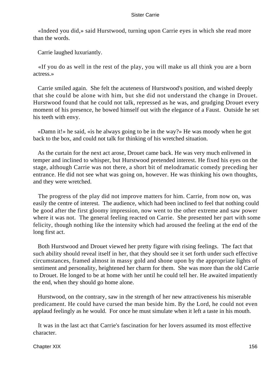«Indeed you did,» said Hurstwood, turning upon Carrie eyes in which she read more than the words.

Carrie laughed luxuriantly.

 «If you do as well in the rest of the play, you will make us all think you are a born actress.»

 Carrie smiled again. She felt the acuteness of Hurstwood's position, and wished deeply that she could be alone with him, but she did not understand the change in Drouet. Hurstwood found that he could not talk, repressed as he was, and grudging Drouet every moment of his presence, he bowed himself out with the elegance of a Faust. Outside he set his teeth with envy.

 «Damn it!» he said, «is he always going to be in the way?» He was moody when he got back to the box, and could not talk for thinking of his wretched situation.

 As the curtain for the next act arose, Drouet came back. He was very much enlivened in temper and inclined to whisper, but Hurstwood pretended interest. He fixed his eyes on the stage, although Carrie was not there, a short bit of melodramatic comedy preceding her entrance. He did not see what was going on, however. He was thinking his own thoughts, and they were wretched.

 The progress of the play did not improve matters for him. Carrie, from now on, was easily the centre of interest. The audience, which had been inclined to feel that nothing could be good after the first gloomy impression, now went to the other extreme and saw power where it was not. The general feeling reacted on Carrie. She presented her part with some felicity, though nothing like the intensity which had aroused the feeling at the end of the long first act.

 Both Hurstwood and Drouet viewed her pretty figure with rising feelings. The fact that such ability should reveal itself in her, that they should see it set forth under such effective circumstances, framed almost in massy gold and shone upon by the appropriate lights of sentiment and personality, heightened her charm for them. She was more than the old Carrie to Drouet. He longed to be at home with her until he could tell her. He awaited impatiently the end, when they should go home alone.

 Hurstwood, on the contrary, saw in the strength of her new attractiveness his miserable predicament. He could have cursed the man beside him. By the Lord, he could not even applaud feelingly as he would. For once he must simulate when it left a taste in his mouth.

 It was in the last act that Carrie's fascination for her lovers assumed its most effective character.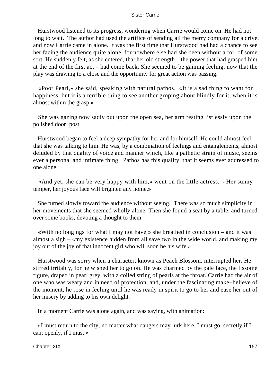Hurstwood listened to its progress, wondering when Carrie would come on. He had not long to wait. The author had used the artifice of sending all the merry company for a drive, and now Carrie came in alone. It was the first time that Hurstwood had had a chance to see her facing the audience quite alone, for nowhere else had she been without a foil of some sort. He suddenly felt, as she entered, that her old strength – the power that had grasped him at the end of the first act – had come back. She seemed to be gaining feeling, now that the play was drawing to a close and the opportunity for great action was passing.

 «Poor Pearl,» she said, speaking with natural pathos. «It is a sad thing to want for happiness, but it is a terrible thing to see another groping about blindly for it, when it is almost within the grasp.»

 She was gazing now sadly out upon the open sea, her arm resting listlessly upon the polished door−post.

 Hurstwood began to feel a deep sympathy for her and for himself. He could almost feel that she was talking to him. He was, by a combination of feelings and entanglements, almost deluded by that quality of voice and manner which, like a pathetic strain of music, seems ever a personal and intimate thing. Pathos has this quality, that it seems ever addressed to one alone.

 «And yet, she can be very happy with him,» went on the little actress. «Her sunny temper, her joyous face will brighten any home.»

 She turned slowly toward the audience without seeing. There was so much simplicity in her movements that she seemed wholly alone. Then she found a seat by a table, and turned over some books, devoting a thought to them.

 «With no longings for what I may not have,» she breathed in conclusion – and it was almost a sigh – «my existence hidden from all save two in the wide world, and making my joy out of the joy of that innocent girl who will soon be his wife.»

 Hurstwood was sorry when a character, known as Peach Blossom, interrupted her. He stirred irritably, for he wished her to go on. He was charmed by the pale face, the lissome figure, draped in pearl grey, with a coiled string of pearls at the throat. Carrie had the air of one who was weary and in need of protection, and, under the fascinating make−believe of the moment, he rose in feeling until he was ready in spirit to go to her and ease her out of her misery by adding to his own delight.

In a moment Carrie was alone again, and was saying, with animation:

 «I must return to the city, no matter what dangers may lurk here. I must go, secretly if I can; openly, if I must.»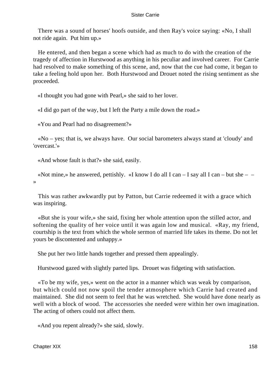There was a sound of horses' hoofs outside, and then Ray's voice saying: «No, I shall not ride again. Put him up.»

 He entered, and then began a scene which had as much to do with the creation of the tragedy of affection in Hurstwood as anything in his peculiar and involved career. For Carrie had resolved to make something of this scene, and, now that the cue had come, it began to take a feeling hold upon her. Both Hurstwood and Drouet noted the rising sentiment as she proceeded.

«I thought you had gone with Pearl,» she said to her lover.

«I did go part of the way, but I left the Party a mile down the road.»

«You and Pearl had no disagreement?»

 «No – yes; that is, we always have. Our social barometers always stand at 'cloudy' and 'overcast.'»

«And whose fault is that?» she said, easily.

«Not mine,» he answered, pettishly. «I know I do all I can  $-$  I say all I can  $-$  but she  $-$ »

 This was rather awkwardly put by Patton, but Carrie redeemed it with a grace which was inspiring.

 «But she is your wife,» she said, fixing her whole attention upon the stilled actor, and softening the quality of her voice until it was again low and musical. «Ray, my friend, courtship is the text from which the whole sermon of married life takes its theme. Do not let yours be discontented and unhappy.»

She put her two little hands together and pressed them appealingly.

Hurstwood gazed with slightly parted lips. Drouet was fidgeting with satisfaction.

 «To be my wife, yes,» went on the actor in a manner which was weak by comparison, but which could not now spoil the tender atmosphere which Carrie had created and maintained. She did not seem to feel that he was wretched. She would have done nearly as well with a block of wood. The accessories she needed were within her own imagination. The acting of others could not affect them.

«And you repent already?» she said, slowly.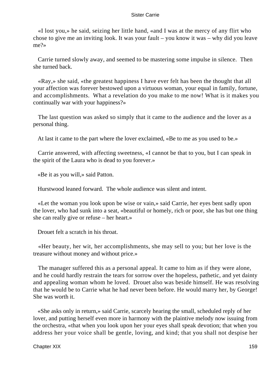«I lost you,» he said, seizing her little hand, «and I was at the mercy of any flirt who chose to give me an inviting look. It was your fault – you know it was – why did you leave me?»

 Carrie turned slowly away, and seemed to be mastering some impulse in silence. Then she turned back.

 «Ray,» she said, «the greatest happiness I have ever felt has been the thought that all your affection was forever bestowed upon a virtuous woman, your equal in family, fortune, and accomplishments. What a revelation do you make to me now! What is it makes you continually war with your happiness?»

 The last question was asked so simply that it came to the audience and the lover as a personal thing.

At last it came to the part where the lover exclaimed, «Be to me as you used to be.»

 Carrie answered, with affecting sweetness, «I cannot be that to you, but I can speak in the spirit of the Laura who is dead to you forever.»

«Be it as you will,» said Patton.

Hurstwood leaned forward. The whole audience was silent and intent.

 «Let the woman you look upon be wise or vain,» said Carrie, her eyes bent sadly upon the lover, who had sunk into a seat, «beautiful or homely, rich or poor, she has but one thing she can really give or refuse – her heart.»

Drouet felt a scratch in his throat.

 «Her beauty, her wit, her accomplishments, she may sell to you; but her love is the treasure without money and without price.»

 The manager suffered this as a personal appeal. It came to him as if they were alone, and he could hardly restrain the tears for sorrow over the hopeless, pathetic, and yet dainty and appealing woman whom he loved. Drouet also was beside himself. He was resolving that he would be to Carrie what he had never been before. He would marry her, by George! She was worth it.

 «She asks only in return,» said Carrie, scarcely hearing the small, scheduled reply of her lover, and putting herself even more in harmony with the plaintive melody now issuing from the orchestra, «that when you look upon her your eyes shall speak devotion; that when you address her your voice shall be gentle, loving, and kind; that you shall not despise her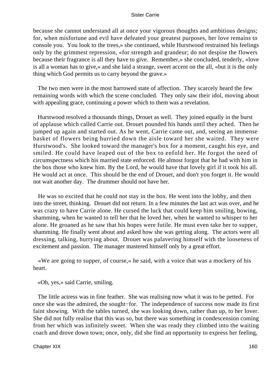because she cannot understand all at once your vigorous thoughts and ambitious designs; for, when misfortune and evil have defeated your greatest purposes, her love remains to console you. You look to the trees,» she continued, while Hurstwood restrained his feelings only by the grimmest repression, «for strength and grandeur; do not despise the flowers because their fragrance is all they have to give. Remember,» she concluded, tenderly, «love is all a woman has to give,» and she laid a strange, sweet accent on the all, «but it is the only thing which God permits us to carry beyond the grave.»

 The two men were in the most harrowed state of affection. They scarcely heard the few remaining words with which the scene concluded. They only saw their idol, moving about with appealing grace, continuing a power which to them was a revelation.

 Hurstwood resolved a thousands things, Drouet as well. They joined equally in the burst of applause which called Carrie out. Drouet pounded his hands until they ached. Then he jumped up again and started out. As he went, Carrie came out, and, seeing an immense basket of flowers being hurried down the aisle toward her she waited. They were Hurstwood's. She looked toward the manager's box for a moment, caught his eye, and smiled. He could have leaped out of the box to enfold her. He forgot the need of circumspectness which his married state enforced. He almost forgot that he had with him in the box those who knew him. By the Lord, he would have that lovely girl if it took his all. He would act at once. This should be the end of Drouet, and don't you forget it. He would not wait another day. The drummer should not have her.

 He was so excited that he could not stay in the box. He went into the lobby, and then into the street, thinking. Drouet did not return. In a few minutes the last act was over, and he was crazy to have Carrie alone. He cursed the luck that could keep him smiling, bowing, shamming, when he wanted to tell her that he loved her, when he wanted to whisper to her alone. He groaned as he saw that his hopes were futile. He must even take her to supper, shamming. He finally went about and asked how she was getting along. The actors were all dressing, talking, hurrying about. Drouet was palavering himself with the looseness of excitement and passion. The manager mastered himself only by a great effort.

 «We are going to supper, of course,» he said, with a voice that was a mockery of his heart.

«Oh, yes,» said Carrie, smiling.

 The little actress was in fine feather. She was realising now what it was to be petted. For once she was the admired, the sought−for. The independence of success now made its first faint showing. With the tables turned, she was looking down, rather than up, to her lover. She did not fully realise that this was so, but there was something in condescension coming from her which was infinitely sweet. When she was ready they climbed into the waiting coach and drove down town; once, only, did she find an opportunity to express her feeling,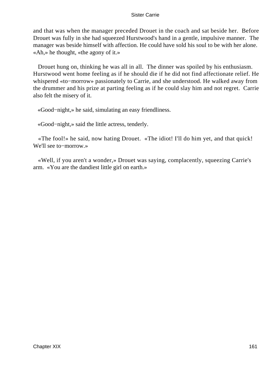and that was when the manager preceded Drouet in the coach and sat beside her. Before Drouet was fully in she had squeezed Hurstwood's hand in a gentle, impulsive manner. The manager was beside himself with affection. He could have sold his soul to be with her alone. «Ah,» he thought, «the agony of it.»

 Drouet hung on, thinking he was all in all. The dinner was spoiled by his enthusiasm. Hurstwood went home feeling as if he should die if he did not find affectionate relief. He whispered «to−morrow» passionately to Carrie, and she understood. He walked away from the drummer and his prize at parting feeling as if he could slay him and not regret. Carrie also felt the misery of it.

«Good−night,» he said, simulating an easy friendliness.

«Good−night,» said the little actress, tenderly.

 «The fool!» he said, now hating Drouet. «The idiot! I'll do him yet, and that quick! We'll see to−morrow.»

 «Well, if you aren't a wonder,» Drouet was saying, complacently, squeezing Carrie's arm. «You are the dandiest little girl on earth.»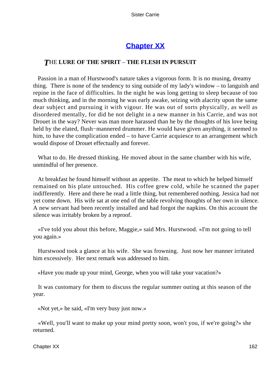# **[Chapter XX](#page-428-0)**

## *T*HE **LURE OF THE SPIRIT** – **THE FLESH IN PURSUIT**

 Passion in a man of Hurstwood's nature takes a vigorous form. It is no musing, dreamy thing. There is none of the tendency to sing outside of my lady's window – to languish and repine in the face of difficulties. In the night he was long getting to sleep because of too much thinking, and in the morning he was early awake, seizing with alacrity upon the same dear subject and pursuing it with vigour. He was out of sorts physically, as well as disordered mentally, for did he not delight in a new manner in his Carrie, and was not Drouet in the way? Never was man more harassed than he by the thoughts of his love being held by the elated, flush−mannered drummer. He would have given anything, it seemed to him, to have the complication ended – to have Carrie acquiesce to an arrangement which would dispose of Drouet effectually and forever.

 What to do. He dressed thinking. He moved about in the same chamber with his wife, unmindful of her presence.

 At breakfast he found himself without an appetite. The meat to which he helped himself remained on his plate untouched. His coffee grew cold, while he scanned the paper indifferently. Here and there he read a little thing, but remembered nothing. Jessica had not yet come down. His wife sat at one end of the table revolving thoughts of her own in silence. A new servant had been recently installed and had forgot the napkins. On this account the silence was irritably broken by a reproof.

 «I've told you about this before, Maggie,» said Mrs. Hurstwood. «I'm not going to tell you again.»

 Hurstwood took a glance at his wife. She was frowning. Just now her manner irritated him excessively. Her next remark was addressed to him.

«Have you made up your mind, George, when you will take your vacation?»

 It was customary for them to discuss the regular summer outing at this season of the year.

«Not yet,» he said, «I'm very busy just now.»

 «Well, you'll want to make up your mind pretty soon, won't you, if we're going?» she returned.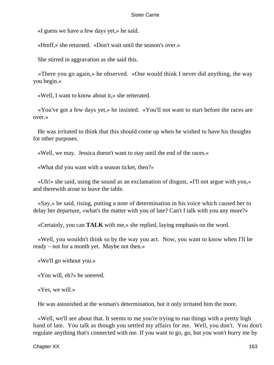«I guess we have a few days yet,» he said.

«Hmff,» she returned. «Don't wait until the season's over.»

She stirred in aggravation as she said this.

 «There you go again,» he observed. «One would think I never did anything, the way you begin.»

«Well, I want to know about it,» she reiterated.

 «You've got a few days yet,» he insisted. «You'll not want to start before the races are over.»

 He was irritated to think that this should come up when he wished to have his thoughts for other purposes.

«Well, we may. Jessica doesn't want to stay until the end of the races.»

«What did you want with a season ticket, then?»

 «Uh!» she said, using the sound as an exclamation of disgust, «I'll not argue with you,» and therewith arose to leave the table.

 «Say,» he said, rising, putting a note of determination in his voice which caused her to delay her departure, «what's the matter with you of late? Can't I talk with you any more?»

«Certainly, you can **TALK** with me,» she replied, laying emphasis on the word.

 «Well, you wouldn't think so by the way you act. Now, you want to know when I'll be ready – not for a month yet. Maybe not then.»

«We'll go without you.»

«You will, eh?» he sneered.

«Yes, we will.»

He was astonished at the woman's determination, but it only irritated him the more.

 «Well, we'll see about that. It seems to me you're trying to run things with a pretty high hand of late. You talk as though you settled my affairs for me. Well, you don't. You don't regulate anything that's connected with me. If you want to go, go, but you won't hurry me by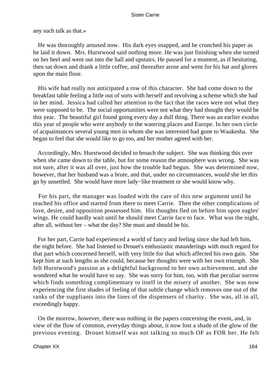any such talk as that.»

 He was thoroughly aroused now. His dark eyes snapped, and he crunched his paper as he laid it down. Mrs. Hurstwood said nothing more. He was just finishing when she turned on her heel and went out into the hall and upstairs. He paused for a moment, as if hesitating, then sat down and drank a little coffee, and thereafter arose and went for his hat and gloves upon the main floor.

 His wife had really not anticipated a row of this character. She had come down to the breakfast table feeling a little out of sorts with herself and revolving a scheme which she had in her mind. Jessica had called her attention to the fact that the races were not what they were supposed to be. The social opportunities were not what they had thought they would be this year. The beautiful girl found going every day a dull thing. There was an earlier exodus this year of people who were anybody to the watering places and Europe. In her own circle of acquaintances several young men in whom she was interested had gone to Waukesha. She began to feel that she would like to go too, and her mother agreed with her.

 Accordingly, Mrs. Hurstwood decided to broach the subject. She was thinking this over when she came down to the table, but for some reason the atmosphere was wrong. She was not sure, after it was all over, just how the trouble had begun. She was determined now, however, that her husband was a brute, and that, under no circumstances, would she let this go by unsettled. She would have more lady−like treatment or she would know why.

 For his part, the manager was loaded with the care of this new argument until he reached his office and started from there to meet Carrie. Then the other complications of love, desire, and opposition possessed him. His thoughts fled on before him upon eagles' wings. He could hardly wait until he should meet Carrie face to face. What was the night, after all, without her – what the day? She must and should be his.

 For her part, Carrie had experienced a world of fancy and feeling since she had left him, the night before. She had listened to Drouet's enthusiastic maunderings with much regard for that part which concerned herself, with very little for that which affected his own gain. She kept him at such lengths as she could, because her thoughts were with her own triumph. She felt Hurstwood's passion as a delightful background to her own achievement, and she wondered what he would have to say. She was sorry for him, too, with that peculiar sorrow which finds something complimentary to itself in the misery of another. She was now experiencing the first shades of feeling of that subtle change which removes one out of the ranks of the suppliants into the lines of the dispensers of charity. She was, all in all, exceedingly happy.

 On the morrow, however, there was nothing in the papers concerning the event, and, in view of the flow of common, everyday things about, it now lost a shade of the glow of the previous evening. Drouet himself was not talking so much OF as FOR her. He felt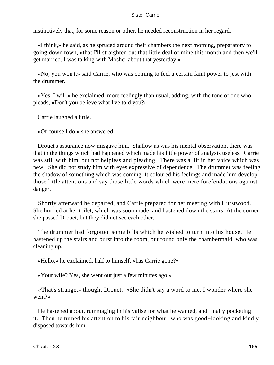instinctively that, for some reason or other, he needed reconstruction in her regard.

 «I think,» he said, as he spruced around their chambers the next morning, preparatory to going down town, «that I'll straighten out that little deal of mine this month and then we'll get married. I was talking with Mosher about that yesterday.»

 «No, you won't,» said Carrie, who was coming to feel a certain faint power to jest with the drummer.

 «Yes, I will,» he exclaimed, more feelingly than usual, adding, with the tone of one who pleads, «Don't you believe what I've told you?»

Carrie laughed a little.

«Of course I do,» she answered.

 Drouet's assurance now misgave him. Shallow as was his mental observation, there was that in the things which had happened which made his little power of analysis useless. Carrie was still with him, but not helpless and pleading. There was a lilt in her voice which was new. She did not study him with eyes expressive of dependence. The drummer was feeling the shadow of something which was coming. It coloured his feelings and made him develop those little attentions and say those little words which were mere forefendations against danger.

 Shortly afterward he departed, and Carrie prepared for her meeting with Hurstwood. She hurried at her toilet, which was soon made, and hastened down the stairs. At the corner she passed Drouet, but they did not see each other.

 The drummer had forgotten some bills which he wished to turn into his house. He hastened up the stairs and burst into the room, but found only the chambermaid, who was cleaning up.

«Hello,» he exclaimed, half to himself, «has Carrie gone?»

«Your wife? Yes, she went out just a few minutes ago.»

 «That's strange,» thought Drouet. «She didn't say a word to me. I wonder where she went?»

 He hastened about, rummaging in his valise for what he wanted, and finally pocketing it. Then he turned his attention to his fair neighbour, who was good−looking and kindly disposed towards him.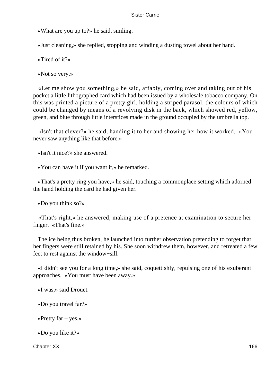«What are you up to?» he said, smiling.

«Just cleaning,» she replied, stopping and winding a dusting towel about her hand.

«Tired of it?»

«Not so very.»

 «Let me show you something,» he said, affably, coming over and taking out of his pocket a little lithographed card which had been issued by a wholesale tobacco company. On this was printed a picture of a pretty girl, holding a striped parasol, the colours of which could be changed by means of a revolving disk in the back, which showed red, yellow, green, and blue through little interstices made in the ground occupied by the umbrella top.

 «Isn't that clever?» he said, handing it to her and showing her how it worked. «You never saw anything like that before.»

«Isn't it nice?» she answered.

«You can have it if you want it,» he remarked.

 «That's a pretty ring you have,» he said, touching a commonplace setting which adorned the hand holding the card he had given her.

«Do you think so?»

 «That's right,» he answered, making use of a pretence at examination to secure her finger. «That's fine.»

 The ice being thus broken, he launched into further observation pretending to forget that her fingers were still retained by his. She soon withdrew them, however, and retreated a few feet to rest against the window−sill.

 «I didn't see you for a long time,» she said, coquettishly, repulsing one of his exuberant approaches. «You must have been away.»

«I was,» said Drouet.

«Do you travel far?»

«Pretty far – yes.»

«Do you like it?»

Chapter XX 166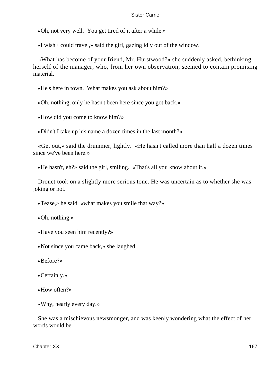«Oh, not very well. You get tired of it after a while.»

«I wish I could travel,» said the girl, gazing idly out of the window.

 «What has become of your friend, Mr. Hurstwood?» she suddenly asked, bethinking herself of the manager, who, from her own observation, seemed to contain promising material.

«He's here in town. What makes you ask about him?»

«Oh, nothing, only he hasn't been here since you got back.»

«How did you come to know him?»

«Didn't I take up his name a dozen times in the last month?»

 «Get out,» said the drummer, lightly. «He hasn't called more than half a dozen times since we've been here.»

«He hasn't, eh?» said the girl, smiling. «That's all you know about it.»

 Drouet took on a slightly more serious tone. He was uncertain as to whether she was joking or not.

«Tease,» he said, «what makes you smile that way?»

«Oh, nothing.»

«Have you seen him recently?»

«Not since you came back,» she laughed.

«Before?»

«Certainly.»

«How often?»

«Why, nearly every day.»

 She was a mischievous newsmonger, and was keenly wondering what the effect of her words would be.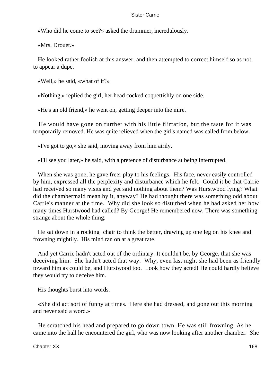«Who did he come to see?» asked the drummer, incredulously.

«Mrs. Drouet.»

 He looked rather foolish at this answer, and then attempted to correct himself so as not to appear a dupe.

«Well,» he said, «what of it?»

«Nothing,» replied the girl, her head cocked coquettishly on one side.

«He's an old friend,» he went on, getting deeper into the mire.

 He would have gone on further with his little flirtation, but the taste for it was temporarily removed. He was quite relieved when the girl's named was called from below.

«I've got to go,» she said, moving away from him airily.

«I'll see you later,» he said, with a pretence of disturbance at being interrupted.

 When she was gone, he gave freer play to his feelings. His face, never easily controlled by him, expressed all the perplexity and disturbance which he felt. Could it be that Carrie had received so many visits and yet said nothing about them? Was Hurstwood lying? What did the chambermaid mean by it, anyway? He had thought there was something odd about Carrie's manner at the time. Why did she look so disturbed when he had asked her how many times Hurstwood had called? By George! He remembered now. There was something strange about the whole thing.

 He sat down in a rocking−chair to think the better, drawing up one leg on his knee and frowning mightily. His mind ran on at a great rate.

 And yet Carrie hadn't acted out of the ordinary. It couldn't be, by George, that she was deceiving him. She hadn't acted that way. Why, even last night she had been as friendly toward him as could be, and Hurstwood too. Look how they acted! He could hardly believe they would try to deceive him.

His thoughts burst into words.

 «She did act sort of funny at times. Here she had dressed, and gone out this morning and never said a word.»

 He scratched his head and prepared to go down town. He was still frowning. As he came into the hall he encountered the girl, who was now looking after another chamber. She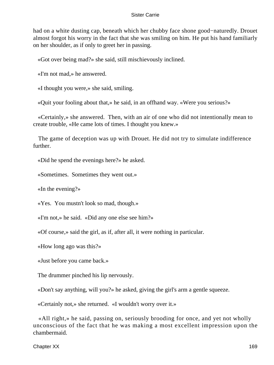had on a white dusting cap, beneath which her chubby face shone good−naturedly. Drouet almost forgot his worry in the fact that she was smiling on him. He put his hand familiarly on her shoulder, as if only to greet her in passing.

«Got over being mad?» she said, still mischievously inclined.

«I'm not mad,» he answered.

«I thought you were,» she said, smiling.

«Quit your fooling about that,» he said, in an offhand way. «Were you serious?»

 «Certainly,» she answered. Then, with an air of one who did not intentionally mean to create trouble, «He came lots of times. I thought you knew.»

 The game of deception was up with Drouet. He did not try to simulate indifference further.

«Did he spend the evenings here?» he asked.

«Sometimes. Sometimes they went out.»

«In the evening?»

«Yes. You mustn't look so mad, though.»

«I'm not,» he said. «Did any one else see him?»

«Of course,» said the girl, as if, after all, it were nothing in particular.

«How long ago was this?»

«Just before you came back.»

The drummer pinched his lip nervously.

«Don't say anything, will you?» he asked, giving the girl's arm a gentle squeeze.

«Certainly not,» she returned. «I wouldn't worry over it.»

 «All right,» he said, passing on, seriously brooding for once, and yet not wholly unconscious of the fact that he was making a most excellent impression upon the chambermaid.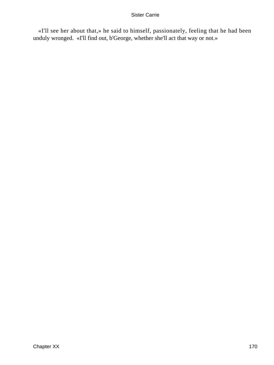«I'll see her about that,» he said to himself, passionately, feeling that he had been unduly wronged. «I'll find out, b'George, whether she'll act that way or not.»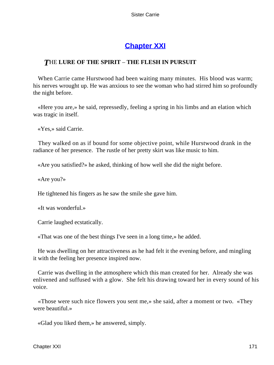# **[Chapter XXI](#page-429-0)**

# *T*HE **LURE OF THE SPIRIT** – **THE FLESH IN PURSUIT**

 When Carrie came Hurstwood had been waiting many minutes. His blood was warm; his nerves wrought up. He was anxious to see the woman who had stirred him so profoundly the night before.

 «Here you are,» he said, repressedly, feeling a spring in his limbs and an elation which was tragic in itself.

«Yes,» said Carrie.

 They walked on as if bound for some objective point, while Hurstwood drank in the radiance of her presence. The rustle of her pretty skirt was like music to him.

«Are you satisfied?» he asked, thinking of how well she did the night before.

«Are you?»

He tightened his fingers as he saw the smile she gave him.

«It was wonderful.»

Carrie laughed ecstatically.

«That was one of the best things I've seen in a long time,» he added.

 He was dwelling on her attractiveness as he had felt it the evening before, and mingling it with the feeling her presence inspired now.

 Carrie was dwelling in the atmosphere which this man created for her. Already she was enlivened and suffused with a glow. She felt his drawing toward her in every sound of his voice.

 «Those were such nice flowers you sent me,» she said, after a moment or two. «They were beautiful.»

«Glad you liked them,» he answered, simply.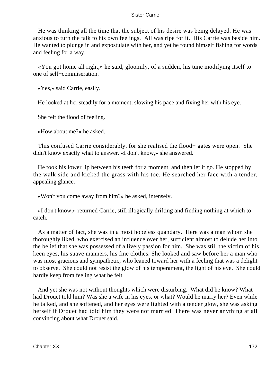He was thinking all the time that the subject of his desire was being delayed. He was anxious to turn the talk to his own feelings. All was ripe for it. His Carrie was beside him. He wanted to plunge in and expostulate with her, and yet he found himself fishing for words and feeling for a way.

 «You got home all right,» he said, gloomily, of a sudden, his tune modifying itself to one of self−commiseration.

«Yes,» said Carrie, easily.

He looked at her steadily for a moment, slowing his pace and fixing her with his eye.

She felt the flood of feeling.

«How about me?» he asked.

 This confused Carrie considerably, for she realised the flood− gates were open. She didn't know exactly what to answer. «I don't know,» she answered.

 He took his lower lip between his teeth for a moment, and then let it go. He stopped by the walk side and kicked the grass with his toe. He searched her face with a tender, appealing glance.

«Won't you come away from him?» he asked, intensely.

 «I don't know,» returned Carrie, still illogically drifting and finding nothing at which to catch.

 As a matter of fact, she was in a most hopeless quandary. Here was a man whom she thoroughly liked, who exercised an influence over her, sufficient almost to delude her into the belief that she was possessed of a lively passion for him. She was still the victim of his keen eyes, his suave manners, his fine clothes. She looked and saw before her a man who was most gracious and sympathetic, who leaned toward her with a feeling that was a delight to observe. She could not resist the glow of his temperament, the light of his eye. She could hardly keep from feeling what he felt.

 And yet she was not without thoughts which were disturbing. What did he know? What had Drouet told him? Was she a wife in his eyes, or what? Would he marry her? Even while he talked, and she softened, and her eyes were lighted with a tender glow, she was asking herself if Drouet had told him they were not married. There was never anything at all convincing about what Drouet said.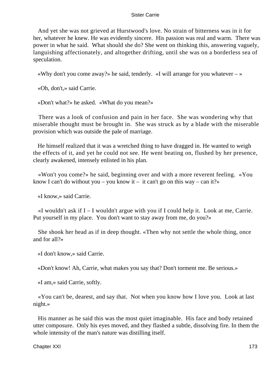And yet she was not grieved at Hurstwood's love. No strain of bitterness was in it for her, whatever he knew. He was evidently sincere. His passion was real and warm. There was power in what he said. What should she do? She went on thinking this, answering vaguely, languishing affectionately, and altogether drifting, until she was on a borderless sea of speculation.

«Why don't you come away?» he said, tenderly. «I will arrange for you whatever  $-\infty$ 

«Oh, don't,» said Carrie.

«Don't what?» he asked. «What do you mean?»

 There was a look of confusion and pain in her face. She was wondering why that miserable thought must be brought in. She was struck as by a blade with the miserable provision which was outside the pale of marriage.

 He himself realized that it was a wretched thing to have dragged in. He wanted to weigh the effects of it, and yet he could not see. He went beating on, flushed by her presence, clearly awakened, intensely enlisted in his plan.

 «Won't you come?» he said, beginning over and with a more reverent feeling. «You know I can't do without you – you know it – it can't go on this way – can it?»

«I know,» said Carrie.

 $\ll$ I wouldn't ask if I – I wouldn't argue with you if I could help it. Look at me, Carrie. Put yourself in my place. You don't want to stay away from me, do you?»

 She shook her head as if in deep thought. «Then why not settle the whole thing, once and for all?»

«I don't know,» said Carrie.

«Don't know! Ah, Carrie, what makes you say that? Don't torment me. Be serious.»

«I am,» said Carrie, softly.

 «You can't be, dearest, and say that. Not when you know how I love you. Look at last night.»

 His manner as he said this was the most quiet imaginable. His face and body retained utter composure. Only his eyes moved, and they flashed a subtle, dissolving fire. In them the whole intensity of the man's nature was distilling itself.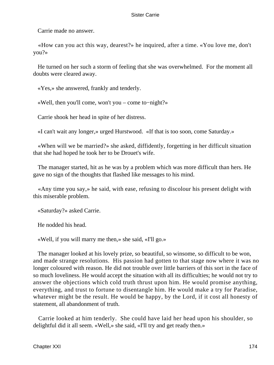Carrie made no answer.

 «How can you act this way, dearest?» he inquired, after a time. «You love me, don't you?»

 He turned on her such a storm of feeling that she was overwhelmed. For the moment all doubts were cleared away.

«Yes,» she answered, frankly and tenderly.

«Well, then you'll come, won't you – come to−night?»

Carrie shook her head in spite of her distress.

«I can't wait any longer,» urged Hurstwood. «If that is too soon, come Saturday.»

 «When will we be married?» she asked, diffidently, forgetting in her difficult situation that she had hoped he took her to be Drouet's wife.

 The manager started, hit as he was by a problem which was more difficult than hers. He gave no sign of the thoughts that flashed like messages to his mind.

 «Any time you say,» he said, with ease, refusing to discolour his present delight with this miserable problem.

«Saturday?» asked Carrie.

He nodded his head.

«Well, if you will marry me then,» she said, «I'll go.»

 The manager looked at his lovely prize, so beautiful, so winsome, so difficult to be won, and made strange resolutions. His passion had gotten to that stage now where it was no longer coloured with reason. He did not trouble over little barriers of this sort in the face of so much loveliness. He would accept the situation with all its difficulties; he would not try to answer the objections which cold truth thrust upon him. He would promise anything, everything, and trust to fortune to disentangle him. He would make a try for Paradise, whatever might be the result. He would be happy, by the Lord, if it cost all honesty of statement, all abandonment of truth.

 Carrie looked at him tenderly. She could have laid her head upon his shoulder, so delightful did it all seem. «Well,» she said, «I'll try and get ready then.»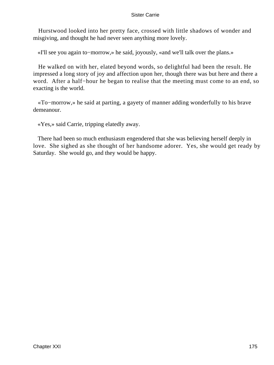Hurstwood looked into her pretty face, crossed with little shadows of wonder and misgiving, and thought he had never seen anything more lovely.

«I'll see you again to−morrow,» he said, joyously, «and we'll talk over the plans.»

 He walked on with her, elated beyond words, so delightful had been the result. He impressed a long story of joy and affection upon her, though there was but here and there a word. After a half−hour he began to realise that the meeting must come to an end, so exacting is the world.

 «To−morrow,» he said at parting, a gayety of manner adding wonderfully to his brave demeanour.

«Yes,» said Carrie, tripping elatedly away.

 There had been so much enthusiasm engendered that she was believing herself deeply in love. She sighed as she thought of her handsome adorer. Yes, she would get ready by Saturday. She would go, and they would be happy.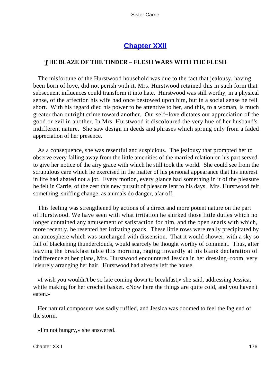# **[Chapter XXII](#page-429-0)**

## *T*HE **BLAZE OF THE TINDER** – **FLESH WARS WITH THE FLESH**

 The misfortune of the Hurstwood household was due to the fact that jealousy, having been born of love, did not perish with it. Mrs. Hurstwood retained this in such form that subsequent influences could transform it into hate. Hurstwood was still worthy, in a physical sense, of the affection his wife had once bestowed upon him, but in a social sense he fell short. With his regard died his power to be attentive to her, and this, to a woman, is much greater than outright crime toward another. Our self−love dictates our appreciation of the good or evil in another. In Mrs. Hurstwood it discoloured the very hue of her husband's indifferent nature. She saw design in deeds and phrases which sprung only from a faded appreciation of her presence.

 As a consequence, she was resentful and suspicious. The jealousy that prompted her to observe every falling away from the little amenities of the married relation on his part served to give her notice of the airy grace with which he still took the world. She could see from the scrupulous care which he exercised in the matter of his personal appearance that his interest in life had abated not a jot. Every motion, every glance had something in it of the pleasure he felt in Carrie, of the zest this new pursuit of pleasure lent to his days. Mrs. Hurstwood felt something, sniffing change, as animals do danger, afar off.

 This feeling was strengthened by actions of a direct and more potent nature on the part of Hurstwood. We have seen with what irritation he shirked those little duties which no longer contained any amusement of satisfaction for him, and the open snarls with which, more recently, he resented her irritating goads. These little rows were really precipitated by an atmosphere which was surcharged with dissension. That it would shower, with a sky so full of blackening thunderclouds, would scarcely be thought worthy of comment. Thus, after leaving the breakfast table this morning, raging inwardly at his blank declaration of indifference at her plans, Mrs. Hurstwood encountered Jessica in her dressing−room, very leisurely arranging her hair. Hurstwood had already left the house.

 «I wish you wouldn't be so late coming down to breakfast,» she said, addressing Jessica, while making for her crochet basket. «Now here the things are quite cold, and you haven't eaten.»

 Her natural composure was sadly ruffled, and Jessica was doomed to feel the fag end of the storm.

«I'm not hungry,» she answered.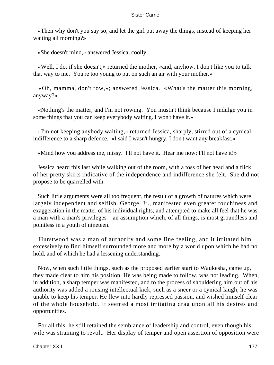«Then why don't you say so, and let the girl put away the things, instead of keeping her waiting all morning?»

«She doesn't mind,» answered Jessica, coolly.

 «Well, I do, if she doesn't,» returned the mother, «and, anyhow, I don't like you to talk that way to me. You're too young to put on such an air with your mother.»

 «Oh, mamma, don't row,»; answered Jessica. «What's the matter this morning, anyway?»

 «Nothing's the matter, and I'm not rowing. You mustn't think because I indulge you in some things that you can keep everybody waiting. I won't have it.»

 «I'm not keeping anybody waiting,» returned Jessica, sharply, stirred out of a cynical indifference to a sharp defence. «I said I wasn't hungry. I don't want any breakfast.»

«Mind how you address me, missy. I'll not have it. Hear me now; I'll not have it!»

 Jessica heard this last while walking out of the room, with a toss of her head and a flick of her pretty skirts indicative of the independence and indifference she felt. She did not propose to be quarrelled with.

 Such little arguments were all too frequent, the result of a growth of natures which were largely independent and selfish. George, Jr., manifested even greater touchiness and exaggeration in the matter of his individual rights, and attempted to make all feel that he was a man with a man's privileges – an assumption which, of all things, is most groundless and pointless in a youth of nineteen.

 Hurstwood was a man of authority and some fine feeling, and it irritated him excessively to find himself surrounded more and more by a world upon which he had no hold, and of which he had a lessening understanding.

 Now, when such little things, such as the proposed earlier start to Waukesha, came up, they made clear to him his position. He was being made to follow, was not leading. When, in addition, a sharp temper was manifested, and to the process of shouldering him out of his authority was added a rousing intellectual kick, such as a sneer or a cynical laugh, he was unable to keep his temper. He flew into hardly repressed passion, and wished himself clear of the whole household. It seemed a most irritating drag upon all his desires and opportunities.

 For all this, he still retained the semblance of leadership and control, even though his wife was straining to revolt. Her display of temper and open assertion of opposition were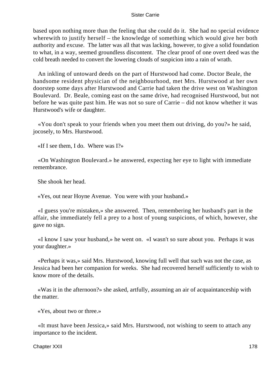based upon nothing more than the feeling that she could do it. She had no special evidence wherewith to justify herself – the knowledge of something which would give her both authority and excuse. The latter was all that was lacking, however, to give a solid foundation to what, in a way, seemed groundless discontent. The clear proof of one overt deed was the cold breath needed to convert the lowering clouds of suspicion into a rain of wrath.

 An inkling of untoward deeds on the part of Hurstwood had come. Doctor Beale, the handsome resident physician of the neighbourhood, met Mrs. Hurstwood at her own doorstep some days after Hurstwood and Carrie had taken the drive west on Washington Boulevard. Dr. Beale, coming east on the same drive, had recognised Hurstwood, but not before he was quite past him. He was not so sure of Carrie – did not know whether it was Hurstwood's wife or daughter.

 «You don't speak to your friends when you meet them out driving, do you?» he said, jocosely, to Mrs. Hurstwood.

«If I see them, I do. Where was I?»

 «On Washington Boulevard.» he answered, expecting her eye to light with immediate remembrance.

She shook her head.

«Yes, out near Hoyne Avenue. You were with your husband.»

 «I guess you're mistaken,» she answered. Then, remembering her husband's part in the affair, she immediately fell a prey to a host of young suspicions, of which, however, she gave no sign.

 «I know I saw your husband,» he went on. «I wasn't so sure about you. Perhaps it was your daughter.»

 «Perhaps it was,» said Mrs. Hurstwood, knowing full well that such was not the case, as Jessica had been her companion for weeks. She had recovered herself sufficiently to wish to know more of the details.

 «Was it in the afternoon?» she asked, artfully, assuming an air of acquaintanceship with the matter.

«Yes, about two or three.»

 «It must have been Jessica,» said Mrs. Hurstwood, not wishing to seem to attach any importance to the incident.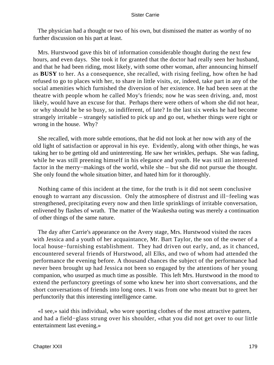The physician had a thought or two of his own, but dismissed the matter as worthy of no further discussion on his part at least.

 Mrs. Hurstwood gave this bit of information considerable thought during the next few hours, and even days. She took it for granted that the doctor had really seen her husband, and that he had been riding, most likely, with some other woman, after announcing himself as **BUSY** to her. As a consequence, she recalled, with rising feeling, how often he had refused to go to places with her, to share in little visits, or, indeed, take part in any of the social amenities which furnished the diversion of her existence. He had been seen at the theatre with people whom he called Moy's friends; now he was seen driving, and, most likely, would have an excuse for that. Perhaps there were others of whom she did not hear, or why should he be so busy, so indifferent, of late? In the last six weeks he had become strangely irritable – strangely satisfied to pick up and go out, whether things were right or wrong in the house. Why?

 She recalled, with more subtle emotions, that he did not look at her now with any of the old light of satisfaction or approval in his eye. Evidently, along with other things, he was taking her to be getting old and uninteresting. He saw her wrinkles, perhaps. She was fading, while he was still preening himself in his elegance and youth. He was still an interested factor in the merry−makings of the world, while she – but she did not pursue the thought. She only found the whole situation bitter, and hated him for it thoroughly.

 Nothing came of this incident at the time, for the truth is it did not seem conclusive enough to warrant any discussion. Only the atmosphere of distrust and ill−feeling was strengthened, precipitating every now and then little sprinklings of irritable conversation, enlivened by flashes of wrath. The matter of the Waukesha outing was merely a continuation of other things of the same nature.

 The day after Carrie's appearance on the Avery stage, Mrs. Hurstwood visited the races with Jessica and a youth of her acquaintance, Mr. Bart Taylor, the son of the owner of a local house−furnishing establishment. They had driven out early, and, as it chanced, encountered several friends of Hurstwood, all Elks, and two of whom had attended the performance the evening before. A thousand chances the subject of the performance had never been brought up had Jessica not been so engaged by the attentions of her young companion, who usurped as much time as possible. This left Mrs. Hurstwood in the mood to extend the perfunctory greetings of some who knew her into short conversations, and the short conversations of friends into long ones. It was from one who meant but to greet her perfunctorily that this interesting intelligence came.

 «I see,» said this individual, who wore sporting clothes of the most attractive pattern, and had a field−glass strung over his shoulder, «that you did not get over to our little entertainment last evening.»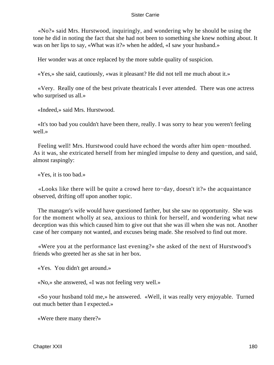«No?» said Mrs. Hurstwood, inquiringly, and wondering why he should be using the tone he did in noting the fact that she had not been to something she knew nothing about. It was on her lips to say, «What was it?» when he added, «I saw your husband.»

Her wonder was at once replaced by the more subtle quality of suspicion.

«Yes,» she said, cautiously, «was it pleasant? He did not tell me much about it.»

 «Very. Really one of the best private theatricals I ever attended. There was one actress who surprised us all.»

«Indeed,» said Mrs. Hurstwood.

 «It's too bad you couldn't have been there, really. I was sorry to hear you weren't feeling well.»

 Feeling well! Mrs. Hurstwood could have echoed the words after him open−mouthed. As it was, she extricated herself from her mingled impulse to deny and question, and said, almost raspingly:

«Yes, it is too bad.»

 «Looks like there will be quite a crowd here to−day, doesn't it?» the acquaintance observed, drifting off upon another topic.

 The manager's wife would have questioned farther, but she saw no opportunity. She was for the moment wholly at sea, anxious to think for herself, and wondering what new deception was this which caused him to give out that she was ill when she was not. Another case of her company not wanted, and excuses being made. She resolved to find out more.

 «Were you at the performance last evening?» she asked of the next of Hurstwood's friends who greeted her as she sat in her box.

«Yes. You didn't get around.»

«No,» she answered, «I was not feeling very well.»

 «So your husband told me,» he answered. «Well, it was really very enjoyable. Turned out much better than I expected.»

«Were there many there?»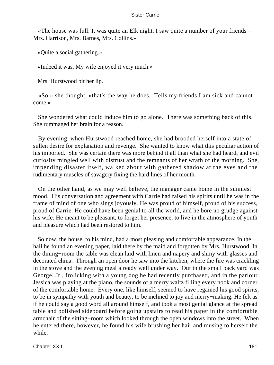«The house was full. It was quite an Elk night. I saw quite a number of your friends – Mrs. Harrison, Mrs. Barnes, Mrs. Collins.»

«Quite a social gathering.»

«Indeed it was. My wife enjoyed it very much.»

Mrs. Hurstwood bit her lip.

 «So,» she thought, «that's the way he does. Tells my friends I am sick and cannot come.»

 She wondered what could induce him to go alone. There was something back of this. She rummaged her brain for a reason.

 By evening, when Hurstwood reached home, she had brooded herself into a state of sullen desire for explanation and revenge. She wanted to know what this peculiar action of his imported. She was certain there was more behind it all than what she had heard, and evil curiosity mingled well with distrust and the remnants of her wrath of the morning. She, impending disaster itself, walked about with gathered shadow at the eyes and the rudimentary muscles of savagery fixing the hard lines of her mouth.

 On the other hand, as we may well believe, the manager came home in the sunniest mood. His conversation and agreement with Carrie had raised his spirits until he was in the frame of mind of one who sings joyously. He was proud of himself, proud of his success, proud of Carrie. He could have been genial to all the world, and he bore no grudge against his wife. He meant to be pleasant, to forget her presence, to live in the atmosphere of youth and pleasure which had been restored to him.

 So now, the house, to his mind, had a most pleasing and comfortable appearance. In the hall he found an evening paper, laid there by the maid and forgotten by Mrs. Hurstwood. In the dining−room the table was clean laid with linen and napery and shiny with glasses and decorated china. Through an open door he saw into the kitchen, where the fire was crackling in the stove and the evening meal already well under way. Out in the small back yard was George, Jr., frolicking with a young dog he had recently purchased, and in the parlour Jessica was playing at the piano, the sounds of a merry waltz filling every nook and corner of the comfortable home. Every one, like himself, seemed to have regained his good spirits, to be in sympathy with youth and beauty, to be inclined to joy and merry−making. He felt as if he could say a good word all around himself, and took a most genial glance at the spread table and polished sideboard before going upstairs to read his paper in the comfortable armchair of the sitting−room which looked through the open windows into the street. When he entered there, however, he found his wife brushing her hair and musing to herself the while.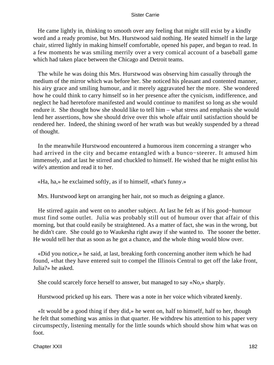He came lightly in, thinking to smooth over any feeling that might still exist by a kindly word and a ready promise, but Mrs. Hurstwood said nothing. He seated himself in the large chair, stirred lightly in making himself comfortable, opened his paper, and began to read. In a few moments he was smiling merrily over a very comical account of a baseball game which had taken place between the Chicago and Detroit teams.

 The while he was doing this Mrs. Hurstwood was observing him casually through the medium of the mirror which was before her. She noticed his pleasant and contented manner, his airy grace and smiling humour, and it merely aggravated her the more. She wondered how he could think to carry himself so in her presence after the cynicism, indifference, and neglect he had heretofore manifested and would continue to manifest so long as she would endure it. She thought how she should like to tell him – what stress and emphasis she would lend her assertions, how she should drive over this whole affair until satisfaction should be rendered her. Indeed, the shining sword of her wrath was but weakly suspended by a thread of thought.

 In the meanwhile Hurstwood encountered a humorous item concerning a stranger who had arrived in the city and became entangled with a bunco−steerer. It amused him immensely, and at last he stirred and chuckled to himself. He wished that he might enlist his wife's attention and read it to her.

«Ha, ha,» he exclaimed softly, as if to himself, «that's funny.»

Mrs. Hurstwood kept on arranging her hair, not so much as deigning a glance.

 He stirred again and went on to another subject. At last he felt as if his good−humour must find some outlet. Julia was probably still out of humour over that affair of this morning, but that could easily be straightened. As a matter of fact, she was in the wrong, but he didn't care. She could go to Waukesha right away if she wanted to. The sooner the better. He would tell her that as soon as he got a chance, and the whole thing would blow over.

 «Did you notice,» he said, at last, breaking forth concerning another item which he had found, «that they have entered suit to compel the Illinois Central to get off the lake front, Julia?» he asked.

She could scarcely force herself to answer, but managed to say «No,» sharply.

Hurstwood pricked up his ears. There was a note in her voice which vibrated keenly.

 «It would be a good thing if they did,» he went on, half to himself, half to her, though he felt that something was amiss in that quarter. He withdrew his attention to his paper very circumspectly, listening mentally for the little sounds which should show him what was on foot.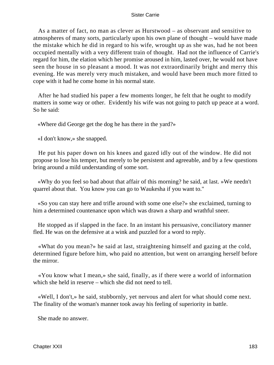As a matter of fact, no man as clever as Hurstwood – as observant and sensitive to atmospheres of many sorts, particularly upon his own plane of thought – would have made the mistake which he did in regard to his wife, wrought up as she was, had he not been occupied mentally with a very different train of thought. Had not the influence of Carrie's regard for him, the elation which her promise aroused in him, lasted over, he would not have seen the house in so pleasant a mood. It was not extraordinarily bright and merry this evening. He was merely very much mistaken, and would have been much more fitted to cope with it had he come home in his normal state.

 After he had studied his paper a few moments longer, he felt that he ought to modify matters in some way or other. Evidently his wife was not going to patch up peace at a word. So he said:

«Where did George get the dog he has there in the yard?»

«I don't know,» she snapped.

 He put his paper down on his knees and gazed idly out of the window. He did not propose to lose his temper, but merely to be persistent and agreeable, and by a few questions bring around a mild understanding of some sort.

 «Why do you feel so bad about that affair of this morning? he said, at last. »We needn't quarrel about that. You know you can go to Waukesha if you want to."

 «So you can stay here and trifle around with some one else?» she exclaimed, turning to him a determined countenance upon which was drawn a sharp and wrathful sneer.

 He stopped as if slapped in the face. In an instant his persuasive, conciliatory manner fled. He was on the defensive at a wink and puzzled for a word to reply.

 «What do you mean?» he said at last, straightening himself and gazing at the cold, determined figure before him, who paid no attention, but went on arranging herself before the mirror.

 «You know what I mean,» she said, finally, as if there were a world of information which she held in reserve – which she did not need to tell.

 «Well, I don't,» he said, stubbornly, yet nervous and alert for what should come next. The finality of the woman's manner took away his feeling of superiority in battle.

She made no answer.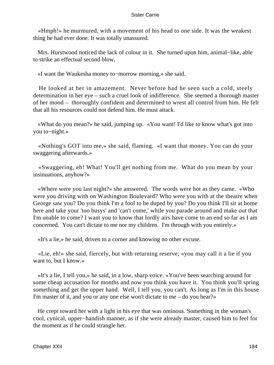«Hmph!» he murmured, with a movement of his head to one side. It was the weakest thing he had ever done. It was totally unassured.

 Mrs. Hurstwood noticed the lack of colour in it. She turned upon him, animal−like, able to strike an effectual second blow.

«I want the Waukesha money to−morrow morning,» she said.

 He looked at her in amazement. Never before had he seen such a cold, steely determination in her eye – such a cruel look of indifference. She seemed a thorough master of her mood – thoroughly confident and determined to wrest all control from him. He felt that all his resources could not defend him. He must attack.

 «What do you mean?» he said, jumping up. «You want! I'd like to know what's got into you to−night.»

 «Nothing's GOT into me,» she said, flaming. «I want that money. You can do your swaggering afterwards.»

 «Swaggering, eh! What! You'll get nothing from me. What do you mean by your insinuations, anyhow?»

 «Where were you last night?» she answered. The words were hot as they came. «Who were you driving with on Washington Boulevard? Who were you with at the theatre when George saw you? Do you think I'm a fool to be duped by you? Do you think I'll sit at home here and take your 'too busys' and 'can't come,' while you parade around and make out that I'm unable to come? I want you to know that lordly airs have come to an end so far as I am concerned. You can't dictate to me nor my children. I'm through with you entirely.»

«It's a lie,» he said, driven to a corner and knowing no other excuse.

 «Lie, eh!» she said, fiercely, but with returning reserve; «you may call it a lie if you want to, but I know.»

 «It's a lie, I tell you,» he said, in a low, sharp voice. «You've been searching around for some cheap accusation for months and now you think you have it. You think you'll spring something and get the upper hand. Well, I tell you, you can't. As long as I'm in this house I'm master of it, and you or any one else won't dictate to me – do you hear?»

 He crept toward her with a light in his eye that was ominous. Something in the woman's cool, cynical, upper−handish manner, as if she were already master, caused him to feel for the moment as if he could strangle her.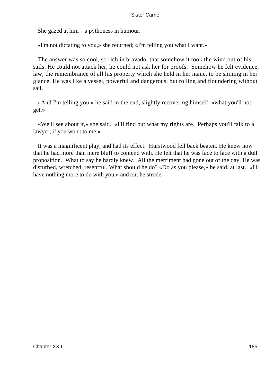She gazed at him – a pythoness in humour.

«I'm not dictating to you,» she returned; «I'm telling you what I want.»

 The answer was so cool, so rich in bravado, that somehow it took the wind out of his sails. He could not attack her, he could not ask her for proofs. Somehow he felt evidence, law, the remembrance of all his property which she held in her name, to be shining in her glance. He was like a vessel, powerful and dangerous, but rolling and floundering without sail.

 «And I'm telling you,» he said in the end, slightly recovering himself, «what you'll not get.»

 «We'll see about it,» she said. «I'll find out what my rights are. Perhaps you'll talk to a lawyer, if you won't to me.»

 It was a magnificent play, and had its effect. Hurstwood fell back beaten. He knew now that he had more than mere bluff to contend with. He felt that he was face to face with a dull proposition. What to say he hardly knew. All the merriment had gone out of the day. He was disturbed, wretched, resentful. What should he do? «Do as you please,» he said, at last. «I'll have nothing more to do with you,» and out he strode.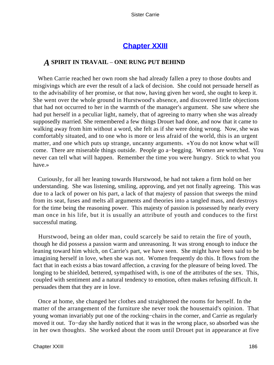## **[Chapter XXIII](#page-429-0)**

### *A* **SPIRIT IN TRAVAIL** – **ONE RUNG PUT BEHIND**

 When Carrie reached her own room she had already fallen a prey to those doubts and misgivings which are ever the result of a lack of decision. She could not persuade herself as to the advisability of her promise, or that now, having given her word, she ought to keep it. She went over the whole ground in Hurstwood's absence, and discovered little objections that had not occurred to her in the warmth of the manager's argument. She saw where she had put herself in a peculiar light, namely, that of agreeing to marry when she was already supposedly married. She remembered a few things Drouet had done, and now that it came to walking away from him without a word, she felt as if she were doing wrong. Now, she was comfortably situated, and to one who is more or less afraid of the world, this is an urgent matter, and one which puts up strange, uncanny arguments. «You do not know what will come. There are miserable things outside. People go a−begging. Women are wretched. You never can tell what will happen. Remember the time you were hungry. Stick to what you have.»

 Curiously, for all her leaning towards Hurstwood, he had not taken a firm hold on her understanding. She was listening, smiling, approving, and yet not finally agreeing. This was due to a lack of power on his part, a lack of that majesty of passion that sweeps the mind from its seat, fuses and melts all arguments and theories into a tangled mass, and destroys for the time being the reasoning power. This majesty of passion is possessed by nearly every man once in his life, but it is usually an attribute of youth and conduces to the first successful mating.

 Hurstwood, being an older man, could scarcely be said to retain the fire of youth, though he did possess a passion warm and unreasoning. It was strong enough to induce the leaning toward him which, on Carrie's part, we have seen. She might have been said to be imagining herself in love, when she was not. Women frequently do this. It flows from the fact that in each exists a bias toward affection, a craving for the pleasure of being loved. The longing to be shielded, bettered, sympathised with, is one of the attributes of the sex. This, coupled with sentiment and a natural tendency to emotion, often makes refusing difficult. It persuades them that they are in love.

 Once at home, she changed her clothes and straightened the rooms for herself. In the matter of the arrangement of the furniture she never took the housemaid's opinion. That young woman invariably put one of the rocking−chairs in the corner, and Carrie as regularly moved it out. To−day she hardly noticed that it was in the wrong place, so absorbed was she in her own thoughts. She worked about the room until Drouet put in appearance at five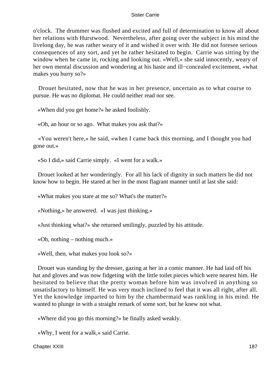o'clock. The drummer was flushed and excited and full of determination to know all about her relations with Hurstwood. Nevertheless, after going over the subject in his mind the livelong day, he was rather weary of it and wished it over with. He did not foresee serious consequences of any sort, and yet he rather hesitated to begin. Carrie was sitting by the window when he came in, rocking and looking out. «Well,» she said innocently, weary of her own mental discussion and wondering at his haste and ill−concealed excitement, «what makes you hurry so?»

 Drouet hesitated, now that he was in her presence, uncertain as to what course to pursue. He was no diplomat. He could neither read nor see.

«When did you get home?» he asked foolishly.

«Oh, an hour or so ago. What makes you ask that?»

 «You weren't here,» he said, «when I came back this morning, and I thought you had gone out.»

«So I did,» said Carrie simply. «I went for a walk.»

 Drouet looked at her wonderingly. For all his lack of dignity in such matters he did not know how to begin. He stared at her in the most flagrant manner until at last she said:

«What makes you stare at me so? What's the matter?»

«Nothing,» he answered. «I was just thinking.»

«Just thinking what?» she returned smilingly, puzzled by his attitude.

«Oh, nothing – nothing much.»

«Well, then, what makes you look so?»

 Drouet was standing by the dresser, gazing at her in a comic manner. He had laid off his hat and gloves and was now fidgeting with the little toilet pieces which were nearest him. He hesitated to believe that the pretty woman before him was involved in anything so unsatisfactory to himself. He was very much inclined to feel that it was all right, after all. Yet the knowledge imparted to him by the chambermaid was rankling in his mind. He wanted to plunge in with a straight remark of some sort, but he knew not what.

«Where did you go this morning?» he finally asked weakly.

«Why, I went for a walk,» said Carrie.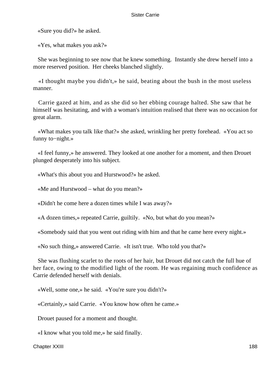«Sure you did?» he asked.

«Yes, what makes you ask?»

 She was beginning to see now that he knew something. Instantly she drew herself into a more reserved position. Her cheeks blanched slightly.

 «I thought maybe you didn't,» he said, beating about the bush in the most useless manner.

 Carrie gazed at him, and as she did so her ebbing courage halted. She saw that he himself was hesitating, and with a woman's intuition realised that there was no occasion for great alarm.

 «What makes you talk like that?» she asked, wrinkling her pretty forehead. «You act so funny to−night.»

 «I feel funny,» he answered. They looked at one another for a moment, and then Drouet plunged desperately into his subject.

«What's this about you and Hurstwood?» he asked.

«Me and Hurstwood – what do you mean?»

«Didn't he come here a dozen times while I was away?»

«A dozen times,» repeated Carrie, guiltily. «No, but what do you mean?»

«Somebody said that you went out riding with him and that he came here every night.»

«No such thing,» answered Carrie. «It isn't true. Who told you that?»

 She was flushing scarlet to the roots of her hair, but Drouet did not catch the full hue of her face, owing to the modified light of the room. He was regaining much confidence as Carrie defended herself with denials.

«Well, some one,» he said. «You're sure you didn't?»

«Certainly,» said Carrie. «You know how often he came.»

Drouet paused for a moment and thought.

«I know what you told me,» he said finally.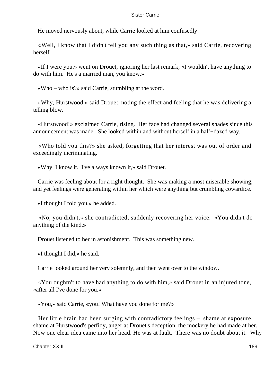He moved nervously about, while Carrie looked at him confusedly.

 «Well, I know that I didn't tell you any such thing as that,» said Carrie, recovering herself.

 «If I were you,» went on Drouet, ignoring her last remark, «I wouldn't have anything to do with him. He's a married man, you know.»

«Who – who is?» said Carrie, stumbling at the word.

 «Why, Hurstwood,» said Drouet, noting the effect and feeling that he was delivering a telling blow.

 «Hurstwood!» exclaimed Carrie, rising. Her face had changed several shades since this announcement was made. She looked within and without herself in a half−dazed way.

 «Who told you this?» she asked, forgetting that her interest was out of order and exceedingly incriminating.

«Why, I know it. I've always known it,» said Drouet.

 Carrie was feeling about for a right thought. She was making a most miserable showing, and yet feelings were generating within her which were anything but crumbling cowardice.

«I thought I told you,» he added.

 «No, you didn't,» she contradicted, suddenly recovering her voice. «You didn't do anything of the kind.»

Drouet listened to her in astonishment. This was something new.

«I thought I did,» he said.

Carrie looked around her very solemnly, and then went over to the window.

 «You oughtn't to have had anything to do with him,» said Drouet in an injured tone, «after all I've done for you.»

«You,» said Carrie, «you! What have you done for me?»

 Her little brain had been surging with contradictory feelings – shame at exposure, shame at Hurstwood's perfidy, anger at Drouet's deception, the mockery he had made at her. Now one clear idea came into her head. He was at fault. There was no doubt about it. Why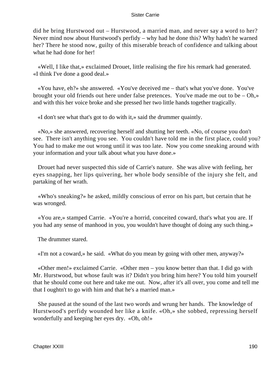did he bring Hurstwood out – Hurstwood, a married man, and never say a word to her? Never mind now about Hurstwood's perfidy – why had he done this? Why hadn't he warned her? There he stood now, guilty of this miserable breach of confidence and talking about what he had done for her!

 «Well, I like that,» exclaimed Drouet, little realising the fire his remark had generated. «I think I've done a good deal.»

 «You have, eh?» she answered. «You've deceived me – that's what you've done. You've brought your old friends out here under false pretences. You've made me out to be – Oh,» and with this her voice broke and she pressed her two little hands together tragically.

«I don't see what that's got to do with it,» said the drummer quaintly.

 «No,» she answered, recovering herself and shutting her teeth. «No, of course you don't see. There isn't anything you see. You couldn't have told me in the first place, could you? You had to make me out wrong until it was too late. Now you come sneaking around with your information and your talk about what you have done.»

 Drouet had never suspected this side of Carrie's nature. She was alive with feeling, her eyes snapping, her lips quivering, her whole body sensible of the injury she felt, and partaking of her wrath.

 «Who's sneaking?» he asked, mildly conscious of error on his part, but certain that he was wronged.

 «You are,» stamped Carrie. «You're a horrid, conceited coward, that's what you are. If you had any sense of manhood in you, you wouldn't have thought of doing any such thing.»

The drummer stared.

«I'm not a coward,» he said. «What do you mean by going with other men, anyway?»

 «Other men!» exclaimed Carrie. «Other men – you know better than that. I did go with Mr. Hurstwood, but whose fault was it? Didn't you bring him here? You told him yourself that he should come out here and take me out. Now, after it's all over, you come and tell me that I oughtn't to go with him and that he's a married man.»

 She paused at the sound of the last two words and wrung her hands. The knowledge of Hurstwood's perfidy wounded her like a knife. «Oh,» she sobbed, repressing herself wonderfully and keeping her eyes dry. «Oh, oh!»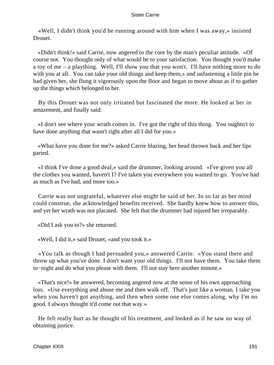«Well, I didn't think you'd be running around with him when I was away,» insisted Drouet.

 «Didn't think!» said Carrie, now angered to the core by the man's peculiar attitude. «Of course not. You thought only of what would be to your satisfaction. You thought you'd make a toy of me – a plaything. Well, I'll show you that you won't. I'll have nothing more to do with you at all. You can take your old things and keep them,» and unfastening a little pin he had given her, she flung it vigorously upon the floor and began to move about as if to gather up the things which belonged to her.

 By this Drouet was not only irritated but fascinated the more. He looked at her in amazement, and finally said:

 «I don't see where your wrath comes in. I've got the right of this thing. You oughtn't to have done anything that wasn't right after all I did for you.»

 «What have you done for me?» asked Carrie blazing, her head thrown back and her lips parted.

 «I think I've done a good deal,» said the drummer, looking around. «I've given you all the clothes you wanted, haven't I? I've taken you everywhere you wanted to go. You've had as much as I've had, and more too.»

 Carrie was not ungrateful, whatever else might be said of her. In so far as her mind could construe, she acknowledged benefits received. She hardly knew how to answer this, and yet her wrath was not placated. She felt that the drummer had injured her irreparably.

«Did I ask you to?» she returned.

«Well, I did it,» said Drouet, «and you took it.»

 «You talk as though I had persuaded you,» answered Carrie. «You stand there and throw up what you've done. I don't want your old things. I'll not have them. You take them to−night and do what you please with them. I'll not stay here another minute.»

 «That's nice!» he answered, becoming angered now at the sense of his own approaching loss. «Use everything and abuse me and then walk off. That's just like a woman. I take you when you haven't got anything, and then when some one else comes along, why I'm no good. I always thought it'd come out that way.»

 He felt really hurt as he thought of his treatment, and looked as if he saw no way of obtaining justice.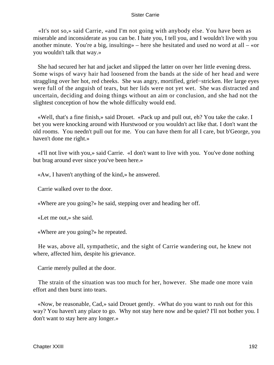«It's not so,» said Carrie, «and I'm not going with anybody else. You have been as miserable and inconsiderate as you can be. I hate you, I tell you, and I wouldn't live with you another minute. You're a big, insulting  $\phi$  – here she hesitated and used no word at all – «or you wouldn't talk that way.»

 She had secured her hat and jacket and slipped the latter on over her little evening dress. Some wisps of wavy hair had loosened from the bands at the side of her head and were straggling over her hot, red cheeks. She was angry, mortified, grief−stricken. Her large eyes were full of the anguish of tears, but her lids were not yet wet. She was distracted and uncertain, deciding and doing things without an aim or conclusion, and she had not the slightest conception of how the whole difficulty would end.

 «Well, that's a fine finish,» said Drouet. «Pack up and pull out, eh? You take the cake. I bet you were knocking around with Hurstwood or you wouldn't act like that. I don't want the old rooms. You needn't pull out for me. You can have them for all I care, but b'George, you haven't done me right.»

 «I'll not live with you,» said Carrie. «I don't want to live with you. You've done nothing but brag around ever since you've been here.»

«Aw, I haven't anything of the kind,» he answered.

Carrie walked over to the door.

«Where are you going?» he said, stepping over and heading her off.

«Let me out,» she said.

«Where are you going?» he repeated.

 He was, above all, sympathetic, and the sight of Carrie wandering out, he knew not where, affected him, despite his grievance.

Carrie merely pulled at the door.

 The strain of the situation was too much for her, however. She made one more vain effort and then burst into tears.

 «Now, be reasonable, Cad,» said Drouet gently. «What do you want to rush out for this way? You haven't any place to go. Why not stay here now and be quiet? I'll not bother you. I don't want to stay here any longer.»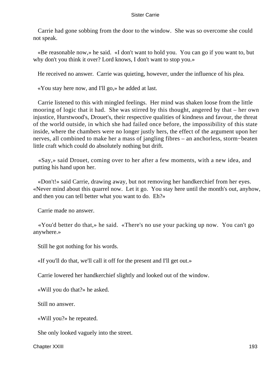Carrie had gone sobbing from the door to the window. She was so overcome she could not speak.

 «Be reasonable now,» he said. «I don't want to hold you. You can go if you want to, but why don't you think it over? Lord knows, I don't want to stop you.»

He received no answer. Carrie was quieting, however, under the influence of his plea.

«You stay here now, and I'll go,» he added at last.

 Carrie listened to this with mingled feelings. Her mind was shaken loose from the little mooring of logic that it had. She was stirred by this thought, angered by that – her own injustice, Hurstwood's, Drouet's, their respective qualities of kindness and favour, the threat of the world outside, in which she had failed once before, the impossibility of this state inside, where the chambers were no longer justly hers, the effect of the argument upon her nerves, all combined to make her a mass of jangling fibres – an anchorless, storm−beaten little craft which could do absolutely nothing but drift.

 «Say,» said Drouet, coming over to her after a few moments, with a new idea, and putting his hand upon her.

 «Don't!» said Carrie, drawing away, but not removing her handkerchief from her eyes. «Never mind about this quarrel now. Let it go. You stay here until the month's out, anyhow, and then you can tell better what you want to do. Eh?»

Carrie made no answer.

 «You'd better do that,» he said. «There's no use your packing up now. You can't go anywhere.»

Still he got nothing for his words.

«If you'll do that, we'll call it off for the present and I'll get out.»

Carrie lowered her handkerchief slightly and looked out of the window.

«Will you do that?» he asked.

Still no answer.

«Will you?» he repeated.

She only looked vaguely into the street.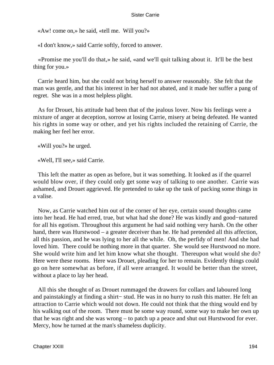«Aw! come on,» he said, «tell me. Will you?»

«I don't know,» said Carrie softly, forced to answer.

 «Promise me you'll do that,» he said, «and we'll quit talking about it. It'll be the best thing for you.»

 Carrie heard him, but she could not bring herself to answer reasonably. She felt that the man was gentle, and that his interest in her had not abated, and it made her suffer a pang of regret. She was in a most helpless plight.

 As for Drouet, his attitude had been that of the jealous lover. Now his feelings were a mixture of anger at deception, sorrow at losing Carrie, misery at being defeated. He wanted his rights in some way or other, and yet his rights included the retaining of Carrie, the making her feel her error.

«Will you?» he urged.

«Well, I'll see,» said Carrie.

 This left the matter as open as before, but it was something. It looked as if the quarrel would blow over, if they could only get some way of talking to one another. Carrie was ashamed, and Drouet aggrieved. He pretended to take up the task of packing some things in a valise.

 Now, as Carrie watched him out of the corner of her eye, certain sound thoughts came into her head. He had erred, true, but what had she done? He was kindly and good−natured for all his egotism. Throughout this argument he had said nothing very harsh. On the other hand, there was Hurstwood – a greater deceiver than he. He had pretended all this affection, all this passion, and he was lying to her all the while. Oh, the perfidy of men! And she had loved him. There could be nothing more in that quarter. She would see Hurstwood no more. She would write him and let him know what she thought. Thereupon what would she do? Here were these rooms. Here was Drouet, pleading for her to remain. Evidently things could go on here somewhat as before, if all were arranged. It would be better than the street, without a place to lay her head.

 All this she thought of as Drouet rummaged the drawers for collars and laboured long and painstakingly at finding a shirt− stud. He was in no hurry to rush this matter. He felt an attraction to Carrie which would not down. He could not think that the thing would end by his walking out of the room. There must be some way round, some way to make her own up that he was right and she was wrong – to patch up a peace and shut out Hurstwood for ever. Mercy, how he turned at the man's shameless duplicity.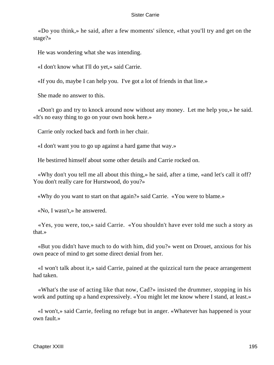«Do you think,» he said, after a few moments' silence, «that you'll try and get on the stage?»

He was wondering what she was intending.

«I don't know what I'll do yet,» said Carrie.

«If you do, maybe I can help you. I've got a lot of friends in that line.»

She made no answer to this.

 «Don't go and try to knock around now without any money. Let me help you,» he said. «It's no easy thing to go on your own hook here.»

Carrie only rocked back and forth in her chair.

«I don't want you to go up against a hard game that way.»

He bestirred himself about some other details and Carrie rocked on.

 «Why don't you tell me all about this thing,» he said, after a time, «and let's call it off? You don't really care for Hurstwood, do you?»

«Why do you want to start on that again?» said Carrie. «You were to blame.»

«No, I wasn't,» he answered.

 «Yes, you were, too,» said Carrie. «You shouldn't have ever told me such a story as that.»

 «But you didn't have much to do with him, did you?» went on Drouet, anxious for his own peace of mind to get some direct denial from her.

 «I won't talk about it,» said Carrie, pained at the quizzical turn the peace arrangement had taken.

 «What's the use of acting like that now, Cad?» insisted the drummer, stopping in his work and putting up a hand expressively. «You might let me know where I stand, at least.»

 «I won't,» said Carrie, feeling no refuge but in anger. «Whatever has happened is your own fault.»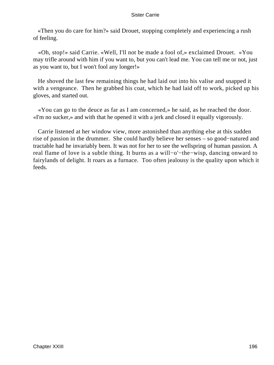«Then you do care for him?» said Drouet, stopping completely and experiencing a rush of feeling.

 «Oh, stop!» said Carrie. «Well, I'll not be made a fool of,» exclaimed Drouet. «You may trifle around with him if you want to, but you can't lead me. You can tell me or not, just as you want to, but I won't fool any longer!»

 He shoved the last few remaining things he had laid out into his valise and snapped it with a vengeance. Then he grabbed his coat, which he had laid off to work, picked up his gloves, and started out.

 «You can go to the deuce as far as I am concerned,» he said, as he reached the door. «I'm no sucker,» and with that he opened it with a jerk and closed it equally vigorously.

 Carrie listened at her window view, more astonished than anything else at this sudden rise of passion in the drummer. She could hardly believe her senses – so good−natured and tractable had he invariably been. It was not for her to see the wellspring of human passion. A real flame of love is a subtle thing. It burns as a will−o'−the−wisp, dancing onward to fairylands of delight. It roars as a furnace. Too often jealousy is the quality upon which it feeds.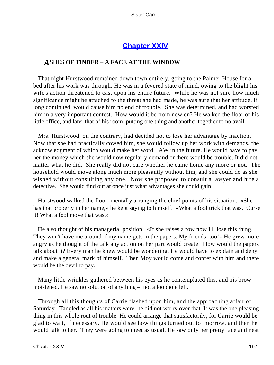## **[Chapter XXIV](#page-429-0)**

## *A*SHES **OF TINDER** – **A FACE AT THE WINDOW**

 That night Hurstwood remained down town entirely, going to the Palmer House for a bed after his work was through. He was in a fevered state of mind, owing to the blight his wife's action threatened to cast upon his entire future. While he was not sure how much significance might be attached to the threat she had made, he was sure that her attitude, if long continued, would cause him no end of trouble. She was determined, and had worsted him in a very important contest. How would it be from now on? He walked the floor of his little office, and later that of his room, putting one thing and another together to no avail.

 Mrs. Hurstwood, on the contrary, had decided not to lose her advantage by inaction. Now that she had practically cowed him, she would follow up her work with demands, the acknowledgment of which would make her word LAW in the future. He would have to pay her the money which she would now regularly demand or there would be trouble. It did not matter what he did. She really did not care whether he came home any more or not. The household would move along much more pleasantly without him, and she could do as she wished without consulting any one. Now she proposed to consult a lawyer and hire a detective. She would find out at once just what advantages she could gain.

 Hurstwood walked the floor, mentally arranging the chief points of his situation. «She has that property in her name,» he kept saying to himself. «What a fool trick that was. Curse it! What a fool move that was.»

 He also thought of his managerial position. «If she raises a row now I'll lose this thing. They won't have me around if my name gets in the papers. My friends, too!» He grew more angry as he thought of the talk any action on her part would create. How would the papers talk about it? Every man he knew would be wondering. He would have to explain and deny and make a general mark of himself. Then Moy would come and confer with him and there would be the devil to pay.

 Many little wrinkles gathered between his eyes as he contemplated this, and his brow moistened. He saw no solution of anything – not a loophole left.

 Through all this thoughts of Carrie flashed upon him, and the approaching affair of Saturday. Tangled as all his matters were, he did not worry over that. It was the one pleasing thing in this whole rout of trouble. He could arrange that satisfactorily, for Carrie would be glad to wait, if necessary. He would see how things turned out to−morrow, and then he would talk to her. They were going to meet as usual. He saw only her pretty face and neat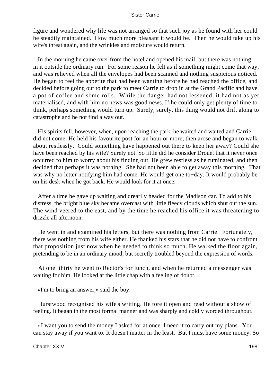figure and wondered why life was not arranged so that such joy as he found with her could be steadily maintained. How much more pleasant it would be. Then he would take up his wife's threat again, and the wrinkles and moisture would return.

 In the morning he came over from the hotel and opened his mail, but there was nothing in it outside the ordinary run. For some reason he felt as if something might come that way, and was relieved when all the envelopes had been scanned and nothing suspicious noticed. He began to feel the appetite that had been wanting before he had reached the office, and decided before going out to the park to meet Carrie to drop in at the Grand Pacific and have a pot of coffee and some rolls. While the danger had not lessened, it had not as yet materialised, and with him no news was good news. If he could only get plenty of time to think, perhaps something would turn up. Surely, surely, this thing would not drift along to catastrophe and he not find a way out.

 His spirits fell, however, when, upon reaching the park, he waited and waited and Carrie did not come. He held his favourite post for an hour or more, then arose and began to walk about restlessly. Could something have happened out there to keep her away? Could she have been reached by his wife? Surely not. So little did he consider Drouet that it never once occurred to him to worry about his finding out. He grew restless as he ruminated, and then decided that perhaps it was nothing. She had not been able to get away this morning. That was why no letter notifying him had come. He would get one to−day. It would probably be on his desk when he got back. He would look for it at once.

 After a time he gave up waiting and drearily headed for the Madison car. To add to his distress, the bright blue sky became overcast with little fleecy clouds which shut out the sun. The wind veered to the east, and by the time he reached his office it was threatening to drizzle all afternoon.

 He went in and examined his letters, but there was nothing from Carrie. Fortunately, there was nothing from his wife either. He thanked his stars that he did not have to confront that proposition just now when he needed to think so much. He walked the floor again, pretending to be in an ordinary mood, but secretly troubled beyond the expression of words.

 At one−thirty he went to Rector's for lunch, and when he returned a messenger was waiting for him. He looked at the little chap with a feeling of doubt.

«I'm to bring an answer,» said the boy.

 Hurstwood recognised his wife's writing. He tore it open and read without a show of feeling. It began in the most formal manner and was sharply and coldly worded throughout.

 «I want you to send the money I asked for at once. I need it to carry out my plans. You can stay away if you want to. It doesn't matter in the least. But I must have some money. So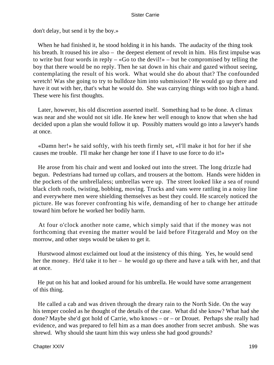don't delay, but send it by the boy.»

 When he had finished it, he stood holding it in his hands. The audacity of the thing took his breath. It roused his ire also – the deepest element of revolt in him. His first impulse was to write but four words in reply – «Go to the devil!» – but he compromised by telling the boy that there would be no reply. Then he sat down in his chair and gazed without seeing, contemplating the result of his work. What would she do about that? The confounded wretch! Was she going to try to bulldoze him into submission? He would go up there and have it out with her, that's what he would do. She was carrying things with too high a hand. These were his first thoughts.

 Later, however, his old discretion asserted itself. Something had to be done. A climax was near and she would not sit idle. He knew her well enough to know that when she had decided upon a plan she would follow it up. Possibly matters would go into a lawyer's hands at once.

 «Damn her!» he said softly, with his teeth firmly set, «I'll make it hot for her if she causes me trouble. I'll make her change her tone if I have to use force to do it!»

 He arose from his chair and went and looked out into the street. The long drizzle had begun. Pedestrians had turned up collars, and trousers at the bottom. Hands were hidden in the pockets of the umbrellaless; umbrellas were up. The street looked like a sea of round black cloth roofs, twisting, bobbing, moving. Trucks and vans were rattling in a noisy line and everywhere men were shielding themselves as best they could. He scarcely noticed the picture. He was forever confronting his wife, demanding of her to change her attitude toward him before he worked her bodily harm.

 At four o'clock another note came, which simply said that if the money was not forthcoming that evening the matter would be laid before Fitzgerald and Moy on the morrow, and other steps would be taken to get it.

 Hurstwood almost exclaimed out loud at the insistency of this thing. Yes, he would send her the money. He'd take it to her – he would go up there and have a talk with her, and that at once.

 He put on his hat and looked around for his umbrella. He would have some arrangement of this thing.

 He called a cab and was driven through the dreary rain to the North Side. On the way his temper cooled as he thought of the details of the case. What did she know? What had she done? Maybe she'd got hold of Carrie, who knows – or – or Drouet. Perhaps she really had evidence, and was prepared to fell him as a man does another from secret ambush. She was shrewd. Why should she taunt him this way unless she had good grounds?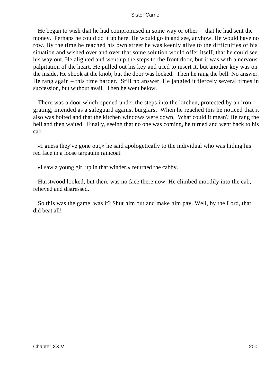He began to wish that he had compromised in some way or other – that he had sent the money. Perhaps he could do it up here. He would go in and see, anyhow. He would have no row. By the time he reached his own street he was keenly alive to the difficulties of his situation and wished over and over that some solution would offer itself, that he could see his way out. He alighted and went up the steps to the front door, but it was with a nervous palpitation of the heart. He pulled out his key and tried to insert it, but another key was on the inside. He shook at the knob, but the door was locked. Then he rang the bell. No answer. He rang again – this time harder. Still no answer. He jangled it fiercely several times in succession, but without avail. Then he went below.

 There was a door which opened under the steps into the kitchen, protected by an iron grating, intended as a safeguard against burglars. When he reached this he noticed that it also was bolted and that the kitchen windows were down. What could it mean? He rang the bell and then waited. Finally, seeing that no one was coming, he turned and went back to his cab.

 «I guess they've gone out,» he said apologetically to the individual who was hiding his red face in a loose tarpaulin raincoat.

«I saw a young girl up in that winder,» returned the cabby.

 Hurstwood looked, but there was no face there now. He climbed moodily into the cab, relieved and distressed.

 So this was the game, was it? Shut him out and make him pay. Well, by the Lord, that did beat all!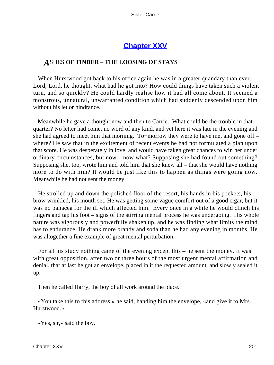# **[Chapter XXV](#page-429-0)**

## *A*SHES **OF TINDER** – **THE LOOSING OF STAYS**

 When Hurstwood got back to his office again he was in a greater quandary than ever. Lord, Lord, he thought, what had he got into? How could things have taken such a violent turn, and so quickly? He could hardly realise how it had all come about. It seemed a monstrous, unnatural, unwarranted condition which had suddenly descended upon him without his let or hindrance.

 Meanwhile he gave a thought now and then to Carrie. What could be the trouble in that quarter? No letter had come, no word of any kind, and yet here it was late in the evening and she had agreed to meet him that morning. To−morrow they were to have met and gone off – where? He saw that in the excitement of recent events he had not formulated a plan upon that score. He was desperately in love, and would have taken great chances to win her under ordinary circumstances, but now – now what? Supposing she had found out something? Supposing she, too, wrote him and told him that she knew all – that she would have nothing more to do with him? It would be just like this to happen as things were going now. Meanwhile he had not sent the money.

 He strolled up and down the polished floor of the resort, his hands in his pockets, his brow wrinkled, his mouth set. He was getting some vague comfort out of a good cigar, but it was no panacea for the ill which affected him. Every once in a while he would clinch his fingers and tap his foot – signs of the stirring mental process he was undergoing. His whole nature was vigorously and powerfully shaken up, and he was finding what limits the mind has to endurance. He drank more brandy and soda than he had any evening in months. He was altogether a fine example of great mental perturbation.

 For all his study nothing came of the evening except this – he sent the money. It was with great opposition, after two or three hours of the most urgent mental affirmation and denial, that at last he got an envelope, placed in it the requested amount, and slowly sealed it up.

Then he called Harry, the boy of all work around the place.

 «You take this to this address,» he said, handing him the envelope, «and give it to Mrs. Hurstwood.»

«Yes, sir,» said the boy.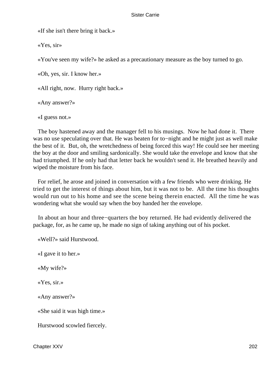«If she isn't there bring it back.»

«Yes, sir»

«You've seen my wife?» he asked as a precautionary measure as the boy turned to go.

«Oh, yes, sir. I know her.»

«All right, now. Hurry right back.»

«Any answer?»

«I guess not.»

 The boy hastened away and the manager fell to his musings. Now he had done it. There was no use speculating over that. He was beaten for to−night and he might just as well make the best of it. But, oh, the wretchedness of being forced this way! He could see her meeting the boy at the door and smiling sardonically. She would take the envelope and know that she had triumphed. If he only had that letter back he wouldn't send it. He breathed heavily and wiped the moisture from his face.

 For relief, he arose and joined in conversation with a few friends who were drinking. He tried to get the interest of things about him, but it was not to be. All the time his thoughts would run out to his home and see the scene being therein enacted. All the time he was wondering what she would say when the boy handed her the envelope.

 In about an hour and three−quarters the boy returned. He had evidently delivered the package, for, as he came up, he made no sign of taking anything out of his pocket.

«Well?» said Hurstwood.

«I gave it to her.»

«My wife?»

«Yes, sir.»

«Any answer?»

«She said it was high time.»

Hurstwood scowled fiercely.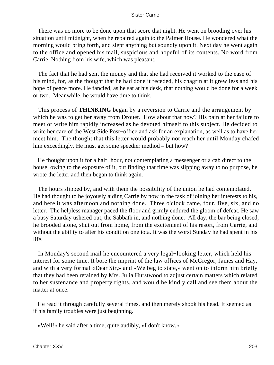There was no more to be done upon that score that night. He went on brooding over his situation until midnight, when he repaired again to the Palmer House. He wondered what the morning would bring forth, and slept anything but soundly upon it. Next day he went again to the office and opened his mail, suspicious and hopeful of its contents. No word from Carrie. Nothing from his wife, which was pleasant.

 The fact that he had sent the money and that she had received it worked to the ease of his mind, for, as the thought that he had done it receded, his chagrin at it grew less and his hope of peace more. He fancied, as he sat at his desk, that nothing would be done for a week or two. Meanwhile, he would have time to think.

 This process of **THINKING** began by a reversion to Carrie and the arrangement by which he was to get her away from Drouet. How about that now? His pain at her failure to meet or write him rapidly increased as he devoted himself to this subject. He decided to write her care of the West Side Post−office and ask for an explanation, as well as to have her meet him. The thought that this letter would probably not reach her until Monday chafed him exceedingly. He must get some speedier method – but how?

He thought upon it for a half–hour, not contemplating a messenger or a cab direct to the house, owing to the exposure of it, but finding that time was slipping away to no purpose, he wrote the letter and then began to think again.

 The hours slipped by, and with them the possibility of the union he had contemplated. He had thought to be joyously aiding Carrie by now in the task of joining her interests to his, and here it was afternoon and nothing done. Three o'clock came, four, five, six, and no letter. The helpless manager paced the floor and grimly endured the gloom of defeat. He saw a busy Saturday ushered out, the Sabbath in, and nothing done. All day, the bar being closed, he brooded alone, shut out from home, from the excitement of his resort, from Carrie, and without the ability to alter his condition one iota. It was the worst Sunday he had spent in his life.

 In Monday's second mail he encountered a very legal−looking letter, which held his interest for some time. It bore the imprint of the law offices of McGregor, James and Hay, and with a very formal «Dear Sir,» and «We beg to state,» went on to inform him briefly that they had been retained by Mrs. Julia Hurstwood to adjust certain matters which related to her sustenance and property rights, and would he kindly call and see them about the matter at once.

 He read it through carefully several times, and then merely shook his head. It seemed as if his family troubles were just beginning.

«Well!» he said after a time, quite audibly, «I don't know.»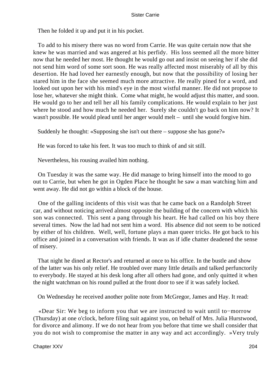Then he folded it up and put it in his pocket.

 To add to his misery there was no word from Carrie. He was quite certain now that she knew he was married and was angered at his perfidy. His loss seemed all the more bitter now that he needed her most. He thought he would go out and insist on seeing her if she did not send him word of some sort soon. He was really affected most miserably of all by this desertion. He had loved her earnestly enough, but now that the possibility of losing her stared him in the face she seemed much more attractive. He really pined for a word, and looked out upon her with his mind's eye in the most wistful manner. He did not propose to lose her, whatever she might think. Come what might, he would adjust this matter, and soon. He would go to her and tell her all his family complications. He would explain to her just where he stood and how much he needed her. Surely she couldn't go back on him now? It wasn't possible. He would plead until her anger would melt – until she would forgive him.

Suddenly he thought: «Supposing she isn't out there – suppose she has gone?»

He was forced to take his feet. It was too much to think of and sit still.

Nevertheless, his rousing availed him nothing.

 On Tuesday it was the same way. He did manage to bring himself into the mood to go out to Carrie, but when he got in Ogden Place he thought he saw a man watching him and went away. He did not go within a block of the house.

 One of the galling incidents of this visit was that he came back on a Randolph Street car, and without noticing arrived almost opposite the building of the concern with which his son was connected. This sent a pang through his heart. He had called on his boy there several times. Now the lad had not sent him a word. His absence did not seem to be noticed by either of his children. Well, well, fortune plays a man queer tricks. He got back to his office and joined in a conversation with friends. It was as if idle chatter deadened the sense of misery.

 That night he dined at Rector's and returned at once to his office. In the bustle and show of the latter was his only relief. He troubled over many little details and talked perfunctorily to everybody. He stayed at his desk long after all others had gone, and only quitted it when the night watchman on his round pulled at the front door to see if it was safely locked.

On Wednesday he received another polite note from McGregor, James and Hay. It read:

 «Dear Sir: We beg to inform you that we are instructed to wait until to−morrow (Thursday) at one o'clock, before filing suit against you, on behalf of Mrs. Julia Hurstwood, for divorce and alimony. If we do not hear from you before that time we shall consider that you do not wish to compromise the matter in any way and act accordingly. »Very truly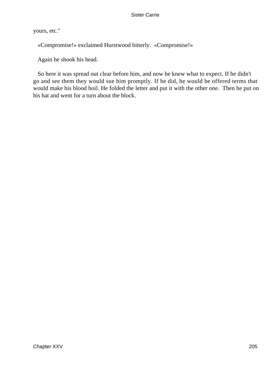yours, etc."

«Compromise!» exclaimed Hurstwood bitterly. «Compromise!»

Again he shook his head.

 So here it was spread out clear before him, and now he knew what to expect. If he didn't go and see them they would sue him promptly. If he did, he would be offered terms that would make his blood boil. He folded the letter and put it with the other one. Then he put on his hat and went for a turn about the block.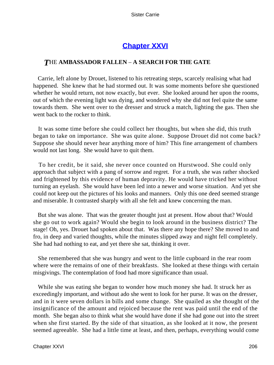# **[Chapter XXVI](#page-429-0)**

## *T*HE **AMBASSADOR FALLEN** – **A SEARCH FOR THE GATE**

 Carrie, left alone by Drouet, listened to his retreating steps, scarcely realising what had happened. She knew that he had stormed out. It was some moments before she questioned whether he would return, not now exactly, but ever. She looked around her upon the rooms, out of which the evening light was dying, and wondered why she did not feel quite the same towards them. She went over to the dresser and struck a match, lighting the gas. Then she went back to the rocker to think.

 It was some time before she could collect her thoughts, but when she did, this truth began to take on importance. She was quite alone. Suppose Drouet did not come back? Suppose she should never hear anything more of him? This fine arrangement of chambers would not last long. She would have to quit them.

 To her credit, be it said, she never once counted on Hurstwood. She could only approach that subject with a pang of sorrow and regret. For a truth, she was rather shocked and frightened by this evidence of human depravity. He would have tricked her without turning an eyelash. She would have been led into a newer and worse situation. And yet she could not keep out the pictures of his looks and manners. Only this one deed seemed strange and miserable. It contrasted sharply with all she felt and knew concerning the man.

 But she was alone. That was the greater thought just at present. How about that? Would she go out to work again? Would she begin to look around in the business district? The stage! Oh, yes. Drouet had spoken about that. Was there any hope there? She moved to and fro, in deep and varied thoughts, while the minutes slipped away and night fell completely. She had had nothing to eat, and yet there she sat, thinking it over.

 She remembered that she was hungry and went to the little cupboard in the rear room where were the remains of one of their breakfasts. She looked at these things with certain misgivings. The contemplation of food had more significance than usual.

 While she was eating she began to wonder how much money she had. It struck her as exceedingly important, and without ado she went to look for her purse. It was on the dresser, and in it were seven dollars in bills and some change. She quailed as she thought of the insignificance of the amount and rejoiced because the rent was paid until the end of the month. She began also to think what she would have done if she had gone out into the street when she first started. By the side of that situation, as she looked at it now, the present seemed agreeable. She had a little time at least, and then, perhaps, everything would come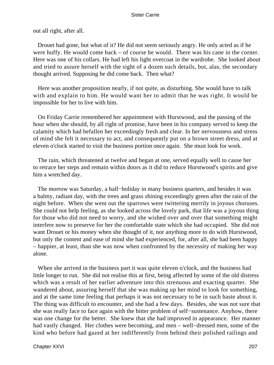out all right, after all.

 Drouet had gone, but what of it? He did not seem seriously angry. He only acted as if he were huffy. He would come back – of course he would. There was his cane in the corner. Here was one of his collars. He had left his light overcoat in the wardrobe. She looked about and tried to assure herself with the sight of a dozen such details, but, alas, the secondary thought arrived. Supposing he did come back. Then what?

 Here was another proposition nearly, if not quite, as disturbing. She would have to talk with and explain to him. He would want her to admit that he was right. It would be impossible for her to live with him.

 On Friday Carrie remembered her appointment with Hurstwood, and the passing of the hour when she should, by all right of promise, have been in his company served to keep the calamity which had befallen her exceedingly fresh and clear. In her nervousness and stress of mind she felt it necessary to act, and consequently put on a brown street dress, and at eleven o'clock started to visit the business portion once again. She must look for work.

 The rain, which threatened at twelve and began at one, served equally well to cause her to retrace her steps and remain within doors as it did to reduce Hurstwood's spirits and give him a wretched day.

The morrow was Saturday, a half–holiday in many business quarters, and besides it was a balmy, radiant day, with the trees and grass shining exceedingly green after the rain of the night before. When she went out the sparrows were twittering merrily in joyous choruses. She could not help feeling, as she looked across the lovely park, that life was a joyous thing for those who did not need to worry, and she wished over and over that something might interfere now to preserve for her the comfortable state which she had occupied. She did not want Drouet or his money when she thought of it, nor anything more to do with Hurstwood, but only the content and ease of mind she had experienced, for, after all, she had been happy – happier, at least, than she was now when confronted by the necessity of making her way alone.

 When she arrived in the business part it was quite eleven o'clock, and the business had little longer to run. She did not realise this at first, being affected by some of the old distress which was a result of her earlier adventure into this strenuous and exacting quarter. She wandered about, assuring herself that she was making up her mind to look for something, and at the same time feeling that perhaps it was not necessary to be in such haste about it. The thing was difficult to encounter, and she had a few days. Besides, she was not sure that she was really face to face again with the bitter problem of self−sustenance. Anyhow, there was one change for the better. She knew that she had improved in appearance. Her manner had vastly changed. Her clothes were becoming, and men – well−dressed men, some of the kind who before had gazed at her indifferently from behind their polished railings and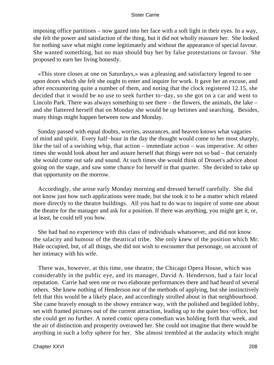imposing office partitions – now gazed into her face with a soft light in their eyes. In a way, she felt the power and satisfaction of the thing, but it did not wholly reassure her. She looked for nothing save what might come legitimately and without the appearance of special favour. She wanted something, but no man should buy her by false protestations or favour. She proposed to earn her living honestly.

 «This store closes at one on Saturdays,» was a pleasing and satisfactory legend to see upon doors which she felt she ought to enter and inquire for work. It gave her an excuse, and after encountering quite a number of them, and noting that the clock registered 12.15, she decided that it would be no use to seek further to−day, so she got on a car and went to Lincoln Park. There was always something to see there – the flowers, the animals, the lake – and she flattered herself that on Monday she would be up betimes and searching. Besides, many things might happen between now and Monday.

 Sunday passed with equal doubts, worries, assurances, and heaven knows what vagaries of mind and spirit. Every half−hour in the day the thought would come to her most sharply, like the tail of a swishing whip, that action – immediate action – was imperative. At other times she would look about her and assure herself that things were not so bad – that certainly she would come out safe and sound. At such times she would think of Drouet's advice about going on the stage, and saw some chance for herself in that quarter. She decided to take up that opportunity on the morrow.

 Accordingly, she arose early Monday morning and dressed herself carefully. She did not know just how such applications were made, but she took it to be a matter which related more directly to the theatre buildings. All you had to do was to inquire of some one about the theatre for the manager and ask for a position. If there was anything, you might get it, or, at least, he could tell you how.

 She had had no experience with this class of individuals whatsoever, and did not know the salacity and humour of the theatrical tribe. She only knew of the position which Mr. Hale occupied, but, of all things, she did not wish to encounter that personage, on account of her intimacy with his wife.

 There was, however, at this time, one theatre, the Chicago Opera House, which was considerably in the public eye, and its manager, David A. Henderson, had a fair local reputation. Carrie had seen one or two elaborate performances there and had heard of several others. She knew nothing of Henderson nor of the methods of applying, but she instinctively felt that this would be a likely place, and accordingly strolled about in that neighbourhood. She came bravely enough to the showy entrance way, with the polished and begilded lobby, set with framed pictures out of the current attraction, leading up to the quiet box−office, but she could get no further. A noted comic opera comedian was holding forth that week, and the air of distinction and prosperity overawed her. She could not imagine that there would be anything in such a lofty sphere for her. She almost trembled at the audacity which might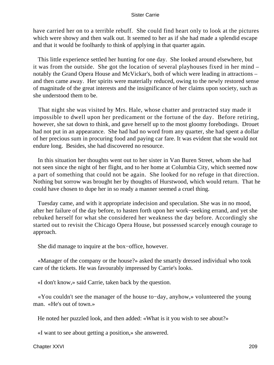have carried her on to a terrible rebuff. She could find heart only to look at the pictures which were showy and then walk out. It seemed to her as if she had made a splendid escape and that it would be foolhardy to think of applying in that quarter again.

 This little experience settled her hunting for one day. She looked around elsewhere, but it was from the outside. She got the location of several playhouses fixed in her mind – notably the Grand Opera House and McVickar's, both of which were leading in attractions – and then came away. Her spirits were materially reduced, owing to the newly restored sense of magnitude of the great interests and the insignificance of her claims upon society, such as she understood them to be.

 That night she was visited by Mrs. Hale, whose chatter and protracted stay made it impossible to dwell upon her predicament or the fortune of the day. Before retiring, however, she sat down to think, and gave herself up to the most gloomy forebodings. Drouet had not put in an appearance. She had had no word from any quarter, she had spent a dollar of her precious sum in procuring food and paying car fare. It was evident that she would not endure long. Besides, she had discovered no resource.

 In this situation her thoughts went out to her sister in Van Buren Street, whom she had not seen since the night of her flight, and to her home at Columbia City, which seemed now a part of something that could not be again. She looked for no refuge in that direction. Nothing but sorrow was brought her by thoughts of Hurstwood, which would return. That he could have chosen to dupe her in so ready a manner seemed a cruel thing.

 Tuesday came, and with it appropriate indecision and speculation. She was in no mood, after her failure of the day before, to hasten forth upon her work−seeking errand, and yet she rebuked herself for what she considered her weakness the day before. Accordingly she started out to revisit the Chicago Opera House, but possessed scarcely enough courage to approach.

She did manage to inquire at the box−office, however.

 «Manager of the company or the house?» asked the smartly dressed individual who took care of the tickets. He was favourably impressed by Carrie's looks.

«I don't know,» said Carrie, taken back by the question.

 «You couldn't see the manager of the house to−day, anyhow,» volunteered the young man. «He's out of town.»

He noted her puzzled look, and then added: «What is it you wish to see about?»

«I want to see about getting a position,» she answered.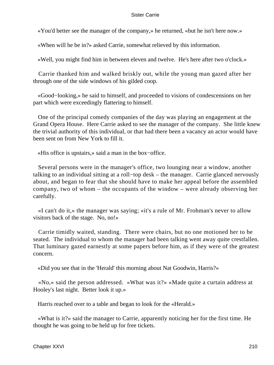«You'd better see the manager of the company,» he returned, «but he isn't here now.»

«When will he be in?» asked Carrie, somewhat relieved by this information.

«Well, you might find him in between eleven and twelve. He's here after two o'clock.»

 Carrie thanked him and walked briskly out, while the young man gazed after her through one of the side windows of his gilded coop.

 «Good−looking,» he said to himself, and proceeded to visions of condescensions on her part which were exceedingly flattering to himself.

 One of the principal comedy companies of the day was playing an engagement at the Grand Opera House. Here Carrie asked to see the manager of the company. She little knew the trivial authority of this individual, or that had there been a vacancy an actor would have been sent on from New York to fill it.

«His office is upstairs,» said a man in the box−office.

 Several persons were in the manager's office, two lounging near a window, another talking to an individual sitting at a roll−top desk – the manager. Carrie glanced nervously about, and began to fear that she should have to make her appeal before the assembled company, two of whom – the occupants of the window – were already observing her carefully.

 «I can't do it,» the manager was saying; «it's a rule of Mr. Frohman's never to allow visitors back of the stage. No, no!»

 Carrie timidly waited, standing. There were chairs, but no one motioned her to be seated. The individual to whom the manager had been talking went away quite crestfallen. That luminary gazed earnestly at some papers before him, as if they were of the greatest concern.

«Did you see that in the 'Herald' this morning about Nat Goodwin, Harris?»

 «No,» said the person addressed. «What was it?» «Made quite a curtain address at Hooley's last night. Better look it up.»

Harris reached over to a table and began to look for the «Herald.»

 «What is it?» said the manager to Carrie, apparently noticing her for the first time. He thought he was going to be held up for free tickets.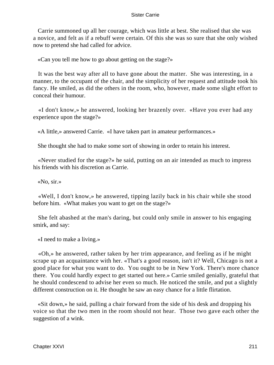Carrie summoned up all her courage, which was little at best. She realised that she was a novice, and felt as if a rebuff were certain. Of this she was so sure that she only wished now to pretend she had called for advice.

«Can you tell me how to go about getting on the stage?»

 It was the best way after all to have gone about the matter. She was interesting, in a manner, to the occupant of the chair, and the simplicity of her request and attitude took his fancy. He smiled, as did the others in the room, who, however, made some slight effort to conceal their humour.

 «I don't know,» he answered, looking her brazenly over. «Have you ever had any experience upon the stage?»

«A little,» answered Carrie. «I have taken part in amateur performances.»

She thought she had to make some sort of showing in order to retain his interest.

 «Never studied for the stage?» he said, putting on an air intended as much to impress his friends with his discretion as Carrie.

«No, sir.»

 «Well, I don't know,» he answered, tipping lazily back in his chair while she stood before him. «What makes you want to get on the stage?»

 She felt abashed at the man's daring, but could only smile in answer to his engaging smirk, and say:

«I need to make a living.»

 «Oh,» he answered, rather taken by her trim appearance, and feeling as if he might scrape up an acquaintance with her. «That's a good reason, isn't it? Well, Chicago is not a good place for what you want to do. You ought to be in New York. There's more chance there. You could hardly expect to get started out here.» Carrie smiled genially, grateful that he should condescend to advise her even so much. He noticed the smile, and put a slightly different construction on it. He thought he saw an easy chance for a little flirtation.

 «Sit down,» he said, pulling a chair forward from the side of his desk and dropping his voice so that the two men in the room should not hear. Those two gave each other the suggestion of a wink.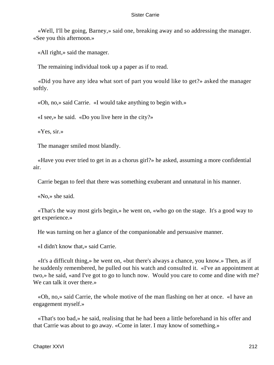«Well, I'll be going, Barney,» said one, breaking away and so addressing the manager. «See you this afternoon.»

«All right,» said the manager.

The remaining individual took up a paper as if to read.

 «Did you have any idea what sort of part you would like to get?» asked the manager softly.

«Oh, no,» said Carrie. «I would take anything to begin with.»

«I see,» he said. «Do you live here in the city?»

«Yes, sir.»

The manager smiled most blandly.

 «Have you ever tried to get in as a chorus girl?» he asked, assuming a more confidential air.

Carrie began to feel that there was something exuberant and unnatural in his manner.

«No,» she said.

 «That's the way most girls begin,» he went on, «who go on the stage. It's a good way to get experience.»

He was turning on her a glance of the companionable and persuasive manner.

«I didn't know that,» said Carrie.

 «It's a difficult thing,» he went on, «but there's always a chance, you know.» Then, as if he suddenly remembered, he pulled out his watch and consulted it. «I've an appointment at two,» he said, «and I've got to go to lunch now. Would you care to come and dine with me? We can talk it over there.»

 «Oh, no,» said Carrie, the whole motive of the man flashing on her at once. «I have an engagement myself.»

 «That's too bad,» he said, realising that he had been a little beforehand in his offer and that Carrie was about to go away. «Come in later. I may know of something.»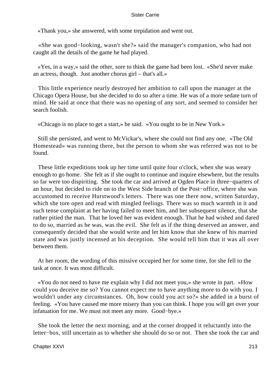«Thank you,» she answered, with some trepidation and went out.

 «She was good−looking, wasn't she?» said the manager's companion, who had not caught all the details of the game he had played.

 «Yes, in a way,» said the other, sore to think the game had been lost. «She'd never make an actress, though. Just another chorus girl – that's all.»

 This little experience nearly destroyed her ambition to call upon the manager at the Chicago Opera House, but she decided to do so after a time. He was of a more sedate turn of mind. He said at once that there was no opening of any sort, and seemed to consider her search foolish.

«Chicago is no place to get a start,» he said. «You ought to be in New York.»

 Still she persisted, and went to McVickar's, where she could not find any one. «The Old Homestead» was running there, but the person to whom she was referred was not to be found.

 These little expeditions took up her time until quite four o'clock, when she was weary enough to go home. She felt as if she ought to continue and inquire elsewhere, but the results so far were too dispiriting. She took the car and arrived at Ogden Place in three−quarters of an hour, but decided to ride on to the West Side branch of the Post−office, where she was accustomed to receive Hurstwood's letters. There was one there now, written Saturday, which she tore open and read with mingled feelings. There was so much warmth in it and such tense complaint at her having failed to meet him, and her subsequent silence, that she rather pitied the man. That he loved her was evident enough. That he had wished and dared to do so, married as he was, was the evil. She felt as if the thing deserved an answer, and consequently decided that she would write and let him know that she knew of his married state and was justly incensed at his deception. She would tell him that it was all over between them.

 At her room, the wording of this missive occupied her for some time, for she fell to the task at once. It was most difficult.

 «You do not need to have me explain why I did not meet you,» she wrote in part. «How could you deceive me so? You cannot expect me to have anything more to do with you. I wouldn't under any circumstances. Oh, how could you act so?» she added in a burst of feeling. «You have caused me more misery than you can think. I hope you will get over your infatuation for me. We must not meet any more. Good−bye.»

 She took the letter the next morning, and at the corner dropped it reluctantly into the letter−box, still uncertain as to whether she should do so or not. Then she took the car and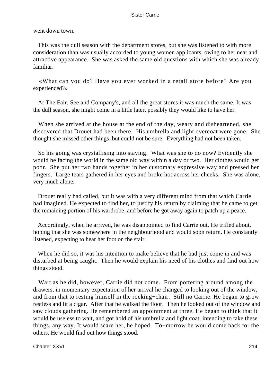went down town.

 This was the dull season with the department stores, but she was listened to with more consideration than was usually accorded to young women applicants, owing to her neat and attractive appearance. She was asked the same old questions with which she was already familiar.

 «What can you do? Have you ever worked in a retail store before? Are you experienced?»

 At The Fair, See and Company's, and all the great stores it was much the same. It was the dull season, she might come in a little later, possibly they would like to have her.

 When she arrived at the house at the end of the day, weary and disheartened, she discovered that Drouet had been there. His umbrella and light overcoat were gone. She thought she missed other things, but could not be sure. Everything had not been taken.

 So his going was crystallising into staying. What was she to do now? Evidently she would be facing the world in the same old way within a day or two. Her clothes would get poor. She put her two hands together in her customary expressive way and pressed her fingers. Large tears gathered in her eyes and broke hot across her cheeks. She was alone, very much alone.

 Drouet really had called, but it was with a very different mind from that which Carrie had imagined. He expected to find her, to justify his return by claiming that he came to get the remaining portion of his wardrobe, and before he got away again to patch up a peace.

 Accordingly, when he arrived, he was disappointed to find Carrie out. He trifled about, hoping that she was somewhere in the neighbourhood and would soon return. He constantly listened, expecting to hear her foot on the stair.

 When he did so, it was his intention to make believe that he had just come in and was disturbed at being caught. Then he would explain his need of his clothes and find out how things stood.

 Wait as he did, however, Carrie did not come. From pottering around among the drawers, in momentary expectation of her arrival he changed to looking out of the window, and from that to resting himself in the rocking−chair. Still no Carrie. He began to grow restless and lit a cigar. After that he walked the floor. Then he looked out of the window and saw clouds gathering. He remembered an appointment at three. He began to think that it would be useless to wait, and got hold of his umbrella and light coat, intending to take these things, any way. It would scare her, he hoped. To−morrow he would come back for the others. He would find out how things stood.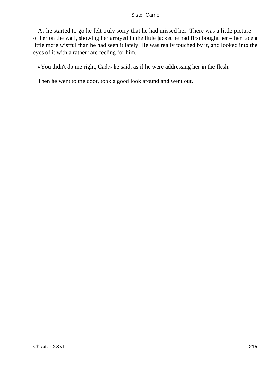As he started to go he felt truly sorry that he had missed her. There was a little picture of her on the wall, showing her arrayed in the little jacket he had first bought her – her face a little more wistful than he had seen it lately. He was really touched by it, and looked into the eyes of it with a rather rare feeling for him.

«You didn't do me right, Cad,» he said, as if he were addressing her in the flesh.

Then he went to the door, took a good look around and went out.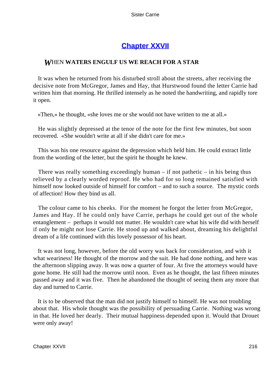# **[Chapter XXVII](#page-429-0)**

### *W*HEN **WATERS ENGULF US WE REACH FOR A STAR**

 It was when he returned from his disturbed stroll about the streets, after receiving the decisive note from McGregor, James and Hay, that Hurstwood found the letter Carrie had written him that morning. He thrilled intensely as he noted the handwriting, and rapidly tore it open.

«Then,» he thought, «she loves me or she would not have written to me at all.»

 He was slightly depressed at the tenor of the note for the first few minutes, but soon recovered. «She wouldn't write at all if she didn't care for me.»

 This was his one resource against the depression which held him. He could extract little from the wording of the letter, but the spirit he thought he knew.

There was really something exceedingly human  $-$  if not pathetic  $-$  in his being thus relieved by a clearly worded reproof. He who had for so long remained satisfied with himself now looked outside of himself for comfort – and to such a source. The mystic cords of affection! How they bind us all.

 The colour came to his cheeks. For the moment he forgot the letter from McGregor, James and Hay. If he could only have Carrie, perhaps he could get out of the whole entanglement – perhaps it would not matter. He wouldn't care what his wife did with herself if only he might not lose Carrie. He stood up and walked about, dreaming his delightful dream of a life continued with this lovely possessor of his heart.

 It was not long, however, before the old worry was back for consideration, and with it what weariness! He thought of the morrow and the suit. He had done nothing, and here was the afternoon slipping away. It was now a quarter of four. At five the attorneys would have gone home. He still had the morrow until noon. Even as he thought, the last fifteen minutes passed away and it was five. Then he abandoned the thought of seeing them any more that day and turned to Carrie.

 It is to be observed that the man did not justify himself to himself. He was not troubling about that. His whole thought was the possibility of persuading Carrie. Nothing was wrong in that. He loved her dearly. Their mutual happiness depended upon it. Would that Drouet were only away!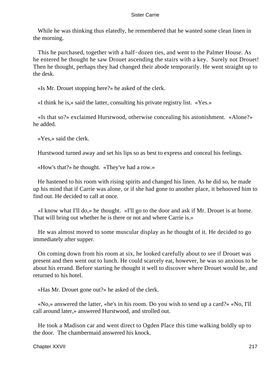While he was thinking thus elatedly, he remembered that he wanted some clean linen in the morning.

 This he purchased, together with a half−dozen ties, and went to the Palmer House. As he entered he thought he saw Drouet ascending the stairs with a key. Surely not Drouet! Then he thought, perhaps they had changed their abode temporarily. He went straight up to the desk.

«Is Mr. Drouet stopping here?» he asked of the clerk.

«I think he is,» said the latter, consulting his private registry list. «Yes.»

 «Is that so?» exclaimed Hurstwood, otherwise concealing his astonishment. «Alone?» he added.

«Yes,» said the clerk.

Hurstwood turned away and set his lips so as best to express and conceal his feelings.

«How's that?» he thought. «They've had a row.»

 He hastened to his room with rising spirits and changed his linen. As he did so, he made up his mind that if Carrie was alone, or if she had gone to another place, it behooved him to find out. He decided to call at once.

 «I know what I'll do,» he thought. «I'll go to the door and ask if Mr. Drouet is at home. That will bring out whether he is there or not and where Carrie is.»

 He was almost moved to some muscular display as he thought of it. He decided to go immediately after supper.

 On coming down from his room at six, he looked carefully about to see if Drouet was present and then went out to lunch. He could scarcely eat, however, he was so anxious to be about his errand. Before starting he thought it well to discover where Drouet would be, and returned to his hotel.

«Has Mr. Drouet gone out?» he asked of the clerk.

 «No,» answered the latter, «he's in his room. Do you wish to send up a card?» «No, I'll call around later,» answered Hurstwood, and strolled out.

 He took a Madison car and went direct to Ogden Place this time walking boldly up to the door. The chambermaid answered his knock.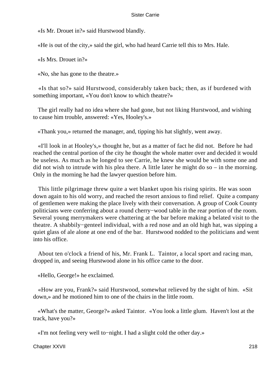«Is Mr. Drouet in?» said Hurstwood blandly.

«He is out of the city,» said the girl, who had heard Carrie tell this to Mrs. Hale.

«Is Mrs. Drouet in?»

«No, she has gone to the theatre.»

 «Is that so?» said Hurstwood, considerably taken back; then, as if burdened with something important, «You don't know to which theatre?»

 The girl really had no idea where she had gone, but not liking Hurstwood, and wishing to cause him trouble, answered: «Yes, Hooley's.»

«Thank you,» returned the manager, and, tipping his hat slightly, went away.

 «I'll look in at Hooley's,» thought he, but as a matter of fact he did not. Before he had reached the central portion of the city he thought the whole matter over and decided it would be useless. As much as he longed to see Carrie, he knew she would be with some one and did not wish to intrude with his plea there. A little later he might do so – in the morning. Only in the morning he had the lawyer question before him.

 This little pilgrimage threw quite a wet blanket upon his rising spirits. He was soon down again to his old worry, and reached the resort anxious to find relief. Quite a company of gentlemen were making the place lively with their conversation. A group of Cook County politicians were conferring about a round cherry−wood table in the rear portion of the room. Several young merrymakers were chattering at the bar before making a belated visit to the theatre. A shabbily−genteel individual, with a red nose and an old high hat, was sipping a quiet glass of ale alone at one end of the bar. Hurstwood nodded to the politicians and went into his office.

 About ten o'clock a friend of his, Mr. Frank L. Taintor, a local sport and racing man, dropped in, and seeing Hurstwood alone in his office came to the door.

«Hello, George!» he exclaimed.

 «How are you, Frank?» said Hurstwood, somewhat relieved by the sight of him. «Sit down,» and he motioned him to one of the chairs in the little room.

 «What's the matter, George?» asked Taintor. «You look a little glum. Haven't lost at the track, have you?»

«I'm not feeling very well to−night. I had a slight cold the other day.»

Chapter XXVII 218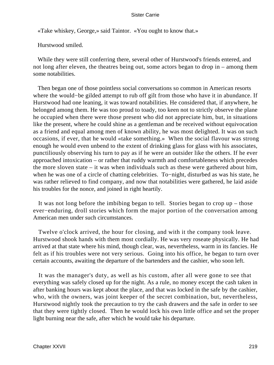«Take whiskey, George,» said Taintor. «You ought to know that.»

Hurstwood smiled.

 While they were still conferring there, several other of Hurstwood's friends entered, and not long after eleven, the theatres being out, some actors began to drop in – among them some notabilities.

 Then began one of those pointless social conversations so common in American resorts where the would−be gilded attempt to rub off gilt from those who have it in abundance. If Hurstwood had one leaning, it was toward notabilities. He considered that, if anywhere, he belonged among them. He was too proud to toady, too keen not to strictly observe the plane he occupied when there were those present who did not appreciate him, but, in situations like the present, where he could shine as a gentleman and be received without equivocation as a friend and equal among men of known ability, he was most delighted. It was on such occasions, if ever, that he would «take something.» When the social flavour was strong enough he would even unbend to the extent of drinking glass for glass with his associates, punctiliously observing his turn to pay as if he were an outsider like the others. If he ever approached intoxication – or rather that ruddy warmth and comfortableness which precedes the more sloven state – it was when individuals such as these were gathered about him, when he was one of a circle of chatting celebrities. To−night, disturbed as was his state, he was rather relieved to find company, and now that notabilities were gathered, he laid aside his troubles for the nonce, and joined in right heartily.

 It was not long before the imbibing began to tell. Stories began to crop up – those ever−enduring, droll stories which form the major portion of the conversation among American men under such circumstances.

 Twelve o'clock arrived, the hour for closing, and with it the company took leave. Hurstwood shook hands with them most cordially. He was very roseate physically. He had arrived at that state where his mind, though clear, was, nevertheless, warm in its fancies. He felt as if his troubles were not very serious. Going into his office, he began to turn over certain accounts, awaiting the departure of the bartenders and the cashier, who soon left.

 It was the manager's duty, as well as his custom, after all were gone to see that everything was safely closed up for the night. As a rule, no money except the cash taken in after banking hours was kept about the place, and that was locked in the safe by the cashier, who, with the owners, was joint keeper of the secret combination, but, nevertheless, Hurstwood nightly took the precaution to try the cash drawers and the safe in order to see that they were tightly closed. Then he would lock his own little office and set the proper light burning near the safe, after which he would take his departure.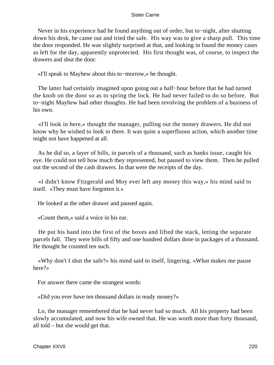Never in his experience had he found anything out of order, but to−night, after shutting down his desk, he came out and tried the safe. His way was to give a sharp pull. This time the door responded. He was slightly surprised at that, and looking in found the money cases as left for the day, apparently unprotected. His first thought was, of course, to inspect the drawers and shut the door.

«I'll speak to Mayhew about this to−morrow,» he thought.

 The latter had certainly imagined upon going out a half−hour before that he had turned the knob on the door so as to spring the lock. He had never failed to do so before. But to−night Mayhew had other thoughts. He had been revolving the problem of a business of his own.

 «I'll look in here,» thought the manager, pulling out the money drawers. He did not know why he wished to look in there. It was quite a superfluous action, which another time might not have happened at all.

 As he did so, a layer of bills, in parcels of a thousand, such as banks issue, caught his eye. He could not tell how much they represented, but paused to view them. Then he pulled out the second of the cash drawers. In that were the receipts of the day.

 «I didn't know Fitzgerald and Moy ever left any money this way,» his mind said to itself. «They must have forgotten it.»

He looked at the other drawer and paused again.

«Count them,» said a voice in his ear.

 He put his hand into the first of the boxes and lifted the stack, letting the separate parcels fall. They were bills of fifty and one hundred dollars done in packages of a thousand. He thought he counted ten such.

 «Why don't I shut the safe?» his mind said to itself, lingering. «What makes me pause here?»

For answer there came the strangest words:

«Did you ever have ten thousand dollars in ready money?»

 Lo, the manager remembered that he had never had so much. All his property had been slowly accumulated, and now his wife owned that. He was worth more than forty thousand, all told – but she would get that.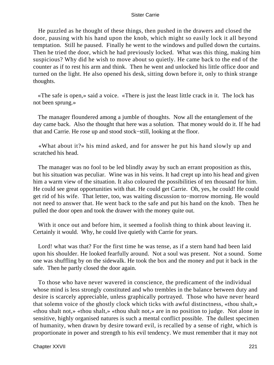He puzzled as he thought of these things, then pushed in the drawers and closed the door, pausing with his hand upon the knob, which might so easily lock it all beyond temptation. Still he paused. Finally he went to the windows and pulled down the curtains. Then he tried the door, which he had previously locked. What was this thing, making him suspicious? Why did he wish to move about so quietly. He came back to the end of the counter as if to rest his arm and think. Then he went and unlocked his little office door and turned on the light. He also opened his desk, sitting down before it, only to think strange thoughts.

 «The safe is open,» said a voice. «There is just the least little crack in it. The lock has not been sprung.»

 The manager floundered among a jumble of thoughts. Now all the entanglement of the day came back. Also the thought that here was a solution. That money would do it. If he had that and Carrie. He rose up and stood stock−still, looking at the floor.

 «What about it?» his mind asked, and for answer he put his hand slowly up and scratched his head.

 The manager was no fool to be led blindly away by such an errant proposition as this, but his situation was peculiar. Wine was in his veins. It had crept up into his head and given him a warm view of the situation. It also coloured the possibilities of ten thousand for him. He could see great opportunities with that. He could get Carrie. Oh, yes, he could! He could get rid of his wife. That letter, too, was waiting discussion to−morrow morning. He would not need to answer that. He went back to the safe and put his hand on the knob. Then he pulled the door open and took the drawer with the money quite out.

With it once out and before him, it seemed a foolish thing to think about leaving it. Certainly it would. Why, he could live quietly with Carrie for years.

 Lord! what was that? For the first time he was tense, as if a stern hand had been laid upon his shoulder. He looked fearfully around. Not a soul was present. Not a sound. Some one was shuffling by on the sidewalk. He took the box and the money and put it back in the safe. Then he partly closed the door again.

 To those who have never wavered in conscience, the predicament of the individual whose mind is less strongly constituted and who trembles in the balance between duty and desire is scarcely appreciable, unless graphically portrayed. Those who have never heard that solemn voice of the ghostly clock which ticks with awful distinctness, «thou shalt,» «thou shalt not,» «thou shalt,» «thou shalt not,» are in no position to judge. Not alone in sensitive, highly organised natures is such a mental conflict possible. The dullest specimen of humanity, when drawn by desire toward evil, is recalled by a sense of right, which is proportionate in power and strength to his evil tendency. We must remember that it may not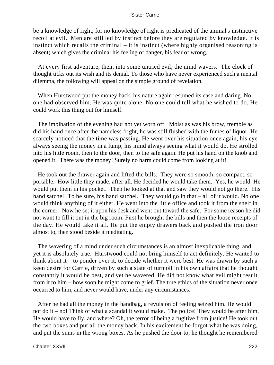be a knowledge of right, for no knowledge of right is predicated of the animal's instinctive recoil at evil. Men are still led by instinct before they are regulated by knowledge. It is instinct which recalls the criminal – it is instinct (where highly organised reasoning is absent) which gives the criminal his feeling of danger, his fear of wrong.

 At every first adventure, then, into some untried evil, the mind wavers. The clock of thought ticks out its wish and its denial. To those who have never experienced such a mental dilemma, the following will appeal on the simple ground of revelation.

 When Hurstwood put the money back, his nature again resumed its ease and daring. No one had observed him. He was quite alone. No one could tell what he wished to do. He could work this thing out for himself.

 The imbibation of the evening had not yet worn off. Moist as was his brow, tremble as did his hand once after the nameless fright, he was still flushed with the fumes of liquor. He scarcely noticed that the time was passing. He went over his situation once again, his eye always seeing the money in a lump, his mind always seeing what it would do. He strolled into his little room, then to the door, then to the safe again. He put his hand on the knob and opened it. There was the money! Surely no harm could come from looking at it!

 He took out the drawer again and lifted the bills. They were so smooth, so compact, so portable. How little they made, after all. He decided he would take them. Yes, he would. He would put them in his pocket. Then he looked at that and saw they would not go there. His hand satchel! To be sure, his hand satchel. They would go in that – all of it would. No one would think anything of it either. He went into the little office and took it from the shelf in the corner. Now he set it upon his desk and went out toward the safe. For some reason he did not want to fill it out in the big room. First he brought the bills and then the loose receipts of the day. He would take it all. He put the empty drawers back and pushed the iron door almost to, then stood beside it meditating.

 The wavering of a mind under such circumstances is an almost inexplicable thing, and yet it is absolutely true. Hurstwood could not bring himself to act definitely. He wanted to think about it – to ponder over it, to decide whether it were best. He was drawn by such a keen desire for Carrie, driven by such a state of turmoil in his own affairs that he thought constantly it would be best, and yet he wavered. He did not know what evil might result from it to him – how soon he might come to grief. The true ethics of the situation never once occurred to him, and never would have, under any circumstances.

 After he had all the money in the handbag, a revulsion of feeling seized him. He would not do it – no! Think of what a scandal it would make. The police! They would be after him. He would have to fly, and where? Oh, the terror of being a fugitive from justice! He took out the two boxes and put all the money back. In his excitement he forgot what he was doing, and put the sums in the wrong boxes. As he pushed the door to, he thought he remembered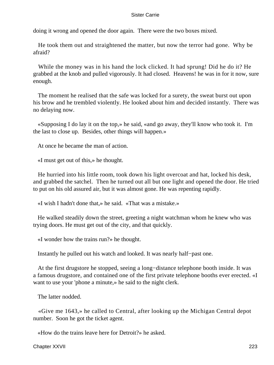doing it wrong and opened the door again. There were the two boxes mixed.

 He took them out and straightened the matter, but now the terror had gone. Why be afraid?

 While the money was in his hand the lock clicked. It had sprung! Did he do it? He grabbed at the knob and pulled vigorously. It had closed. Heavens! he was in for it now, sure enough.

 The moment he realised that the safe was locked for a surety, the sweat burst out upon his brow and he trembled violently. He looked about him and decided instantly. There was no delaying now.

 «Supposing I do lay it on the top,» he said, «and go away, they'll know who took it. I'm the last to close up. Besides, other things will happen.»

At once he became the man of action.

«I must get out of this,» he thought.

 He hurried into his little room, took down his light overcoat and hat, locked his desk, and grabbed the satchel. Then he turned out all but one light and opened the door. He tried to put on his old assured air, but it was almost gone. He was repenting rapidly.

«I wish I hadn't done that,» he said. «That was a mistake.»

 He walked steadily down the street, greeting a night watchman whom he knew who was trying doors. He must get out of the city, and that quickly.

«I wonder how the trains run?» he thought.

Instantly he pulled out his watch and looked. It was nearly half−past one.

 At the first drugstore he stopped, seeing a long−distance telephone booth inside. It was a famous drugstore, and contained one of the first private telephone booths ever erected. «I want to use your 'phone a minute,» he said to the night clerk.

The latter nodded.

 «Give me 1643,» he called to Central, after looking up the Michigan Central depot number. Soon he got the ticket agent.

«How do the trains leave here for Detroit?» he asked.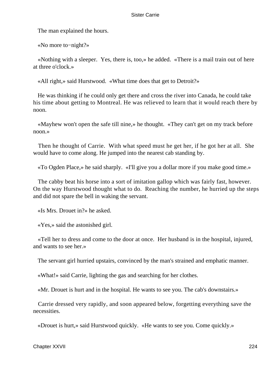The man explained the hours.

«No more to−night?»

 «Nothing with a sleeper. Yes, there is, too,» he added. «There is a mail train out of here at three o'clock.»

«All right,» said Hurstwood. «What time does that get to Detroit?»

 He was thinking if he could only get there and cross the river into Canada, he could take his time about getting to Montreal. He was relieved to learn that it would reach there by noon.

 «Mayhew won't open the safe till nine,» he thought. «They can't get on my track before noon.»

 Then he thought of Carrie. With what speed must he get her, if he got her at all. She would have to come along. He jumped into the nearest cab standing by.

«To Ogden Place,» he said sharply. «I'll give you a dollar more if you make good time.»

 The cabby beat his horse into a sort of imitation gallop which was fairly fast, however. On the way Hurstwood thought what to do. Reaching the number, he hurried up the steps and did not spare the bell in waking the servant.

«Is Mrs. Drouet in?» he asked.

«Yes,» said the astonished girl.

 «Tell her to dress and come to the door at once. Her husband is in the hospital, injured, and wants to see her.»

The servant girl hurried upstairs, convinced by the man's strained and emphatic manner.

«What!» said Carrie, lighting the gas and searching for her clothes.

«Mr. Drouet is hurt and in the hospital. He wants to see you. The cab's downstairs.»

 Carrie dressed very rapidly, and soon appeared below, forgetting everything save the necessities.

«Drouet is hurt,» said Hurstwood quickly. «He wants to see you. Come quickly.»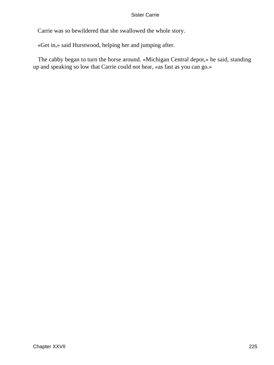Carrie was so bewildered that she swallowed the whole story.

«Get in,» said Hurstwood, helping her and jumping after.

 The cabby began to turn the horse around. «Michigan Central depot,» he said, standing up and speaking so low that Carrie could not hear, «as fast as you can go.»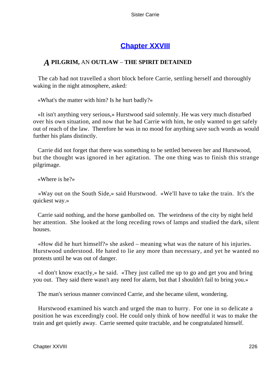## **[Chapter XXVIII](#page-429-0)**

## *A* **PILGRIM,** AN **OUTLAW** – **THE SPIRIT DETAINED**

 The cab had not travelled a short block before Carrie, settling herself and thoroughly waking in the night atmosphere, asked:

«What's the matter with him? Is he hurt badly?»

 «It isn't anything very serious,» Hurstwood said solemnly. He was very much disturbed over his own situation, and now that he had Carrie with him, he only wanted to get safely out of reach of the law. Therefore he was in no mood for anything save such words as would further his plans distinctly.

 Carrie did not forget that there was something to be settled between her and Hurstwood, but the thought was ignored in her agitation. The one thing was to finish this strange pilgrimage.

«Where is he?»

 «Way out on the South Side,» said Hurstwood. «We'll have to take the train. It's the quickest way.»

 Carrie said nothing, and the horse gambolled on. The weirdness of the city by night held her attention. She looked at the long receding rows of lamps and studied the dark, silent houses.

 «How did he hurt himself?» she asked – meaning what was the nature of his injuries. Hurstwood understood. He hated to lie any more than necessary, and yet he wanted no protests until he was out of danger.

 «I don't know exactly,» he said. «They just called me up to go and get you and bring you out. They said there wasn't any need for alarm, but that I shouldn't fail to bring you.»

The man's serious manner convinced Carrie, and she became silent, wondering.

 Hurstwood examined his watch and urged the man to hurry. For one in so delicate a position he was exceedingly cool. He could only think of how needful it was to make the train and get quietly away. Carrie seemed quite tractable, and he congratulated himself.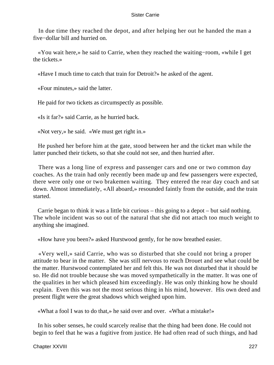In due time they reached the depot, and after helping her out he handed the man a five−dollar bill and hurried on.

 «You wait here,» he said to Carrie, when they reached the waiting−room, «while I get the tickets.»

«Have I much time to catch that train for Detroit?» he asked of the agent.

«Four minutes,» said the latter.

He paid for two tickets as circumspectly as possible.

«Is it far?» said Carrie, as he hurried back.

«Not very,» he said. «We must get right in.»

 He pushed her before him at the gate, stood between her and the ticket man while the latter punched their tickets, so that she could not see, and then hurried after.

 There was a long line of express and passenger cars and one or two common day coaches. As the train had only recently been made up and few passengers were expected, there were only one or two brakemen waiting. They entered the rear day coach and sat down. Almost immediately, «All aboard,» resounded faintly from the outside, and the train started.

 Carrie began to think it was a little bit curious – this going to a depot – but said nothing. The whole incident was so out of the natural that she did not attach too much weight to anything she imagined.

«How have you been?» asked Hurstwood gently, for he now breathed easier.

 «Very well,» said Carrie, who was so disturbed that she could not bring a proper attitude to bear in the matter. She was still nervous to reach Drouet and see what could be the matter. Hurstwood contemplated her and felt this. He was not disturbed that it should be so. He did not trouble because she was moved sympathetically in the matter. It was one of the qualities in her which pleased him exceedingly. He was only thinking how he should explain. Even this was not the most serious thing in his mind, however. His own deed and present flight were the great shadows which weighed upon him.

«What a fool I was to do that,» he said over and over. «What a mistake!»

 In his sober senses, he could scarcely realise that the thing had been done. He could not begin to feel that he was a fugitive from justice. He had often read of such things, and had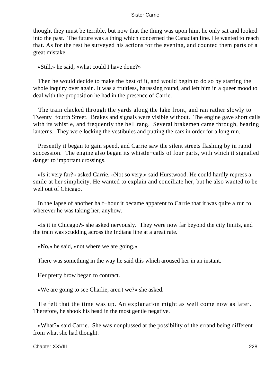thought they must be terrible, but now that the thing was upon him, he only sat and looked into the past. The future was a thing which concerned the Canadian line. He wanted to reach that. As for the rest he surveyed his actions for the evening, and counted them parts of a great mistake.

«Still,» he said, «what could I have done?»

 Then he would decide to make the best of it, and would begin to do so by starting the whole inquiry over again. It was a fruitless, harassing round, and left him in a queer mood to deal with the proposition he had in the presence of Carrie.

 The train clacked through the yards along the lake front, and ran rather slowly to Twenty−fourth Street. Brakes and signals were visible without. The engine gave short calls with its whistle, and frequently the bell rang. Several brakemen came through, bearing lanterns. They were locking the vestibules and putting the cars in order for a long run.

 Presently it began to gain speed, and Carrie saw the silent streets flashing by in rapid succession. The engine also began its whistle−calls of four parts, with which it signalled danger to important crossings.

 «Is it very far?» asked Carrie. «Not so very,» said Hurstwood. He could hardly repress a smile at her simplicity. He wanted to explain and conciliate her, but he also wanted to be well out of Chicago.

 In the lapse of another half−hour it became apparent to Carrie that it was quite a run to wherever he was taking her, anyhow.

 «Is it in Chicago?» she asked nervously. They were now far beyond the city limits, and the train was scudding across the Indiana line at a great rate.

«No,» he said, «not where we are going.»

There was something in the way he said this which aroused her in an instant.

Her pretty brow began to contract.

«We are going to see Charlie, aren't we?» she asked.

 He felt that the time was up. An explanation might as well come now as later. Therefore, he shook his head in the most gentle negative.

 «What?» said Carrie. She was nonplussed at the possibility of the errand being different from what she had thought.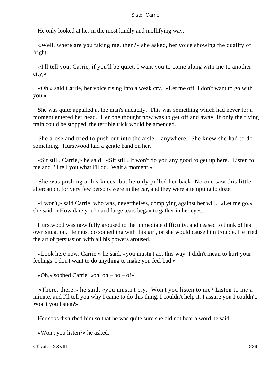He only looked at her in the most kindly and mollifying way.

 «Well, where are you taking me, then?» she asked, her voice showing the quality of fright.

 «I'll tell you, Carrie, if you'll be quiet. I want you to come along with me to another city,»

 «Oh,» said Carrie, her voice rising into a weak cry. «Let me off. I don't want to go with you.»

 She was quite appalled at the man's audacity. This was something which had never for a moment entered her head. Her one thought now was to get off and away. If only the flying train could be stopped, the terrible trick would be amended.

 She arose and tried to push out into the aisle – anywhere. She knew she had to do something. Hurstwood laid a gentle hand on her.

 «Sit still, Carrie,» he said. «Sit still. It won't do you any good to get up here. Listen to me and I'll tell you what I'll do. Wait a moment.»

 She was pushing at his knees, but he only pulled her back. No one saw this little altercation, for very few persons were in the car, and they were attempting to doze.

 «I won't,» said Carrie, who was, nevertheless, complying against her will. «Let me go,» she said. «How dare you?» and large tears began to gather in her eyes.

 Hurstwood was now fully aroused to the immediate difficulty, and ceased to think of his own situation. He must do something with this girl, or she would cause him trouble. He tried the art of persuasion with all his powers aroused.

 «Look here now, Carrie,» he said, «you mustn't act this way. I didn't mean to hurt your feelings. I don't want to do anything to make you feel bad.»

«Oh,» sobbed Carrie, «oh, oh – oo – o!»

 «There, there,» he said, «you mustn't cry. Won't you listen to me? Listen to me a minute, and I'll tell you why I came to do this thing. I couldn't help it. I assure you I couldn't. Won't you listen?»

Her sobs disturbed him so that he was quite sure she did not hear a word he said.

«Won't you listen?» he asked.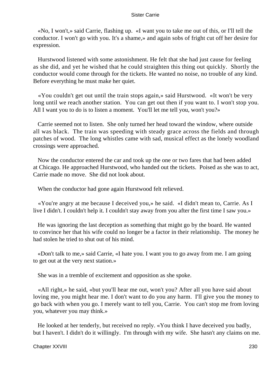«No, I won't,» said Carrie, flashing up. «I want you to take me out of this, or I'll tell the conductor. I won't go with you. It's a shame,» and again sobs of fright cut off her desire for expression.

 Hurstwood listened with some astonishment. He felt that she had just cause for feeling as she did, and yet he wished that he could straighten this thing out quickly. Shortly the conductor would come through for the tickets. He wanted no noise, no trouble of any kind. Before everything he must make her quiet.

 «You couldn't get out until the train stops again,» said Hurstwood. «It won't be very long until we reach another station. You can get out then if you want to. I won't stop you. All I want you to do is to listen a moment. You'll let me tell you, won't you?»

 Carrie seemed not to listen. She only turned her head toward the window, where outside all was black. The train was speeding with steady grace across the fields and through patches of wood. The long whistles came with sad, musical effect as the lonely woodland crossings were approached.

 Now the conductor entered the car and took up the one or two fares that had been added at Chicago. He approached Hurstwood, who handed out the tickets. Poised as she was to act, Carrie made no move. She did not look about.

When the conductor had gone again Hurstwood felt relieved.

 «You're angry at me because I deceived you,» he said. «I didn't mean to, Carrie. As I live I didn't. I couldn't help it. I couldn't stay away from you after the first time I saw you.»

 He was ignoring the last deception as something that might go by the board. He wanted to convince her that his wife could no longer be a factor in their relationship. The money he had stolen he tried to shut out of his mind.

 «Don't talk to me,» said Carrie, «I hate you. I want you to go away from me. I am going to get out at the very next station.»

She was in a tremble of excitement and opposition as she spoke.

 «All right,» he said, «but you'll hear me out, won't you? After all you have said about loving me, you might hear me. I don't want to do you any harm. I'll give you the money to go back with when you go. I merely want to tell you, Carrie. You can't stop me from loving you, whatever you may think.»

 He looked at her tenderly, but received no reply. «You think I have deceived you badly, but I haven't. I didn't do it willingly. I'm through with my wife. She hasn't any claims on me.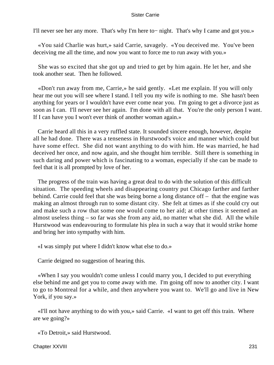I'll never see her any more. That's why I'm here to− night. That's why I came and got you.»

 «You said Charlie was hurt,» said Carrie, savagely. «You deceived me. You've been deceiving me all the time, and now you want to force me to run away with you.»

 She was so excited that she got up and tried to get by him again. He let her, and she took another seat. Then he followed.

 «Don't run away from me, Carrie,» he said gently. «Let me explain. If you will only hear me out you will see where I stand. I tell you my wife is nothing to me. She hasn't been anything for years or I wouldn't have ever come near you. I'm going to get a divorce just as soon as I can. I'll never see her again. I'm done with all that. You're the only person I want. If I can have you I won't ever think of another woman again.»

 Carrie heard all this in a very ruffled state. It sounded sincere enough, however, despite all he had done. There was a tenseness in Hurstwood's voice and manner which could but have some effect. She did not want anything to do with him. He was married, he had deceived her once, and now again, and she thought him terrible. Still there is something in such daring and power which is fascinating to a woman, especially if she can be made to feel that it is all prompted by love of her.

 The progress of the train was having a great deal to do with the solution of this difficult situation. The speeding wheels and disappearing country put Chicago farther and farther behind. Carrie could feel that she was being borne a long distance off – that the engine was making an almost through run to some distant city. She felt at times as if she could cry out and make such a row that some one would come to her aid; at other times it seemed an almost useless thing – so far was she from any aid, no matter what she did. All the while Hurstwood was endeavouring to formulate his plea in such a way that it would strike home and bring her into sympathy with him.

«I was simply put where I didn't know what else to do.»

Carrie deigned no suggestion of hearing this.

 «When I say you wouldn't come unless I could marry you, I decided to put everything else behind me and get you to come away with me. I'm going off now to another city. I want to go to Montreal for a while, and then anywhere you want to. We'll go and live in New York, if you say.»

 «I'll not have anything to do with you,» said Carrie. «I want to get off this train. Where are we going?»

«To Detroit,» said Hurstwood.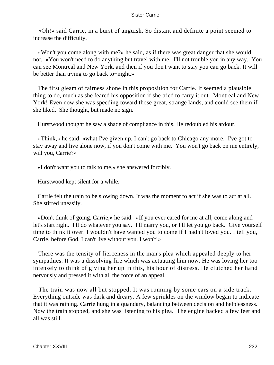«Oh!» said Carrie, in a burst of anguish. So distant and definite a point seemed to increase the difficulty.

 «Won't you come along with me?» he said, as if there was great danger that she would not. «You won't need to do anything but travel with me. I'll not trouble you in any way. You can see Montreal and New York, and then if you don't want to stay you can go back. It will be better than trying to go back to−night.»

 The first gleam of fairness shone in this proposition for Carrie. It seemed a plausible thing to do, much as she feared his opposition if she tried to carry it out. Montreal and New York! Even now she was speeding toward those great, strange lands, and could see them if she liked. She thought, but made no sign.

Hurstwood thought he saw a shade of compliance in this. He redoubled his ardour.

 «Think,» he said, «what I've given up. I can't go back to Chicago any more. I've got to stay away and live alone now, if you don't come with me. You won't go back on me entirely, will you, Carrie?»

«I don't want you to talk to me,» she answered forcibly.

Hurstwood kept silent for a while.

 Carrie felt the train to be slowing down. It was the moment to act if she was to act at all. She stirred uneasily.

 «Don't think of going, Carrie,» he said. «If you ever cared for me at all, come along and let's start right. I'll do whatever you say. I'll marry you, or I'll let you go back. Give yourself time to think it over. I wouldn't have wanted you to come if I hadn't loved you. I tell you, Carrie, before God, I can't live without you. I won't!»

 There was the tensity of fierceness in the man's plea which appealed deeply to her sympathies. It was a dissolving fire which was actuating him now. He was loving her too intensely to think of giving her up in this, his hour of distress. He clutched her hand nervously and pressed it with all the force of an appeal.

 The train was now all but stopped. It was running by some cars on a side track. Everything outside was dark and dreary. A few sprinkles on the window began to indicate that it was raining. Carrie hung in a quandary, balancing between decision and helplessness. Now the train stopped, and she was listening to his plea. The engine backed a few feet and all was still.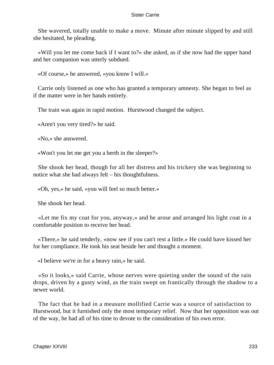She wavered, totally unable to make a move. Minute after minute slipped by and still she hesitated, he pleading.

 «Will you let me come back if I want to?» she asked, as if she now had the upper hand and her companion was utterly subdued.

«Of course,» he answered, «you know I will.»

 Carrie only listened as one who has granted a temporary amnesty. She began to feel as if the matter were in her hands entirely.

The train was again in rapid motion. Hurstwood changed the subject.

«Aren't you very tired?» he said.

«No,» she answered.

«Won't you let me get you a berth in the sleeper?»

 She shook her head, though for all her distress and his trickery she was beginning to notice what she had always felt – his thoughtfulness.

«Oh, yes,» he said, «you will feel so much better.»

She shook her head.

 «Let me fix my coat for you, anyway,» and he arose and arranged his light coat in a comfortable position to receive her head.

 «There,» he said tenderly, «now see if you can't rest a little.» He could have kissed her for her compliance. He took his seat beside her and thought a moment.

«I believe we're in for a heavy rain,» he said.

 «So it looks,» said Carrie, whose nerves were quieting under the sound of the rain drops, driven by a gusty wind, as the train swept on frantically through the shadow to a newer world.

 The fact that he had in a measure mollified Carrie was a source of satisfaction to Hurstwood, but it furnished only the most temporary relief. Now that her opposition was out of the way, he had all of his time to devote to the consideration of his own error.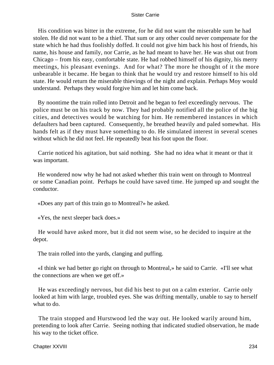His condition was bitter in the extreme, for he did not want the miserable sum he had stolen. He did not want to be a thief. That sum or any other could never compensate for the state which he had thus foolishly doffed. It could not give him back his host of friends, his name, his house and family, nor Carrie, as he had meant to have her. He was shut out from Chicago – from his easy, comfortable state. He had robbed himself of his dignity, his merry meetings, his pleasant evenings. And for what? The more he thought of it the more unbearable it became. He began to think that he would try and restore himself to his old state. He would return the miserable thievings of the night and explain. Perhaps Moy would understand. Perhaps they would forgive him and let him come back.

 By noontime the train rolled into Detroit and he began to feel exceedingly nervous. The police must be on his track by now. They had probably notified all the police of the big cities, and detectives would be watching for him. He remembered instances in which defaulters had been captured. Consequently, he breathed heavily and paled somewhat. His hands felt as if they must have something to do. He simulated interest in several scenes without which he did not feel. He repeatedly beat his foot upon the floor.

 Carrie noticed his agitation, but said nothing. She had no idea what it meant or that it was important.

 He wondered now why he had not asked whether this train went on through to Montreal or some Canadian point. Perhaps he could have saved time. He jumped up and sought the conductor.

«Does any part of this train go to Montreal?» he asked.

«Yes, the next sleeper back does.»

 He would have asked more, but it did not seem wise, so he decided to inquire at the depot.

The train rolled into the yards, clanging and puffing.

 «I think we had better go right on through to Montreal,» he said to Carrie. «I'll see what the connections are when we get off.»

 He was exceedingly nervous, but did his best to put on a calm exterior. Carrie only looked at him with large, troubled eyes. She was drifting mentally, unable to say to herself what to do.

 The train stopped and Hurstwood led the way out. He looked warily around him, pretending to look after Carrie. Seeing nothing that indicated studied observation, he made his way to the ticket office.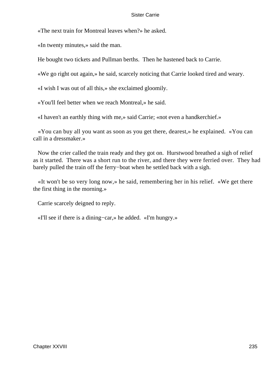«The next train for Montreal leaves when?» he asked.

«In twenty minutes,» said the man.

He bought two tickets and Pullman berths. Then he hastened back to Carrie.

«We go right out again,» he said, scarcely noticing that Carrie looked tired and weary.

«I wish I was out of all this,» she exclaimed gloomily.

«You'll feel better when we reach Montreal,» he said.

«I haven't an earthly thing with me,» said Carrie; «not even a handkerchief.»

 «You can buy all you want as soon as you get there, dearest,» he explained. «You can call in a dressmaker.»

 Now the crier called the train ready and they got on. Hurstwood breathed a sigh of relief as it started. There was a short run to the river, and there they were ferried over. They had barely pulled the train off the ferry−boat when he settled back with a sigh.

 «It won't be so very long now,» he said, remembering her in his relief. «We get there the first thing in the morning.»

Carrie scarcely deigned to reply.

«I'll see if there is a dining−car,» he added. «I'm hungry.»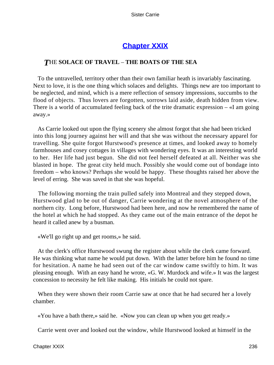# **[Chapter XXIX](#page-429-0)**

### *T*HE **SOLACE OF TRAVEL** – **THE BOATS OF THE SEA**

 To the untravelled, territory other than their own familiar heath is invariably fascinating. Next to love, it is the one thing which solaces and delights. Things new are too important to be neglected, and mind, which is a mere reflection of sensory impressions, succumbs to the flood of objects. Thus lovers are forgotten, sorrows laid aside, death hidden from view. There is a world of accumulated feeling back of the trite dramatic expression – «I am going away.»

 As Carrie looked out upon the flying scenery she almost forgot that she had been tricked into this long journey against her will and that she was without the necessary apparel for travelling. She quite forgot Hurstwood's presence at times, and looked away to homely farmhouses and cosey cottages in villages with wondering eyes. It was an interesting world to her. Her life had just begun. She did not feel herself defeated at all. Neither was she blasted in hope. The great city held much. Possibly she would come out of bondage into freedom – who knows? Perhaps she would be happy. These thoughts raised her above the level of erring. She was saved in that she was hopeful.

 The following morning the train pulled safely into Montreal and they stepped down, Hurstwood glad to be out of danger, Carrie wondering at the novel atmosphere of the northern city. Long before, Hurstwood had been here, and now he remembered the name of the hotel at which he had stopped. As they came out of the main entrance of the depot he heard it called anew by a busman.

«We'll go right up and get rooms,» he said.

 At the clerk's office Hurstwood swung the register about while the clerk came forward. He was thinking what name he would put down. With the latter before him he found no time for hesitation. A name he had seen out of the car window came swiftly to him. It was pleasing enough. With an easy hand he wrote, «G. W. Murdock and wife.» It was the largest concession to necessity he felt like making. His initials he could not spare.

 When they were shown their room Carrie saw at once that he had secured her a lovely chamber.

«You have a bath there,» said he. «Now you can clean up when you get ready.»

Carrie went over and looked out the window, while Hurstwood looked at himself in the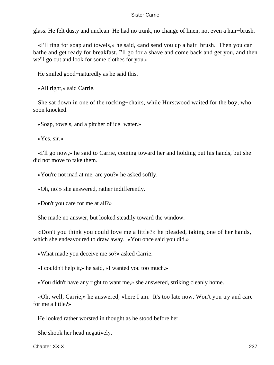glass. He felt dusty and unclean. He had no trunk, no change of linen, not even a hair−brush.

 «I'll ring for soap and towels,» he said, «and send you up a hair−brush. Then you can bathe and get ready for breakfast. I'll go for a shave and come back and get you, and then we'll go out and look for some clothes for you.»

He smiled good−naturedly as he said this.

«All right,» said Carrie.

 She sat down in one of the rocking−chairs, while Hurstwood waited for the boy, who soon knocked.

«Soap, towels, and a pitcher of ice−water.»

«Yes, sir.»

 «I'll go now,» he said to Carrie, coming toward her and holding out his hands, but she did not move to take them.

«You're not mad at me, are you?» he asked softly.

«Oh, no!» she answered, rather indifferently.

«Don't you care for me at all?»

She made no answer, but looked steadily toward the window.

 «Don't you think you could love me a little?» he pleaded, taking one of her hands, which she endeavoured to draw away. «You once said you did.»

«What made you deceive me so?» asked Carrie.

«I couldn't help it,» he said, «I wanted you too much.»

«You didn't have any right to want me,» she answered, striking cleanly home.

 «Oh, well, Carrie,» he answered, «here I am. It's too late now. Won't you try and care for me a little?»

He looked rather worsted in thought as he stood before her.

She shook her head negatively.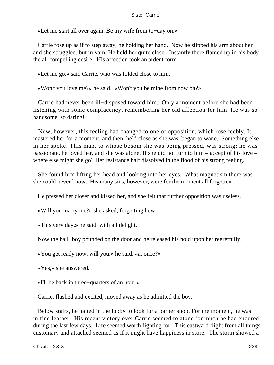«Let me start all over again. Be my wife from to−day on.»

 Carrie rose up as if to step away, he holding her hand. Now he slipped his arm about her and she struggled, but in vain. He held her quite close. Instantly there flamed up in his body the all compelling desire. His affection took an ardent form.

«Let me go,» said Carrie, who was folded close to him.

«Won't you love me?» he said. «Won't you be mine from now on?»

 Carrie had never been ill−disposed toward him. Only a moment before she had been listening with some complacency, remembering her old affection for him. He was so handsome, so daring!

 Now, however, this feeling had changed to one of opposition, which rose feebly. It mastered her for a moment, and then, held close as she was, began to wane. Something else in her spoke. This man, to whose bosom she was being pressed, was strong; he was passionate, he loved her, and she was alone. If she did not turn to him – accept of his love – where else might she go? Her resistance half dissolved in the flood of his strong feeling.

 She found him lifting her head and looking into her eyes. What magnetism there was she could never know. His many sins, however, were for the moment all forgotten.

He pressed her closer and kissed her, and she felt that further opposition was useless.

«Will you marry me?» she asked, forgetting how.

«This very day,» he said, with all delight.

Now the hall−boy pounded on the door and he released his hold upon her regretfully.

«You get ready now, will you,» he said, «at once?»

«Yes,» she answered.

«I'll be back in three−quarters of an hour.»

Carrie, flushed and excited, moved away as he admitted the boy.

 Below stairs, he halted in the lobby to look for a barber shop. For the moment, he was in fine feather. His recent victory over Carrie seemed to atone for much he had endured during the last few days. Life seemed worth fighting for. This eastward flight from all things customary and attached seemed as if it might have happiness in store. The storm showed a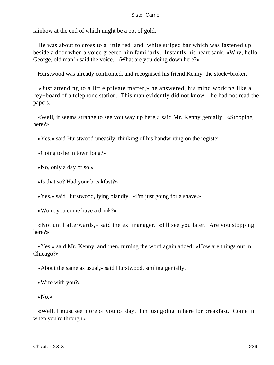rainbow at the end of which might be a pot of gold.

 He was about to cross to a little red−and−white striped bar which was fastened up beside a door when a voice greeted him familiarly. Instantly his heart sank. «Why, hello, George, old man!» said the voice. «What are you doing down here?»

Hurstwood was already confronted, and recognised his friend Kenny, the stock−broker.

 «Just attending to a little private matter,» he answered, his mind working like a key−board of a telephone station. This man evidently did not know – he had not read the papers.

 «Well, it seems strange to see you way up here,» said Mr. Kenny genially. «Stopping here?»

«Yes,» said Hurstwood uneasily, thinking of his handwriting on the register.

«Going to be in town long?»

«No, only a day or so.»

«Is that so? Had your breakfast?»

«Yes,» said Hurstwood, lying blandly. «I'm just going for a shave.»

«Won't you come have a drink?»

 «Not until afterwards,» said the ex−manager. «I'll see you later. Are you stopping here?»

 «Yes,» said Mr. Kenny, and then, turning the word again added: «How are things out in Chicago?»

«About the same as usual,» said Hurstwood, smiling genially.

«Wife with you?»

«No.»

 «Well, I must see more of you to−day. I'm just going in here for breakfast. Come in when you're through.»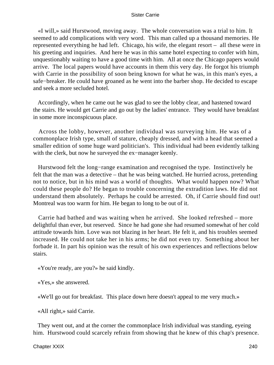«I will,» said Hurstwood, moving away. The whole conversation was a trial to him. It seemed to add complications with very word. This man called up a thousand memories. He represented everything he had left. Chicago, his wife, the elegant resort – all these were in his greeting and inquiries. And here he was in this same hotel expecting to confer with him, unquestionably waiting to have a good time with him. All at once the Chicago papers would arrive. The local papers would have accounts in them this very day. He forgot his triumph with Carrie in the possibility of soon being known for what he was, in this man's eyes, a safe−breaker. He could have groaned as he went into the barber shop. He decided to escape and seek a more secluded hotel.

 Accordingly, when he came out he was glad to see the lobby clear, and hastened toward the stairs. He would get Carrie and go out by the ladies' entrance. They would have breakfast in some more inconspicuous place.

 Across the lobby, however, another individual was surveying him. He was of a commonplace Irish type, small of stature, cheaply dressed, and with a head that seemed a smaller edition of some huge ward politician's. This individual had been evidently talking with the clerk, but now he surveyed the ex−manager keenly.

 Hurstwood felt the long−range examination and recognised the type. Instinctively he felt that the man was a detective – that he was being watched. He hurried across, pretending not to notice, but in his mind was a world of thoughts. What would happen now? What could these people do? He began to trouble concerning the extradition laws. He did not understand them absolutely. Perhaps he could be arrested. Oh, if Carrie should find out! Montreal was too warm for him. He began to long to be out of it.

 Carrie had bathed and was waiting when he arrived. She looked refreshed – more delightful than ever, but reserved. Since he had gone she had resumed somewhat of her cold attitude towards him. Love was not blazing in her heart. He felt it, and his troubles seemed increased. He could not take her in his arms; he did not even try. Something about her forbade it. In part his opinion was the result of his own experiences and reflections below stairs.

«You're ready, are you?» he said kindly.

«Yes,» she answered.

«We'll go out for breakfast. This place down here doesn't appeal to me very much.»

«All right,» said Carrie.

 They went out, and at the corner the commonplace Irish individual was standing, eyeing him. Hurstwood could scarcely refrain from showing that he knew of this chap's presence.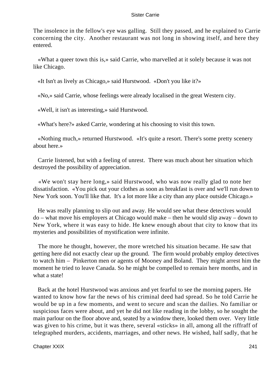The insolence in the fellow's eye was galling. Still they passed, and he explained to Carrie concerning the city. Another restaurant was not long in showing itself, and here they entered.

 «What a queer town this is,» said Carrie, who marvelled at it solely because it was not like Chicago.

«It Isn't as lively as Chicago,» said Hurstwood. «Don't you like it?»

«No,» said Carrie, whose feelings were already localised in the great Western city.

«Well, it isn't as interesting,» said Hurstwood.

«What's here?» asked Carrie, wondering at his choosing to visit this town.

 «Nothing much,» returned Hurstwood. «It's quite a resort. There's some pretty scenery about here.»

 Carrie listened, but with a feeling of unrest. There was much about her situation which destroyed the possibility of appreciation.

 «We won't stay here long,» said Hurstwood, who was now really glad to note her dissatisfaction. «You pick out your clothes as soon as breakfast is over and we'll run down to New York soon. You'll like that. It's a lot more like a city than any place outside Chicago.»

 He was really planning to slip out and away. He would see what these detectives would do – what move his employers at Chicago would make – then he would slip away – down to New York, where it was easy to hide. He knew enough about that city to know that its mysteries and possibilities of mystification were infinite.

 The more he thought, however, the more wretched his situation became. He saw that getting here did not exactly clear up the ground. The firm would probably employ detectives to watch him – Pinkerton men or agents of Mooney and Boland. They might arrest him the moment he tried to leave Canada. So he might be compelled to remain here months, and in what a state!

 Back at the hotel Hurstwood was anxious and yet fearful to see the morning papers. He wanted to know how far the news of his criminal deed had spread. So he told Carrie he would be up in a few moments, and went to secure and scan the dailies. No familiar or suspicious faces were about, and yet he did not like reading in the lobby, so he sought the main parlour on the floor above and, seated by a window there, looked them over. Very little was given to his crime, but it was there, several «sticks» in all, among all the riffraff of telegraphed murders, accidents, marriages, and other news. He wished, half sadly, that he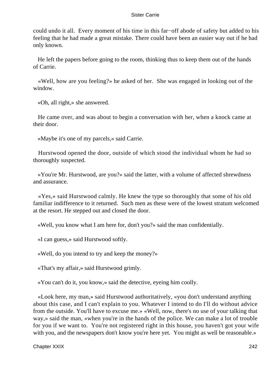could undo it all. Every moment of his time in this far−off abode of safety but added to his feeling that he had made a great mistake. There could have been an easier way out if he had only known.

 He left the papers before going to the room, thinking thus to keep them out of the hands of Carrie.

 «Well, how are you feeling?» he asked of her. She was engaged in looking out of the window.

«Oh, all right,» she answered.

 He came over, and was about to begin a conversation with her, when a knock came at their door.

«Maybe it's one of my parcels,» said Carrie.

 Hurstwood opened the door, outside of which stood the individual whom he had so thoroughly suspected.

 «You're Mr. Hurstwood, are you?» said the latter, with a volume of affected shrewdness and assurance.

 «Yes,» said Hurstwood calmly. He knew the type so thoroughly that some of his old familiar indifference to it returned. Such men as these were of the lowest stratum welcomed at the resort. He stepped out and closed the door.

«Well, you know what I am here for, don't you?» said the man confidentially.

«I can guess,» said Hurstwood softly.

«Well, do you intend to try and keep the money?»

«That's my affair,» said Hurstwood grimly.

«You can't do it, you know,» said the detective, eyeing him coolly.

 «Look here, my man,» said Hurstwood authoritatively, «you don't understand anything about this case, and I can't explain to you. Whatever I intend to do I'll do without advice from the outside. You'll have to excuse me.» «Well, now, there's no use of your talking that way,» said the man, «when you're in the hands of the police. We can make a lot of trouble for you if we want to. You're not registered right in this house, you haven't got your wife with you, and the newspapers don't know you're here yet. You might as well be reasonable.»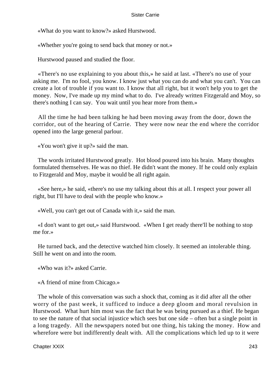«What do you want to know?» asked Hurstwood.

«Whether you're going to send back that money or not.»

Hurstwood paused and studied the floor.

 «There's no use explaining to you about this,» he said at last. «There's no use of your asking me. I'm no fool, you know. I know just what you can do and what you can't. You can create a lot of trouble if you want to. I know that all right, but it won't help you to get the money. Now, I've made up my mind what to do. I've already written Fitzgerald and Moy, so there's nothing I can say. You wait until you hear more from them.»

 All the time he had been talking he had been moving away from the door, down the corridor, out of the hearing of Carrie. They were now near the end where the corridor opened into the large general parlour.

«You won't give it up?» said the man.

 The words irritated Hurstwood greatly. Hot blood poured into his brain. Many thoughts formulated themselves. He was no thief. He didn't want the money. If he could only explain to Fitzgerald and Moy, maybe it would be all right again.

 «See here,» he said, «there's no use my talking about this at all. I respect your power all right, but I'll have to deal with the people who know.»

«Well, you can't get out of Canada with it,» said the man.

 «I don't want to get out,» said Hurstwood. «When I get ready there'll be nothing to stop me for.»

 He turned back, and the detective watched him closely. It seemed an intolerable thing. Still he went on and into the room.

«Who was it?» asked Carrie.

«A friend of mine from Chicago.»

 The whole of this conversation was such a shock that, coming as it did after all the other worry of the past week, it sufficed to induce a deep gloom and moral revulsion in Hurstwood. What hurt him most was the fact that he was being pursued as a thief. He began to see the nature of that social injustice which sees but one side – often but a single point in a long tragedy. All the newspapers noted but one thing, his taking the money. How and wherefore were but indifferently dealt with. All the complications which led up to it were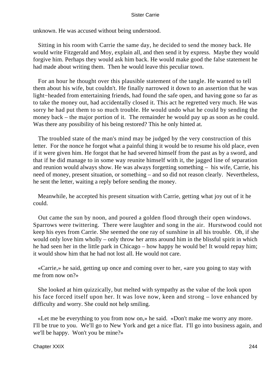unknown. He was accused without being understood.

 Sitting in his room with Carrie the same day, he decided to send the money back. He would write Fitzgerald and Moy, explain all, and then send it by express. Maybe they would forgive him. Perhaps they would ask him back. He would make good the false statement he had made about writing them. Then he would leave this peculiar town.

 For an hour he thought over this plausible statement of the tangle. He wanted to tell them about his wife, but couldn't. He finally narrowed it down to an assertion that he was light−headed from entertaining friends, had found the safe open, and having gone so far as to take the money out, had accidentally closed it. This act he regretted very much. He was sorry he had put them to so much trouble. He would undo what he could by sending the money back – the major portion of it. The remainder he would pay up as soon as he could. Was there any possibility of his being restored? This he only hinted at.

 The troubled state of the man's mind may be judged by the very construction of this letter. For the nonce he forgot what a painful thing it would be to resume his old place, even if it were given him. He forgot that he had severed himself from the past as by a sword, and that if he did manage to in some way reunite himself with it, the jagged line of separation and reunion would always show. He was always forgetting something – his wife, Carrie, his need of money, present situation, or something – and so did not reason clearly. Nevertheless, he sent the letter, waiting a reply before sending the money.

 Meanwhile, he accepted his present situation with Carrie, getting what joy out of it he could.

 Out came the sun by noon, and poured a golden flood through their open windows. Sparrows were twittering. There were laughter and song in the air. Hurstwood could not keep his eyes from Carrie. She seemed the one ray of sunshine in all his trouble. Oh, if she would only love him wholly – only throw her arms around him in the blissful spirit in which he had seen her in the little park in Chicago – how happy he would be! It would repay him; it would show him that he had not lost all. He would not care.

 «Carrie,» he said, getting up once and coming over to her, «are you going to stay with me from now on?»

 She looked at him quizzically, but melted with sympathy as the value of the look upon his face forced itself upon her. It was love now, keen and strong – love enhanced by difficulty and worry. She could not help smiling.

 «Let me be everything to you from now on,» he said. «Don't make me worry any more. I'll be true to you. We'll go to New York and get a nice flat. I'll go into business again, and we'll be happy. Won't you be mine?»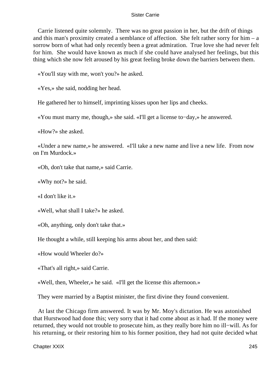Carrie listened quite solemnly. There was no great passion in her, but the drift of things and this man's proximity created a semblance of affection. She felt rather sorry for him – a sorrow born of what had only recently been a great admiration. True love she had never felt for him. She would have known as much if she could have analysed her feelings, but this thing which she now felt aroused by his great feeling broke down the barriers between them.

«You'll stay with me, won't you?» he asked.

«Yes,» she said, nodding her head.

He gathered her to himself, imprinting kisses upon her lips and cheeks.

«You must marry me, though,» she said. «I'll get a license to−day,» he answered.

«How?» she asked.

 «Under a new name,» he answered. «I'll take a new name and live a new life. From now on I'm Murdock.»

«Oh, don't take that name,» said Carrie.

«Why not?» he said.

«I don't like it.»

«Well, what shall I take?» he asked.

«Oh, anything, only don't take that.»

He thought a while, still keeping his arms about her, and then said:

«How would Wheeler do?»

«That's all right,» said Carrie.

«Well, then, Wheeler,» he said. «I'll get the license this afternoon.»

They were married by a Baptist minister, the first divine they found convenient.

 At last the Chicago firm answered. It was by Mr. Moy's dictation. He was astonished that Hurstwood had done this; very sorry that it had come about as it had. If the money were returned, they would not trouble to prosecute him, as they really bore him no ill−will. As for his returning, or their restoring him to his former position, they had not quite decided what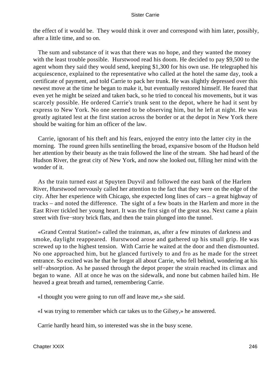the effect of it would be. They would think it over and correspond with him later, possibly, after a little time, and so on.

 The sum and substance of it was that there was no hope, and they wanted the money with the least trouble possible. Hurstwood read his doom. He decided to pay \$9,500 to the agent whom they said they would send, keeping \$1,300 for his own use. He telegraphed his acquiescence, explained to the representative who called at the hotel the same day, took a certificate of payment, and told Carrie to pack her trunk. He was slightly depressed over this newest move at the time he began to make it, but eventually restored himself. He feared that even yet he might be seized and taken back, so he tried to conceal his movements, but it was scarcely possible. He ordered Carrie's trunk sent to the depot, where he had it sent by express to New York. No one seemed to be observing him, but he left at night. He was greatly agitated lest at the first station across the border or at the depot in New York there should be waiting for him an officer of the law.

 Carrie, ignorant of his theft and his fears, enjoyed the entry into the latter city in the morning. The round green hills sentinelling the broad, expansive bosom of the Hudson held her attention by their beauty as the train followed the line of the stream. She had heard of the Hudson River, the great city of New York, and now she looked out, filling her mind with the wonder of it.

 As the train turned east at Spuyten Duyvil and followed the east bank of the Harlem River, Hurstwood nervously called her attention to the fact that they were on the edge of the city. After her experience with Chicago, she expected long lines of cars – a great highway of tracks – and noted the difference. The sight of a few boats in the Harlem and more in the East River tickled her young heart. It was the first sign of the great sea. Next came a plain street with five−story brick flats, and then the train plunged into the tunnel.

 «Grand Central Station!» called the trainman, as, after a few minutes of darkness and smoke, daylight reappeared. Hurstwood arose and gathered up his small grip. He was screwed up to the highest tension. With Carrie he waited at the door and then dismounted. No one approached him, but he glanced furtively to and fro as he made for the street entrance. So excited was he that he forgot all about Carrie, who fell behind, wondering at his self−absorption. As he passed through the depot proper the strain reached its climax and began to wane. All at once he was on the sidewalk, and none but cabmen hailed him. He heaved a great breath and turned, remembering Carrie.

«I thought you were going to run off and leave me,» she said.

«I was trying to remember which car takes us to the Gilsey,» he answered.

Carrie hardly heard him, so interested was she in the busy scene.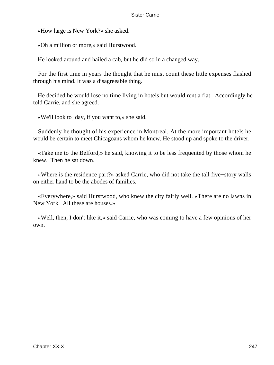«How large is New York?» she asked.

«Oh a million or more,» said Hurstwood.

He looked around and hailed a cab, but he did so in a changed way.

 For the first time in years the thought that he must count these little expenses flashed through his mind. It was a disagreeable thing.

 He decided he would lose no time living in hotels but would rent a flat. Accordingly he told Carrie, and she agreed.

«We'll look to−day, if you want to,» she said.

 Suddenly he thought of his experience in Montreal. At the more important hotels he would be certain to meet Chicagoans whom he knew. He stood up and spoke to the driver.

 «Take me to the Belford,» he said, knowing it to be less frequented by those whom he knew. Then he sat down.

 «Where is the residence part?» asked Carrie, who did not take the tall five−story walls on either hand to be the abodes of families.

 «Everywhere,» said Hurstwood, who knew the city fairly well. «There are no lawns in New York. All these are houses.»

 «Well, then, I don't like it,» said Carrie, who was coming to have a few opinions of her own.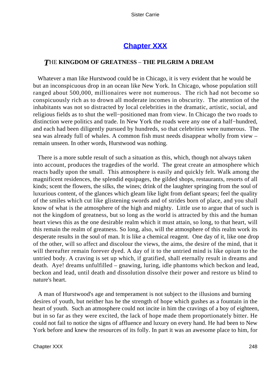## **[Chapter XXX](#page-429-0)**

### *T*HE **KINGDOM OF GREATNESS** – **THE PILGRIM A DREAM**

 Whatever a man like Hurstwood could be in Chicago, it is very evident that he would be but an inconspicuous drop in an ocean like New York. In Chicago, whose population still ranged about 500,000, millionaires were not numerous. The rich had not become so conspicuously rich as to drown all moderate incomes in obscurity. The attention of the inhabitants was not so distracted by local celebrities in the dramatic, artistic, social, and religious fields as to shut the well−positioned man from view. In Chicago the two roads to distinction were politics and trade. In New York the roads were any one of a half−hundred, and each had been diligently pursued by hundreds, so that celebrities were numerous. The sea was already full of whales. A common fish must needs disappear wholly from view – remain unseen. In other words, Hurstwood was nothing.

 There is a more subtle result of such a situation as this, which, though not always taken into account, produces the tragedies of the world. The great create an atmosphere which reacts badly upon the small. This atmosphere is easily and quickly felt. Walk among the magnificent residences, the splendid equipages, the gilded shops, restaurants, resorts of all kinds; scent the flowers, the silks, the wines; drink of the laughter springing from the soul of luxurious content, of the glances which gleam like light from defiant spears; feel the quality of the smiles which cut like glistening swords and of strides born of place, and you shall know of what is the atmosphere of the high and mighty. Little use to argue that of such is not the kingdom of greatness, but so long as the world is attracted by this and the human heart views this as the one desirable realm which it must attain, so long, to that heart, will this remain the realm of greatness. So long, also, will the atmosphere of this realm work its desperate results in the soul of man. It is like a chemical reagent. One day of it, like one drop of the other, will so affect and discolour the views, the aims, the desire of the mind, that it will thereafter remain forever dyed. A day of it to the untried mind is like opium to the untried body. A craving is set up which, if gratified, shall eternally result in dreams and death. Aye! dreams unfulfilled – gnawing, luring, idle phantoms which beckon and lead, beckon and lead, until death and dissolution dissolve their power and restore us blind to nature's heart.

 A man of Hurstwood's age and temperament is not subject to the illusions and burning desires of youth, but neither has he the strength of hope which gushes as a fountain in the heart of youth. Such an atmosphere could not incite in him the cravings of a boy of eighteen, but in so far as they were excited, the lack of hope made them proportionately bitter. He could not fail to notice the signs of affluence and luxury on every hand. He had been to New York before and knew the resources of its folly. In part it was an awesome place to him, for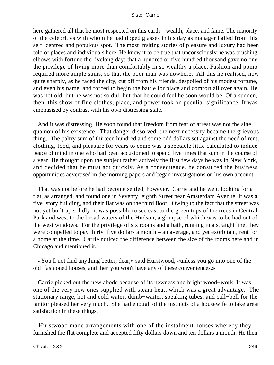here gathered all that he most respected on this earth – wealth, place, and fame. The majority of the celebrities with whom he had tipped glasses in his day as manager hailed from this self−centred and populous spot. The most inviting stories of pleasure and luxury had been told of places and individuals here. He knew it to be true that unconsciously he was brushing elbows with fortune the livelong day; that a hundred or five hundred thousand gave no one the privilege of living more than comfortably in so wealthy a place. Fashion and pomp required more ample sums, so that the poor man was nowhere. All this he realised, now quite sharply, as he faced the city, cut off from his friends, despoiled of his modest fortune, and even his name, and forced to begin the battle for place and comfort all over again. He was not old, but he was not so dull but that he could feel he soon would be. Of a sudden, then, this show of fine clothes, place, and power took on peculiar significance. It was emphasised by contrast with his own distressing state.

 And it was distressing. He soon found that freedom from fear of arrest was not the sine qua non of his existence. That danger dissolved, the next necessity became the grievous thing. The paltry sum of thirteen hundred and some odd dollars set against the need of rent, clothing, food, and pleasure for years to come was a spectacle little calculated to induce peace of mind in one who had been accustomed to spend five times that sum in the course of a year. He thought upon the subject rather actively the first few days he was in New York, and decided that he must act quickly. As a consequence, he consulted the business opportunities advertised in the morning papers and began investigations on his own account.

 That was not before he had become settled, however. Carrie and he went looking for a flat, as arranged, and found one in Seventy−eighth Street near Amsterdam Avenue. It was a five−story building, and their flat was on the third floor. Owing to the fact that the street was not yet built up solidly, it was possible to see east to the green tops of the trees in Central Park and west to the broad waters of the Hudson, a glimpse of which was to be had out of the west windows. For the privilege of six rooms and a bath, running in a straight line, they were compelled to pay thirty−five dollars a month – an average, and yet exorbitant, rent for a home at the time. Carrie noticed the difference between the size of the rooms here and in Chicago and mentioned it.

 «You'll not find anything better, dear,» said Hurstwood, «unless you go into one of the old−fashioned houses, and then you won't have any of these conveniences.»

 Carrie picked out the new abode because of its newness and bright wood−work. It was one of the very new ones supplied with steam heat, which was a great advantage. The stationary range, hot and cold water, dumb−waiter, speaking tubes, and call−bell for the janitor pleased her very much. She had enough of the instincts of a housewife to take great satisfaction in these things.

 Hurstwood made arrangements with one of the instalment houses whereby they furnished the flat complete and accepted fifty dollars down and ten dollars a month. He then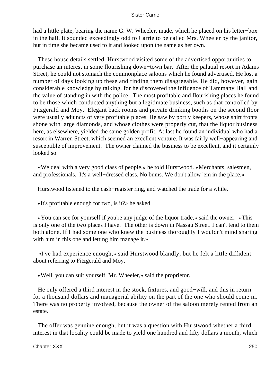had a little plate, bearing the name G. W. Wheeler, made, which he placed on his letter−box in the hall. It sounded exceedingly odd to Carrie to be called Mrs. Wheeler by the janitor, but in time she became used to it and looked upon the name as her own.

 These house details settled, Hurstwood visited some of the advertised opportunities to purchase an interest in some flourishing down−town bar. After the palatial resort in Adams Street, he could not stomach the commonplace saloons which he found advertised. He lost a number of days looking up these and finding them disagreeable. He did, however, gain considerable knowledge by talking, for he discovered the influence of Tammany Hall and the value of standing in with the police. The most profitable and flourishing places he found to be those which conducted anything but a legitimate business, such as that controlled by Fitzgerald and Moy. Elegant back rooms and private drinking booths on the second floor were usually adjuncts of very profitable places. He saw by portly keepers, whose shirt fronts shone with large diamonds, and whose clothes were properly cut, that the liquor business here, as elsewhere, yielded the same golden profit. At last he found an individual who had a resort in Warren Street, which seemed an excellent venture. It was fairly well−appearing and susceptible of improvement. The owner claimed the business to be excellent, and it certainly looked so.

 «We deal with a very good class of people,» he told Hurstwood. «Merchants, salesmen, and professionals. It's a well−dressed class. No bums. We don't allow 'em in the place.»

Hurstwood listened to the cash−register ring, and watched the trade for a while.

«It's profitable enough for two, is it?» he asked.

 «You can see for yourself if you're any judge of the liquor trade,» said the owner. «This is only one of the two places I have. The other is down in Nassau Street. I can't tend to them both alone. If I had some one who knew the business thoroughly I wouldn't mind sharing with him in this one and letting him manage it.»

 «I've had experience enough,» said Hurstwood blandly, but he felt a little diffident about referring to Fitzgerald and Moy.

«Well, you can suit yourself, Mr. Wheeler,» said the proprietor.

 He only offered a third interest in the stock, fixtures, and good−will, and this in return for a thousand dollars and managerial ability on the part of the one who should come in. There was no property involved, because the owner of the saloon merely rented from an estate.

 The offer was genuine enough, but it was a question with Hurstwood whether a third interest in that locality could be made to yield one hundred and fifty dollars a month, which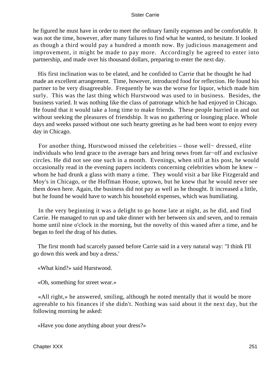he figured he must have in order to meet the ordinary family expenses and be comfortable. It was not the time, however, after many failures to find what he wanted, to hesitate. It looked as though a third would pay a hundred a month now. By judicious management and improvement, it might be made to pay more. Accordingly he agreed to enter into partnership, and made over his thousand dollars, preparing to enter the next day.

 His first inclination was to be elated, and he confided to Carrie that he thought he had made an excellent arrangement. Time, however, introduced food for reflection. He found his partner to be very disagreeable. Frequently he was the worse for liquor, which made him surly. This was the last thing which Hurstwood was used to in business. Besides, the business varied. It was nothing like the class of patronage which he had enjoyed in Chicago. He found that it would take a long time to make friends. These people hurried in and out without seeking the pleasures of friendship. It was no gathering or lounging place. Whole days and weeks passed without one such hearty greeting as he had been wont to enjoy every day in Chicago.

 For another thing, Hurstwood missed the celebrities – those well− dressed, elite individuals who lend grace to the average bars and bring news from far−off and exclusive circles. He did not see one such in a month. Evenings, when still at his post, he would occasionally read in the evening papers incidents concerning celebrities whom he knew – whom he had drunk a glass with many a time. They would visit a bar like Fitzgerald and Moy's in Chicago, or the Hoffman House, uptown, but he knew that he would never see them down here. Again, the business did not pay as well as he thought. It increased a little, but he found he would have to watch his household expenses, which was humiliating.

 In the very beginning it was a delight to go home late at night, as he did, and find Carrie. He managed to run up and take dinner with her between six and seven, and to remain home until nine o'clock in the morning, but the novelty of this waned after a time, and he began to feel the drag of his duties.

 The first month had scarcely passed before Carrie said in a very natural way: "I think I'll go down this week and buy a dress.'

«What kind?» said Hurstwood.

«Oh, something for street wear.»

 «All right,» he answered, smiling, although he noted mentally that it would be more agreeable to his finances if she didn't. Nothing was said about it the next day, but the following morning he asked:

«Have you done anything about your dress?»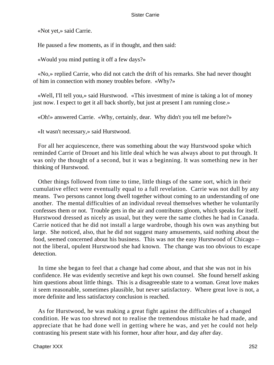«Not yet,» said Carrie.

He paused a few moments, as if in thought, and then said:

«Would you mind putting it off a few days?»

 «No,» replied Carrie, who did not catch the drift of his remarks. She had never thought of him in connection with money troubles before. «Why?»

 «Well, I'll tell you,» said Hurstwood. «This investment of mine is taking a lot of money just now. I expect to get it all back shortly, but just at present I am running close.»

«Oh!» answered Carrie. «Why, certainly, dear. Why didn't you tell me before?»

«It wasn't necessary,» said Hurstwood.

 For all her acquiescence, there was something about the way Hurstwood spoke which reminded Carrie of Drouet and his little deal which he was always about to put through. It was only the thought of a second, but it was a beginning. It was something new in her thinking of Hurstwood.

 Other things followed from time to time, little things of the same sort, which in their cumulative effect were eventually equal to a full revelation. Carrie was not dull by any means. Two persons cannot long dwell together without coming to an understanding of one another. The mental difficulties of an individual reveal themselves whether he voluntarily confesses them or not. Trouble gets in the air and contributes gloom, which speaks for itself. Hurstwood dressed as nicely as usual, but they were the same clothes he had in Canada. Carrie noticed that he did not install a large wardrobe, though his own was anything but large. She noticed, also, that he did not suggest many amusements, said nothing about the food, seemed concerned about his business. This was not the easy Hurstwood of Chicago – not the liberal, opulent Hurstwood she had known. The change was too obvious to escape detection.

 In time she began to feel that a change had come about, and that she was not in his confidence. He was evidently secretive and kept his own counsel. She found herself asking him questions about little things. This is a disagreeable state to a woman. Great love makes it seem reasonable, sometimes plausible, but never satisfactory. Where great love is not, a more definite and less satisfactory conclusion is reached.

 As for Hurstwood, he was making a great fight against the difficulties of a changed condition. He was too shrewd not to realise the tremendous mistake he had made, and appreciate that he had done well in getting where he was, and yet he could not help contrasting his present state with his former, hour after hour, and day after day.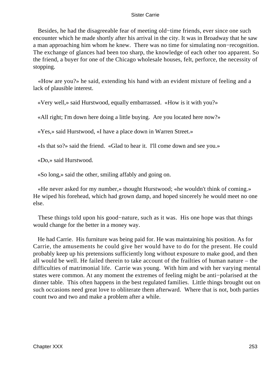Besides, he had the disagreeable fear of meeting old−time friends, ever since one such encounter which he made shortly after his arrival in the city. It was in Broadway that he saw a man approaching him whom he knew. There was no time for simulating non−recognition. The exchange of glances had been too sharp, the knowledge of each other too apparent. So the friend, a buyer for one of the Chicago wholesale houses, felt, perforce, the necessity of stopping.

 «How are you?» he said, extending his hand with an evident mixture of feeling and a lack of plausible interest.

«Very well,» said Hurstwood, equally embarrassed. «How is it with you?»

«All right; I'm down here doing a little buying. Are you located here now?»

«Yes,» said Hurstwood, «I have a place down in Warren Street.»

«Is that so?» said the friend. «Glad to hear it. I'll come down and see you.»

«Do,» said Hurstwood.

«So long,» said the other, smiling affably and going on.

 «He never asked for my number,» thought Hurstwood; «he wouldn't think of coming.» He wiped his forehead, which had grown damp, and hoped sincerely he would meet no one else.

 These things told upon his good−nature, such as it was. His one hope was that things would change for the better in a money way.

 He had Carrie. His furniture was being paid for. He was maintaining his position. As for Carrie, the amusements he could give her would have to do for the present. He could probably keep up his pretensions sufficiently long without exposure to make good, and then all would be well. He failed therein to take account of the frailties of human nature – the difficulties of matrimonial life. Carrie was young. With him and with her varying mental states were common. At any moment the extremes of feeling might be anti−polarised at the dinner table. This often happens in the best regulated families. Little things brought out on such occasions need great love to obliterate them afterward. Where that is not, both parties count two and two and make a problem after a while.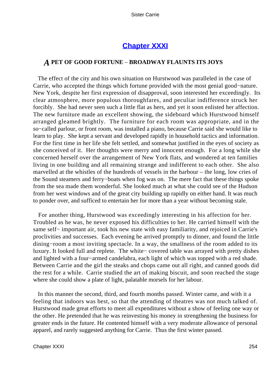# **[Chapter XXXI](#page-429-0)**

# *A* **PET OF GOOD FORTUNE** – **BROADWAY FLAUNTS ITS JOYS**

 The effect of the city and his own situation on Hurstwood was paralleled in the case of Carrie, who accepted the things which fortune provided with the most genial good−nature. New York, despite her first expression of disapproval, soon interested her exceedingly. Its clear atmosphere, more populous thoroughfares, and peculiar indifference struck her forcibly. She had never seen such a little flat as hers, and yet it soon enlisted her affection. The new furniture made an excellent showing, the sideboard which Hurstwood himself arranged gleamed brightly. The furniture for each room was appropriate, and in the so−called parlour, or front room, was installed a piano, because Carrie said she would like to learn to play. She kept a servant and developed rapidly in household tactics and information. For the first time in her life she felt settled, and somewhat justified in the eyes of society as she conceived of it. Her thoughts were merry and innocent enough. For a long while she concerned herself over the arrangement of New York flats, and wondered at ten families living in one building and all remaining strange and indifferent to each other. She also marvelled at the whistles of the hundreds of vessels in the harbour – the long, low cries of the Sound steamers and ferry−boats when fog was on. The mere fact that these things spoke from the sea made them wonderful. She looked much at what she could see of the Hudson from her west windows and of the great city building up rapidly on either hand. It was much to ponder over, and sufficed to entertain her for more than a year without becoming stale.

 For another thing, Hurstwood was exceedingly interesting in his affection for her. Troubled as he was, he never exposed his difficulties to her. He carried himself with the same self– important air, took his new state with easy familiarity, and rejoiced in Carrie's proclivities and successes. Each evening he arrived promptly to dinner, and found the little dining−room a most inviting spectacle. In a way, the smallness of the room added to its luxury. It looked full and replete. The white− covered table was arrayed with pretty dishes and lighted with a four−armed candelabra, each light of which was topped with a red shade. Between Carrie and the girl the steaks and chops came out all right, and canned goods did the rest for a while. Carrie studied the art of making biscuit, and soon reached the stage where she could show a plate of light, palatable morsels for her labour.

 In this manner the second, third, and fourth months passed. Winter came, and with it a feeling that indoors was best, so that the attending of theatres was not much talked of. Hurstwood made great efforts to meet all expenditures without a show of feeling one way or the other. He pretended that he was reinvesting his money in strengthening the business for greater ends in the future. He contented himself with a very moderate allowance of personal apparel, and rarely suggested anything for Carrie. Thus the first winter passed.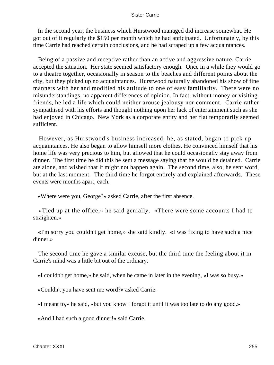In the second year, the business which Hurstwood managed did increase somewhat. He got out of it regularly the \$150 per month which he had anticipated. Unfortunately, by this time Carrie had reached certain conclusions, and he had scraped up a few acquaintances.

 Being of a passive and receptive rather than an active and aggressive nature, Carrie accepted the situation. Her state seemed satisfactory enough. Once in a while they would go to a theatre together, occasionally in season to the beaches and different points about the city, but they picked up no acquaintances. Hurstwood naturally abandoned his show of fine manners with her and modified his attitude to one of easy familiarity. There were no misunderstandings, no apparent differences of opinion. In fact, without money or visiting friends, he led a life which could neither arouse jealousy nor comment. Carrie rather sympathised with his efforts and thought nothing upon her lack of entertainment such as she had enjoyed in Chicago. New York as a corporate entity and her flat temporarily seemed sufficient.

 However, as Hurstwood's business increased, he, as stated, began to pick up acquaintances. He also began to allow himself more clothes. He convinced himself that his home life was very precious to him, but allowed that he could occasionally stay away from dinner. The first time he did this he sent a message saying that he would be detained. Carrie ate alone, and wished that it might not happen again. The second time, also, he sent word, but at the last moment. The third time he forgot entirely and explained afterwards. These events were months apart, each.

«Where were you, George?» asked Carrie, after the first absence.

 «Tied up at the office,» he said genially. «There were some accounts I had to straighten.»

 «I'm sorry you couldn't get home,» she said kindly. «I was fixing to have such a nice dinner.»

 The second time he gave a similar excuse, but the third time the feeling about it in Carrie's mind was a little bit out of the ordinary.

«I couldn't get home,» he said, when he came in later in the evening, «I was so busy.»

«Couldn't you have sent me word?» asked Carrie.

«I meant to,» he said, «but you know I forgot it until it was too late to do any good.»

«And I had such a good dinner!» said Carrie.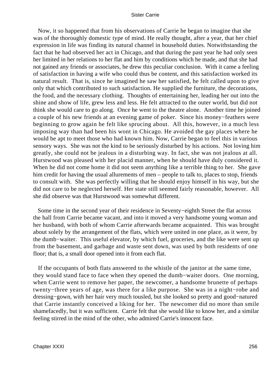Now, it so happened that from his observations of Carrie he began to imagine that she was of the thoroughly domestic type of mind. He really thought, after a year, that her chief expression in life was finding its natural channel in household duties. Notwithstanding the fact that he had observed her act in Chicago, and that during the past year he had only seen her limited in her relations to her flat and him by conditions which he made, and that she had not gained any friends or associates, he drew this peculiar conclusion. With it came a feeling of satisfaction in having a wife who could thus be content, and this satisfaction worked its natural result. That is, since he imagined he saw her satisfied, he felt called upon to give only that which contributed to such satisfaction. He supplied the furniture, the decorations, the food, and the necessary clothing. Thoughts of entertaining her, leading her out into the shine and show of life, grew less and less. He felt attracted to the outer world, but did not think she would care to go along. Once he went to the theatre alone. Another time he joined a couple of his new friends at an evening game of poker. Since his money−feathers were beginning to grow again he felt like sprucing about. All this, however, in a much less imposing way than had been his wont in Chicago. He avoided the gay places where he would be apt to meet those who had known him. Now, Carrie began to feel this in various sensory ways. She was not the kind to be seriously disturbed by his actions. Not loving him greatly, she could not be jealous in a disturbing way. In fact, she was not jealous at all. Hurstwood was pleased with her placid manner, when he should have duly considered it. When he did not come home it did not seem anything like a terrible thing to her. She gave him credit for having the usual allurements of men – people to talk to, places to stop, friends to consult with. She was perfectly willing that he should enjoy himself in his way, but she did not care to be neglected herself. Her state still seemed fairly reasonable, however. All she did observe was that Hurstwood was somewhat different.

 Some time in the second year of their residence in Seventy−eighth Street the flat across the hall from Carrie became vacant, and into it moved a very handsome young woman and her husband, with both of whom Carrie afterwards became acquainted. This was brought about solely by the arrangement of the flats, which were united in one place, as it were, by the dumb−waiter. This useful elevator, by which fuel, groceries, and the like were sent up from the basement, and garbage and waste sent down, was used by both residents of one floor; that is, a small door opened into it from each flat.

 If the occupants of both flats answered to the whistle of the janitor at the same time, they would stand face to face when they opened the dumb−waiter doors. One morning, when Carrie went to remove her paper, the newcomer, a handsome brunette of perhaps twenty−three years of age, was there for a like purpose. She was in a night−robe and dressing−gown, with her hair very much tousled, but she looked so pretty and good−natured that Carrie instantly conceived a liking for her. The newcomer did no more than smile shamefacedly, but it was sufficient. Carrie felt that she would like to know her, and a similar feeling stirred in the mind of the other, who admired Carrie's innocent face.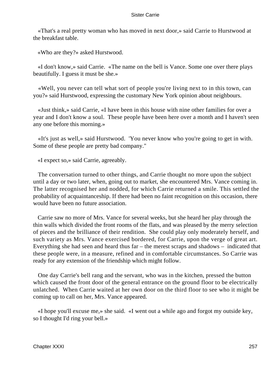«That's a real pretty woman who has moved in next door,» said Carrie to Hurstwood at the breakfast table.

«Who are they?» asked Hurstwood.

 «I don't know,» said Carrie. «The name on the bell is Vance. Some one over there plays beautifully. I guess it must be she.»

 «Well, you never can tell what sort of people you're living next to in this town, can you?» said Hurstwood, expressing the customary New York opinion about neighbours.

 «Just think,» said Carrie, «I have been in this house with nine other families for over a year and I don't know a soul. These people have been here over a month and I haven't seen any one before this morning.»

 «It's just as well,» said Hurstwood. 'You never know who you're going to get in with. Some of these people are pretty bad company."

«I expect so,» said Carrie, agreeably.

 The conversation turned to other things, and Carrie thought no more upon the subject until a day or two later, when, going out to market, she encountered Mrs. Vance coming in. The latter recognised her and nodded, for which Carrie returned a smile. This settled the probability of acquaintanceship. If there had been no faint recognition on this occasion, there would have been no future association.

 Carrie saw no more of Mrs. Vance for several weeks, but she heard her play through the thin walls which divided the front rooms of the flats, and was pleased by the merry selection of pieces and the brilliance of their rendition. She could play only moderately herself, and such variety as Mrs. Vance exercised bordered, for Carrie, upon the verge of great art. Everything she had seen and heard thus far – the merest scraps and shadows – indicated that these people were, in a measure, refined and in comfortable circumstances. So Carrie was ready for any extension of the friendship which might follow.

 One day Carrie's bell rang and the servant, who was in the kitchen, pressed the button which caused the front door of the general entrance on the ground floor to be electrically unlatched. When Carrie waited at her own door on the third floor to see who it might be coming up to call on her, Mrs. Vance appeared.

 «I hope you'll excuse me,» she said. «I went out a while ago and forgot my outside key, so I thought I'd ring your bell.»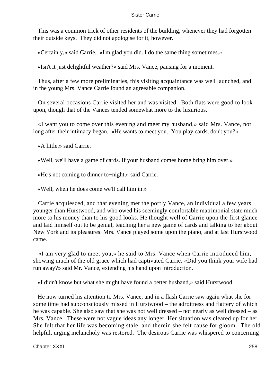This was a common trick of other residents of the building, whenever they had forgotten their outside keys. They did not apologise for it, however.

«Certainly,» said Carrie. «I'm glad you did. I do the same thing sometimes.»

«Isn't it just delightful weather?» said Mrs. Vance, pausing for a moment.

 Thus, after a few more preliminaries, this visiting acquaintance was well launched, and in the young Mrs. Vance Carrie found an agreeable companion.

 On several occasions Carrie visited her and was visited. Both flats were good to look upon, though that of the Vances tended somewhat more to the luxurious.

 «I want you to come over this evening and meet my husband,» said Mrs. Vance, not long after their intimacy began. «He wants to meet you. You play cards, don't you?»

«A little,» said Carrie.

«Well, we'll have a game of cards. If your husband comes home bring him over.»

«He's not coming to dinner to−night,» said Carrie.

«Well, when he does come we'll call him in.»

 Carrie acquiesced, and that evening met the portly Vance, an individual a few years younger than Hurstwood, and who owed his seemingly comfortable matrimonial state much more to his money than to his good looks. He thought well of Carrie upon the first glance and laid himself out to be genial, teaching her a new game of cards and talking to her about New York and its pleasures. Mrs. Vance played some upon the piano, and at last Hurstwood came.

 «I am very glad to meet you,» he said to Mrs. Vance when Carrie introduced him, showing much of the old grace which had captivated Carrie. «Did you think your wife had run away?» said Mr. Vance, extending his hand upon introduction.

«I didn't know but what she might have found a better husband,» said Hurstwood.

 He now turned his attention to Mrs. Vance, and in a flash Carrie saw again what she for some time had subconsciously missed in Hurstwood – the adroitness and flattery of which he was capable. She also saw that she was not well dressed – not nearly as well dressed – as Mrs. Vance. These were not vague ideas any longer. Her situation was cleared up for her. She felt that her life was becoming stale, and therein she felt cause for gloom. The old helpful, urging melancholy was restored. The desirous Carrie was whispered to concerning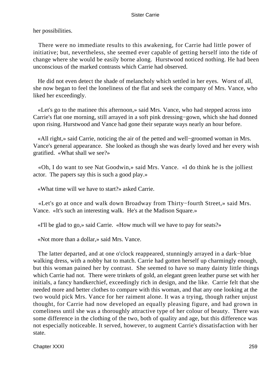her possibilities.

 There were no immediate results to this awakening, for Carrie had little power of initiative; but, nevertheless, she seemed ever capable of getting herself into the tide of change where she would be easily borne along. Hurstwood noticed nothing. He had been unconscious of the marked contrasts which Carrie had observed.

 He did not even detect the shade of melancholy which settled in her eyes. Worst of all, she now began to feel the loneliness of the flat and seek the company of Mrs. Vance, who liked her exceedingly.

 «Let's go to the matinee this afternoon,» said Mrs. Vance, who had stepped across into Carrie's flat one morning, still arrayed in a soft pink dressing−gown, which she had donned upon rising. Hurstwood and Vance had gone their separate ways nearly an hour before.

 «All right,» said Carrie, noticing the air of the petted and well−groomed woman in Mrs. Vance's general appearance. She looked as though she was dearly loved and her every wish gratified. «What shall we see?»

 «Oh, I do want to see Nat Goodwin,» said Mrs. Vance. «I do think he is the jolliest actor. The papers say this is such a good play.»

«What time will we have to start?» asked Carrie.

 «Let's go at once and walk down Broadway from Thirty−fourth Street,» said Mrs. Vance. «It's such an interesting walk. He's at the Madison Square.»

«I'll be glad to go,» said Carrie. «How much will we have to pay for seats?»

«Not more than a dollar,» said Mrs. Vance.

 The latter departed, and at one o'clock reappeared, stunningly arrayed in a dark−blue walking dress, with a nobby hat to match. Carrie had gotten herself up charmingly enough, but this woman pained her by contrast. She seemed to have so many dainty little things which Carrie had not. There were trinkets of gold, an elegant green leather purse set with her initials, a fancy handkerchief, exceedingly rich in design, and the like. Carrie felt that she needed more and better clothes to compare with this woman, and that any one looking at the two would pick Mrs. Vance for her raiment alone. It was a trying, though rather unjust thought, for Carrie had now developed an equally pleasing figure, and had grown in comeliness until she was a thoroughly attractive type of her colour of beauty. There was some difference in the clothing of the two, both of quality and age, but this difference was not especially noticeable. It served, however, to augment Carrie's dissatisfaction with her state.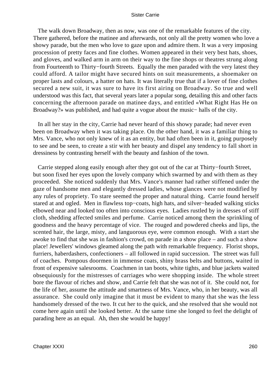The walk down Broadway, then as now, was one of the remarkable features of the city. There gathered, before the matinee and afterwards, not only all the pretty women who love a showy parade, but the men who love to gaze upon and admire them. It was a very imposing procession of pretty faces and fine clothes. Women appeared in their very best hats, shoes, and gloves, and walked arm in arm on their way to the fine shops or theatres strung along from Fourteenth to Thirty−fourth Streets. Equally the men paraded with the very latest they could afford. A tailor might have secured hints on suit measurements, a shoemaker on proper lasts and colours, a hatter on hats. It was literally true that if a lover of fine clothes secured a new suit, it was sure to have its first airing on Broadway. So true and well understood was this fact, that several years later a popular song, detailing this and other facts concerning the afternoon parade on matinee days, and entitled «What Right Has He on Broadway?» was published, and had quite a vogue about the music− halls of the city.

 In all her stay in the city, Carrie had never heard of this showy parade; had never even been on Broadway when it was taking place. On the other hand, it was a familiar thing to Mrs. Vance, who not only knew of it as an entity, but had often been in it, going purposely to see and be seen, to create a stir with her beauty and dispel any tendency to fall short in dressiness by contrasting herself with the beauty and fashion of the town.

 Carrie stepped along easily enough after they got out of the car at Thirty−fourth Street, but soon fixed her eyes upon the lovely company which swarmed by and with them as they proceeded. She noticed suddenly that Mrs. Vance's manner had rather stiffened under the gaze of handsome men and elegantly dressed ladies, whose glances were not modified by any rules of propriety. To stare seemed the proper and natural thing. Carrie found herself stared at and ogled. Men in flawless top−coats, high hats, and silver−headed walking sticks elbowed near and looked too often into conscious eyes. Ladies rustled by in dresses of stiff cloth, shedding affected smiles and perfume. Carrie noticed among them the sprinkling of goodness and the heavy percentage of vice. The rouged and powdered cheeks and lips, the scented hair, the large, misty, and languorous eye, were common enough. With a start she awoke to find that she was in fashion's crowd, on parade in a show place – and such a show place! Jewellers' windows gleamed along the path with remarkable frequency. Florist shops, furriers, haberdashers, confectioners – all followed in rapid succession. The street was full of coaches. Pompous doormen in immense coats, shiny brass belts and buttons, waited in front of expensive salesrooms. Coachmen in tan boots, white tights, and blue jackets waited obsequiously for the mistresses of carriages who were shopping inside. The whole street bore the flavour of riches and show, and Carrie felt that she was not of it. She could not, for the life of her, assume the attitude and smartness of Mrs. Vance, who, in her beauty, was all assurance. She could only imagine that it must be evident to many that she was the less handsomely dressed of the two. It cut her to the quick, and she resolved that she would not come here again until she looked better. At the same time she longed to feel the delight of parading here as an equal. Ah, then she would be happy!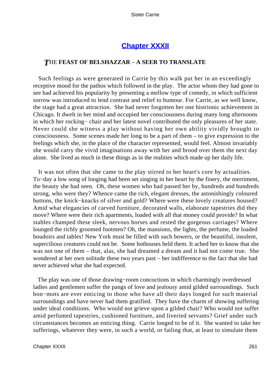# **[Chapter XXXII](#page-429-0)**

# *T*HE **FEAST OF BELSHAZZAR** – **A SEER TO TRANSLATE**

 Such feelings as were generated in Carrie by this walk put her in an exceedingly receptive mood for the pathos which followed in the play. The actor whom they had gone to see had achieved his popularity by presenting a mellow type of comedy, in which sufficient sorrow was introduced to lend contrast and relief to humour. For Carrie, as we well know, the stage had a great attraction. She had never forgotten her one histrionic achievement in Chicago. It dwelt in her mind and occupied her consciousness during many long afternoons in which her rocking− chair and her latest novel contributed the only pleasures of her state. Never could she witness a play without having her own ability vividly brought to consciousness. Some scenes made her long to be a part of them – to give expression to the feelings which she, in the place of the character represented, would feel. Almost invariably she would carry the vivid imaginations away with her and brood over them the next day alone. She lived as much in these things as in the realities which made up her daily life.

 It was not often that she came to the play stirred to her heart's core by actualities. To−day a low song of longing had been set singing in her heart by the finery, the merriment, the beauty she had seen. Oh, these women who had passed her by, hundreds and hundreds strong, who were they? Whence came the rich, elegant dresses, the astonishingly coloured buttons, the knick−knacks of silver and gold? Where were these lovely creatures housed? Amid what elegancies of carved furniture, decorated walls, elaborate tapestries did they move? Where were their rich apartments, loaded with all that money could provide? In what stables champed these sleek, nervous horses and rested the gorgeous carriages? Where lounged the richly groomed footmen? Oh, the mansions, the lights, the perfume, the loaded boudoirs and tables! New York must be filled with such bowers, or the beautiful, insolent, supercilious creatures could not be. Some hothouses held them. It ached her to know that she was not one of them – that, alas, she had dreamed a dream and it had not come true. She wondered at her own solitude these two years past – her indifference to the fact that she had never achieved what she had expected.

 The play was one of those drawing−room concoctions in which charmingly overdressed ladies and gentlemen suffer the pangs of love and jealousy amid gilded surroundings. Such bon−mots are ever enticing to those who have all their days longed for such material surroundings and have never had them gratified. They have the charm of showing suffering under ideal conditions. Who would not grieve upon a gilded chair? Who would not suffer amid perfumed tapestries, cushioned furniture, and liveried servants? Grief under such circumstances becomes an enticing thing. Carrie longed to be of it. She wanted to take her sufferings, whatever they were, in such a world, or failing that, at least to simulate them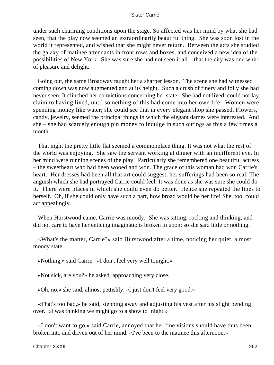under such charming conditions upon the stage. So affected was her mind by what she had seen, that the play now seemed an extraordinarily beautiful thing. She was soon lost in the world it represented, and wished that she might never return. Between the acts she studied the galaxy of matinee attendants in front rows and boxes, and conceived a new idea of the possibilities of New York. She was sure she had not seen it all – that the city was one whirl of pleasure and delight.

 Going out, the same Broadway taught her a sharper lesson. The scene she had witnessed coming down was now augmented and at its height. Such a crush of finery and folly she had never seen. It clinched her convictions concerning her state. She had not lived, could not lay claim to having lived, until something of this had come into her own life. Women were spending money like water; she could see that in every elegant shop she passed. Flowers, candy, jewelry, seemed the principal things in which the elegant dames were interested. And she – she had scarcely enough pin money to indulge in such outings as this a few times a month.

 That night the pretty little flat seemed a commonplace thing. It was not what the rest of the world was enjoying. She saw the servant working at dinner with an indifferent eye. In her mind were running scenes of the play. Particularly she remembered one beautiful actress – the sweetheart who had been wooed and won. The grace of this woman had won Carrie's heart. Her dresses had been all that art could suggest, her sufferings had been so real. The anguish which she had portrayed Carrie could feel. It was done as she was sure she could do it. There were places in which she could even do better. Hence she repeated the lines to herself. Oh, if she could only have such a part, how broad would be her life! She, too, could act appealingly.

 When Hurstwood came, Carrie was moody. She was sitting, rocking and thinking, and did not care to have her enticing imaginations broken in upon; so she said little or nothing.

 «What's the matter, Carrie?» said Hurstwood after a time, noticing her quiet, almost moody state.

«Nothing,» said Carrie. «I don't feel very well tonight.»

«Not sick, are you?» he asked, approaching very close.

«Oh, no,» she said, almost pettishly, «I just don't feel very good.»

 «That's too bad,» he said, stepping away and adjusting his vest after his slight bending over. «I was thinking we might go to a show to−night.»

 «I don't want to go,» said Carrie, annoyed that her fine visions should have thus been broken into and driven out of her mind. «I've been to the matinee this afternoon.»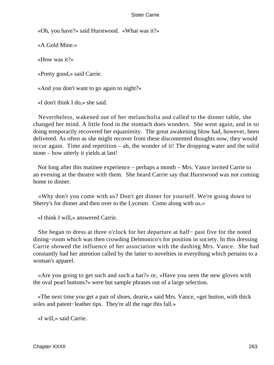«Oh, you have?» said Hurstwood. «What was it?»

«A Gold Mine.»

«How was it?»

«Pretty good,» said Carrie.

«And you don't want to go again to night?»

«I don't think I do,» she said.

 Nevertheless, wakened out of her melancholia and called to the dinner table, she changed her mind. A little food in the stomach does wonders. She went again, and in so doing temporarily recovered her equanimity. The great awakening blow had, however, been delivered. As often as she might recover from these discontented thoughts now, they would occur again. Time and repetition – ah, the wonder of it! The dropping water and the solid stone – how utterly it yields at last!

 Not long after this matinee experience – perhaps a month – Mrs. Vance invited Carrie to an evening at the theatre with them. She heard Carrie say that Hurstwood was not coming home to dinner.

 «Why don't you come with us? Don't get dinner for yourself. We're going down to Sherry's for dinner and then over to the Lyceum. Come along with us.»

«I think I will,» answered Carrie.

 She began to dress at three o'clock for her departure at half− past five for the noted dining−room which was then crowding Delmonico's for position in society. In this dressing Carrie showed the influence of her association with the dashing Mrs. Vance. She had constantly had her attention called by the latter to novelties in everything which pertains to a woman's apparel.

 «Are you going to get such and such a hat?» or, «Have you seen the new gloves with the oval pearl buttons?» were but sample phrases out of a large selection.

 «The next time you get a pair of shoes, dearie,» said Mrs. Vance, «get button, with thick soles and patent−leather tips. They're all the rage this fall.»

«I will,» said Carrie.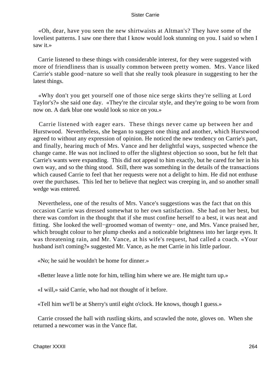«Oh, dear, have you seen the new shirtwaists at Altman's? They have some of the loveliest patterns. I saw one there that I know would look stunning on you. I said so when I saw it.»

 Carrie listened to these things with considerable interest, for they were suggested with more of friendliness than is usually common between pretty women. Mrs. Vance liked Carrie's stable good−nature so well that she really took pleasure in suggesting to her the latest things.

 «Why don't you get yourself one of those nice serge skirts they're selling at Lord Taylor's?» she said one day. «They're the circular style, and they're going to be worn from now on. A dark blue one would look so nice on you.»

 Carrie listened with eager ears. These things never came up between her and Hurstwood. Nevertheless, she began to suggest one thing and another, which Hurstwood agreed to without any expression of opinion. He noticed the new tendency on Carrie's part, and finally, hearing much of Mrs. Vance and her delightful ways, suspected whence the change came. He was not inclined to offer the slightest objection so soon, but he felt that Carrie's wants were expanding. This did not appeal to him exactly, but he cared for her in his own way, and so the thing stood. Still, there was something in the details of the transactions which caused Carrie to feel that her requests were not a delight to him. He did not enthuse over the purchases. This led her to believe that neglect was creeping in, and so another small wedge was entered.

 Nevertheless, one of the results of Mrs. Vance's suggestions was the fact that on this occasion Carrie was dressed somewhat to her own satisfaction. She had on her best, but there was comfort in the thought that if she must confine herself to a best, it was neat and fitting. She looked the well−groomed woman of twenty− one, and Mrs. Vance praised her, which brought colour to her plump cheeks and a noticeable brightness into her large eyes. It was threatening rain, and Mr. Vance, at his wife's request, had called a coach. «Your husband isn't coming?» suggested Mr. Vance, as he met Carrie in his little parlour.

«No; he said he wouldn't be home for dinner.»

«Better leave a little note for him, telling him where we are. He might turn up.»

«I will,» said Carrie, who had not thought of it before.

«Tell him we'll be at Sherry's until eight o'clock. He knows, though I guess.»

 Carrie crossed the hall with rustling skirts, and scrawled the note, gloves on. When she returned a newcomer was in the Vance flat.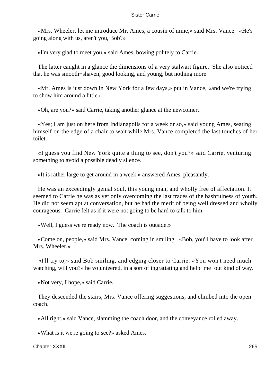«Mrs. Wheeler, let me introduce Mr. Ames, a cousin of mine,» said Mrs. Vance. «He's going along with us, aren't you, Bob?»

«I'm very glad to meet you,» said Ames, bowing politely to Carrie.

 The latter caught in a glance the dimensions of a very stalwart figure. She also noticed that he was smooth−shaven, good looking, and young, but nothing more.

 «Mr. Ames is just down in New York for a few days,» put in Vance, «and we're trying to show him around a little.»

«Oh, are you?» said Carrie, taking another glance at the newcomer.

 «Yes; I am just on here from Indianapolis for a week or so,» said young Ames, seating himself on the edge of a chair to wait while Mrs. Vance completed the last touches of her toilet.

 «I guess you find New York quite a thing to see, don't you?» said Carrie, venturing something to avoid a possible deadly silence.

«It is rather large to get around in a week,» answered Ames, pleasantly.

 He was an exceedingly genial soul, this young man, and wholly free of affectation. It seemed to Carrie he was as yet only overcoming the last traces of the bashfulness of youth. He did not seem apt at conversation, but he had the merit of being well dressed and wholly courageous. Carrie felt as if it were not going to be hard to talk to him.

«Well, I guess we're ready now. The coach is outside.»

 «Come on, people,» said Mrs. Vance, coming in smiling. «Bob, you'll have to look after Mrs. Wheeler.»

 «I'll try to,» said Bob smiling, and edging closer to Carrie. «You won't need much watching, will you?» he volunteered, in a sort of ingratiating and help−me−out kind of way.

«Not very, I hope,» said Carrie.

 They descended the stairs, Mrs. Vance offering suggestions, and climbed into the open coach.

«All right,» said Vance, slamming the coach door, and the conveyance rolled away.

«What is it we're going to see?» asked Ames.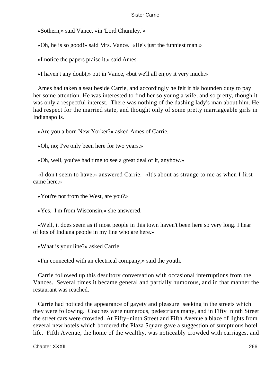«Sothern,» said Vance, «in 'Lord Chumley.'»

«Oh, he is so good!» said Mrs. Vance. «He's just the funniest man.»

«I notice the papers praise it,» said Ames.

«I haven't any doubt,» put in Vance, «but we'll all enjoy it very much.»

 Ames had taken a seat beside Carrie, and accordingly he felt it his bounden duty to pay her some attention. He was interested to find her so young a wife, and so pretty, though it was only a respectful interest. There was nothing of the dashing lady's man about him. He had respect for the married state, and thought only of some pretty marriageable girls in Indianapolis.

«Are you a born New Yorker?» asked Ames of Carrie.

«Oh, no; I've only been here for two years.»

«Oh, well, you've had time to see a great deal of it, anyhow.»

 «I don't seem to have,» answered Carrie. «It's about as strange to me as when I first came here.»

«You're not from the West, are you?»

«Yes. I'm from Wisconsin,» she answered.

 «Well, it does seem as if most people in this town haven't been here so very long. I hear of lots of Indiana people in my line who are here.»

«What is your line?» asked Carrie.

«I'm connected with an electrical company,» said the youth.

 Carrie followed up this desultory conversation with occasional interruptions from the Vances. Several times it became general and partially humorous, and in that manner the restaurant was reached.

 Carrie had noticed the appearance of gayety and pleasure−seeking in the streets which they were following. Coaches were numerous, pedestrians many, and in Fifty−ninth Street the street cars were crowded. At Fifty−ninth Street and Fifth Avenue a blaze of lights from several new hotels which bordered the Plaza Square gave a suggestion of sumptuous hotel life. Fifth Avenue, the home of the wealthy, was noticeably crowded with carriages, and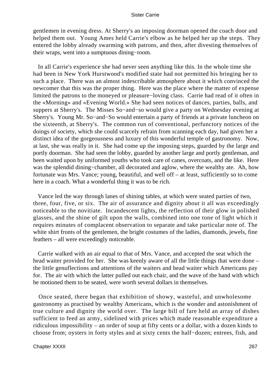gentlemen in evening dress. At Sherry's an imposing doorman opened the coach door and helped them out. Young Ames held Carrie's elbow as he helped her up the steps. They entered the lobby already swarming with patrons, and then, after divesting themselves of their wraps, went into a sumptuous dining−room.

 In all Carrie's experience she had never seen anything like this. In the whole time she had been in New York Hurstwood's modified state had not permitted his bringing her to such a place. There was an almost indescribable atmosphere about it which convinced the newcomer that this was the proper thing. Here was the place where the matter of expense limited the patrons to the moneyed or pleasure−loving class. Carrie had read of it often in the «Morning» and «Evening World.» She had seen notices of dances, parties, balls, and suppers at Sherry's. The Misses So−and−so would give a party on Wednesday evening at Sherry's. Young Mr. So−and−So would entertain a party of friends at a private luncheon on the sixteenth, at Sherry's. The common run of conventional, perfunctory notices of the doings of society, which she could scarcely refrain from scanning each day, had given her a distinct idea of the gorgeousness and luxury of this wonderful temple of gastronomy. Now, at last, she was really in it. She had come up the imposing steps, guarded by the large and portly doorman. She had seen the lobby, guarded by another large and portly gentleman, and been waited upon by uniformed youths who took care of canes, overcoats, and the like. Here was the splendid dining−chamber, all decorated and aglow, where the wealthy ate. Ah, how fortunate was Mrs. Vance; young, beautiful, and well off – at least, sufficiently so to come here in a coach. What a wonderful thing it was to be rich.

 Vance led the way through lanes of shining tables, at which were seated parties of two, three, four, five, or six. The air of assurance and dignity about it all was exceedingly noticeable to the novitiate. Incandescent lights, the reflection of their glow in polished glasses, and the shine of gilt upon the walls, combined into one tone of light which it requires minutes of complacent observation to separate and take particular note of. The white shirt fronts of the gentlemen, the bright costumes of the ladies, diamonds, jewels, fine feathers – all were exceedingly noticeable.

 Carrie walked with an air equal to that of Mrs. Vance, and accepted the seat which the head waiter provided for her. She was keenly aware of all the little things that were done – the little genuflections and attentions of the waiters and head waiter which Americans pay for. The air with which the latter pulled out each chair, and the wave of the hand with which he motioned them to be seated, were worth several dollars in themselves.

 Once seated, there began that exhibition of showy, wasteful, and unwholesome gastronomy as practised by wealthy Americans, which is the wonder and astonishment of true culture and dignity the world over. The large bill of fare held an array of dishes sufficient to feed an army, sidelined with prices which made reasonable expenditure a ridiculous impossibility – an order of soup at fifty cents or a dollar, with a dozen kinds to choose from; oysters in forty styles and at sixty cents the half−dozen; entrees, fish, and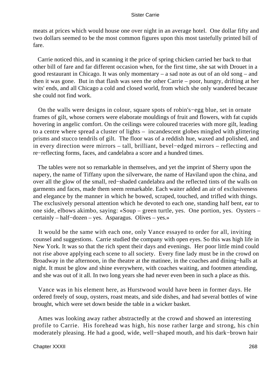meats at prices which would house one over night in an average hotel. One dollar fifty and two dollars seemed to be the most common figures upon this most tastefully printed bill of fare.

 Carrie noticed this, and in scanning it the price of spring chicken carried her back to that other bill of fare and far different occasion when, for the first time, she sat with Drouet in a good restaurant in Chicago. It was only momentary – a sad note as out of an old song – and then it was gone. But in that flash was seen the other Carrie – poor, hungry, drifting at her wits' ends, and all Chicago a cold and closed world, from which she only wandered because she could not find work.

 On the walls were designs in colour, square spots of robin's−egg blue, set in ornate frames of gilt, whose corners were elaborate mouldings of fruit and flowers, with fat cupids hovering in angelic comfort. On the ceilings were coloured traceries with more gilt, leading to a centre where spread a cluster of lights – incandescent globes mingled with glittering prisms and stucco tendrils of gilt. The floor was of a reddish hue, waxed and polished, and in every direction were mirrors – tall, brilliant, bevel−edged mirrors – reflecting and re−reflecting forms, faces, and candelabra a score and a hundred times.

 The tables were not so remarkable in themselves, and yet the imprint of Sherry upon the napery, the name of Tiffany upon the silverware, the name of Haviland upon the china, and over all the glow of the small, red−shaded candelabra and the reflected tints of the walls on garments and faces, made them seem remarkable. Each waiter added an air of exclusiveness and elegance by the manner in which he bowed, scraped, touched, and trifled with things. The exclusively personal attention which he devoted to each one, standing half bent, ear to one side, elbows akimbo, saying: «Soup – green turtle, yes. One portion, yes. Oysters – certainly – half−dozen – yes. Asparagus. Olives – yes.»

 It would be the same with each one, only Vance essayed to order for all, inviting counsel and suggestions. Carrie studied the company with open eyes. So this was high life in New York. It was so that the rich spent their days and evenings. Her poor little mind could not rise above applying each scene to all society. Every fine lady must be in the crowd on Broadway in the afternoon, in the theatre at the matinee, in the coaches and dining−halls at night. It must be glow and shine everywhere, with coaches waiting, and footmen attending, and she was out of it all. In two long years she had never even been in such a place as this.

 Vance was in his element here, as Hurstwood would have been in former days. He ordered freely of soup, oysters, roast meats, and side dishes, and had several bottles of wine brought, which were set down beside the table in a wicker basket.

 Ames was looking away rather abstractedly at the crowd and showed an interesting profile to Carrie. His forehead was high, his nose rather large and strong, his chin moderately pleasing. He had a good, wide, well−shaped mouth, and his dark−brown hair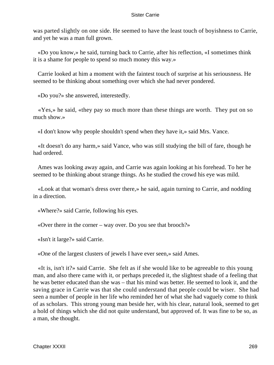was parted slightly on one side. He seemed to have the least touch of boyishness to Carrie, and yet he was a man full grown.

 «Do you know,» he said, turning back to Carrie, after his reflection, «I sometimes think it is a shame for people to spend so much money this way.»

 Carrie looked at him a moment with the faintest touch of surprise at his seriousness. He seemed to be thinking about something over which she had never pondered.

«Do you?» she answered, interestedly.

 «Yes,» he said, «they pay so much more than these things are worth. They put on so much show.»

«I don't know why people shouldn't spend when they have it,» said Mrs. Vance.

 «It doesn't do any harm,» said Vance, who was still studying the bill of fare, though he had ordered.

 Ames was looking away again, and Carrie was again looking at his forehead. To her he seemed to be thinking about strange things. As he studied the crowd his eye was mild.

 «Look at that woman's dress over there,» he said, again turning to Carrie, and nodding in a direction.

«Where?» said Carrie, following his eyes.

«Over there in the corner – way over. Do you see that brooch?»

«Isn't it large?» said Carrie.

«One of the largest clusters of jewels I have ever seen,» said Ames.

 «It is, isn't it?» said Carrie. She felt as if she would like to be agreeable to this young man, and also there came with it, or perhaps preceded it, the slightest shade of a feeling that he was better educated than she was – that his mind was better. He seemed to look it, and the saving grace in Carrie was that she could understand that people could be wiser. She had seen a number of people in her life who reminded her of what she had vaguely come to think of as scholars. This strong young man beside her, with his clear, natural look, seemed to get a hold of things which she did not quite understand, but approved of. It was fine to be so, as a man, she thought.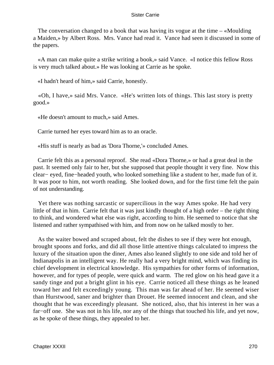The conversation changed to a book that was having its vogue at the time – «Moulding a Maiden,» by Albert Ross. Mrs. Vance had read it. Vance had seen it discussed in some of the papers.

 «A man can make quite a strike writing a book,» said Vance. «I notice this fellow Ross is very much talked about.» He was looking at Carrie as he spoke.

«I hadn't heard of him,» said Carrie, honestly.

 «Oh, I have,» said Mrs. Vance. «He's written lots of things. This last story is pretty good.»

«He doesn't amount to much,» said Ames.

Carrie turned her eyes toward him as to an oracle.

«His stuff is nearly as bad as 'Dora Thorne,'» concluded Ames.

 Carrie felt this as a personal reproof. She read «Dora Thorne,» or had a great deal in the past. It seemed only fair to her, but she supposed that people thought it very fine. Now this clear− eyed, fine−headed youth, who looked something like a student to her, made fun of it. It was poor to him, not worth reading. She looked down, and for the first time felt the pain of not understanding.

 Yet there was nothing sarcastic or supercilious in the way Ames spoke. He had very little of that in him. Carrie felt that it was just kindly thought of a high order – the right thing to think, and wondered what else was right, according to him. He seemed to notice that she listened and rather sympathised with him, and from now on he talked mostly to her.

 As the waiter bowed and scraped about, felt the dishes to see if they were hot enough, brought spoons and forks, and did all those little attentive things calculated to impress the luxury of the situation upon the diner, Ames also leaned slightly to one side and told her of Indianapolis in an intelligent way. He really had a very bright mind, which was finding its chief development in electrical knowledge. His sympathies for other forms of information, however, and for types of people, were quick and warm. The red glow on his head gave it a sandy tinge and put a bright glint in his eye. Carrie noticed all these things as he leaned toward her and felt exceedingly young. This man was far ahead of her. He seemed wiser than Hurstwood, saner and brighter than Drouet. He seemed innocent and clean, and she thought that he was exceedingly pleasant. She noticed, also, that his interest in her was a far−off one. She was not in his life, nor any of the things that touched his life, and yet now, as he spoke of these things, they appealed to her.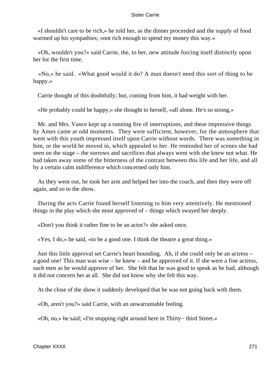«I shouldn't care to be rich,» he told her, as the dinner proceeded and the supply of food warmed up his sympathies; «not rich enough to spend my money this way.»

 «Oh, wouldn't you?» said Carrie, the, to her, new attitude forcing itself distinctly upon her for the first time.

 «No,» he said. «What good would it do? A man doesn't need this sort of thing to be happy.»

Carrie thought of this doubtfully; but, coming from him, it had weight with her.

«He probably could be happy,» she thought to herself, «all alone. He's so strong.»

 Mr. and Mrs. Vance kept up a running fire of interruptions, and these impressive things by Ames came at odd moments. They were sufficient, however, for the atmosphere that went with this youth impressed itself upon Carrie without words. There was something in him, or the world he moved in, which appealed to her. He reminded her of scenes she had seen on the stage – the sorrows and sacrifices that always went with she knew not what. He had taken away some of the bitterness of the contrast between this life and her life, and all by a certain calm indifference which concerned only him.

 As they went out, he took her arm and helped her into the coach, and then they were off again, and so to the show.

 During the acts Carrie found herself listening to him very attentively. He mentioned things in the play which she most approved of – things which swayed her deeply.

«Don't you think it rather fine to be an actor?» she asked once.

«Yes, I do,» he said, «to be a good one. I think the theatre a great thing.»

 Just this little approval set Carrie's heart bounding. Ah, if she could only be an actress – a good one! This man was wise – he knew – and he approved of it. If she were a fine actress, such men as he would approve of her. She felt that he was good to speak as he had, although it did not concern her at all. She did not know why she felt this way.

At the close of the show it suddenly developed that he was not going back with them.

«Oh, aren't you?» said Carrie, with an unwarrantable feeling.

«Oh, no,» he said; «I'm stopping right around here in Thirty− third Street.»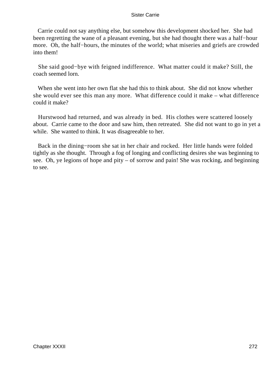Carrie could not say anything else, but somehow this development shocked her. She had been regretting the wane of a pleasant evening, but she had thought there was a half−hour more. Oh, the half−hours, the minutes of the world; what miseries and griefs are crowded into them!

 She said good−bye with feigned indifference. What matter could it make? Still, the coach seemed lorn.

 When she went into her own flat she had this to think about. She did not know whether she would ever see this man any more. What difference could it make – what difference could it make?

 Hurstwood had returned, and was already in bed. His clothes were scattered loosely about. Carrie came to the door and saw him, then retreated. She did not want to go in yet a while. She wanted to think. It was disagreeable to her.

 Back in the dining−room she sat in her chair and rocked. Her little hands were folded tightly as she thought. Through a fog of longing and conflicting desires she was beginning to see. Oh, ye legions of hope and pity – of sorrow and pain! She was rocking, and beginning to see.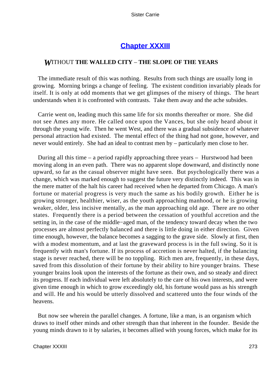# **[Chapter XXXIII](#page-429-0)**

# *W*ITHOUT **THE WALLED CITY** – **THE SLOPE OF THE YEARS**

 The immediate result of this was nothing. Results from such things are usually long in growing. Morning brings a change of feeling. The existent condition invariably pleads for itself. It is only at odd moments that we get glimpses of the misery of things. The heart understands when it is confronted with contrasts. Take them away and the ache subsides.

 Carrie went on, leading much this same life for six months thereafter or more. She did not see Ames any more. He called once upon the Vances, but she only heard about it through the young wife. Then he went West, and there was a gradual subsidence of whatever personal attraction had existed. The mental effect of the thing had not gone, however, and never would entirely. She had an ideal to contrast men by – particularly men close to her.

 During all this time – a period rapidly approaching three years – Hurstwood had been moving along in an even path. There was no apparent slope downward, and distinctly none upward, so far as the casual observer might have seen. But psychologically there was a change, which was marked enough to suggest the future very distinctly indeed. This was in the mere matter of the halt his career had received when he departed from Chicago. A man's fortune or material progress is very much the same as his bodily growth. Either he is growing stronger, healthier, wiser, as the youth approaching manhood, or he is growing weaker, older, less incisive mentally, as the man approaching old age. There are no other states. Frequently there is a period between the cessation of youthful accretion and the setting in, in the case of the middle−aged man, of the tendency toward decay when the two processes are almost perfectly balanced and there is little doing in either direction. Given time enough, however, the balance becomes a sagging to the grave side. Slowly at first, then with a modest momentum, and at last the graveward process is in the full swing. So it is frequently with man's fortune. If its process of accretion is never halted, if the balancing stage is never reached, there will be no toppling. Rich men are, frequently, in these days, saved from this dissolution of their fortune by their ability to hire younger brains. These younger brains look upon the interests of the fortune as their own, and so steady and direct its progress. If each individual were left absolutely to the care of his own interests, and were given time enough in which to grow exceedingly old, his fortune would pass as his strength and will. He and his would be utterly dissolved and scattered unto the four winds of the heavens.

 But now see wherein the parallel changes. A fortune, like a man, is an organism which draws to itself other minds and other strength than that inherent in the founder. Beside the young minds drawn to it by salaries, it becomes allied with young forces, which make for its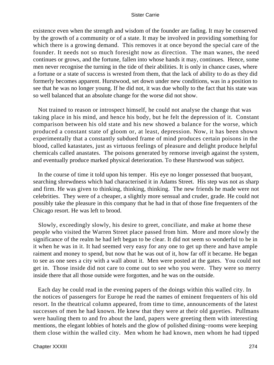existence even when the strength and wisdom of the founder are fading. It may be conserved by the growth of a community or of a state. It may be involved in providing something for which there is a growing demand. This removes it at once beyond the special care of the founder. It needs not so much foresight now as direction. The man wanes, the need continues or grows, and the fortune, fallen into whose hands it may, continues. Hence, some men never recognise the turning in the tide of their abilities. It is only in chance cases, where a fortune or a state of success is wrested from them, that the lack of ability to do as they did formerly becomes apparent. Hurstwood, set down under new conditions, was in a position to see that he was no longer young. If he did not, it was due wholly to the fact that his state was so well balanced that an absolute change for the worse did not show.

 Not trained to reason or introspect himself, he could not analyse the change that was taking place in his mind, and hence his body, but he felt the depression of it. Constant comparison between his old state and his new showed a balance for the worse, which produced a constant state of gloom or, at least, depression. Now, it has been shown experimentally that a constantly subdued frame of mind produces certain poisons in the blood, called katastates, just as virtuous feelings of pleasure and delight produce helpful chemicals called anastates. The poisons generated by remorse inveigh against the system, and eventually produce marked physical deterioration. To these Hurstwood was subject.

 In the course of time it told upon his temper. His eye no longer possessed that buoyant, searching shrewdness which had characterised it in Adams Street. His step was not as sharp and firm. He was given to thinking, thinking, thinking. The new friends he made were not celebrities. They were of a cheaper, a slightly more sensual and cruder, grade. He could not possibly take the pleasure in this company that he had in that of those fine frequenters of the Chicago resort. He was left to brood.

 Slowly, exceedingly slowly, his desire to greet, conciliate, and make at home these people who visited the Warren Street place passed from him. More and more slowly the significance of the realm he had left began to be clear. It did not seem so wonderful to be in it when he was in it. It had seemed very easy for any one to get up there and have ample raiment and money to spend, but now that he was out of it, how far off it became. He began to see as one sees a city with a wall about it. Men were posted at the gates. You could not get in. Those inside did not care to come out to see who you were. They were so merry inside there that all those outside were forgotten, and he was on the outside.

 Each day he could read in the evening papers of the doings within this walled city. In the notices of passengers for Europe he read the names of eminent frequenters of his old resort. In the theatrical column appeared, from time to time, announcements of the latest successes of men he had known. He knew that they were at their old gayeties. Pullmans were hauling them to and fro about the land, papers were greeting them with interesting mentions, the elegant lobbies of hotels and the glow of polished dining−rooms were keeping them close within the walled city. Men whom he had known, men whom he had tipped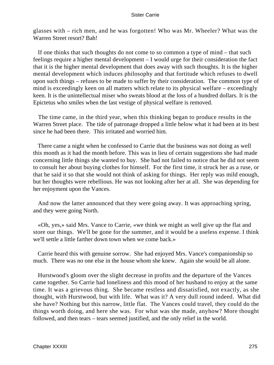glasses with – rich men, and he was forgotten! Who was Mr. Wheeler? What was the Warren Street resort? Bah!

 If one thinks that such thoughts do not come to so common a type of mind – that such feelings require a higher mental development – I would urge for their consideration the fact that it is the higher mental development that does away with such thoughts. It is the higher mental development which induces philosophy and that fortitude which refuses to dwell upon such things – refuses to be made to suffer by their consideration. The common type of mind is exceedingly keen on all matters which relate to its physical welfare – exceedingly keen. It is the unintellectual miser who sweats blood at the loss of a hundred dollars. It is the Epictetus who smiles when the last vestige of physical welfare is removed.

 The time came, in the third year, when this thinking began to produce results in the Warren Street place. The tide of patronage dropped a little below what it had been at its best since he had been there. This irritated and worried him.

 There came a night when he confessed to Carrie that the business was not doing as well this month as it had the month before. This was in lieu of certain suggestions she had made concerning little things she wanted to buy. She had not failed to notice that he did not seem to consult her about buying clothes for himself. For the first time, it struck her as a ruse, or that he said it so that she would not think of asking for things. Her reply was mild enough, but her thoughts were rebellious. He was not looking after her at all. She was depending for her enjoyment upon the Vances.

 And now the latter announced that they were going away. It was approaching spring, and they were going North.

 «Oh, yes,» said Mrs. Vance to Carrie, «we think we might as well give up the flat and store our things. We'll be gone for the summer, and it would be a useless expense. I think we'll settle a little farther down town when we come back.»

 Carrie heard this with genuine sorrow. She had enjoyed Mrs. Vance's companionship so much. There was no one else in the house whom she knew. Again she would be all alone.

 Hurstwood's gloom over the slight decrease in profits and the departure of the Vances came together. So Carrie had loneliness and this mood of her husband to enjoy at the same time. It was a grievous thing. She became restless and dissatisfied, not exactly, as she thought, with Hurstwood, but with life. What was it? A very dull round indeed. What did she have? Nothing but this narrow, little flat. The Vances could travel, they could do the things worth doing, and here she was. For what was she made, anyhow? More thought followed, and then tears – tears seemed justified, and the only relief in the world.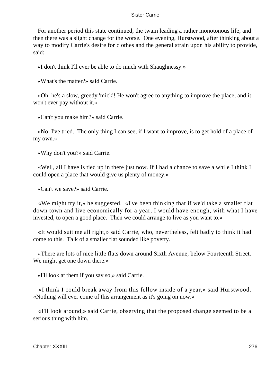For another period this state continued, the twain leading a rather monotonous life, and then there was a slight change for the worse. One evening, Hurstwood, after thinking about a way to modify Carrie's desire for clothes and the general strain upon his ability to provide, said:

«I don't think I'll ever be able to do much with Shaughnessy.»

«What's the matter?» said Carrie.

 «Oh, he's a slow, greedy 'mick'! He won't agree to anything to improve the place, and it won't ever pay without it.»

«Can't you make him?» said Carrie.

 «No; I've tried. The only thing I can see, if I want to improve, is to get hold of a place of my own.»

«Why don't you?» said Carrie.

 «Well, all I have is tied up in there just now. If I had a chance to save a while I think I could open a place that would give us plenty of money.»

«Can't we save?» said Carrie.

 «We might try it,» he suggested. «I've been thinking that if we'd take a smaller flat down town and live economically for a year, I would have enough, with what I have invested, to open a good place. Then we could arrange to live as you want to.»

 «It would suit me all right,» said Carrie, who, nevertheless, felt badly to think it had come to this. Talk of a smaller flat sounded like poverty.

 «There are lots of nice little flats down around Sixth Avenue, below Fourteenth Street. We might get one down there.»

«I'll look at them if you say so,» said Carrie.

 «I think I could break away from this fellow inside of a year,» said Hurstwood. «Nothing will ever come of this arrangement as it's going on now.»

 «I'll look around,» said Carrie, observing that the proposed change seemed to be a serious thing with him.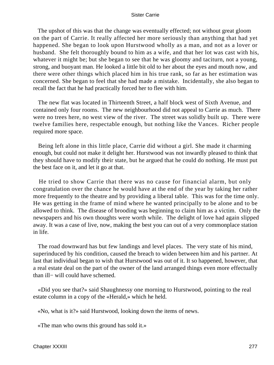The upshot of this was that the change was eventually effected; not without great gloom on the part of Carrie. It really affected her more seriously than anything that had yet happened. She began to look upon Hurstwood wholly as a man, and not as a lover or husband. She felt thoroughly bound to him as a wife, and that her lot was cast with his, whatever it might be; but she began to see that he was gloomy and taciturn, not a young, strong, and buoyant man. He looked a little bit old to her about the eyes and mouth now, and there were other things which placed him in his true rank, so far as her estimation was concerned. She began to feel that she had made a mistake. Incidentally, she also began to recall the fact that he had practically forced her to flee with him.

 The new flat was located in Thirteenth Street, a half block west of Sixth Avenue, and contained only four rooms. The new neighbourhood did not appeal to Carrie as much. There were no trees here, no west view of the river. The street was solidly built up. There were twelve families here, respectable enough, but nothing like the Vances. Richer people required more space.

 Being left alone in this little place, Carrie did without a girl. She made it charming enough, but could not make it delight her. Hurstwood was not inwardly pleased to think that they should have to modify their state, but he argued that he could do nothing. He must put the best face on it, and let it go at that.

 He tried to show Carrie that there was no cause for financial alarm, but only congratulation over the chance he would have at the end of the year by taking her rather more frequently to the theatre and by providing a liberal table. This was for the time only. He was getting in the frame of mind where he wanted principally to be alone and to be allowed to think. The disease of brooding was beginning to claim him as a victim. Only the newspapers and his own thoughts were worth while. The delight of love had again slipped away. It was a case of live, now, making the best you can out of a very commonplace station in life.

 The road downward has but few landings and level places. The very state of his mind, superinduced by his condition, caused the breach to widen between him and his partner. At last that individual began to wish that Hurstwood was out of it. It so happened, however, that a real estate deal on the part of the owner of the land arranged things even more effectually than ill− will could have schemed.

 «Did you see that?» said Shaughnessy one morning to Hurstwood, pointing to the real estate column in a copy of the «Herald,» which he held.

«No, what is it?» said Hurstwood, looking down the items of news.

«The man who owns this ground has sold it.»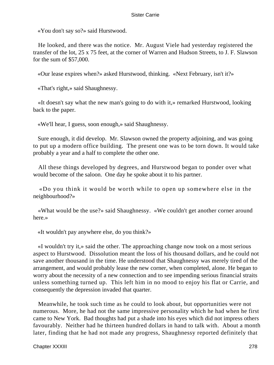«You don't say so?» said Hurstwood.

 He looked, and there was the notice. Mr. August Viele had yesterday registered the transfer of the lot, 25 x 75 feet, at the corner of Warren and Hudson Streets, to J. F. Slawson for the sum of \$57,000.

«Our lease expires when?» asked Hurstwood, thinking. «Next February, isn't it?»

«That's right,» said Shaughnessy.

 «It doesn't say what the new man's going to do with it,» remarked Hurstwood, looking back to the paper.

«We'll hear, I guess, soon enough,» said Shaughnessy.

 Sure enough, it did develop. Mr. Slawson owned the property adjoining, and was going to put up a modern office building. The present one was to be torn down. It would take probably a year and a half to complete the other one.

 All these things developed by degrees, and Hurstwood began to ponder over what would become of the saloon. One day he spoke about it to his partner.

 «Do you think it would be worth while to open up somewhere else in the neighbourhood?»

 «What would be the use?» said Shaughnessy. «We couldn't get another corner around here.»

«It wouldn't pay anywhere else, do you think?»

 «I wouldn't try it,» said the other. The approaching change now took on a most serious aspect to Hurstwood. Dissolution meant the loss of his thousand dollars, and he could not save another thousand in the time. He understood that Shaughnessy was merely tired of the arrangement, and would probably lease the new corner, when completed, alone. He began to worry about the necessity of a new connection and to see impending serious financial straits unless something turned up. This left him in no mood to enjoy his flat or Carrie, and consequently the depression invaded that quarter.

 Meanwhile, he took such time as he could to look about, but opportunities were not numerous. More, he had not the same impressive personality which he had when he first came to New York. Bad thoughts had put a shade into his eyes which did not impress others favourably. Neither had he thirteen hundred dollars in hand to talk with. About a month later, finding that he had not made any progress, Shaughnessy reported definitely that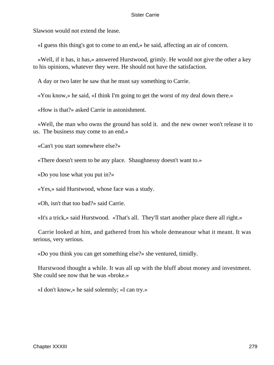Slawson would not extend the lease.

«I guess this thing's got to come to an end,» he said, affecting an air of concern.

 «Well, if it has, it has,» answered Hurstwood, grimly. He would not give the other a key to his opinions, whatever they were. He should not have the satisfaction.

A day or two later he saw that he must say something to Carrie.

«You know,» he said, «I think I'm going to get the worst of my deal down there.»

«How is that?» asked Carrie in astonishment.

 «Well, the man who owns the ground has sold it. and the new owner won't release it to us. The business may come to an end.»

«Can't you start somewhere else?»

«There doesn't seem to be any place. Shaughnessy doesn't want to.»

«Do you lose what you put in?»

«Yes,» said Hurstwood, whose face was a study.

«Oh, isn't that too bad?» said Carrie.

«It's a trick,» said Hurstwood. «That's all. They'll start another place there all right.»

 Carrie looked at him, and gathered from his whole demeanour what it meant. It was serious, very serious.

«Do you think you can get something else?» she ventured, timidly.

 Hurstwood thought a while. It was all up with the bluff about money and investment. She could see now that he was «broke.»

«I don't know,» he said solemnly; «I can try.»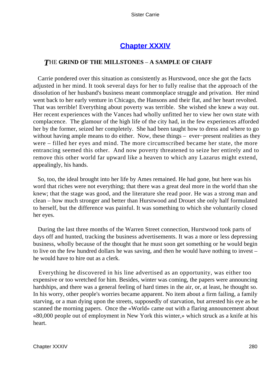# **[Chapter XXXIV](#page-429-0)**

# *T*HE **GRIND OF THE MILLSTONES** – **A SAMPLE OF CHAFF**

 Carrie pondered over this situation as consistently as Hurstwood, once she got the facts adjusted in her mind. It took several days for her to fully realise that the approach of the dissolution of her husband's business meant commonplace struggle and privation. Her mind went back to her early venture in Chicago, the Hansons and their flat, and her heart revolted. That was terrible! Everything about poverty was terrible. She wished she knew a way out. Her recent experiences with the Vances had wholly unfitted her to view her own state with complacence. The glamour of the high life of the city had, in the few experiences afforded her by the former, seized her completely. She had been taught how to dress and where to go without having ample means to do either. Now, these things – ever−present realities as they were – filled her eyes and mind. The more circumscribed became her state, the more entrancing seemed this other. And now poverty threatened to seize her entirely and to remove this other world far upward like a heaven to which any Lazarus might extend, appealingly, his hands.

 So, too, the ideal brought into her life by Ames remained. He had gone, but here was his word that riches were not everything; that there was a great deal more in the world than she knew; that the stage was good, and the literature she read poor. He was a strong man and clean – how much stronger and better than Hurstwood and Drouet she only half formulated to herself, but the difference was painful. It was something to which she voluntarily closed her eyes.

 During the last three months of the Warren Street connection, Hurstwood took parts of days off and hunted, tracking the business advertisements. It was a more or less depressing business, wholly because of the thought that he must soon get something or he would begin to live on the few hundred dollars he was saving, and then he would have nothing to invest – he would have to hire out as a clerk.

 Everything he discovered in his line advertised as an opportunity, was either too expensive or too wretched for him. Besides, winter was coming, the papers were announcing hardships, and there was a general feeling of hard times in the air, or, at least, he thought so. In his worry, other people's worries became apparent. No item about a firm failing, a family starving, or a man dying upon the streets, supposedly of starvation, but arrested his eye as he scanned the morning papers. Once the «World» came out with a flaring announcement about «80,000 people out of employment in New York this winter,» which struck as a knife at his heart.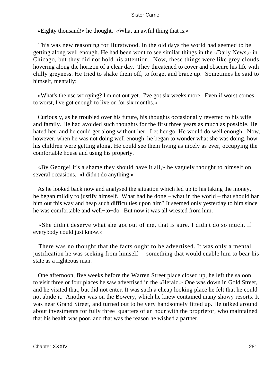«Eighty thousand!» he thought. «What an awful thing that is.»

 This was new reasoning for Hurstwood. In the old days the world had seemed to be getting along well enough. He had been wont to see similar things in the «Daily News,» in Chicago, but they did not hold his attention. Now, these things were like grey clouds hovering along the horizon of a clear day. They threatened to cover and obscure his life with chilly greyness. He tried to shake them off, to forget and brace up. Sometimes he said to himself, mentally:

 «What's the use worrying? I'm not out yet. I've got six weeks more. Even if worst comes to worst, I've got enough to live on for six months.»

 Curiously, as he troubled over his future, his thoughts occasionally reverted to his wife and family. He had avoided such thoughts for the first three years as much as possible. He hated her, and he could get along without her. Let her go. He would do well enough. Now, however, when he was not doing well enough, he began to wonder what she was doing, how his children were getting along. He could see them living as nicely as ever, occupying the comfortable house and using his property.

 «By George! it's a shame they should have it all,» he vaguely thought to himself on several occasions. «I didn't do anything.»

 As he looked back now and analysed the situation which led up to his taking the money, he began mildly to justify himself. What had he done – what in the world – that should bar him out this way and heap such difficulties upon him? It seemed only yesterday to him since he was comfortable and well−to−do. But now it was all wrested from him.

 «She didn't deserve what she got out of me, that is sure. I didn't do so much, if everybody could just know.»

 There was no thought that the facts ought to be advertised. It was only a mental justification he was seeking from himself – something that would enable him to bear his state as a righteous man.

 One afternoon, five weeks before the Warren Street place closed up, he left the saloon to visit three or four places he saw advertised in the «Herald.» One was down in Gold Street, and he visited that, but did not enter. It was such a cheap looking place he felt that he could not abide it. Another was on the Bowery, which he knew contained many showy resorts. It was near Grand Street, and turned out to be very handsomely fitted up. He talked around about investments for fully three−quarters of an hour with the proprietor, who maintained that his health was poor, and that was the reason he wished a partner.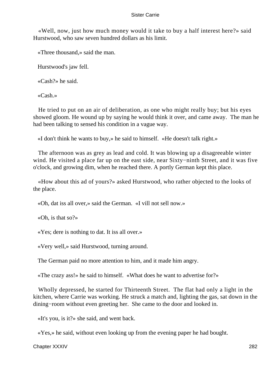«Well, now, just how much money would it take to buy a half interest here?» said Hurstwood, who saw seven hundred dollars as his limit.

«Three thousand,» said the man.

Hurstwood's jaw fell.

«Cash?» he said.

«Cash.»

 He tried to put on an air of deliberation, as one who might really buy; but his eyes showed gloom. He wound up by saying he would think it over, and came away. The man he had been talking to sensed his condition in a vague way.

«I don't think he wants to buy,» he said to himself. «He doesn't talk right.»

 The afternoon was as grey as lead and cold. It was blowing up a disagreeable winter wind. He visited a place far up on the east side, near Sixty−ninth Street, and it was five o'clock, and growing dim, when he reached there. A portly German kept this place.

 «How about this ad of yours?» asked Hurstwood, who rather objected to the looks of the place.

«Oh, dat iss all over,» said the German. «I vill not sell now.»

«Oh, is that so?»

«Yes; dere is nothing to dat. It iss all over.»

«Very well,» said Hurstwood, turning around.

The German paid no more attention to him, and it made him angry.

«The crazy ass!» he said to himself. «What does he want to advertise for?»

 Wholly depressed, he started for Thirteenth Street. The flat had only a light in the kitchen, where Carrie was working. He struck a match and, lighting the gas, sat down in the dining−room without even greeting her. She came to the door and looked in.

«It's you, is it?» she said, and went back.

«Yes,» he said, without even looking up from the evening paper he had bought.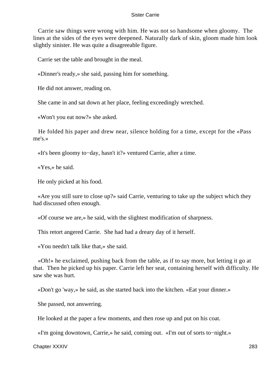Carrie saw things were wrong with him. He was not so handsome when gloomy. The lines at the sides of the eyes were deepened. Naturally dark of skin, gloom made him look slightly sinister. He was quite a disagreeable figure.

Carrie set the table and brought in the meal.

«Dinner's ready,» she said, passing him for something.

He did not answer, reading on.

She came in and sat down at her place, feeling exceedingly wretched.

«Won't you eat now?» she asked.

 He folded his paper and drew near, silence holding for a time, except for the «Pass me's.»

«It's been gloomy to−day, hasn't it?» ventured Carrie, after a time.

«Yes,» he said.

He only picked at his food.

 «Are you still sure to close up?» said Carrie, venturing to take up the subject which they had discussed often enough.

«Of course we are,» he said, with the slightest modification of sharpness.

This retort angered Carrie. She had had a dreary day of it herself.

«You needn't talk like that,» she said.

 «Oh!» he exclaimed, pushing back from the table, as if to say more, but letting it go at that. Then he picked up his paper. Carrie left her seat, containing herself with difficulty. He saw she was hurt.

«Don't go 'way,» he said, as she started back into the kitchen. «Eat your dinner.»

She passed, not answering.

He looked at the paper a few moments, and then rose up and put on his coat.

«I'm going downtown, Carrie,» he said, coming out. «I'm out of sorts to−night.»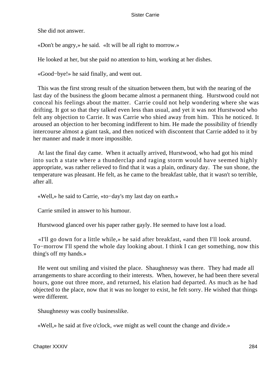She did not answer.

«Don't be angry,» he said. «It will be all right to morrow.»

He looked at her, but she paid no attention to him, working at her dishes.

«Good−bye!» he said finally, and went out.

 This was the first strong result of the situation between them, but with the nearing of the last day of the business the gloom became almost a permanent thing. Hurstwood could not conceal his feelings about the matter. Carrie could not help wondering where she was drifting. It got so that they talked even less than usual, and yet it was not Hurstwood who felt any objection to Carrie. It was Carrie who shied away from him. This he noticed. It aroused an objection to her becoming indifferent to him. He made the possibility of friendly intercourse almost a giant task, and then noticed with discontent that Carrie added to it by her manner and made it more impossible.

 At last the final day came. When it actually arrived, Hurstwood, who had got his mind into such a state where a thunderclap and raging storm would have seemed highly appropriate, was rather relieved to find that it was a plain, ordinary day. The sun shone, the temperature was pleasant. He felt, as he came to the breakfast table, that it wasn't so terrible, after all.

«Well,» he said to Carrie, «to−day's my last day on earth.»

Carrie smiled in answer to his humour.

Hurstwood glanced over his paper rather gayly. He seemed to have lost a load.

 «I'll go down for a little while,» he said after breakfast, «and then I'll look around. To−morrow I'll spend the whole day looking about. I think I can get something, now this thing's off my hands.»

 He went out smiling and visited the place. Shaughnessy was there. They had made all arrangements to share according to their interests. When, however, he had been there several hours, gone out three more, and returned, his elation had departed. As much as he had objected to the place, now that it was no longer to exist, he felt sorry. He wished that things were different.

Shaughnessy was coolly businesslike.

«Well,» he said at five o'clock, «we might as well count the change and divide.»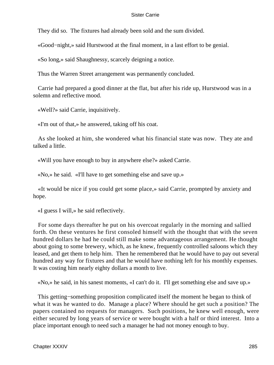They did so. The fixtures had already been sold and the sum divided.

«Good−night,» said Hurstwood at the final moment, in a last effort to be genial.

«So long,» said Shaughnessy, scarcely deigning a notice.

Thus the Warren Street arrangement was permanently concluded.

 Carrie had prepared a good dinner at the flat, but after his ride up, Hurstwood was in a solemn and reflective mood.

«Well?» said Carrie, inquisitively.

«I'm out of that,» he answered, taking off his coat.

 As she looked at him, she wondered what his financial state was now. They ate and talked a little.

«Will you have enough to buy in anywhere else?» asked Carrie.

«No,» he said. «I'll have to get something else and save up.»

 «It would be nice if you could get some place,» said Carrie, prompted by anxiety and hope.

«I guess I will,» he said reflectively.

 For some days thereafter he put on his overcoat regularly in the morning and sallied forth. On these ventures he first consoled himself with the thought that with the seven hundred dollars he had he could still make some advantageous arrangement. He thought about going to some brewery, which, as he knew, frequently controlled saloons which they leased, and get them to help him. Then he remembered that he would have to pay out several hundred any way for fixtures and that he would have nothing left for his monthly expenses. It was costing him nearly eighty dollars a month to live.

«No,» he said, in his sanest moments, «I can't do it. I'll get something else and save up.»

 This getting−something proposition complicated itself the moment he began to think of what it was he wanted to do. Manage a place? Where should he get such a position? The papers contained no requests for managers. Such positions, he knew well enough, were either secured by long years of service or were bought with a half or third interest. Into a place important enough to need such a manager he had not money enough to buy.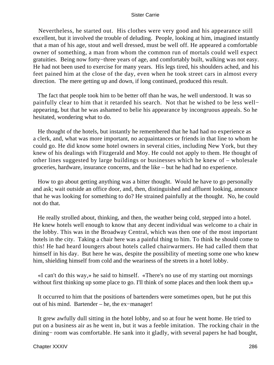Nevertheless, he started out. His clothes were very good and his appearance still excellent, but it involved the trouble of deluding. People, looking at him, imagined instantly that a man of his age, stout and well dressed, must be well off. He appeared a comfortable owner of something, a man from whom the common run of mortals could well expect gratuities. Being now forty−three years of age, and comfortably built, walking was not easy. He had not been used to exercise for many years. His legs tired, his shoulders ached, and his feet pained him at the close of the day, even when he took street cars in almost every direction. The mere getting up and down, if long continued, produced this result.

 The fact that people took him to be better off than he was, he well understood. It was so painfully clear to him that it retarded his search. Not that he wished to be less well− appearing, but that he was ashamed to belie his appearance by incongruous appeals. So he hesitated, wondering what to do.

 He thought of the hotels, but instantly he remembered that he had had no experience as a clerk, and, what was more important, no acquaintances or friends in that line to whom he could go. He did know some hotel owners in several cities, including New York, but they knew of his dealings with Fitzgerald and Moy. He could not apply to them. He thought of other lines suggested by large buildings or businesses which he knew of – wholesale groceries, hardware, insurance concerns, and the like – but he had had no experience.

 How to go about getting anything was a bitter thought. Would he have to go personally and ask; wait outside an office door, and, then, distinguished and affluent looking, announce that he was looking for something to do? He strained painfully at the thought. No, he could not do that.

 He really strolled about, thinking, and then, the weather being cold, stepped into a hotel. He knew hotels well enough to know that any decent individual was welcome to a chair in the lobby. This was in the Broadway Central, which was then one of the most important hotels in the city. Taking a chair here was a painful thing to him. To think he should come to this! He had heard loungers about hotels called chairwarmers. He had called them that himself in his day. But here he was, despite the possibility of meeting some one who knew him, shielding himself from cold and the weariness of the streets in a hotel lobby.

 «I can't do this way,» he said to himself. «There's no use of my starting out mornings without first thinking up some place to go. I'll think of some places and then look them up.»

 It occurred to him that the positions of bartenders were sometimes open, but he put this out of his mind. Bartender – he, the ex−manager!

 It grew awfully dull sitting in the hotel lobby, and so at four he went home. He tried to put on a business air as he went in, but it was a feeble imitation. The rocking chair in the dining− room was comfortable. He sank into it gladly, with several papers he had bought,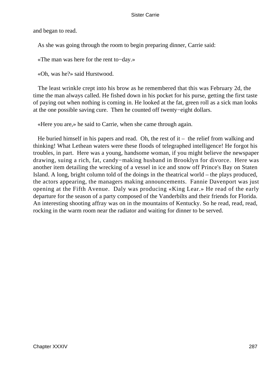and began to read.

As she was going through the room to begin preparing dinner, Carrie said:

«The man was here for the rent to−day.»

«Oh, was he?» said Hurstwood.

 The least wrinkle crept into his brow as he remembered that this was February 2d, the time the man always called. He fished down in his pocket for his purse, getting the first taste of paying out when nothing is coming in. He looked at the fat, green roll as a sick man looks at the one possible saving cure. Then he counted off twenty−eight dollars.

«Here you are,» he said to Carrie, when she came through again.

He buried himself in his papers and read. Oh, the rest of it  $-$  the relief from walking and thinking! What Lethean waters were these floods of telegraphed intelligence! He forgot his troubles, in part. Here was a young, handsome woman, if you might believe the newspaper drawing, suing a rich, fat, candy−making husband in Brooklyn for divorce. Here was another item detailing the wrecking of a vessel in ice and snow off Prince's Bay on Staten Island. A long, bright column told of the doings in the theatrical world – the plays produced, the actors appearing, the managers making announcements. Fannie Davenport was just opening at the Fifth Avenue. Daly was producing «King Lear.» He read of the early departure for the season of a party composed of the Vanderbilts and their friends for Florida. An interesting shooting affray was on in the mountains of Kentucky. So he read, read, read, rocking in the warm room near the radiator and waiting for dinner to be served.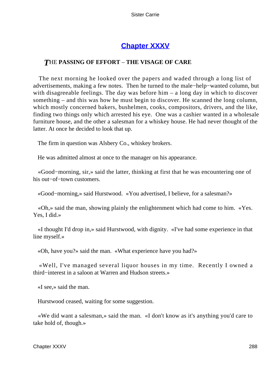## **[Chapter XXXV](#page-429-0)**

### *T*HE **PASSING OF EFFORT** – **THE VISAGE OF CARE**

 The next morning he looked over the papers and waded through a long list of advertisements, making a few notes. Then he turned to the male−help−wanted column, but with disagreeable feelings. The day was before him – a long day in which to discover something – and this was how he must begin to discover. He scanned the long column, which mostly concerned bakers, bushelmen, cooks, compositors, drivers, and the like, finding two things only which arrested his eye. One was a cashier wanted in a wholesale furniture house, and the other a salesman for a whiskey house. He had never thought of the latter. At once he decided to look that up.

The firm in question was Alsbery Co., whiskey brokers.

He was admitted almost at once to the manager on his appearance.

 «Good−morning, sir,» said the latter, thinking at first that he was encountering one of his out−of−town customers.

«Good−morning,» said Hurstwood. «You advertised, I believe, for a salesman?»

 «Oh,» said the man, showing plainly the enlightenment which had come to him. «Yes. Yes, I did.»

 «I thought I'd drop in,» said Hurstwood, with dignity. «I've had some experience in that line myself.»

«Oh, have you?» said the man. «What experience have you had?»

 «Well, I've managed several liquor houses in my time. Recently I owned a third−interest in a saloon at Warren and Hudson streets.»

«I see,» said the man.

Hurstwood ceased, waiting for some suggestion.

 «We did want a salesman,» said the man. «I don't know as it's anything you'd care to take hold of, though.»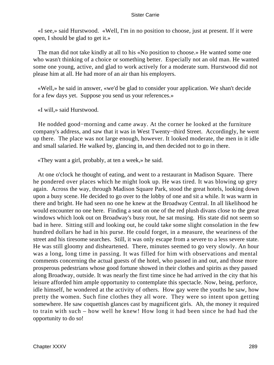«I see,» said Hurstwood. «Well, I'm in no position to choose, just at present. If it were open, I should be glad to get it.»

 The man did not take kindly at all to his «No position to choose.» He wanted some one who wasn't thinking of a choice or something better. Especially not an old man. He wanted some one young, active, and glad to work actively for a moderate sum. Hurstwood did not please him at all. He had more of an air than his employers.

 «Well,» he said in answer, «we'd be glad to consider your application. We shan't decide for a few days yet. Suppose you send us your references.»

«I will,» said Hurstwood.

 He nodded good−morning and came away. At the corner he looked at the furniture company's address, and saw that it was in West Twenty−third Street. Accordingly, he went up there. The place was not large enough, however. It looked moderate, the men in it idle and small salaried. He walked by, glancing in, and then decided not to go in there.

«They want a girl, probably, at ten a week,» he said.

 At one o'clock he thought of eating, and went to a restaurant in Madison Square. There he pondered over places which he might look up. He was tired. It was blowing up grey again. Across the way, through Madison Square Park, stood the great hotels, looking down upon a busy scene. He decided to go over to the lobby of one and sit a while. It was warm in there and bright. He had seen no one he knew at the Broadway Central. In all likelihood he would encounter no one here. Finding a seat on one of the red plush divans close to the great windows which look out on Broadway's busy rout, he sat musing. His state did not seem so bad in here. Sitting still and looking out, he could take some slight consolation in the few hundred dollars he had in his purse. He could forget, in a measure, the weariness of the street and his tiresome searches. Still, it was only escape from a severe to a less severe state. He was still gloomy and disheartened. There, minutes seemed to go very slowly. An hour was a long, long time in passing. It was filled for him with observations and mental comments concerning the actual guests of the hotel, who passed in and out, and those more prosperous pedestrians whose good fortune showed in their clothes and spirits as they passed along Broadway, outside. It was nearly the first time since he had arrived in the city that his leisure afforded him ample opportunity to contemplate this spectacle. Now, being, perforce, idle himself, he wondered at the activity of others. How gay were the youths he saw, how pretty the women. Such fine clothes they all wore. They were so intent upon getting somewhere. He saw coquettish glances cast by magnificent girls. Ah, the money it required to train with such – how well he knew! How long it had been since he had had the opportunity to do so!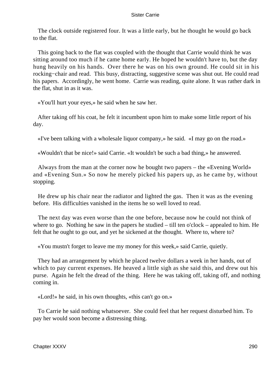The clock outside registered four. It was a little early, but he thought he would go back to the flat.

 This going back to the flat was coupled with the thought that Carrie would think he was sitting around too much if he came home early. He hoped he wouldn't have to, but the day hung heavily on his hands. Over there he was on his own ground. He could sit in his rocking−chair and read. This busy, distracting, suggestive scene was shut out. He could read his papers. Accordingly, he went home. Carrie was reading, quite alone. It was rather dark in the flat, shut in as it was.

«You'll hurt your eyes,» he said when he saw her.

 After taking off his coat, he felt it incumbent upon him to make some little report of his day.

«I've been talking with a wholesale liquor company,» he said. «I may go on the road.»

«Wouldn't that be nice!» said Carrie. «It wouldn't be such a bad thing,» he answered.

 Always from the man at the corner now he bought two papers – the «Evening World» and «Evening Sun.» So now he merely picked his papers up, as he came by, without stopping.

 He drew up his chair near the radiator and lighted the gas. Then it was as the evening before. His difficulties vanished in the items he so well loved to read.

 The next day was even worse than the one before, because now he could not think of where to go. Nothing he saw in the papers he studied – till ten o'clock – appealed to him. He felt that he ought to go out, and yet he sickened at the thought. Where to, where to?

«You mustn't forget to leave me my money for this week,» said Carrie, quietly.

 They had an arrangement by which he placed twelve dollars a week in her hands, out of which to pay current expenses. He heaved a little sigh as she said this, and drew out his purse. Again he felt the dread of the thing. Here he was taking off, taking off, and nothing coming in.

«Lord!» he said, in his own thoughts, «this can't go on.»

 To Carrie he said nothing whatsoever. She could feel that her request disturbed him. To pay her would soon become a distressing thing.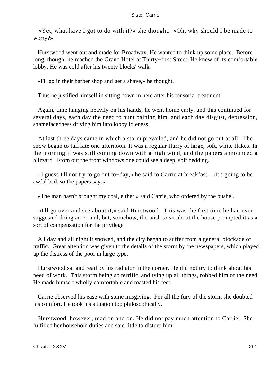«Yet, what have I got to do with it?» she thought. «Oh, why should I be made to worry?»

 Hurstwood went out and made for Broadway. He wanted to think up some place. Before long, though, he reached the Grand Hotel at Thirty−first Street. He knew of its comfortable lobby. He was cold after his twenty blocks' walk.

«I'll go in their barber shop and get a shave,» he thought.

Thus he justified himself in sitting down in here after his tonsorial treatment.

 Again, time hanging heavily on his hands, he went home early, and this continued for several days, each day the need to hunt paining him, and each day disgust, depression, shamefacedness driving him into lobby idleness.

 At last three days came in which a storm prevailed, and he did not go out at all. The snow began to fall late one afternoon. It was a regular flurry of large, soft, white flakes. In the morning it was still coming down with a high wind, and the papers announced a blizzard. From out the front windows one could see a deep, soft bedding.

 «I guess I'll not try to go out to−day,» he said to Carrie at breakfast. «It's going to be awful bad, so the papers say.»

«The man hasn't brought my coal, either,» said Carrie, who ordered by the bushel.

 «I'll go over and see about it,» said Hurstwood. This was the first time he had ever suggested doing an errand, but, somehow, the wish to sit about the house prompted it as a sort of compensation for the privilege.

 All day and all night it snowed, and the city began to suffer from a general blockade of traffic. Great attention was given to the details of the storm by the newspapers, which played up the distress of the poor in large type.

 Hurstwood sat and read by his radiator in the corner. He did not try to think about his need of work. This storm being so terrific, and tying up all things, robbed him of the need. He made himself wholly comfortable and toasted his feet.

 Carrie observed his ease with some misgiving. For all the fury of the storm she doubted his comfort. He took his situation too philosophically.

 Hurstwood, however, read on and on. He did not pay much attention to Carrie. She fulfilled her household duties and said little to disturb him.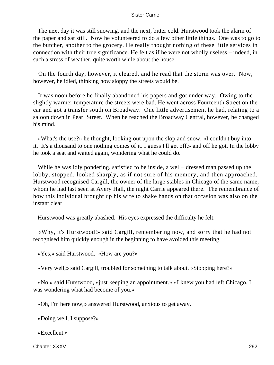The next day it was still snowing, and the next, bitter cold. Hurstwood took the alarm of the paper and sat still. Now he volunteered to do a few other little things. One was to go to the butcher, another to the grocery. He really thought nothing of these little services in connection with their true significance. He felt as if he were not wholly useless – indeed, in such a stress of weather, quite worth while about the house.

 On the fourth day, however, it cleared, and he read that the storm was over. Now, however, he idled, thinking how sloppy the streets would be.

 It was noon before he finally abandoned his papers and got under way. Owing to the slightly warmer temperature the streets were bad. He went across Fourteenth Street on the car and got a transfer south on Broadway. One little advertisement he had, relating to a saloon down in Pearl Street. When he reached the Broadway Central, however, he changed his mind.

 «What's the use?» he thought, looking out upon the slop and snow. «I couldn't buy into it. It's a thousand to one nothing comes of it. I guess I'll get off,» and off he got. In the lobby he took a seat and waited again, wondering what he could do.

 While he was idly pondering, satisfied to be inside, a well− dressed man passed up the lobby, stopped, looked sharply, as if not sure of his memory, and then approached. Hurstwood recognised Cargill, the owner of the large stables in Chicago of the same name, whom he had last seen at Avery Hall, the night Carrie appeared there. The remembrance of how this individual brought up his wife to shake hands on that occasion was also on the instant clear.

Hurstwood was greatly abashed. His eyes expressed the difficulty he felt.

 «Why, it's Hurstwood!» said Cargill, remembering now, and sorry that he had not recognised him quickly enough in the beginning to have avoided this meeting.

«Yes,» said Hurstwood. «How are you?»

«Very well,» said Cargill, troubled for something to talk about. «Stopping here?»

 «No,» said Hurstwood, «just keeping an appointment.» «I knew you had left Chicago. I was wondering what had become of you.»

«Oh, I'm here now,» answered Hurstwood, anxious to get away.

«Doing well, I suppose?»

«Excellent.»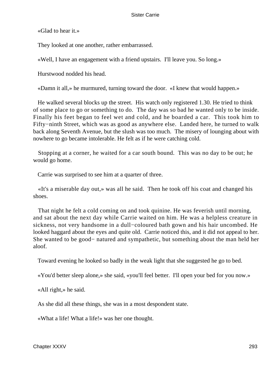«Glad to hear it.»

They looked at one another, rather embarrassed.

«Well, I have an engagement with a friend upstairs. I'll leave you. So long.»

Hurstwood nodded his head.

«Damn it all,» he murmured, turning toward the door. «I knew that would happen.»

 He walked several blocks up the street. His watch only registered 1.30. He tried to think of some place to go or something to do. The day was so bad he wanted only to be inside. Finally his feet began to feel wet and cold, and he boarded a car. This took him to Fifty−ninth Street, which was as good as anywhere else. Landed here, he turned to walk back along Seventh Avenue, but the slush was too much. The misery of lounging about with nowhere to go became intolerable. He felt as if he were catching cold.

 Stopping at a corner, he waited for a car south bound. This was no day to be out; he would go home.

Carrie was surprised to see him at a quarter of three.

 «It's a miserable day out,» was all he said. Then he took off his coat and changed his shoes.

 That night he felt a cold coming on and took quinine. He was feverish until morning, and sat about the next day while Carrie waited on him. He was a helpless creature in sickness, not very handsome in a dull−coloured bath gown and his hair uncombed. He looked haggard about the eyes and quite old. Carrie noticed this, and it did not appeal to her. She wanted to be good− natured and sympathetic, but something about the man held her aloof.

Toward evening he looked so badly in the weak light that she suggested he go to bed.

«You'd better sleep alone,» she said, «you'll feel better. I'll open your bed for you now.»

«All right,» he said.

As she did all these things, she was in a most despondent state.

«What a life! What a life!» was her one thought.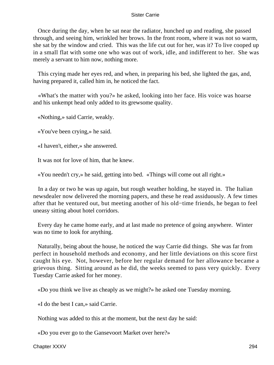Once during the day, when he sat near the radiator, hunched up and reading, she passed through, and seeing him, wrinkled her brows. In the front room, where it was not so warm, she sat by the window and cried. This was the life cut out for her, was it? To live cooped up in a small flat with some one who was out of work, idle, and indifferent to her. She was merely a servant to him now, nothing more.

 This crying made her eyes red, and when, in preparing his bed, she lighted the gas, and, having prepared it, called him in, he noticed the fact.

 «What's the matter with you?» he asked, looking into her face. His voice was hoarse and his unkempt head only added to its grewsome quality.

«Nothing,» said Carrie, weakly.

«You've been crying,» he said.

«I haven't, either,» she answered.

It was not for love of him, that he knew.

«You needn't cry,» he said, getting into bed. «Things will come out all right.»

 In a day or two he was up again, but rough weather holding, he stayed in. The Italian newsdealer now delivered the morning papers, and these he read assiduously. A few times after that he ventured out, but meeting another of his old−time friends, he began to feel uneasy sitting about hotel corridors.

 Every day he came home early, and at last made no pretence of going anywhere. Winter was no time to look for anything.

 Naturally, being about the house, he noticed the way Carrie did things. She was far from perfect in household methods and economy, and her little deviations on this score first caught his eye. Not, however, before her regular demand for her allowance became a grievous thing. Sitting around as he did, the weeks seemed to pass very quickly. Every Tuesday Carrie asked for her money.

«Do you think we live as cheaply as we might?» he asked one Tuesday morning.

«I do the best I can,» said Carrie.

Nothing was added to this at the moment, but the next day he said:

«Do you ever go to the Gansevoort Market over here?»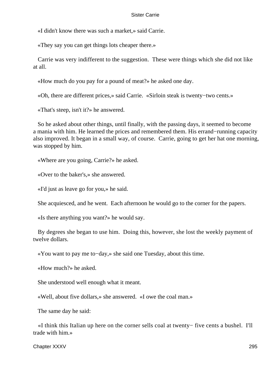«I didn't know there was such a market,» said Carrie.

«They say you can get things lots cheaper there.»

 Carrie was very indifferent to the suggestion. These were things which she did not like at all.

«How much do you pay for a pound of meat?» he asked one day.

«Oh, there are different prices,» said Carrie. «Sirloin steak is twenty−two cents.»

«That's steep, isn't it?» he answered.

 So he asked about other things, until finally, with the passing days, it seemed to become a mania with him. He learned the prices and remembered them. His errand−running capacity also improved. It began in a small way, of course. Carrie, going to get her hat one morning, was stopped by him.

«Where are you going, Carrie?» he asked.

«Over to the baker's,» she answered.

«I'd just as leave go for you,» he said.

She acquiesced, and he went. Each afternoon he would go to the corner for the papers.

«Is there anything you want?» he would say.

 By degrees she began to use him. Doing this, however, she lost the weekly payment of twelve dollars.

«You want to pay me to−day,» she said one Tuesday, about this time.

«How much?» he asked.

She understood well enough what it meant.

«Well, about five dollars,» she answered. «I owe the coal man.»

The same day he said:

 «I think this Italian up here on the corner sells coal at twenty− five cents a bushel. I'll trade with him.»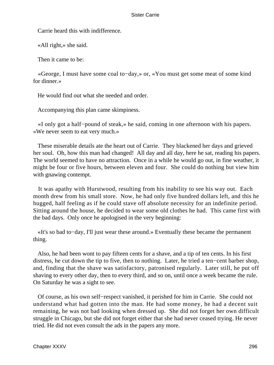Carrie heard this with indifference.

«All right,» she said.

Then it came to be:

 «George, I must have some coal to−day,» or, «You must get some meat of some kind for dinner.»

He would find out what she needed and order.

Accompanying this plan came skimpiness.

 «I only got a half−pound of steak,» he said, coming in one afternoon with his papers. «We never seem to eat very much.»

 These miserable details ate the heart out of Carrie. They blackened her days and grieved her soul. Oh, how this man had changed! All day and all day, here he sat, reading his papers. The world seemed to have no attraction. Once in a while he would go out, in fine weather, it might be four or five hours, between eleven and four. She could do nothing but view him with gnawing contempt.

 It was apathy with Hurstwood, resulting from his inability to see his way out. Each month drew from his small store. Now, he had only five hundred dollars left, and this he hugged, half feeling as if he could stave off absolute necessity for an indefinite period. Sitting around the house, he decided to wear some old clothes he had. This came first with the bad days. Only once he apologised in the very beginning:

 «It's so bad to−day, I'll just wear these around.» Eventually these became the permanent thing.

 Also, he had been wont to pay fifteen cents for a shave, and a tip of ten cents. In his first distress, he cut down the tip to five, then to nothing. Later, he tried a ten−cent barber shop, and, finding that the shave was satisfactory, patronised regularly. Later still, he put off shaving to every other day, then to every third, and so on, until once a week became the rule. On Saturday he was a sight to see.

 Of course, as his own self−respect vanished, it perished for him in Carrie. She could not understand what had gotten into the man. He had some money, he had a decent suit remaining, he was not bad looking when dressed up. She did not forget her own difficult struggle in Chicago, but she did not forget either that she had never ceased trying. He never tried. He did not even consult the ads in the papers any more.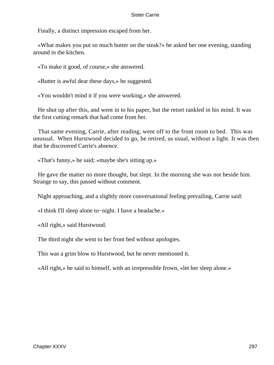Finally, a distinct impression escaped from her.

 «What makes you put so much butter on the steak?» he asked her one evening, standing around in the kitchen.

«To make it good, of course,» she answered.

«Butter is awful dear these days,» he suggested.

«You wouldn't mind it if you were working,» she answered.

 He shut up after this, and went in to his paper, but the retort rankled in his mind. It was the first cutting remark that had come from her.

 That same evening, Carrie, after reading, went off to the front room to bed. This was unusual. When Hurstwood decided to go, he retired, as usual, without a light. It was then that he discovered Carrie's absence.

«That's funny,» he said; «maybe she's sitting up.»

 He gave the matter no more thought, but slept. In the morning she was not beside him. Strange to say, this passed without comment.

Night approaching, and a slightly more conversational feeling prevailing, Carrie said:

«I think I'll sleep alone to−night. I have a headache.»

«All right,» said Hurstwood.

The third night she went to her front bed without apologies.

This was a grim blow to Hurstwood, but he never mentioned it.

«All right,» he said to himself, with an irrepressible frown, «let her sleep alone.»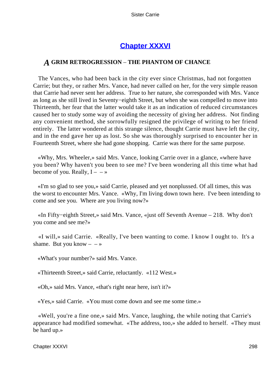## **[Chapter XXXVI](#page-429-0)**

### *A* **GRIM RETROGRESSION** – **THE PHANTOM OF CHANCE**

 The Vances, who had been back in the city ever since Christmas, had not forgotten Carrie; but they, or rather Mrs. Vance, had never called on her, for the very simple reason that Carrie had never sent her address. True to her nature, she corresponded with Mrs. Vance as long as she still lived in Seventy−eighth Street, but when she was compelled to move into Thirteenth, her fear that the latter would take it as an indication of reduced circumstances caused her to study some way of avoiding the necessity of giving her address. Not finding any convenient method, she sorrowfully resigned the privilege of writing to her friend entirely. The latter wondered at this strange silence, thought Carrie must have left the city, and in the end gave her up as lost. So she was thoroughly surprised to encounter her in Fourteenth Street, where she had gone shopping. Carrie was there for the same purpose.

 «Why, Mrs. Wheeler,» said Mrs. Vance, looking Carrie over in a glance, «where have you been? Why haven't you been to see me? I've been wondering all this time what had become of you. Really,  $I - \rightarrow$ 

 «I'm so glad to see you,» said Carrie, pleased and yet nonplussed. Of all times, this was the worst to encounter Mrs. Vance. «Why, I'm living down town here. I've been intending to come and see you. Where are you living now?»

 «In Fifty−eighth Street,» said Mrs. Vance, «just off Seventh Avenue – 218. Why don't you come and see me?»

 «I will,» said Carrie. «Really, I've been wanting to come. I know I ought to. It's a shame. But you know  $- - \infty$ 

«What's your number?» said Mrs. Vance.

«Thirteenth Street,» said Carrie, reluctantly. «112 West.»

«Oh,» said Mrs. Vance, «that's right near here, isn't it?»

«Yes,» said Carrie. «You must come down and see me some time.»

 «Well, you're a fine one,» said Mrs. Vance, laughing, the while noting that Carrie's appearance had modified somewhat. «The address, too,» she added to herself. «They must be hard up.»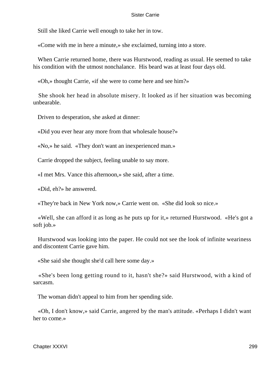Still she liked Carrie well enough to take her in tow.

«Come with me in here a minute,» she exclaimed, turning into a store.

 When Carrie returned home, there was Hurstwood, reading as usual. He seemed to take his condition with the utmost nonchalance. His beard was at least four days old.

«Oh,» thought Carrie, «if she were to come here and see him?»

 She shook her head in absolute misery. It looked as if her situation was becoming unbearable.

Driven to desperation, she asked at dinner:

«Did you ever hear any more from that wholesale house?»

«No,» he said. «They don't want an inexperienced man.»

Carrie dropped the subject, feeling unable to say more.

«I met Mrs. Vance this afternoon,» she said, after a time.

«Did, eh?» he answered.

«They're back in New York now,» Carrie went on. «She did look so nice.»

 «Well, she can afford it as long as he puts up for it,» returned Hurstwood. «He's got a soft job.»

 Hurstwood was looking into the paper. He could not see the look of infinite weariness and discontent Carrie gave him.

«She said she thought she'd call here some day.»

 «She's been long getting round to it, hasn't she?» said Hurstwood, with a kind of sarcasm.

The woman didn't appeal to him from her spending side.

 «Oh, I don't know,» said Carrie, angered by the man's attitude. «Perhaps I didn't want her to come.»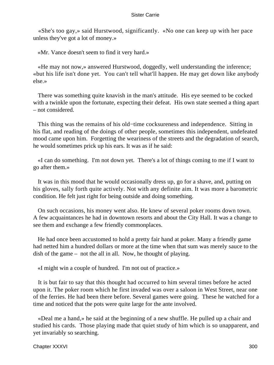«She's too gay,» said Hurstwood, significantly. «No one can keep up with her pace unless they've got a lot of money.»

«Mr. Vance doesn't seem to find it very hard.»

 «He may not now,» answered Hurstwood, doggedly, well understanding the inference; «but his life isn't done yet. You can't tell what'll happen. He may get down like anybody else.»

 There was something quite knavish in the man's attitude. His eye seemed to be cocked with a twinkle upon the fortunate, expecting their defeat. His own state seemed a thing apart – not considered.

 This thing was the remains of his old−time cocksureness and independence. Sitting in his flat, and reading of the doings of other people, sometimes this independent, undefeated mood came upon him. Forgetting the weariness of the streets and the degradation of search, he would sometimes prick up his ears. It was as if he said:

 «I can do something. I'm not down yet. There's a lot of things coming to me if I want to go after them.»

 It was in this mood that he would occasionally dress up, go for a shave, and, putting on his gloves, sally forth quite actively. Not with any definite aim. It was more a barometric condition. He felt just right for being outside and doing something.

 On such occasions, his money went also. He knew of several poker rooms down town. A few acquaintances he had in downtown resorts and about the City Hall. It was a change to see them and exchange a few friendly commonplaces.

 He had once been accustomed to hold a pretty fair hand at poker. Many a friendly game had netted him a hundred dollars or more at the time when that sum was merely sauce to the dish of the game – not the all in all. Now, he thought of playing.

«I might win a couple of hundred. I'm not out of practice.»

 It is but fair to say that this thought had occurred to him several times before he acted upon it. The poker room which he first invaded was over a saloon in West Street, near one of the ferries. He had been there before. Several games were going. These he watched for a time and noticed that the pots were quite large for the ante involved.

 «Deal me a hand,» he said at the beginning of a new shuffle. He pulled up a chair and studied his cards. Those playing made that quiet study of him which is so unapparent, and yet invariably so searching.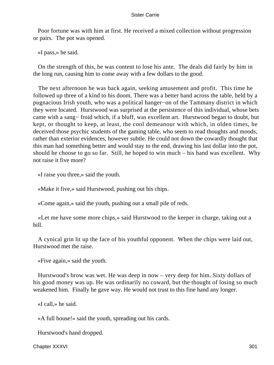Poor fortune was with him at first. He received a mixed collection without progression or pairs. The pot was opened.

«I pass,» he said.

 On the strength of this, he was content to lose his ante. The deals did fairly by him in the long run, causing him to come away with a few dollars to the good.

 The next afternoon he was back again, seeking amusement and profit. This time he followed up three of a kind to his doom. There was a better hand across the table, held by a pugnacious Irish youth, who was a political hanger−on of the Tammany district in which they were located. Hurstwood was surprised at the persistence of this individual, whose bets came with a sang− froid which, if a bluff, was excellent art. Hurstwood began to doubt, but kept, or thought to keep, at least, the cool demeanour with which, in olden times, he deceived those psychic students of the gaming table, who seem to read thoughts and moods, rather than exterior evidences, however subtle. He could not down the cowardly thought that this man had something better and would stay to the end, drawing his last dollar into the pot, should he choose to go so far. Still, he hoped to win much – his hand was excellent. Why not raise it five more?

«I raise you three,» said the youth.

«Make it five,» said Hurstwood, pushing out his chips.

«Come again,» said the youth, pushing out a small pile of reds.

 «Let me have some more chips,» said Hurstwood to the keeper in charge, taking out a bill.

 A cynical grin lit up the face of his youthful opponent. When the chips were laid out, Hurstwood met the raise.

«Five again,» said the youth.

 Hurstwood's brow was wet. He was deep in now – very deep for him. Sixty dollars of his good money was up. He was ordinarily no coward, but the thought of losing so much weakened him. Finally he gave way. He would not trust to this fine hand any longer.

«I call,» he said.

«A full house!» said the youth, spreading out his cards.

Hurstwood's hand dropped.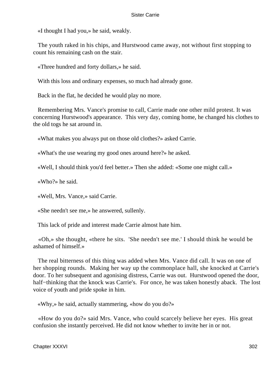«I thought I had you,» he said, weakly.

 The youth raked in his chips, and Hurstwood came away, not without first stopping to count his remaining cash on the stair.

«Three hundred and forty dollars,» he said.

With this loss and ordinary expenses, so much had already gone.

Back in the flat, he decided he would play no more.

 Remembering Mrs. Vance's promise to call, Carrie made one other mild protest. It was concerning Hurstwood's appearance. This very day, coming home, he changed his clothes to the old togs he sat around in.

«What makes you always put on those old clothes?» asked Carrie.

«What's the use wearing my good ones around here?» he asked.

«Well, I should think you'd feel better.» Then she added: «Some one might call.»

«Who?» he said.

«Well, Mrs. Vance,» said Carrie.

«She needn't see me,» he answered, sullenly.

This lack of pride and interest made Carrie almost hate him.

 «Oh,» she thought, «there he sits. 'She needn't see me.' I should think he would be ashamed of himself.»

 The real bitterness of this thing was added when Mrs. Vance did call. It was on one of her shopping rounds. Making her way up the commonplace hall, she knocked at Carrie's door. To her subsequent and agonising distress, Carrie was out. Hurstwood opened the door, half−thinking that the knock was Carrie's. For once, he was taken honestly aback. The lost voice of youth and pride spoke in him.

«Why,» he said, actually stammering, «how do you do?»

 «How do you do?» said Mrs. Vance, who could scarcely believe her eyes. His great confusion she instantly perceived. He did not know whether to invite her in or not.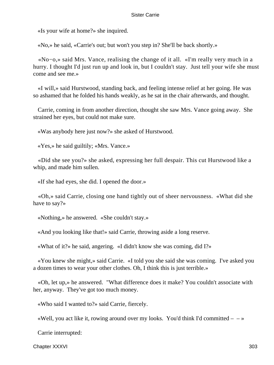«Is your wife at home?» she inquired.

«No,» he said, «Carrie's out; but won't you step in? She'll be back shortly.»

 «No−o,» said Mrs. Vance, realising the change of it all. «I'm really very much in a hurry. I thought I'd just run up and look in, but I couldn't stay. Just tell your wife she must come and see me.»

 «I will,» said Hurstwood, standing back, and feeling intense relief at her going. He was so ashamed that he folded his hands weakly, as he sat in the chair afterwards, and thought.

 Carrie, coming in from another direction, thought she saw Mrs. Vance going away. She strained her eyes, but could not make sure.

«Was anybody here just now?» she asked of Hurstwood.

«Yes,» he said guiltily; «Mrs. Vance.»

 «Did she see you?» she asked, expressing her full despair. This cut Hurstwood like a whip, and made him sullen.

«If she had eyes, she did. I opened the door.»

 «Oh,» said Carrie, closing one hand tightly out of sheer nervousness. «What did she have to say?»

«Nothing,» he answered. «She couldn't stay.»

«And you looking like that!» said Carrie, throwing aside a long reserve.

«What of it?» he said, angering. «I didn't know she was coming, did I?»

 «You knew she might,» said Carrie. «I told you she said she was coming. I've asked you a dozen times to wear your other clothes. Oh, I think this is just terrible.»

 «Oh, let up,» he answered. "What difference does it make? You couldn't associate with her, anyway. They've got too much money.

«Who said I wanted to?» said Carrie, fiercely.

«Well, you act like it, rowing around over my looks. You'd think I'd committed  $- \rightarrow \infty$ 

Carrie interrupted: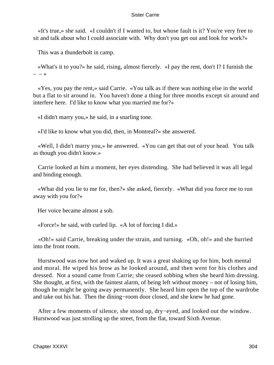«It's true,» she said. «I couldn't if I wanted to, but whose fault is it? You're very free to sit and talk about who I could associate with. Why don't you get out and look for work?»

This was a thunderbolt in camp.

 «What's it to you?» he said, rising, almost fiercely. «I pay the rent, don't I? I furnish the  $- - \lambda$ 

 «Yes, you pay the rent,» said Carrie. «You talk as if there was nothing else in the world but a flat to sit around in. You haven't done a thing for three months except sit around and interfere here. I'd like to know what you married me for?»

«I didn't marry you,» he said, in a snarling tone.

«I'd like to know what you did, then, in Montreal?» she answered.

 «Well, I didn't marry you,» he answered. «You can get that out of your head. You talk as though you didn't know.»

 Carrie looked at him a moment, her eyes distending. She had believed it was all legal and binding enough.

 «What did you lie to me for, then?» she asked, fiercely. «What did you force me to run away with you for?»

Her voice became almost a sob.

«Force!» he said, with curled lip. «A lot of forcing I did.»

 «Oh!» said Carrie, breaking under the strain, and turning. «Oh, oh!» and she hurried into the front room.

 Hurstwood was now hot and waked up. It was a great shaking up for him, both mental and moral. He wiped his brow as he looked around, and then went for his clothes and dressed. Not a sound came from Carrie; she ceased sobbing when she heard him dressing. She thought, at first, with the faintest alarm, of being left without money – not of losing him, though he might be going away permanently. She heard him open the top of the wardrobe and take out his hat. Then the dining−room door closed, and she knew he had gone.

 After a few moments of silence, she stood up, dry−eyed, and looked out the window. Hurstwood was just strolling up the street, from the flat, toward Sixth Avenue.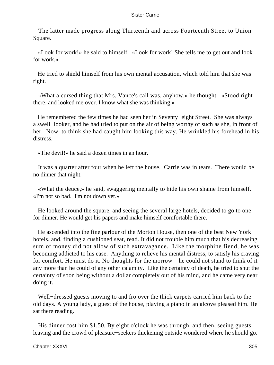The latter made progress along Thirteenth and across Fourteenth Street to Union Square.

 «Look for work!» he said to himself. «Look for work! She tells me to get out and look for work.»

 He tried to shield himself from his own mental accusation, which told him that she was right.

 «What a cursed thing that Mrs. Vance's call was, anyhow,» he thought. «Stood right there, and looked me over. I know what she was thinking.»

 He remembered the few times he had seen her in Seventy−eight Street. She was always a swell−looker, and he had tried to put on the air of being worthy of such as she, in front of her. Now, to think she had caught him looking this way. He wrinkled his forehead in his distress.

«The devil!» he said a dozen times in an hour.

 It was a quarter after four when he left the house. Carrie was in tears. There would be no dinner that night.

 «What the deuce,» he said, swaggering mentally to hide his own shame from himself. «I'm not so bad. I'm not down yet.»

 He looked around the square, and seeing the several large hotels, decided to go to one for dinner. He would get his papers and make himself comfortable there.

 He ascended into the fine parlour of the Morton House, then one of the best New York hotels, and, finding a cushioned seat, read. It did not trouble him much that his decreasing sum of money did not allow of such extravagance. Like the morphine fiend, he was becoming addicted to his ease. Anything to relieve his mental distress, to satisfy his craving for comfort. He must do it. No thoughts for the morrow – he could not stand to think of it any more than he could of any other calamity. Like the certainty of death, he tried to shut the certainty of soon being without a dollar completely out of his mind, and he came very near doing it.

 Well−dressed guests moving to and fro over the thick carpets carried him back to the old days. A young lady, a guest of the house, playing a piano in an alcove pleased him. He sat there reading.

 His dinner cost him \$1.50. By eight o'clock he was through, and then, seeing guests leaving and the crowd of pleasure−seekers thickening outside wondered where he should go.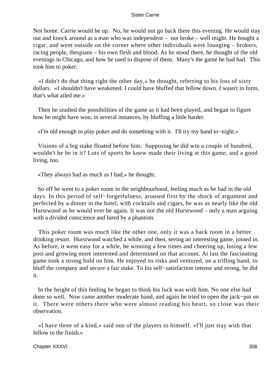Not home. Carrie would be up. No, he would not go back there this evening. He would stay out and knock around as a man who was independent – not broke – well might. He bought a cigar, and went outside on the corner where other individuals were lounging – brokers, racing people, thespians – his own flesh and blood. As he stood there, he thought of the old evenings in Chicago, and how he used to dispose of them. Many's the game he had had. This took him to poker.

 «I didn't do that thing right the other day,» he thought, referring to his loss of sixty dollars. «I shouldn't have weakened. I could have bluffed that fellow down. I wasn't in form, that's what ailed me.»

 Then he studied the possibilities of the game as it had been played, and began to figure how he might have won, in several instances, by bluffing a little harder.

«I'm old enough to play poker and do something with it. I'll try my hand to−night.»

 Visions of a big stake floated before him. Supposing he did win a couple of hundred, wouldn't he be in it? Lots of sports he knew made their living at this game, and a good living, too.

«They always had as much as I had,» he thought.

 So off he went to a poker room in the neighbourhood, feeling much as he had in the old days. In this period of self−forgetfulness, aroused first by the shock of argument and perfected by a dinner in the hotel, with cocktails and cigars, he was as nearly like the old Hurstwood as he would ever be again. It was not the old Hurstwood – only a man arguing with a divided conscience and lured by a phantom.

 This poker room was much like the other one, only it was a back room in a better drinking resort. Hurstwood watched a while, and then, seeing an interesting game, joined in. As before, it went easy for a while, he winning a few times and cheering up, losing a few pots and growing more interested and determined on that account. At last the fascinating game took a strong hold on him. He enjoyed its risks and ventured, on a trifling hand, to bluff the company and secure a fair stake. To his self−satisfaction intense and strong, he did it.

 In the height of this feeling he began to think his luck was with him. No one else had done so well. Now came another moderate hand, and again he tried to open the jack−pot on it. There were others there who were almost reading his heart, so close was their observation.

 «I have three of a kind,» said one of the players to himself. «I'll just stay with that fellow to the finish.»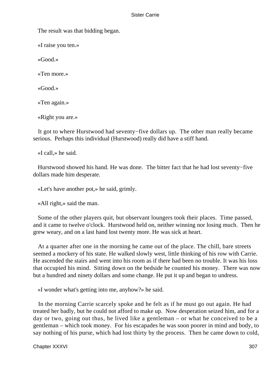The result was that bidding began.

«I raise you ten.»

«Good.»

«Ten more.»

«Good.»

«Ten again.»

«Right you are.»

 It got to where Hurstwood had seventy−five dollars up. The other man really became serious. Perhaps this individual (Hurstwood) really did have a stiff hand.

«I call,» he said.

 Hurstwood showed his hand. He was done. The bitter fact that he had lost seventy−five dollars made him desperate.

«Let's have another pot,» he said, grimly.

«All right,» said the man.

 Some of the other players quit, but observant loungers took their places. Time passed, and it came to twelve o'clock. Hurstwood held on, neither winning nor losing much. Then he grew weary, and on a last hand lost twenty more. He was sick at heart.

 At a quarter after one in the morning he came out of the place. The chill, bare streets seemed a mockery of his state. He walked slowly west, little thinking of his row with Carrie. He ascended the stairs and went into his room as if there had been no trouble. It was his loss that occupied his mind. Sitting down on the bedside he counted his money. There was now but a hundred and ninety dollars and some change. He put it up and began to undress.

«I wonder what's getting into me, anyhow?» he said.

 In the morning Carrie scarcely spoke and he felt as if he must go out again. He had treated her badly, but he could not afford to make up. Now desperation seized him, and for a day or two, going out thus, he lived like a gentleman – or what he conceived to be a gentleman – which took money. For his escapades he was soon poorer in mind and body, to say nothing of his purse, which had lost thirty by the process. Then he came down to cold,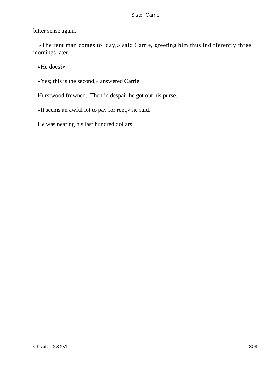bitter sense again.

 «The rent man comes to−day,» said Carrie, greeting him thus indifferently three mornings later.

«He does?»

«Yes; this is the second,» answered Carrie.

Hurstwood frowned. Then in despair he got out his purse.

«It seems an awful lot to pay for rent,» he said.

He was nearing his last hundred dollars.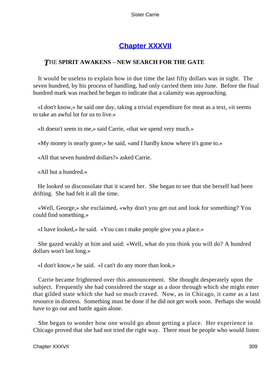# **[Chapter XXXVII](#page-429-0)**

### *T*HE **SPIRIT AWAKENS** – **NEW SEARCH FOR THE GATE**

 It would be useless to explain how in due time the last fifty dollars was in sight. The seven hundred, by his process of handling, had only carried them into June. Before the final hundred mark was reached he began to indicate that a calamity was approaching.

 «I don't know,» he said one day, taking a trivial expenditure for meat as a text, «it seems to take an awful lot for us to live.»

«It doesn't seem to me,» said Carrie, «that we spend very much.»

«My money is nearly gone,» he said, «and I hardly know where it's gone to.»

«All that seven hundred dollars?» asked Carrie.

«All but a hundred.»

 He looked so disconsolate that it scared her. She began to see that she herself had been drifting. She had felt it all the time.

 «Well, George,» she exclaimed, «why don't you get out and look for something? You could find something.»

«I have looked,» he said. «You can t make people give you a place.»

 She gazed weakly at him and said: «Well, what do you think you will do? A hundred dollars won't last long.»

«I don't know,» he said. «I can't do any more than look.»

 Carrie became frightened over this announcement. She thought desperately upon the subject. Frequently she had considered the stage as a door through which she might enter that gilded state which she had so much craved. Now, as in Chicago, it came as a last resource in distress. Something must be done if he did not get work soon. Perhaps she would have to go out and battle again alone.

 She began to wonder how one would go about getting a place. Her experience in Chicago proved that she had not tried the right way. There must be people who would listen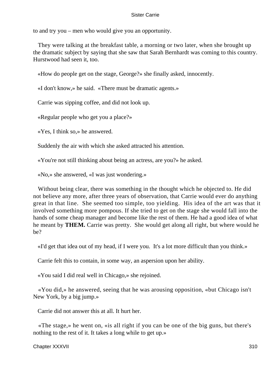to and try you – men who would give you an opportunity.

 They were talking at the breakfast table, a morning or two later, when she brought up the dramatic subject by saying that she saw that Sarah Bernhardt was coming to this country. Hurstwood had seen it, too.

«How do people get on the stage, George?» she finally asked, innocently.

«I don't know,» he said. «There must be dramatic agents.»

Carrie was sipping coffee, and did not look up.

«Regular people who get you a place?»

«Yes, I think so,» he answered.

Suddenly the air with which she asked attracted his attention.

«You're not still thinking about being an actress, are you?» he asked.

«No,» she answered, «I was just wondering.»

 Without being clear, there was something in the thought which he objected to. He did not believe any more, after three years of observation, that Carrie would ever do anything great in that line. She seemed too simple, too yielding. His idea of the art was that it involved something more pompous. If she tried to get on the stage she would fall into the hands of some cheap manager and become like the rest of them. He had a good idea of what he meant by **THEM.** Carrie was pretty. She would get along all right, but where would he be?

«I'd get that idea out of my head, if I were you. It's a lot more difficult than you think.»

Carrie felt this to contain, in some way, an aspersion upon her ability.

«You said I did real well in Chicago,» she rejoined.

 «You did,» he answered, seeing that he was arousing opposition, «but Chicago isn't New York, by a big jump.»

Carrie did not answer this at all. It hurt her.

 «The stage,» he went on, «is all right if you can be one of the big guns, but there's nothing to the rest of it. It takes a long while to get up.»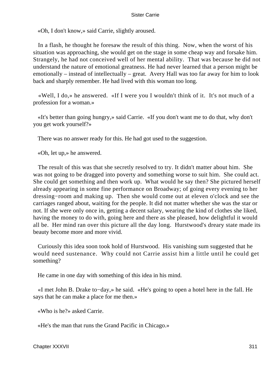«Oh, I don't know,» said Carrie, slightly aroused.

 In a flash, he thought he foresaw the result of this thing. Now, when the worst of his situation was approaching, she would get on the stage in some cheap way and forsake him. Strangely, he had not conceived well of her mental ability. That was because he did not understand the nature of emotional greatness. He had never learned that a person might be emotionally – instead of intellectually – great. Avery Hall was too far away for him to look back and sharply remember. He had lived with this woman too long.

 «Well, I do,» he answered. «If I were you I wouldn't think of it. It's not much of a profession for a woman.»

 «It's better than going hungry,» said Carrie. «If you don't want me to do that, why don't you get work yourself?»

There was no answer ready for this. He had got used to the suggestion.

«Oh, let up,» he answered.

 The result of this was that she secretly resolved to try. It didn't matter about him. She was not going to be dragged into poverty and something worse to suit him. She could act. She could get something and then work up. What would he say then? She pictured herself already appearing in some fine performance on Broadway; of going every evening to her dressing−room and making up. Then she would come out at eleven o'clock and see the carriages ranged about, waiting for the people. It did not matter whether she was the star or not. If she were only once in, getting a decent salary, wearing the kind of clothes she liked, having the money to do with, going here and there as she pleased, how delightful it would all be. Her mind ran over this picture all the day long. Hurstwood's dreary state made its beauty become more and more vivid.

 Curiously this idea soon took hold of Hurstwood. His vanishing sum suggested that he would need sustenance. Why could not Carrie assist him a little until he could get something?

He came in one day with something of this idea in his mind.

 «I met John B. Drake to−day,» he said. «He's going to open a hotel here in the fall. He says that he can make a place for me then.»

«Who is he?» asked Carrie.

«He's the man that runs the Grand Pacific in Chicago.»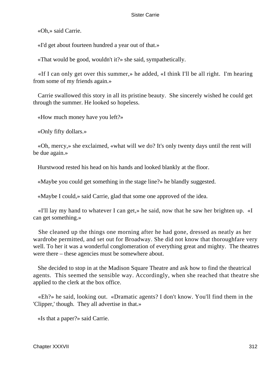«Oh,» said Carrie.

«I'd get about fourteen hundred a year out of that.»

«That would be good, wouldn't it?» she said, sympathetically.

 «If I can only get over this summer,» he added, «I think I'll be all right. I'm hearing from some of my friends again.»

 Carrie swallowed this story in all its pristine beauty. She sincerely wished he could get through the summer. He looked so hopeless.

«How much money have you left?»

«Only fifty dollars.»

 «Oh, mercy,» she exclaimed, «what will we do? It's only twenty days until the rent will be due again.»

Hurstwood rested his head on his hands and looked blankly at the floor.

«Maybe you could get something in the stage line?» he blandly suggested.

«Maybe I could,» said Carrie, glad that some one approved of the idea.

 «I'll lay my hand to whatever I can get,» he said, now that he saw her brighten up. «I can get something.»

 She cleaned up the things one morning after he had gone, dressed as neatly as her wardrobe permitted, and set out for Broadway. She did not know that thoroughfare very well. To her it was a wonderful conglomeration of everything great and mighty. The theatres were there – these agencies must be somewhere about.

 She decided to stop in at the Madison Square Theatre and ask how to find the theatrical agents. This seemed the sensible way. Accordingly, when she reached that theatre she applied to the clerk at the box office.

 «Eh?» he said, looking out. «Dramatic agents? I don't know. You'll find them in the 'Clipper,' though. They all advertise in that.»

«Is that a paper?» said Carrie.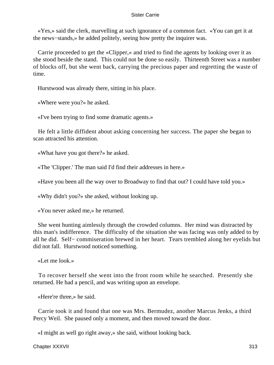«Yes,» said the clerk, marvelling at such ignorance of a common fact. «You can get it at the news−stands,» he added politely, seeing how pretty the inquirer was.

 Carrie proceeded to get the «Clipper,» and tried to find the agents by looking over it as she stood beside the stand. This could not be done so easily. Thirteenth Street was a number of blocks off, but she went back, carrying the precious paper and regretting the waste of time.

Hurstwood was already there, sitting in his place.

«Where were you?» he asked.

«I've been trying to find some dramatic agents.»

 He felt a little diffident about asking concerning her success. The paper she began to scan attracted his attention.

«What have you got there?» he asked.

«The 'Clipper.' The man said I'd find their addresses in here.»

«Have you been all the way over to Broadway to find that out? I could have told you.»

«Why didn't you?» she asked, without looking up.

«You never asked me,» he returned.

 She went hunting aimlessly through the crowded columns. Her mind was distracted by this man's indifference. The difficulty of the situation she was facing was only added to by all he did. Self− commiseration brewed in her heart. Tears trembled along her eyelids but did not fall. Hurstwood noticed something.

«Let me look.»

 To recover herself she went into the front room while he searched. Presently she returned. He had a pencil, and was writing upon an envelope.

«Here're three,» he said.

 Carrie took it and found that one was Mrs. Bermudez, another Marcus Jenks, a third Percy Weil. She paused only a moment, and then moved toward the door.

«I might as well go right away,» she said, without looking back.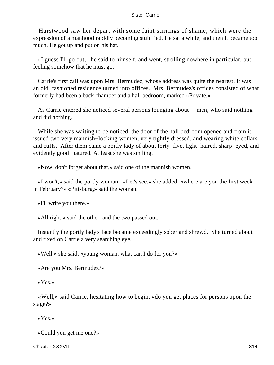Hurstwood saw her depart with some faint stirrings of shame, which were the expression of a manhood rapidly becoming stultified. He sat a while, and then it became too much. He got up and put on his hat.

 «I guess I'll go out,» he said to himself, and went, strolling nowhere in particular, but feeling somehow that he must go.

 Carrie's first call was upon Mrs. Bermudez, whose address was quite the nearest. It was an old−fashioned residence turned into offices. Mrs. Bermudez's offices consisted of what formerly had been a back chamber and a hall bedroom, marked «Private.»

 As Carrie entered she noticed several persons lounging about – men, who said nothing and did nothing.

 While she was waiting to be noticed, the door of the hall bedroom opened and from it issued two very mannish−looking women, very tightly dressed, and wearing white collars and cuffs. After them came a portly lady of about forty−five, light−haired, sharp−eyed, and evidently good−natured. At least she was smiling.

«Now, don't forget about that,» said one of the mannish women.

 «I won't,» said the portly woman. «Let's see,» she added, «where are you the first week in February?» «Pittsburg,» said the woman.

«I'll write you there.»

«All right,» said the other, and the two passed out.

 Instantly the portly lady's face became exceedingly sober and shrewd. She turned about and fixed on Carrie a very searching eye.

«Well,» she said, «young woman, what can I do for you?»

«Are you Mrs. Bermudez?»

«Yes.»

 «Well,» said Carrie, hesitating how to begin, «do you get places for persons upon the stage?»

«Yes.»

«Could you get me one?»

Chapter XXXVII 314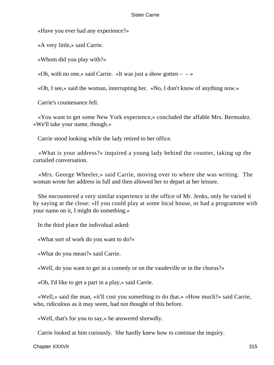«Have you ever had any experience?»

«A very little,» said Carrie.

«Whom did you play with?»

«Oh, with no one,» said Carrie. «It was just a show gotten  $- \rightarrow \infty$ 

«Oh, I see,» said the woman, interrupting her. «No, I don't know of anything now.»

Carrie's countenance fell.

 «You want to get some New York experience,» concluded the affable Mrs. Bermudez. «We'll take your name, though.»

Carrie stood looking while the lady retired to her office.

 «What is your address?» inquired a young lady behind the counter, taking up the curtailed conversation.

 «Mrs. George Wheeler,» said Carrie, moving over to where she was writing. The woman wrote her address in full and then allowed her to depart at her leisure.

 She encountered a very similar experience in the office of Mr. Jenks, only he varied it by saying at the close: «If you could play at some local house, or had a programme with your name on it, I might do something.»

In the third place the individual asked:

«What sort of work do you want to do?»

«What do you mean?» said Carrie.

«Well, do you want to get in a comedy or on the vaudeville or in the chorus?»

«Oh, I'd like to get a part in a play,» said Carrie.

 «Well,» said the man, «it'll cost you something to do that.» «How much?» said Carrie, who, ridiculous as it may seem, had not thought of this before.

«Well, that's for you to say,» he answered shrewdly.

Carrie looked at him curiously. She hardly knew how to continue the inquiry.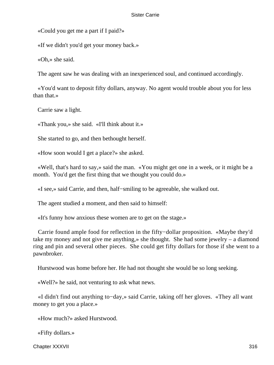«Could you get me a part if I paid?»

«If we didn't you'd get your money back.»

«Oh,» she said.

The agent saw he was dealing with an inexperienced soul, and continued accordingly.

 «You'd want to deposit fifty dollars, anyway. No agent would trouble about you for less than that.»

Carrie saw a light.

«Thank you,» she said. «I'll think about it.»

She started to go, and then bethought herself.

«How soon would I get a place?» she asked.

 «Well, that's hard to say,» said the man. «You might get one in a week, or it might be a month. You'd get the first thing that we thought you could do.»

«I see,» said Carrie, and then, half−smiling to be agreeable, she walked out.

The agent studied a moment, and then said to himself:

«It's funny how anxious these women are to get on the stage.»

 Carrie found ample food for reflection in the fifty−dollar proposition. «Maybe they'd take my money and not give me anything,» she thought. She had some jewelry – a diamond ring and pin and several other pieces. She could get fifty dollars for those if she went to a pawnbroker.

Hurstwood was home before her. He had not thought she would be so long seeking.

«Well?» he said, not venturing to ask what news.

 «I didn't find out anything to−day,» said Carrie, taking off her gloves. «They all want money to get you a place.»

«How much?» asked Hurstwood.

«Fifty dollars.»

Chapter XXXVII 316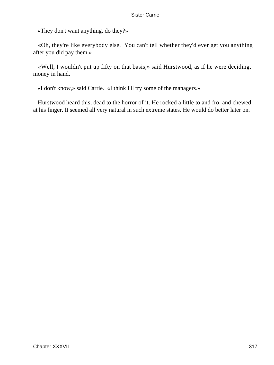«They don't want anything, do they?»

 «Oh, they're like everybody else. You can't tell whether they'd ever get you anything after you did pay them.»

 «Well, I wouldn't put up fifty on that basis,» said Hurstwood, as if he were deciding, money in hand.

«I don't know,» said Carrie. «I think I'll try some of the managers.»

 Hurstwood heard this, dead to the horror of it. He rocked a little to and fro, and chewed at his finger. It seemed all very natural in such extreme states. He would do better later on.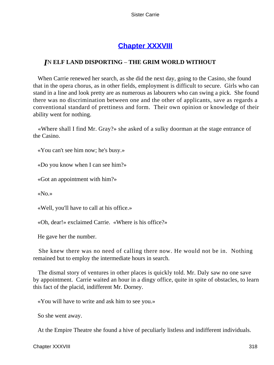## **[Chapter XXXVIII](#page-429-0)**

## *I*N **ELF LAND DISPORTING** – **THE GRIM WORLD WITHOUT**

 When Carrie renewed her search, as she did the next day, going to the Casino, she found that in the opera chorus, as in other fields, employment is difficult to secure. Girls who can stand in a line and look pretty are as numerous as labourers who can swing a pick. She found there was no discrimination between one and the other of applicants, save as regards a conventional standard of prettiness and form. Their own opinion or knowledge of their ability went for nothing.

 «Where shall I find Mr. Gray?» she asked of a sulky doorman at the stage entrance of the Casino.

«You can't see him now; he's busy.»

«Do you know when I can see him?»

«Got an appointment with him?»

«No.»

«Well, you'll have to call at his office.»

«Oh, dear!» exclaimed Carrie. «Where is his office?»

He gave her the number.

 She knew there was no need of calling there now. He would not be in. Nothing remained but to employ the intermediate hours in search.

 The dismal story of ventures in other places is quickly told. Mr. Daly saw no one save by appointment. Carrie waited an hour in a dingy office, quite in spite of obstacles, to learn this fact of the placid, indifferent Mr. Dorney.

«You will have to write and ask him to see you.»

So she went away.

At the Empire Theatre she found a hive of peculiarly listless and indifferent individuals.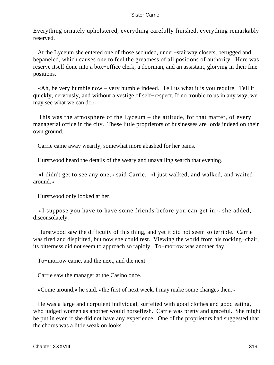Everything ornately upholstered, everything carefully finished, everything remarkably reserved.

 At the Lyceum she entered one of those secluded, under−stairway closets, berugged and bepaneled, which causes one to feel the greatness of all positions of authority. Here was reserve itself done into a box−office clerk, a doorman, and an assistant, glorying in their fine positions.

 «Ah, be very humble now – very humble indeed. Tell us what it is you require. Tell it quickly, nervously, and without a vestige of self−respect. If no trouble to us in any way, we may see what we can do.»

 This was the atmosphere of the Lyceum – the attitude, for that matter, of every managerial office in the city. These little proprietors of businesses are lords indeed on their own ground.

Carrie came away wearily, somewhat more abashed for her pains.

Hurstwood heard the details of the weary and unavailing search that evening.

 «I didn't get to see any one,» said Carrie. «I just walked, and walked, and waited around.»

Hurstwood only looked at her.

 «I suppose you have to have some friends before you can get in,» she added, disconsolately.

 Hurstwood saw the difficulty of this thing, and yet it did not seem so terrible. Carrie was tired and dispirited, but now she could rest. Viewing the world from his rocking−chair, its bitterness did not seem to approach so rapidly. To−morrow was another day.

To−morrow came, and the next, and the next.

Carrie saw the manager at the Casino once.

«Come around,» he said, «the first of next week. I may make some changes then.»

 He was a large and corpulent individual, surfeited with good clothes and good eating, who judged women as another would horseflesh. Carrie was pretty and graceful. She might be put in even if she did not have any experience. One of the proprietors had suggested that the chorus was a little weak on looks.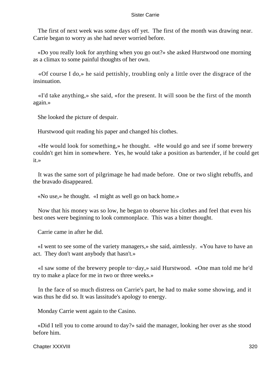The first of next week was some days off yet. The first of the month was drawing near. Carrie began to worry as she had never worried before.

 «Do you really look for anything when you go out?» she asked Hurstwood one morning as a climax to some painful thoughts of her own.

 «Of course I do,» he said pettishly, troubling only a little over the disgrace of the insinuation.

 «I'd take anything,» she said, «for the present. It will soon be the first of the month again.»

She looked the picture of despair.

Hurstwood quit reading his paper and changed his clothes.

 «He would look for something,» he thought. «He would go and see if some brewery couldn't get him in somewhere. Yes, he would take a position as bartender, if he could get it.»

 It was the same sort of pilgrimage he had made before. One or two slight rebuffs, and the bravado disappeared.

«No use,» he thought. «I might as well go on back home.»

 Now that his money was so low, he began to observe his clothes and feel that even his best ones were beginning to look commonplace. This was a bitter thought.

Carrie came in after he did.

 «I went to see some of the variety managers,» she said, aimlessly. «You have to have an act. They don't want anybody that hasn't.»

 «I saw some of the brewery people to−day,» said Hurstwood. «One man told me he'd try to make a place for me in two or three weeks.»

 In the face of so much distress on Carrie's part, he had to make some showing, and it was thus he did so. It was lassitude's apology to energy.

Monday Carrie went again to the Casino.

 «Did I tell you to come around to day?» said the manager, looking her over as she stood before him.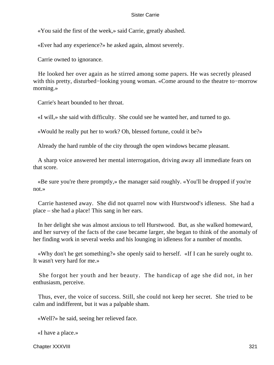«You said the first of the week,» said Carrie, greatly abashed.

«Ever had any experience?» he asked again, almost severely.

Carrie owned to ignorance.

 He looked her over again as he stirred among some papers. He was secretly pleased with this pretty, disturbed−looking young woman. «Come around to the theatre to−morrow morning.»

Carrie's heart bounded to her throat.

«I will,» she said with difficulty. She could see he wanted her, and turned to go.

«Would he really put her to work? Oh, blessed fortune, could it be?»

Already the hard rumble of the city through the open windows became pleasant.

 A sharp voice answered her mental interrogation, driving away all immediate fears on that score.

 «Be sure you're there promptly,» the manager said roughly. «You'll be dropped if you're not.»

 Carrie hastened away. She did not quarrel now with Hurstwood's idleness. She had a place – she had a place! This sang in her ears.

 In her delight she was almost anxious to tell Hurstwood. But, as she walked homeward, and her survey of the facts of the case became larger, she began to think of the anomaly of her finding work in several weeks and his lounging in idleness for a number of months.

 «Why don't he get something?» she openly said to herself. «If I can he surely ought to. It wasn't very hard for me.»

 She forgot her youth and her beauty. The handicap of age she did not, in her enthusiasm, perceive.

 Thus, ever, the voice of success. Still, she could not keep her secret. She tried to be calm and indifferent, but it was a palpable sham.

«Well?» he said, seeing her relieved face.

«I have a place.»

Chapter XXXVIII 321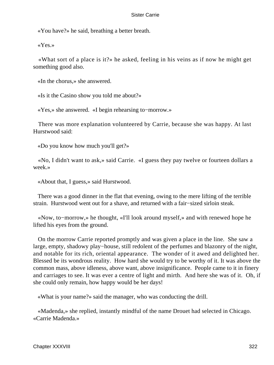«You have?» he said, breathing a better breath.

«Yes.»

 «What sort of a place is it?» he asked, feeling in his veins as if now he might get something good also.

«In the chorus,» she answered.

«Is it the Casino show you told me about?»

«Yes,» she answered. «I begin rehearsing to−morrow.»

 There was more explanation volunteered by Carrie, because she was happy. At last Hurstwood said:

«Do you know how much you'll get?»

 «No, I didn't want to ask,» said Carrie. «I guess they pay twelve or fourteen dollars a week.»

«About that, I guess,» said Hurstwood.

 There was a good dinner in the flat that evening, owing to the mere lifting of the terrible strain. Hurstwood went out for a shave, and returned with a fair−sized sirloin steak.

 «Now, to−morrow,» he thought, «I'll look around myself,» and with renewed hope he lifted his eyes from the ground.

 On the morrow Carrie reported promptly and was given a place in the line. She saw a large, empty, shadowy play−house, still redolent of the perfumes and blazonry of the night, and notable for its rich, oriental appearance. The wonder of it awed and delighted her. Blessed be its wondrous reality. How hard she would try to be worthy of it. It was above the common mass, above idleness, above want, above insignificance. People came to it in finery and carriages to see. It was ever a centre of light and mirth. And here she was of it. Oh, if she could only remain, how happy would be her days!

«What is your name?» said the manager, who was conducting the drill.

 «Madenda,» she replied, instantly mindful of the name Drouet had selected in Chicago. «Carrie Madenda.»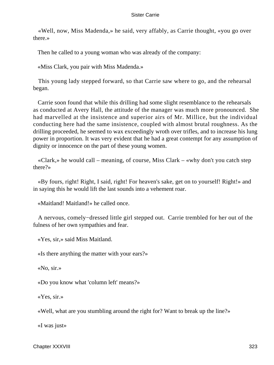«Well, now, Miss Madenda,» he said, very affably, as Carrie thought, «you go over there.»

Then he called to a young woman who was already of the company:

«Miss Clark, you pair with Miss Madenda.»

 This young lady stepped forward, so that Carrie saw where to go, and the rehearsal began.

 Carrie soon found that while this drilling had some slight resemblance to the rehearsals as conducted at Avery Hall, the attitude of the manager was much more pronounced. She had marvelled at the insistence and superior airs of Mr. Millice, but the individual conducting here had the same insistence, coupled with almost brutal roughness. As the drilling proceeded, he seemed to wax exceedingly wroth over trifles, and to increase his lung power in proportion. It was very evident that he had a great contempt for any assumption of dignity or innocence on the part of these young women.

 «Clark,» he would call – meaning, of course, Miss Clark – «why don't you catch step there?»

 «By fours, right! Right, I said, right! For heaven's sake, get on to yourself! Right!» and in saying this he would lift the last sounds into a vehement roar.

«Maitland! Maitland!» he called once.

 A nervous, comely−dressed little girl stepped out. Carrie trembled for her out of the fulness of her own sympathies and fear.

«Yes, sir,» said Miss Maitland.

«Is there anything the matter with your ears?»

«No, sir.»

«Do you know what 'column left' means?»

«Yes, sir.»

«Well, what are you stumbling around the right for? Want to break up the line?»

«I was just»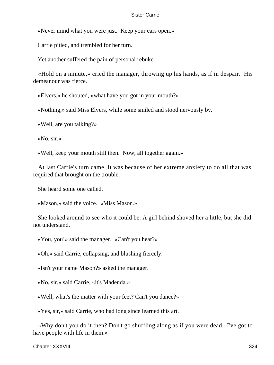«Never mind what you were just. Keep your ears open.»

Carrie pitied, and trembled for her turn.

Yet another suffered the pain of personal rebuke.

 «Hold on a minute,» cried the manager, throwing up his hands, as if in despair. His demeanour was fierce.

«Elvers,» he shouted, «what have you got in your mouth?»

«Nothing,» said Miss Elvers, while some smiled and stood nervously by.

«Well, are you talking?»

«No, sir.»

«Well, keep your mouth still then. Now, all together again.»

 At last Carrie's turn came. It was because of her extreme anxiety to do all that was required that brought on the trouble.

She heard some one called.

«Mason,» said the voice. «Miss Mason.»

 She looked around to see who it could be. A girl behind shoved her a little, but she did not understand.

«You, you!» said the manager. «Can't you hear?»

«Oh,» said Carrie, collapsing, and blushing fiercely.

«Isn't your name Mason?» asked the manager.

«No, sir,» said Carrie, «it's Madenda.»

«Well, what's the matter with your feet? Can't you dance?»

«Yes, sir,» said Carrie, who had long since learned this art.

 «Why don't you do it then? Don't go shuffling along as if you were dead. I've got to have people with life in them.»

Chapter XXXVIII 324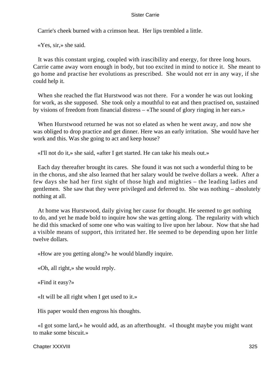Carrie's cheek burned with a crimson heat. Her lips trembled a little.

«Yes, sir,» she said.

 It was this constant urging, coupled with irascibility and energy, for three long hours. Carrie came away worn enough in body, but too excited in mind to notice it. She meant to go home and practise her evolutions as prescribed. She would not err in any way, if she could help it.

 When she reached the flat Hurstwood was not there. For a wonder he was out looking for work, as she supposed. She took only a mouthful to eat and then practised on, sustained by visions of freedom from financial distress – «The sound of glory ringing in her ears.»

 When Hurstwood returned he was not so elated as when he went away, and now she was obliged to drop practice and get dinner. Here was an early irritation. She would have her work and this. Was she going to act and keep house?

«I'll not do it,» she said, «after I get started. He can take his meals out.»

 Each day thereafter brought its cares. She found it was not such a wonderful thing to be in the chorus, and she also learned that her salary would be twelve dollars a week. After a few days she had her first sight of those high and mighties – the leading ladies and gentlemen. She saw that they were privileged and deferred to. She was nothing – absolutely nothing at all.

 At home was Hurstwood, daily giving her cause for thought. He seemed to get nothing to do, and yet he made bold to inquire how she was getting along. The regularity with which he did this smacked of some one who was waiting to live upon her labour. Now that she had a visible means of support, this irritated her. He seemed to be depending upon her little twelve dollars.

«How are you getting along?» he would blandly inquire.

«Oh, all right,» she would reply.

«Find it easy?»

«It will be all right when I get used to it.»

His paper would then engross his thoughts.

 «I got some lard,» he would add, as an afterthought. «I thought maybe you might want to make some biscuit.»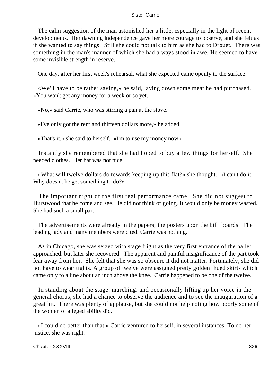The calm suggestion of the man astonished her a little, especially in the light of recent developments. Her dawning independence gave her more courage to observe, and she felt as if she wanted to say things. Still she could not talk to him as she had to Drouet. There was something in the man's manner of which she had always stood in awe. He seemed to have some invisible strength in reserve.

One day, after her first week's rehearsal, what she expected came openly to the surface.

 «We'll have to be rather saving,» he said, laying down some meat he had purchased. «You won't get any money for a week or so yet.»

«No,» said Carrie, who was stirring a pan at the stove.

«I've only got the rent and thirteen dollars more,» he added.

«That's it,» she said to herself. «I'm to use my money now.»

 Instantly she remembered that she had hoped to buy a few things for herself. She needed clothes. Her hat was not nice.

 «What will twelve dollars do towards keeping up this flat?» she thought. «I can't do it. Why doesn't he get something to do?»

 The important night of the first real performance came. She did not suggest to Hurstwood that he come and see. He did not think of going. It would only be money wasted. She had such a small part.

 The advertisements were already in the papers; the posters upon the bill−boards. The leading lady and many members were cited. Carrie was nothing.

 As in Chicago, she was seized with stage fright as the very first entrance of the ballet approached, but later she recovered. The apparent and painful insignificance of the part took fear away from her. She felt that she was so obscure it did not matter. Fortunately, she did not have to wear tights. A group of twelve were assigned pretty golden−hued skirts which came only to a line about an inch above the knee. Carrie happened to be one of the twelve.

 In standing about the stage, marching, and occasionally lifting up her voice in the general chorus, she had a chance to observe the audience and to see the inauguration of a great hit. There was plenty of applause, but she could not help noting how poorly some of the women of alleged ability did.

 «I could do better than that,» Carrie ventured to herself, in several instances. To do her justice, she was right.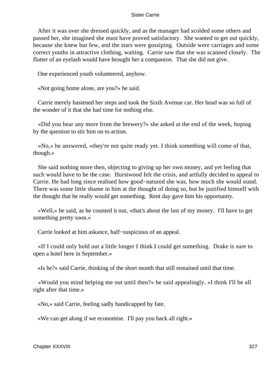After it was over she dressed quickly, and as the manager had scolded some others and passed her, she imagined she must have proved satisfactory. She wanted to get out quickly, because she knew but few, and the stars were gossiping. Outside were carriages and some correct youths in attractive clothing, waiting. Carrie saw that she was scanned closely. The flutter of an eyelash would have brought her a companion. That she did not give.

One experienced youth volunteered, anyhow.

«Not going home alone, are you?» he said.

 Carrie merely hastened her steps and took the Sixth Avenue car. Her head was so full of the wonder of it that she had time for nothing else.

 «Did you hear any more from the brewery?» she asked at the end of the week, hoping by the question to stir him on to action.

 «No,» he answered, «they're not quite ready yet. I think something will come of that, though.»

 She said nothing more then, objecting to giving up her own money, and yet feeling that such would have to be the case. Hurstwood felt the crisis, and artfully decided to appeal to Carrie. He had long since realised how good−natured she was, how much she would stand. There was some little shame in him at the thought of doing so, but he justified himself with the thought that he really would get something. Rent day gave him his opportunity.

 «Well,» he said, as he counted it out, «that's about the last of my money. I'll have to get something pretty soon.»

Carrie looked at him askance, half−suspicious of an appeal.

 «If I could only hold out a little longer I think I could get something. Drake is sure to open a hotel here in September.»

«Is he?» said Carrie, thinking of the short month that still remained until that time.

 «Would you mind helping me out until then?» he said appealingly. «I think I'll be all right after that time.»

«No,» said Carrie, feeling sadly handicapped by fate.

«We can get along if we economise. I'll pay you back all right.»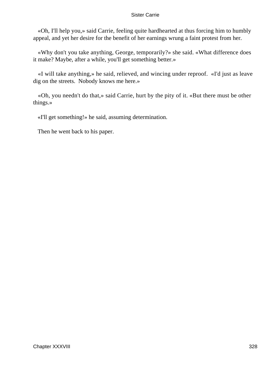«Oh, I'll help you,» said Carrie, feeling quite hardhearted at thus forcing him to humbly appeal, and yet her desire for the benefit of her earnings wrung a faint protest from her.

 «Why don't you take anything, George, temporarily?» she said. «What difference does it make? Maybe, after a while, you'll get something better.»

 «I will take anything,» he said, relieved, and wincing under reproof. «I'd just as leave dig on the streets. Nobody knows me here.»

 «Oh, you needn't do that,» said Carrie, hurt by the pity of it. «But there must be other things.»

«I'll get something!» he said, assuming determination.

Then he went back to his paper.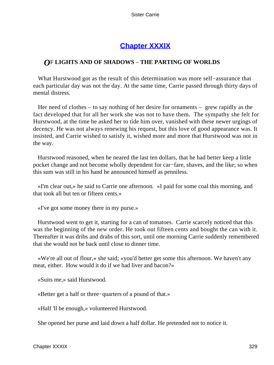# **[Chapter XXXIX](#page-429-0)**

## *O*F **LIGHTS AND OF SHADOWS** – **THE PARTING OF WORLDS**

 What Hurstwood got as the result of this determination was more self−assurance that each particular day was not the day. At the same time, Carrie passed through thirty days of mental distress.

 Her need of clothes – to say nothing of her desire for ornaments – grew rapidly as the fact developed that for all her work she was not to have them. The sympathy she felt for Hurstwood, at the time he asked her to tide him over, vanished with these newer urgings of decency. He was not always renewing his request, but this love of good appearance was. It insisted, and Carrie wished to satisfy it, wished more and more that Hurstwood was not in the way.

 Hurstwood reasoned, when he neared the last ten dollars, that he had better keep a little pocket change and not become wholly dependent for car−fare, shaves, and the like; so when this sum was still in his hand he announced himself as penniless.

 «I'm clear out,» he said to Carrie one afternoon. «I paid for some coal this morning, and that took all but ten or fifteen cents.»

«I've got some money there in my purse.»

 Hurstwood went to get it, starting for a can of tomatoes. Carrie scarcely noticed that this was the beginning of the new order. He took out fifteen cents and bought the can with it. Thereafter it was dribs and drabs of this sort, until one morning Carrie suddenly remembered that she would not be back until close to dinner time.

 «We're all out of flour,» she said; «you'd better get some this afternoon. We haven't any meat, either. How would it do if we had liver and bacon?»

«Suits me,» said Hurstwood.

«Better get a half or three−quarters of a pound of that.»

«Half 'll be enough,» volunteered Hurstwood.

She opened her purse and laid down a half dollar. He pretended not to notice it.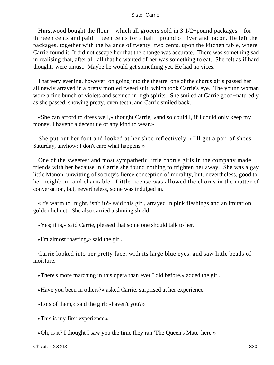Hurstwood bought the flour – which all grocers sold in 3 1/2−pound packages – for thirteen cents and paid fifteen cents for a half− pound of liver and bacon. He left the packages, together with the balance of twenty−two cents, upon the kitchen table, where Carrie found it. It did not escape her that the change was accurate. There was something sad in realising that, after all, all that he wanted of her was something to eat. She felt as if hard thoughts were unjust. Maybe he would get something yet. He had no vices.

 That very evening, however, on going into the theatre, one of the chorus girls passed her all newly arrayed in a pretty mottled tweed suit, which took Carrie's eye. The young woman wore a fine bunch of violets and seemed in high spirits. She smiled at Carrie good−naturedly as she passed, showing pretty, even teeth, and Carrie smiled back.

 «She can afford to dress well,» thought Carrie, «and so could I, if I could only keep my money. I haven't a decent tie of any kind to wear.»

 She put out her foot and looked at her shoe reflectively. «I'll get a pair of shoes Saturday, anyhow; I don't care what happens.»

 One of the sweetest and most sympathetic little chorus girls in the company made friends with her because in Carrie she found nothing to frighten her away. She was a gay little Manon, unwitting of society's fierce conception of morality, but, nevertheless, good to her neighbour and charitable. Little license was allowed the chorus in the matter of conversation, but, nevertheless, some was indulged in.

 «It's warm to−night, isn't it?» said this girl, arrayed in pink fleshings and an imitation golden helmet. She also carried a shining shield.

«Yes; it is,» said Carrie, pleased that some one should talk to her.

«I'm almost roasting,» said the girl.

 Carrie looked into her pretty face, with its large blue eyes, and saw little beads of moisture.

«There's more marching in this opera than ever I did before,» added the girl.

«Have you been in others?» asked Carrie, surprised at her experience.

«Lots of them,» said the girl; «haven't you?»

«This is my first experience.»

«Oh, is it? I thought I saw you the time they ran 'The Queen's Mate' here.»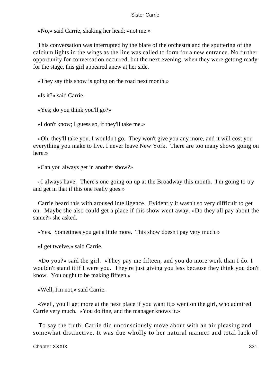«No,» said Carrie, shaking her head; «not me.»

 This conversation was interrupted by the blare of the orchestra and the sputtering of the calcium lights in the wings as the line was called to form for a new entrance. No further opportunity for conversation occurred, but the next evening, when they were getting ready for the stage, this girl appeared anew at her side.

«They say this show is going on the road next month.»

«Is it?» said Carrie.

«Yes; do you think you'll go?»

«I don't know; I guess so, if they'll take me.»

 «Oh, they'll take you. I wouldn't go. They won't give you any more, and it will cost you everything you make to live. I never leave New York. There are too many shows going on here.»

«Can you always get in another show?»

 «I always have. There's one going on up at the Broadway this month. I'm going to try and get in that if this one really goes.»

 Carrie heard this with aroused intelligence. Evidently it wasn't so very difficult to get on. Maybe she also could get a place if this show went away. «Do they all pay about the same?» she asked.

«Yes. Sometimes you get a little more. This show doesn't pay very much.»

«I get twelve,» said Carrie.

 «Do you?» said the girl. «They pay me fifteen, and you do more work than I do. I wouldn't stand it if I were you. They're just giving you less because they think you don't know. You ought to be making fifteen.»

«Well, I'm not,» said Carrie.

 «Well, you'll get more at the next place if you want it,» went on the girl, who admired Carrie very much. «You do fine, and the manager knows it.»

 To say the truth, Carrie did unconsciously move about with an air pleasing and somewhat distinctive. It was due wholly to her natural manner and total lack of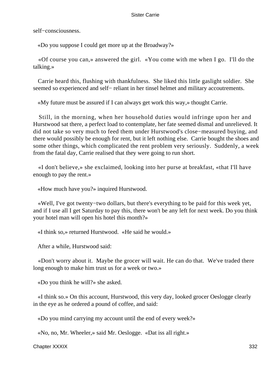self−consciousness.

«Do you suppose I could get more up at the Broadway?»

 «Of course you can,» answered the girl. «You come with me when I go. I'll do the talking.»

 Carrie heard this, flushing with thankfulness. She liked this little gaslight soldier. She seemed so experienced and self– reliant in her tinsel helmet and military accoutrements.

«My future must be assured if I can always get work this way,» thought Carrie.

 Still, in the morning, when her household duties would infringe upon her and Hurstwood sat there, a perfect load to contemplate, her fate seemed dismal and unrelieved. It did not take so very much to feed them under Hurstwood's close−measured buying, and there would possibly be enough for rent, but it left nothing else. Carrie bought the shoes and some other things, which complicated the rent problem very seriously. Suddenly, a week from the fatal day, Carrie realised that they were going to run short.

 «I don't believe,» she exclaimed, looking into her purse at breakfast, «that I'll have enough to pay the rent.»

«How much have you?» inquired Hurstwood.

 «Well, I've got twenty−two dollars, but there's everything to be paid for this week yet, and if I use all I get Saturday to pay this, there won't be any left for next week. Do you think your hotel man will open his hotel this month?»

«I think so,» returned Hurstwood. «He said he would.»

After a while, Hurstwood said:

 «Don't worry about it. Maybe the grocer will wait. He can do that. We've traded there long enough to make him trust us for a week or two.»

«Do you think he will?» she asked.

 «I think so.» On this account, Hurstwood, this very day, looked grocer Oeslogge clearly in the eye as he ordered a pound of coffee, and said:

«Do you mind carrying my account until the end of every week?»

«No, no, Mr. Wheeler,» said Mr. Oeslogge. «Dat iss all right.»

Chapter XXXIX 332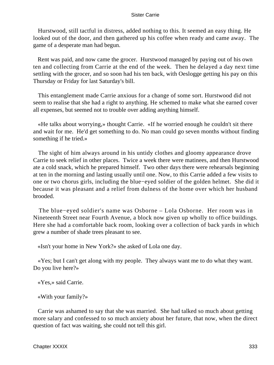Hurstwood, still tactful in distress, added nothing to this. It seemed an easy thing. He looked out of the door, and then gathered up his coffee when ready and came away. The game of a desperate man had begun.

 Rent was paid, and now came the grocer. Hurstwood managed by paying out of his own ten and collecting from Carrie at the end of the week. Then he delayed a day next time settling with the grocer, and so soon had his ten back, with Oeslogge getting his pay on this Thursday or Friday for last Saturday's bill.

 This entanglement made Carrie anxious for a change of some sort. Hurstwood did not seem to realise that she had a right to anything. He schemed to make what she earned cover all expenses, but seemed not to trouble over adding anything himself.

 «He talks about worrying,» thought Carrie. «If he worried enough he couldn't sit there and wait for me. He'd get something to do. No man could go seven months without finding something if he tried.»

 The sight of him always around in his untidy clothes and gloomy appearance drove Carrie to seek relief in other places. Twice a week there were matinees, and then Hurstwood ate a cold snack, which he prepared himself. Two other days there were rehearsals beginning at ten in the morning and lasting usually until one. Now, to this Carrie added a few visits to one or two chorus girls, including the blue−eyed soldier of the golden helmet. She did it because it was pleasant and a relief from dulness of the home over which her husband brooded.

 The blue−eyed soldier's name was Osborne – Lola Osborne. Her room was in Nineteenth Street near Fourth Avenue, a block now given up wholly to office buildings. Here she had a comfortable back room, looking over a collection of back yards in which grew a number of shade trees pleasant to see.

«Isn't your home in New York?» she asked of Lola one day.

 «Yes; but I can't get along with my people. They always want me to do what they want. Do you live here?»

«Yes,» said Carrie.

«With your family?»

 Carrie was ashamed to say that she was married. She had talked so much about getting more salary and confessed to so much anxiety about her future, that now, when the direct question of fact was waiting, she could not tell this girl.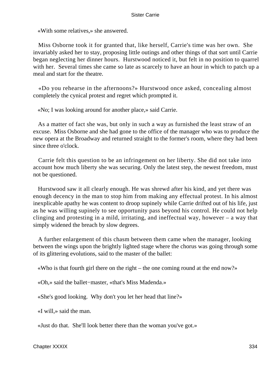«With some relatives,» she answered.

 Miss Osborne took it for granted that, like herself, Carrie's time was her own. She invariably asked her to stay, proposing little outings and other things of that sort until Carrie began neglecting her dinner hours. Hurstwood noticed it, but felt in no position to quarrel with her. Several times she came so late as scarcely to have an hour in which to patch up a meal and start for the theatre.

 «Do you rehearse in the afternoons?» Hurstwood once asked, concealing almost completely the cynical protest and regret which prompted it.

«No; I was looking around for another place,» said Carrie.

 As a matter of fact she was, but only in such a way as furnished the least straw of an excuse. Miss Osborne and she had gone to the office of the manager who was to produce the new opera at the Broadway and returned straight to the former's room, where they had been since three o'clock.

 Carrie felt this question to be an infringement on her liberty. She did not take into account how much liberty she was securing. Only the latest step, the newest freedom, must not be questioned.

 Hurstwood saw it all clearly enough. He was shrewd after his kind, and yet there was enough decency in the man to stop him from making any effectual protest. In his almost inexplicable apathy he was content to droop supinely while Carrie drifted out of his life, just as he was willing supinely to see opportunity pass beyond his control. He could not help clinging and protesting in a mild, irritating, and ineffectual way, however – a way that simply widened the breach by slow degrees.

 A further enlargement of this chasm between them came when the manager, looking between the wings upon the brightly lighted stage where the chorus was going through some of its glittering evolutions, said to the master of the ballet:

«Who is that fourth girl there on the right – the one coming round at the end now?»

«Oh,» said the ballet−master, «that's Miss Madenda.»

«She's good looking. Why don't you let her head that line?»

«I will,» said the man.

«Just do that. She'll look better there than the woman you've got.»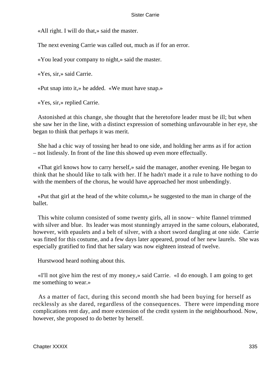«All right. I will do that,» said the master.

The next evening Carrie was called out, much as if for an error.

«You lead your company to night,» said the master.

«Yes, sir,» said Carrie.

«Put snap into it,» he added. «We must have snap.»

«Yes, sir,» replied Carrie.

 Astonished at this change, she thought that the heretofore leader must be ill; but when she saw her in the line, with a distinct expression of something unfavourable in her eye, she began to think that perhaps it was merit.

 She had a chic way of tossing her head to one side, and holding her arms as if for action – not listlessly. In front of the line this showed up even more effectually.

 «That girl knows how to carry herself,» said the manager, another evening. He began to think that he should like to talk with her. If he hadn't made it a rule to have nothing to do with the members of the chorus, he would have approached her most unbendingly.

 «Put that girl at the head of the white column,» he suggested to the man in charge of the ballet.

 This white column consisted of some twenty girls, all in snow− white flannel trimmed with silver and blue. Its leader was most stunningly arrayed in the same colours, elaborated, however, with epaulets and a belt of silver, with a short sword dangling at one side. Carrie was fitted for this costume, and a few days later appeared, proud of her new laurels. She was especially gratified to find that her salary was now eighteen instead of twelve.

Hurstwood heard nothing about this.

 «I'll not give him the rest of my money,» said Carrie. «I do enough. I am going to get me something to wear.»

 As a matter of fact, during this second month she had been buying for herself as recklessly as she dared, regardless of the consequences. There were impending more complications rent day, and more extension of the credit system in the neighbourhood. Now, however, she proposed to do better by herself.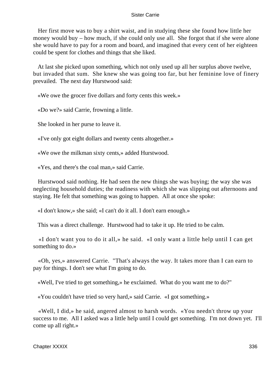Her first move was to buy a shirt waist, and in studying these she found how little her money would buy – how much, if she could only use all. She forgot that if she were alone she would have to pay for a room and board, and imagined that every cent of her eighteen could be spent for clothes and things that she liked.

 At last she picked upon something, which not only used up all her surplus above twelve, but invaded that sum. She knew she was going too far, but her feminine love of finery prevailed. The next day Hurstwood said:

«We owe the grocer five dollars and forty cents this week.»

«Do we?» said Carrie, frowning a little.

She looked in her purse to leave it.

«I've only got eight dollars and twenty cents altogether.»

«We owe the milkman sixty cents,» added Hurstwood.

«Yes, and there's the coal man,» said Carrie.

 Hurstwood said nothing. He had seen the new things she was buying; the way she was neglecting household duties; the readiness with which she was slipping out afternoons and staying. He felt that something was going to happen. All at once she spoke:

«I don't know,» she said; «I can't do it all. I don't earn enough.»

This was a direct challenge. Hurstwood had to take it up. He tried to be calm.

 «I don't want you to do it all,» he said. «I only want a little help until I can get something to do.»

 «Oh, yes,» answered Carrie. "That's always the way. It takes more than I can earn to pay for things. I don't see what I'm going to do.

«Well, I've tried to get something,» he exclaimed. What do you want me to do?"

«You couldn't have tried so very hard,» said Carrie. «I got something.»

 «Well, I did,» he said, angered almost to harsh words. «You needn't throw up your success to me. All I asked was a little help until I could get something. I'm not down yet. I'll come up all right.»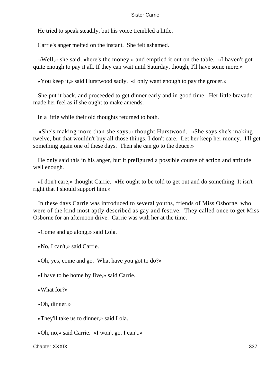He tried to speak steadily, but his voice trembled a little.

Carrie's anger melted on the instant. She felt ashamed.

 «Well,» she said, «here's the money,» and emptied it out on the table. «I haven't got quite enough to pay it all. If they can wait until Saturday, though, I'll have some more.»

«You keep it,» said Hurstwood sadly. «I only want enough to pay the grocer.»

 She put it back, and proceeded to get dinner early and in good time. Her little bravado made her feel as if she ought to make amends.

In a little while their old thoughts returned to both.

 «She's making more than she says,» thought Hurstwood. «She says she's making twelve, but that wouldn't buy all those things. I don't care. Let her keep her money. I'll get something again one of these days. Then she can go to the deuce.»

 He only said this in his anger, but it prefigured a possible course of action and attitude well enough.

 «I don't care,» thought Carrie. «He ought to be told to get out and do something. It isn't right that I should support him.»

 In these days Carrie was introduced to several youths, friends of Miss Osborne, who were of the kind most aptly described as gay and festive. They called once to get Miss Osborne for an afternoon drive. Carrie was with her at the time.

«Come and go along,» said Lola.

«No, I can't,» said Carrie.

«Oh, yes, come and go. What have you got to do?»

«I have to be home by five,» said Carrie.

«What for?»

«Oh, dinner.»

«They'll take us to dinner,» said Lola.

«Oh, no,» said Carrie. «I won't go. I can't.»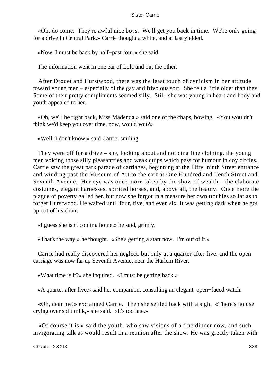«Oh, do come. They're awful nice boys. We'll get you back in time. We're only going for a drive in Central Park.» Carrie thought a while, and at last yielded.

«Now, I must be back by half−past four,» she said.

The information went in one ear of Lola and out the other.

 After Drouet and Hurstwood, there was the least touch of cynicism in her attitude toward young men – especially of the gay and frivolous sort. She felt a little older than they. Some of their pretty compliments seemed silly. Still, she was young in heart and body and youth appealed to her.

 «Oh, we'll be right back, Miss Madenda,» said one of the chaps, bowing. «You wouldn't think we'd keep you over time, now, would you?»

«Well, I don't know,» said Carrie, smiling.

 They were off for a drive – she, looking about and noticing fine clothing, the young men voicing those silly pleasantries and weak quips which pass for humour in coy circles. Carrie saw the great park parade of carriages, beginning at the Fifty−ninth Street entrance and winding past the Museum of Art to the exit at One Hundred and Tenth Street and Seventh Avenue. Her eye was once more taken by the show of wealth – the elaborate costumes, elegant harnesses, spirited horses, and, above all, the beauty. Once more the plague of poverty galled her, but now she forgot in a measure her own troubles so far as to forget Hurstwood. He waited until four, five, and even six. It was getting dark when he got up out of his chair.

«I guess she isn't coming home,» he said, grimly.

«That's the way,» he thought. «She's getting a start now. I'm out of it.»

 Carrie had really discovered her neglect, but only at a quarter after five, and the open carriage was now far up Seventh Avenue, near the Harlem River.

«What time is it?» she inquired. «I must be getting back.»

«A quarter after five,» said her companion, consulting an elegant, open−faced watch.

 «Oh, dear me!» exclaimed Carrie. Then she settled back with a sigh. «There's no use crying over spilt milk,» she said. «It's too late.»

 «Of course it is,» said the youth, who saw visions of a fine dinner now, and such invigorating talk as would result in a reunion after the show. He was greatly taken with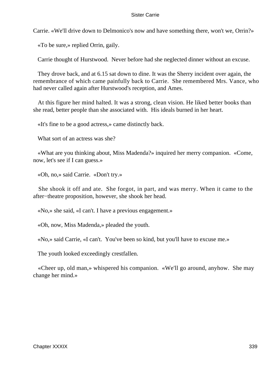Carrie. «We'll drive down to Delmonico's now and have something there, won't we, Orrin?»

«To be sure,» replied Orrin, gaily.

Carrie thought of Hurstwood. Never before had she neglected dinner without an excuse.

 They drove back, and at 6.15 sat down to dine. It was the Sherry incident over again, the remembrance of which came painfully back to Carrie. She remembered Mrs. Vance, who had never called again after Hurstwood's reception, and Ames.

 At this figure her mind halted. It was a strong, clean vision. He liked better books than she read, better people than she associated with. His ideals burned in her heart.

«It's fine to be a good actress,» came distinctly back.

What sort of an actress was she?

 «What are you thinking about, Miss Madenda?» inquired her merry companion. «Come, now, let's see if I can guess.»

«Oh, no,» said Carrie. «Don't try.»

 She shook it off and ate. She forgot, in part, and was merry. When it came to the after−theatre proposition, however, she shook her head.

«No,» she said, «I can't. I have a previous engagement.»

«Oh, now, Miss Madenda,» pleaded the youth.

«No,» said Carrie, «I can't. You've been so kind, but you'll have to excuse me.»

The youth looked exceedingly crestfallen.

 «Cheer up, old man,» whispered his companion. «We'll go around, anyhow. She may change her mind.»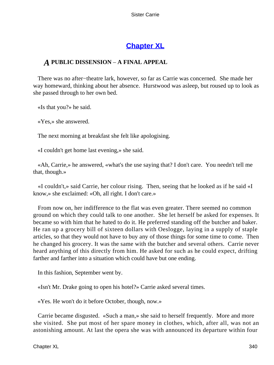# **[Chapter XL](#page-429-0)**

## *A* **PUBLIC DISSENSION** – **A FINAL APPEAL**

 There was no after−theatre lark, however, so far as Carrie was concerned. She made her way homeward, thinking about her absence. Hurstwood was asleep, but roused up to look as she passed through to her own bed.

«Is that you?» he said.

«Yes,» she answered.

The next morning at breakfast she felt like apologising.

«I couldn't get home last evening,» she said.

 «Ah, Carrie,» he answered, «what's the use saying that? I don't care. You needn't tell me that, though.»

 «I couldn't,» said Carrie, her colour rising. Then, seeing that he looked as if he said «I know,» she exclaimed: «Oh, all right. I don't care.»

 From now on, her indifference to the flat was even greater. There seemed no common ground on which they could talk to one another. She let herself be asked for expenses. It became so with him that he hated to do it. He preferred standing off the butcher and baker. He ran up a grocery bill of sixteen dollars with Oeslogge, laying in a supply of staple articles, so that they would not have to buy any of those things for some time to come. Then he changed his grocery. It was the same with the butcher and several others. Carrie never heard anything of this directly from him. He asked for such as he could expect, drifting farther and farther into a situation which could have but one ending.

In this fashion, September went by.

«Isn't Mr. Drake going to open his hotel?» Carrie asked several times.

«Yes. He won't do it before October, though, now.»

 Carrie became disgusted. «Such a man,» she said to herself frequently. More and more she visited. She put most of her spare money in clothes, which, after all, was not an astonishing amount. At last the opera she was with announced its departure within four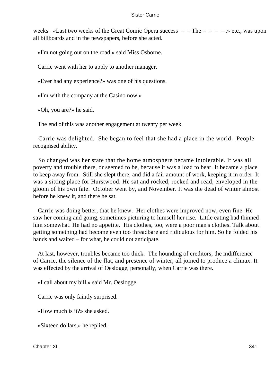weeks. «Last two weeks of the Great Comic Opera success  $-$  – The  $-$  –  $\rightarrow$  » etc., was upon all billboards and in the newspapers, before she acted.

«I'm not going out on the road,» said Miss Osborne.

Carrie went with her to apply to another manager.

«Ever had any experience?» was one of his questions.

«I'm with the company at the Casino now.»

«Oh, you are?» he said.

The end of this was another engagement at twenty per week.

 Carrie was delighted. She began to feel that she had a place in the world. People recognised ability.

 So changed was her state that the home atmosphere became intolerable. It was all poverty and trouble there, or seemed to be, because it was a load to bear. It became a place to keep away from. Still she slept there, and did a fair amount of work, keeping it in order. It was a sitting place for Hurstwood. He sat and rocked, rocked and read, enveloped in the gloom of his own fate. October went by, and November. It was the dead of winter almost before he knew it, and there he sat.

 Carrie was doing better, that he knew. Her clothes were improved now, even fine. He saw her coming and going, sometimes picturing to himself her rise. Little eating had thinned him somewhat. He had no appetite. His clothes, too, were a poor man's clothes. Talk about getting something had become even too threadbare and ridiculous for him. So he folded his hands and waited – for what, he could not anticipate.

 At last, however, troubles became too thick. The hounding of creditors, the indifference of Carrie, the silence of the flat, and presence of winter, all joined to produce a climax. It was effected by the arrival of Oeslogge, personally, when Carrie was there.

«I call about my bill,» said Mr. Oeslogge.

Carrie was only faintly surprised.

«How much is it?» she asked.

«Sixteen dollars,» he replied.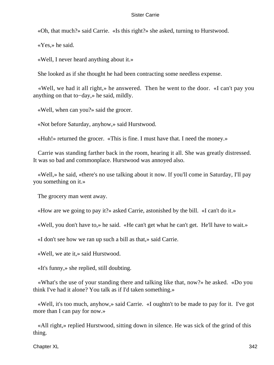«Oh, that much?» said Carrie. «Is this right?» she asked, turning to Hurstwood.

«Yes,» he said.

«Well, I never heard anything about it.»

She looked as if she thought he had been contracting some needless expense.

 «Well, we had it all right,» he answered. Then he went to the door. «I can't pay you anything on that to−day,» he said, mildly.

«Well, when can you?» said the grocer.

«Not before Saturday, anyhow,» said Hurstwood.

«Huh!» returned the grocer. «This is fine. I must have that. I need the money.»

 Carrie was standing farther back in the room, hearing it all. She was greatly distressed. It was so bad and commonplace. Hurstwood was annoyed also.

 «Well,» he said, «there's no use talking about it now. If you'll come in Saturday, I'll pay you something on it.»

The grocery man went away.

«How are we going to pay it?» asked Carrie, astonished by the bill. «I can't do it.»

«Well, you don't have to,» he said. «He can't get what he can't get. He'll have to wait.»

«I don't see how we ran up such a bill as that,» said Carrie.

«Well, we ate it,» said Hurstwood.

«It's funny,» she replied, still doubting.

 «What's the use of your standing there and talking like that, now?» he asked. «Do you think I've had it alone? You talk as if I'd taken something.»

 «Well, it's too much, anyhow,» said Carrie. «I oughtn't to be made to pay for it. I've got more than I can pay for now.»

 «All right,» replied Hurstwood, sitting down in silence. He was sick of the grind of this thing.

Chapter XL 342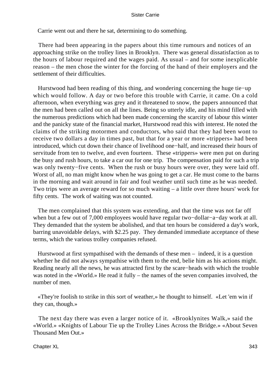Carrie went out and there he sat, determining to do something.

 There had been appearing in the papers about this time rumours and notices of an approaching strike on the trolley lines in Brooklyn. There was general dissatisfaction as to the hours of labour required and the wages paid. As usual – and for some inexplicable reason – the men chose the winter for the forcing of the hand of their employers and the settlement of their difficulties.

 Hurstwood had been reading of this thing, and wondering concerning the huge tie−up which would follow. A day or two before this trouble with Carrie, it came. On a cold afternoon, when everything was grey and it threatened to snow, the papers announced that the men had been called out on all the lines. Being so utterly idle, and his mind filled with the numerous predictions which had been made concerning the scarcity of labour this winter and the panicky state of the financial market, Hurstwood read this with interest. He noted the claims of the striking motormen and conductors, who said that they had been wont to receive two dollars a day in times past, but that for a year or more «trippers» had been introduced, which cut down their chance of livelihood one−half, and increased their hours of servitude from ten to twelve, and even fourteen. These «trippers» were men put on during the busy and rush hours, to take a car out for one trip. The compensation paid for such a trip was only twenty−five cents. When the rush or busy hours were over, they were laid off. Worst of all, no man might know when he was going to get a car. He must come to the barns in the morning and wait around in fair and foul weather until such time as he was needed. Two trips were an average reward for so much waiting – a little over three hours' work for fifty cents. The work of waiting was not counted.

 The men complained that this system was extending, and that the time was not far off when but a few out of 7,000 employees would have regular two−dollar−a−day work at all. They demanded that the system be abolished, and that ten hours be considered a day's work, barring unavoidable delays, with \$2.25 pay. They demanded immediate acceptance of these terms, which the various trolley companies refused.

 Hurstwood at first sympathised with the demands of these men – indeed, it is a question whether he did not always sympathise with them to the end, belie him as his actions might. Reading nearly all the news, he was attracted first by the scare−heads with which the trouble was noted in the «World.» He read it fully – the names of the seven companies involved, the number of men.

 «They're foolish to strike in this sort of weather,» he thought to himself. «Let 'em win if they can, though.»

 The next day there was even a larger notice of it. «Brooklynites Walk,» said the «World.» «Knights of Labour Tie up the Trolley Lines Across the Bridge.» «About Seven Thousand Men Out.»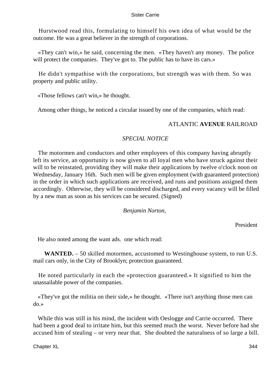Hurstwood read this, formulating to himself his own idea of what would be the outcome. He was a great believer in the strength of corporations.

 «They can't win,» he said, concerning the men. «They haven't any money. The police will protect the companies. They've got to. The public has to have its cars.»

 He didn't sympathise with the corporations, but strength was with them. So was property and public utility.

«Those fellows can't win,» he thought.

Among other things, he noticed a circular issued by one of the companies, which read:

## ATLANTIC **AVENUE** RAILROAD

## *SPECIAL NOTICE*

 The motormen and conductors and other employees of this company having abruptly left its service, an opportunity is now given to all loyal men who have struck against their will to be reinstated, providing they will make their applications by twelve o'clock noon on Wednesday, January 16th. Such men will be given employment (with guaranteed protection) in the order in which such applications are received, and runs and positions assigned them accordingly. Otherwise, they will be considered discharged, and every vacancy will be filled by a new man as soon as his services can be secured. (Signed)

## *Benjamin Norton,*

President

He also noted among the want ads. one which read:

**WANTED.** – 50 skilled motormen, accustomed to Westinghouse system, to run U.S. mail cars only, in the City of Brooklyn; protection guaranteed.

 He noted particularly in each the «protection guaranteed.» It signified to him the unassailable power of the companies.

 «They've got the militia on their side,» he thought. «There isn't anything those men can do.»

 While this was still in his mind, the incident with Oeslogge and Carrie occurred. There had been a good deal to irritate him, but this seemed much the worst. Never before had she accused him of stealing – or very near that. She doubted the naturalness of so large a bill.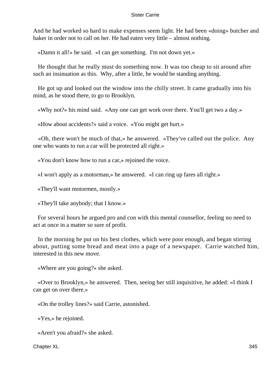And he had worked so hard to make expenses seem light. He had been «doing» butcher and baker in order not to call on her. He had eaten very little – almost nothing.

«Damn it all!» he said. «I can get something. I'm not down yet.»

 He thought that he really must do something now. It was too cheap to sit around after such an insinuation as this. Why, after a little, he would be standing anything.

 He got up and looked out the window into the chilly street. It came gradually into his mind, as he stood there, to go to Brooklyn.

«Why not?» his mind said. «Any one can get work over there. You'll get two a day.»

«How about accidents?» said a voice. «You might get hurt.»

 «Oh, there won't be much of that,» he answered. «They've called out the police. Any one who wants to run a car will be protected all right.»

«You don't know how to run a car,» rejoined the voice.

«I won't apply as a motorman,» he answered. «I can ring up fares all right.»

«They'll want motormen, mostly.»

«They'll take anybody; that I know.»

 For several hours he argued pro and con with this mental counsellor, feeling no need to act at once in a matter so sure of profit.

 In the morning he put on his best clothes, which were poor enough, and began stirring about, putting some bread and meat into a page of a newspaper. Carrie watched him, interested in this new move.

«Where are you going?» she asked.

 «Over to Brooklyn,» he answered. Then, seeing her still inquisitive, he added: «I think I can get on over there.»

«On the trolley lines?» said Carrie, astonished.

«Yes,» he rejoined.

«Aren't you afraid?» she asked.

Chapter XL 345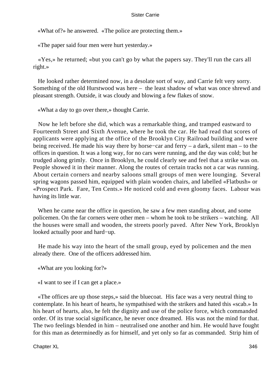«What of?» he answered. «The police are protecting them.»

«The paper said four men were hurt yesterday.»

 «Yes,» he returned; «but you can't go by what the papers say. They'll run the cars all right.»

 He looked rather determined now, in a desolate sort of way, and Carrie felt very sorry. Something of the old Hurstwood was here – the least shadow of what was once shrewd and pleasant strength. Outside, it was cloudy and blowing a few flakes of snow.

«What a day to go over there,» thought Carrie.

 Now he left before she did, which was a remarkable thing, and tramped eastward to Fourteenth Street and Sixth Avenue, where he took the car. He had read that scores of applicants were applying at the office of the Brooklyn City Railroad building and were being received. He made his way there by horse−car and ferry – a dark, silent man – to the offices in question. It was a long way, for no cars were running, and the day was cold; but he trudged along grimly. Once in Brooklyn, he could clearly see and feel that a strike was on. People showed it in their manner. Along the routes of certain tracks not a car was running. About certain corners and nearby saloons small groups of men were lounging. Several spring wagons passed him, equipped with plain wooden chairs, and labelled «Flatbush» or «Prospect Park. Fare, Ten Cents.» He noticed cold and even gloomy faces. Labour was having its little war.

 When he came near the office in question, he saw a few men standing about, and some policemen. On the far corners were other men – whom he took to be strikers – watching. All the houses were small and wooden, the streets poorly paved. After New York, Brooklyn looked actually poor and hard−up.

 He made his way into the heart of the small group, eyed by policemen and the men already there. One of the officers addressed him.

«What are you looking for?»

«I want to see if I can get a place.»

 «The offices are up those steps,» said the bluecoat. His face was a very neutral thing to contemplate. In his heart of hearts, he sympathised with the strikers and hated this «scab.» In his heart of hearts, also, he felt the dignity and use of the police force, which commanded order. Of its true social significance, he never once dreamed. His was not the mind for that. The two feelings blended in him – neutralised one another and him. He would have fought for this man as determinedly as for himself, and yet only so far as commanded. Strip him of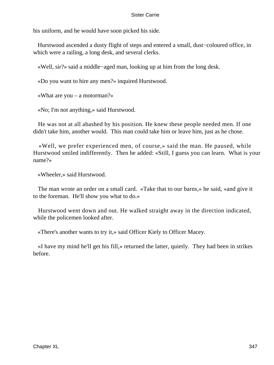his uniform, and he would have soon picked his side.

 Hurstwood ascended a dusty flight of steps and entered a small, dust−coloured office, in which were a railing, a long desk, and several clerks.

«Well, sir?» said a middle−aged man, looking up at him from the long desk.

«Do you want to hire any men?» inquired Hurstwood.

«What are you – a motorman?»

«No; I'm not anything,» said Hurstwood.

 He was not at all abashed by his position. He knew these people needed men. If one didn't take him, another would. This man could take him or leave him, just as he chose.

 «Well, we prefer experienced men, of course,» said the man. He paused, while Hurstwood smiled indifferently. Then he added: «Still, I guess you can learn. What is your name?»

«Wheeler,» said Hurstwood.

 The man wrote an order on a small card. «Take that to our barns,» he said, «and give it to the foreman. He'll show you what to do.»

 Hurstwood went down and out. He walked straight away in the direction indicated, while the policemen looked after.

«There's another wants to try it,» said Officer Kiely to Officer Macey.

 «I have my mind he'll get his fill,» returned the latter, quietly. They had been in strikes before.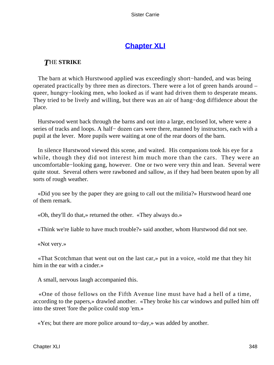# **[Chapter XLI](#page-429-0)**

## *T*HE **STRIKE**

 The barn at which Hurstwood applied was exceedingly short−handed, and was being operated practically by three men as directors. There were a lot of green hands around – queer, hungry−looking men, who looked as if want had driven them to desperate means. They tried to be lively and willing, but there was an air of hang–dog diffidence about the place.

 Hurstwood went back through the barns and out into a large, enclosed lot, where were a series of tracks and loops. A half– dozen cars were there, manned by instructors, each with a pupil at the lever. More pupils were waiting at one of the rear doors of the barn.

 In silence Hurstwood viewed this scene, and waited. His companions took his eye for a while, though they did not interest him much more than the cars. They were an uncomfortable−looking gang, however. One or two were very thin and lean. Several were quite stout. Several others were rawboned and sallow, as if they had been beaten upon by all sorts of rough weather.

 «Did you see by the paper they are going to call out the militia?» Hurstwood heard one of them remark.

«Oh, they'll do that,» returned the other. «They always do.»

«Think we're liable to have much trouble?» said another, whom Hurstwood did not see.

«Not very.»

 «That Scotchman that went out on the last car,» put in a voice, «told me that they hit him in the ear with a cinder.»

A small, nervous laugh accompanied this.

 «One of those fellows on the Fifth Avenue line must have had a hell of a time, according to the papers,» drawled another. «They broke his car windows and pulled him off into the street 'fore the police could stop 'em.»

«Yes; but there are more police around to−day,» was added by another.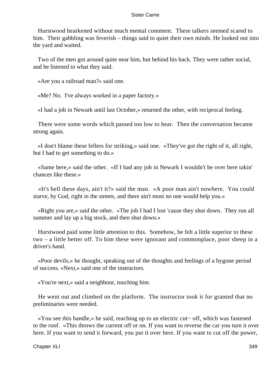Hurstwood hearkened without much mental comment. These talkers seemed scared to him. Their gabbling was feverish – things said to quiet their own minds. He looked out into the yard and waited.

 Two of the men got around quite near him, but behind his back. They were rather social, and he listened to what they said.

«Are you a railroad man?» said one.

«Me? No. I've always worked in a paper factory.»

«I had a job in Newark until last October,» returned the other, with reciprocal feeling.

 There were some words which passed too low to hear. Then the conversation became strong again.

 «I don't blame these fellers for striking,» said one. «They've got the right of it, all right, but I had to get something to do.»

 «Same here,» said the other. «If I had any job in Newark I wouldn't be over here takin' chances like these.»

 «It's hell these days, ain't it?» said the man. «A poor man ain't nowhere. You could starve, by God, right in the streets, and there ain't most no one would help you.»

 «Right you are,» said the other. «The job I had I lost 'cause they shut down. They run all summer and lay up a big stock, and then shut down.»

 Hurstwood paid some little attention to this. Somehow, he felt a little superior to these two – a little better off. To him these were ignorant and commonplace, poor sheep in a driver's hand.

 «Poor devils,» he thought, speaking out of the thoughts and feelings of a bygone period of success. «Next,» said one of the instructors.

«You're next,» said a neighbour, touching him.

 He went out and climbed on the platform. The instructor took it for granted that no preliminaries were needed.

 «You see this handle,» he said, reaching up to an electric cut− off, which was fastened to the roof. «This throws the current off or on. If you want to reverse the car you turn it over here. If you want to send it forward, you put it over here. If you want to cut off the power,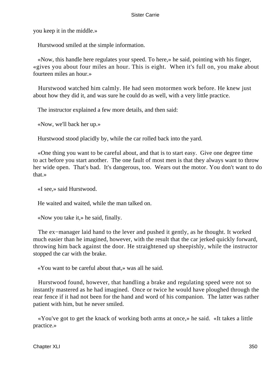you keep it in the middle.»

Hurstwood smiled at the simple information.

 «Now, this handle here regulates your speed. To here,» he said, pointing with his finger, «gives you about four miles an hour. This is eight. When it's full on, you make about fourteen miles an hour.»

 Hurstwood watched him calmly. He had seen motormen work before. He knew just about how they did it, and was sure he could do as well, with a very little practice.

The instructor explained a few more details, and then said:

«Now, we'll back her up.»

Hurstwood stood placidly by, while the car rolled back into the yard.

 «One thing you want to be careful about, and that is to start easy. Give one degree time to act before you start another. The one fault of most men is that they always want to throw her wide open. That's bad. It's dangerous, too. Wears out the motor. You don't want to do that.»

«I see,» said Hurstwood.

He waited and waited, while the man talked on.

«Now you take it,» he said, finally.

 The ex−manager laid hand to the lever and pushed it gently, as he thought. It worked much easier than he imagined, however, with the result that the car jerked quickly forward, throwing him back against the door. He straightened up sheepishly, while the instructor stopped the car with the brake.

«You want to be careful about that,» was all he said.

 Hurstwood found, however, that handling a brake and regulating speed were not so instantly mastered as he had imagined. Once or twice he would have ploughed through the rear fence if it had not been for the hand and word of his companion. The latter was rather patient with him, but he never smiled.

 «You've got to get the knack of working both arms at once,» he said. «It takes a little practice.»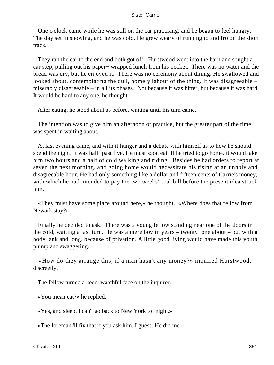One o'clock came while he was still on the car practising, and he began to feel hungry. The day set in snowing, and he was cold. He grew weary of running to and fro on the short track.

 They ran the car to the end and both got off. Hurstwood went into the barn and sought a car step, pulling out his paper− wrapped lunch from his pocket. There was no water and the bread was dry, but he enjoyed it. There was no ceremony about dining. He swallowed and looked about, contemplating the dull, homely labour of the thing. It was disagreeable – miserably disagreeable – in all its phases. Not because it was bitter, but because it was hard. It would be hard to any one, he thought.

After eating, he stood about as before, waiting until his turn came.

 The intention was to give him an afternoon of practice, but the greater part of the time was spent in waiting about.

 At last evening came, and with it hunger and a debate with himself as to how he should spend the night. It was half−past five. He must soon eat. If he tried to go home, it would take him two hours and a half of cold walking and riding. Besides he had orders to report at seven the next morning, and going home would necessitate his rising at an unholy and disagreeable hour. He had only something like a dollar and fifteen cents of Carrie's money, with which he had intended to pay the two weeks' coal bill before the present idea struck him.

 «They must have some place around here,» he thought. «Where does that fellow from Newark stay?»

 Finally he decided to ask. There was a young fellow standing near one of the doors in the cold, waiting a last turn. He was a mere boy in years – twenty−one about – but with a body lank and long, because of privation. A little good living would have made this youth plump and swaggering.

 «How do they arrange this, if a man hasn't any money?» inquired Hurstwood, discreetly.

The fellow turned a keen, watchful face on the inquirer.

«You mean eat?» he replied.

«Yes, and sleep. I can't go back to New York to−night.»

«The foreman 'll fix that if you ask him, I guess. He did me.»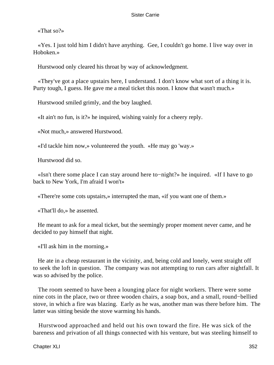«That so?»

 «Yes. I just told him I didn't have anything. Gee, I couldn't go home. I live way over in Hoboken.»

Hurstwood only cleared his throat by way of acknowledgment.

 «They've got a place upstairs here, I understand. I don't know what sort of a thing it is. Purty tough, I guess. He gave me a meal ticket this noon. I know that wasn't much.»

Hurstwood smiled grimly, and the boy laughed.

«It ain't no fun, is it?» he inquired, wishing vainly for a cheery reply.

«Not much,» answered Hurstwood.

«I'd tackle him now,» volunteered the youth. «He may go 'way.»

Hurstwood did so.

 «Isn't there some place I can stay around here to−night?» he inquired. «If I have to go back to New York, I'm afraid I won't»

«There're some cots upstairs,» interrupted the man, «if you want one of them.»

«That'll do,» he assented.

 He meant to ask for a meal ticket, but the seemingly proper moment never came, and he decided to pay himself that night.

«I'll ask him in the morning.»

 He ate in a cheap restaurant in the vicinity, and, being cold and lonely, went straight off to seek the loft in question. The company was not attempting to run cars after nightfall. It was so advised by the police.

 The room seemed to have been a lounging place for night workers. There were some nine cots in the place, two or three wooden chairs, a soap box, and a small, round−bellied stove, in which a fire was blazing. Early as he was, another man was there before him. The latter was sitting beside the stove warming his hands.

 Hurstwood approached and held out his own toward the fire. He was sick of the bareness and privation of all things connected with his venture, but was steeling himself to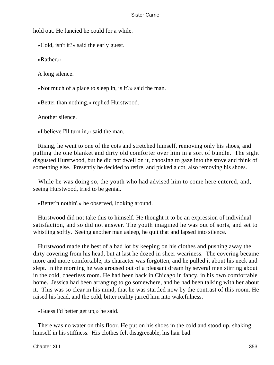hold out. He fancied he could for a while.

«Cold, isn't it?» said the early guest.

«Rather.»

A long silence.

«Not much of a place to sleep in, is it?» said the man.

«Better than nothing,» replied Hurstwood.

Another silence.

«I believe I'll turn in,» said the man.

 Rising, he went to one of the cots and stretched himself, removing only his shoes, and pulling the one blanket and dirty old comforter over him in a sort of bundle. The sight disgusted Hurstwood, but he did not dwell on it, choosing to gaze into the stove and think of something else. Presently he decided to retire, and picked a cot, also removing his shoes.

 While he was doing so, the youth who had advised him to come here entered, and, seeing Hurstwood, tried to be genial.

«Better'n nothin',» he observed, looking around.

 Hurstwood did not take this to himself. He thought it to be an expression of individual satisfaction, and so did not answer. The youth imagined he was out of sorts, and set to whistling softly. Seeing another man asleep, he quit that and lapsed into silence.

 Hurstwood made the best of a bad lot by keeping on his clothes and pushing away the dirty covering from his head, but at last he dozed in sheer weariness. The covering became more and more comfortable, its character was forgotten, and he pulled it about his neck and slept. In the morning he was aroused out of a pleasant dream by several men stirring about in the cold, cheerless room. He had been back in Chicago in fancy, in his own comfortable home. Jessica had been arranging to go somewhere, and he had been talking with her about it. This was so clear in his mind, that he was startled now by the contrast of this room. He raised his head, and the cold, bitter reality jarred him into wakefulness.

«Guess I'd better get up,» he said.

 There was no water on this floor. He put on his shoes in the cold and stood up, shaking himself in his stiffness. His clothes felt disagreeable, his hair bad.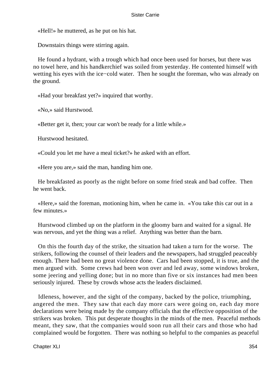«Hell!» he muttered, as he put on his hat.

Downstairs things were stirring again.

 He found a hydrant, with a trough which had once been used for horses, but there was no towel here, and his handkerchief was soiled from yesterday. He contented himself with wetting his eyes with the ice−cold water. Then he sought the foreman, who was already on the ground.

«Had your breakfast yet?» inquired that worthy.

«No,» said Hurstwood.

«Better get it, then; your car won't be ready for a little while.»

Hurstwood hesitated.

«Could you let me have a meal ticket?» he asked with an effort.

«Here you are,» said the man, handing him one.

 He breakfasted as poorly as the night before on some fried steak and bad coffee. Then he went back.

 «Here,» said the foreman, motioning him, when he came in. «You take this car out in a few minutes.»

 Hurstwood climbed up on the platform in the gloomy barn and waited for a signal. He was nervous, and yet the thing was a relief. Anything was better than the barn.

 On this the fourth day of the strike, the situation had taken a turn for the worse. The strikers, following the counsel of their leaders and the newspapers, had struggled peaceably enough. There had been no great violence done. Cars had been stopped, it is true, and the men argued with. Some crews had been won over and led away, some windows broken, some jeering and yelling done; but in no more than five or six instances had men been seriously injured. These by crowds whose acts the leaders disclaimed.

 Idleness, however, and the sight of the company, backed by the police, triumphing, angered the men. They saw that each day more cars were going on, each day more declarations were being made by the company officials that the effective opposition of the strikers was broken. This put desperate thoughts in the minds of the men. Peaceful methods meant, they saw, that the companies would soon run all their cars and those who had complained would be forgotten. There was nothing so helpful to the companies as peaceful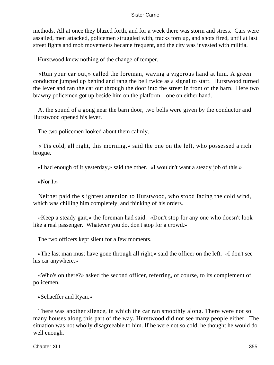methods. All at once they blazed forth, and for a week there was storm and stress. Cars were assailed, men attacked, policemen struggled with, tracks torn up, and shots fired, until at last street fights and mob movements became frequent, and the city was invested with militia.

Hurstwood knew nothing of the change of temper.

 «Run your car out,» called the foreman, waving a vigorous hand at him. A green conductor jumped up behind and rang the bell twice as a signal to start. Hurstwood turned the lever and ran the car out through the door into the street in front of the barn. Here two brawny policemen got up beside him on the platform – one on either hand.

 At the sound of a gong near the barn door, two bells were given by the conductor and Hurstwood opened his lever.

The two policemen looked about them calmly.

 «'Tis cold, all right, this morning,» said the one on the left, who possessed a rich brogue.

«I had enough of it yesterday,» said the other. «I wouldn't want a steady job of this.»

«Nor I»

 Neither paid the slightest attention to Hurstwood, who stood facing the cold wind, which was chilling him completely, and thinking of his orders.

 «Keep a steady gait,» the foreman had said. «Don't stop for any one who doesn't look like a real passenger. Whatever you do, don't stop for a crowd.»

The two officers kept silent for a few moments.

 «The last man must have gone through all right,» said the officer on the left. «I don't see his car anywhere.»

 «Who's on there?» asked the second officer, referring, of course, to its complement of policemen.

«Schaeffer and Ryan.»

 There was another silence, in which the car ran smoothly along. There were not so many houses along this part of the way. Hurstwood did not see many people either. The situation was not wholly disagreeable to him. If he were not so cold, he thought he would do well enough.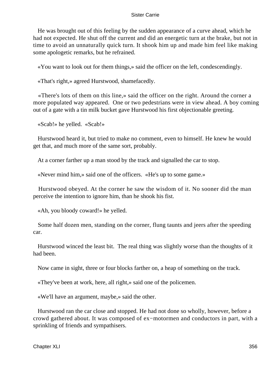He was brought out of this feeling by the sudden appearance of a curve ahead, which he had not expected. He shut off the current and did an energetic turn at the brake, but not in time to avoid an unnaturally quick turn. It shook him up and made him feel like making some apologetic remarks, but he refrained.

«You want to look out for them things,» said the officer on the left, condescendingly.

«That's right,» agreed Hurstwood, shamefacedly.

 «There's lots of them on this line,» said the officer on the right. Around the corner a more populated way appeared. One or two pedestrians were in view ahead. A boy coming out of a gate with a tin milk bucket gave Hurstwood his first objectionable greeting.

«Scab!» he yelled. «Scab!»

 Hurstwood heard it, but tried to make no comment, even to himself. He knew he would get that, and much more of the same sort, probably.

At a corner farther up a man stood by the track and signalled the car to stop.

«Never mind him,» said one of the officers. «He's up to some game.»

 Hurstwood obeyed. At the corner he saw the wisdom of it. No sooner did the man perceive the intention to ignore him, than he shook his fist.

«Ah, you bloody coward!» he yelled.

 Some half dozen men, standing on the corner, flung taunts and jeers after the speeding car.

 Hurstwood winced the least bit. The real thing was slightly worse than the thoughts of it had been.

Now came in sight, three or four blocks farther on, a heap of something on the track.

«They've been at work, here, all right,» said one of the policemen.

«We'll have an argument, maybe,» said the other.

 Hurstwood ran the car close and stopped. He had not done so wholly, however, before a crowd gathered about. It was composed of ex−motormen and conductors in part, with a sprinkling of friends and sympathisers.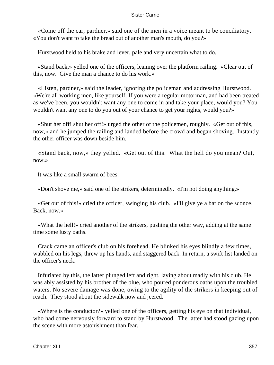«Come off the car, pardner,» said one of the men in a voice meant to be conciliatory. «You don't want to take the bread out of another man's mouth, do you?»

Hurstwood held to his brake and lever, pale and very uncertain what to do.

 «Stand back,» yelled one of the officers, leaning over the platform railing. «Clear out of this, now. Give the man a chance to do his work.»

 «Listen, pardner,» said the leader, ignoring the policeman and addressing Hurstwood. «We're all working men, like yourself. If you were a regular motorman, and had been treated as we've been, you wouldn't want any one to come in and take your place, would you? You wouldn't want any one to do you out of your chance to get your rights, would you?»

 «Shut her off! shut her off!» urged the other of the policemen, roughly. «Get out of this, now,» and he jumped the railing and landed before the crowd and began shoving. Instantly the other officer was down beside him.

 «Stand back, now,» they yelled. «Get out of this. What the hell do you mean? Out, now.»

It was like a small swarm of bees.

«Don't shove me,» said one of the strikers, determinedly. «I'm not doing anything.»

 «Get out of this!» cried the officer, swinging his club. «I'll give ye a bat on the sconce. Back, now.»

 «What the hell!» cried another of the strikers, pushing the other way, adding at the same time some lusty oaths.

 Crack came an officer's club on his forehead. He blinked his eyes blindly a few times, wabbled on his legs, threw up his hands, and staggered back. In return, a swift fist landed on the officer's neck.

 Infuriated by this, the latter plunged left and right, laying about madly with his club. He was ably assisted by his brother of the blue, who poured ponderous oaths upon the troubled waters. No severe damage was done, owing to the agility of the strikers in keeping out of reach. They stood about the sidewalk now and jeered.

 «Where is the conductor?» yelled one of the officers, getting his eye on that individual, who had come nervously forward to stand by Hurstwood. The latter had stood gazing upon the scene with more astonishment than fear.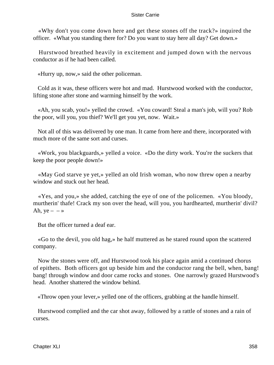«Why don't you come down here and get these stones off the track?» inquired the officer. «What you standing there for? Do you want to stay here all day? Get down.»

 Hurstwood breathed heavily in excitement and jumped down with the nervous conductor as if he had been called.

«Hurry up, now,» said the other policeman.

 Cold as it was, these officers were hot and mad. Hurstwood worked with the conductor, lifting stone after stone and warming himself by the work.

 «Ah, you scab, you!» yelled the crowd. «You coward! Steal a man's job, will you? Rob the poor, will you, you thief? We'll get you yet, now. Wait.»

 Not all of this was delivered by one man. It came from here and there, incorporated with much more of the same sort and curses.

 «Work, you blackguards,» yelled a voice. «Do the dirty work. You're the suckers that keep the poor people down!»

 «May God starve ye yet,» yelled an old Irish woman, who now threw open a nearby window and stuck out her head.

 «Yes, and you,» she added, catching the eye of one of the policemen. «You bloody, murtherin' thafe! Crack my son over the head, will you, you hardhearted, murtherin' divil? Ah,  $ye - - \infty$ 

But the officer turned a deaf ear.

 «Go to the devil, you old hag,» he half muttered as he stared round upon the scattered company.

 Now the stones were off, and Hurstwood took his place again amid a continued chorus of epithets. Both officers got up beside him and the conductor rang the bell, when, bang! bang! through window and door came rocks and stones. One narrowly grazed Hurstwood's head. Another shattered the window behind.

«Throw open your lever,» yelled one of the officers, grabbing at the handle himself.

 Hurstwood complied and the car shot away, followed by a rattle of stones and a rain of curses.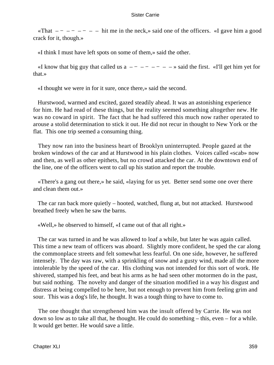«That  $---$  – – – – – hit me in the neck,» said one of the officers. «I gave him a good crack for it, though.»

«I think I must have left spots on some of them,» said the other.

«I know that big guy that called us  $a$  – – – – – – – – » said the first. «I'll get him yet for that.»

«I thought we were in for it sure, once there,» said the second.

 Hurstwood, warmed and excited, gazed steadily ahead. It was an astonishing experience for him. He had read of these things, but the reality seemed something altogether new. He was no coward in spirit. The fact that he had suffered this much now rather operated to arouse a stolid determination to stick it out. He did not recur in thought to New York or the flat. This one trip seemed a consuming thing.

 They now ran into the business heart of Brooklyn uninterrupted. People gazed at the broken windows of the car and at Hurstwood in his plain clothes. Voices called «scab» now and then, as well as other epithets, but no crowd attacked the car. At the downtown end of the line, one of the officers went to call up his station and report the trouble.

 «There's a gang out there,» he said, «laying for us yet. Better send some one over there and clean them out.»

 The car ran back more quietly – hooted, watched, flung at, but not attacked. Hurstwood breathed freely when he saw the barns.

«Well,» he observed to himself, «I came out of that all right.»

 The car was turned in and he was allowed to loaf a while, but later he was again called. This time a new team of officers was aboard. Slightly more confident, he sped the car along the commonplace streets and felt somewhat less fearful. On one side, however, he suffered intensely. The day was raw, with a sprinkling of snow and a gusty wind, made all the more intolerable by the speed of the car. His clothing was not intended for this sort of work. He shivered, stamped his feet, and beat his arms as he had seen other motormen do in the past, but said nothing. The novelty and danger of the situation modified in a way his disgust and distress at being compelled to be here, but not enough to prevent him from feeling grim and sour. This was a dog's life, he thought. It was a tough thing to have to come to.

 The one thought that strengthened him was the insult offered by Carrie. He was not down so low as to take all that, he thought. He could do something – this, even – for a while. It would get better. He would save a little.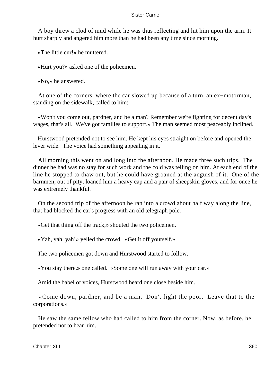A boy threw a clod of mud while he was thus reflecting and hit him upon the arm. It hurt sharply and angered him more than he had been any time since morning.

«The little cur!» he muttered.

«Hurt you?» asked one of the policemen.

«No,» he answered.

 At one of the corners, where the car slowed up because of a turn, an ex−motorman, standing on the sidewalk, called to him:

 «Won't you come out, pardner, and be a man? Remember we're fighting for decent day's wages, that's all. We've got families to support.» The man seemed most peaceably inclined.

 Hurstwood pretended not to see him. He kept his eyes straight on before and opened the lever wide. The voice had something appealing in it.

 All morning this went on and long into the afternoon. He made three such trips. The dinner he had was no stay for such work and the cold was telling on him. At each end of the line he stopped to thaw out, but he could have groaned at the anguish of it. One of the barnmen, out of pity, loaned him a heavy cap and a pair of sheepskin gloves, and for once he was extremely thankful.

 On the second trip of the afternoon he ran into a crowd about half way along the line, that had blocked the car's progress with an old telegraph pole.

«Get that thing off the track,» shouted the two policemen.

«Yah, yah, yah!» yelled the crowd. «Get it off yourself.»

The two policemen got down and Hurstwood started to follow.

«You stay there,» one called. «Some one will run away with your car.»

Amid the babel of voices, Hurstwood heard one close beside him.

 «Come down, pardner, and be a man. Don't fight the poor. Leave that to the corporations.»

 He saw the same fellow who had called to him from the corner. Now, as before, he pretended not to hear him.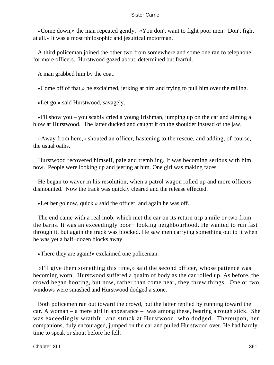«Come down,» the man repeated gently. «You don't want to fight poor men. Don't fight at all.» It was a most philosophic and jesuitical motorman.

 A third policeman joined the other two from somewhere and some one ran to telephone for more officers. Hurstwood gazed about, determined but fearful.

A man grabbed him by the coat.

«Come off of that,» he exclaimed, jerking at him and trying to pull him over the railing.

«Let go,» said Hurstwood, savagely.

 «I'll show you – you scab!» cried a young Irishman, jumping up on the car and aiming a blow at Hurstwood. The latter ducked and caught it on the shoulder instead of the jaw.

 «Away from here,» shouted an officer, hastening to the rescue, and adding, of course, the usual oaths.

 Hurstwood recovered himself, pale and trembling. It was becoming serious with him now. People were looking up and jeering at him. One girl was making faces.

 He began to waver in his resolution, when a patrol wagon rolled up and more officers dismounted. Now the track was quickly cleared and the release effected.

«Let her go now, quick,» said the officer, and again he was off.

 The end came with a real mob, which met the car on its return trip a mile or two from the barns. It was an exceedingly poor− looking neighbourhood. He wanted to run fast through it, but again the track was blocked. He saw men carrying something out to it when he was yet a half−dozen blocks away.

«There they are again!» exclaimed one policeman.

 «I'll give them something this time,» said the second officer, whose patience was becoming worn. Hurstwood suffered a qualm of body as the car rolled up. As before, the crowd began hooting, but now, rather than come near, they threw things. One or two windows were smashed and Hurstwood dodged a stone.

 Both policemen ran out toward the crowd, but the latter replied by running toward the car. A woman – a mere girl in appearance – was among these, bearing a rough stick. She was exceedingly wrathful and struck at Hurstwood, who dodged. Thereupon, her companions, duly encouraged, jumped on the car and pulled Hurstwood over. He had hardly time to speak or shout before he fell.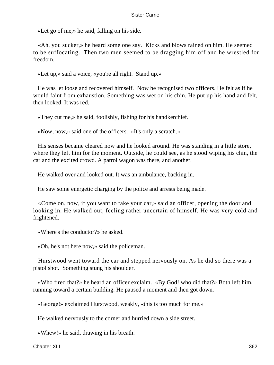«Let go of me,» he said, falling on his side.

 «Ah, you sucker,» he heard some one say. Kicks and blows rained on him. He seemed to be suffocating. Then two men seemed to be dragging him off and he wrestled for freedom.

«Let up,» said a voice, «you're all right. Stand up.»

 He was let loose and recovered himself. Now he recognised two officers. He felt as if he would faint from exhaustion. Something was wet on his chin. He put up his hand and felt, then looked. It was red.

«They cut me,» he said, foolishly, fishing for his handkerchief.

«Now, now,» said one of the officers. «It's only a scratch.»

 His senses became cleared now and he looked around. He was standing in a little store, where they left him for the moment. Outside, he could see, as he stood wiping his chin, the car and the excited crowd. A patrol wagon was there, and another.

He walked over and looked out. It was an ambulance, backing in.

He saw some energetic charging by the police and arrests being made.

 «Come on, now, if you want to take your car,» said an officer, opening the door and looking in. He walked out, feeling rather uncertain of himself. He was very cold and frightened.

«Where's the conductor?» he asked.

«Oh, he's not here now,» said the policeman.

 Hurstwood went toward the car and stepped nervously on. As he did so there was a pistol shot. Something stung his shoulder.

 «Who fired that?» he heard an officer exclaim. «By God! who did that?» Both left him, running toward a certain building. He paused a moment and then got down.

«George!» exclaimed Hurstwood, weakly, «this is too much for me.»

He walked nervously to the corner and hurried down a side street.

«Whew!» he said, drawing in his breath.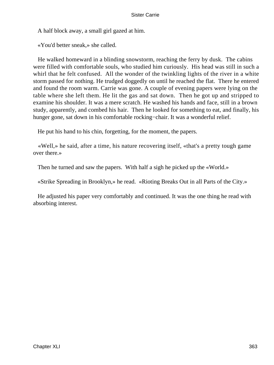A half block away, a small girl gazed at him.

«You'd better sneak,» she called.

 He walked homeward in a blinding snowstorm, reaching the ferry by dusk. The cabins were filled with comfortable souls, who studied him curiously. His head was still in such a whirl that he felt confused. All the wonder of the twinkling lights of the river in a white storm passed for nothing. He trudged doggedly on until he reached the flat. There he entered and found the room warm. Carrie was gone. A couple of evening papers were lying on the table where she left them. He lit the gas and sat down. Then he got up and stripped to examine his shoulder. It was a mere scratch. He washed his hands and face, still in a brown study, apparently, and combed his hair. Then he looked for something to eat, and finally, his hunger gone, sat down in his comfortable rocking−chair. It was a wonderful relief.

He put his hand to his chin, forgetting, for the moment, the papers.

 «Well,» he said, after a time, his nature recovering itself, «that's a pretty tough game over there.»

Then he turned and saw the papers. With half a sigh he picked up the «World.»

«Strike Spreading in Brooklyn,» he read. «Rioting Breaks Out in all Parts of the City.»

 He adjusted his paper very comfortably and continued. It was the one thing he read with absorbing interest.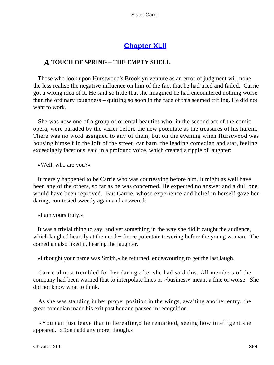# **[Chapter XLII](#page-429-0)**

# *A* **TOUCH OF SPRING** – **THE EMPTY SHELL**

 Those who look upon Hurstwood's Brooklyn venture as an error of judgment will none the less realise the negative influence on him of the fact that he had tried and failed. Carrie got a wrong idea of it. He said so little that she imagined he had encountered nothing worse than the ordinary roughness – quitting so soon in the face of this seemed trifling. He did not want to work.

 She was now one of a group of oriental beauties who, in the second act of the comic opera, were paraded by the vizier before the new potentate as the treasures of his harem. There was no word assigned to any of them, but on the evening when Hurstwood was housing himself in the loft of the street−car barn, the leading comedian and star, feeling exceedingly facetious, said in a profound voice, which created a ripple of laughter:

«Well, who are you?»

 It merely happened to be Carrie who was courtesying before him. It might as well have been any of the others, so far as he was concerned. He expected no answer and a dull one would have been reproved. But Carrie, whose experience and belief in herself gave her daring, courtesied sweetly again and answered:

«I am yours truly.»

 It was a trivial thing to say, and yet something in the way she did it caught the audience, which laughed heartily at the mock− fierce potentate towering before the young woman. The comedian also liked it, hearing the laughter.

«I thought your name was Smith,» he returned, endeavouring to get the last laugh.

 Carrie almost trembled for her daring after she had said this. All members of the company had been warned that to interpolate lines or «business» meant a fine or worse. She did not know what to think.

 As she was standing in her proper position in the wings, awaiting another entry, the great comedian made his exit past her and paused in recognition.

 «You can just leave that in hereafter,» he remarked, seeing how intelligent she appeared. «Don't add any more, though.»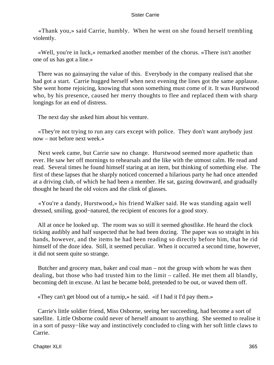«Thank you,» said Carrie, humbly. When he went on she found herself trembling violently.

 «Well, you're in luck,» remarked another member of the chorus. «There isn't another one of us has got a line.»

 There was no gainsaying the value of this. Everybody in the company realised that she had got a start. Carrie hugged herself when next evening the lines got the same applause. She went home rejoicing, knowing that soon something must come of it. It was Hurstwood who, by his presence, caused her merry thoughts to flee and replaced them with sharp longings for an end of distress.

The next day she asked him about his venture.

 «They're not trying to run any cars except with police. They don't want anybody just now – not before next week.»

 Next week came, but Carrie saw no change. Hurstwood seemed more apathetic than ever. He saw her off mornings to rehearsals and the like with the utmost calm. He read and read. Several times he found himself staring at an item, but thinking of something else. The first of these lapses that he sharply noticed concerned a hilarious party he had once attended at a driving club, of which he had been a member. He sat, gazing downward, and gradually thought he heard the old voices and the clink of glasses.

 «You're a dandy, Hurstwood,» his friend Walker said. He was standing again well dressed, smiling, good−natured, the recipient of encores for a good story.

 All at once he looked up. The room was so still it seemed ghostlike. He heard the clock ticking audibly and half suspected that he had been dozing. The paper was so straight in his hands, however, and the items he had been reading so directly before him, that he rid himself of the doze idea. Still, it seemed peculiar. When it occurred a second time, however, it did not seem quite so strange.

 Butcher and grocery man, baker and coal man – not the group with whom he was then dealing, but those who had trusted him to the limit – called. He met them all blandly, becoming deft in excuse. At last he became bold, pretended to be out, or waved them off.

«They can't get blood out of a turnip,» he said. «if I had it I'd pay them.»

 Carrie's little soldier friend, Miss Osborne, seeing her succeeding, had become a sort of satellite. Little Osborne could never of herself amount to anything. She seemed to realise it in a sort of pussy−like way and instinctively concluded to cling with her soft little claws to Carrie.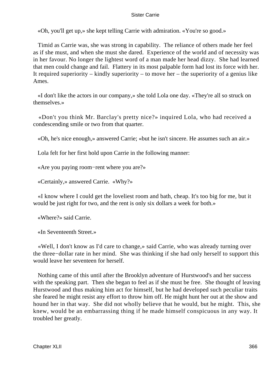«Oh, you'll get up,» she kept telling Carrie with admiration. «You're so good.»

 Timid as Carrie was, she was strong in capability. The reliance of others made her feel as if she must, and when she must she dared. Experience of the world and of necessity was in her favour. No longer the lightest word of a man made her head dizzy. She had learned that men could change and fail. Flattery in its most palpable form had lost its force with her. It required superiority – kindly superiority – to move her – the superiority of a genius like Ames.

 «I don't like the actors in our company,» she told Lola one day. «They're all so struck on themselves.»

 «Don't you think Mr. Barclay's pretty nice?» inquired Lola, who had received a condescending smile or two from that quarter.

«Oh, he's nice enough,» answered Carrie; «but he isn't sincere. He assumes such an air.»

Lola felt for her first hold upon Carrie in the following manner:

«Are you paying room−rent where you are?»

«Certainly,» answered Carrie. «Why?»

 «I know where I could get the loveliest room and bath, cheap. It's too big for me, but it would be just right for two, and the rent is only six dollars a week for both.»

«Where?» said Carrie.

«In Seventeenth Street.»

 «Well, I don't know as I'd care to change,» said Carrie, who was already turning over the three−dollar rate in her mind. She was thinking if she had only herself to support this would leave her seventeen for herself.

 Nothing came of this until after the Brooklyn adventure of Hurstwood's and her success with the speaking part. Then she began to feel as if she must be free. She thought of leaving Hurstwood and thus making him act for himself, but he had developed such peculiar traits she feared he might resist any effort to throw him off. He might hunt her out at the show and hound her in that way. She did not wholly believe that he would, but he might. This, she knew, would be an embarrassing thing if he made himself conspicuous in any way. It troubled her greatly.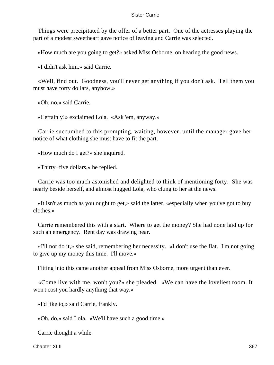Things were precipitated by the offer of a better part. One of the actresses playing the part of a modest sweetheart gave notice of leaving and Carrie was selected.

«How much are you going to get?» asked Miss Osborne, on hearing the good news.

«I didn't ask him,» said Carrie.

 «Well, find out. Goodness, you'll never get anything if you don't ask. Tell them you must have forty dollars, anyhow.»

«Oh, no,» said Carrie.

«Certainly!» exclaimed Lola. «Ask 'em, anyway.»

 Carrie succumbed to this prompting, waiting, however, until the manager gave her notice of what clothing she must have to fit the part.

«How much do I get?» she inquired.

«Thirty−five dollars,» he replied.

 Carrie was too much astonished and delighted to think of mentioning forty. She was nearly beside herself, and almost hugged Lola, who clung to her at the news.

 «It isn't as much as you ought to get,» said the latter, «especially when you've got to buy clothes.»

 Carrie remembered this with a start. Where to get the money? She had none laid up for such an emergency. Rent day was drawing near.

 «I'll not do it,» she said, remembering her necessity. «I don't use the flat. I'm not going to give up my money this time. I'll move.»

Fitting into this came another appeal from Miss Osborne, more urgent than ever.

 «Come live with me, won't you?» she pleaded. «We can have the loveliest room. It won't cost you hardly anything that way.»

«I'd like to,» said Carrie, frankly.

«Oh, do,» said Lola. «We'll have such a good time.»

Carrie thought a while.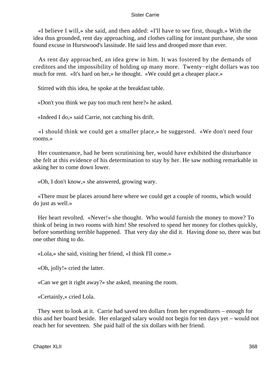«I believe I will,» she said, and then added: «I'll have to see first, though.» With the idea thus grounded, rent day approaching, and clothes calling for instant purchase, she soon found excuse in Hurstwood's lassitude. He said less and drooped more than ever.

 As rent day approached, an idea grew in him. It was fostered by the demands of creditors and the impossibility of holding up many more. Twenty−eight dollars was too much for rent. «It's hard on her,» he thought. «We could get a cheaper place.»

Stirred with this idea, he spoke at the breakfast table.

«Don't you think we pay too much rent here?» he asked.

«Indeed I do,» said Carrie, not catching his drift.

 «I should think we could get a smaller place,» he suggested. «We don't need four rooms.»

 Her countenance, had he been scrutinising her, would have exhibited the disturbance she felt at this evidence of his determination to stay by her. He saw nothing remarkable in asking her to come down lower.

«Oh, I don't know,» she answered, growing wary.

 «There must be places around here where we could get a couple of rooms, which would do just as well.»

 Her heart revolted. «Never!» she thought. Who would furnish the money to move? To think of being in two rooms with him! She resolved to spend her money for clothes quickly, before something terrible happened. That very day she did it. Having done so, there was but one other thing to do.

«Lola,» she said, visiting her friend, «I think I'll come.»

«Oh, jolly!» cried the latter.

«Can we get it right away?» she asked, meaning the room.

«Certainly,» cried Lola.

 They went to look at it. Carrie had saved ten dollars from her expenditures – enough for this and her board beside. Her enlarged salary would not begin for ten days yet – would not reach her for seventeen. She paid half of the six dollars with her friend.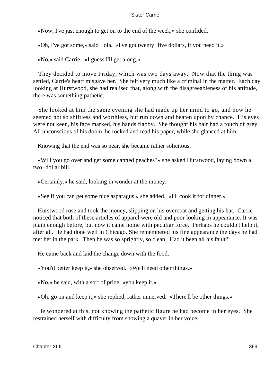«Now, I've just enough to get on to the end of the week,» she confided.

«Oh, I've got some,» said Lola. «I've got twenty−five dollars, if you need it.»

«No,» said Carrie. «I guess I'll get along.»

 They decided to move Friday, which was two days away. Now that the thing was settled, Carrie's heart misgave her. She felt very much like a criminal in the matter. Each day looking at Hurstwood, she had realised that, along with the disagreeableness of his attitude, there was something pathetic.

 She looked at him the same evening she had made up her mind to go, and now he seemed not so shiftless and worthless, but run down and beaten upon by chance. His eyes were not keen, his face marked, his hands flabby. She thought his hair had a touch of grey. All unconscious of his doom, he rocked and read his paper, while she glanced at him.

Knowing that the end was so near, she became rather solicitous.

 «Will you go over and get some canned peaches?» she asked Hurstwood, laying down a two−dollar bill.

«Certainly,» he said, looking in wonder at the money.

«See if you can get some nice asparagus,» she added. «I'll cook it for dinner.»

 Hurstwood rose and took the money, slipping on his overcoat and getting his hat. Carrie noticed that both of these articles of apparel were old and poor looking in appearance. It was plain enough before, but now it came home with peculiar force. Perhaps he couldn't help it, after all. He had done well in Chicago. She remembered his fine appearance the days he had met her in the park. Then he was so sprightly, so clean. Had it been all his fault?

He came back and laid the change down with the food.

«You'd better keep it,» she observed. «We'll need other things.»

«No,» he said, with a sort of pride; «you keep it.»

«Oh, go on and keep it,» she replied, rather unnerved. «There'll be other things.»

 He wondered at this, not knowing the pathetic figure he had become in her eyes. She restrained herself with difficulty from showing a quaver in her voice.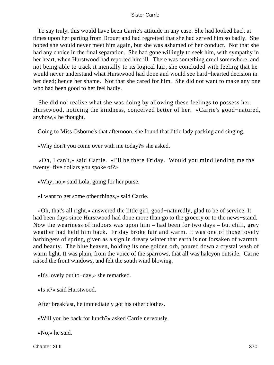To say truly, this would have been Carrie's attitude in any case. She had looked back at times upon her parting from Drouet and had regretted that she had served him so badly. She hoped she would never meet him again, but she was ashamed of her conduct. Not that she had any choice in the final separation. She had gone willingly to seek him, with sympathy in her heart, when Hurstwood had reported him ill. There was something cruel somewhere, and not being able to track it mentally to its logical lair, she concluded with feeling that he would never understand what Hurstwood had done and would see hard−hearted decision in her deed; hence her shame. Not that she cared for him. She did not want to make any one who had been good to her feel badly.

 She did not realise what she was doing by allowing these feelings to possess her. Hurstwood, noticing the kindness, conceived better of her. «Carrie's good−natured, anyhow,» he thought.

Going to Miss Osborne's that afternoon, she found that little lady packing and singing.

«Why don't you come over with me today?» she asked.

 «Oh, I can't,» said Carrie. «I'll be there Friday. Would you mind lending me the twenty−five dollars you spoke of?»

«Why, no,» said Lola, going for her purse.

«I want to get some other things,» said Carrie.

 «Oh, that's all right,» answered the little girl, good−naturedly, glad to be of service. It had been days since Hurstwood had done more than go to the grocery or to the news−stand. Now the weariness of indoors was upon him – had been for two days – but chill, grey weather had held him back. Friday broke fair and warm. It was one of those lovely harbingers of spring, given as a sign in dreary winter that earth is not forsaken of warmth and beauty. The blue heaven, holding its one golden orb, poured down a crystal wash of warm light. It was plain, from the voice of the sparrows, that all was halcyon outside. Carrie raised the front windows, and felt the south wind blowing.

«It's lovely out to−day,» she remarked.

«Is it?» said Hurstwood.

After breakfast, he immediately got his other clothes.

«Will you be back for lunch?» asked Carrie nervously.

«No,» he said.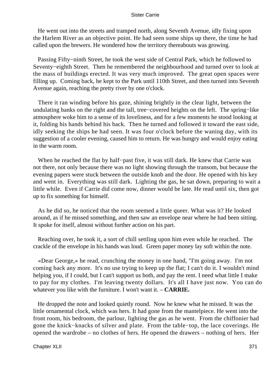He went out into the streets and tramped north, along Seventh Avenue, idly fixing upon the Harlem River as an objective point. He had seen some ships up there, the time he had called upon the brewers. He wondered how the territory thereabouts was growing.

 Passing Fifty−ninth Street, he took the west side of Central Park, which he followed to Seventy−eighth Street. Then he remembered the neighbourhood and turned over to look at the mass of buildings erected. It was very much improved. The great open spaces were filling up. Coming back, he kept to the Park until 110th Street, and then turned into Seventh Avenue again, reaching the pretty river by one o'clock.

 There it ran winding before his gaze, shining brightly in the clear light, between the undulating banks on the right and the tall, tree−covered heights on the left. The spring−like atmosphere woke him to a sense of its loveliness, and for a few moments he stood looking at it, folding his hands behind his back. Then he turned and followed it toward the east side, idly seeking the ships he had seen. It was four o'clock before the waning day, with its suggestion of a cooler evening, caused him to return. He was hungry and would enjoy eating in the warm room.

 When he reached the flat by half−past five, it was still dark. He knew that Carrie was not there, not only because there was no light showing through the transom, but because the evening papers were stuck between the outside knob and the door. He opened with his key and went in. Everything was still dark. Lighting the gas, he sat down, preparing to wait a little while. Even if Carrie did come now, dinner would be late. He read until six, then got up to fix something for himself.

 As he did so, he noticed that the room seemed a little queer. What was it? He looked around, as if he missed something, and then saw an envelope near where he had been sitting. It spoke for itself, almost without further action on his part.

 Reaching over, he took it, a sort of chill settling upon him even while he reached. The crackle of the envelope in his hands was loud. Green paper money lay soft within the note.

 «Dear George,» he read, crunching the money in one hand, "I'm going away. I'm not coming back any more. It's no use trying to keep up the flat; I can't do it. I wouldn't mind helping you, if I could, but I can't support us both, and pay the rent. I need what little I make to pay for my clothes. I'm leaving twenty dollars. It's all I have just now. You can do whatever you like with the furniture. I won't want it. – **CARRIE.**

 He dropped the note and looked quietly round. Now he knew what he missed. It was the little ornamental clock, which was hers. It had gone from the mantelpiece. He went into the front room, his bedroom, the parlour, lighting the gas as he went. From the chiffonier had gone the knick−knacks of silver and plate. From the table−top, the lace coverings. He opened the wardrobe – no clothes of hers. He opened the drawers – nothing of hers. Her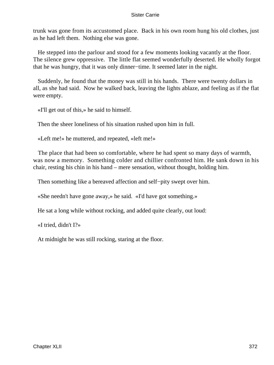trunk was gone from its accustomed place. Back in his own room hung his old clothes, just as he had left them. Nothing else was gone.

 He stepped into the parlour and stood for a few moments looking vacantly at the floor. The silence grew oppressive. The little flat seemed wonderfully deserted. He wholly forgot that he was hungry, that it was only dinner−time. It seemed later in the night.

 Suddenly, he found that the money was still in his hands. There were twenty dollars in all, as she had said. Now he walked back, leaving the lights ablaze, and feeling as if the flat were empty.

«I'll get out of this,» he said to himself.

Then the sheer loneliness of his situation rushed upon him in full.

«Left me!» he muttered, and repeated, «left me!»

 The place that had been so comfortable, where he had spent so many days of warmth, was now a memory. Something colder and chillier confronted him. He sank down in his chair, resting his chin in his hand – mere sensation, without thought, holding him.

Then something like a bereaved affection and self−pity swept over him.

«She needn't have gone away,» he said. «I'd have got something.»

He sat a long while without rocking, and added quite clearly, out loud:

«I tried, didn't I?»

At midnight he was still rocking, staring at the floor.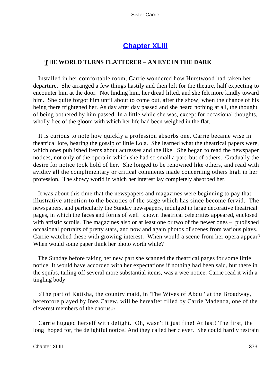# **[Chapter XLIII](#page-430-0)**

# *T*HE **WORLD TURNS FLATTERER** – **AN EYE IN THE DARK**

 Installed in her comfortable room, Carrie wondered how Hurstwood had taken her departure. She arranged a few things hastily and then left for the theatre, half expecting to encounter him at the door. Not finding him, her dread lifted, and she felt more kindly toward him. She quite forgot him until about to come out, after the show, when the chance of his being there frightened her. As day after day passed and she heard nothing at all, the thought of being bothered by him passed. In a little while she was, except for occasional thoughts, wholly free of the gloom with which her life had been weighed in the flat.

 It is curious to note how quickly a profession absorbs one. Carrie became wise in theatrical lore, hearing the gossip of little Lola. She learned what the theatrical papers were, which ones published items about actresses and the like. She began to read the newspaper notices, not only of the opera in which she had so small a part, but of others. Gradually the desire for notice took hold of her. She longed to be renowned like others, and read with avidity all the complimentary or critical comments made concerning others high in her profession. The showy world in which her interest lay completely absorbed her.

 It was about this time that the newspapers and magazines were beginning to pay that illustrative attention to the beauties of the stage which has since become fervid. The newspapers, and particularly the Sunday newspapers, indulged in large decorative theatrical pages, in which the faces and forms of well−known theatrical celebrities appeared, enclosed with artistic scrolls. The magazines also or at least one or two of the newer ones – published occasional portraits of pretty stars, and now and again photos of scenes from various plays. Carrie watched these with growing interest. When would a scene from her opera appear? When would some paper think her photo worth while?

 The Sunday before taking her new part she scanned the theatrical pages for some little notice. It would have accorded with her expectations if nothing had been said, but there in the squibs, tailing off several more substantial items, was a wee notice. Carrie read it with a tingling body:

 «The part of Katisha, the country maid, in 'The Wives of Abdul' at the Broadway, heretofore played by Inez Carew, will be hereafter filled by Carrie Madenda, one of the cleverest members of the chorus.»

 Carrie hugged herself with delight. Oh, wasn't it just fine! At last! The first, the long−hoped for, the delightful notice! And they called her clever. She could hardly restrain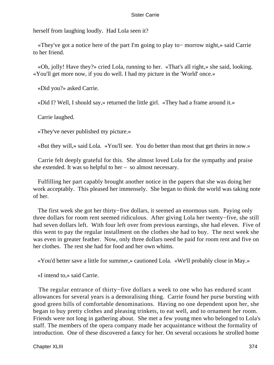herself from laughing loudly. Had Lola seen it?

 «They've got a notice here of the part I'm going to play to− morrow night,» said Carrie to her friend.

 «Oh, jolly! Have they?» cried Lola, running to her. «That's all right,» she said, looking. «You'll get more now, if you do well. I had my picture in the 'World' once.»

«Did you?» asked Carrie.

«Did I? Well, I should say,» returned the little girl. «They had a frame around it.»

Carrie laughed.

«They've never published my picture.»

«But they will,» said Lola. «You'll see. You do better than most that get theirs in now.»

 Carrie felt deeply grateful for this. She almost loved Lola for the sympathy and praise she extended. It was so helpful to her – so almost necessary.

 Fulfilling her part capably brought another notice in the papers that she was doing her work acceptably. This pleased her immensely. She began to think the world was taking note of her.

 The first week she got her thirty−five dollars, it seemed an enormous sum. Paying only three dollars for room rent seemed ridiculous. After giving Lola her twenty−five, she still had seven dollars left. With four left over from previous earnings, she had eleven. Five of this went to pay the regular installment on the clothes she had to buy. The next week she was even in greater feather. Now, only three dollars need be paid for room rent and five on her clothes. The rest she had for food and her own whims.

«You'd better save a little for summer,» cautioned Lola. «We'll probably close in May.»

«I intend to,» said Carrie.

 The regular entrance of thirty−five dollars a week to one who has endured scant allowances for several years is a demoralising thing. Carrie found her purse bursting with good green bills of comfortable denominations. Having no one dependent upon her, she began to buy pretty clothes and pleasing trinkets, to eat well, and to ornament her room. Friends were not long in gathering about. She met a few young men who belonged to Lola's staff. The members of the opera company made her acquaintance without the formality of introduction. One of these discovered a fancy for her. On several occasions he strolled home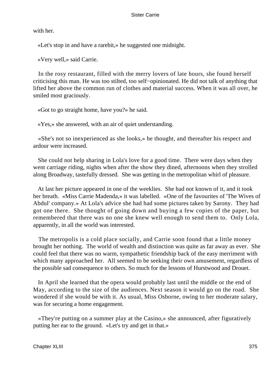with her.

«Let's stop in and have a rarebit,» he suggested one midnight.

«Very well,» said Carrie.

 In the rosy restaurant, filled with the merry lovers of late hours, she found herself criticising this man. He was too stilted, too self−opinionated. He did not talk of anything that lifted her above the common run of clothes and material success. When it was all over, he smiled most graciously.

«Got to go straight home, have you?» he said.

«Yes,» she answered, with an air of quiet understanding.

 «She's not so inexperienced as she looks,» he thought, and thereafter his respect and ardour were increased.

 She could not help sharing in Lola's love for a good time. There were days when they went carriage riding, nights when after the show they dined, afternoons when they strolled along Broadway, tastefully dressed. She was getting in the metropolitan whirl of pleasure.

 At last her picture appeared in one of the weeklies. She had not known of it, and it took her breath. «Miss Carrie Madenda,» it was labelled. «One of the favourites of 'The Wives of Abdul' company.» At Lola's advice she had had some pictures taken by Sarony. They had got one there. She thought of going down and buying a few copies of the paper, but remembered that there was no one she knew well enough to send them to. Only Lola, apparently, in all the world was interested.

 The metropolis is a cold place socially, and Carrie soon found that a little money brought her nothing. The world of wealth and distinction was quite as far away as ever. She could feel that there was no warm, sympathetic friendship back of the easy merriment with which many approached her. All seemed to be seeking their own amusement, regardless of the possible sad consequence to others. So much for the lessons of Hurstwood and Drouet.

 In April she learned that the opera would probably last until the middle or the end of May, according to the size of the audiences. Next season it would go on the road. She wondered if she would be with it. As usual, Miss Osborne, owing to her moderate salary, was for securing a home engagement.

 «They're putting on a summer play at the Casino,» she announced, after figuratively putting her ear to the ground. «Let's try and get in that.»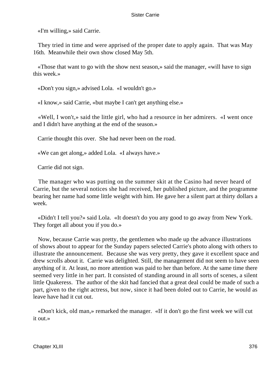«I'm willing,» said Carrie.

 They tried in time and were apprised of the proper date to apply again. That was May 16th. Meanwhile their own show closed May 5th.

 «Those that want to go with the show next season,» said the manager, «will have to sign this week.»

«Don't you sign,» advised Lola. «I wouldn't go.»

«I know,» said Carrie, «but maybe I can't get anything else.»

 «Well, I won't,» said the little girl, who had a resource in her admirers. «I went once and I didn't have anything at the end of the season.»

Carrie thought this over. She had never been on the road.

«We can get along,» added Lola. «I always have.»

Carrie did not sign.

 The manager who was putting on the summer skit at the Casino had never heard of Carrie, but the several notices she had received, her published picture, and the programme bearing her name had some little weight with him. He gave her a silent part at thirty dollars a week.

 «Didn't I tell you?» said Lola. «It doesn't do you any good to go away from New York. They forget all about you if you do.»

 Now, because Carrie was pretty, the gentlemen who made up the advance illustrations of shows about to appear for the Sunday papers selected Carrie's photo along with others to illustrate the announcement. Because she was very pretty, they gave it excellent space and drew scrolls about it. Carrie was delighted. Still, the management did not seem to have seen anything of it. At least, no more attention was paid to her than before. At the same time there seemed very little in her part. It consisted of standing around in all sorts of scenes, a silent little Quakeress. The author of the skit had fancied that a great deal could be made of such a part, given to the right actress, but now, since it had been doled out to Carrie, he would as leave have had it cut out.

 «Don't kick, old man,» remarked the manager. «If it don't go the first week we will cut it out.»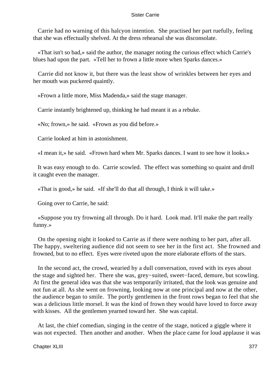Carrie had no warning of this halcyon intention. She practised her part ruefully, feeling that she was effectually shelved. At the dress rehearsal she was disconsolate.

 «That isn't so bad,» said the author, the manager noting the curious effect which Carrie's blues had upon the part. «Tell her to frown a little more when Sparks dances.»

 Carrie did not know it, but there was the least show of wrinkles between her eyes and her mouth was puckered quaintly.

«Frown a little more, Miss Madenda,» said the stage manager.

Carrie instantly brightened up, thinking he had meant it as a rebuke.

«No; frown,» he said. «Frown as you did before.»

Carrie looked at him in astonishment.

«I mean it,» he said. «Frown hard when Mr. Sparks dances. I want to see how it looks.»

 It was easy enough to do. Carrie scowled. The effect was something so quaint and droll it caught even the manager.

«That is good,» he said. «If she'll do that all through, I think it will take.»

Going over to Carrie, he said:

 «Suppose you try frowning all through. Do it hard. Look mad. It'll make the part really funny.»

 On the opening night it looked to Carrie as if there were nothing to her part, after all. The happy, sweltering audience did not seem to see her in the first act. She frowned and frowned, but to no effect. Eyes were riveted upon the more elaborate efforts of the stars.

 In the second act, the crowd, wearied by a dull conversation, roved with its eyes about the stage and sighted her. There she was, grey−suited, sweet−faced, demure, but scowling. At first the general idea was that she was temporarily irritated, that the look was genuine and not fun at all. As she went on frowning, looking now at one principal and now at the other, the audience began to smile. The portly gentlemen in the front rows began to feel that she was a delicious little morsel. It was the kind of frown they would have loved to force away with kisses. All the gentlemen yearned toward her. She was capital.

 At last, the chief comedian, singing in the centre of the stage, noticed a giggle where it was not expected. Then another and another. When the place came for loud applause it was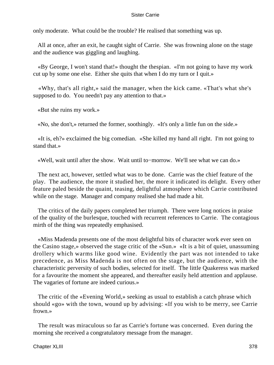only moderate. What could be the trouble? He realised that something was up.

 All at once, after an exit, he caught sight of Carrie. She was frowning alone on the stage and the audience was giggling and laughing.

 «By George, I won't stand that!» thought the thespian. «I'm not going to have my work cut up by some one else. Either she quits that when I do my turn or I quit.»

 «Why, that's all right,» said the manager, when the kick came. «That's what she's supposed to do. You needn't pay any attention to that.»

«But she ruins my work.»

«No, she don't,» returned the former, soothingly. «It's only a little fun on the side.»

 «It is, eh?» exclaimed the big comedian. «She killed my hand all right. I'm not going to stand that.»

«Well, wait until after the show. Wait until to−morrow. We'll see what we can do.»

 The next act, however, settled what was to be done. Carrie was the chief feature of the play. The audience, the more it studied her, the more it indicated its delight. Every other feature paled beside the quaint, teasing, delightful atmosphere which Carrie contributed while on the stage. Manager and company realised she had made a hit.

 The critics of the daily papers completed her triumph. There were long notices in praise of the quality of the burlesque, touched with recurrent references to Carrie. The contagious mirth of the thing was repeatedly emphasised.

 «Miss Madenda presents one of the most delightful bits of character work ever seen on the Casino stage,» observed the stage critic of the «Sun.» «It is a bit of quiet, unassuming drollery which warms like good wine. Evidently the part was not intended to take precedence, as Miss Madenda is not often on the stage, but the audience, with the characteristic perversity of such bodies, selected for itself. The little Quakeress was marked for a favourite the moment she appeared, and thereafter easily held attention and applause. The vagaries of fortune are indeed curious.»

 The critic of the «Evening World,» seeking as usual to establish a catch phrase which should «go» with the town, wound up by advising: «If you wish to be merry, see Carrie frown.»

 The result was miraculous so far as Carrie's fortune was concerned. Even during the morning she received a congratulatory message from the manager.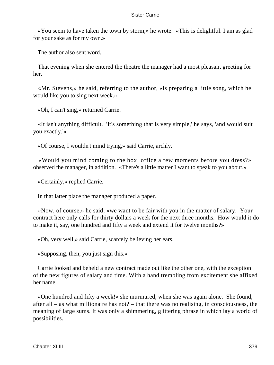«You seem to have taken the town by storm,» he wrote. «This is delightful. I am as glad for your sake as for my own.»

The author also sent word.

 That evening when she entered the theatre the manager had a most pleasant greeting for her.

 «Mr. Stevens,» he said, referring to the author, «is preparing a little song, which he would like you to sing next week.»

«Oh, I can't sing,» returned Carrie.

 «It isn't anything difficult. 'It's something that is very simple,' he says, 'and would suit you exactly.'»

«Of course, I wouldn't mind trying,» said Carrie, archly.

 «Would you mind coming to the box−office a few moments before you dress?» observed the manager, in addition. «There's a little matter I want to speak to you about.»

«Certainly,» replied Carrie.

In that latter place the manager produced a paper.

 «Now, of course,» he said, «we want to be fair with you in the matter of salary. Your contract here only calls for thirty dollars a week for the next three months. How would it do to make it, say, one hundred and fifty a week and extend it for twelve months?»

«Oh, very well,» said Carrie, scarcely believing her ears.

«Supposing, then, you just sign this.»

 Carrie looked and beheld a new contract made out like the other one, with the exception of the new figures of salary and time. With a hand trembling from excitement she affixed her name.

 «One hundred and fifty a week!» she murmured, when she was again alone. She found, after all – as what millionaire has not? – that there was no realising, in consciousness, the meaning of large sums. It was only a shimmering, glittering phrase in which lay a world of possibilities.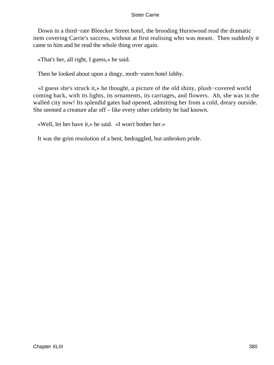Down in a third−rate Bleecker Street hotel, the brooding Hurstwood read the dramatic item covering Carrie's success, without at first realising who was meant. Then suddenly it came to him and he read the whole thing over again.

«That's her, all right, I guess,» he said.

Then he looked about upon a dingy, moth−eaten hotel lobby.

 «I guess she's struck it,» he thought, a picture of the old shiny, plush−covered world coming back, with its lights, its ornaments, its carriages, and flowers. Ah, she was in the walled city now! Its splendid gates had opened, admitting her from a cold, dreary outside. She seemed a creature afar off – like every other celebrity he had known.

«Well, let her have it,» he said. «I won't bother her.»

It was the grim resolution of a bent, bedraggled, but unbroken pride.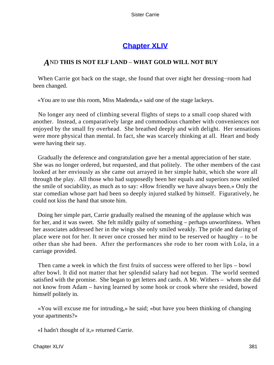# **[Chapter XLIV](#page-430-0)**

# *A*ND **THIS IS NOT ELF LAND** – **WHAT GOLD WILL NOT BUY**

 When Carrie got back on the stage, she found that over night her dressing−room had been changed.

«You are to use this room, Miss Madenda,» said one of the stage lackeys.

 No longer any need of climbing several flights of steps to a small coop shared with another. Instead, a comparatively large and commodious chamber with conveniences not enjoyed by the small fry overhead. She breathed deeply and with delight. Her sensations were more physical than mental. In fact, she was scarcely thinking at all. Heart and body were having their say.

 Gradually the deference and congratulation gave her a mental appreciation of her state. She was no longer ordered, but requested, and that politely. The other members of the cast looked at her enviously as she came out arrayed in her simple habit, which she wore all through the play. All those who had supposedly been her equals and superiors now smiled the smile of sociability, as much as to say: «How friendly we have always been.» Only the star comedian whose part had been so deeply injured stalked by himself. Figuratively, he could not kiss the hand that smote him.

 Doing her simple part, Carrie gradually realised the meaning of the applause which was for her, and it was sweet. She felt mildly guilty of something – perhaps unworthiness. When her associates addressed her in the wings she only smiled weakly. The pride and daring of place were not for her. It never once crossed her mind to be reserved or haughty – to be other than she had been. After the performances she rode to her room with Lola, in a carriage provided.

 Then came a week in which the first fruits of success were offered to her lips – bowl after bowl. It did not matter that her splendid salary had not begun. The world seemed satisfied with the promise. She began to get letters and cards. A Mr. Withers – whom she did not know from Adam – having learned by some hook or crook where she resided, bowed himself politely in.

 «You will excuse me for intruding,» he said; «but have you been thinking of changing your apartments?»

«I hadn't thought of it,» returned Carrie.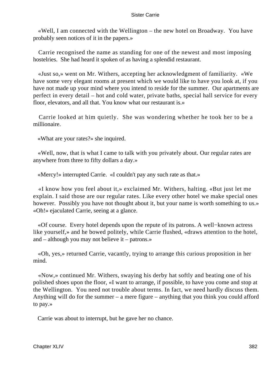«Well, I am connected with the Wellington – the new hotel on Broadway. You have probably seen notices of it in the papers.»

 Carrie recognised the name as standing for one of the newest and most imposing hostelries. She had heard it spoken of as having a splendid restaurant.

 «Just so,» went on Mr. Withers, accepting her acknowledgment of familiarity. «We have some very elegant rooms at present which we would like to have you look at, if you have not made up your mind where you intend to reside for the summer. Our apartments are perfect in every detail – hot and cold water, private baths, special hall service for every floor, elevators, and all that. You know what our restaurant is.»

 Carrie looked at him quietly. She was wondering whether he took her to be a millionaire.

«What are your rates?» she inquired.

 «Well, now, that is what I came to talk with you privately about. Our regular rates are anywhere from three to fifty dollars a day.»

«Mercy!» interrupted Carrie. «I couldn't pay any such rate as that.»

 «I know how you feel about it,» exclaimed Mr. Withers, halting. «But just let me explain. I said those are our regular rates. Like every other hotel we make special ones however. Possibly you have not thought about it, but your name is worth something to us.» «Oh!» ejaculated Carrie, seeing at a glance.

 «Of course. Every hotel depends upon the repute of its patrons. A well−known actress like yourself,» and he bowed politely, while Carrie flushed, «draws attention to the hotel, and – although you may not believe it – patrons.»

 «Oh, yes,» returned Carrie, vacantly, trying to arrange this curious proposition in her mind.

 «Now,» continued Mr. Withers, swaying his derby hat softly and beating one of his polished shoes upon the floor, «I want to arrange, if possible, to have you come and stop at the Wellington. You need not trouble about terms. In fact, we need hardly discuss them. Anything will do for the summer – a mere figure – anything that you think you could afford to pay.»

Carrie was about to interrupt, but he gave her no chance.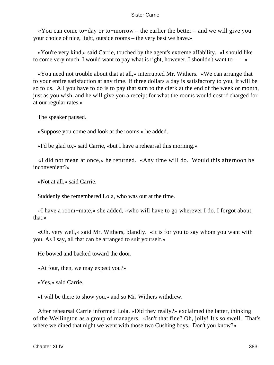«You can come to−day or to−morrow – the earlier the better – and we will give you your choice of nice, light, outside rooms – the very best we have.»

 «You're very kind,» said Carrie, touched by the agent's extreme affability. «I should like to come very much. I would want to pay what is right, however. I shouldn't want to  $-\rightarrow \infty$ 

 «You need not trouble about that at all,» interrupted Mr. Withers. «We can arrange that to your entire satisfaction at any time. If three dollars a day is satisfactory to you, it will be so to us. All you have to do is to pay that sum to the clerk at the end of the week or month, just as you wish, and he will give you a receipt for what the rooms would cost if charged for at our regular rates.»

The speaker paused.

«Suppose you come and look at the rooms,» he added.

«I'd be glad to,» said Carrie, «but I have a rehearsal this morning.»

 «I did not mean at once,» he returned. «Any time will do. Would this afternoon be inconvenient?»

«Not at all,» said Carrie.

Suddenly she remembered Lola, who was out at the time.

 «I have a room−mate,» she added, «who will have to go wherever I do. I forgot about that.»

 «Oh, very well,» said Mr. Withers, blandly. «It is for you to say whom you want with you. As I say, all that can be arranged to suit yourself.»

He bowed and backed toward the door.

«At four, then, we may expect you?»

«Yes,» said Carrie.

«I will be there to show you,» and so Mr. Withers withdrew.

 After rehearsal Carrie informed Lola. «Did they really?» exclaimed the latter, thinking of the Wellington as a group of managers. «Isn't that fine? Oh, jolly! It's so swell. That's where we dined that night we went with those two Cushing boys. Don't you know?»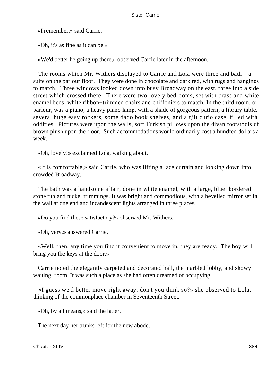«I remember,» said Carrie.

«Oh, it's as fine as it can be.»

«We'd better be going up there,» observed Carrie later in the afternoon.

 The rooms which Mr. Withers displayed to Carrie and Lola were three and bath – a suite on the parlour floor. They were done in chocolate and dark red, with rugs and hangings to match. Three windows looked down into busy Broadway on the east, three into a side street which crossed there. There were two lovely bedrooms, set with brass and white enamel beds, white ribbon−trimmed chairs and chiffoniers to match. In the third room, or parlour, was a piano, a heavy piano lamp, with a shade of gorgeous pattern, a library table, several huge easy rockers, some dado book shelves, and a gilt curio case, filled with oddities. Pictures were upon the walls, soft Turkish pillows upon the divan footstools of brown plush upon the floor. Such accommodations would ordinarily cost a hundred dollars a week.

«Oh, lovely!» exclaimed Lola, walking about.

 «It is comfortable,» said Carrie, who was lifting a lace curtain and looking down into crowded Broadway.

 The bath was a handsome affair, done in white enamel, with a large, blue−bordered stone tub and nickel trimmings. It was bright and commodious, with a bevelled mirror set in the wall at one end and incandescent lights arranged in three places.

«Do you find these satisfactory?» observed Mr. Withers.

«Oh, very,» answered Carrie.

 «Well, then, any time you find it convenient to move in, they are ready. The boy will bring you the keys at the door.»

 Carrie noted the elegantly carpeted and decorated hall, the marbled lobby, and showy waiting−room. It was such a place as she had often dreamed of occupying.

 «I guess we'd better move right away, don't you think so?» she observed to Lola, thinking of the commonplace chamber in Seventeenth Street.

«Oh, by all means,» said the latter.

The next day her trunks left for the new abode.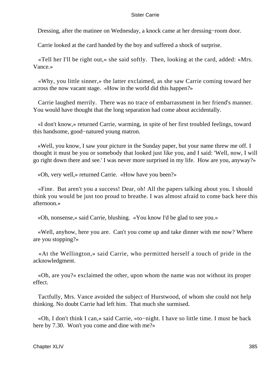Dressing, after the matinee on Wednesday, a knock came at her dressing−room door.

Carrie looked at the card handed by the boy and suffered a shock of surprise.

 «Tell her I'll be right out,» she said softly. Then, looking at the card, added: «Mrs. Vance.»

 «Why, you little sinner,» the latter exclaimed, as she saw Carrie coming toward her across the now vacant stage. «How in the world did this happen?»

 Carrie laughed merrily. There was no trace of embarrassment in her friend's manner. You would have thought that the long separation had come about accidentally.

 «I don't know,» returned Carrie, warming, in spite of her first troubled feelings, toward this handsome, good−natured young matron.

 «Well, you know, I saw your picture in the Sunday paper, but your name threw me off. I thought it must be you or somebody that looked just like you, and I said: 'Well, now, I will go right down there and see.' I was never more surprised in my life. How are you, anyway?»

«Oh, very well,» returned Carrie. «How have you been?»

 «Fine. But aren't you a success! Dear, oh! All the papers talking about you. I should think you would be just too proud to breathe. I was almost afraid to come back here this afternoon.»

«Oh, nonsense,» said Carrie, blushing. «You know I'd be glad to see you.»

 «Well, anyhow, here you are. Can't you come up and take dinner with me now? Where are you stopping?»

 «At the Wellington,» said Carrie, who permitted herself a touch of pride in the acknowledgment.

 «Oh, are you?» exclaimed the other, upon whom the name was not without its proper effect.

 Tactfully, Mrs. Vance avoided the subject of Hurstwood, of whom she could not help thinking. No doubt Carrie had left him. That much she surmised.

 «Oh, I don't think I can,» said Carrie, «to−night. I have so little time. I must be back here by 7.30. Won't you come and dine with me?»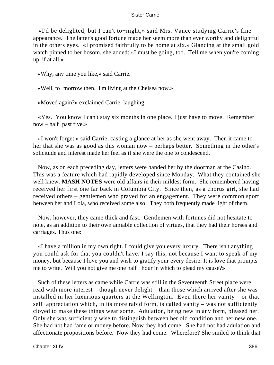«I'd be delighted, but I can't to−night,» said Mrs. Vance studying Carrie's fine appearance. The latter's good fortune made her seem more than ever worthy and delightful in the others eyes. «I promised faithfully to be home at six.» Glancing at the small gold watch pinned to her bosom, she added: «I must be going, too. Tell me when you're coming up, if at all.»

«Why, any time you like,» said Carrie.

«Well, to−morrow then. I'm living at the Chelsea now.»

«Moved again?» exclaimed Carrie, laughing.

 «Yes. You know I can't stay six months in one place. I just have to move. Remember now – half−past five.»

 «I won't forget,» said Carrie, casting a glance at her as she went away. Then it came to her that she was as good as this woman now – perhaps better. Something in the other's solicitude and interest made her feel as if she were the one to condescend.

 Now, as on each preceding day, letters were handed her by the doorman at the Casino. This was a feature which had rapidly developed since Monday. What they contained she well knew. **MASH NOTES** were old affairs in their mildest form. She remembered having received her first one far back in Columbia City. Since then, as a chorus girl, she had received others – gentlemen who prayed for an engagement. They were common sport between her and Lola, who received some also. They both frequently made light of them.

 Now, however, they came thick and fast. Gentlemen with fortunes did not hesitate to note, as an addition to their own amiable collection of virtues, that they had their horses and carriages. Thus one:

 «I have a million in my own right. I could give you every luxury. There isn't anything you could ask for that you couldn't have. I say this, not because I want to speak of my money, but because I love you and wish to gratify your every desire. It is love that prompts me to write. Will you not give me one half− hour in which to plead my cause?»

 Such of these letters as came while Carrie was still in the Seventeenth Street place were read with more interest – though never delight – than those which arrived after she was installed in her luxurious quarters at the Wellington. Even there her vanity – or that self−appreciation which, in its more rabid form, is called vanity – was not sufficiently cloyed to make these things wearisome. Adulation, being new in any form, pleased her. Only she was sufficiently wise to distinguish between her old condition and her new one. She had not had fame or money before. Now they had come. She had not had adulation and affectionate propositions before. Now they had come. Wherefore? She smiled to think that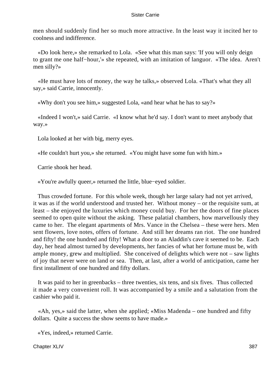men should suddenly find her so much more attractive. In the least way it incited her to coolness and indifference.

 «Do look here,» she remarked to Lola. «See what this man says: 'If you will only deign to grant me one half−hour,'» she repeated, with an imitation of languor. «The idea. Aren't men silly?»

 «He must have lots of money, the way he talks,» observed Lola. «That's what they all say,» said Carrie, innocently.

«Why don't you see him,» suggested Lola, «and hear what he has to say?»

 «Indeed I won't,» said Carrie. «I know what he'd say. I don't want to meet anybody that way.»

Lola looked at her with big, merry eyes.

«He couldn't hurt you,» she returned. «You might have some fun with him.»

Carrie shook her head.

«You're awfully queer,» returned the little, blue−eyed soldier.

 Thus crowded fortune. For this whole week, though her large salary had not yet arrived, it was as if the world understood and trusted her. Without money – or the requisite sum, at least – she enjoyed the luxuries which money could buy. For her the doors of fine places seemed to open quite without the asking. These palatial chambers, how marvellously they came to her. The elegant apartments of Mrs. Vance in the Chelsea – these were hers. Men sent flowers, love notes, offers of fortune. And still her dreams ran riot. The one hundred and fifty! the one hundred and fifty! What a door to an Aladdin's cave it seemed to be. Each day, her head almost turned by developments, her fancies of what her fortune must be, with ample money, grew and multiplied. She conceived of delights which were not – saw lights of joy that never were on land or sea. Then, at last, after a world of anticipation, came her first installment of one hundred and fifty dollars.

 It was paid to her in greenbacks – three twenties, six tens, and six fives. Thus collected it made a very convenient roll. It was accompanied by a smile and a salutation from the cashier who paid it.

 «Ah, yes,» said the latter, when she applied; «Miss Madenda – one hundred and fifty dollars. Quite a success the show seems to have made.»

«Yes, indeed,» returned Carrie.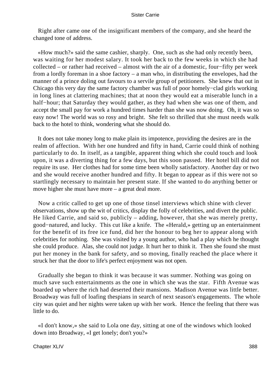Right after came one of the insignificant members of the company, and she heard the changed tone of address.

 «How much?» said the same cashier, sharply. One, such as she had only recently been, was waiting for her modest salary. It took her back to the few weeks in which she had collected – or rather had received – almost with the air of a domestic, four−fifty per week from a lordly foreman in a shoe factory – a man who, in distributing the envelopes, had the manner of a prince doling out favours to a servile group of petitioners. She knew that out in Chicago this very day the same factory chamber was full of poor homely−clad girls working in long lines at clattering machines; that at noon they would eat a miserable lunch in a half−hour; that Saturday they would gather, as they had when she was one of them, and accept the small pay for work a hundred times harder than she was now doing. Oh, it was so easy now! The world was so rosy and bright. She felt so thrilled that she must needs walk back to the hotel to think, wondering what she should do.

 It does not take money long to make plain its impotence, providing the desires are in the realm of affection. With her one hundred and fifty in hand, Carrie could think of nothing particularly to do. In itself, as a tangible, apparent thing which she could touch and look upon, it was a diverting thing for a few days, but this soon passed. Her hotel bill did not require its use. Her clothes had for some time been wholly satisfactory. Another day or two and she would receive another hundred and fifty. It began to appear as if this were not so startlingly necessary to maintain her present state. If she wanted to do anything better or move higher she must have more – a great deal more.

 Now a critic called to get up one of those tinsel interviews which shine with clever observations, show up the wit of critics, display the folly of celebrities, and divert the public. He liked Carrie, and said so, publicly – adding, however, that she was merely pretty, good−natured, and lucky. This cut like a knife. The «Herald,» getting up an entertainment for the benefit of its free ice fund, did her the honour to beg her to appear along with celebrities for nothing. She was visited by a young author, who had a play which he thought she could produce. Alas, she could not judge. It hurt her to think it. Then she found she must put her money in the bank for safety, and so moving, finally reached the place where it struck her that the door to life's perfect enjoyment was not open.

 Gradually she began to think it was because it was summer. Nothing was going on much save such entertainments as the one in which she was the star. Fifth Avenue was boarded up where the rich had deserted their mansions. Madison Avenue was little better. Broadway was full of loafing thespians in search of next season's engagements. The whole city was quiet and her nights were taken up with her work. Hence the feeling that there was little to do.

 «I don't know,» she said to Lola one day, sitting at one of the windows which looked down into Broadway, «I get lonely; don't you?»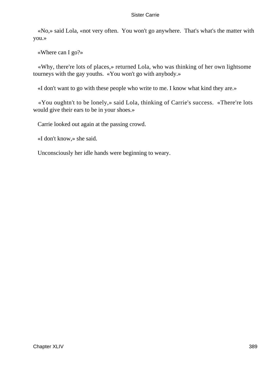«No,» said Lola, «not very often. You won't go anywhere. That's what's the matter with you.»

«Where can I go?»

 «Why, there're lots of places,» returned Lola, who was thinking of her own lightsome tourneys with the gay youths. «You won't go with anybody.»

«I don't want to go with these people who write to me. I know what kind they are.»

 «You oughtn't to be lonely,» said Lola, thinking of Carrie's success. «There're lots would give their ears to be in your shoes.»

Carrie looked out again at the passing crowd.

«I don't know,» she said.

Unconsciously her idle hands were beginning to weary.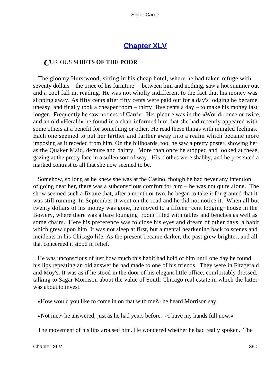# **[Chapter XLV](#page-430-0)**

# *C*URIOUS **SHIFTS OF THE POOR**

 The gloomy Hurstwood, sitting in his cheap hotel, where he had taken refuge with seventy dollars – the price of his furniture – between him and nothing, saw a hot summer out and a cool fall in, reading. He was not wholly indifferent to the fact that his money was slipping away. As fifty cents after fifty cents were paid out for a day's lodging he became uneasy, and finally took a cheaper room – thirty−five cents a day – to make his money last longer. Frequently he saw notices of Carrie. Her picture was in the «World» once or twice, and an old «Herald» he found in a chair informed him that she had recently appeared with some others at a benefit for something or other. He read these things with mingled feelings. Each one seemed to put her farther and farther away into a realm which became more imposing as it receded from him. On the billboards, too, he saw a pretty poster, showing her as the Quaker Maid, demure and dainty. More than once he stopped and looked at these, gazing at the pretty face in a sullen sort of way. His clothes were shabby, and he presented a marked contrast to all that she now seemed to be.

 Somehow, so long as he knew she was at the Casino, though he had never any intention of going near her, there was a subconscious comfort for him – he was not quite alone. The show seemed such a fixture that, after a month or two, he began to take it for granted that it was still running. In September it went on the road and he did not notice it. When all but twenty dollars of his money was gone, he moved to a fifteen−cent lodging−house in the Bowery, where there was a bare lounging−room filled with tables and benches as well as some chairs. Here his preference was to close his eyes and dream of other days, a habit which grew upon him. It was not sleep at first, but a mental hearkening back to scenes and incidents in his Chicago life. As the present became darker, the past grew brighter, and all that concerned it stood in relief.

 He was unconscious of just how much this habit had hold of him until one day he found his lips repeating an old answer he had made to one of his friends. They were in Fitzgerald and Moy's. It was as if he stood in the door of his elegant little office, comfortably dressed, talking to Sagar Morrison about the value of South Chicago real estate in which the latter was about to invest.

«How would you like to come in on that with me?» he heard Morrison say.

«Not me,» he answered, just as he had years before. «I have my hands full now.»

The movement of his lips aroused him. He wondered whether he had really spoken. The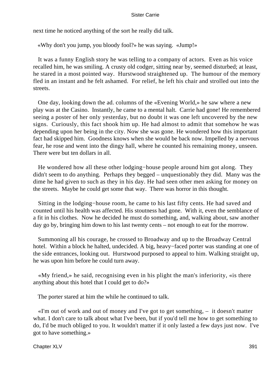next time he noticed anything of the sort he really did talk.

«Why don't you jump, you bloody fool?» he was saying. «Jump!»

 It was a funny English story he was telling to a company of actors. Even as his voice recalled him, he was smiling. A crusty old codger, sitting near by, seemed disturbed; at least, he stared in a most pointed way. Hurstwood straightened up. The humour of the memory fled in an instant and he felt ashamed. For relief, he left his chair and strolled out into the streets.

 One day, looking down the ad. columns of the «Evening World,» he saw where a new play was at the Casino. Instantly, he came to a mental halt. Carrie had gone! He remembered seeing a poster of her only yesterday, but no doubt it was one left uncovered by the new signs. Curiously, this fact shook him up. He had almost to admit that somehow he was depending upon her being in the city. Now she was gone. He wondered how this important fact had skipped him. Goodness knows when she would be back now. Impelled by a nervous fear, he rose and went into the dingy hall, where he counted his remaining money, unseen. There were but ten dollars in all.

 He wondered how all these other lodging−house people around him got along. They didn't seem to do anything. Perhaps they begged – unquestionably they did. Many was the dime he had given to such as they in his day. He had seen other men asking for money on the streets. Maybe he could get some that way. There was horror in this thought.

 Sitting in the lodging−house room, he came to his last fifty cents. He had saved and counted until his health was affected. His stoutness had gone. With it, even the semblance of a fit in his clothes. Now he decided he must do something, and, walking about, saw another day go by, bringing him down to his last twenty cents – not enough to eat for the morrow.

 Summoning all his courage, he crossed to Broadway and up to the Broadway Central hotel. Within a block he halted, undecided. A big, heavy−faced porter was standing at one of the side entrances, looking out. Hurstwood purposed to appeal to him. Walking straight up, he was upon him before he could turn away.

 «My friend,» he said, recognising even in his plight the man's inferiority, «is there anything about this hotel that I could get to do?»

The porter stared at him the while he continued to talk.

 «I'm out of work and out of money and I've got to get something, – it doesn't matter what. I don't care to talk about what I've been, but if you'd tell me how to get something to do, I'd be much obliged to you. It wouldn't matter if it only lasted a few days just now. I've got to have something.»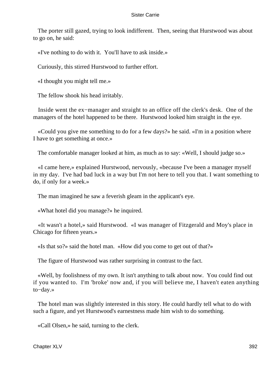The porter still gazed, trying to look indifferent. Then, seeing that Hurstwood was about to go on, he said:

«I've nothing to do with it. You'll have to ask inside.»

Curiously, this stirred Hurstwood to further effort.

«I thought you might tell me.»

The fellow shook his head irritably.

 Inside went the ex−manager and straight to an office off the clerk's desk. One of the managers of the hotel happened to be there. Hurstwood looked him straight in the eye.

 «Could you give me something to do for a few days?» he said. «I'm in a position where I have to get something at once.»

The comfortable manager looked at him, as much as to say: «Well, I should judge so.»

 «I came here,» explained Hurstwood, nervously, «because I've been a manager myself in my day. I've had bad luck in a way but I'm not here to tell you that. I want something to do, if only for a week.»

The man imagined he saw a feverish gleam in the applicant's eye.

«What hotel did you manage?» he inquired.

 «It wasn't a hotel,» said Hurstwood. «I was manager of Fitzgerald and Moy's place in Chicago for fifteen years.»

«Is that so?» said the hotel man. «How did you come to get out of that?»

The figure of Hurstwood was rather surprising in contrast to the fact.

 «Well, by foolishness of my own. It isn't anything to talk about now. You could find out if you wanted to. I'm 'broke' now and, if you will believe me, I haven't eaten anything to−day.»

 The hotel man was slightly interested in this story. He could hardly tell what to do with such a figure, and yet Hurstwood's earnestness made him wish to do something.

«Call Olsen,» he said, turning to the clerk.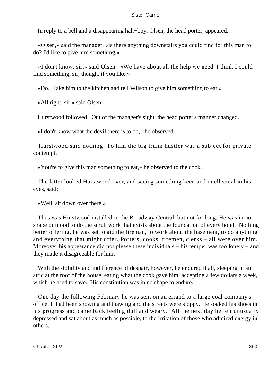In reply to a bell and a disappearing hall−boy, Olsen, the head porter, appeared.

 «Olsen,» said the manager, «is there anything downstairs you could find for this man to do? I'd like to give him something.»

 «I don't know, sir,» said Olsen. «We have about all the help we need. I think I could find something, sir, though, if you like.»

«Do. Take him to the kitchen and tell Wilson to give him something to eat.»

«All right, sir,» said Olsen.

Hurstwood followed. Out of the manager's sight, the head porter's manner changed.

«I don't know what the devil there is to do,» he observed.

 Hurstwood said nothing. To him the big trunk hustler was a subject for private contempt.

«You're to give this man something to eat,» he observed to the cook.

 The latter looked Hurstwood over, and seeing something keen and intellectual in his eyes, said:

«Well, sit down over there.»

 Thus was Hurstwood installed in the Broadway Central, but not for long. He was in no shape or mood to do the scrub work that exists about the foundation of every hotel. Nothing better offering, he was set to aid the fireman, to work about the basement, to do anything and everything that might offer. Porters, cooks, firemen, clerks – all were over him. Moreover his appearance did not please these individuals – his temper was too lonely – and they made it disagreeable for him.

With the stolidity and indifference of despair, however, he endured it all, sleeping in an attic at the roof of the house, eating what the cook gave him, accepting a few dollars a week, which he tried to save. His constitution was in no shape to endure.

 One day the following February he was sent on an errand to a large coal company's office. It had been snowing and thawing and the streets were sloppy. He soaked his shoes in his progress and came back feeling dull and weary. All the next day he felt unusually depressed and sat about as much as possible, to the irritation of those who admired energy in others.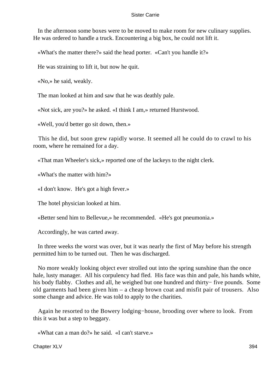In the afternoon some boxes were to be moved to make room for new culinary supplies. He was ordered to handle a truck. Encountering a big box, he could not lift it.

«What's the matter there?» said the head porter. «Can't you handle it?»

He was straining to lift it, but now he quit.

«No,» he said, weakly.

The man looked at him and saw that he was deathly pale.

«Not sick, are you?» he asked. «I think I am,» returned Hurstwood.

«Well, you'd better go sit down, then.»

 This he did, but soon grew rapidly worse. It seemed all he could do to crawl to his room, where he remained for a day.

«That man Wheeler's sick,» reported one of the lackeys to the night clerk.

«What's the matter with him?»

«I don't know. He's got a high fever.»

The hotel physician looked at him.

«Better send him to Bellevue,» he recommended. «He's got pneumonia.»

Accordingly, he was carted away.

 In three weeks the worst was over, but it was nearly the first of May before his strength permitted him to be turned out. Then he was discharged.

 No more weakly looking object ever strolled out into the spring sunshine than the once hale, lusty manager. All his corpulency had fled. His face was thin and pale, his hands white, his body flabby. Clothes and all, he weighed but one hundred and thirty− five pounds. Some old garments had been given him – a cheap brown coat and misfit pair of trousers. Also some change and advice. He was told to apply to the charities.

 Again he resorted to the Bowery lodging−house, brooding over where to look. From this it was but a step to beggary.

«What can a man do?» he said. «I can't starve.»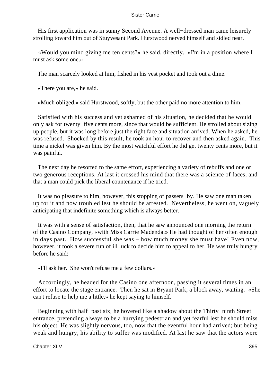His first application was in sunny Second Avenue. A well−dressed man came leisurely strolling toward him out of Stuyvesant Park. Hurstwood nerved himself and sidled near.

 «Would you mind giving me ten cents?» he said, directly. «I'm in a position where I must ask some one.»

The man scarcely looked at him, fished in his vest pocket and took out a dime.

«There you are,» he said.

«Much obliged,» said Hurstwood, softly, but the other paid no more attention to him.

 Satisfied with his success and yet ashamed of his situation, he decided that he would only ask for twenty−five cents more, since that would be sufficient. He strolled about sizing up people, but it was long before just the right face and situation arrived. When he asked, he was refused. Shocked by this result, he took an hour to recover and then asked again. This time a nickel was given him. By the most watchful effort he did get twenty cents more, but it was painful.

 The next day he resorted to the same effort, experiencing a variety of rebuffs and one or two generous receptions. At last it crossed his mind that there was a science of faces, and that a man could pick the liberal countenance if he tried.

 It was no pleasure to him, however, this stopping of passers−by. He saw one man taken up for it and now troubled lest he should be arrested. Nevertheless, he went on, vaguely anticipating that indefinite something which is always better.

 It was with a sense of satisfaction, then, that he saw announced one morning the return of the Casino Company, «with Miss Carrie Madenda.» He had thought of her often enough in days past. How successful she was – how much money she must have! Even now, however, it took a severe run of ill luck to decide him to appeal to her. He was truly hungry before he said:

«I'll ask her. She won't refuse me a few dollars.»

 Accordingly, he headed for the Casino one afternoon, passing it several times in an effort to locate the stage entrance. Then he sat in Bryant Park, a block away, waiting. «She can't refuse to help me a little,» he kept saying to himself.

 Beginning with half−past six, he hovered like a shadow about the Thirty−ninth Street entrance, pretending always to be a hurrying pedestrian and yet fearful lest he should miss his object. He was slightly nervous, too, now that the eventful hour had arrived; but being weak and hungry, his ability to suffer was modified. At last he saw that the actors were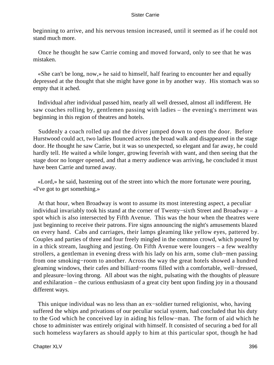beginning to arrive, and his nervous tension increased, until it seemed as if he could not stand much more.

 Once he thought he saw Carrie coming and moved forward, only to see that he was mistaken.

 «She can't be long, now,» he said to himself, half fearing to encounter her and equally depressed at the thought that she might have gone in by another way. His stomach was so empty that it ached.

 Individual after individual passed him, nearly all well dressed, almost all indifferent. He saw coaches rolling by, gentlemen passing with ladies – the evening's merriment was beginning in this region of theatres and hotels.

 Suddenly a coach rolled up and the driver jumped down to open the door. Before Hurstwood could act, two ladies flounced across the broad walk and disappeared in the stage door. He thought he saw Carrie, but it was so unexpected, so elegant and far away, he could hardly tell. He waited a while longer, growing feverish with want, and then seeing that the stage door no longer opened, and that a merry audience was arriving, he concluded it must have been Carrie and turned away.

 «Lord,» he said, hastening out of the street into which the more fortunate were pouring, «I've got to get something.»

 At that hour, when Broadway is wont to assume its most interesting aspect, a peculiar individual invariably took his stand at the corner of Twenty−sixth Street and Broadway – a spot which is also intersected by Fifth Avenue. This was the hour when the theatres were just beginning to receive their patrons. Fire signs announcing the night's amusements blazed on every hand. Cabs and carriages, their lamps gleaming like yellow eyes, pattered by. Couples and parties of three and four freely mingled in the common crowd, which poured by in a thick stream, laughing and jesting. On Fifth Avenue were loungers – a few wealthy strollers, a gentleman in evening dress with his lady on his arm, some club−men passing from one smoking−room to another. Across the way the great hotels showed a hundred gleaming windows, their cafes and billiard−rooms filled with a comfortable, well−dressed, and pleasure−loving throng. All about was the night, pulsating with the thoughts of pleasure and exhilaration – the curious enthusiasm of a great city bent upon finding joy in a thousand different ways.

 This unique individual was no less than an ex−soldier turned religionist, who, having suffered the whips and privations of our peculiar social system, had concluded that his duty to the God which he conceived lay in aiding his fellow−man. The form of aid which he chose to administer was entirely original with himself. It consisted of securing a bed for all such homeless wayfarers as should apply to him at this particular spot, though he had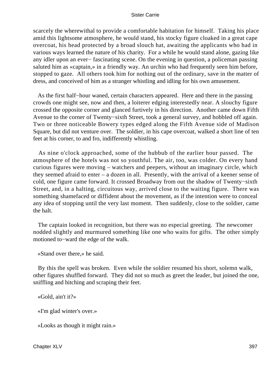scarcely the wherewithal to provide a comfortable habitation for himself. Taking his place amid this lightsome atmosphere, he would stand, his stocky figure cloaked in a great cape overcoat, his head protected by a broad slouch hat, awaiting the applicants who had in various ways learned the nature of his charity. For a while he would stand alone, gazing like any idler upon an ever− fascinating scene. On the evening in question, a policeman passing saluted him as «captain,» in a friendly way. An urchin who had frequently seen him before, stopped to gaze. All others took him for nothing out of the ordinary, save in the matter of dress, and conceived of him as a stranger whistling and idling for his own amusement.

 As the first half−hour waned, certain characters appeared. Here and there in the passing crowds one might see, now and then, a loiterer edging interestedly near. A slouchy figure crossed the opposite corner and glanced furtively in his direction. Another came down Fifth Avenue to the corner of Twenty−sixth Street, took a general survey, and hobbled off again. Two or three noticeable Bowery types edged along the Fifth Avenue side of Madison Square, but did not venture over. The soldier, in his cape overcoat, walked a short line of ten feet at his corner, to and fro, indifferently whistling.

 As nine o'clock approached, some of the hubbub of the earlier hour passed. The atmosphere of the hotels was not so youthful. The air, too, was colder. On every hand curious figures were moving – watchers and peepers, without an imaginary circle, which they seemed afraid to enter – a dozen in all. Presently, with the arrival of a keener sense of cold, one figure came forward. It crossed Broadway from out the shadow of Twenty−sixth Street, and, in a halting, circuitous way, arrived close to the waiting figure. There was something shamefaced or diffident about the movement, as if the intention were to conceal any idea of stopping until the very last moment. Then suddenly, close to the soldier, came the halt.

 The captain looked in recognition, but there was no especial greeting. The newcomer nodded slightly and murmured something like one who waits for gifts. The other simply motioned to−ward the edge of the walk.

«Stand over there,» he said.

 By this the spell was broken. Even while the soldier resumed his short, solemn walk, other figures shuffled forward. They did not so much as greet the leader, but joined the one, sniffling and hitching and scraping their feet.

«Gold, ain't it?»

«I'm glad winter's over.»

«Looks as though it might rain.»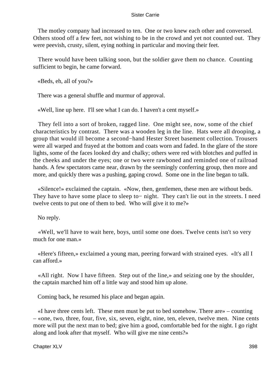The motley company had increased to ten. One or two knew each other and conversed. Others stood off a few feet, not wishing to be in the crowd and yet not counted out. They were peevish, crusty, silent, eying nothing in particular and moving their feet.

 There would have been talking soon, but the soldier gave them no chance. Counting sufficient to begin, he came forward.

«Beds, eh, all of you?»

There was a general shuffle and murmur of approval.

«Well, line up here. I'll see what I can do. I haven't a cent myself.»

 They fell into a sort of broken, ragged line. One might see, now, some of the chief characteristics by contrast. There was a wooden leg in the line. Hats were all drooping, a group that would ill become a second−hand Hester Street basement collection. Trousers were all warped and frayed at the bottom and coats worn and faded. In the glare of the store lights, some of the faces looked dry and chalky; others were red with blotches and puffed in the cheeks and under the eyes; one or two were rawboned and reminded one of railroad hands. A few spectators came near, drawn by the seemingly conferring group, then more and more, and quickly there was a pushing, gaping crowd. Some one in the line began to talk.

 «Silence!» exclaimed the captain. «Now, then, gentlemen, these men are without beds. They have to have some place to sleep to− night. They can't lie out in the streets. I need twelve cents to put one of them to bed. Who will give it to me?»

No reply.

 «Well, we'll have to wait here, boys, until some one does. Twelve cents isn't so very much for one man.»

 «Here's fifteen,» exclaimed a young man, peering forward with strained eyes. «It's all I can afford.»

 «All right. Now I have fifteen. Step out of the line,» and seizing one by the shoulder, the captain marched him off a little way and stood him up alone.

Coming back, he resumed his place and began again.

 «I have three cents left. These men must be put to bed somehow. There are» – counting – «one, two, three, four, five, six, seven, eight, nine, ten, eleven, twelve men. Nine cents more will put the next man to bed; give him a good, comfortable bed for the night. I go right along and look after that myself. Who will give me nine cents?»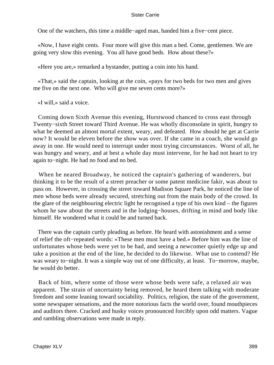One of the watchers, this time a middle−aged man, handed him a five−cent piece.

 «Now, I have eight cents. Four more will give this man a bed. Come, gentlemen. We are going very slow this evening. You all have good beds. How about these?»

«Here you are,» remarked a bystander, putting a coin into his hand.

 «That,» said the captain, looking at the coin, «pays for two beds for two men and gives me five on the next one. Who will give me seven cents more?»

«I will,» said a voice.

 Coming down Sixth Avenue this evening, Hurstwood chanced to cross east through Twenty−sixth Street toward Third Avenue. He was wholly disconsolate in spirit, hungry to what he deemed an almost mortal extent, weary, and defeated. How should he get at Carrie now? It would be eleven before the show was over. If she came in a coach, she would go away in one. He would need to interrupt under most trying circumstances. Worst of all, he was hungry and weary, and at best a whole day must intervene, for he had not heart to try again to−night. He had no food and no bed.

 When he neared Broadway, he noticed the captain's gathering of wanderers, but thinking it to be the result of a street preacher or some patent medicine fakir, was about to pass on. However, in crossing the street toward Madison Square Park, he noticed the line of men whose beds were already secured, stretching out from the main body of the crowd. In the glare of the neighbouring electric light he recognised a type of his own kind – the figures whom he saw about the streets and in the lodging−houses, drifting in mind and body like himself. He wondered what it could be and turned back.

 There was the captain curtly pleading as before. He heard with astonishment and a sense of relief the oft−repeated words: «These men must have a bed.» Before him was the line of unfortunates whose beds were yet to be had, and seeing a newcomer quietly edge up and take a position at the end of the line, he decided to do likewise. What use to contend? He was weary to−night. It was a simple way out of one difficulty, at least. To−morrow, maybe, he would do better.

 Back of him, where some of those were whose beds were safe, a relaxed air was apparent. The strain of uncertainty being removed, he heard them talking with moderate freedom and some leaning toward sociability. Politics, religion, the state of the government, some newspaper sensations, and the more notorious facts the world over, found mouthpieces and auditors there. Cracked and husky voices pronounced forcibly upon odd matters. Vague and rambling observations were made in reply.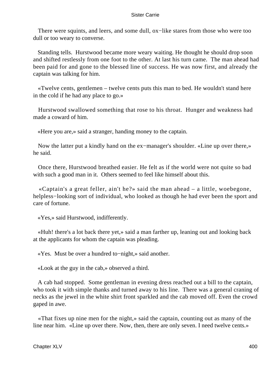There were squints, and leers, and some dull, ox–like stares from those who were too dull or too weary to converse.

 Standing tells. Hurstwood became more weary waiting. He thought he should drop soon and shifted restlessly from one foot to the other. At last his turn came. The man ahead had been paid for and gone to the blessed line of success. He was now first, and already the captain was talking for him.

 «Twelve cents, gentlemen – twelve cents puts this man to bed. He wouldn't stand here in the cold if he had any place to go.»

 Hurstwood swallowed something that rose to his throat. Hunger and weakness had made a coward of him.

«Here you are,» said a stranger, handing money to the captain.

 Now the latter put a kindly hand on the ex−manager's shoulder. «Line up over there,» he said.

 Once there, Hurstwood breathed easier. He felt as if the world were not quite so bad with such a good man in it. Others seemed to feel like himself about this.

 «Captain's a great feller, ain't he?» said the man ahead – a little, woebegone, helpless−looking sort of individual, who looked as though he had ever been the sport and care of fortune.

«Yes,» said Hurstwood, indifferently.

 «Huh! there's a lot back there yet,» said a man farther up, leaning out and looking back at the applicants for whom the captain was pleading.

«Yes. Must be over a hundred to−night,» said another.

«Look at the guy in the cab,» observed a third.

 A cab had stopped. Some gentleman in evening dress reached out a bill to the captain, who took it with simple thanks and turned away to his line. There was a general craning of necks as the jewel in the white shirt front sparkled and the cab moved off. Even the crowd gaped in awe.

 «That fixes up nine men for the night,» said the captain, counting out as many of the line near him. «Line up over there. Now, then, there are only seven. I need twelve cents.»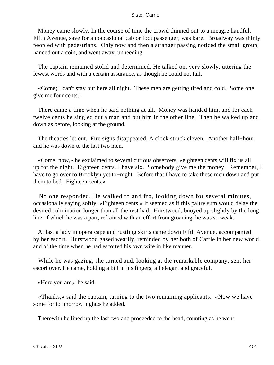Money came slowly. In the course of time the crowd thinned out to a meagre handful. Fifth Avenue, save for an occasional cab or foot passenger, was bare. Broadway was thinly peopled with pedestrians. Only now and then a stranger passing noticed the small group, handed out a coin, and went away, unheeding.

 The captain remained stolid and determined. He talked on, very slowly, uttering the fewest words and with a certain assurance, as though he could not fail.

 «Come; I can't stay out here all night. These men are getting tired and cold. Some one give me four cents.»

 There came a time when he said nothing at all. Money was handed him, and for each twelve cents he singled out a man and put him in the other line. Then he walked up and down as before, looking at the ground.

 The theatres let out. Fire signs disappeared. A clock struck eleven. Another half−hour and he was down to the last two men.

 «Come, now,» he exclaimed to several curious observers; «eighteen cents will fix us all up for the night. Eighteen cents. I have six. Somebody give me the money. Remember, I have to go over to Brooklyn yet to−night. Before that I have to take these men down and put them to bed. Eighteen cents.»

 No one responded. He walked to and fro, looking down for several minutes, occasionally saying softly: «Eighteen cents.» It seemed as if this paltry sum would delay the desired culmination longer than all the rest had. Hurstwood, buoyed up slightly by the long line of which he was a part, refrained with an effort from groaning, he was so weak.

 At last a lady in opera cape and rustling skirts came down Fifth Avenue, accompanied by her escort. Hurstwood gazed wearily, reminded by her both of Carrie in her new world and of the time when he had escorted his own wife in like manner.

 While he was gazing, she turned and, looking at the remarkable company, sent her escort over. He came, holding a bill in his fingers, all elegant and graceful.

«Here you are,» he said.

 «Thanks,» said the captain, turning to the two remaining applicants. «Now we have some for to−morrow night,» he added.

Therewith he lined up the last two and proceeded to the head, counting as he went.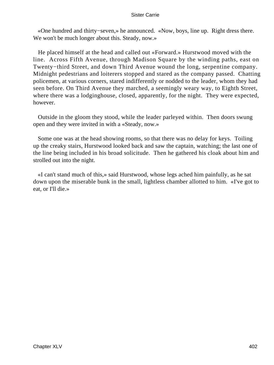«One hundred and thirty−seven,» he announced. «Now, boys, line up. Right dress there. We won't be much longer about this. Steady, now.»

 He placed himself at the head and called out «Forward.» Hurstwood moved with the line. Across Fifth Avenue, through Madison Square by the winding paths, east on Twenty−third Street, and down Third Avenue wound the long, serpentine company. Midnight pedestrians and loiterers stopped and stared as the company passed. Chatting policemen, at various corners, stared indifferently or nodded to the leader, whom they had seen before. On Third Avenue they marched, a seemingly weary way, to Eighth Street, where there was a lodginghouse, closed, apparently, for the night. They were expected, however.

 Outside in the gloom they stood, while the leader parleyed within. Then doors swung open and they were invited in with a «Steady, now.»

 Some one was at the head showing rooms, so that there was no delay for keys. Toiling up the creaky stairs, Hurstwood looked back and saw the captain, watching; the last one of the line being included in his broad solicitude. Then he gathered his cloak about him and strolled out into the night.

 «I can't stand much of this,» said Hurstwood, whose legs ached him painfully, as he sat down upon the miserable bunk in the small, lightless chamber allotted to him. «I've got to eat, or I'll die.»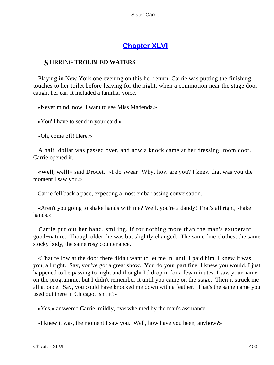## **[Chapter XLVI](#page-430-0)**

### <span id="page-403-0"></span>*S*TIRRING **TROUBLED WATERS**

 Playing in New York one evening on this her return, Carrie was putting the finishing touches to her toilet before leaving for the night, when a commotion near the stage door caught her ear. It included a familiar voice.

«Never mind, now. I want to see Miss Madenda.»

«You'll have to send in your card.»

«Oh, come off! Here.»

 A half−dollar was passed over, and now a knock came at her dressing−room door. Carrie opened it.

 «Well, well!» said Drouet. «I do swear! Why, how are you? I knew that was you the moment I saw you.»

Carrie fell back a pace, expecting a most embarrassing conversation.

 «Aren't you going to shake hands with me? Well, you're a dandy! That's all right, shake hands.»

 Carrie put out her hand, smiling, if for nothing more than the man's exuberant good−nature. Though older, he was but slightly changed. The same fine clothes, the same stocky body, the same rosy countenance.

 «That fellow at the door there didn't want to let me in, until I paid him. I knew it was you, all right. Say, you've got a great show. You do your part fine. I knew you would. I just happened to be passing to night and thought I'd drop in for a few minutes. I saw your name on the programme, but I didn't remember it until you came on the stage. Then it struck me all at once. Say, you could have knocked me down with a feather. That's the same name you used out there in Chicago, isn't it?»

«Yes,» answered Carrie, mildly, overwhelmed by the man's assurance.

«I knew it was, the moment I saw you. Well, how have you been, anyhow?»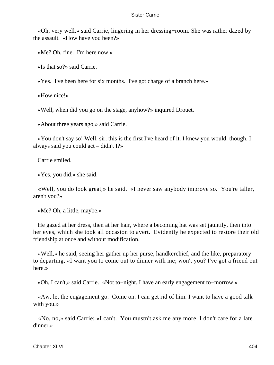«Oh, very well,» said Carrie, lingering in her dressing−room. She was rather dazed by the assault. «How have you been?»

«Me? Oh, fine. I'm here now.»

«Is that so?» said Carrie.

«Yes. I've been here for six months. I've got charge of a branch here.»

«How nice!»

«Well, when did you go on the stage, anyhow?» inquired Drouet.

«About three years ago,» said Carrie.

 «You don't say so! Well, sir, this is the first I've heard of it. I knew you would, though. I always said you could act – didn't I?»

Carrie smiled.

«Yes, you did,» she said.

 «Well, you do look great,» he said. «I never saw anybody improve so. You're taller, aren't you?»

«Me? Oh, a little, maybe.»

 He gazed at her dress, then at her hair, where a becoming hat was set jauntily, then into her eyes, which she took all occasion to avert. Evidently he expected to restore their old friendship at once and without modification.

 «Well,» he said, seeing her gather up her purse, handkerchief, and the like, preparatory to departing, «I want you to come out to dinner with me; won't you? I've got a friend out here.»

«Oh, I can't,» said Carrie. «Not to−night. I have an early engagement to−morrow.»

 «Aw, let the engagement go. Come on. I can get rid of him. I want to have a good talk with you.»

 «No, no,» said Carrie; «I can't. You mustn't ask me any more. I don't care for a late dinner.»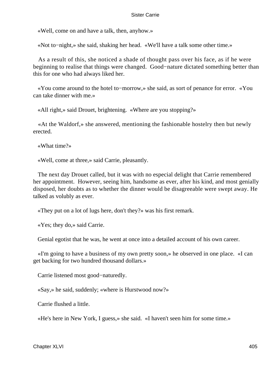«Well, come on and have a talk, then, anyhow.»

«Not to−night,» she said, shaking her head. «We'll have a talk some other time.»

 As a result of this, she noticed a shade of thought pass over his face, as if he were beginning to realise that things were changed. Good−nature dictated something better than this for one who had always liked her.

 «You come around to the hotel to−morrow,» she said, as sort of penance for error. «You can take dinner with me.»

«All right,» said Drouet, brightening. «Where are you stopping?»

 «At the Waldorf,» she answered, mentioning the fashionable hostelry then but newly erected.

«What time?»

«Well, come at three,» said Carrie, pleasantly.

 The next day Drouet called, but it was with no especial delight that Carrie remembered her appointment. However, seeing him, handsome as ever, after his kind, and most genially disposed, her doubts as to whether the dinner would be disagreeable were swept away. He talked as volubly as ever.

«They put on a lot of lugs here, don't they?» was his first remark.

«Yes; they do,» said Carrie.

Genial egotist that he was, he went at once into a detailed account of his own career.

 «I'm going to have a business of my own pretty soon,» he observed in one place. «I can get backing for two hundred thousand dollars.»

Carrie listened most good−naturedly.

«Say,» he said, suddenly; «where is Hurstwood now?»

Carrie flushed a little.

«He's here in New York, I guess,» she said. «I haven't seen him for some time.»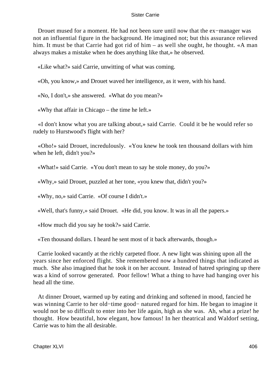Drouet mused for a moment. He had not been sure until now that the ex−manager was not an influential figure in the background. He imagined not; but this assurance relieved him. It must be that Carrie had got rid of him – as well she ought, he thought. «A man always makes a mistake when he does anything like that,» he observed.

«Like what?» said Carrie, unwitting of what was coming.

«Oh, you know,» and Drouet waved her intelligence, as it were, with his hand.

«No, I don't,» she answered. «What do you mean?»

«Why that affair in Chicago – the time he left.»

 «I don't know what you are talking about,» said Carrie. Could it be he would refer so rudely to Hurstwood's flight with her?

 «Oho!» said Drouet, incredulously. «You knew he took ten thousand dollars with him when he left, didn't you?»

«What!» said Carrie. «You don't mean to say he stole money, do you?»

«Why,» said Drouet, puzzled at her tone, «you knew that, didn't you?»

«Why, no,» said Carrie. «Of course I didn't.»

«Well, that's funny,» said Drouet. «He did, you know. It was in all the papers.»

«How much did you say he took?» said Carrie.

«Ten thousand dollars. I heard he sent most of it back afterwards, though.»

 Carrie looked vacantly at the richly carpeted floor. A new light was shining upon all the years since her enforced flight. She remembered now a hundred things that indicated as much. She also imagined that he took it on her account. Instead of hatred springing up there was a kind of sorrow generated. Poor fellow! What a thing to have had hanging over his head all the time.

 At dinner Drouet, warmed up by eating and drinking and softened in mood, fancied he was winning Carrie to her old−time good− natured regard for him. He began to imagine it would not be so difficult to enter into her life again, high as she was. Ah, what a prize! he thought. How beautiful, how elegant, how famous! In her theatrical and Waldorf setting, Carrie was to him the all desirable.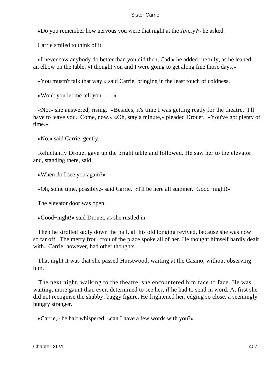«Do you remember how nervous you were that night at the Avery?» he asked.

Carrie smiled to think of it.

 «I never saw anybody do better than you did then, Cad,» he added ruefully, as he leaned an elbow on the table; «I thought you and I were going to get along fine those days.»

«You mustn't talk that way,» said Carrie, bringing in the least touch of coldness.

«Won't you let me tell you  $-$  – »

 «No,» she answered, rising. «Besides, it's time I was getting ready for the theatre. I'll have to leave you. Come, now.» «Oh, stay a minute,» pleaded Drouet. «You've got plenty of time.»

«No,» said Carrie, gently.

 Reluctantly Drouet gave up the bright table and followed. He saw her to the elevator and, standing there, said:

«When do I see you again?»

«Oh, some time, possibly,» said Carrie. «I'll be here all summer. Good−night!»

The elevator door was open.

«Good−night!» said Drouet, as she rustled in.

 Then he strolled sadly down the hall, all his old longing revived, because she was now so far off. The merry frou−frou of the place spoke all of her. He thought himself hardly dealt with. Carrie, however, had other thoughts.

 That night it was that she passed Hurstwood, waiting at the Casino, without observing him.

 The next night, walking to the theatre, she encountered him face to face. He was waiting, more gaunt than ever, determined to see her, if he had to send in word. At first she did not recognise the shabby, baggy figure. He frightened her, edging so close, a seemingly hungry stranger.

«Carrie,» he half whispered, «can I have a few words with you?»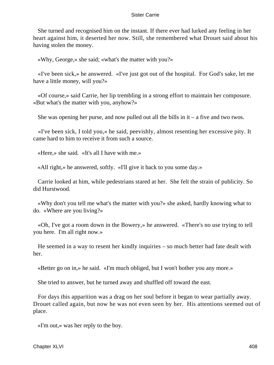She turned and recognised him on the instant. If there ever had lurked any feeling in her heart against him, it deserted her now. Still, she remembered what Drouet said about his having stolen the money.

«Why, George,» she said; «what's the matter with you?»

 «I've been sick,» he answered. «I've just got out of the hospital. For God's sake, let me have a little money, will you?»

 «Of course,» said Carrie, her lip trembling in a strong effort to maintain her composure. «But what's the matter with you, anyhow?»

She was opening her purse, and now pulled out all the bills in  $it - a$  five and two twos.

 «I've been sick, I told you,» he said, peevishly, almost resenting her excessive pity. It came hard to him to receive it from such a source.

«Here,» she said. «It's all I have with me.»

«All right,» he answered, softly. «I'll give it back to you some day.»

 Carrie looked at him, while pedestrians stared at her. She felt the strain of publicity. So did Hurstwood.

 «Why don't you tell me what's the matter with you?» she asked, hardly knowing what to do. «Where are you living?»

 «Oh, I've got a room down in the Bowery,» he answered. «There's no use trying to tell you here. I'm all right now.»

 He seemed in a way to resent her kindly inquiries – so much better had fate dealt with her.

«Better go on in,» he said. «I'm much obliged, but I won't bother you any more.»

She tried to answer, but he turned away and shuffled off toward the east.

 For days this apparition was a drag on her soul before it began to wear partially away. Drouet called again, but now he was not even seen by her. His attentions seemed out of place.

«I'm out,» was her reply to the boy.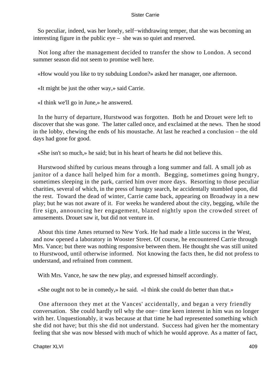So peculiar, indeed, was her lonely, self−withdrawing temper, that she was becoming an interesting figure in the public eye – she was so quiet and reserved.

 Not long after the management decided to transfer the show to London. A second summer season did not seem to promise well here.

«How would you like to try subduing London?» asked her manager, one afternoon.

«It might be just the other way,» said Carrie.

«I think we'll go in June,» he answered.

 In the hurry of departure, Hurstwood was forgotten. Both he and Drouet were left to discover that she was gone. The latter called once, and exclaimed at the news. Then he stood in the lobby, chewing the ends of his moustache. At last he reached a conclusion – the old days had gone for good.

«She isn't so much,» he said; but in his heart of hearts he did not believe this.

 Hurstwood shifted by curious means through a long summer and fall. A small job as janitor of a dance hall helped him for a month. Begging, sometimes going hungry, sometimes sleeping in the park, carried him over more days. Resorting to those peculiar charities, several of which, in the press of hungry search, he accidentally stumbled upon, did the rest. Toward the dead of winter, Carrie came back, appearing on Broadway in a new play; but he was not aware of it. For weeks he wandered about the city, begging, while the fire sign, announcing her engagement, blazed nightly upon the crowded street of amusements. Drouet saw it, but did not venture in.

 About this time Ames returned to New York. He had made a little success in the West, and now opened a laboratory in Wooster Street. Of course, he encountered Carrie through Mrs. Vance; but there was nothing responsive between them. He thought she was still united to Hurstwood, until otherwise informed. Not knowing the facts then, he did not profess to understand, and refrained from comment.

With Mrs. Vance, he saw the new play, and expressed himself accordingly.

«She ought not to be in comedy,» he said. «I think she could do better than that.»

 One afternoon they met at the Vances' accidentally, and began a very friendly conversation. She could hardly tell why the one− time keen interest in him was no longer with her. Unquestionably, it was because at that time he had represented something which she did not have; but this she did not understand. Success had given her the momentary feeling that she was now blessed with much of which he would approve. As a matter of fact,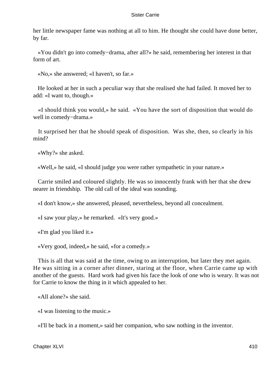her little newspaper fame was nothing at all to him. He thought she could have done better, by far.

 «You didn't go into comedy−drama, after all?» he said, remembering her interest in that form of art.

«No,» she answered; «I haven't, so far.»

 He looked at her in such a peculiar way that she realised she had failed. It moved her to add: «I want to, though.»

 «I should think you would,» he said. «You have the sort of disposition that would do well in comedy−drama.»

 It surprised her that he should speak of disposition. Was she, then, so clearly in his mind?

«Why?» she asked.

«Well,» he said, «I should judge you were rather sympathetic in your nature.»

 Carrie smiled and coloured slightly. He was so innocently frank with her that she drew nearer in friendship. The old call of the ideal was sounding.

«I don't know,» she answered, pleased, nevertheless, beyond all concealment.

«I saw your play,» he remarked. «It's very good.»

«I'm glad you liked it.»

«Very good, indeed,» he said, «for a comedy.»

 This is all that was said at the time, owing to an interruption, but later they met again. He was sitting in a corner after dinner, staring at the floor, when Carrie came up with another of the guests. Hard work had given his face the look of one who is weary. It was not for Carrie to know the thing in it which appealed to her.

«All alone?» she said.

«I was listening to the music.»

«I'll be back in a moment,» said her companion, who saw nothing in the inventor.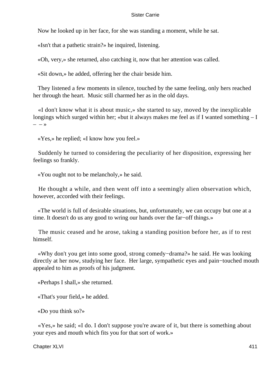Now he looked up in her face, for she was standing a moment, while he sat.

«Isn't that a pathetic strain?» he inquired, listening.

«Oh, very,» she returned, also catching it, now that her attention was called.

«Sit down,» he added, offering her the chair beside him.

 They listened a few moments in silence, touched by the same feeling, only hers reached her through the heart. Music still charmed her as in the old days.

 «I don't know what it is about music,» she started to say, moved by the inexplicable longings which surged within her; «but it always makes me feel as if I wanted something – I  $- - \infty$ 

«Yes,» he replied; «I know how you feel.»

 Suddenly he turned to considering the peculiarity of her disposition, expressing her feelings so frankly.

«You ought not to be melancholy,» he said.

 He thought a while, and then went off into a seemingly alien observation which, however, accorded with their feelings.

 «The world is full of desirable situations, but, unfortunately, we can occupy but one at a time. It doesn't do us any good to wring our hands over the far−off things.»

 The music ceased and he arose, taking a standing position before her, as if to rest himself.

 «Why don't you get into some good, strong comedy−drama?» he said. He was looking directly at her now, studying her face. Her large, sympathetic eyes and pain−touched mouth appealed to him as proofs of his judgment.

«Perhaps I shall,» she returned.

«That's your field,» he added.

«Do you think so?»

 «Yes,» he said; «I do. I don't suppose you're aware of it, but there is something about your eyes and mouth which fits you for that sort of work.»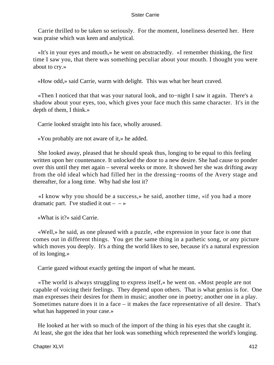Carrie thrilled to be taken so seriously. For the moment, loneliness deserted her. Here was praise which was keen and analytical.

 «It's in your eyes and mouth,» he went on abstractedly. «I remember thinking, the first time I saw you, that there was something peculiar about your mouth. I thought you were about to cry.»

«How odd,» said Carrie, warm with delight. This was what her heart craved.

 «Then I noticed that that was your natural look, and to−night I saw it again. There's a shadow about your eyes, too, which gives your face much this same character. It's in the depth of them, I think.»

Carrie looked straight into his face, wholly aroused.

«You probably are not aware of it,» he added.

 She looked away, pleased that he should speak thus, longing to be equal to this feeling written upon her countenance. It unlocked the door to a new desire. She had cause to ponder over this until they met again – several weeks or more. It showed her she was drifting away from the old ideal which had filled her in the dressing−rooms of the Avery stage and thereafter, for a long time. Why had she lost it?

 «I know why you should be a success,» he said, another time, «if you had a more dramatic part. I've studied it out  $-$  – »

«What is it?» said Carrie.

 «Well,» he said, as one pleased with a puzzle, «the expression in your face is one that comes out in different things. You get the same thing in a pathetic song, or any picture which moves you deeply. It's a thing the world likes to see, because it's a natural expression of its longing.»

Carrie gazed without exactly getting the import of what he meant.

 «The world is always struggling to express itself,» he went on. «Most people are not capable of voicing their feelings. They depend upon others. That is what genius is for. One man expresses their desires for them in music; another one in poetry; another one in a play. Sometimes nature does it in a face – it makes the face representative of all desire. That's what has happened in your case.»

 He looked at her with so much of the import of the thing in his eyes that she caught it. At least, she got the idea that her look was something which represented the world's longing.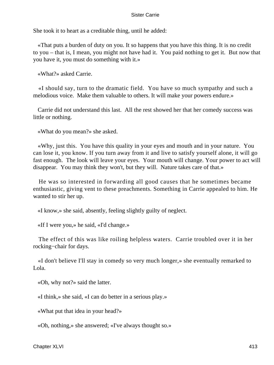She took it to heart as a creditable thing, until he added:

 «That puts a burden of duty on you. It so happens that you have this thing. It is no credit to you – that is, I mean, you might not have had it. You paid nothing to get it. But now that you have it, you must do something with it.»

«What?» asked Carrie.

 «I should say, turn to the dramatic field. You have so much sympathy and such a melodious voice. Make them valuable to others. It will make your powers endure.»

 Carrie did not understand this last. All the rest showed her that her comedy success was little or nothing.

«What do you mean?» she asked.

 «Why, just this. You have this quality in your eyes and mouth and in your nature. You can lose it, you know. If you turn away from it and live to satisfy yourself alone, it will go fast enough. The look will leave your eyes. Your mouth will change. Your power to act will disappear. You may think they won't, but they will. Nature takes care of that.»

 He was so interested in forwarding all good causes that he sometimes became enthusiastic, giving vent to these preachments. Something in Carrie appealed to him. He wanted to stir her up.

«I know,» she said, absently, feeling slightly guilty of neglect.

«If I were you,» he said, «I'd change.»

 The effect of this was like roiling helpless waters. Carrie troubled over it in her rocking−chair for days.

 «I don't believe I'll stay in comedy so very much longer,» she eventually remarked to Lola.

«Oh, why not?» said the latter.

«I think,» she said, «I can do better in a serious play.»

«What put that idea in your head?»

«Oh, nothing,» she answered; «I've always thought so.»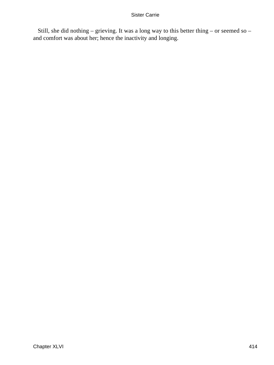Still, she did nothing – grieving. It was a long way to this better thing – or seemed so – and comfort was about her; hence the inactivity and longing.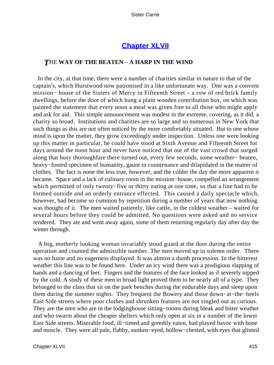### **[Chapter XLVII](#page-430-0)**

### <span id="page-415-0"></span>*T*HE **WAY OF THE BEATEN** – **A HARP IN THE WIND**

 In the city, at that time, there were a number of charities similar in nature to that of the captain's, which Hurstwood now patronised in a like unfortunate way. One was a convent mission− house of the Sisters of Mercy in Fifteenth Street – a row of red brick family dwellings, before the door of which hung a plain wooden contribution box, on which was painted the statement that every noon a meal was given free to all those who might apply and ask for aid. This simple announcement was modest in the extreme, covering, as it did, a charity so broad. Institutions and charities are so large and so numerous in New York that such things as this are not often noticed by the more comfortably situated. But to one whose mind is upon the matter, they grow exceedingly under inspection. Unless one were looking up this matter in particular, he could have stood at Sixth Avenue and Fifteenth Street for days around the noon hour and never have noticed that out of the vast crowd that surged along that busy thoroughfare there turned out, every few seconds, some weather− beaten, heavy−footed specimen of humanity, gaunt in countenance and dilapidated in the matter of clothes. The fact is none the less true, however, and the colder the day the more apparent it became. Space and a lack of culinary room in the mission−house, compelled an arrangement which permitted of only twenty−five or thirty eating at one time, so that a line had to be formed outside and an orderly entrance effected. This caused a daily spectacle which, however, had become so common by repetition during a number of years that now nothing was thought of it. The men waited patiently, like cattle, in the coldest weather – waited for several hours before they could be admitted. No questions were asked and no service rendered. They ate and went away again, some of them returning regularly day after day the winter through.

 A big, motherly looking woman invariably stood guard at the door during the entire operation and counted the admissible number. The men moved up in solemn order. There was no haste and no eagerness displayed. It was almost a dumb procession. In the bitterest weather this line was to be found here. Under an icy wind there was a prodigious slapping of hands and a dancing of feet. Fingers and the features of the face looked as if severely nipped by the cold. A study of these men in broad light proved them to be nearly all of a type. They belonged to the class that sit on the park benches during the endurable days and sleep upon them during the summer nights. They frequent the Bowery and those down−at−the−heels East Side streets where poor clothes and shrunken features are not singled out as curious. They are the men who are in the lodginghouse sitting−rooms during bleak and bitter weather and who swarm about the cheaper shelters which only open at six in a number of the lower East Side streets. Miserable food, ill−timed and greedily eaten, had played havoc with bone and muscle. They were all pale, flabby, sunken−eyed, hollow−chested, with eyes that glinted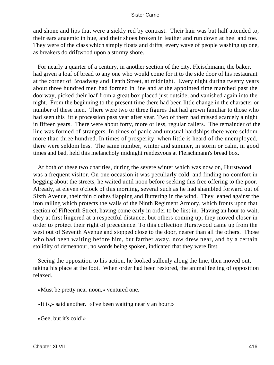and shone and lips that were a sickly red by contrast. Their hair was but half attended to, their ears anaemic in hue, and their shoes broken in leather and run down at heel and toe. They were of the class which simply floats and drifts, every wave of people washing up one, as breakers do driftwood upon a stormy shore.

 For nearly a quarter of a century, in another section of the city, Fleischmann, the baker, had given a loaf of bread to any one who would come for it to the side door of his restaurant at the corner of Broadway and Tenth Street, at midnight. Every night during twenty years about three hundred men had formed in line and at the appointed time marched past the doorway, picked their loaf from a great box placed just outside, and vanished again into the night. From the beginning to the present time there had been little change in the character or number of these men. There were two or three figures that had grown familiar to those who had seen this little procession pass year after year. Two of them had missed scarcely a night in fifteen years. There were about forty, more or less, regular callers. The remainder of the line was formed of strangers. In times of panic and unusual hardships there were seldom more than three hundred. In times of prosperity, when little is heard of the unemployed, there were seldom less. The same number, winter and summer, in storm or calm, in good times and bad, held this melancholy midnight rendezvous at Fleischmann's bread box.

 At both of these two charities, during the severe winter which was now on, Hurstwood was a frequent visitor. On one occasion it was peculiarly cold, and finding no comfort in begging about the streets, he waited until noon before seeking this free offering to the poor. Already, at eleven o'clock of this morning, several such as he had shambled forward out of Sixth Avenue, their thin clothes flapping and fluttering in the wind. They leaned against the iron railing which protects the walls of the Ninth Regiment Armory, which fronts upon that section of Fifteenth Street, having come early in order to be first in. Having an hour to wait, they at first lingered at a respectful distance; but others coming up, they moved closer in order to protect their right of precedence. To this collection Hurstwood came up from the west out of Seventh Avenue and stopped close to the door, nearer than all the others. Those who had been waiting before him, but farther away, now drew near, and by a certain stolidity of demeanour, no words being spoken, indicated that they were first.

 Seeing the opposition to his action, he looked sullenly along the line, then moved out, taking his place at the foot. When order had been restored, the animal feeling of opposition relaxed.

«Must be pretty near noon,» ventured one.

«It is,» said another. «I've been waiting nearly an hour.»

«Gee, but it's cold!»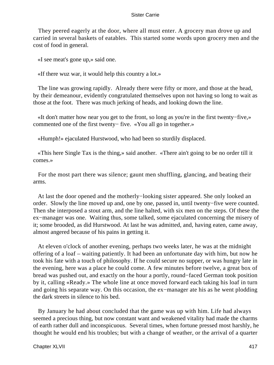They peered eagerly at the door, where all must enter. A grocery man drove up and carried in several baskets of eatables. This started some words upon grocery men and the cost of food in general.

«I see meat's gone up,» said one.

«If there wuz war, it would help this country a lot.»

 The line was growing rapidly. Already there were fifty or more, and those at the head, by their demeanour, evidently congratulated themselves upon not having so long to wait as those at the foot. There was much jerking of heads, and looking down the line.

 «It don't matter how near you get to the front, so long as you're in the first twenty−five,» commented one of the first twenty− five. «You all go in together.»

«Humph!» ejaculated Hurstwood, who had been so sturdily displaced.

 «This here Single Tax is the thing,» said another. «There ain't going to be no order till it comes.»

 For the most part there was silence; gaunt men shuffling, glancing, and beating their arms.

 At last the door opened and the motherly−looking sister appeared. She only looked an order. Slowly the line moved up and, one by one, passed in, until twenty−five were counted. Then she interposed a stout arm, and the line halted, with six men on the steps. Of these the ex−manager was one. Waiting thus, some talked, some ejaculated concerning the misery of it; some brooded, as did Hurstwood. At last he was admitted, and, having eaten, came away, almost angered because of his pains in getting it.

 At eleven o'clock of another evening, perhaps two weeks later, he was at the midnight offering of a loaf – waiting patiently. It had been an unfortunate day with him, but now he took his fate with a touch of philosophy. If he could secure no supper, or was hungry late in the evening, here was a place he could come. A few minutes before twelve, a great box of bread was pushed out, and exactly on the hour a portly, round−faced German took position by it, calling «Ready.» The whole line at once moved forward each taking his loaf in turn and going his separate way. On this occasion, the ex−manager ate his as he went plodding the dark streets in silence to his bed.

 By January he had about concluded that the game was up with him. Life had always seemed a precious thing, but now constant want and weakened vitality had made the charms of earth rather dull and inconspicuous. Several times, when fortune pressed most harshly, he thought he would end his troubles; but with a change of weather, or the arrival of a quarter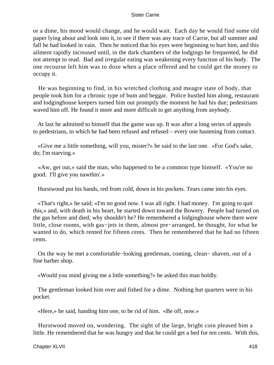or a dime, his mood would change, and he would wait. Each day he would find some old paper lying about and look into it, to see if there was any trace of Carrie, but all summer and fall he had looked in vain. Then he noticed that his eyes were beginning to hurt him, and this ailment rapidly increased until, in the dark chambers of the lodgings he frequented, he did not attempt to read. Bad and irregular eating was weakening every function of his body. The one recourse left him was to doze when a place offered and he could get the money to occupy it.

 He was beginning to find, in his wretched clothing and meagre state of body, that people took him for a chronic type of bum and beggar. Police hustled him along, restaurant and lodginghouse keepers turned him out promptly the moment he had his due; pedestrians waved him off. He found it more and more difficult to get anything from anybody.

 At last he admitted to himself that the game was up. It was after a long series of appeals to pedestrians, in which he had been refused and refused – every one hastening from contact.

 «Give me a little something, will you, mister?» he said to the last one. «For God's sake, do; I'm starving.»

 «Aw, get out,» said the man, who happened to be a common type himself. «You're no good. I'll give you nawthin'.»

Hurstwood put his hands, red from cold, down in his pockets. Tears came into his eyes.

 «That's right,» he said; «I'm no good now. I was all right. I had money. I'm going to quit this,» and, with death in his heart, he started down toward the Bowery. People had turned on the gas before and died; why shouldn't he? He remembered a lodginghouse where there were little, close rooms, with gas−jets in them, almost pre−arranged, he thought, for what he wanted to do, which rented for fifteen cents. Then he remembered that he had no fifteen cents.

 On the way he met a comfortable−looking gentleman, coming, clean− shaven, out of a fine barber shop.

«Would you mind giving me a little something?» he asked this man boldly.

 The gentleman looked him over and fished for a dime. Nothing but quarters were in his pocket.

«Here,» he said, handing him one, to be rid of him. «Be off, now.»

 Hurstwood moved on, wondering. The sight of the large, bright coin pleased him a little. He remembered that he was hungry and that he could get a bed for ten cents. With this,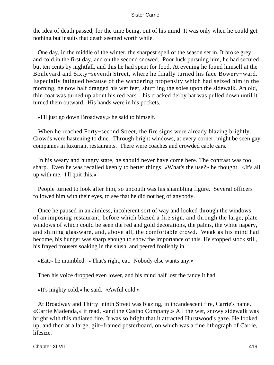the idea of death passed, for the time being, out of his mind. It was only when he could get nothing but insults that death seemed worth while.

 One day, in the middle of the winter, the sharpest spell of the season set in. It broke grey and cold in the first day, and on the second snowed. Poor luck pursuing him, he had secured but ten cents by nightfall, and this he had spent for food. At evening he found himself at the Boulevard and Sixty−seventh Street, where he finally turned his face Bowery−ward. Especially fatigued because of the wandering propensity which had seized him in the morning, he now half dragged his wet feet, shuffling the soles upon the sidewalk. An old, thin coat was turned up about his red ears – his cracked derby hat was pulled down until it turned them outward. His hands were in his pockets.

«I'll just go down Broadway,» he said to himself.

 When he reached Forty−second Street, the fire signs were already blazing brightly. Crowds were hastening to dine. Through bright windows, at every corner, might be seen gay companies in luxuriant restaurants. There were coaches and crowded cable cars.

 In his weary and hungry state, he should never have come here. The contrast was too sharp. Even he was recalled keenly to better things. «What's the use?» he thought. «It's all up with me. I'll quit this.»

 People turned to look after him, so uncouth was his shambling figure. Several officers followed him with their eyes, to see that he did not beg of anybody.

 Once he paused in an aimless, incoherent sort of way and looked through the windows of an imposing restaurant, before which blazed a fire sign, and through the large, plate windows of which could be seen the red and gold decorations, the palms, the white napery, and shining glassware, and, above all, the comfortable crowd. Weak as his mind had become, his hunger was sharp enough to show the importance of this. He stopped stock still, his frayed trousers soaking in the slush, and peered foolishly in.

«Eat,» he mumbled. «That's right, eat. Nobody else wants any.»

Then his voice dropped even lower, and his mind half lost the fancy it had.

«It's mighty cold,» he said. «Awful cold.»

 At Broadway and Thirty−ninth Street was blazing, in incandescent fire, Carrie's name. «Carrie Madenda,» it read, «and the Casino Company.» All the wet, snowy sidewalk was bright with this radiated fire. It was so bright that it attracted Hurstwood's gaze. He looked up, and then at a large, gilt−framed posterboard, on which was a fine lithograph of Carrie, lifesize.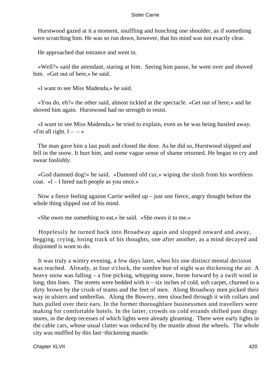Hurstwood gazed at it a moment, snuffling and hunching one shoulder, as if something were scratching him. He was so run down, however, that his mind was not exactly clear.

He approached that entrance and went in.

 «Well?» said the attendant, staring at him. Seeing him pause, he went over and shoved him. «Get out of here,» he said.

«I want to see Miss Madenda,» he said.

 «You do, eh?» the other said, almost tickled at the spectacle. «Get out of here,» and he shoved him again. Hurstwood had no strength to resist.

 «I want to see Miss Madenda,» he tried to explain, even as he was being hustled away. «I'm all right.  $I - \rightarrow$ 

 The man gave him a last push and closed the door. As he did so, Hurstwood slipped and fell in the snow. It hurt him, and some vague sense of shame returned. He began to cry and swear foolishly.

 «God damned dog!» he said. «Damned old cur,» wiping the slush from his worthless coat. «I – I hired such people as you once.»

 Now a fierce feeling against Carrie welled up – just one fierce, angry thought before the whole thing slipped out of his mind.

«She owes me something to eat,» he said. «She owes it to me.»

 Hopelessly he turned back into Broadway again and slopped onward and away, begging, crying, losing track of his thoughts, one after another, as a mind decayed and disjointed is wont to do.

 It was truly a wintry evening, a few days later, when his one distinct mental decision was reached. Already, at four o'clock, the sombre hue of night was thickening the air. A heavy snow was falling – a fine picking, whipping snow, borne forward by a swift wind in long, thin lines. The streets were bedded with  $it - six$  inches of cold, soft carpet, churned to a dirty brown by the crush of teams and the feet of men. Along Broadway men picked their way in ulsters and umbrellas. Along the Bowery, men slouched through it with collars and hats pulled over their ears. In the former thoroughfare businessmen and travellers were making for comfortable hotels. In the latter, crowds on cold errands shifted past dingy stores, in the deep recesses of which lights were already gleaming. There were early lights in the cable cars, whose usual clatter was reduced by the mantle about the wheels. The whole city was muffled by this fast−thickening mantle.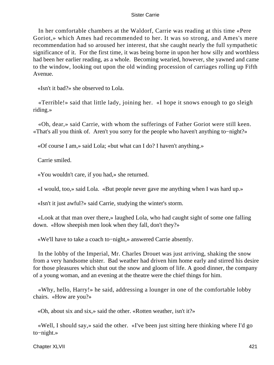In her comfortable chambers at the Waldorf, Carrie was reading at this time «Pere Goriot,» which Ames had recommended to her. It was so strong, and Ames's mere recommendation had so aroused her interest, that she caught nearly the full sympathetic significance of it. For the first time, it was being borne in upon her how silly and worthless had been her earlier reading, as a whole. Becoming wearied, however, she yawned and came to the window, looking out upon the old winding procession of carriages rolling up Fifth Avenue.

«Isn't it bad?» she observed to Lola.

 «Terrible!» said that little lady, joining her. «I hope it snows enough to go sleigh riding.»

 «Oh, dear,» said Carrie, with whom the sufferings of Father Goriot were still keen. «That's all you think of. Aren't you sorry for the people who haven't anything to−night?»

«Of course I am,» said Lola; «but what can I do? I haven't anything.»

Carrie smiled.

«You wouldn't care, if you had,» she returned.

«I would, too,» said Lola. «But people never gave me anything when I was hard up.»

«Isn't it just awful?» said Carrie, studying the winter's storm.

 «Look at that man over there,» laughed Lola, who had caught sight of some one falling down. «How sheepish men look when they fall, don't they?»

«We'll have to take a coach to−night,» answered Carrie absently.

 In the lobby of the Imperial, Mr. Charles Drouet was just arriving, shaking the snow from a very handsome ulster. Bad weather had driven him home early and stirred his desire for those pleasures which shut out the snow and gloom of life. A good dinner, the company of a young woman, and an evening at the theatre were the chief things for him.

 «Why, hello, Harry!» he said, addressing a lounger in one of the comfortable lobby chairs. «How are you?»

«Oh, about six and six,» said the other. «Rotten weather, isn't it?»

 «Well, I should say,» said the other. «I've been just sitting here thinking where I'd go to−night.»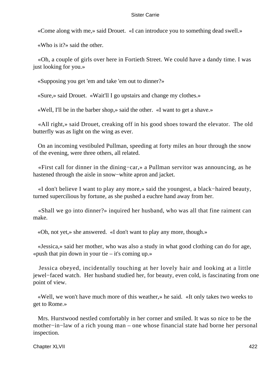«Come along with me,» said Drouet. «I can introduce you to something dead swell.»

«Who is it?» said the other.

 «Oh, a couple of girls over here in Fortieth Street. We could have a dandy time. I was just looking for you.»

«Supposing you get 'em and take 'em out to dinner?»

«Sure,» said Drouet. «Wait'll I go upstairs and change my clothes.»

«Well, I'll be in the barber shop,» said the other. «I want to get a shave.»

 «All right,» said Drouet, creaking off in his good shoes toward the elevator. The old butterfly was as light on the wing as ever.

 On an incoming vestibuled Pullman, speeding at forty miles an hour through the snow of the evening, were three others, all related.

 «First call for dinner in the dining−car,» a Pullman servitor was announcing, as he hastened through the aisle in snow−white apron and jacket.

 «I don't believe I want to play any more,» said the youngest, a black−haired beauty, turned supercilious by fortune, as she pushed a euchre hand away from her.

 «Shall we go into dinner?» inquired her husband, who was all that fine raiment can make.

«Oh, not yet,» she answered. «I don't want to play any more, though.»

 «Jessica,» said her mother, who was also a study in what good clothing can do for age, «push that pin down in your tie  $-$  it's coming up.»

 Jessica obeyed, incidentally touching at her lovely hair and looking at a little jewel−faced watch. Her husband studied her, for beauty, even cold, is fascinating from one point of view.

 «Well, we won't have much more of this weather,» he said. «It only takes two weeks to get to Rome.»

 Mrs. Hurstwood nestled comfortably in her corner and smiled. It was so nice to be the mother−in−law of a rich young man – one whose financial state had borne her personal inspection.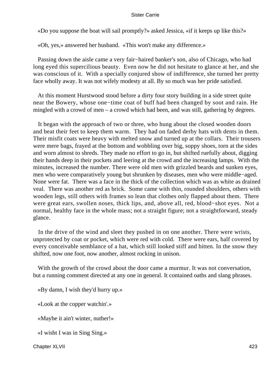«Do you suppose the boat will sail promptly?» asked Jessica, «if it keeps up like this?»

«Oh, yes,» answered her husband. «This won't make any difference.»

 Passing down the aisle came a very fair−haired banker's son, also of Chicago, who had long eyed this supercilious beauty. Even now he did not hesitate to glance at her, and she was conscious of it. With a specially conjured show of indifference, she turned her pretty face wholly away. It was not wifely modesty at all. By so much was her pride satisfied.

 At this moment Hurstwood stood before a dirty four story building in a side street quite near the Bowery, whose one−time coat of buff had been changed by soot and rain. He mingled with a crowd of men – a crowd which had been, and was still, gathering by degrees.

 It began with the approach of two or three, who hung about the closed wooden doors and beat their feet to keep them warm. They had on faded derby hats with dents in them. Their misfit coats were heavy with melted snow and turned up at the collars. Their trousers were mere bags, frayed at the bottom and wobbling over big, soppy shoes, torn at the sides and worn almost to shreds. They made no effort to go in, but shifted ruefully about, digging their hands deep in their pockets and leering at the crowd and the increasing lamps. With the minutes, increased the number. There were old men with grizzled beards and sunken eyes, men who were comparatively young but shrunken by diseases, men who were middle−aged. None were fat. There was a face in the thick of the collection which was as white as drained veal. There was another red as brick. Some came with thin, rounded shoulders, others with wooden legs, still others with frames so lean that clothes only flapped about them. There were great ears, swollen noses, thick lips, and, above all, red, blood−shot eyes. Not a normal, healthy face in the whole mass; not a straight figure; not a straightforward, steady glance.

 In the drive of the wind and sleet they pushed in on one another. There were wrists, unprotected by coat or pocket, which were red with cold. There were ears, half covered by every conceivable semblance of a hat, which still looked stiff and bitten. In the snow they shifted, now one foot, now another, almost rocking in unison.

 With the growth of the crowd about the door came a murmur. It was not conversation, but a running comment directed at any one in general. It contained oaths and slang phrases.

«By damn, I wish they'd hurry up.»

«Look at the copper watchin'.»

«Maybe it ain't winter, nuther!»

«I wisht I was in Sing Sing.»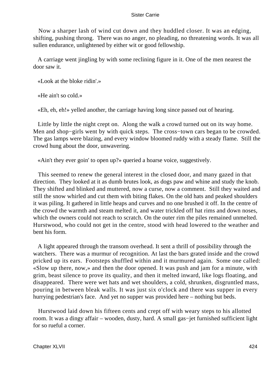Now a sharper lash of wind cut down and they huddled closer. It was an edging, shifting, pushing throng. There was no anger, no pleading, no threatening words. It was all sullen endurance, unlightened by either wit or good fellowship.

 A carriage went jingling by with some reclining figure in it. One of the men nearest the door saw it.

«Look at the bloke ridin'.»

«He ain't so cold.»

«Eh, eh, eh!» yelled another, the carriage having long since passed out of hearing.

 Little by little the night crept on. Along the walk a crowd turned out on its way home. Men and shop−girls went by with quick steps. The cross−town cars began to be crowded. The gas lamps were blazing, and every window bloomed ruddy with a steady flame. Still the crowd hung about the door, unwavering.

«Ain't they ever goin' to open up?» queried a hoarse voice, suggestively.

 This seemed to renew the general interest in the closed door, and many gazed in that direction. They looked at it as dumb brutes look, as dogs paw and whine and study the knob. They shifted and blinked and muttered, now a curse, now a comment. Still they waited and still the snow whirled and cut them with biting flakes. On the old hats and peaked shoulders it was piling. It gathered in little heaps and curves and no one brushed it off. In the centre of the crowd the warmth and steam melted it, and water trickled off hat rims and down noses, which the owners could not reach to scratch. On the outer rim the piles remained unmelted. Hurstwood, who could not get in the centre, stood with head lowered to the weather and bent his form.

 A light appeared through the transom overhead. It sent a thrill of possibility through the watchers. There was a murmur of recognition. At last the bars grated inside and the crowd pricked up its ears. Footsteps shuffled within and it murmured again. Some one called: «Slow up there, now,» and then the door opened. It was push and jam for a minute, with grim, beast silence to prove its quality, and then it melted inward, like logs floating, and disappeared. There were wet hats and wet shoulders, a cold, shrunken, disgruntled mass, pouring in between bleak walls. It was just six o'clock and there was supper in every hurrying pedestrian's face. And yet no supper was provided here – nothing but beds.

 Hurstwood laid down his fifteen cents and crept off with weary steps to his allotted room. It was a dingy affair – wooden, dusty, hard. A small gas−jet furnished sufficient light for so rueful a corner.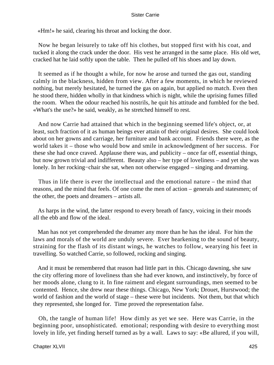«Hm!» he said, clearing his throat and locking the door.

 Now he began leisurely to take off his clothes, but stopped first with his coat, and tucked it along the crack under the door. His vest he arranged in the same place. His old wet, cracked hat he laid softly upon the table. Then he pulled off his shoes and lay down.

 It seemed as if he thought a while, for now he arose and turned the gas out, standing calmly in the blackness, hidden from view. After a few moments, in which he reviewed nothing, but merely hesitated, he turned the gas on again, but applied no match. Even then he stood there, hidden wholly in that kindness which is night, while the uprising fumes filled the room. When the odour reached his nostrils, he quit his attitude and fumbled for the bed. «What's the use?» he said, weakly, as he stretched himself to rest.

 And now Carrie had attained that which in the beginning seemed life's object, or, at least, such fraction of it as human beings ever attain of their original desires. She could look about on her gowns and carriage, her furniture and bank account. Friends there were, as the world takes it – those who would bow and smile in acknowledgment of her success. For these she had once craved. Applause there was, and publicity – once far off, essential things, but now grown trivial and indifferent. Beauty also – her type of loveliness – and yet she was lonely. In her rocking−chair she sat, when not otherwise engaged – singing and dreaming.

 Thus in life there is ever the intellectual and the emotional nature – the mind that reasons, and the mind that feels. Of one come the men of action – generals and statesmen; of the other, the poets and dreamers – artists all.

 As harps in the wind, the latter respond to every breath of fancy, voicing in their moods all the ebb and flow of the ideal.

 Man has not yet comprehended the dreamer any more than he has the ideal. For him the laws and morals of the world are unduly severe. Ever hearkening to the sound of beauty, straining for the flash of its distant wings, he watches to follow, wearying his feet in travelling. So watched Carrie, so followed, rocking and singing.

 And it must be remembered that reason had little part in this. Chicago dawning, she saw the city offering more of loveliness than she had ever known, and instinctively, by force of her moods alone, clung to it. In fine raiment and elegant surroundings, men seemed to be contented. Hence, she drew near these things. Chicago, New York; Drouet, Hurstwood; the world of fashion and the world of stage – these were but incidents. Not them, but that which they represented, she longed for. Time proved the representation false.

 Oh, the tangle of human life! How dimly as yet we see. Here was Carrie, in the beginning poor, unsophisticated. emotional; responding with desire to everything most lovely in life, yet finding herself turned as by a wall. Laws to say: «Be allured, if you will,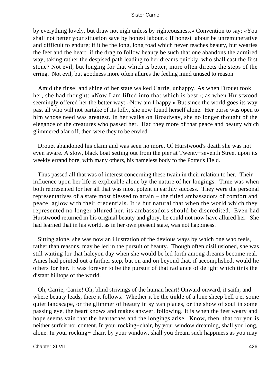by everything lovely, but draw not nigh unless by righteousness.» Convention to say: «You shall not better your situation save by honest labour.» If honest labour be unremunerative and difficult to endure; if it be the long, long road which never reaches beauty, but wearies the feet and the heart; if the drag to follow beauty be such that one abandons the admired way, taking rather the despised path leading to her dreams quickly, who shall cast the first stone? Not evil, but longing for that which is better, more often directs the steps of the erring. Not evil, but goodness more often allures the feeling mind unused to reason.

 Amid the tinsel and shine of her state walked Carrie, unhappy. As when Drouet took her, she had thought: «Now I am lifted into that which is best»; as when Hurstwood seemingly offered her the better way: «Now am I happy.» But since the world goes its way past all who will not partake of its folly, she now found herself alone. Her purse was open to him whose need was greatest. In her walks on Broadway, she no longer thought of the elegance of the creatures who passed her. Had they more of that peace and beauty which glimmered afar off, then were they to be envied.

 Drouet abandoned his claim and was seen no more. Of Hurstwood's death she was not even aware. A slow, black boat setting out from the pier at Twenty−seventh Street upon its weekly errand bore, with many others, his nameless body to the Potter's Field.

 Thus passed all that was of interest concerning these twain in their relation to her. Their influence upon her life is explicable alone by the nature of her longings. Time was when both represented for her all that was most potent in earthly success. They were the personal representatives of a state most blessed to attain – the titled ambassadors of comfort and peace, aglow with their credentials. It is but natural that when the world which they represented no longer allured her, its ambassadors should be discredited. Even had Hurstwood returned in his original beauty and glory, he could not now have allured her. She had learned that in his world, as in her own present state, was not happiness.

 Sitting alone, she was now an illustration of the devious ways by which one who feels, rather than reasons, may be led in the pursuit of beauty. Though often disillusioned, she was still waiting for that halcyon day when she would be led forth among dreams become real. Ames had pointed out a farther step, but on and on beyond that, if accomplished, would lie others for her. It was forever to be the pursuit of that radiance of delight which tints the distant hilltops of the world.

 Oh, Carrie, Carrie! Oh, blind strivings of the human heart! Onward onward, it saith, and where beauty leads, there it follows. Whether it be the tinkle of a lone sheep bell o'er some quiet landscape, or the glimmer of beauty in sylvan places, or the show of soul in some passing eye, the heart knows and makes answer, following. It is when the feet weary and hope seems vain that the heartaches and the longings arise. Know, then, that for you is neither surfeit nor content. In your rocking−chair, by your window dreaming, shall you long, alone. In your rocking− chair, by your window, shall you dream such happiness as you may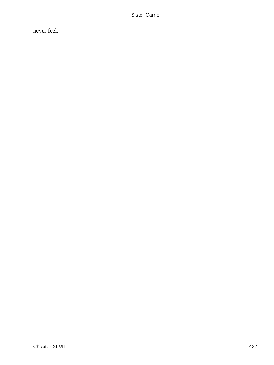never feel.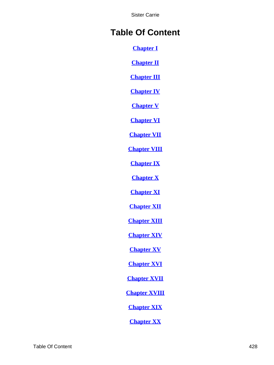# **Table Of Content**

**[Chapter I](#page-3-0)**

**[Chapter II](#page-10-0)**

**[Chapter III](#page-15-0)**

**[Chapter IV](#page-24-0)**

**[Chapter V](#page-35-0)**

**[Chapter VI](#page-41-0)**

**[Chapter VII](#page-53-0)**

**[Chapter VIII](#page-63-0)**

**[Chapter IX](#page-70-0)**

**[Chapter X](#page-77-0)**

**[Chapter XI](#page-85-0)**

**[Chapter XII](#page-94-0)**

**[Chapter XIII](#page-102-0)**

**[Chapter XIV](#page-109-0)**

**[Chapter XV](#page-117-0)**

**[Chapter XVI](#page-127-0)**

**[Chapter XVII](#page-136-0)**

**[Chapter XVIII](#page-145-0)**

**[Chapter XIX](#page-150-0)**

**[Chapter XX](#page-162-0)**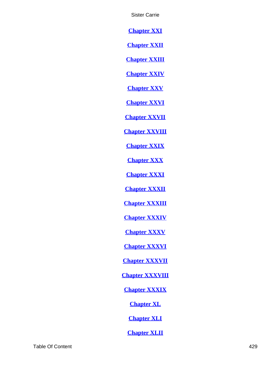**[Chapter XXI](#page-171-0)**

**[Chapter XXII](#page-176-0)**

**[Chapter XXIII](#page-186-0)**

**[Chapter XXIV](#page-197-0)**

**[Chapter XXV](#page-201-0)**

**[Chapter XXVI](#page-206-0)**

**[Chapter XXVII](#page-216-0)**

**[Chapter XXVIII](#page-226-0)**

**[Chapter XXIX](#page-236-0)**

**[Chapter XXX](#page-248-0)**

**[Chapter XXXI](#page-254-0)**

**[Chapter XXXII](#page-261-0)**

**[Chapter XXXIII](#page-273-0)**

**[Chapter XXXIV](#page-280-0)**

**[Chapter XXXV](#page-288-0)**

**[Chapter XXXVI](#page-298-0)**

**[Chapter XXXVII](#page-309-0)**

**[Chapter XXXVIII](#page-318-0)**

**[Chapter XXXIX](#page-329-0)**

**[Chapter XL](#page-340-0)**

**[Chapter XLI](#page-348-0)**

**[Chapter XLII](#page-364-0)**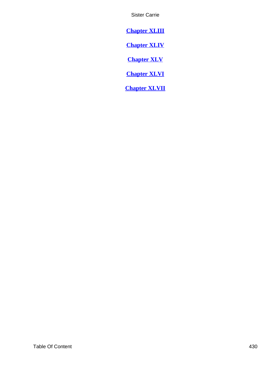<span id="page-430-0"></span>**[Chapter XLIII](#page-373-0)**

**[Chapter XLIV](#page-381-0)**

**[Chapter XLV](#page-390-0)**

**[Chapter XLVI](#page-403-0)**

**[Chapter XLVII](#page-415-0)**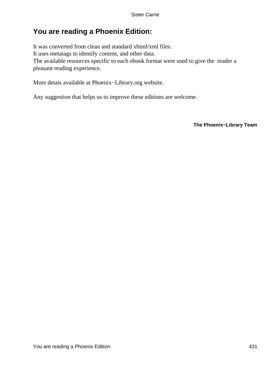# **You are reading a Phoenix Edition:**

It was converted from clean and standard xhtml/xml files. It uses metatags to identify content, and other data. The available resources specific to each ebook format were used to give the reader a pleasant reading experience.

More detais available at Phoenix−Library.org website.

Any suggestion that helps us to improve these editions are welcome.

**The Phoenix−Library Team**